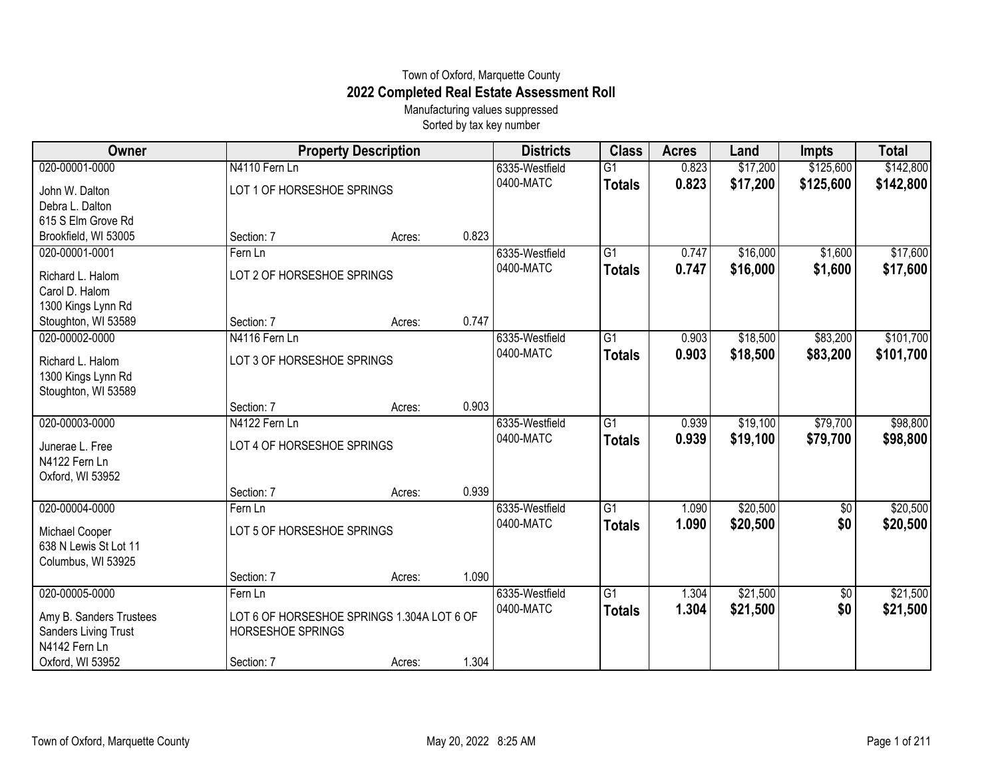## Town of Oxford, Marquette County **2022 Completed Real Estate Assessment Roll**

Manufacturing values suppressed Sorted by tax key number

| Owner                                                                  | <b>Property Description</b>                                            |        |       | <b>Districts</b>            | <b>Class</b>                     | <b>Acres</b>   | Land                 | <b>Impts</b>         | <b>Total</b>         |
|------------------------------------------------------------------------|------------------------------------------------------------------------|--------|-------|-----------------------------|----------------------------------|----------------|----------------------|----------------------|----------------------|
| 020-00001-0000                                                         | N4110 Fern Ln                                                          |        |       | 6335-Westfield              | $\overline{G1}$                  | 0.823          | \$17,200             | \$125,600            | \$142,800            |
| John W. Dalton<br>Debra L. Dalton                                      | LOT 1 OF HORSESHOE SPRINGS                                             |        |       | 0400-MATC                   | <b>Totals</b>                    | 0.823          | \$17,200             | \$125,600            | \$142,800            |
| 615 S Elm Grove Rd<br>Brookfield, WI 53005                             | Section: 7                                                             | Acres: | 0.823 |                             |                                  |                |                      |                      |                      |
| 020-00001-0001                                                         | Fern Ln                                                                |        |       | 6335-Westfield              | $\overline{G1}$                  | 0.747          | \$16,000             | \$1,600              | \$17,600             |
| Richard L. Halom<br>Carol D. Halom                                     | LOT 2 OF HORSESHOE SPRINGS                                             |        |       | 0400-MATC                   | <b>Totals</b>                    | 0.747          | \$16,000             | \$1,600              | \$17,600             |
| 1300 Kings Lynn Rd                                                     | Section: 7                                                             |        | 0.747 |                             |                                  |                |                      |                      |                      |
| Stoughton, WI 53589<br>020-00002-0000                                  | N4116 Fern Ln                                                          | Acres: |       | 6335-Westfield              | $\overline{G1}$                  | 0.903          | \$18,500             | \$83,200             | \$101,700            |
| Richard L. Halom<br>1300 Kings Lynn Rd<br>Stoughton, WI 53589          | LOT 3 OF HORSESHOE SPRINGS                                             |        |       | 0400-MATC                   | <b>Totals</b>                    | 0.903          | \$18,500             | \$83,200             | \$101,700            |
|                                                                        | Section: 7                                                             | Acres: | 0.903 |                             |                                  |                |                      |                      |                      |
| 020-00003-0000<br>Junerae L. Free<br>N4122 Fern Ln<br>Oxford, WI 53952 | N4122 Fern Ln<br>LOT 4 OF HORSESHOE SPRINGS                            |        |       | 6335-Westfield<br>0400-MATC | $\overline{G1}$<br><b>Totals</b> | 0.939<br>0.939 | \$19,100<br>\$19,100 | \$79,700<br>\$79,700 | \$98,800<br>\$98,800 |
|                                                                        | Section: 7                                                             | Acres: | 0.939 |                             |                                  |                |                      |                      |                      |
| 020-00004-0000                                                         | Fern Ln                                                                |        |       | 6335-Westfield              | G <sub>1</sub>                   | 1.090          | \$20,500             | \$0                  | \$20,500             |
| Michael Cooper<br>638 N Lewis St Lot 11<br>Columbus, WI 53925          | LOT 5 OF HORSESHOE SPRINGS                                             |        |       | 0400-MATC                   | <b>Totals</b>                    | 1.090          | \$20,500             | \$0                  | \$20,500             |
|                                                                        | Section: 7                                                             | Acres: | 1.090 |                             |                                  |                |                      |                      |                      |
| 020-00005-0000                                                         | Fern Ln                                                                |        |       | 6335-Westfield              | G1                               | 1.304          | \$21,500             | \$0                  | \$21,500             |
| Amy B. Sanders Trustees<br>Sanders Living Trust<br>N4142 Fern Ln       | LOT 6 OF HORSESHOE SPRINGS 1.304A LOT 6 OF<br><b>HORSESHOE SPRINGS</b> |        |       | 0400-MATC                   | <b>Totals</b>                    | 1.304          | \$21,500             | \$0                  | \$21,500             |
| Oxford, WI 53952                                                       | Section: 7                                                             | Acres: | 1.304 |                             |                                  |                |                      |                      |                      |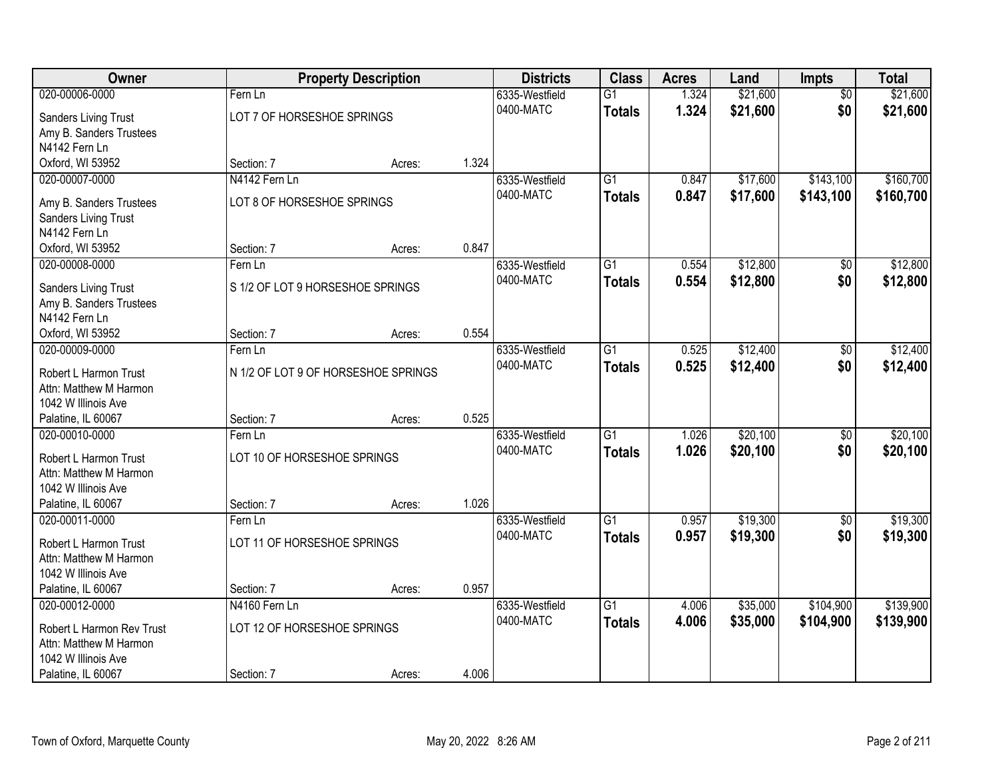| Owner                     |                                     | <b>Property Description</b> |       | <b>Districts</b> | <b>Class</b>    | <b>Acres</b> | Land     | <b>Impts</b>    | <b>Total</b> |
|---------------------------|-------------------------------------|-----------------------------|-------|------------------|-----------------|--------------|----------|-----------------|--------------|
| 020-00006-0000            | Fern Ln                             |                             |       | 6335-Westfield   | $\overline{G1}$ | 1.324        | \$21,600 | $\overline{50}$ | \$21,600     |
| Sanders Living Trust      | LOT 7 OF HORSESHOE SPRINGS          |                             |       | 0400-MATC        | <b>Totals</b>   | 1.324        | \$21,600 | \$0             | \$21,600     |
| Amy B. Sanders Trustees   |                                     |                             |       |                  |                 |              |          |                 |              |
| N4142 Fern Ln             |                                     |                             |       |                  |                 |              |          |                 |              |
| Oxford, WI 53952          | Section: 7                          | Acres:                      | 1.324 |                  |                 |              |          |                 |              |
| 020-00007-0000            | N4142 Fern Ln                       |                             |       | 6335-Westfield   | $\overline{G1}$ | 0.847        | \$17,600 | \$143,100       | \$160,700    |
| Amy B. Sanders Trustees   | LOT 8 OF HORSESHOE SPRINGS          |                             |       | 0400-MATC        | <b>Totals</b>   | 0.847        | \$17,600 | \$143,100       | \$160,700    |
| Sanders Living Trust      |                                     |                             |       |                  |                 |              |          |                 |              |
| N4142 Fern Ln             |                                     |                             |       |                  |                 |              |          |                 |              |
| Oxford, WI 53952          | Section: 7                          | Acres:                      | 0.847 |                  |                 |              |          |                 |              |
| 020-00008-0000            | Fern Ln                             |                             |       | 6335-Westfield   | G1              | 0.554        | \$12,800 | \$0             | \$12,800     |
|                           |                                     |                             |       | 0400-MATC        | <b>Totals</b>   | 0.554        | \$12,800 | \$0             | \$12,800     |
| Sanders Living Trust      | S 1/2 OF LOT 9 HORSESHOE SPRINGS    |                             |       |                  |                 |              |          |                 |              |
| Amy B. Sanders Trustees   |                                     |                             |       |                  |                 |              |          |                 |              |
| N4142 Fern Ln             |                                     |                             |       |                  |                 |              |          |                 |              |
| Oxford, WI 53952          | Section: 7                          | Acres:                      | 0.554 |                  |                 |              |          |                 |              |
| 020-00009-0000            | Fern Ln                             |                             |       | 6335-Westfield   | G1              | 0.525        | \$12,400 | \$0             | \$12,400     |
| Robert L Harmon Trust     | N 1/2 OF LOT 9 OF HORSESHOE SPRINGS |                             |       | 0400-MATC        | <b>Totals</b>   | 0.525        | \$12,400 | \$0             | \$12,400     |
| Attn: Matthew M Harmon    |                                     |                             |       |                  |                 |              |          |                 |              |
| 1042 W Illinois Ave       |                                     |                             |       |                  |                 |              |          |                 |              |
| Palatine, IL 60067        | Section: 7                          | Acres:                      | 0.525 |                  |                 |              |          |                 |              |
| 020-00010-0000            | Fern Ln                             |                             |       | 6335-Westfield   | $\overline{G1}$ | 1.026        | \$20,100 | $\overline{50}$ | \$20,100     |
| Robert L Harmon Trust     | LOT 10 OF HORSESHOE SPRINGS         |                             |       | 0400-MATC        | <b>Totals</b>   | 1.026        | \$20,100 | \$0             | \$20,100     |
| Attn: Matthew M Harmon    |                                     |                             |       |                  |                 |              |          |                 |              |
| 1042 W Illinois Ave       |                                     |                             |       |                  |                 |              |          |                 |              |
| Palatine, IL 60067        | Section: 7                          | Acres:                      | 1.026 |                  |                 |              |          |                 |              |
| 020-00011-0000            | Fern Ln                             |                             |       | 6335-Westfield   | $\overline{G1}$ | 0.957        | \$19,300 | $\sqrt{6}$      | \$19,300     |
| Robert L Harmon Trust     | LOT 11 OF HORSESHOE SPRINGS         |                             |       | 0400-MATC        | <b>Totals</b>   | 0.957        | \$19,300 | \$0             | \$19,300     |
| Attn: Matthew M Harmon    |                                     |                             |       |                  |                 |              |          |                 |              |
| 1042 W Illinois Ave       |                                     |                             |       |                  |                 |              |          |                 |              |
| Palatine, IL 60067        | Section: 7                          | Acres:                      | 0.957 |                  |                 |              |          |                 |              |
| 020-00012-0000            | N4160 Fern Ln                       |                             |       | 6335-Westfield   | $\overline{G1}$ | 4.006        | \$35,000 | \$104,900       | \$139,900    |
|                           |                                     |                             |       | 0400-MATC        | <b>Totals</b>   | 4.006        | \$35,000 | \$104,900       | \$139,900    |
| Robert L Harmon Rev Trust | LOT 12 OF HORSESHOE SPRINGS         |                             |       |                  |                 |              |          |                 |              |
| Attn: Matthew M Harmon    |                                     |                             |       |                  |                 |              |          |                 |              |
| 1042 W Illinois Ave       |                                     |                             |       |                  |                 |              |          |                 |              |
| Palatine, IL 60067        | Section: 7                          | Acres:                      | 4.006 |                  |                 |              |          |                 |              |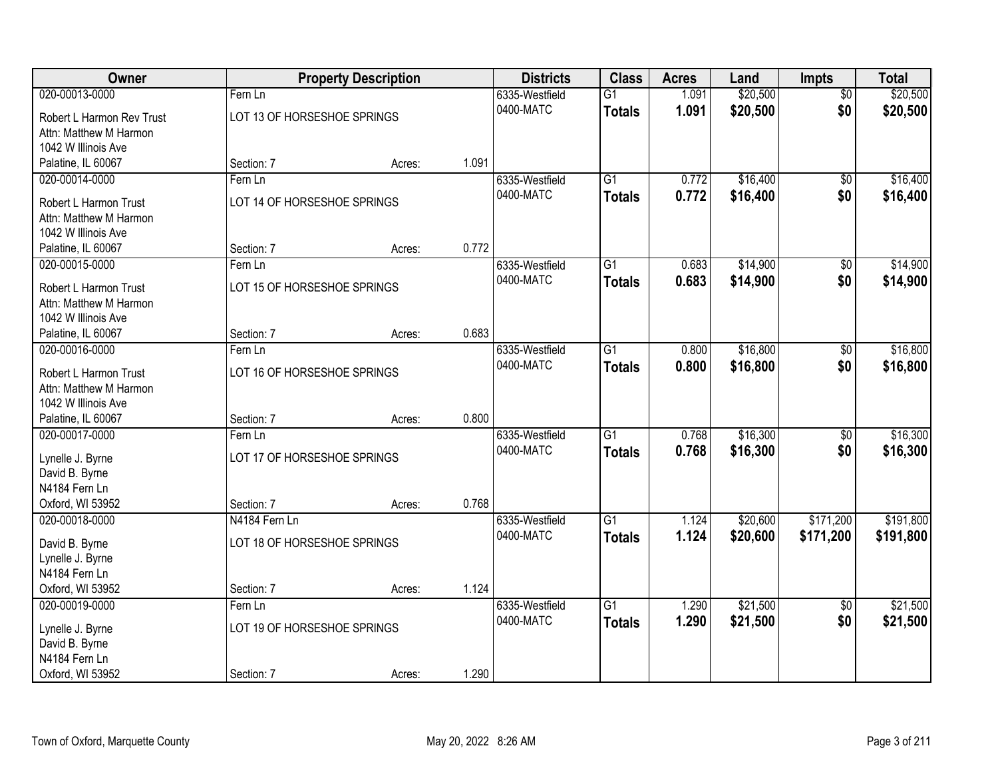| Owner                                         |                             | <b>Property Description</b> |       | <b>Districts</b> | <b>Class</b>    | <b>Acres</b> | Land     | Impts           | <b>Total</b> |
|-----------------------------------------------|-----------------------------|-----------------------------|-------|------------------|-----------------|--------------|----------|-----------------|--------------|
| 020-00013-0000                                | Fern Ln                     |                             |       | 6335-Westfield   | $\overline{G1}$ | 1.091        | \$20,500 | $\overline{50}$ | \$20,500     |
| Robert L Harmon Rev Trust                     | LOT 13 OF HORSESHOE SPRINGS |                             |       | 0400-MATC        | <b>Totals</b>   | 1.091        | \$20,500 | \$0             | \$20,500     |
| Attn: Matthew M Harmon                        |                             |                             |       |                  |                 |              |          |                 |              |
| 1042 W Illinois Ave                           |                             |                             |       |                  |                 |              |          |                 |              |
| Palatine, IL 60067                            | Section: 7                  | Acres:                      | 1.091 |                  |                 |              |          |                 |              |
| 020-00014-0000                                | Fern Ln                     |                             |       | 6335-Westfield   | $\overline{G1}$ | 0.772        | \$16,400 | \$0             | \$16,400     |
| Robert L Harmon Trust                         | LOT 14 OF HORSESHOE SPRINGS |                             |       | 0400-MATC        | <b>Totals</b>   | 0.772        | \$16,400 | \$0             | \$16,400     |
| Attn: Matthew M Harmon                        |                             |                             |       |                  |                 |              |          |                 |              |
| 1042 W Illinois Ave                           |                             |                             |       |                  |                 |              |          |                 |              |
| Palatine, IL 60067                            | Section: 7                  | Acres:                      | 0.772 |                  |                 |              |          |                 |              |
| 020-00015-0000                                | Fern Ln                     |                             |       | 6335-Westfield   | G1              | 0.683        | \$14,900 | \$0             | \$14,900     |
|                                               |                             |                             |       | 0400-MATC        | <b>Totals</b>   | 0.683        | \$14,900 | \$0             | \$14,900     |
| Robert L Harmon Trust                         | LOT 15 OF HORSESHOE SPRINGS |                             |       |                  |                 |              |          |                 |              |
| Attn: Matthew M Harmon<br>1042 W Illinois Ave |                             |                             |       |                  |                 |              |          |                 |              |
| Palatine, IL 60067                            | Section: 7                  | Acres:                      | 0.683 |                  |                 |              |          |                 |              |
| 020-00016-0000                                | Fern Ln                     |                             |       | 6335-Westfield   | G1              | 0.800        | \$16,800 | $\frac{1}{20}$  | \$16,800     |
|                                               |                             |                             |       | 0400-MATC        | <b>Totals</b>   | 0.800        | \$16,800 | \$0             | \$16,800     |
| Robert L Harmon Trust                         | LOT 16 OF HORSESHOE SPRINGS |                             |       |                  |                 |              |          |                 |              |
| Attn: Matthew M Harmon                        |                             |                             |       |                  |                 |              |          |                 |              |
| 1042 W Illinois Ave                           |                             |                             |       |                  |                 |              |          |                 |              |
| Palatine, IL 60067                            | Section: 7                  | Acres:                      | 0.800 |                  |                 |              |          |                 |              |
| 020-00017-0000                                | Fern Ln                     |                             |       | 6335-Westfield   | $\overline{G1}$ | 0.768        | \$16,300 | $\overline{50}$ | \$16,300     |
| Lynelle J. Byrne                              | LOT 17 OF HORSESHOE SPRINGS |                             |       | 0400-MATC        | <b>Totals</b>   | 0.768        | \$16,300 | \$0             | \$16,300     |
| David B. Byrne                                |                             |                             |       |                  |                 |              |          |                 |              |
| N4184 Fern Ln                                 |                             |                             |       |                  |                 |              |          |                 |              |
| Oxford, WI 53952                              | Section: 7                  | Acres:                      | 0.768 |                  |                 |              |          |                 |              |
| 020-00018-0000                                | N4184 Fern Ln               |                             |       | 6335-Westfield   | $\overline{G1}$ | 1.124        | \$20,600 | \$171,200       | \$191,800    |
| David B. Byrne                                | LOT 18 OF HORSESHOE SPRINGS |                             |       | 0400-MATC        | <b>Totals</b>   | 1.124        | \$20,600 | \$171,200       | \$191,800    |
| Lynelle J. Byrne                              |                             |                             |       |                  |                 |              |          |                 |              |
| N4184 Fern Ln                                 |                             |                             |       |                  |                 |              |          |                 |              |
| Oxford, WI 53952                              | Section: 7                  | Acres:                      | 1.124 |                  |                 |              |          |                 |              |
| 020-00019-0000                                | Fern Ln                     |                             |       | 6335-Westfield   | $\overline{G1}$ | 1.290        | \$21,500 | $\overline{60}$ | \$21,500     |
| Lynelle J. Byrne                              | LOT 19 OF HORSESHOE SPRINGS |                             |       | 0400-MATC        | <b>Totals</b>   | 1.290        | \$21,500 | \$0             | \$21,500     |
| David B. Byrne                                |                             |                             |       |                  |                 |              |          |                 |              |
| N4184 Fern Ln                                 |                             |                             |       |                  |                 |              |          |                 |              |
| Oxford, WI 53952                              | Section: 7                  | Acres:                      | 1.290 |                  |                 |              |          |                 |              |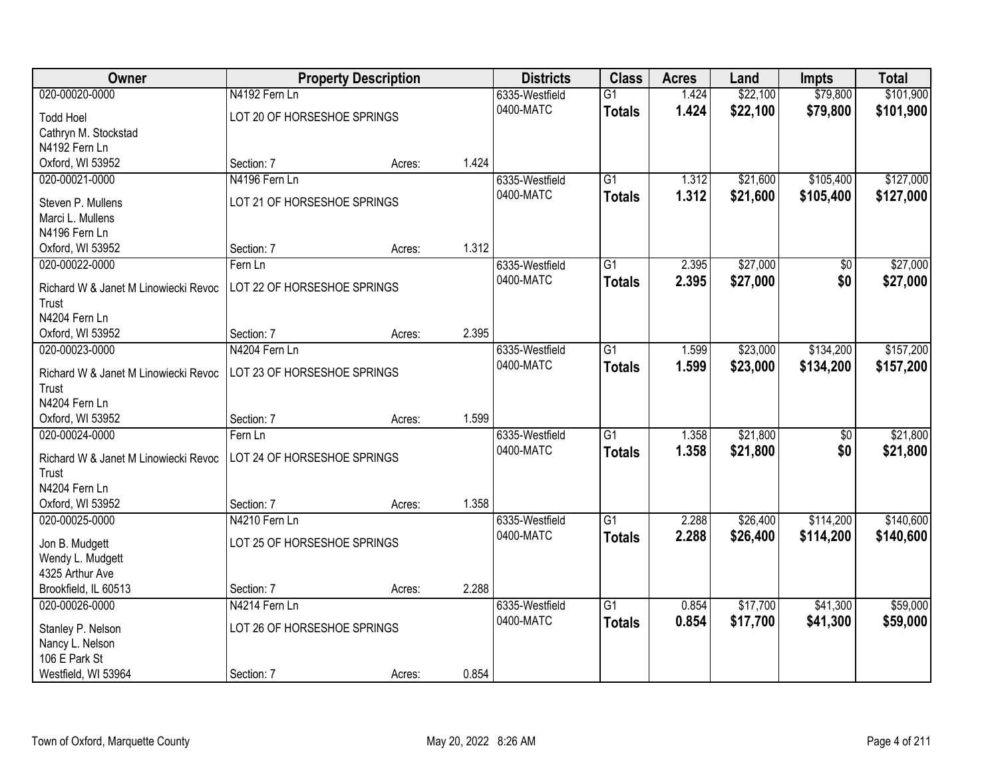| Owner                                         |                             | <b>Property Description</b> |       | <b>Districts</b> | <b>Class</b>    | <b>Acres</b> | Land     | <b>Impts</b>    | <b>Total</b> |
|-----------------------------------------------|-----------------------------|-----------------------------|-------|------------------|-----------------|--------------|----------|-----------------|--------------|
| 020-00020-0000                                | N4192 Fern Ln               |                             |       | 6335-Westfield   | $\overline{G1}$ | 1.424        | \$22,100 | \$79,800        | \$101,900    |
| <b>Todd Hoel</b>                              | LOT 20 OF HORSESHOE SPRINGS |                             |       | 0400-MATC        | <b>Totals</b>   | 1.424        | \$22,100 | \$79,800        | \$101,900    |
| Cathryn M. Stockstad                          |                             |                             |       |                  |                 |              |          |                 |              |
| N4192 Fern Ln                                 |                             |                             |       |                  |                 |              |          |                 |              |
| Oxford, WI 53952                              | Section: 7                  | Acres:                      | 1.424 |                  |                 |              |          |                 |              |
| 020-00021-0000                                | N4196 Fern Ln               |                             |       | 6335-Westfield   | $\overline{G1}$ | 1.312        | \$21,600 | \$105,400       | \$127,000    |
|                                               |                             |                             |       | 0400-MATC        | <b>Totals</b>   | 1.312        | \$21,600 | \$105,400       | \$127,000    |
| Steven P. Mullens                             | LOT 21 OF HORSESHOE SPRINGS |                             |       |                  |                 |              |          |                 |              |
| Marci L. Mullens                              |                             |                             |       |                  |                 |              |          |                 |              |
| N4196 Fern Ln                                 |                             |                             | 1.312 |                  |                 |              |          |                 |              |
| Oxford, WI 53952                              | Section: 7                  | Acres:                      |       |                  |                 |              |          |                 |              |
| 020-00022-0000                                | Fern Ln                     |                             |       | 6335-Westfield   | G1              | 2.395        | \$27,000 | \$0             | \$27,000     |
| Richard W & Janet M Linowiecki Revoc          | LOT 22 OF HORSESHOE SPRINGS |                             |       | 0400-MATC        | <b>Totals</b>   | 2.395        | \$27,000 | \$0             | \$27,000     |
| Trust                                         |                             |                             |       |                  |                 |              |          |                 |              |
| N4204 Fern Ln                                 |                             |                             |       |                  |                 |              |          |                 |              |
| Oxford, WI 53952                              | Section: 7                  | Acres:                      | 2.395 |                  |                 |              |          |                 |              |
| 020-00023-0000                                | N4204 Fern Ln               |                             |       | 6335-Westfield   | G1              | 1.599        | \$23,000 | \$134,200       | \$157,200    |
|                                               |                             |                             |       | 0400-MATC        | <b>Totals</b>   | 1.599        | \$23,000 | \$134,200       | \$157,200    |
| Richard W & Janet M Linowiecki Revoc<br>Trust | LOT 23 OF HORSESHOE SPRINGS |                             |       |                  |                 |              |          |                 |              |
| N4204 Fern Ln                                 |                             |                             |       |                  |                 |              |          |                 |              |
| Oxford, WI 53952                              | Section: 7                  |                             | 1.599 |                  |                 |              |          |                 |              |
| 020-00024-0000                                | Fern Ln                     | Acres:                      |       |                  | $\overline{G1}$ | 1.358        | \$21,800 | $\overline{50}$ | \$21,800     |
|                                               |                             |                             |       | 6335-Westfield   |                 |              |          |                 |              |
| Richard W & Janet M Linowiecki Revoc          | LOT 24 OF HORSESHOE SPRINGS |                             |       | 0400-MATC        | <b>Totals</b>   | 1.358        | \$21,800 | \$0             | \$21,800     |
| Trust                                         |                             |                             |       |                  |                 |              |          |                 |              |
| N4204 Fern Ln                                 |                             |                             |       |                  |                 |              |          |                 |              |
| Oxford, WI 53952                              | Section: 7                  | Acres:                      | 1.358 |                  |                 |              |          |                 |              |
| 020-00025-0000                                | N4210 Fern Ln               |                             |       | 6335-Westfield   | $\overline{G1}$ | 2.288        | \$26,400 | \$114,200       | \$140,600    |
| Jon B. Mudgett                                | LOT 25 OF HORSESHOE SPRINGS |                             |       | 0400-MATC        | <b>Totals</b>   | 2.288        | \$26,400 | \$114,200       | \$140,600    |
| Wendy L. Mudgett                              |                             |                             |       |                  |                 |              |          |                 |              |
| 4325 Arthur Ave                               |                             |                             |       |                  |                 |              |          |                 |              |
| Brookfield, IL 60513                          | Section: 7                  | Acres:                      | 2.288 |                  |                 |              |          |                 |              |
| 020-00026-0000                                | N4214 Fern Ln               |                             |       | 6335-Westfield   | $\overline{G1}$ | 0.854        | \$17,700 | \$41,300        | \$59,000     |
|                                               |                             |                             |       | 0400-MATC        | <b>Totals</b>   | 0.854        | \$17,700 | \$41,300        | \$59,000     |
| Stanley P. Nelson                             | LOT 26 OF HORSESHOE SPRINGS |                             |       |                  |                 |              |          |                 |              |
| Nancy L. Nelson                               |                             |                             |       |                  |                 |              |          |                 |              |
| 106 E Park St                                 |                             |                             |       |                  |                 |              |          |                 |              |
| Westfield, WI 53964                           | Section: 7                  | Acres:                      | 0.854 |                  |                 |              |          |                 |              |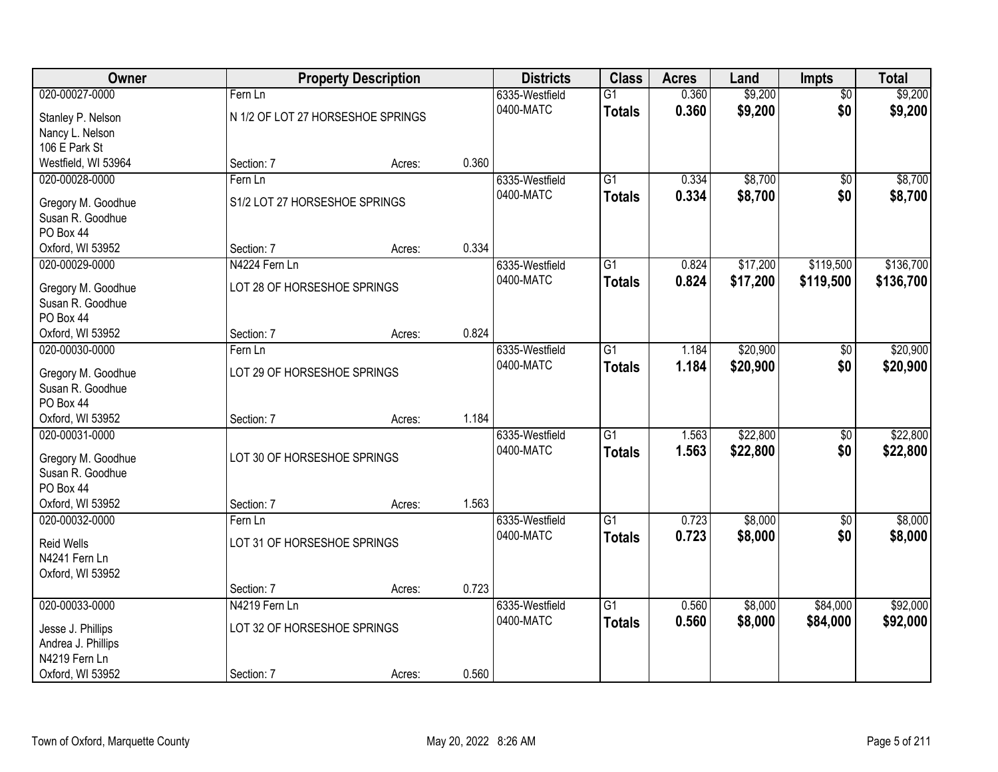| Owner                                  |                                   | <b>Property Description</b> |       | <b>Districts</b> | <b>Class</b>    | <b>Acres</b> | Land     | <b>Impts</b>    | <b>Total</b> |
|----------------------------------------|-----------------------------------|-----------------------------|-------|------------------|-----------------|--------------|----------|-----------------|--------------|
| 020-00027-0000                         | Fern Ln                           |                             |       | 6335-Westfield   | $\overline{G1}$ | 0.360        | \$9,200  | $\overline{50}$ | \$9,200      |
| Stanley P. Nelson                      | N 1/2 OF LOT 27 HORSESHOE SPRINGS |                             |       | 0400-MATC        | <b>Totals</b>   | 0.360        | \$9,200  | \$0             | \$9,200      |
| Nancy L. Nelson                        |                                   |                             |       |                  |                 |              |          |                 |              |
| 106 E Park St                          |                                   |                             |       |                  |                 |              |          |                 |              |
| Westfield, WI 53964                    | Section: 7                        | Acres:                      | 0.360 |                  |                 |              |          |                 |              |
| 020-00028-0000                         | Fern Ln                           |                             |       | 6335-Westfield   | $\overline{G1}$ | 0.334        | \$8,700  | $\overline{50}$ | \$8,700      |
| Gregory M. Goodhue                     | S1/2 LOT 27 HORSESHOE SPRINGS     |                             |       | 0400-MATC        | <b>Totals</b>   | 0.334        | \$8,700  | \$0             | \$8,700      |
| Susan R. Goodhue                       |                                   |                             |       |                  |                 |              |          |                 |              |
| PO Box 44                              |                                   |                             |       |                  |                 |              |          |                 |              |
| Oxford, WI 53952                       | Section: 7                        | Acres:                      | 0.334 |                  |                 |              |          |                 |              |
| 020-00029-0000                         | N4224 Fern Ln                     |                             |       | 6335-Westfield   | G1              | 0.824        | \$17,200 | \$119,500       | \$136,700    |
|                                        | LOT 28 OF HORSESHOE SPRINGS       |                             |       | 0400-MATC        | <b>Totals</b>   | 0.824        | \$17,200 | \$119,500       | \$136,700    |
| Gregory M. Goodhue<br>Susan R. Goodhue |                                   |                             |       |                  |                 |              |          |                 |              |
| PO Box 44                              |                                   |                             |       |                  |                 |              |          |                 |              |
| Oxford, WI 53952                       | Section: 7                        | Acres:                      | 0.824 |                  |                 |              |          |                 |              |
| 020-00030-0000                         | Fern Ln                           |                             |       | 6335-Westfield   | G1              | 1.184        | \$20,900 | \$0             | \$20,900     |
|                                        |                                   |                             |       | 0400-MATC        | <b>Totals</b>   | 1.184        | \$20,900 | \$0             | \$20,900     |
| Gregory M. Goodhue                     | LOT 29 OF HORSESHOE SPRINGS       |                             |       |                  |                 |              |          |                 |              |
| Susan R. Goodhue<br>PO Box 44          |                                   |                             |       |                  |                 |              |          |                 |              |
| Oxford, WI 53952                       | Section: 7                        | Acres:                      | 1.184 |                  |                 |              |          |                 |              |
| 020-00031-0000                         |                                   |                             |       | 6335-Westfield   | $\overline{G1}$ | 1.563        | \$22,800 | $\overline{50}$ | \$22,800     |
|                                        |                                   |                             |       | 0400-MATC        | <b>Totals</b>   | 1.563        | \$22,800 | \$0             | \$22,800     |
| Gregory M. Goodhue                     | LOT 30 OF HORSESHOE SPRINGS       |                             |       |                  |                 |              |          |                 |              |
| Susan R. Goodhue                       |                                   |                             |       |                  |                 |              |          |                 |              |
| PO Box 44<br>Oxford, WI 53952          | Section: 7                        |                             | 1.563 |                  |                 |              |          |                 |              |
| 020-00032-0000                         | Fern Ln                           | Acres:                      |       | 6335-Westfield   | $\overline{G1}$ | 0.723        | \$8,000  | $\sqrt{6}$      | \$8,000      |
|                                        |                                   |                             |       | 0400-MATC        | <b>Totals</b>   | 0.723        | \$8,000  | \$0             | \$8,000      |
| <b>Reid Wells</b>                      | LOT 31 OF HORSESHOE SPRINGS       |                             |       |                  |                 |              |          |                 |              |
| N4241 Fern Ln                          |                                   |                             |       |                  |                 |              |          |                 |              |
| Oxford, WI 53952                       |                                   |                             |       |                  |                 |              |          |                 |              |
|                                        | Section: 7                        | Acres:                      | 0.723 |                  |                 |              |          |                 |              |
| 020-00033-0000                         | N4219 Fern Ln                     |                             |       | 6335-Westfield   | $\overline{G1}$ | 0.560        | \$8,000  | \$84,000        | \$92,000     |
| Jesse J. Phillips                      | LOT 32 OF HORSESHOE SPRINGS       |                             |       | 0400-MATC        | <b>Totals</b>   | 0.560        | \$8,000  | \$84,000        | \$92,000     |
| Andrea J. Phillips                     |                                   |                             |       |                  |                 |              |          |                 |              |
| N4219 Fern Ln                          |                                   |                             |       |                  |                 |              |          |                 |              |
| Oxford, WI 53952                       | Section: 7                        | Acres:                      | 0.560 |                  |                 |              |          |                 |              |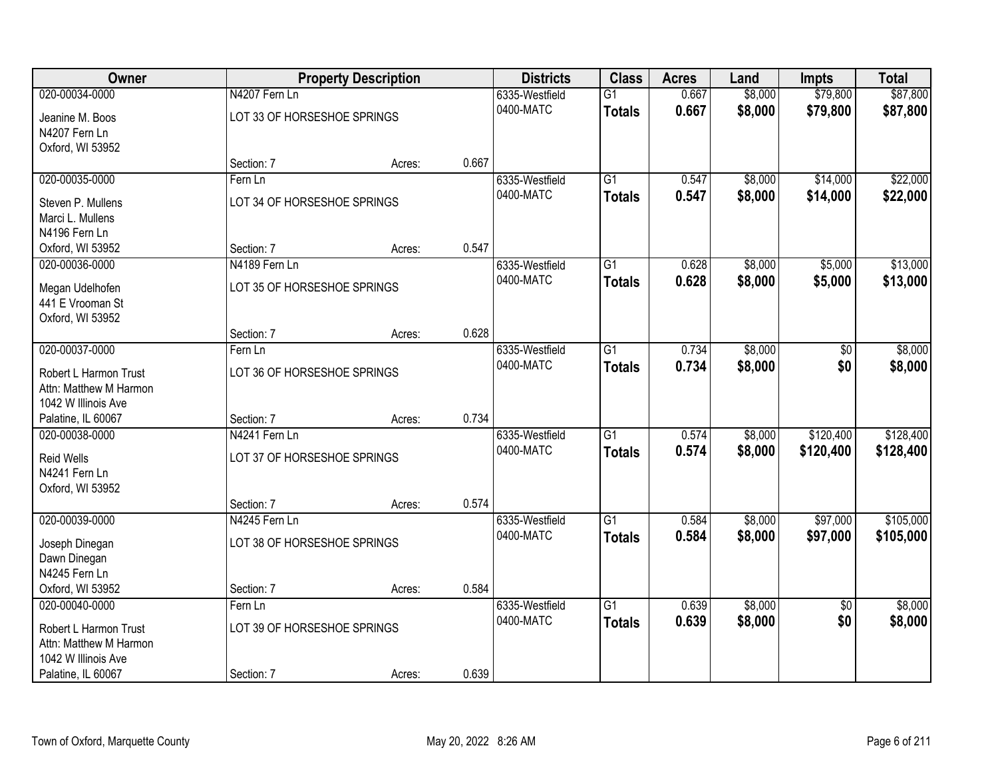| <b>Owner</b>           |                             | <b>Property Description</b> |       | <b>Districts</b> | <b>Class</b>    | <b>Acres</b> | Land    | <b>Impts</b>    | <b>Total</b> |
|------------------------|-----------------------------|-----------------------------|-------|------------------|-----------------|--------------|---------|-----------------|--------------|
| 020-00034-0000         | N4207 Fern Ln               |                             |       | 6335-Westfield   | $\overline{G1}$ | 0.667        | \$8,000 | \$79,800        | \$87,800     |
| Jeanine M. Boos        | LOT 33 OF HORSESHOE SPRINGS |                             |       | 0400-MATC        | <b>Totals</b>   | 0.667        | \$8,000 | \$79,800        | \$87,800     |
| N4207 Fern Ln          |                             |                             |       |                  |                 |              |         |                 |              |
| Oxford, WI 53952       |                             |                             |       |                  |                 |              |         |                 |              |
|                        | Section: 7                  | Acres:                      | 0.667 |                  |                 |              |         |                 |              |
| 020-00035-0000         | Fern Ln                     |                             |       | 6335-Westfield   | $\overline{G1}$ | 0.547        | \$8,000 | \$14,000        | \$22,000     |
| Steven P. Mullens      | LOT 34 OF HORSESHOE SPRINGS |                             |       | 0400-MATC        | <b>Totals</b>   | 0.547        | \$8,000 | \$14,000        | \$22,000     |
| Marci L. Mullens       |                             |                             |       |                  |                 |              |         |                 |              |
| N4196 Fern Ln          |                             |                             |       |                  |                 |              |         |                 |              |
| Oxford, WI 53952       | Section: 7                  | Acres:                      | 0.547 |                  |                 |              |         |                 |              |
| 020-00036-0000         | N4189 Fern Ln               |                             |       | 6335-Westfield   | $\overline{G1}$ | 0.628        | \$8,000 | \$5,000         | \$13,000     |
| Megan Udelhofen        | LOT 35 OF HORSESHOE SPRINGS |                             |       | 0400-MATC        | <b>Totals</b>   | 0.628        | \$8,000 | \$5,000         | \$13,000     |
| 441 E Vrooman St       |                             |                             |       |                  |                 |              |         |                 |              |
| Oxford, WI 53952       |                             |                             |       |                  |                 |              |         |                 |              |
|                        | Section: 7                  | Acres:                      | 0.628 |                  |                 |              |         |                 |              |
| 020-00037-0000         | Fern Ln                     |                             |       | 6335-Westfield   | G1              | 0.734        | \$8,000 | \$0             | \$8,000      |
| Robert L Harmon Trust  | LOT 36 OF HORSESHOE SPRINGS |                             |       | 0400-MATC        | <b>Totals</b>   | 0.734        | \$8,000 | \$0             | \$8,000      |
| Attn: Matthew M Harmon |                             |                             |       |                  |                 |              |         |                 |              |
| 1042 W Illinois Ave    |                             |                             |       |                  |                 |              |         |                 |              |
| Palatine, IL 60067     | Section: 7                  | Acres:                      | 0.734 |                  |                 |              |         |                 |              |
| 020-00038-0000         | N4241 Fern Ln               |                             |       | 6335-Westfield   | $\overline{G1}$ | 0.574        | \$8,000 | \$120,400       | \$128,400    |
| Reid Wells             | LOT 37 OF HORSESHOE SPRINGS |                             |       | 0400-MATC        | <b>Totals</b>   | 0.574        | \$8,000 | \$120,400       | \$128,400    |
| N4241 Fern Ln          |                             |                             |       |                  |                 |              |         |                 |              |
| Oxford, WI 53952       |                             |                             |       |                  |                 |              |         |                 |              |
|                        | Section: 7                  | Acres:                      | 0.574 |                  |                 |              |         |                 |              |
| 020-00039-0000         | N4245 Fern Ln               |                             |       | 6335-Westfield   | $\overline{G1}$ | 0.584        | \$8,000 | \$97,000        | \$105,000    |
| Joseph Dinegan         | LOT 38 OF HORSESHOE SPRINGS |                             |       | 0400-MATC        | <b>Totals</b>   | 0.584        | \$8,000 | \$97,000        | \$105,000    |
| Dawn Dinegan           |                             |                             |       |                  |                 |              |         |                 |              |
| N4245 Fern Ln          |                             |                             |       |                  |                 |              |         |                 |              |
| Oxford, WI 53952       | Section: 7                  | Acres:                      | 0.584 |                  |                 |              |         |                 |              |
| 020-00040-0000         | Fern Ln                     |                             |       | 6335-Westfield   | $\overline{G1}$ | 0.639        | \$8,000 | $\overline{50}$ | \$8,000      |
| Robert L Harmon Trust  | LOT 39 OF HORSESHOE SPRINGS |                             |       | 0400-MATC        | <b>Totals</b>   | 0.639        | \$8,000 | \$0             | \$8,000      |
| Attn: Matthew M Harmon |                             |                             |       |                  |                 |              |         |                 |              |
| 1042 W Illinois Ave    |                             |                             |       |                  |                 |              |         |                 |              |
| Palatine, IL 60067     | Section: 7                  | Acres:                      | 0.639 |                  |                 |              |         |                 |              |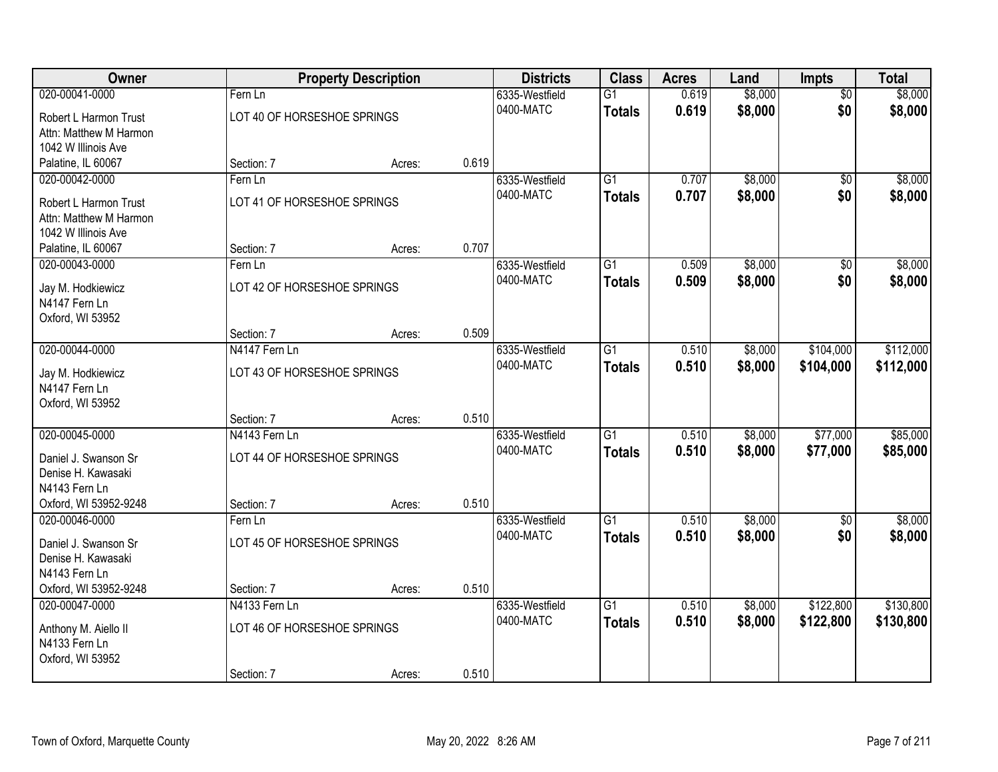| \$8,000<br>020-00041-0000<br>0.619<br>\$8,000<br>6335-Westfield<br>$\overline{G1}$<br>$\overline{50}$<br>Fern Ln<br>\$0<br>0400-MATC<br>0.619<br>\$8,000<br>\$8,000<br><b>Totals</b><br>LOT 40 OF HORSESHOE SPRINGS<br>Robert L Harmon Trust<br>Attn: Matthew M Harmon<br>1042 W Illinois Ave<br>0.619<br>Palatine, IL 60067<br>Section: 7<br>Acres:<br>\$8,000<br>\$8,000<br>020-00042-0000<br>6335-Westfield<br>$\overline{G1}$<br>0.707<br>Fern Ln<br>$\overline{50}$<br>0400-MATC<br>0.707<br>\$8,000<br>\$0<br>\$8,000<br><b>Totals</b><br>LOT 41 OF HORSESHOE SPRINGS<br>Robert L Harmon Trust<br>Attn: Matthew M Harmon<br>1042 W Illinois Ave<br>0.707<br>Section: 7<br>Palatine, IL 60067<br>Acres:<br>\$8,000<br>$\overline{G1}$<br>\$8,000<br>020-00043-0000<br>6335-Westfield<br>0.509<br>\$0<br>Fern Ln<br>0400-MATC<br>\$0<br>0.509<br>\$8,000<br>\$8,000<br><b>Totals</b><br>LOT 42 OF HORSESHOE SPRINGS<br>Jay M. Hodkiewicz<br>N4147 Fern Ln<br>Oxford, WI 53952<br>0.509<br>Section: 7<br>Acres:<br>020-00044-0000<br>\$104,000<br>\$112,000<br>6335-Westfield<br>$\overline{G1}$<br>0.510<br>\$8,000<br>N4147 Fern Ln<br>0.510<br>0400-MATC<br>\$8,000<br>\$104,000<br>\$112,000<br><b>Totals</b><br>LOT 43 OF HORSESHOE SPRINGS<br>Jay M. Hodkiewicz<br>N4147 Fern Ln<br>Oxford, WI 53952<br>0.510<br>Section: 7<br>Acres:<br>020-00045-0000<br>N4143 Fern Ln<br>$\overline{G1}$<br>\$8,000<br>\$77,000<br>\$85,000<br>0.510<br>6335-Westfield<br>0400-MATC<br>0.510<br>\$8,000<br>\$77,000<br>\$85,000<br><b>Totals</b><br>LOT 44 OF HORSESHOE SPRINGS<br>Daniel J. Swanson Sr<br>Denise H. Kawasaki<br>N4143 Fern Ln<br>0.510<br>Oxford, WI 53952-9248<br>Section: 7<br>Acres:<br>$\overline{G1}$<br>\$8,000<br>\$8,000<br>020-00046-0000<br>0.510<br>6335-Westfield<br>\$0<br>Fern Ln<br>0.510<br>\$0<br>0400-MATC<br>\$8,000<br>\$8,000<br><b>Totals</b><br>LOT 45 OF HORSESHOE SPRINGS<br>Daniel J. Swanson Sr<br>Denise H. Kawasaki<br>N4143 Fern Ln<br>Oxford, WI 53952-9248<br>0.510<br>Section: 7<br>Acres:<br>$\overline{G1}$<br>\$122,800<br>\$130,800<br>020-00047-0000<br>N4133 Fern Ln<br>6335-Westfield<br>0.510<br>\$8,000<br>0400-MATC<br>0.510<br>\$8,000<br>\$122,800<br>\$130,800<br><b>Totals</b><br>LOT 46 OF HORSESHOE SPRINGS<br>Anthony M. Aiello II | Owner         | <b>Property Description</b> | <b>Districts</b> | <b>Class</b> | <b>Acres</b> | Land | <b>Impts</b> | <b>Total</b> |
|---------------------------------------------------------------------------------------------------------------------------------------------------------------------------------------------------------------------------------------------------------------------------------------------------------------------------------------------------------------------------------------------------------------------------------------------------------------------------------------------------------------------------------------------------------------------------------------------------------------------------------------------------------------------------------------------------------------------------------------------------------------------------------------------------------------------------------------------------------------------------------------------------------------------------------------------------------------------------------------------------------------------------------------------------------------------------------------------------------------------------------------------------------------------------------------------------------------------------------------------------------------------------------------------------------------------------------------------------------------------------------------------------------------------------------------------------------------------------------------------------------------------------------------------------------------------------------------------------------------------------------------------------------------------------------------------------------------------------------------------------------------------------------------------------------------------------------------------------------------------------------------------------------------------------------------------------------------------------------------------------------------------------------------------------------------------------------------------------------------------------------------------------------------------------------------------------------------------------------------------------------------------------------------------------|---------------|-----------------------------|------------------|--------------|--------------|------|--------------|--------------|
|                                                                                                                                                                                                                                                                                                                                                                                                                                                                                                                                                                                                                                                                                                                                                                                                                                                                                                                                                                                                                                                                                                                                                                                                                                                                                                                                                                                                                                                                                                                                                                                                                                                                                                                                                                                                                                                                                                                                                                                                                                                                                                                                                                                                                                                                                                   |               |                             |                  |              |              |      |              |              |
|                                                                                                                                                                                                                                                                                                                                                                                                                                                                                                                                                                                                                                                                                                                                                                                                                                                                                                                                                                                                                                                                                                                                                                                                                                                                                                                                                                                                                                                                                                                                                                                                                                                                                                                                                                                                                                                                                                                                                                                                                                                                                                                                                                                                                                                                                                   |               |                             |                  |              |              |      |              |              |
|                                                                                                                                                                                                                                                                                                                                                                                                                                                                                                                                                                                                                                                                                                                                                                                                                                                                                                                                                                                                                                                                                                                                                                                                                                                                                                                                                                                                                                                                                                                                                                                                                                                                                                                                                                                                                                                                                                                                                                                                                                                                                                                                                                                                                                                                                                   |               |                             |                  |              |              |      |              |              |
|                                                                                                                                                                                                                                                                                                                                                                                                                                                                                                                                                                                                                                                                                                                                                                                                                                                                                                                                                                                                                                                                                                                                                                                                                                                                                                                                                                                                                                                                                                                                                                                                                                                                                                                                                                                                                                                                                                                                                                                                                                                                                                                                                                                                                                                                                                   |               |                             |                  |              |              |      |              |              |
|                                                                                                                                                                                                                                                                                                                                                                                                                                                                                                                                                                                                                                                                                                                                                                                                                                                                                                                                                                                                                                                                                                                                                                                                                                                                                                                                                                                                                                                                                                                                                                                                                                                                                                                                                                                                                                                                                                                                                                                                                                                                                                                                                                                                                                                                                                   |               |                             |                  |              |              |      |              |              |
|                                                                                                                                                                                                                                                                                                                                                                                                                                                                                                                                                                                                                                                                                                                                                                                                                                                                                                                                                                                                                                                                                                                                                                                                                                                                                                                                                                                                                                                                                                                                                                                                                                                                                                                                                                                                                                                                                                                                                                                                                                                                                                                                                                                                                                                                                                   |               |                             |                  |              |              |      |              |              |
|                                                                                                                                                                                                                                                                                                                                                                                                                                                                                                                                                                                                                                                                                                                                                                                                                                                                                                                                                                                                                                                                                                                                                                                                                                                                                                                                                                                                                                                                                                                                                                                                                                                                                                                                                                                                                                                                                                                                                                                                                                                                                                                                                                                                                                                                                                   |               |                             |                  |              |              |      |              |              |
|                                                                                                                                                                                                                                                                                                                                                                                                                                                                                                                                                                                                                                                                                                                                                                                                                                                                                                                                                                                                                                                                                                                                                                                                                                                                                                                                                                                                                                                                                                                                                                                                                                                                                                                                                                                                                                                                                                                                                                                                                                                                                                                                                                                                                                                                                                   |               |                             |                  |              |              |      |              |              |
|                                                                                                                                                                                                                                                                                                                                                                                                                                                                                                                                                                                                                                                                                                                                                                                                                                                                                                                                                                                                                                                                                                                                                                                                                                                                                                                                                                                                                                                                                                                                                                                                                                                                                                                                                                                                                                                                                                                                                                                                                                                                                                                                                                                                                                                                                                   |               |                             |                  |              |              |      |              |              |
|                                                                                                                                                                                                                                                                                                                                                                                                                                                                                                                                                                                                                                                                                                                                                                                                                                                                                                                                                                                                                                                                                                                                                                                                                                                                                                                                                                                                                                                                                                                                                                                                                                                                                                                                                                                                                                                                                                                                                                                                                                                                                                                                                                                                                                                                                                   |               |                             |                  |              |              |      |              |              |
|                                                                                                                                                                                                                                                                                                                                                                                                                                                                                                                                                                                                                                                                                                                                                                                                                                                                                                                                                                                                                                                                                                                                                                                                                                                                                                                                                                                                                                                                                                                                                                                                                                                                                                                                                                                                                                                                                                                                                                                                                                                                                                                                                                                                                                                                                                   |               |                             |                  |              |              |      |              |              |
|                                                                                                                                                                                                                                                                                                                                                                                                                                                                                                                                                                                                                                                                                                                                                                                                                                                                                                                                                                                                                                                                                                                                                                                                                                                                                                                                                                                                                                                                                                                                                                                                                                                                                                                                                                                                                                                                                                                                                                                                                                                                                                                                                                                                                                                                                                   |               |                             |                  |              |              |      |              |              |
|                                                                                                                                                                                                                                                                                                                                                                                                                                                                                                                                                                                                                                                                                                                                                                                                                                                                                                                                                                                                                                                                                                                                                                                                                                                                                                                                                                                                                                                                                                                                                                                                                                                                                                                                                                                                                                                                                                                                                                                                                                                                                                                                                                                                                                                                                                   |               |                             |                  |              |              |      |              |              |
|                                                                                                                                                                                                                                                                                                                                                                                                                                                                                                                                                                                                                                                                                                                                                                                                                                                                                                                                                                                                                                                                                                                                                                                                                                                                                                                                                                                                                                                                                                                                                                                                                                                                                                                                                                                                                                                                                                                                                                                                                                                                                                                                                                                                                                                                                                   |               |                             |                  |              |              |      |              |              |
|                                                                                                                                                                                                                                                                                                                                                                                                                                                                                                                                                                                                                                                                                                                                                                                                                                                                                                                                                                                                                                                                                                                                                                                                                                                                                                                                                                                                                                                                                                                                                                                                                                                                                                                                                                                                                                                                                                                                                                                                                                                                                                                                                                                                                                                                                                   |               |                             |                  |              |              |      |              |              |
|                                                                                                                                                                                                                                                                                                                                                                                                                                                                                                                                                                                                                                                                                                                                                                                                                                                                                                                                                                                                                                                                                                                                                                                                                                                                                                                                                                                                                                                                                                                                                                                                                                                                                                                                                                                                                                                                                                                                                                                                                                                                                                                                                                                                                                                                                                   |               |                             |                  |              |              |      |              |              |
|                                                                                                                                                                                                                                                                                                                                                                                                                                                                                                                                                                                                                                                                                                                                                                                                                                                                                                                                                                                                                                                                                                                                                                                                                                                                                                                                                                                                                                                                                                                                                                                                                                                                                                                                                                                                                                                                                                                                                                                                                                                                                                                                                                                                                                                                                                   |               |                             |                  |              |              |      |              |              |
|                                                                                                                                                                                                                                                                                                                                                                                                                                                                                                                                                                                                                                                                                                                                                                                                                                                                                                                                                                                                                                                                                                                                                                                                                                                                                                                                                                                                                                                                                                                                                                                                                                                                                                                                                                                                                                                                                                                                                                                                                                                                                                                                                                                                                                                                                                   |               |                             |                  |              |              |      |              |              |
|                                                                                                                                                                                                                                                                                                                                                                                                                                                                                                                                                                                                                                                                                                                                                                                                                                                                                                                                                                                                                                                                                                                                                                                                                                                                                                                                                                                                                                                                                                                                                                                                                                                                                                                                                                                                                                                                                                                                                                                                                                                                                                                                                                                                                                                                                                   |               |                             |                  |              |              |      |              |              |
|                                                                                                                                                                                                                                                                                                                                                                                                                                                                                                                                                                                                                                                                                                                                                                                                                                                                                                                                                                                                                                                                                                                                                                                                                                                                                                                                                                                                                                                                                                                                                                                                                                                                                                                                                                                                                                                                                                                                                                                                                                                                                                                                                                                                                                                                                                   |               |                             |                  |              |              |      |              |              |
|                                                                                                                                                                                                                                                                                                                                                                                                                                                                                                                                                                                                                                                                                                                                                                                                                                                                                                                                                                                                                                                                                                                                                                                                                                                                                                                                                                                                                                                                                                                                                                                                                                                                                                                                                                                                                                                                                                                                                                                                                                                                                                                                                                                                                                                                                                   |               |                             |                  |              |              |      |              |              |
|                                                                                                                                                                                                                                                                                                                                                                                                                                                                                                                                                                                                                                                                                                                                                                                                                                                                                                                                                                                                                                                                                                                                                                                                                                                                                                                                                                                                                                                                                                                                                                                                                                                                                                                                                                                                                                                                                                                                                                                                                                                                                                                                                                                                                                                                                                   |               |                             |                  |              |              |      |              |              |
|                                                                                                                                                                                                                                                                                                                                                                                                                                                                                                                                                                                                                                                                                                                                                                                                                                                                                                                                                                                                                                                                                                                                                                                                                                                                                                                                                                                                                                                                                                                                                                                                                                                                                                                                                                                                                                                                                                                                                                                                                                                                                                                                                                                                                                                                                                   |               |                             |                  |              |              |      |              |              |
|                                                                                                                                                                                                                                                                                                                                                                                                                                                                                                                                                                                                                                                                                                                                                                                                                                                                                                                                                                                                                                                                                                                                                                                                                                                                                                                                                                                                                                                                                                                                                                                                                                                                                                                                                                                                                                                                                                                                                                                                                                                                                                                                                                                                                                                                                                   |               |                             |                  |              |              |      |              |              |
|                                                                                                                                                                                                                                                                                                                                                                                                                                                                                                                                                                                                                                                                                                                                                                                                                                                                                                                                                                                                                                                                                                                                                                                                                                                                                                                                                                                                                                                                                                                                                                                                                                                                                                                                                                                                                                                                                                                                                                                                                                                                                                                                                                                                                                                                                                   |               |                             |                  |              |              |      |              |              |
|                                                                                                                                                                                                                                                                                                                                                                                                                                                                                                                                                                                                                                                                                                                                                                                                                                                                                                                                                                                                                                                                                                                                                                                                                                                                                                                                                                                                                                                                                                                                                                                                                                                                                                                                                                                                                                                                                                                                                                                                                                                                                                                                                                                                                                                                                                   |               |                             |                  |              |              |      |              |              |
|                                                                                                                                                                                                                                                                                                                                                                                                                                                                                                                                                                                                                                                                                                                                                                                                                                                                                                                                                                                                                                                                                                                                                                                                                                                                                                                                                                                                                                                                                                                                                                                                                                                                                                                                                                                                                                                                                                                                                                                                                                                                                                                                                                                                                                                                                                   |               |                             |                  |              |              |      |              |              |
|                                                                                                                                                                                                                                                                                                                                                                                                                                                                                                                                                                                                                                                                                                                                                                                                                                                                                                                                                                                                                                                                                                                                                                                                                                                                                                                                                                                                                                                                                                                                                                                                                                                                                                                                                                                                                                                                                                                                                                                                                                                                                                                                                                                                                                                                                                   |               |                             |                  |              |              |      |              |              |
|                                                                                                                                                                                                                                                                                                                                                                                                                                                                                                                                                                                                                                                                                                                                                                                                                                                                                                                                                                                                                                                                                                                                                                                                                                                                                                                                                                                                                                                                                                                                                                                                                                                                                                                                                                                                                                                                                                                                                                                                                                                                                                                                                                                                                                                                                                   |               |                             |                  |              |              |      |              |              |
|                                                                                                                                                                                                                                                                                                                                                                                                                                                                                                                                                                                                                                                                                                                                                                                                                                                                                                                                                                                                                                                                                                                                                                                                                                                                                                                                                                                                                                                                                                                                                                                                                                                                                                                                                                                                                                                                                                                                                                                                                                                                                                                                                                                                                                                                                                   |               |                             |                  |              |              |      |              |              |
|                                                                                                                                                                                                                                                                                                                                                                                                                                                                                                                                                                                                                                                                                                                                                                                                                                                                                                                                                                                                                                                                                                                                                                                                                                                                                                                                                                                                                                                                                                                                                                                                                                                                                                                                                                                                                                                                                                                                                                                                                                                                                                                                                                                                                                                                                                   |               |                             |                  |              |              |      |              |              |
|                                                                                                                                                                                                                                                                                                                                                                                                                                                                                                                                                                                                                                                                                                                                                                                                                                                                                                                                                                                                                                                                                                                                                                                                                                                                                                                                                                                                                                                                                                                                                                                                                                                                                                                                                                                                                                                                                                                                                                                                                                                                                                                                                                                                                                                                                                   |               |                             |                  |              |              |      |              |              |
|                                                                                                                                                                                                                                                                                                                                                                                                                                                                                                                                                                                                                                                                                                                                                                                                                                                                                                                                                                                                                                                                                                                                                                                                                                                                                                                                                                                                                                                                                                                                                                                                                                                                                                                                                                                                                                                                                                                                                                                                                                                                                                                                                                                                                                                                                                   |               |                             |                  |              |              |      |              |              |
|                                                                                                                                                                                                                                                                                                                                                                                                                                                                                                                                                                                                                                                                                                                                                                                                                                                                                                                                                                                                                                                                                                                                                                                                                                                                                                                                                                                                                                                                                                                                                                                                                                                                                                                                                                                                                                                                                                                                                                                                                                                                                                                                                                                                                                                                                                   | N4133 Fern Ln |                             |                  |              |              |      |              |              |
| Oxford, WI 53952                                                                                                                                                                                                                                                                                                                                                                                                                                                                                                                                                                                                                                                                                                                                                                                                                                                                                                                                                                                                                                                                                                                                                                                                                                                                                                                                                                                                                                                                                                                                                                                                                                                                                                                                                                                                                                                                                                                                                                                                                                                                                                                                                                                                                                                                                  |               |                             |                  |              |              |      |              |              |
| 0.510<br>Section: 7<br>Acres:                                                                                                                                                                                                                                                                                                                                                                                                                                                                                                                                                                                                                                                                                                                                                                                                                                                                                                                                                                                                                                                                                                                                                                                                                                                                                                                                                                                                                                                                                                                                                                                                                                                                                                                                                                                                                                                                                                                                                                                                                                                                                                                                                                                                                                                                     |               |                             |                  |              |              |      |              |              |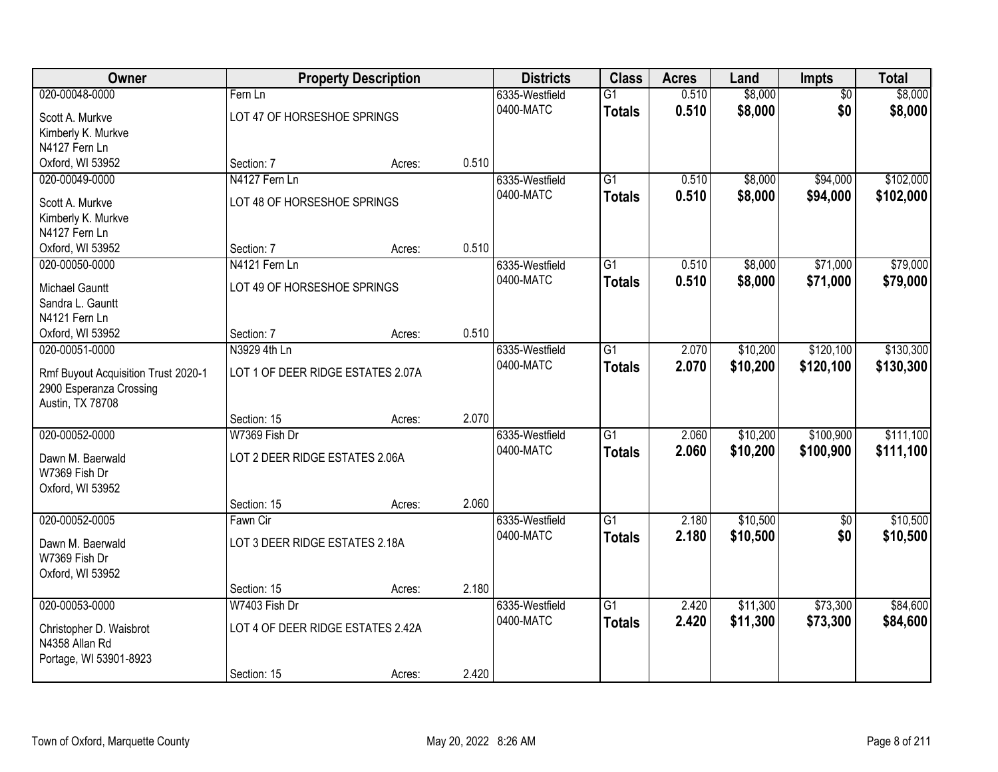| <b>Owner</b>                        |                                   | <b>Property Description</b> |       | <b>Districts</b> | <b>Class</b>    | <b>Acres</b> | Land     | Impts           | <b>Total</b> |
|-------------------------------------|-----------------------------------|-----------------------------|-------|------------------|-----------------|--------------|----------|-----------------|--------------|
| 020-00048-0000                      | Fern Ln                           |                             |       | 6335-Westfield   | $\overline{G1}$ | 0.510        | \$8,000  | $\overline{50}$ | \$8,000      |
| Scott A. Murkve                     | LOT 47 OF HORSESHOE SPRINGS       |                             |       | 0400-MATC        | <b>Totals</b>   | 0.510        | \$8,000  | \$0             | \$8,000      |
| Kimberly K. Murkve                  |                                   |                             |       |                  |                 |              |          |                 |              |
| N4127 Fern Ln                       |                                   |                             |       |                  |                 |              |          |                 |              |
| Oxford, WI 53952                    | Section: 7                        | Acres:                      | 0.510 |                  |                 |              |          |                 |              |
| 020-00049-0000                      | N4127 Fern Ln                     |                             |       | 6335-Westfield   | $\overline{G1}$ | 0.510        | \$8,000  | \$94,000        | \$102,000    |
| Scott A. Murkve                     | LOT 48 OF HORSESHOE SPRINGS       |                             |       | 0400-MATC        | <b>Totals</b>   | 0.510        | \$8,000  | \$94,000        | \$102,000    |
| Kimberly K. Murkve                  |                                   |                             |       |                  |                 |              |          |                 |              |
| N4127 Fern Ln                       |                                   |                             |       |                  |                 |              |          |                 |              |
| Oxford, WI 53952                    | Section: 7                        | Acres:                      | 0.510 |                  |                 |              |          |                 |              |
| 020-00050-0000                      | N4121 Fern Ln                     |                             |       | 6335-Westfield   | $\overline{G1}$ | 0.510        | \$8,000  | \$71,000        | \$79,000     |
|                                     |                                   |                             |       | 0400-MATC        | <b>Totals</b>   | 0.510        | \$8,000  | \$71,000        | \$79,000     |
| <b>Michael Gauntt</b>               | LOT 49 OF HORSESHOE SPRINGS       |                             |       |                  |                 |              |          |                 |              |
| Sandra L. Gauntt                    |                                   |                             |       |                  |                 |              |          |                 |              |
| N4121 Fern Ln                       |                                   |                             |       |                  |                 |              |          |                 |              |
| Oxford, WI 53952                    | Section: 7                        | Acres:                      | 0.510 |                  |                 |              |          |                 |              |
| 020-00051-0000                      | N3929 4th Ln                      |                             |       | 6335-Westfield   | $\overline{G1}$ | 2.070        | \$10,200 | \$120,100       | \$130,300    |
| Rmf Buyout Acquisition Trust 2020-1 | LOT 1 OF DEER RIDGE ESTATES 2.07A |                             |       | 0400-MATC        | <b>Totals</b>   | 2.070        | \$10,200 | \$120,100       | \$130,300    |
| 2900 Esperanza Crossing             |                                   |                             |       |                  |                 |              |          |                 |              |
| Austin, TX 78708                    |                                   |                             |       |                  |                 |              |          |                 |              |
|                                     | Section: 15                       | Acres:                      | 2.070 |                  |                 |              |          |                 |              |
| 020-00052-0000                      | W7369 Fish Dr                     |                             |       | 6335-Westfield   | $\overline{G1}$ | 2.060        | \$10,200 | \$100,900       | \$111,100    |
|                                     |                                   |                             |       | 0400-MATC        | <b>Totals</b>   | 2.060        | \$10,200 | \$100,900       | \$111,100    |
| Dawn M. Baerwald<br>W7369 Fish Dr   | LOT 2 DEER RIDGE ESTATES 2.06A    |                             |       |                  |                 |              |          |                 |              |
|                                     |                                   |                             |       |                  |                 |              |          |                 |              |
| Oxford, WI 53952                    | Section: 15                       | Acres:                      | 2.060 |                  |                 |              |          |                 |              |
| 020-00052-0005                      | Fawn Cir                          |                             |       | 6335-Westfield   | $\overline{G1}$ | 2.180        | \$10,500 | $\sqrt{6}$      | \$10,500     |
|                                     |                                   |                             |       | 0400-MATC        |                 | 2.180        |          | \$0             |              |
| Dawn M. Baerwald                    | LOT 3 DEER RIDGE ESTATES 2.18A    |                             |       |                  | <b>Totals</b>   |              | \$10,500 |                 | \$10,500     |
| W7369 Fish Dr                       |                                   |                             |       |                  |                 |              |          |                 |              |
| Oxford, WI 53952                    |                                   |                             |       |                  |                 |              |          |                 |              |
|                                     | Section: 15                       | Acres:                      | 2.180 |                  |                 |              |          |                 |              |
| 020-00053-0000                      | W7403 Fish Dr                     |                             |       | 6335-Westfield   | $\overline{G1}$ | 2.420        | \$11,300 | \$73,300        | \$84,600     |
| Christopher D. Waisbrot             | LOT 4 OF DEER RIDGE ESTATES 2.42A |                             |       | 0400-MATC        | <b>Totals</b>   | 2.420        | \$11,300 | \$73,300        | \$84,600     |
| N4358 Allan Rd                      |                                   |                             |       |                  |                 |              |          |                 |              |
| Portage, WI 53901-8923              |                                   |                             |       |                  |                 |              |          |                 |              |
|                                     | Section: 15                       | Acres:                      | 2.420 |                  |                 |              |          |                 |              |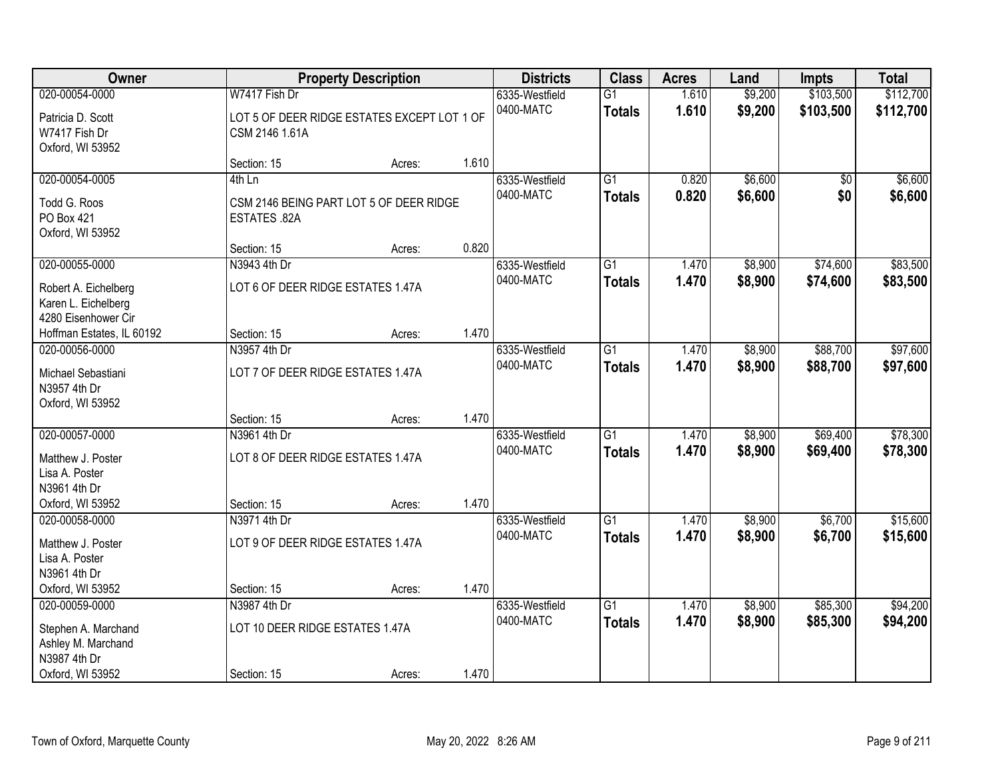| Owner                                                              |                                                               | <b>Property Description</b> |       | <b>Districts</b>            | <b>Class</b>                     | <b>Acres</b>   | Land               | <b>Impts</b> | <b>Total</b>       |
|--------------------------------------------------------------------|---------------------------------------------------------------|-----------------------------|-------|-----------------------------|----------------------------------|----------------|--------------------|--------------|--------------------|
| 020-00054-0000                                                     | W7417 Fish Dr                                                 |                             |       | 6335-Westfield              | $\overline{G1}$                  | 1.610          | \$9,200            | \$103,500    | \$112,700          |
| Patricia D. Scott<br>W7417 Fish Dr<br>Oxford, WI 53952             | LOT 5 OF DEER RIDGE ESTATES EXCEPT LOT 1 OF<br>CSM 2146 1.61A |                             |       | 0400-MATC                   | <b>Totals</b>                    | 1.610          | \$9,200            | \$103,500    | \$112,700          |
|                                                                    | Section: 15                                                   | Acres:                      | 1.610 |                             |                                  |                |                    |              |                    |
| 020-00054-0005<br>Todd G. Roos                                     | $4th$ Ln<br>CSM 2146 BEING PART LOT 5 OF DEER RIDGE           |                             |       | 6335-Westfield<br>0400-MATC | $\overline{G1}$<br><b>Totals</b> | 0.820<br>0.820 | \$6,600<br>\$6,600 | \$0<br>\$0   | \$6,600<br>\$6,600 |
| PO Box 421<br>Oxford, WI 53952                                     | ESTATES .82A                                                  |                             |       |                             |                                  |                |                    |              |                    |
|                                                                    | Section: 15                                                   | Acres:                      | 0.820 |                             |                                  |                |                    |              |                    |
| 020-00055-0000                                                     | N3943 4th Dr                                                  |                             |       | 6335-Westfield              | G1                               | 1.470          | \$8,900            | \$74,600     | \$83,500           |
| Robert A. Eichelberg<br>Karen L. Eichelberg<br>4280 Eisenhower Cir | LOT 6 OF DEER RIDGE ESTATES 1.47A                             |                             |       | 0400-MATC                   | <b>Totals</b>                    | 1.470          | \$8,900            | \$74,600     | \$83,500           |
| Hoffman Estates, IL 60192                                          | Section: 15                                                   | Acres:                      | 1.470 |                             |                                  |                |                    |              |                    |
| 020-00056-0000                                                     | N3957 4th Dr                                                  |                             |       | 6335-Westfield              | $\overline{G1}$                  | 1.470          | \$8,900            | \$88,700     | \$97,600           |
| Michael Sebastiani<br>N3957 4th Dr<br>Oxford, WI 53952             | LOT 7 OF DEER RIDGE ESTATES 1.47A                             |                             |       | 0400-MATC                   | <b>Totals</b>                    | 1.470          | \$8,900            | \$88,700     | \$97,600           |
|                                                                    | Section: 15                                                   | Acres:                      | 1.470 |                             |                                  |                |                    |              |                    |
| 020-00057-0000                                                     | N3961 4th Dr                                                  |                             |       | 6335-Westfield              | $\overline{G1}$                  | 1.470          | \$8,900            | \$69,400     | \$78,300           |
| Matthew J. Poster<br>Lisa A. Poster                                | LOT 8 OF DEER RIDGE ESTATES 1.47A                             |                             |       | 0400-MATC                   | <b>Totals</b>                    | 1.470          | \$8,900            | \$69,400     | \$78,300           |
| N3961 4th Dr                                                       |                                                               |                             |       |                             |                                  |                |                    |              |                    |
| Oxford, WI 53952                                                   | Section: 15                                                   | Acres:                      | 1.470 |                             |                                  |                |                    |              |                    |
| 020-00058-0000                                                     | N3971 4th Dr                                                  |                             |       | 6335-Westfield              | $\overline{G1}$                  | 1.470          | \$8,900            | \$6,700      | \$15,600           |
| Matthew J. Poster<br>Lisa A. Poster<br>N3961 4th Dr                | LOT 9 OF DEER RIDGE ESTATES 1.47A                             |                             |       | 0400-MATC                   | <b>Totals</b>                    | 1.470          | \$8,900            | \$6,700      | \$15,600           |
| Oxford, WI 53952                                                   | Section: 15                                                   | Acres:                      | 1.470 |                             |                                  |                |                    |              |                    |
| 020-00059-0000                                                     | N3987 4th Dr                                                  |                             |       | 6335-Westfield              | $\overline{G1}$                  | 1.470          | \$8,900            | \$85,300     | \$94,200           |
| Stephen A. Marchand<br>Ashley M. Marchand<br>N3987 4th Dr          | LOT 10 DEER RIDGE ESTATES 1.47A                               |                             |       | 0400-MATC                   | <b>Totals</b>                    | 1.470          | \$8,900            | \$85,300     | \$94,200           |
| Oxford, WI 53952                                                   | Section: 15                                                   | Acres:                      | 1.470 |                             |                                  |                |                    |              |                    |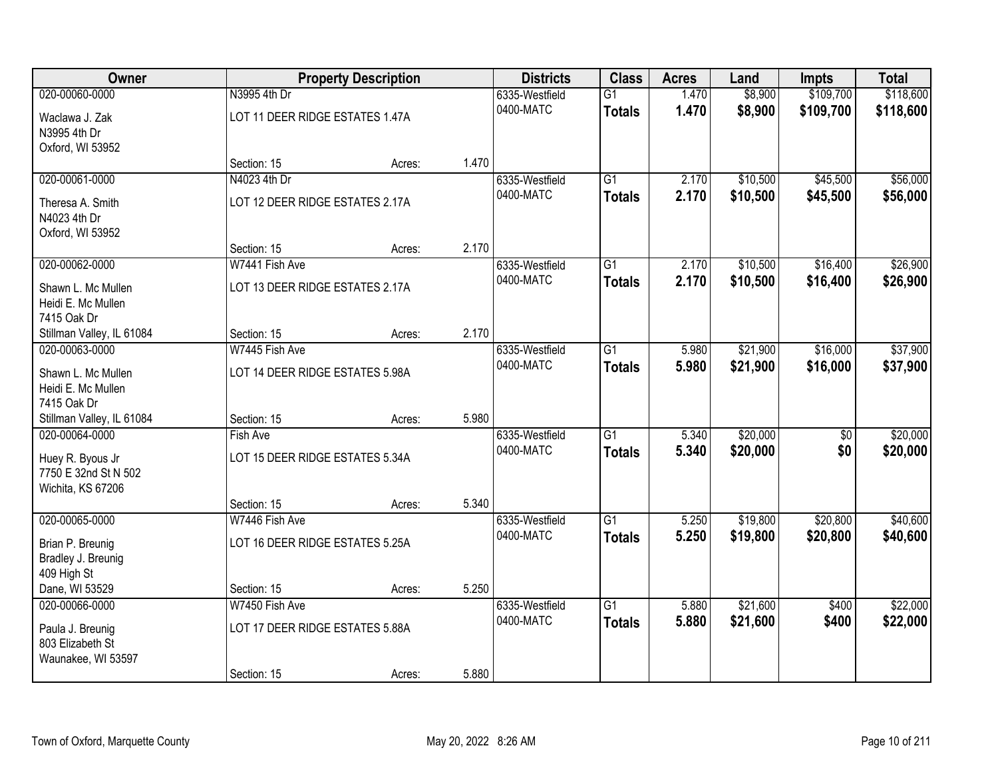| Owner                     |                                 | <b>Property Description</b> |       | <b>Districts</b> | <b>Class</b>    | <b>Acres</b> | Land     | <b>Impts</b>    | <b>Total</b> |
|---------------------------|---------------------------------|-----------------------------|-------|------------------|-----------------|--------------|----------|-----------------|--------------|
| 020-00060-0000            | N3995 4th Dr                    |                             |       | 6335-Westfield   | $\overline{G1}$ | 1.470        | \$8,900  | \$109,700       | \$118,600    |
| Waclawa J. Zak            | LOT 11 DEER RIDGE ESTATES 1.47A |                             |       | 0400-MATC        | <b>Totals</b>   | 1.470        | \$8,900  | \$109,700       | \$118,600    |
| N3995 4th Dr              |                                 |                             |       |                  |                 |              |          |                 |              |
| Oxford, WI 53952          |                                 |                             |       |                  |                 |              |          |                 |              |
|                           | Section: 15                     | Acres:                      | 1.470 |                  |                 |              |          |                 |              |
| 020-00061-0000            | N4023 4th Dr                    |                             |       | 6335-Westfield   | $\overline{G1}$ | 2.170        | \$10,500 | \$45,500        | \$56,000     |
| Theresa A. Smith          | LOT 12 DEER RIDGE ESTATES 2.17A |                             |       | 0400-MATC        | <b>Totals</b>   | 2.170        | \$10,500 | \$45,500        | \$56,000     |
| N4023 4th Dr              |                                 |                             |       |                  |                 |              |          |                 |              |
| Oxford, WI 53952          |                                 |                             |       |                  |                 |              |          |                 |              |
|                           | Section: 15                     | Acres:                      | 2.170 |                  |                 |              |          |                 |              |
| 020-00062-0000            | W7441 Fish Ave                  |                             |       | 6335-Westfield   | G1              | 2.170        | \$10,500 | \$16,400        | \$26,900     |
| Shawn L. Mc Mullen        | LOT 13 DEER RIDGE ESTATES 2.17A |                             |       | 0400-MATC        | <b>Totals</b>   | 2.170        | \$10,500 | \$16,400        | \$26,900     |
| Heidi E. Mc Mullen        |                                 |                             |       |                  |                 |              |          |                 |              |
| 7415 Oak Dr               |                                 |                             |       |                  |                 |              |          |                 |              |
| Stillman Valley, IL 61084 | Section: 15                     | Acres:                      | 2.170 |                  |                 |              |          |                 |              |
| 020-00063-0000            | W7445 Fish Ave                  |                             |       | 6335-Westfield   | G1              | 5.980        | \$21,900 | \$16,000        | \$37,900     |
| Shawn L. Mc Mullen        | LOT 14 DEER RIDGE ESTATES 5.98A |                             |       | 0400-MATC        | <b>Totals</b>   | 5.980        | \$21,900 | \$16,000        | \$37,900     |
| Heidi E. Mc Mullen        |                                 |                             |       |                  |                 |              |          |                 |              |
| 7415 Oak Dr               |                                 |                             |       |                  |                 |              |          |                 |              |
| Stillman Valley, IL 61084 | Section: 15                     | Acres:                      | 5.980 |                  |                 |              |          |                 |              |
| 020-00064-0000            | Fish Ave                        |                             |       | 6335-Westfield   | $\overline{G1}$ | 5.340        | \$20,000 | $\overline{50}$ | \$20,000     |
| Huey R. Byous Jr          | LOT 15 DEER RIDGE ESTATES 5.34A |                             |       | 0400-MATC        | <b>Totals</b>   | 5.340        | \$20,000 | \$0             | \$20,000     |
| 7750 E 32nd St N 502      |                                 |                             |       |                  |                 |              |          |                 |              |
| Wichita, KS 67206         |                                 |                             |       |                  |                 |              |          |                 |              |
|                           | Section: 15                     | Acres:                      | 5.340 |                  |                 |              |          |                 |              |
| 020-00065-0000            | W7446 Fish Ave                  |                             |       | 6335-Westfield   | $\overline{G1}$ | 5.250        | \$19,800 | \$20,800        | \$40,600     |
| Brian P. Breunig          | LOT 16 DEER RIDGE ESTATES 5.25A |                             |       | 0400-MATC        | <b>Totals</b>   | 5.250        | \$19,800 | \$20,800        | \$40,600     |
| Bradley J. Breunig        |                                 |                             |       |                  |                 |              |          |                 |              |
| 409 High St               |                                 |                             |       |                  |                 |              |          |                 |              |
| Dane, WI 53529            | Section: 15                     | Acres:                      | 5.250 |                  |                 |              |          |                 |              |
| 020-00066-0000            | W7450 Fish Ave                  |                             |       | 6335-Westfield   | $\overline{G1}$ | 5.880        | \$21,600 | \$400           | \$22,000     |
| Paula J. Breunig          | LOT 17 DEER RIDGE ESTATES 5.88A |                             |       | 0400-MATC        | <b>Totals</b>   | 5.880        | \$21,600 | \$400           | \$22,000     |
| 803 Elizabeth St          |                                 |                             |       |                  |                 |              |          |                 |              |
| Waunakee, WI 53597        |                                 |                             |       |                  |                 |              |          |                 |              |
|                           | Section: 15                     | Acres:                      | 5.880 |                  |                 |              |          |                 |              |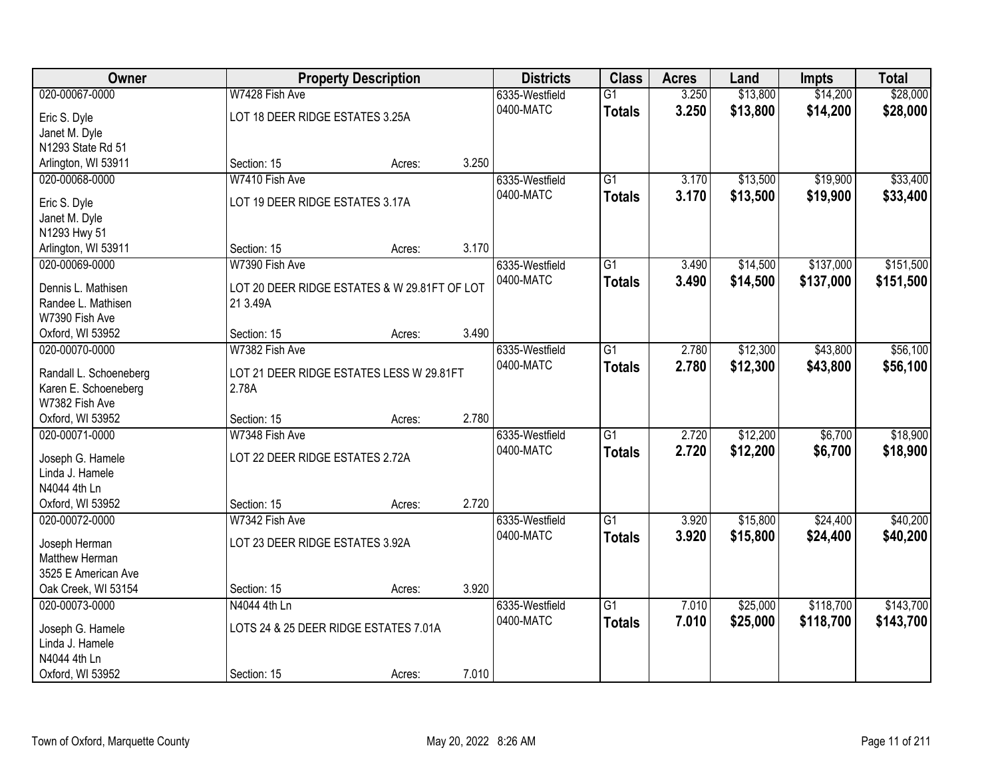| Owner                            |                                              | <b>Property Description</b> |       | <b>Districts</b> | <b>Class</b>    | <b>Acres</b> | Land     | <b>Impts</b> | <b>Total</b> |
|----------------------------------|----------------------------------------------|-----------------------------|-------|------------------|-----------------|--------------|----------|--------------|--------------|
| 020-00067-0000                   | W7428 Fish Ave                               |                             |       | 6335-Westfield   | $\overline{G1}$ | 3.250        | \$13,800 | \$14,200     | \$28,000     |
| Eric S. Dyle                     | LOT 18 DEER RIDGE ESTATES 3.25A              |                             |       | 0400-MATC        | <b>Totals</b>   | 3.250        | \$13,800 | \$14,200     | \$28,000     |
| Janet M. Dyle                    |                                              |                             |       |                  |                 |              |          |              |              |
| N1293 State Rd 51                |                                              |                             |       |                  |                 |              |          |              |              |
| Arlington, WI 53911              | Section: 15                                  | Acres:                      | 3.250 |                  |                 |              |          |              |              |
| 020-00068-0000                   | W7410 Fish Ave                               |                             |       | 6335-Westfield   | $\overline{G1}$ | 3.170        | \$13,500 | \$19,900     | \$33,400     |
|                                  | LOT 19 DEER RIDGE ESTATES 3.17A              |                             |       | 0400-MATC        | <b>Totals</b>   | 3.170        | \$13,500 | \$19,900     | \$33,400     |
| Eric S. Dyle                     |                                              |                             |       |                  |                 |              |          |              |              |
| Janet M. Dyle<br>N1293 Hwy 51    |                                              |                             |       |                  |                 |              |          |              |              |
| Arlington, WI 53911              | Section: 15                                  | Acres:                      | 3.170 |                  |                 |              |          |              |              |
| 020-00069-0000                   | W7390 Fish Ave                               |                             |       | 6335-Westfield   | G1              | 3.490        | \$14,500 | \$137,000    | \$151,500    |
|                                  |                                              |                             |       | 0400-MATC        | <b>Totals</b>   | 3.490        | \$14,500 | \$137,000    | \$151,500    |
| Dennis L. Mathisen               | LOT 20 DEER RIDGE ESTATES & W 29.81FT OF LOT |                             |       |                  |                 |              |          |              |              |
| Randee L. Mathisen               | 21 3.49A                                     |                             |       |                  |                 |              |          |              |              |
| W7390 Fish Ave                   |                                              |                             |       |                  |                 |              |          |              |              |
| Oxford, WI 53952                 | Section: 15                                  | Acres:                      | 3.490 |                  |                 |              |          |              |              |
| 020-00070-0000                   | W7382 Fish Ave                               |                             |       | 6335-Westfield   | G1              | 2.780        | \$12,300 | \$43,800     | \$56,100     |
| Randall L. Schoeneberg           | LOT 21 DEER RIDGE ESTATES LESS W 29.81FT     |                             |       | 0400-MATC        | <b>Totals</b>   | 2.780        | \$12,300 | \$43,800     | \$56,100     |
| Karen E. Schoeneberg             | 2.78A                                        |                             |       |                  |                 |              |          |              |              |
| W7382 Fish Ave                   |                                              |                             |       |                  |                 |              |          |              |              |
| Oxford, WI 53952                 | Section: 15                                  | Acres:                      | 2.780 |                  |                 |              |          |              |              |
| 020-00071-0000                   | W7348 Fish Ave                               |                             |       | 6335-Westfield   | $\overline{G1}$ | 2.720        | \$12,200 | \$6,700      | \$18,900     |
|                                  |                                              |                             |       | 0400-MATC        | <b>Totals</b>   | 2.720        | \$12,200 | \$6,700      | \$18,900     |
| Joseph G. Hamele                 | LOT 22 DEER RIDGE ESTATES 2.72A              |                             |       |                  |                 |              |          |              |              |
| Linda J. Hamele                  |                                              |                             |       |                  |                 |              |          |              |              |
| N4044 4th Ln<br>Oxford, WI 53952 | Section: 15                                  |                             | 2.720 |                  |                 |              |          |              |              |
| 020-00072-0000                   | W7342 Fish Ave                               | Acres:                      |       | 6335-Westfield   | $\overline{G1}$ | 3.920        | \$15,800 | \$24,400     | \$40,200     |
|                                  |                                              |                             |       | 0400-MATC        |                 |              |          |              |              |
| Joseph Herman                    | LOT 23 DEER RIDGE ESTATES 3.92A              |                             |       |                  | <b>Totals</b>   | 3.920        | \$15,800 | \$24,400     | \$40,200     |
| Matthew Herman                   |                                              |                             |       |                  |                 |              |          |              |              |
| 3525 E American Ave              |                                              |                             |       |                  |                 |              |          |              |              |
| Oak Creek, WI 53154              | Section: 15                                  | Acres:                      | 3.920 |                  |                 |              |          |              |              |
| 020-00073-0000                   | N4044 4th Ln                                 |                             |       | 6335-Westfield   | $\overline{G1}$ | 7.010        | \$25,000 | \$118,700    | \$143,700    |
| Joseph G. Hamele                 | LOTS 24 & 25 DEER RIDGE ESTATES 7.01A        |                             |       | 0400-MATC        | <b>Totals</b>   | 7.010        | \$25,000 | \$118,700    | \$143,700    |
| Linda J. Hamele                  |                                              |                             |       |                  |                 |              |          |              |              |
| N4044 4th Ln                     |                                              |                             |       |                  |                 |              |          |              |              |
| Oxford, WI 53952                 | Section: 15                                  | Acres:                      | 7.010 |                  |                 |              |          |              |              |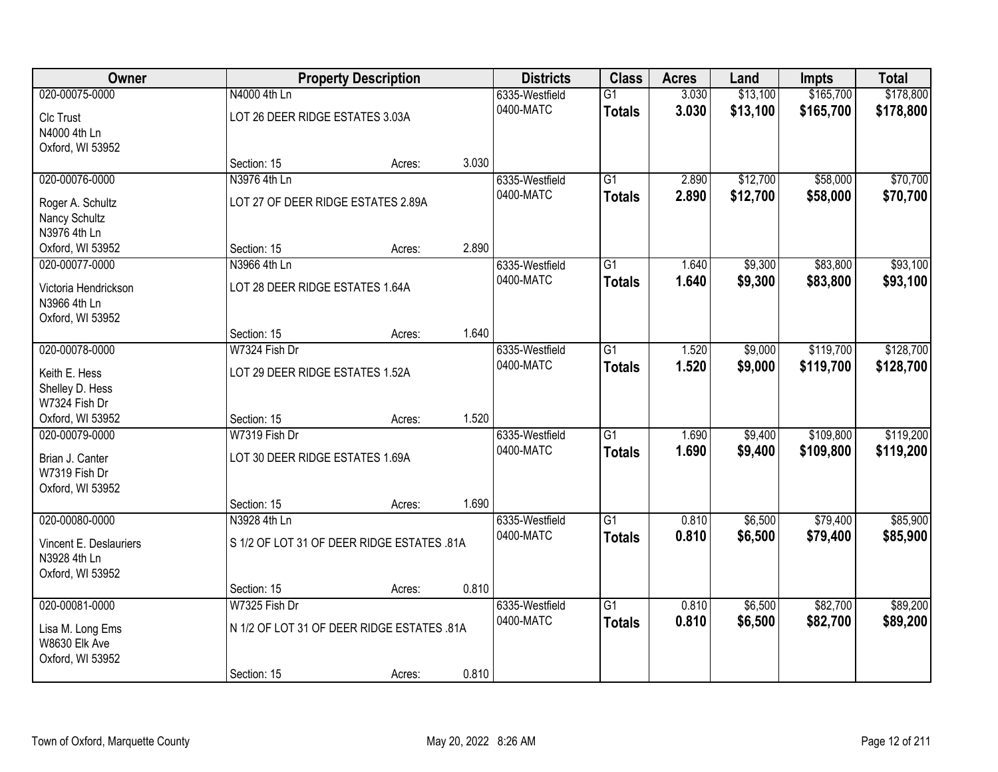| Owner                                  |                                            | <b>Property Description</b> |       | <b>Districts</b> | <b>Class</b>    | <b>Acres</b> | Land     | <b>Impts</b> | <b>Total</b> |
|----------------------------------------|--------------------------------------------|-----------------------------|-------|------------------|-----------------|--------------|----------|--------------|--------------|
| 020-00075-0000                         | N4000 4th Ln                               |                             |       | 6335-Westfield   | $\overline{G1}$ | 3.030        | \$13,100 | \$165,700    | \$178,800    |
| Clc Trust                              | LOT 26 DEER RIDGE ESTATES 3.03A            |                             |       | 0400-MATC        | <b>Totals</b>   | 3.030        | \$13,100 | \$165,700    | \$178,800    |
| N4000 4th Ln                           |                                            |                             |       |                  |                 |              |          |              |              |
| Oxford, WI 53952                       |                                            |                             |       |                  |                 |              |          |              |              |
|                                        | Section: 15                                | Acres:                      | 3.030 |                  |                 |              |          |              |              |
| 020-00076-0000                         | N3976 4th Ln                               |                             |       | 6335-Westfield   | $\overline{G1}$ | 2.890        | \$12,700 | \$58,000     | \$70,700     |
| Roger A. Schultz                       | LOT 27 OF DEER RIDGE ESTATES 2.89A         |                             |       | 0400-MATC        | <b>Totals</b>   | 2.890        | \$12,700 | \$58,000     | \$70,700     |
| Nancy Schultz                          |                                            |                             |       |                  |                 |              |          |              |              |
| N3976 4th Ln                           |                                            |                             |       |                  |                 |              |          |              |              |
| Oxford, WI 53952                       | Section: 15                                | Acres:                      | 2.890 |                  |                 |              |          |              |              |
| 020-00077-0000                         | N3966 4th Ln                               |                             |       | 6335-Westfield   | G1              | 1.640        | \$9,300  | \$83,800     | \$93,100     |
| Victoria Hendrickson                   | LOT 28 DEER RIDGE ESTATES 1.64A            |                             |       | 0400-MATC        | <b>Totals</b>   | 1.640        | \$9,300  | \$83,800     | \$93,100     |
| N3966 4th Ln                           |                                            |                             |       |                  |                 |              |          |              |              |
| Oxford, WI 53952                       |                                            |                             |       |                  |                 |              |          |              |              |
|                                        | Section: 15                                | Acres:                      | 1.640 |                  |                 |              |          |              |              |
| 020-00078-0000                         | W7324 Fish Dr                              |                             |       | 6335-Westfield   | G1              | 1.520        | \$9,000  | \$119,700    | \$128,700    |
| Keith E. Hess                          | LOT 29 DEER RIDGE ESTATES 1.52A            |                             |       | 0400-MATC        | <b>Totals</b>   | 1.520        | \$9,000  | \$119,700    | \$128,700    |
| Shelley D. Hess                        |                                            |                             |       |                  |                 |              |          |              |              |
| W7324 Fish Dr                          |                                            |                             |       |                  |                 |              |          |              |              |
| Oxford, WI 53952                       | Section: 15                                | Acres:                      | 1.520 |                  |                 |              |          |              |              |
| 020-00079-0000                         | W7319 Fish Dr                              |                             |       | 6335-Westfield   | $\overline{G1}$ | 1.690        | \$9,400  | \$109,800    | \$119,200    |
|                                        | LOT 30 DEER RIDGE ESTATES 1.69A            |                             |       | 0400-MATC        | <b>Totals</b>   | 1.690        | \$9,400  | \$109,800    | \$119,200    |
| Brian J. Canter<br>W7319 Fish Dr       |                                            |                             |       |                  |                 |              |          |              |              |
| Oxford, WI 53952                       |                                            |                             |       |                  |                 |              |          |              |              |
|                                        | Section: 15                                | Acres:                      | 1.690 |                  |                 |              |          |              |              |
| 020-00080-0000                         | N3928 4th Ln                               |                             |       | 6335-Westfield   | $\overline{G1}$ | 0.810        | \$6,500  | \$79,400     | \$85,900     |
|                                        |                                            |                             |       | 0400-MATC        | <b>Totals</b>   | 0.810        | \$6,500  | \$79,400     | \$85,900     |
| Vincent E. Deslauriers<br>N3928 4th Ln | S 1/2 OF LOT 31 OF DEER RIDGE ESTATES .81A |                             |       |                  |                 |              |          |              |              |
| Oxford, WI 53952                       |                                            |                             |       |                  |                 |              |          |              |              |
|                                        | Section: 15                                | Acres:                      | 0.810 |                  |                 |              |          |              |              |
| 020-00081-0000                         | W7325 Fish Dr                              |                             |       | 6335-Westfield   | $\overline{G1}$ | 0.810        | \$6,500  | \$82,700     | \$89,200     |
|                                        |                                            |                             |       | 0400-MATC        | <b>Totals</b>   | 0.810        | \$6,500  | \$82,700     | \$89,200     |
| Lisa M. Long Ems<br>W8630 Elk Ave      | N 1/2 OF LOT 31 OF DEER RIDGE ESTATES .81A |                             |       |                  |                 |              |          |              |              |
| Oxford, WI 53952                       |                                            |                             |       |                  |                 |              |          |              |              |
|                                        | Section: 15                                | Acres:                      | 0.810 |                  |                 |              |          |              |              |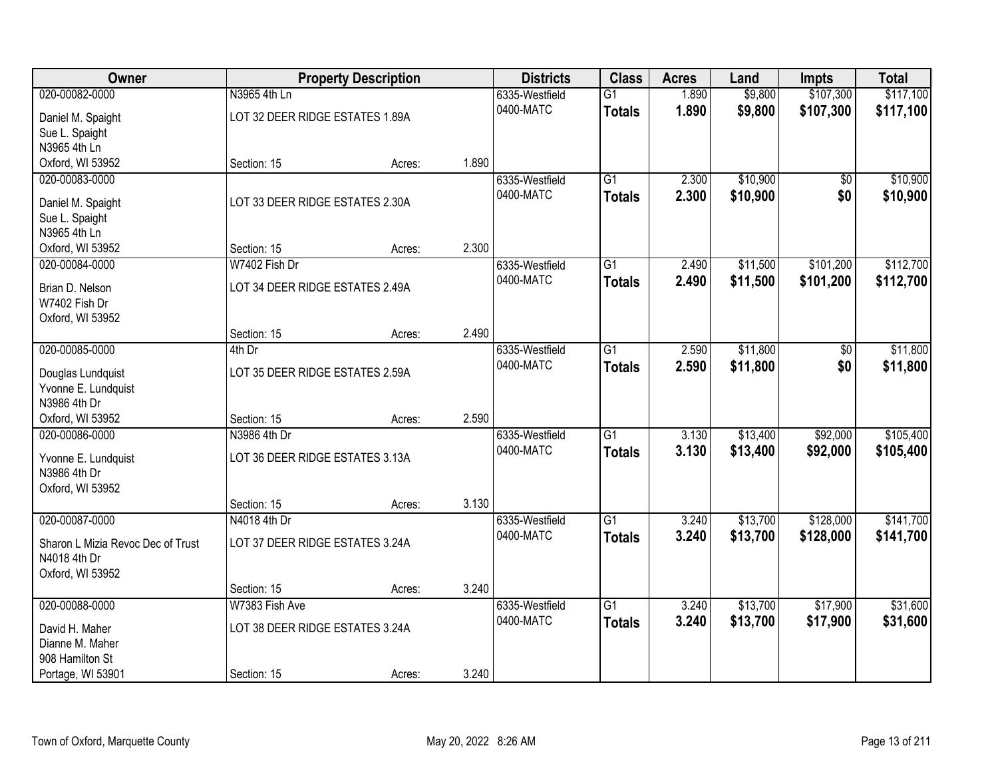| Owner                             |                                 | <b>Property Description</b> |       | <b>Districts</b> | <b>Class</b>    | <b>Acres</b> | Land     | <b>Impts</b> | <b>Total</b> |
|-----------------------------------|---------------------------------|-----------------------------|-------|------------------|-----------------|--------------|----------|--------------|--------------|
| 020-00082-0000                    | N3965 4th Ln                    |                             |       | 6335-Westfield   | $\overline{G1}$ | 1.890        | \$9,800  | \$107,300    | \$117,100    |
| Daniel M. Spaight                 | LOT 32 DEER RIDGE ESTATES 1.89A |                             |       | 0400-MATC        | <b>Totals</b>   | 1.890        | \$9,800  | \$107,300    | \$117,100    |
| Sue L. Spaight                    |                                 |                             |       |                  |                 |              |          |              |              |
| N3965 4th Ln                      |                                 |                             |       |                  |                 |              |          |              |              |
| Oxford, WI 53952                  | Section: 15                     | Acres:                      | 1.890 |                  |                 |              |          |              |              |
| 020-00083-0000                    |                                 |                             |       | 6335-Westfield   | $\overline{G1}$ | 2.300        | \$10,900 | \$0          | \$10,900     |
| Daniel M. Spaight                 | LOT 33 DEER RIDGE ESTATES 2.30A |                             |       | 0400-MATC        | <b>Totals</b>   | 2.300        | \$10,900 | \$0          | \$10,900     |
| Sue L. Spaight                    |                                 |                             |       |                  |                 |              |          |              |              |
| N3965 4th Ln                      |                                 |                             |       |                  |                 |              |          |              |              |
| Oxford, WI 53952                  | Section: 15                     | Acres:                      | 2.300 |                  |                 |              |          |              |              |
| 020-00084-0000                    | W7402 Fish Dr                   |                             |       | 6335-Westfield   | G1              | 2.490        | \$11,500 | \$101,200    | \$112,700    |
|                                   | LOT 34 DEER RIDGE ESTATES 2.49A |                             |       | 0400-MATC        | <b>Totals</b>   | 2.490        | \$11,500 | \$101,200    | \$112,700    |
| Brian D. Nelson<br>W7402 Fish Dr  |                                 |                             |       |                  |                 |              |          |              |              |
| Oxford, WI 53952                  |                                 |                             |       |                  |                 |              |          |              |              |
|                                   | Section: 15                     | Acres:                      | 2.490 |                  |                 |              |          |              |              |
| 020-00085-0000                    | 4th Dr                          |                             |       | 6335-Westfield   | G1              | 2.590        | \$11,800 | \$0          | \$11,800     |
|                                   |                                 |                             |       | 0400-MATC        | <b>Totals</b>   | 2.590        | \$11,800 | \$0          | \$11,800     |
| Douglas Lundquist                 | LOT 35 DEER RIDGE ESTATES 2.59A |                             |       |                  |                 |              |          |              |              |
| Yvonne E. Lundquist               |                                 |                             |       |                  |                 |              |          |              |              |
| N3986 4th Dr<br>Oxford, WI 53952  | Section: 15                     |                             | 2.590 |                  |                 |              |          |              |              |
| 020-00086-0000                    | N3986 4th Dr                    | Acres:                      |       | 6335-Westfield   | $\overline{G1}$ | 3.130        | \$13,400 | \$92,000     | \$105,400    |
|                                   |                                 |                             |       | 0400-MATC        | <b>Totals</b>   | 3.130        | \$13,400 | \$92,000     | \$105,400    |
| Yvonne E. Lundquist               | LOT 36 DEER RIDGE ESTATES 3.13A |                             |       |                  |                 |              |          |              |              |
| N3986 4th Dr                      |                                 |                             |       |                  |                 |              |          |              |              |
| Oxford, WI 53952                  |                                 |                             |       |                  |                 |              |          |              |              |
|                                   | Section: 15                     | Acres:                      | 3.130 |                  |                 |              |          |              |              |
| 020-00087-0000                    | N4018 4th Dr                    |                             |       | 6335-Westfield   | $\overline{G1}$ | 3.240        | \$13,700 | \$128,000    | \$141,700    |
| Sharon L Mizia Revoc Dec of Trust | LOT 37 DEER RIDGE ESTATES 3.24A |                             |       | 0400-MATC        | <b>Totals</b>   | 3.240        | \$13,700 | \$128,000    | \$141,700    |
| N4018 4th Dr                      |                                 |                             |       |                  |                 |              |          |              |              |
| Oxford, WI 53952                  |                                 |                             |       |                  |                 |              |          |              |              |
|                                   | Section: 15                     | Acres:                      | 3.240 |                  |                 |              |          |              |              |
| 020-00088-0000                    | W7383 Fish Ave                  |                             |       | 6335-Westfield   | $\overline{G1}$ | 3.240        | \$13,700 | \$17,900     | \$31,600     |
| David H. Maher                    | LOT 38 DEER RIDGE ESTATES 3.24A |                             |       | 0400-MATC        | <b>Totals</b>   | 3.240        | \$13,700 | \$17,900     | \$31,600     |
| Dianne M. Maher                   |                                 |                             |       |                  |                 |              |          |              |              |
| 908 Hamilton St                   |                                 |                             |       |                  |                 |              |          |              |              |
| Portage, WI 53901                 | Section: 15                     | Acres:                      | 3.240 |                  |                 |              |          |              |              |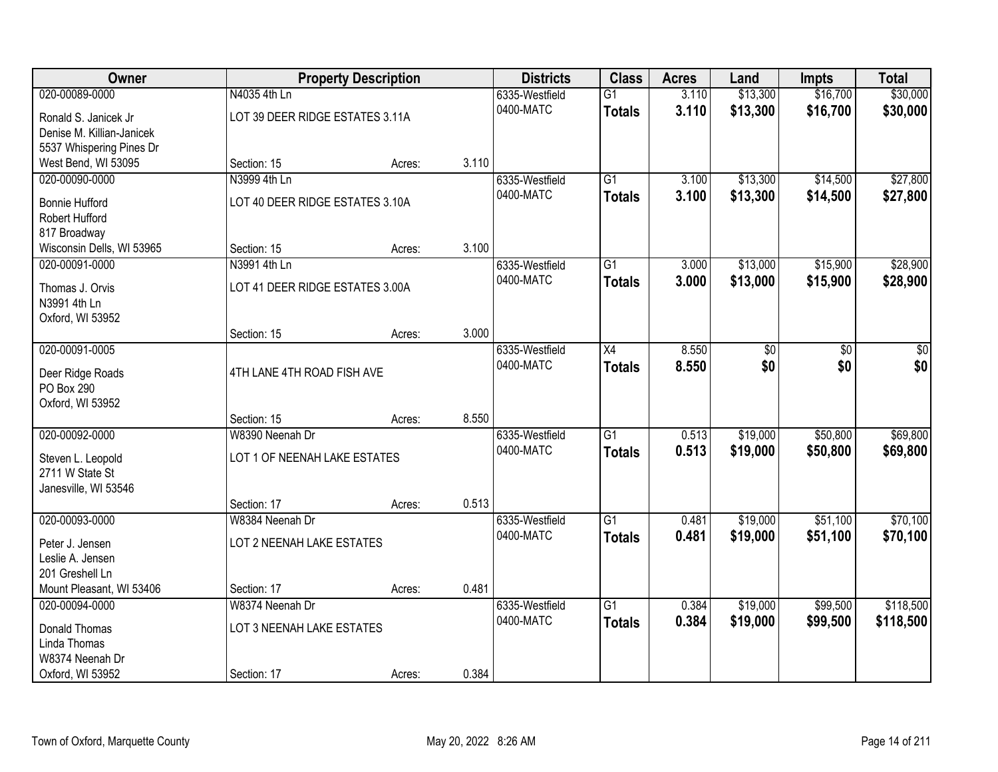| Owner                               |                                 | <b>Property Description</b> |       | <b>Districts</b>            | <b>Class</b>    | <b>Acres</b> | Land     | <b>Impts</b> | <b>Total</b> |
|-------------------------------------|---------------------------------|-----------------------------|-------|-----------------------------|-----------------|--------------|----------|--------------|--------------|
| 020-00089-0000                      | N4035 4th Ln                    |                             |       | 6335-Westfield              | $\overline{G1}$ | 3.110        | \$13,300 | \$16,700     | \$30,000     |
| Ronald S. Janicek Jr                | LOT 39 DEER RIDGE ESTATES 3.11A |                             |       | 0400-MATC                   | <b>Totals</b>   | 3.110        | \$13,300 | \$16,700     | \$30,000     |
| Denise M. Killian-Janicek           |                                 |                             |       |                             |                 |              |          |              |              |
| 5537 Whispering Pines Dr            |                                 |                             |       |                             |                 |              |          |              |              |
| West Bend, WI 53095                 | Section: 15                     | Acres:                      | 3.110 |                             |                 |              |          |              |              |
| 020-00090-0000                      | N3999 4th Ln                    |                             |       | 6335-Westfield              | $\overline{G1}$ | 3.100        | \$13,300 | \$14,500     | \$27,800     |
| <b>Bonnie Hufford</b>               | LOT 40 DEER RIDGE ESTATES 3.10A |                             |       | 0400-MATC                   | <b>Totals</b>   | 3.100        | \$13,300 | \$14,500     | \$27,800     |
| Robert Hufford                      |                                 |                             |       |                             |                 |              |          |              |              |
| 817 Broadway                        |                                 |                             |       |                             |                 |              |          |              |              |
| Wisconsin Dells, WI 53965           | Section: 15                     | Acres:                      | 3.100 |                             |                 |              |          |              |              |
| 020-00091-0000                      | N3991 4th Ln                    |                             |       | 6335-Westfield<br>0400-MATC | G1              | 3.000        | \$13,000 | \$15,900     | \$28,900     |
| Thomas J. Orvis                     | LOT 41 DEER RIDGE ESTATES 3.00A |                             |       |                             | <b>Totals</b>   | 3.000        | \$13,000 | \$15,900     | \$28,900     |
| N3991 4th Ln                        |                                 |                             |       |                             |                 |              |          |              |              |
| Oxford, WI 53952                    |                                 |                             |       |                             |                 |              |          |              |              |
| 020-00091-0005                      | Section: 15                     | Acres:                      | 3.000 | 6335-Westfield              | X4              | 8.550        | \$0      | \$0          | \$0          |
|                                     |                                 |                             |       | 0400-MATC                   | <b>Totals</b>   | 8.550        | \$0      | \$0          | \$0          |
| Deer Ridge Roads                    | 4TH LANE 4TH ROAD FISH AVE      |                             |       |                             |                 |              |          |              |              |
| PO Box 290                          |                                 |                             |       |                             |                 |              |          |              |              |
| Oxford, WI 53952                    | Section: 15                     |                             | 8.550 |                             |                 |              |          |              |              |
| 020-00092-0000                      | W8390 Neenah Dr                 | Acres:                      |       | 6335-Westfield              | $\overline{G1}$ | 0.513        | \$19,000 | \$50,800     | \$69,800     |
|                                     |                                 |                             |       | 0400-MATC                   | <b>Totals</b>   | 0.513        | \$19,000 | \$50,800     | \$69,800     |
| Steven L. Leopold                   | LOT 1 OF NEENAH LAKE ESTATES    |                             |       |                             |                 |              |          |              |              |
| 2711 W State St                     |                                 |                             |       |                             |                 |              |          |              |              |
| Janesville, WI 53546                | Section: 17                     | Acres:                      | 0.513 |                             |                 |              |          |              |              |
| 020-00093-0000                      | W8384 Neenah Dr                 |                             |       | 6335-Westfield              | $\overline{G1}$ | 0.481        | \$19,000 | \$51,100     | \$70,100     |
|                                     |                                 |                             |       | 0400-MATC                   | <b>Totals</b>   | 0.481        | \$19,000 | \$51,100     | \$70,100     |
| Peter J. Jensen                     | LOT 2 NEENAH LAKE ESTATES       |                             |       |                             |                 |              |          |              |              |
| Leslie A. Jensen<br>201 Greshell Ln |                                 |                             |       |                             |                 |              |          |              |              |
| Mount Pleasant, WI 53406            | Section: 17                     | Acres:                      | 0.481 |                             |                 |              |          |              |              |
| 020-00094-0000                      | W8374 Neenah Dr                 |                             |       | 6335-Westfield              | $\overline{G1}$ | 0.384        | \$19,000 | \$99,500     | \$118,500    |
|                                     |                                 |                             |       | 0400-MATC                   | <b>Totals</b>   | 0.384        | \$19,000 | \$99,500     | \$118,500    |
| Donald Thomas<br>Linda Thomas       | LOT 3 NEENAH LAKE ESTATES       |                             |       |                             |                 |              |          |              |              |
| W8374 Neenah Dr                     |                                 |                             |       |                             |                 |              |          |              |              |
| Oxford, WI 53952                    | Section: 17                     | Acres:                      | 0.384 |                             |                 |              |          |              |              |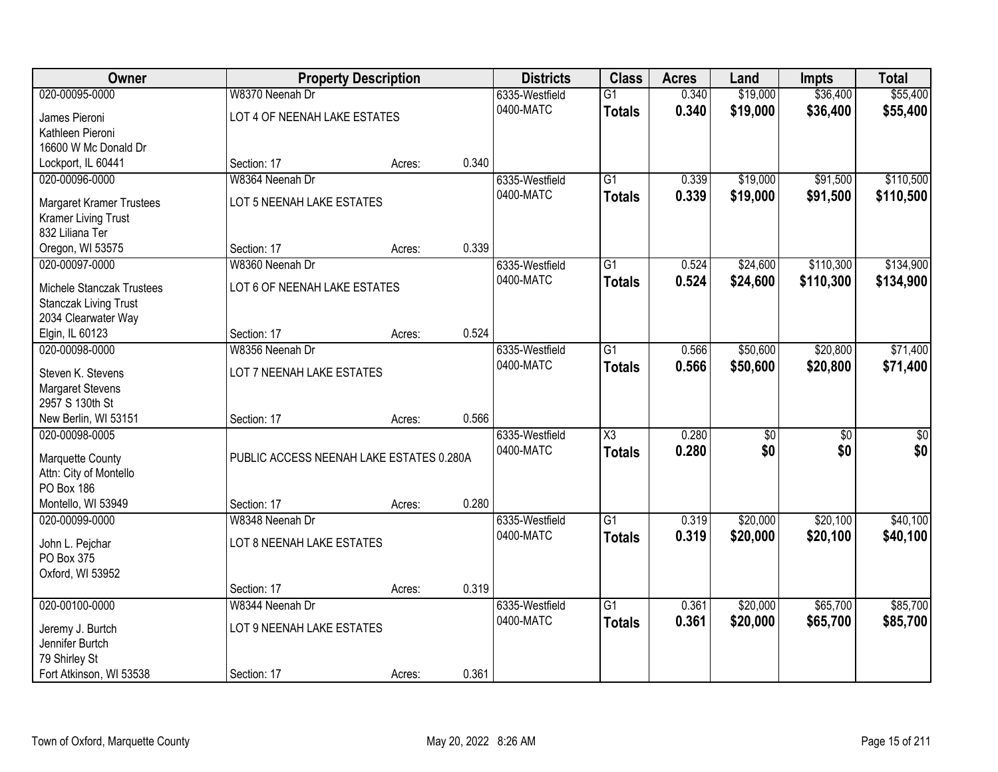| Owner                                                     |                                          | <b>Property Description</b> |       | <b>Districts</b>            | <b>Class</b>           | <b>Acres</b> | Land            | <b>Impts</b>    | <b>Total</b>    |
|-----------------------------------------------------------|------------------------------------------|-----------------------------|-------|-----------------------------|------------------------|--------------|-----------------|-----------------|-----------------|
| 020-00095-0000                                            | W8370 Neenah Dr                          |                             |       | 6335-Westfield              | $\overline{G1}$        | 0.340        | \$19,000        | \$36,400        | \$55,400        |
| James Pieroni                                             | LOT 4 OF NEENAH LAKE ESTATES             |                             |       | 0400-MATC                   | <b>Totals</b>          | 0.340        | \$19,000        | \$36,400        | \$55,400        |
| Kathleen Pieroni                                          |                                          |                             |       |                             |                        |              |                 |                 |                 |
| 16600 W Mc Donald Dr                                      |                                          |                             |       |                             |                        |              |                 |                 |                 |
| Lockport, IL 60441                                        | Section: 17                              | Acres:                      | 0.340 |                             |                        |              |                 |                 |                 |
| 020-00096-0000                                            | W8364 Neenah Dr                          |                             |       | 6335-Westfield              | $\overline{G1}$        | 0.339        | \$19,000        | \$91,500        | \$110,500       |
| <b>Margaret Kramer Trustees</b>                           | LOT 5 NEENAH LAKE ESTATES                |                             |       | 0400-MATC                   | <b>Totals</b>          | 0.339        | \$19,000        | \$91,500        | \$110,500       |
| <b>Kramer Living Trust</b>                                |                                          |                             |       |                             |                        |              |                 |                 |                 |
| 832 Liliana Ter                                           |                                          |                             |       |                             |                        |              |                 |                 |                 |
| Oregon, WI 53575                                          | Section: 17                              | Acres:                      | 0.339 |                             |                        |              |                 |                 |                 |
| 020-00097-0000                                            | W8360 Neenah Dr                          |                             |       | 6335-Westfield              | $\overline{G1}$        | 0.524        | \$24,600        | \$110,300       | \$134,900       |
|                                                           |                                          |                             |       | 0400-MATC                   | <b>Totals</b>          | 0.524        | \$24,600        | \$110,300       | \$134,900       |
| Michele Stanczak Trustees<br><b>Stanczak Living Trust</b> | LOT 6 OF NEENAH LAKE ESTATES             |                             |       |                             |                        |              |                 |                 |                 |
| 2034 Clearwater Way                                       |                                          |                             |       |                             |                        |              |                 |                 |                 |
| Elgin, IL 60123                                           | Section: 17                              | Acres:                      | 0.524 |                             |                        |              |                 |                 |                 |
| 020-00098-0000                                            | W8356 Neenah Dr                          |                             |       | 6335-Westfield              | $\overline{G1}$        | 0.566        | \$50,600        | \$20,800        | \$71,400        |
|                                                           |                                          |                             |       | 0400-MATC                   | <b>Totals</b>          | 0.566        | \$50,600        | \$20,800        | \$71,400        |
| Steven K. Stevens                                         | LOT 7 NEENAH LAKE ESTATES                |                             |       |                             |                        |              |                 |                 |                 |
| <b>Margaret Stevens</b><br>2957 S 130th St                |                                          |                             |       |                             |                        |              |                 |                 |                 |
| New Berlin, WI 53151                                      | Section: 17                              | Acres:                      | 0.566 |                             |                        |              |                 |                 |                 |
| 020-00098-0005                                            |                                          |                             |       | 6335-Westfield              | $\overline{\text{X3}}$ | 0.280        | $\overline{50}$ | $\overline{50}$ | $\overline{50}$ |
|                                                           |                                          |                             |       | 0400-MATC                   | <b>Totals</b>          | 0.280        | \$0             | \$0             | \$0             |
| Marquette County                                          | PUBLIC ACCESS NEENAH LAKE ESTATES 0.280A |                             |       |                             |                        |              |                 |                 |                 |
| Attn: City of Montello                                    |                                          |                             |       |                             |                        |              |                 |                 |                 |
| PO Box 186                                                |                                          |                             |       |                             |                        |              |                 |                 |                 |
| Montello, WI 53949                                        | Section: 17                              | Acres:                      | 0.280 |                             |                        |              |                 |                 |                 |
| 020-00099-0000                                            | W8348 Neenah Dr                          |                             |       | 6335-Westfield<br>0400-MATC | $\overline{G1}$        | 0.319        | \$20,000        | \$20,100        | \$40,100        |
| John L. Pejchar                                           | LOT 8 NEENAH LAKE ESTATES                |                             |       |                             | <b>Totals</b>          | 0.319        | \$20,000        | \$20,100        | \$40,100        |
| PO Box 375                                                |                                          |                             |       |                             |                        |              |                 |                 |                 |
| Oxford, WI 53952                                          |                                          |                             |       |                             |                        |              |                 |                 |                 |
|                                                           | Section: 17                              | Acres:                      | 0.319 |                             |                        |              |                 |                 |                 |
| 020-00100-0000                                            | W8344 Neenah Dr                          |                             |       | 6335-Westfield              | $\overline{G1}$        | 0.361        | \$20,000        | \$65,700        | \$85,700        |
| Jeremy J. Burtch                                          | LOT 9 NEENAH LAKE ESTATES                |                             |       | 0400-MATC                   | <b>Totals</b>          | 0.361        | \$20,000        | \$65,700        | \$85,700        |
| Jennifer Burtch                                           |                                          |                             |       |                             |                        |              |                 |                 |                 |
| 79 Shirley St                                             |                                          |                             |       |                             |                        |              |                 |                 |                 |
| Fort Atkinson, WI 53538                                   | Section: 17                              | Acres:                      | 0.361 |                             |                        |              |                 |                 |                 |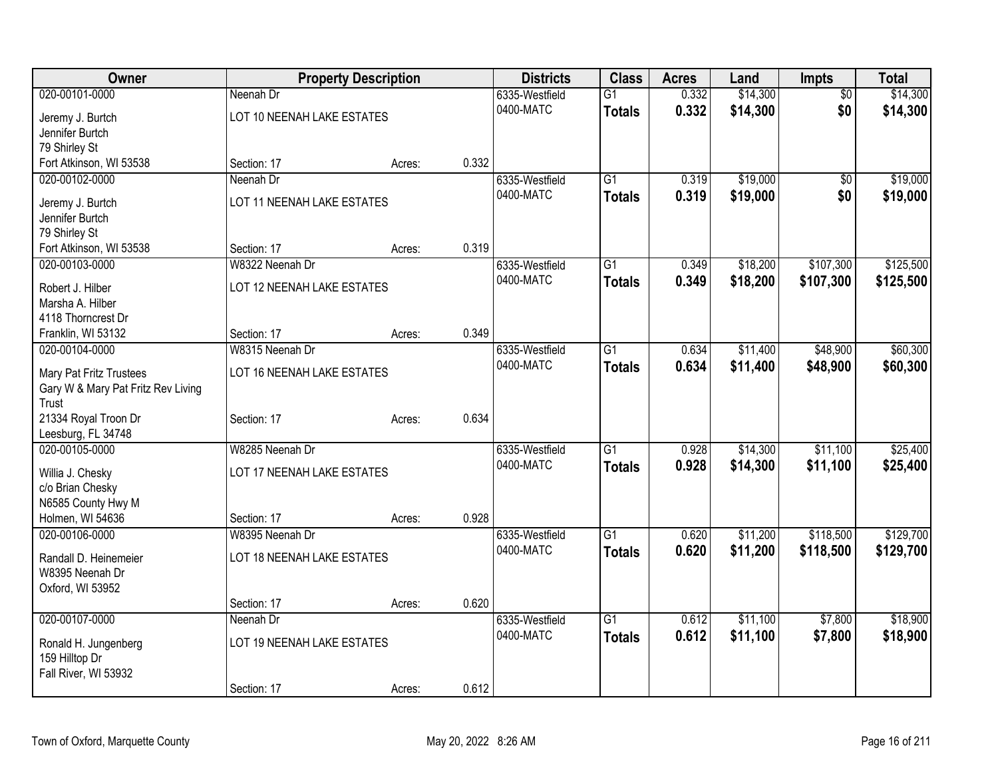| <b>Owner</b>                       |                            | <b>Property Description</b> |       | <b>Districts</b> | <b>Class</b>    | <b>Acres</b> | Land     | Impts           | <b>Total</b> |
|------------------------------------|----------------------------|-----------------------------|-------|------------------|-----------------|--------------|----------|-----------------|--------------|
| 020-00101-0000                     | Neenah Dr                  |                             |       | 6335-Westfield   | $\overline{G1}$ | 0.332        | \$14,300 | $\overline{50}$ | \$14,300     |
| Jeremy J. Burtch                   | LOT 10 NEENAH LAKE ESTATES |                             |       | 0400-MATC        | <b>Totals</b>   | 0.332        | \$14,300 | \$0             | \$14,300     |
| Jennifer Burtch                    |                            |                             |       |                  |                 |              |          |                 |              |
| 79 Shirley St                      |                            |                             |       |                  |                 |              |          |                 |              |
| Fort Atkinson, WI 53538            | Section: 17                | Acres:                      | 0.332 |                  |                 |              |          |                 |              |
| 020-00102-0000                     | Neenah Dr                  |                             |       | 6335-Westfield   | $\overline{G1}$ | 0.319        | \$19,000 | $\overline{50}$ | \$19,000     |
| Jeremy J. Burtch                   | LOT 11 NEENAH LAKE ESTATES |                             |       | 0400-MATC        | <b>Totals</b>   | 0.319        | \$19,000 | \$0             | \$19,000     |
| Jennifer Burtch                    |                            |                             |       |                  |                 |              |          |                 |              |
| 79 Shirley St                      |                            |                             |       |                  |                 |              |          |                 |              |
| Fort Atkinson, WI 53538            | Section: 17                | Acres:                      | 0.319 |                  |                 |              |          |                 |              |
| 020-00103-0000                     | W8322 Neenah Dr            |                             |       | 6335-Westfield   | G1              | 0.349        | \$18,200 | \$107,300       | \$125,500    |
| Robert J. Hilber                   | LOT 12 NEENAH LAKE ESTATES |                             |       | 0400-MATC        | <b>Totals</b>   | 0.349        | \$18,200 | \$107,300       | \$125,500    |
| Marsha A. Hilber                   |                            |                             |       |                  |                 |              |          |                 |              |
| 4118 Thorncrest Dr                 |                            |                             |       |                  |                 |              |          |                 |              |
| Franklin, WI 53132                 | Section: 17                | Acres:                      | 0.349 |                  |                 |              |          |                 |              |
| 020-00104-0000                     | W8315 Neenah Dr            |                             |       | 6335-Westfield   | $\overline{G1}$ | 0.634        | \$11,400 | \$48,900        | \$60,300     |
| <b>Mary Pat Fritz Trustees</b>     | LOT 16 NEENAH LAKE ESTATES |                             |       | 0400-MATC        | <b>Totals</b>   | 0.634        | \$11,400 | \$48,900        | \$60,300     |
| Gary W & Mary Pat Fritz Rev Living |                            |                             |       |                  |                 |              |          |                 |              |
| Trust                              |                            |                             |       |                  |                 |              |          |                 |              |
| 21334 Royal Troon Dr               | Section: 17                | Acres:                      | 0.634 |                  |                 |              |          |                 |              |
| Leesburg, FL 34748                 |                            |                             |       |                  |                 |              |          |                 |              |
| 020-00105-0000                     | W8285 Neenah Dr            |                             |       | 6335-Westfield   | $\overline{G1}$ | 0.928        | \$14,300 | \$11,100        | \$25,400     |
| Willia J. Chesky                   | LOT 17 NEENAH LAKE ESTATES |                             |       | 0400-MATC        | <b>Totals</b>   | 0.928        | \$14,300 | \$11,100        | \$25,400     |
| c/o Brian Chesky                   |                            |                             |       |                  |                 |              |          |                 |              |
| N6585 County Hwy M                 |                            |                             |       |                  |                 |              |          |                 |              |
| Holmen, WI 54636                   | Section: 17                | Acres:                      | 0.928 |                  |                 |              |          |                 |              |
| 020-00106-0000                     | W8395 Neenah Dr            |                             |       | 6335-Westfield   | $\overline{G1}$ | 0.620        | \$11,200 | \$118,500       | \$129,700    |
| Randall D. Heinemeier              | LOT 18 NEENAH LAKE ESTATES |                             |       | 0400-MATC        | <b>Totals</b>   | 0.620        | \$11,200 | \$118,500       | \$129,700    |
| W8395 Neenah Dr                    |                            |                             |       |                  |                 |              |          |                 |              |
| Oxford, WI 53952                   |                            |                             |       |                  |                 |              |          |                 |              |
|                                    | Section: 17                | Acres:                      | 0.620 |                  |                 |              |          |                 |              |
| 020-00107-0000                     | Neenah Dr                  |                             |       | 6335-Westfield   | $\overline{G1}$ | 0.612        | \$11,100 | \$7,800         | \$18,900     |
| Ronald H. Jungenberg               | LOT 19 NEENAH LAKE ESTATES |                             |       | 0400-MATC        | <b>Totals</b>   | 0.612        | \$11,100 | \$7,800         | \$18,900     |
| 159 Hilltop Dr                     |                            |                             |       |                  |                 |              |          |                 |              |
| Fall River, WI 53932               |                            |                             |       |                  |                 |              |          |                 |              |
|                                    | Section: 17                | Acres:                      | 0.612 |                  |                 |              |          |                 |              |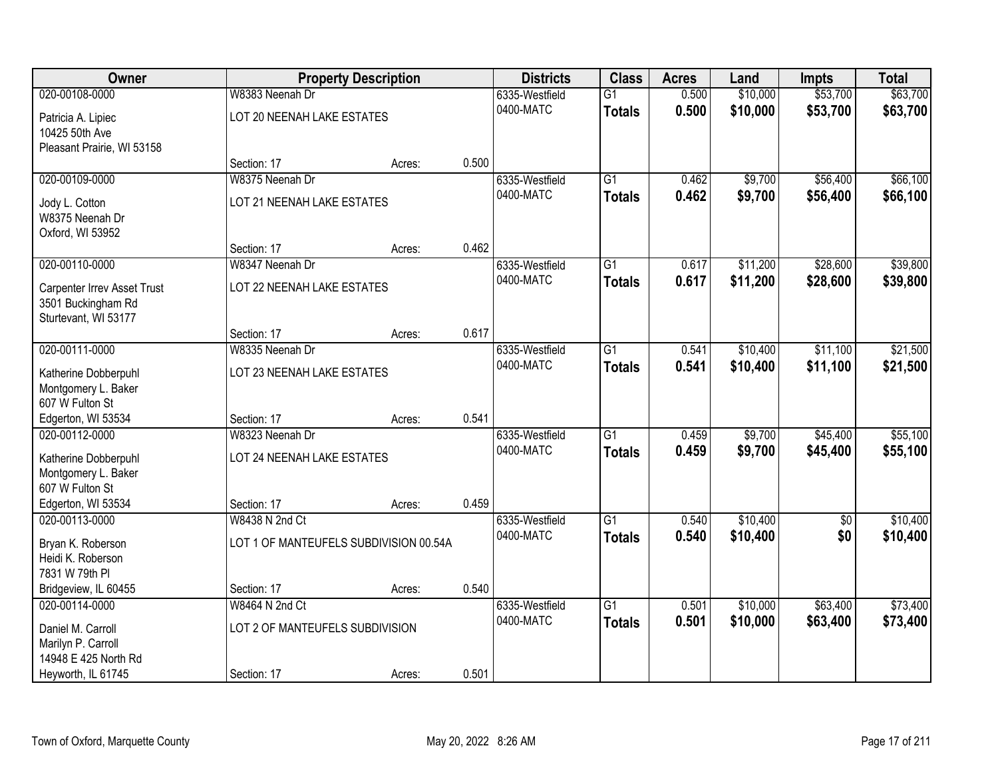| Owner                                                    |                                        | <b>Property Description</b> |       | <b>Districts</b>            | <b>Class</b>    | <b>Acres</b> | Land     | <b>Impts</b>    | <b>Total</b> |
|----------------------------------------------------------|----------------------------------------|-----------------------------|-------|-----------------------------|-----------------|--------------|----------|-----------------|--------------|
| 020-00108-0000                                           | W8383 Neenah Dr                        |                             |       | 6335-Westfield              | $\overline{G1}$ | 0.500        | \$10,000 | \$53,700        | \$63,700     |
| Patricia A. Lipiec                                       | LOT 20 NEENAH LAKE ESTATES             |                             |       | 0400-MATC                   | <b>Totals</b>   | 0.500        | \$10,000 | \$53,700        | \$63,700     |
| 10425 50th Ave                                           |                                        |                             |       |                             |                 |              |          |                 |              |
| Pleasant Prairie, WI 53158                               |                                        |                             |       |                             |                 |              |          |                 |              |
|                                                          | Section: 17                            | Acres:                      | 0.500 |                             |                 |              |          |                 |              |
| 020-00109-0000                                           | W8375 Neenah Dr                        |                             |       | 6335-Westfield              | $\overline{G1}$ | 0.462        | \$9,700  | \$56,400        | \$66,100     |
| Jody L. Cotton                                           | LOT 21 NEENAH LAKE ESTATES             |                             |       | 0400-MATC                   | <b>Totals</b>   | 0.462        | \$9,700  | \$56,400        | \$66,100     |
| W8375 Neenah Dr                                          |                                        |                             |       |                             |                 |              |          |                 |              |
| Oxford, WI 53952                                         |                                        |                             |       |                             |                 |              |          |                 |              |
|                                                          | Section: 17                            | Acres:                      | 0.462 |                             |                 |              |          |                 |              |
| 020-00110-0000                                           | W8347 Neenah Dr                        |                             |       | 6335-Westfield              | G1              | 0.617        | \$11,200 | \$28,600        | \$39,800     |
|                                                          | LOT 22 NEENAH LAKE ESTATES             |                             |       | 0400-MATC                   | <b>Totals</b>   | 0.617        | \$11,200 | \$28,600        | \$39,800     |
| <b>Carpenter Irrev Asset Trust</b><br>3501 Buckingham Rd |                                        |                             |       |                             |                 |              |          |                 |              |
| Sturtevant, WI 53177                                     |                                        |                             |       |                             |                 |              |          |                 |              |
|                                                          | Section: 17                            | Acres:                      | 0.617 |                             |                 |              |          |                 |              |
| 020-00111-0000                                           | W8335 Neenah Dr                        |                             |       | 6335-Westfield              | $\overline{G1}$ | 0.541        | \$10,400 | \$11,100        | \$21,500     |
|                                                          |                                        |                             |       | 0400-MATC                   | <b>Totals</b>   | 0.541        | \$10,400 | \$11,100        | \$21,500     |
| Katherine Dobberpuhl                                     | LOT 23 NEENAH LAKE ESTATES             |                             |       |                             |                 |              |          |                 |              |
| Montgomery L. Baker<br>607 W Fulton St                   |                                        |                             |       |                             |                 |              |          |                 |              |
| Edgerton, WI 53534                                       | Section: 17                            | Acres:                      | 0.541 |                             |                 |              |          |                 |              |
| 020-00112-0000                                           | W8323 Neenah Dr                        |                             |       | 6335-Westfield              | $\overline{G1}$ | 0.459        | \$9,700  | \$45,400        | \$55,100     |
|                                                          |                                        |                             |       | 0400-MATC                   | <b>Totals</b>   | 0.459        | \$9,700  | \$45,400        | \$55,100     |
| Katherine Dobberpuhl                                     | LOT 24 NEENAH LAKE ESTATES             |                             |       |                             |                 |              |          |                 |              |
| Montgomery L. Baker                                      |                                        |                             |       |                             |                 |              |          |                 |              |
| 607 W Fulton St                                          |                                        |                             |       |                             |                 |              |          |                 |              |
| Edgerton, WI 53534                                       | Section: 17                            | Acres:                      | 0.459 |                             |                 |              |          |                 |              |
| 020-00113-0000                                           | W8438 N 2nd Ct                         |                             |       | 6335-Westfield<br>0400-MATC | $\overline{G1}$ | 0.540        | \$10,400 | $\overline{50}$ | \$10,400     |
| Bryan K. Roberson                                        | LOT 1 OF MANTEUFELS SUBDIVISION 00.54A |                             |       |                             | <b>Totals</b>   | 0.540        | \$10,400 | \$0             | \$10,400     |
| Heidi K. Roberson                                        |                                        |                             |       |                             |                 |              |          |                 |              |
| 7831 W 79th PI                                           |                                        |                             |       |                             |                 |              |          |                 |              |
| Bridgeview, IL 60455                                     | Section: 17                            | Acres:                      | 0.540 |                             |                 |              |          |                 |              |
| 020-00114-0000                                           | W8464 N 2nd Ct                         |                             |       | 6335-Westfield              | $\overline{G1}$ | 0.501        | \$10,000 | \$63,400        | \$73,400     |
| Daniel M. Carroll                                        | LOT 2 OF MANTEUFELS SUBDIVISION        |                             |       | 0400-MATC                   | <b>Totals</b>   | 0.501        | \$10,000 | \$63,400        | \$73,400     |
| Marilyn P. Carroll                                       |                                        |                             |       |                             |                 |              |          |                 |              |
| 14948 E 425 North Rd                                     |                                        |                             |       |                             |                 |              |          |                 |              |
| Heyworth, IL 61745                                       | Section: 17                            | Acres:                      | 0.501 |                             |                 |              |          |                 |              |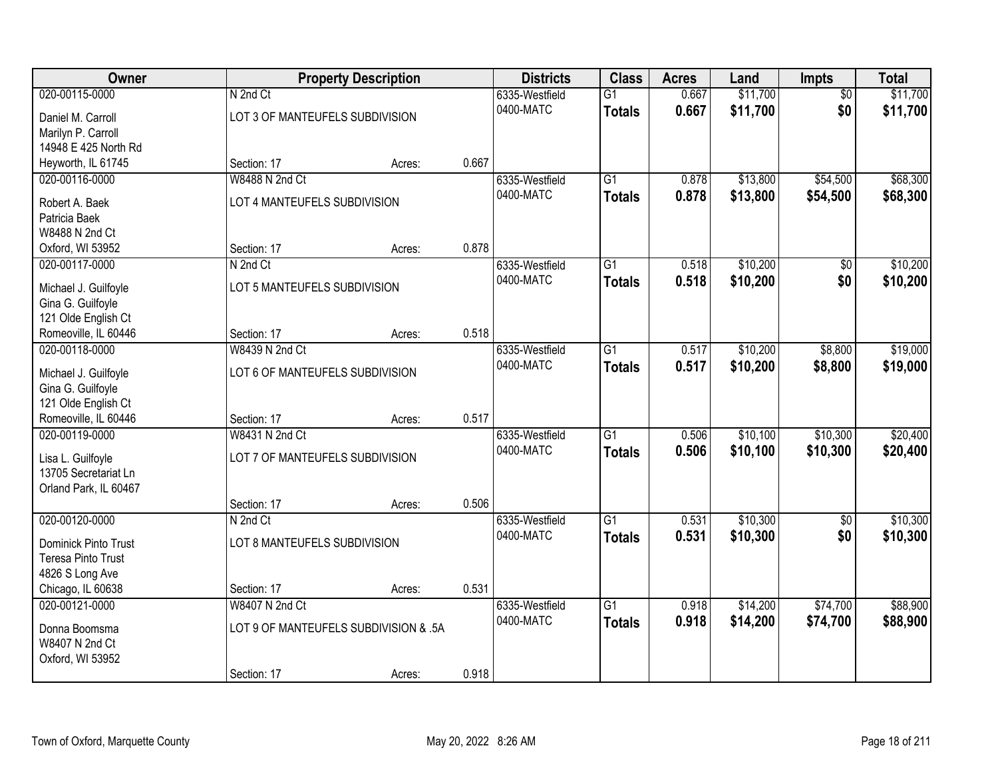| Owner                 |                                       | <b>Property Description</b> |       | <b>Districts</b> | <b>Class</b>    | <b>Acres</b> | Land     | Impts           | <b>Total</b> |
|-----------------------|---------------------------------------|-----------------------------|-------|------------------|-----------------|--------------|----------|-----------------|--------------|
| 020-00115-0000        | N 2nd Ct                              |                             |       | 6335-Westfield   | $\overline{G1}$ | 0.667        | \$11,700 | $\overline{50}$ | \$11,700     |
| Daniel M. Carroll     | LOT 3 OF MANTEUFELS SUBDIVISION       |                             |       | 0400-MATC        | <b>Totals</b>   | 0.667        | \$11,700 | \$0             | \$11,700     |
| Marilyn P. Carroll    |                                       |                             |       |                  |                 |              |          |                 |              |
| 14948 E 425 North Rd  |                                       |                             |       |                  |                 |              |          |                 |              |
| Heyworth, IL 61745    | Section: 17                           | Acres:                      | 0.667 |                  |                 |              |          |                 |              |
| 020-00116-0000        | W8488 N 2nd Ct                        |                             |       | 6335-Westfield   | $\overline{G1}$ | 0.878        | \$13,800 | \$54,500        | \$68,300     |
| Robert A. Baek        | LOT 4 MANTEUFELS SUBDIVISION          |                             |       | 0400-MATC        | <b>Totals</b>   | 0.878        | \$13,800 | \$54,500        | \$68,300     |
| Patricia Baek         |                                       |                             |       |                  |                 |              |          |                 |              |
| W8488 N 2nd Ct        |                                       |                             |       |                  |                 |              |          |                 |              |
| Oxford, WI 53952      | Section: 17                           | Acres:                      | 0.878 |                  |                 |              |          |                 |              |
| 020-00117-0000        | N 2nd Ct                              |                             |       | 6335-Westfield   | $\overline{G1}$ | 0.518        | \$10,200 | \$0             | \$10,200     |
| Michael J. Guilfoyle  | LOT 5 MANTEUFELS SUBDIVISION          |                             |       | 0400-MATC        | <b>Totals</b>   | 0.518        | \$10,200 | \$0             | \$10,200     |
| Gina G. Guilfoyle     |                                       |                             |       |                  |                 |              |          |                 |              |
| 121 Olde English Ct   |                                       |                             |       |                  |                 |              |          |                 |              |
| Romeoville, IL 60446  | Section: 17                           | Acres:                      | 0.518 |                  |                 |              |          |                 |              |
| 020-00118-0000        | W8439 N 2nd Ct                        |                             |       | 6335-Westfield   | $\overline{G1}$ | 0.517        | \$10,200 | \$8,800         | \$19,000     |
| Michael J. Guilfoyle  | LOT 6 OF MANTEUFELS SUBDIVISION       |                             |       | 0400-MATC        | <b>Totals</b>   | 0.517        | \$10,200 | \$8,800         | \$19,000     |
| Gina G. Guilfoyle     |                                       |                             |       |                  |                 |              |          |                 |              |
| 121 Olde English Ct   |                                       |                             |       |                  |                 |              |          |                 |              |
| Romeoville, IL 60446  | Section: 17                           | Acres:                      | 0.517 |                  |                 |              |          |                 |              |
| 020-00119-0000        | W8431 N 2nd Ct                        |                             |       | 6335-Westfield   | $\overline{G1}$ | 0.506        | \$10,100 | \$10,300        | \$20,400     |
| Lisa L. Guilfoyle     | LOT 7 OF MANTEUFELS SUBDIVISION       |                             |       | 0400-MATC        | <b>Totals</b>   | 0.506        | \$10,100 | \$10,300        | \$20,400     |
| 13705 Secretariat Ln  |                                       |                             |       |                  |                 |              |          |                 |              |
| Orland Park, IL 60467 |                                       |                             |       |                  |                 |              |          |                 |              |
|                       | Section: 17                           | Acres:                      | 0.506 |                  |                 |              |          |                 |              |
| 020-00120-0000        | N 2nd Ct                              |                             |       | 6335-Westfield   | $\overline{G1}$ | 0.531        | \$10,300 | $\sqrt{6}$      | \$10,300     |
| Dominick Pinto Trust  | LOT 8 MANTEUFELS SUBDIVISION          |                             |       | 0400-MATC        | <b>Totals</b>   | 0.531        | \$10,300 | \$0             | \$10,300     |
| Teresa Pinto Trust    |                                       |                             |       |                  |                 |              |          |                 |              |
| 4826 S Long Ave       |                                       |                             |       |                  |                 |              |          |                 |              |
| Chicago, IL 60638     | Section: 17                           | Acres:                      | 0.531 |                  |                 |              |          |                 |              |
| 020-00121-0000        | W8407 N 2nd Ct                        |                             |       | 6335-Westfield   | $\overline{G1}$ | 0.918        | \$14,200 | \$74,700        | \$88,900     |
| Donna Boomsma         | LOT 9 OF MANTEUFELS SUBDIVISION & .5A |                             |       | 0400-MATC        | <b>Totals</b>   | 0.918        | \$14,200 | \$74,700        | \$88,900     |
| W8407 N 2nd Ct        |                                       |                             |       |                  |                 |              |          |                 |              |
| Oxford, WI 53952      |                                       |                             |       |                  |                 |              |          |                 |              |
|                       | Section: 17                           | Acres:                      | 0.918 |                  |                 |              |          |                 |              |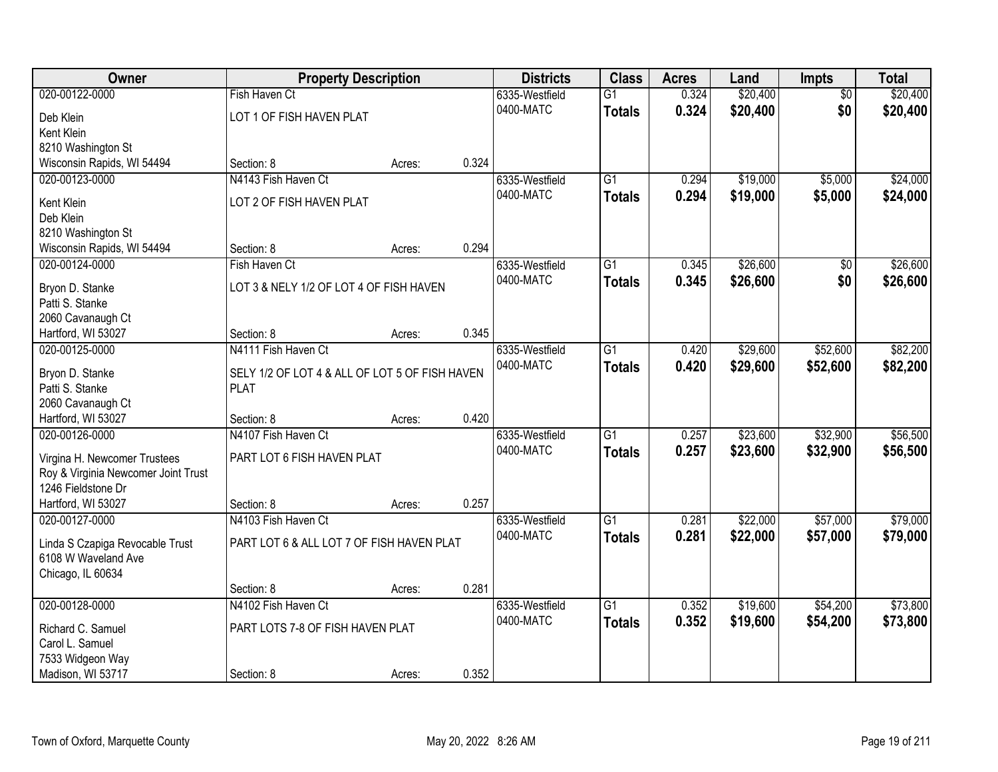| Owner                                   | <b>Property Description</b>                    |        |       | <b>Districts</b> | <b>Class</b>    | <b>Acres</b> | Land     | <b>Impts</b>    | <b>Total</b> |
|-----------------------------------------|------------------------------------------------|--------|-------|------------------|-----------------|--------------|----------|-----------------|--------------|
| 020-00122-0000                          | Fish Haven Ct                                  |        |       | 6335-Westfield   | $\overline{G1}$ | 0.324        | \$20,400 | $\overline{50}$ | \$20,400     |
| Deb Klein                               | LOT 1 OF FISH HAVEN PLAT                       |        |       | 0400-MATC        | <b>Totals</b>   | 0.324        | \$20,400 | \$0             | \$20,400     |
| Kent Klein                              |                                                |        |       |                  |                 |              |          |                 |              |
| 8210 Washington St                      |                                                |        |       |                  |                 |              |          |                 |              |
| Wisconsin Rapids, WI 54494              | Section: 8                                     | Acres: | 0.324 |                  |                 |              |          |                 |              |
| 020-00123-0000                          | N4143 Fish Haven Ct                            |        |       | 6335-Westfield   | $\overline{G1}$ | 0.294        | \$19,000 | \$5,000         | \$24,000     |
| Kent Klein                              | LOT 2 OF FISH HAVEN PLAT                       |        |       | 0400-MATC        | <b>Totals</b>   | 0.294        | \$19,000 | \$5,000         | \$24,000     |
| Deb Klein                               |                                                |        |       |                  |                 |              |          |                 |              |
| 8210 Washington St                      |                                                |        |       |                  |                 |              |          |                 |              |
| Wisconsin Rapids, WI 54494              | Section: 8                                     | Acres: | 0.294 |                  |                 |              |          |                 |              |
| 020-00124-0000                          | Fish Haven Ct                                  |        |       | 6335-Westfield   | $\overline{G1}$ | 0.345        | \$26,600 | \$0             | \$26,600     |
|                                         | LOT 3 & NELY 1/2 OF LOT 4 OF FISH HAVEN        |        |       | 0400-MATC        | <b>Totals</b>   | 0.345        | \$26,600 | \$0             | \$26,600     |
| Bryon D. Stanke<br>Patti S. Stanke      |                                                |        |       |                  |                 |              |          |                 |              |
| 2060 Cavanaugh Ct                       |                                                |        |       |                  |                 |              |          |                 |              |
| Hartford, WI 53027                      | Section: 8                                     | Acres: | 0.345 |                  |                 |              |          |                 |              |
| 020-00125-0000                          | N4111 Fish Haven Ct                            |        |       | 6335-Westfield   | $\overline{G1}$ | 0.420        | \$29,600 | \$52,600        | \$82,200     |
|                                         |                                                |        |       | 0400-MATC        | <b>Totals</b>   | 0.420        | \$29,600 | \$52,600        | \$82,200     |
| Bryon D. Stanke                         | SELY 1/2 OF LOT 4 & ALL OF LOT 5 OF FISH HAVEN |        |       |                  |                 |              |          |                 |              |
| Patti S. Stanke                         | <b>PLAT</b>                                    |        |       |                  |                 |              |          |                 |              |
| 2060 Cavanaugh Ct<br>Hartford, WI 53027 | Section: 8                                     | Acres: | 0.420 |                  |                 |              |          |                 |              |
| 020-00126-0000                          | N4107 Fish Haven Ct                            |        |       | 6335-Westfield   | $\overline{G1}$ | 0.257        | \$23,600 | \$32,900        | \$56,500     |
|                                         |                                                |        |       | 0400-MATC        | <b>Totals</b>   | 0.257        | \$23,600 | \$32,900        | \$56,500     |
| Virgina H. Newcomer Trustees            | PART LOT 6 FISH HAVEN PLAT                     |        |       |                  |                 |              |          |                 |              |
| Roy & Virginia Newcomer Joint Trust     |                                                |        |       |                  |                 |              |          |                 |              |
| 1246 Fieldstone Dr                      |                                                |        |       |                  |                 |              |          |                 |              |
| Hartford, WI 53027                      | Section: 8                                     | Acres: | 0.257 |                  |                 |              |          |                 |              |
| 020-00127-0000                          | N4103 Fish Haven Ct                            |        |       | 6335-Westfield   | $\overline{G1}$ | 0.281        | \$22,000 | \$57,000        | \$79,000     |
| Linda S Czapiga Revocable Trust         | PART LOT 6 & ALL LOT 7 OF FISH HAVEN PLAT      |        |       | 0400-MATC        | <b>Totals</b>   | 0.281        | \$22,000 | \$57,000        | \$79,000     |
| 6108 W Waveland Ave                     |                                                |        |       |                  |                 |              |          |                 |              |
| Chicago, IL 60634                       |                                                |        |       |                  |                 |              |          |                 |              |
|                                         | Section: 8                                     | Acres: | 0.281 |                  |                 |              |          |                 |              |
| 020-00128-0000                          | N4102 Fish Haven Ct                            |        |       | 6335-Westfield   | $\overline{G1}$ | 0.352        | \$19,600 | \$54,200        | \$73,800     |
| Richard C. Samuel                       | PART LOTS 7-8 OF FISH HAVEN PLAT               |        |       | 0400-MATC        | <b>Totals</b>   | 0.352        | \$19,600 | \$54,200        | \$73,800     |
| Carol L. Samuel                         |                                                |        |       |                  |                 |              |          |                 |              |
| 7533 Widgeon Way                        |                                                |        |       |                  |                 |              |          |                 |              |
| Madison, WI 53717                       | Section: 8                                     | Acres: | 0.352 |                  |                 |              |          |                 |              |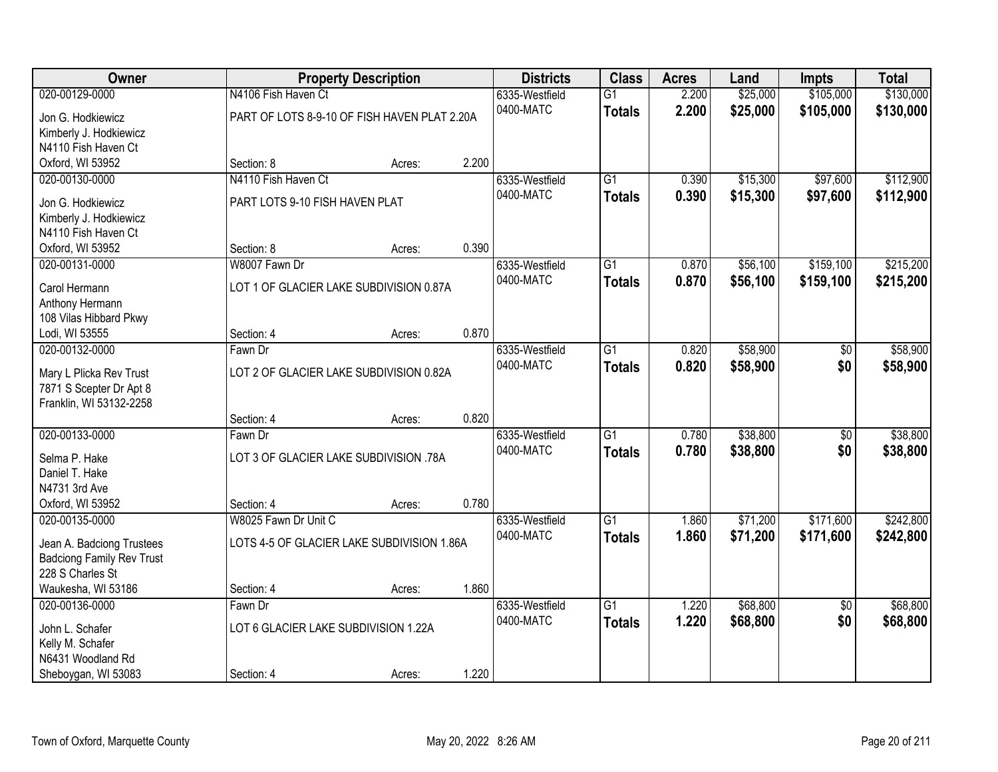| Owner                            |                                              | <b>Property Description</b> |       | <b>Districts</b> | <b>Class</b>    | <b>Acres</b> | Land     | <b>Impts</b>    | <b>Total</b> |
|----------------------------------|----------------------------------------------|-----------------------------|-------|------------------|-----------------|--------------|----------|-----------------|--------------|
| 020-00129-0000                   | N4106 Fish Haven Ct                          |                             |       | 6335-Westfield   | $\overline{G1}$ | 2.200        | \$25,000 | \$105,000       | \$130,000    |
| Jon G. Hodkiewicz                | PART OF LOTS 8-9-10 OF FISH HAVEN PLAT 2.20A |                             |       | 0400-MATC        | <b>Totals</b>   | 2.200        | \$25,000 | \$105,000       | \$130,000    |
| Kimberly J. Hodkiewicz           |                                              |                             |       |                  |                 |              |          |                 |              |
| N4110 Fish Haven Ct              |                                              |                             |       |                  |                 |              |          |                 |              |
| Oxford, WI 53952                 | Section: 8                                   | Acres:                      | 2.200 |                  |                 |              |          |                 |              |
| 020-00130-0000                   | N4110 Fish Haven Ct                          |                             |       | 6335-Westfield   | G1              | 0.390        | \$15,300 | \$97,600        | \$112,900    |
| Jon G. Hodkiewicz                | PART LOTS 9-10 FISH HAVEN PLAT               |                             |       | 0400-MATC        | <b>Totals</b>   | 0.390        | \$15,300 | \$97,600        | \$112,900    |
| Kimberly J. Hodkiewicz           |                                              |                             |       |                  |                 |              |          |                 |              |
| N4110 Fish Haven Ct              |                                              |                             |       |                  |                 |              |          |                 |              |
| Oxford, WI 53952                 | Section: 8                                   | Acres:                      | 0.390 |                  |                 |              |          |                 |              |
| 020-00131-0000                   | W8007 Fawn Dr                                |                             |       | 6335-Westfield   | $\overline{G1}$ | 0.870        | \$56,100 | \$159,100       | \$215,200    |
|                                  | LOT 1 OF GLACIER LAKE SUBDIVISION 0.87A      |                             |       | 0400-MATC        | <b>Totals</b>   | 0.870        | \$56,100 | \$159,100       | \$215,200    |
| Carol Hermann<br>Anthony Hermann |                                              |                             |       |                  |                 |              |          |                 |              |
| 108 Vilas Hibbard Pkwy           |                                              |                             |       |                  |                 |              |          |                 |              |
| Lodi, WI 53555                   | Section: 4                                   | Acres:                      | 0.870 |                  |                 |              |          |                 |              |
| 020-00132-0000                   | Fawn Dr                                      |                             |       | 6335-Westfield   | $\overline{G1}$ | 0.820        | \$58,900 | \$0             | \$58,900     |
|                                  |                                              |                             |       | 0400-MATC        | <b>Totals</b>   | 0.820        | \$58,900 | \$0             | \$58,900     |
| Mary L Plicka Rev Trust          | LOT 2 OF GLACIER LAKE SUBDIVISION 0.82A      |                             |       |                  |                 |              |          |                 |              |
| 7871 S Scepter Dr Apt 8          |                                              |                             |       |                  |                 |              |          |                 |              |
| Franklin, WI 53132-2258          | Section: 4                                   | Acres:                      | 0.820 |                  |                 |              |          |                 |              |
| 020-00133-0000                   | Fawn Dr                                      |                             |       | 6335-Westfield   | $\overline{G1}$ | 0.780        | \$38,800 | \$0             | \$38,800     |
|                                  |                                              |                             |       | 0400-MATC        | <b>Totals</b>   | 0.780        | \$38,800 | \$0             | \$38,800     |
| Selma P. Hake                    | LOT 3 OF GLACIER LAKE SUBDIVISION .78A       |                             |       |                  |                 |              |          |                 |              |
| Daniel T. Hake                   |                                              |                             |       |                  |                 |              |          |                 |              |
| N4731 3rd Ave                    |                                              |                             |       |                  |                 |              |          |                 |              |
| Oxford, WI 53952                 | Section: 4                                   | Acres:                      | 0.780 |                  |                 |              |          |                 |              |
| 020-00135-0000                   | W8025 Fawn Dr Unit C                         |                             |       | 6335-Westfield   | $\overline{G1}$ | 1.860        | \$71,200 | \$171,600       | \$242,800    |
| Jean A. Badciong Trustees        | LOTS 4-5 OF GLACIER LAKE SUBDIVISION 1.86A   |                             |       | 0400-MATC        | <b>Totals</b>   | 1.860        | \$71,200 | \$171,600       | \$242,800    |
| <b>Badciong Family Rev Trust</b> |                                              |                             |       |                  |                 |              |          |                 |              |
| 228 S Charles St                 |                                              |                             |       |                  |                 |              |          |                 |              |
| Waukesha, WI 53186               | Section: 4                                   | Acres:                      | 1.860 |                  |                 |              |          |                 |              |
| 020-00136-0000                   | Fawn Dr                                      |                             |       | 6335-Westfield   | $\overline{G1}$ | 1.220        | \$68,800 | $\overline{50}$ | \$68,800     |
| John L. Schafer                  | LOT 6 GLACIER LAKE SUBDIVISION 1.22A         |                             |       | 0400-MATC        | <b>Totals</b>   | 1.220        | \$68,800 | \$0             | \$68,800     |
| Kelly M. Schafer                 |                                              |                             |       |                  |                 |              |          |                 |              |
| N6431 Woodland Rd                |                                              |                             |       |                  |                 |              |          |                 |              |
| Sheboygan, WI 53083              | Section: 4                                   | Acres:                      | 1.220 |                  |                 |              |          |                 |              |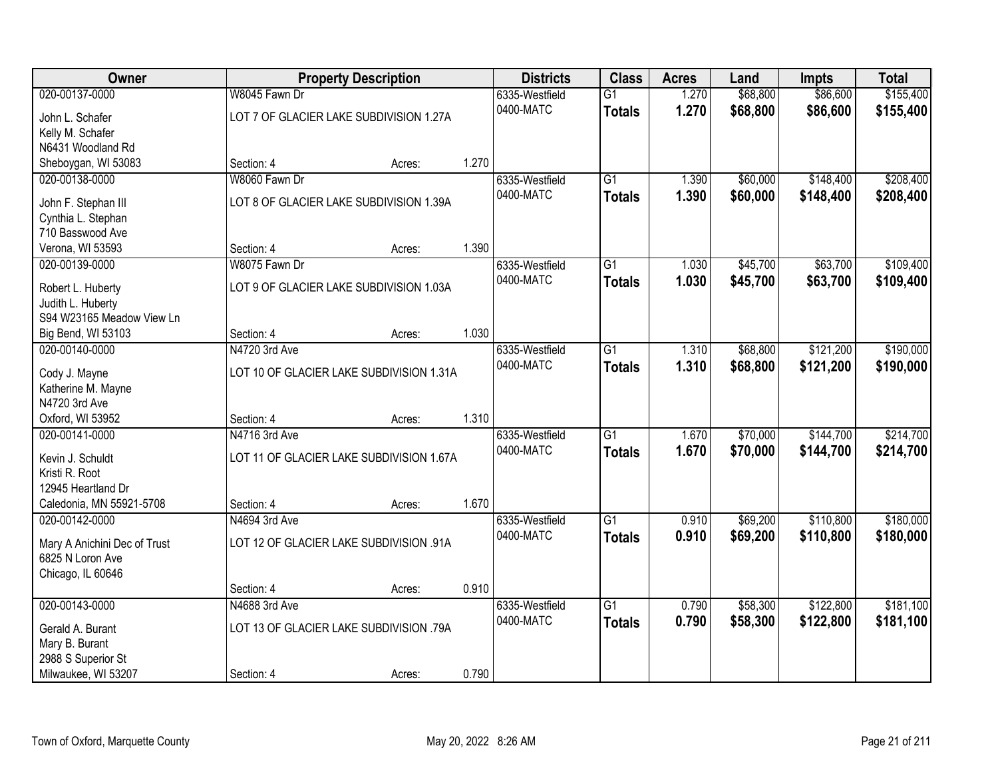| Owner                                  |                                          | <b>Property Description</b> |       | <b>Districts</b> | <b>Class</b>    | <b>Acres</b> | Land     | <b>Impts</b> | <b>Total</b> |
|----------------------------------------|------------------------------------------|-----------------------------|-------|------------------|-----------------|--------------|----------|--------------|--------------|
| 020-00137-0000                         | W8045 Fawn Dr                            |                             |       | 6335-Westfield   | $\overline{G1}$ | 1.270        | \$68,800 | \$86,600     | \$155,400    |
| John L. Schafer                        | LOT 7 OF GLACIER LAKE SUBDIVISION 1.27A  |                             |       | 0400-MATC        | <b>Totals</b>   | 1.270        | \$68,800 | \$86,600     | \$155,400    |
| Kelly M. Schafer                       |                                          |                             |       |                  |                 |              |          |              |              |
| N6431 Woodland Rd                      |                                          |                             |       |                  |                 |              |          |              |              |
| Sheboygan, WI 53083                    | Section: 4                               | Acres:                      | 1.270 |                  |                 |              |          |              |              |
| 020-00138-0000                         | W8060 Fawn Dr                            |                             |       | 6335-Westfield   | $\overline{G1}$ | 1.390        | \$60,000 | \$148,400    | \$208,400    |
|                                        | LOT 8 OF GLACIER LAKE SUBDIVISION 1.39A  |                             |       | 0400-MATC        | <b>Totals</b>   | 1.390        | \$60,000 | \$148,400    | \$208,400    |
| John F. Stephan III                    |                                          |                             |       |                  |                 |              |          |              |              |
| Cynthia L. Stephan<br>710 Basswood Ave |                                          |                             |       |                  |                 |              |          |              |              |
| Verona, WI 53593                       | Section: 4                               | Acres:                      | 1.390 |                  |                 |              |          |              |              |
| 020-00139-0000                         | W8075 Fawn Dr                            |                             |       | 6335-Westfield   | G1              | 1.030        | \$45,700 | \$63,700     | \$109,400    |
|                                        |                                          |                             |       | 0400-MATC        | <b>Totals</b>   | 1.030        | \$45,700 | \$63,700     | \$109,400    |
| Robert L. Huberty                      | LOT 9 OF GLACIER LAKE SUBDIVISION 1.03A  |                             |       |                  |                 |              |          |              |              |
| Judith L. Huberty                      |                                          |                             |       |                  |                 |              |          |              |              |
| S94 W23165 Meadow View Ln              |                                          |                             |       |                  |                 |              |          |              |              |
| Big Bend, WI 53103                     | Section: 4                               | Acres:                      | 1.030 |                  |                 |              |          |              |              |
| 020-00140-0000                         | N4720 3rd Ave                            |                             |       | 6335-Westfield   | G1              | 1.310        | \$68,800 | \$121,200    | \$190,000    |
| Cody J. Mayne                          | LOT 10 OF GLACIER LAKE SUBDIVISION 1.31A |                             |       | 0400-MATC        | <b>Totals</b>   | 1.310        | \$68,800 | \$121,200    | \$190,000    |
| Katherine M. Mayne                     |                                          |                             |       |                  |                 |              |          |              |              |
| N4720 3rd Ave                          |                                          |                             |       |                  |                 |              |          |              |              |
| Oxford, WI 53952                       | Section: 4                               | Acres:                      | 1.310 |                  |                 |              |          |              |              |
| 020-00141-0000                         | N4716 3rd Ave                            |                             |       | 6335-Westfield   | $\overline{G1}$ | 1.670        | \$70,000 | \$144,700    | \$214,700    |
|                                        | LOT 11 OF GLACIER LAKE SUBDIVISION 1.67A |                             |       | 0400-MATC        | <b>Totals</b>   | 1.670        | \$70,000 | \$144,700    | \$214,700    |
| Kevin J. Schuldt<br>Kristi R. Root     |                                          |                             |       |                  |                 |              |          |              |              |
| 12945 Heartland Dr                     |                                          |                             |       |                  |                 |              |          |              |              |
| Caledonia, MN 55921-5708               | Section: 4                               | Acres:                      | 1.670 |                  |                 |              |          |              |              |
| 020-00142-0000                         | N4694 3rd Ave                            |                             |       | 6335-Westfield   | $\overline{G1}$ | 0.910        | \$69,200 | \$110,800    | \$180,000    |
|                                        |                                          |                             |       | 0400-MATC        | <b>Totals</b>   | 0.910        | \$69,200 | \$110,800    | \$180,000    |
| Mary A Anichini Dec of Trust           | LOT 12 OF GLACIER LAKE SUBDIVISION .91A  |                             |       |                  |                 |              |          |              |              |
| 6825 N Loron Ave                       |                                          |                             |       |                  |                 |              |          |              |              |
| Chicago, IL 60646                      |                                          |                             |       |                  |                 |              |          |              |              |
|                                        | Section: 4                               | Acres:                      | 0.910 |                  |                 |              |          |              |              |
| 020-00143-0000                         | N4688 3rd Ave                            |                             |       | 6335-Westfield   | $\overline{G1}$ | 0.790        | \$58,300 | \$122,800    | \$181,100    |
| Gerald A. Burant                       | LOT 13 OF GLACIER LAKE SUBDIVISION .79A  |                             |       | 0400-MATC        | <b>Totals</b>   | 0.790        | \$58,300 | \$122,800    | \$181,100    |
| Mary B. Burant                         |                                          |                             |       |                  |                 |              |          |              |              |
| 2988 S Superior St                     |                                          |                             |       |                  |                 |              |          |              |              |
| Milwaukee, WI 53207                    | Section: 4                               | Acres:                      | 0.790 |                  |                 |              |          |              |              |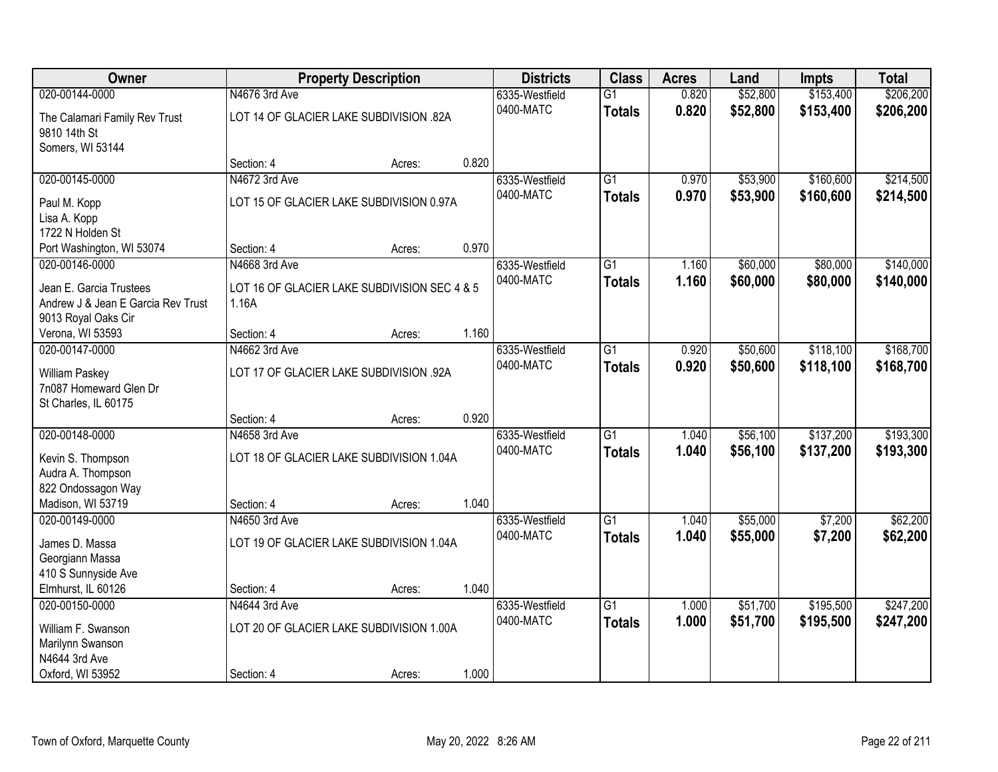| Owner                              |                                              | <b>Property Description</b> |       | <b>Districts</b> | <b>Class</b>    | <b>Acres</b> | Land     | <b>Impts</b> | <b>Total</b> |
|------------------------------------|----------------------------------------------|-----------------------------|-------|------------------|-----------------|--------------|----------|--------------|--------------|
| 020-00144-0000                     | N4676 3rd Ave                                |                             |       | 6335-Westfield   | $\overline{G1}$ | 0.820        | \$52,800 | \$153,400    | \$206,200    |
| The Calamari Family Rev Trust      | LOT 14 OF GLACIER LAKE SUBDIVISION .82A      |                             |       | 0400-MATC        | <b>Totals</b>   | 0.820        | \$52,800 | \$153,400    | \$206,200    |
| 9810 14th St                       |                                              |                             |       |                  |                 |              |          |              |              |
| Somers, WI 53144                   |                                              |                             |       |                  |                 |              |          |              |              |
|                                    | Section: 4                                   | Acres:                      | 0.820 |                  |                 |              |          |              |              |
| 020-00145-0000                     | N4672 3rd Ave                                |                             |       | 6335-Westfield   | G1              | 0.970        | \$53,900 | \$160,600    | \$214,500    |
| Paul M. Kopp                       | LOT 15 OF GLACIER LAKE SUBDIVISION 0.97A     |                             |       | 0400-MATC        | <b>Totals</b>   | 0.970        | \$53,900 | \$160,600    | \$214,500    |
| Lisa A. Kopp                       |                                              |                             |       |                  |                 |              |          |              |              |
| 1722 N Holden St                   |                                              |                             |       |                  |                 |              |          |              |              |
| Port Washington, WI 53074          | Section: 4                                   | Acres:                      | 0.970 |                  |                 |              |          |              |              |
| 020-00146-0000                     | N4668 3rd Ave                                |                             |       | 6335-Westfield   | $\overline{G1}$ | 1.160        | \$60,000 | \$80,000     | \$140,000    |
| Jean E. Garcia Trustees            | LOT 16 OF GLACIER LAKE SUBDIVISION SEC 4 & 5 |                             |       | 0400-MATC        | <b>Totals</b>   | 1.160        | \$60,000 | \$80,000     | \$140,000    |
| Andrew J & Jean E Garcia Rev Trust | 1.16A                                        |                             |       |                  |                 |              |          |              |              |
| 9013 Royal Oaks Cir                |                                              |                             |       |                  |                 |              |          |              |              |
| Verona, WI 53593                   | Section: 4                                   | Acres:                      | 1.160 |                  |                 |              |          |              |              |
| 020-00147-0000                     | N4662 3rd Ave                                |                             |       | 6335-Westfield   | $\overline{G1}$ | 0.920        | \$50,600 | \$118,100    | \$168,700    |
| William Paskey                     | LOT 17 OF GLACIER LAKE SUBDIVISION .92A      |                             |       | 0400-MATC        | <b>Totals</b>   | 0.920        | \$50,600 | \$118,100    | \$168,700    |
| 7n087 Homeward Glen Dr             |                                              |                             |       |                  |                 |              |          |              |              |
| St Charles, IL 60175               |                                              |                             |       |                  |                 |              |          |              |              |
|                                    | Section: 4                                   | Acres:                      | 0.920 |                  |                 |              |          |              |              |
| 020-00148-0000                     | N4658 3rd Ave                                |                             |       | 6335-Westfield   | $\overline{G1}$ | 1.040        | \$56,100 | \$137,200    | \$193,300    |
| Kevin S. Thompson                  | LOT 18 OF GLACIER LAKE SUBDIVISION 1.04A     |                             |       | 0400-MATC        | <b>Totals</b>   | 1.040        | \$56,100 | \$137,200    | \$193,300    |
| Audra A. Thompson                  |                                              |                             |       |                  |                 |              |          |              |              |
| 822 Ondossagon Way                 |                                              |                             |       |                  |                 |              |          |              |              |
| Madison, WI 53719                  | Section: 4                                   | Acres:                      | 1.040 |                  |                 |              |          |              |              |
| 020-00149-0000                     | N4650 3rd Ave                                |                             |       | 6335-Westfield   | $\overline{G1}$ | 1.040        | \$55,000 | \$7,200      | \$62,200     |
| James D. Massa                     | LOT 19 OF GLACIER LAKE SUBDIVISION 1.04A     |                             |       | 0400-MATC        | <b>Totals</b>   | 1.040        | \$55,000 | \$7,200      | \$62,200     |
| Georgiann Massa                    |                                              |                             |       |                  |                 |              |          |              |              |
| 410 S Sunnyside Ave                |                                              |                             |       |                  |                 |              |          |              |              |
| Elmhurst, IL 60126                 | Section: 4                                   | Acres:                      | 1.040 |                  |                 |              |          |              |              |
| 020-00150-0000                     | N4644 3rd Ave                                |                             |       | 6335-Westfield   | $\overline{G1}$ | 1.000        | \$51,700 | \$195,500    | \$247,200    |
| William F. Swanson                 | LOT 20 OF GLACIER LAKE SUBDIVISION 1.00A     |                             |       | 0400-MATC        | <b>Totals</b>   | 1.000        | \$51,700 | \$195,500    | \$247,200    |
| Marilynn Swanson                   |                                              |                             |       |                  |                 |              |          |              |              |
| N4644 3rd Ave                      |                                              |                             |       |                  |                 |              |          |              |              |
| Oxford, WI 53952                   | Section: 4                                   | Acres:                      | 1.000 |                  |                 |              |          |              |              |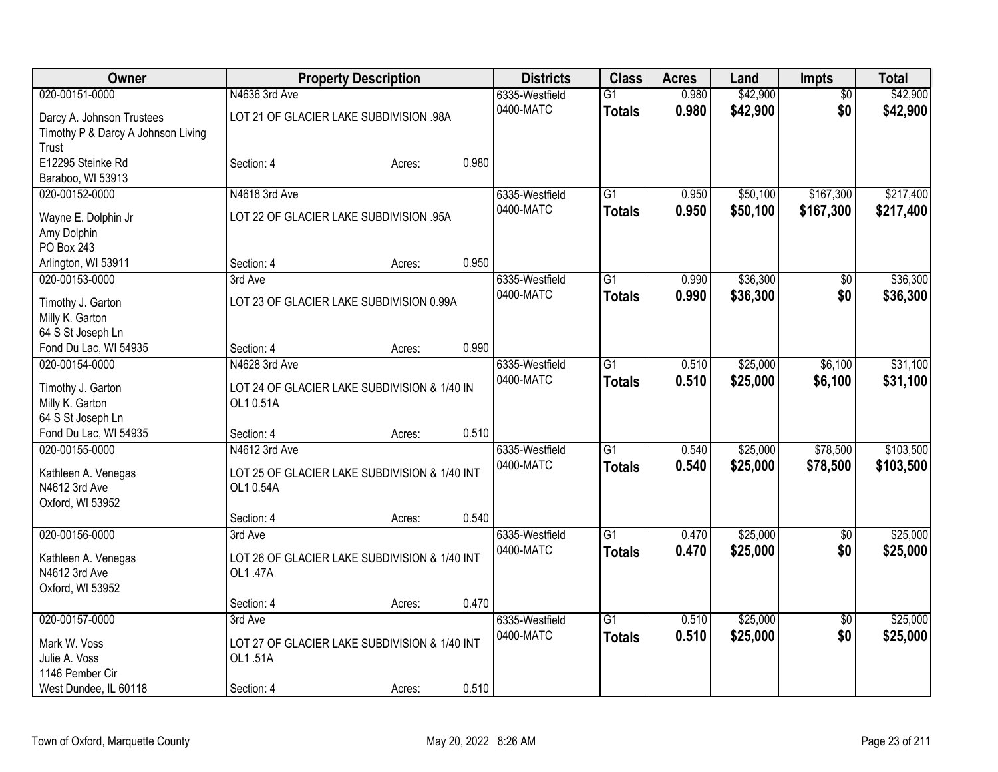| Owner                                 |                                         | <b>Property Description</b>                   |       | <b>Districts</b>            | <b>Class</b>    | <b>Acres</b> | Land     | <b>Impts</b>    | <b>Total</b> |
|---------------------------------------|-----------------------------------------|-----------------------------------------------|-------|-----------------------------|-----------------|--------------|----------|-----------------|--------------|
| 020-00151-0000                        | N4636 3rd Ave                           |                                               |       | 6335-Westfield              | $\overline{G1}$ | 0.980        | \$42,900 | $\overline{50}$ | \$42,900     |
| Darcy A. Johnson Trustees             | LOT 21 OF GLACIER LAKE SUBDIVISION .98A |                                               |       | 0400-MATC                   | <b>Totals</b>   | 0.980        | \$42,900 | \$0             | \$42,900     |
| Timothy P & Darcy A Johnson Living    |                                         |                                               |       |                             |                 |              |          |                 |              |
| Trust                                 |                                         |                                               |       |                             |                 |              |          |                 |              |
| E12295 Steinke Rd                     | Section: 4                              | Acres:                                        | 0.980 |                             |                 |              |          |                 |              |
| Baraboo, WI 53913<br>020-00152-0000   | N4618 3rd Ave                           |                                               |       |                             | G1              | 0.950        | \$50,100 | \$167,300       | \$217,400    |
|                                       |                                         |                                               |       | 6335-Westfield<br>0400-MATC |                 | 0.950        | \$50,100 | \$167,300       | \$217,400    |
| Wayne E. Dolphin Jr                   |                                         | LOT 22 OF GLACIER LAKE SUBDIVISION .95A       |       |                             | <b>Totals</b>   |              |          |                 |              |
| Amy Dolphin                           |                                         |                                               |       |                             |                 |              |          |                 |              |
| PO Box 243                            |                                         |                                               |       |                             |                 |              |          |                 |              |
| Arlington, WI 53911<br>020-00153-0000 | Section: 4<br>3rd Ave                   | Acres:                                        | 0.950 |                             | $\overline{G1}$ | 0.990        | \$36,300 |                 | \$36,300     |
|                                       |                                         |                                               |       | 6335-Westfield<br>0400-MATC |                 | 0.990        | \$36,300 | \$0<br>\$0      | \$36,300     |
| Timothy J. Garton                     |                                         | LOT 23 OF GLACIER LAKE SUBDIVISION 0.99A      |       |                             | <b>Totals</b>   |              |          |                 |              |
| Milly K. Garton                       |                                         |                                               |       |                             |                 |              |          |                 |              |
| 64 S St Joseph Ln                     |                                         |                                               |       |                             |                 |              |          |                 |              |
| Fond Du Lac, WI 54935                 | Section: 4                              | Acres:                                        | 0.990 |                             |                 |              |          |                 |              |
| 020-00154-0000                        | N4628 3rd Ave                           |                                               |       | 6335-Westfield<br>0400-MATC | G1              | 0.510        | \$25,000 | \$6,100         | \$31,100     |
| Timothy J. Garton                     |                                         | LOT 24 OF GLACIER LAKE SUBDIVISION & 1/40 IN  |       |                             | <b>Totals</b>   | 0.510        | \$25,000 | \$6,100         | \$31,100     |
| Milly K. Garton                       | OL1 0.51A                               |                                               |       |                             |                 |              |          |                 |              |
| 64 S St Joseph Ln                     |                                         |                                               |       |                             |                 |              |          |                 |              |
| Fond Du Lac, WI 54935                 | Section: 4                              | Acres:                                        | 0.510 |                             |                 |              |          |                 |              |
| 020-00155-0000                        | N4612 3rd Ave                           |                                               |       | 6335-Westfield<br>0400-MATC | $\overline{G1}$ | 0.540        | \$25,000 | \$78,500        | \$103,500    |
| Kathleen A. Venegas                   |                                         | LOT 25 OF GLACIER LAKE SUBDIVISION & 1/40 INT |       |                             | <b>Totals</b>   | 0.540        | \$25,000 | \$78,500        | \$103,500    |
| N4612 3rd Ave                         | OL1 0.54A                               |                                               |       |                             |                 |              |          |                 |              |
| Oxford, WI 53952                      |                                         |                                               |       |                             |                 |              |          |                 |              |
|                                       | Section: 4                              | Acres:                                        | 0.540 |                             |                 |              |          |                 |              |
| 020-00156-0000                        | 3rd Ave                                 |                                               |       | 6335-Westfield              | $\overline{G1}$ | 0.470        | \$25,000 | $\overline{50}$ | \$25,000     |
| Kathleen A. Venegas                   |                                         | LOT 26 OF GLACIER LAKE SUBDIVISION & 1/40 INT |       | 0400-MATC                   | <b>Totals</b>   | 0.470        | \$25,000 | \$0             | \$25,000     |
| N4612 3rd Ave                         | OL1.47A                                 |                                               |       |                             |                 |              |          |                 |              |
| Oxford, WI 53952                      |                                         |                                               |       |                             |                 |              |          |                 |              |
|                                       | Section: 4                              | Acres:                                        | 0.470 |                             |                 |              |          |                 |              |
| 020-00157-0000                        | 3rd Ave                                 |                                               |       | 6335-Westfield              | $\overline{G1}$ | 0.510        | \$25,000 | $\overline{50}$ | \$25,000     |
| Mark W. Voss                          |                                         | LOT 27 OF GLACIER LAKE SUBDIVISION & 1/40 INT |       | 0400-MATC                   | <b>Totals</b>   | 0.510        | \$25,000 | \$0             | \$25,000     |
| Julie A. Voss                         | OL1.51A                                 |                                               |       |                             |                 |              |          |                 |              |
| 1146 Pember Cir                       |                                         |                                               |       |                             |                 |              |          |                 |              |
| West Dundee, IL 60118                 | Section: 4                              | Acres:                                        | 0.510 |                             |                 |              |          |                 |              |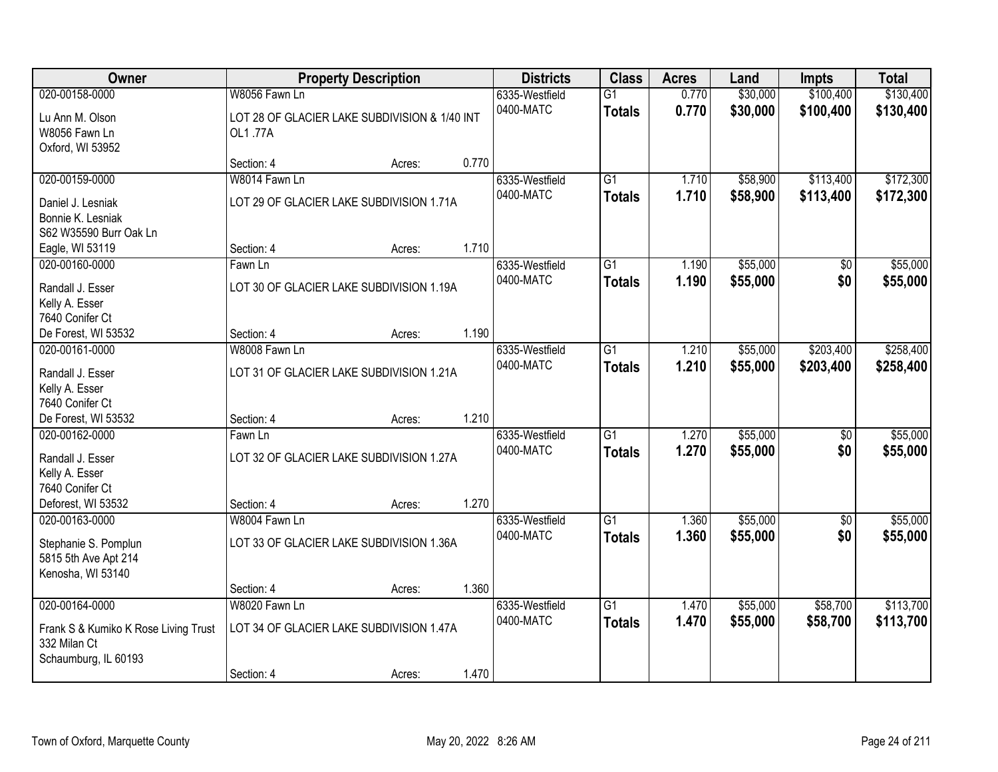| Owner                                                                   |                                                           | <b>Property Description</b> |       | <b>Districts</b>            | <b>Class</b>                     | <b>Acres</b>   | Land                 | <b>Impts</b>           | <b>Total</b>           |
|-------------------------------------------------------------------------|-----------------------------------------------------------|-----------------------------|-------|-----------------------------|----------------------------------|----------------|----------------------|------------------------|------------------------|
| 020-00158-0000                                                          | W8056 Fawn Ln                                             |                             |       | 6335-Westfield              | $\overline{G1}$                  | 0.770          | \$30,000             | \$100,400              | \$130,400              |
| Lu Ann M. Olson<br>W8056 Fawn Ln<br>Oxford, WI 53952                    | LOT 28 OF GLACIER LAKE SUBDIVISION & 1/40 INT<br>OL1.77A  |                             |       | 0400-MATC                   | <b>Totals</b>                    | 0.770          | \$30,000             | \$100,400              | \$130,400              |
|                                                                         | Section: 4                                                | Acres:                      | 0.770 |                             |                                  |                |                      |                        |                        |
| 020-00159-0000                                                          | W8014 Fawn Ln                                             |                             |       | 6335-Westfield              | $\overline{G1}$                  | 1.710          | \$58,900             | \$113,400              | \$172,300              |
| Daniel J. Lesniak<br>Bonnie K. Lesniak<br>S62 W35590 Burr Oak Ln        | LOT 29 OF GLACIER LAKE SUBDIVISION 1.71A                  |                             |       | 0400-MATC                   | <b>Totals</b>                    | 1.710          | \$58,900             | \$113,400              | \$172,300              |
| Eagle, WI 53119                                                         | Section: 4                                                | Acres:                      | 1.710 |                             |                                  |                |                      |                        |                        |
| 020-00160-0000<br>Randall J. Esser<br>Kelly A. Esser<br>7640 Conifer Ct | Fawn Ln<br>LOT 30 OF GLACIER LAKE SUBDIVISION 1.19A       |                             |       | 6335-Westfield<br>0400-MATC | G1<br><b>Totals</b>              | 1.190<br>1.190 | \$55,000<br>\$55,000 | \$0<br>\$0             | \$55,000<br>\$55,000   |
| De Forest, WI 53532                                                     | Section: 4                                                | Acres:                      | 1.190 |                             |                                  |                |                      |                        |                        |
| 020-00161-0000                                                          | W8008 Fawn Ln                                             |                             |       | 6335-Westfield              | $\overline{G1}$                  | 1.210          | \$55,000             | \$203,400              | \$258,400              |
| Randall J. Esser<br>Kelly A. Esser<br>7640 Conifer Ct                   | LOT 31 OF GLACIER LAKE SUBDIVISION 1.21A                  |                             |       | 0400-MATC                   | <b>Totals</b>                    | 1.210          | \$55,000             | \$203,400              | \$258,400              |
| De Forest, WI 53532                                                     | Section: 4                                                | Acres:                      | 1.210 |                             |                                  |                |                      |                        |                        |
| 020-00162-0000<br>Randall J. Esser<br>Kelly A. Esser<br>7640 Conifer Ct | Fawn Ln<br>LOT 32 OF GLACIER LAKE SUBDIVISION 1.27A       |                             |       | 6335-Westfield<br>0400-MATC | $\overline{G1}$<br><b>Totals</b> | 1.270<br>1.270 | \$55,000<br>\$55,000 | $\overline{50}$<br>\$0 | \$55,000<br>\$55,000   |
| Deforest, WI 53532                                                      | Section: 4                                                | Acres:                      | 1.270 |                             |                                  |                |                      |                        |                        |
| 020-00163-0000                                                          | W8004 Fawn Ln                                             |                             |       | 6335-Westfield              | $\overline{G1}$                  | 1.360          | \$55,000             | $\overline{50}$        | \$55,000               |
| Stephanie S. Pomplun<br>5815 5th Ave Apt 214<br>Kenosha, WI 53140       | LOT 33 OF GLACIER LAKE SUBDIVISION 1.36A                  |                             |       | 0400-MATC                   | <b>Totals</b>                    | 1.360          | \$55,000             | \$0                    | \$55,000               |
|                                                                         | Section: 4                                                | Acres:                      | 1.360 |                             |                                  |                |                      |                        |                        |
| 020-00164-0000<br>Frank S & Kumiko K Rose Living Trust<br>332 Milan Ct  | W8020 Fawn Ln<br>LOT 34 OF GLACIER LAKE SUBDIVISION 1.47A |                             |       | 6335-Westfield<br>0400-MATC | $\overline{G1}$<br><b>Totals</b> | 1.470<br>1.470 | \$55,000<br>\$55,000 | \$58,700<br>\$58,700   | \$113,700<br>\$113,700 |
| Schaumburg, IL 60193                                                    | Section: 4                                                | Acres:                      | 1.470 |                             |                                  |                |                      |                        |                        |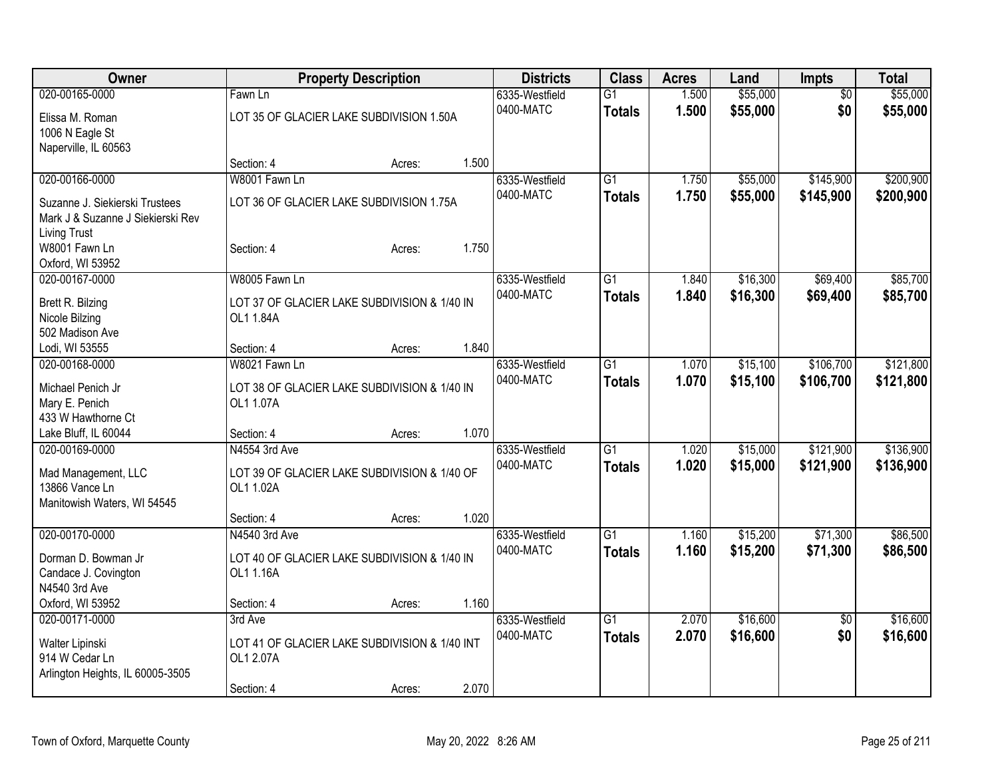| $\overline{G1}$<br>$\overline{50}$<br>Fawn Ln<br>6335-Westfield<br>\$0<br>0400-MATC<br>1.500<br>\$55,000<br>\$55,000<br><b>Totals</b><br>LOT 35 OF GLACIER LAKE SUBDIVISION 1.50A<br>Elissa M. Roman<br>1006 N Eagle St<br>Naperville, IL 60563<br>1.500<br>Section: 4<br>Acres:<br>\$55,000<br>\$145,900<br>020-00166-0000<br>W8001 Fawn Ln<br>6335-Westfield<br>$\overline{G1}$<br>1.750<br>0400-MATC<br>1.750<br>\$55,000<br>\$145,900<br><b>Totals</b><br>LOT 36 OF GLACIER LAKE SUBDIVISION 1.75A<br>Suzanne J. Siekierski Trustees<br>Mark J & Suzanne J Siekierski Rev<br><b>Living Trust</b><br>1.750<br>W8001 Fawn Ln<br>Section: 4<br>Acres:<br>Oxford, WI 53952<br>\$16,300<br>\$69,400<br>020-00167-0000<br>W8005 Fawn Ln<br>G1<br>6335-Westfield<br>1.840<br>0400-MATC<br>\$16,300<br>1.840<br>\$69,400<br><b>Totals</b><br>Brett R. Bilzing<br>LOT 37 OF GLACIER LAKE SUBDIVISION & 1/40 IN<br>Nicole Bilzing<br>OL1 1.84A<br>502 Madison Ave<br>1.840<br>Lodi, WI 53555<br>Section: 4<br>Acres:<br>\$106,700<br>020-00168-0000<br>W8021 Fawn Ln<br>$\overline{G1}$<br>1.070<br>\$15,100<br>6335-Westfield<br>0400-MATC<br>1.070<br>\$15,100<br>\$106,700<br><b>Totals</b><br>Michael Penich Jr<br>LOT 38 OF GLACIER LAKE SUBDIVISION & 1/40 IN<br>Mary E. Penich<br>OL1 1.07A<br>433 W Hawthorne Ct<br>1.070<br>Lake Bluff, IL 60044<br>Section: 4<br>Acres:<br>020-00169-0000<br>N4554 3rd Ave<br>$\overline{G1}$<br>\$15,000<br>\$121,900<br>6335-Westfield<br>1.020<br>0400-MATC<br>1.020<br>\$15,000<br>\$121,900<br>\$136,900<br><b>Totals</b><br>Mad Management, LLC<br>LOT 39 OF GLACIER LAKE SUBDIVISION & 1/40 OF<br>13866 Vance Ln<br>OL1 1.02A<br>Manitowish Waters, WI 54545<br>1.020<br>Section: 4<br>Acres:<br>\$15,200<br>020-00170-0000<br>$\overline{G1}$<br>\$71,300<br>N4540 3rd Ave<br>6335-Westfield<br>1.160<br>0400-MATC<br>1.160<br>\$15,200<br>\$71,300<br>\$86,500<br><b>Totals</b><br>Dorman D. Bowman Jr<br>LOT 40 OF GLACIER LAKE SUBDIVISION & 1/40 IN<br>Candace J. Covington<br>OL1 1.16A<br>N4540 3rd Ave<br>1.160<br>Oxford, WI 53952<br>Section: 4<br>Acres:<br>020-00171-0000<br>$\overline{G1}$<br>2.070<br>\$16,600<br>6335-Westfield<br>$\overline{50}$<br>3rd Ave<br>2.070<br>\$0<br>0400-MATC<br>\$16,600<br>\$16,600<br><b>Totals</b><br>LOT 41 OF GLACIER LAKE SUBDIVISION & 1/40 INT<br>Walter Lipinski<br>914 W Cedar Ln<br>OL1 2.07A<br>Arlington Heights, IL 60005-3505 | <b>Owner</b>   | <b>Property Description</b> |  |  | <b>Districts</b> | <b>Class</b> | <b>Acres</b> | Land     | <b>Impts</b> | <b>Total</b> |
|---------------------------------------------------------------------------------------------------------------------------------------------------------------------------------------------------------------------------------------------------------------------------------------------------------------------------------------------------------------------------------------------------------------------------------------------------------------------------------------------------------------------------------------------------------------------------------------------------------------------------------------------------------------------------------------------------------------------------------------------------------------------------------------------------------------------------------------------------------------------------------------------------------------------------------------------------------------------------------------------------------------------------------------------------------------------------------------------------------------------------------------------------------------------------------------------------------------------------------------------------------------------------------------------------------------------------------------------------------------------------------------------------------------------------------------------------------------------------------------------------------------------------------------------------------------------------------------------------------------------------------------------------------------------------------------------------------------------------------------------------------------------------------------------------------------------------------------------------------------------------------------------------------------------------------------------------------------------------------------------------------------------------------------------------------------------------------------------------------------------------------------------------------------------------------------------------------------------------------------------------------------------------------------------------------------------------------------------------------------------------------------------------------------------------------------|----------------|-----------------------------|--|--|------------------|--------------|--------------|----------|--------------|--------------|
|                                                                                                                                                                                                                                                                                                                                                                                                                                                                                                                                                                                                                                                                                                                                                                                                                                                                                                                                                                                                                                                                                                                                                                                                                                                                                                                                                                                                                                                                                                                                                                                                                                                                                                                                                                                                                                                                                                                                                                                                                                                                                                                                                                                                                                                                                                                                                                                                                                       | 020-00165-0000 |                             |  |  |                  |              | 1.500        | \$55,000 |              | \$55,000     |
|                                                                                                                                                                                                                                                                                                                                                                                                                                                                                                                                                                                                                                                                                                                                                                                                                                                                                                                                                                                                                                                                                                                                                                                                                                                                                                                                                                                                                                                                                                                                                                                                                                                                                                                                                                                                                                                                                                                                                                                                                                                                                                                                                                                                                                                                                                                                                                                                                                       |                |                             |  |  |                  |              |              |          |              |              |
|                                                                                                                                                                                                                                                                                                                                                                                                                                                                                                                                                                                                                                                                                                                                                                                                                                                                                                                                                                                                                                                                                                                                                                                                                                                                                                                                                                                                                                                                                                                                                                                                                                                                                                                                                                                                                                                                                                                                                                                                                                                                                                                                                                                                                                                                                                                                                                                                                                       |                |                             |  |  |                  |              |              |          |              |              |
|                                                                                                                                                                                                                                                                                                                                                                                                                                                                                                                                                                                                                                                                                                                                                                                                                                                                                                                                                                                                                                                                                                                                                                                                                                                                                                                                                                                                                                                                                                                                                                                                                                                                                                                                                                                                                                                                                                                                                                                                                                                                                                                                                                                                                                                                                                                                                                                                                                       |                |                             |  |  |                  |              |              |          |              |              |
|                                                                                                                                                                                                                                                                                                                                                                                                                                                                                                                                                                                                                                                                                                                                                                                                                                                                                                                                                                                                                                                                                                                                                                                                                                                                                                                                                                                                                                                                                                                                                                                                                                                                                                                                                                                                                                                                                                                                                                                                                                                                                                                                                                                                                                                                                                                                                                                                                                       |                |                             |  |  |                  |              |              |          |              |              |
| \$200,900<br>\$85,700<br>\$85,700<br>\$121,800<br>\$121,800<br>\$136,900<br>\$86,500<br>\$16,600                                                                                                                                                                                                                                                                                                                                                                                                                                                                                                                                                                                                                                                                                                                                                                                                                                                                                                                                                                                                                                                                                                                                                                                                                                                                                                                                                                                                                                                                                                                                                                                                                                                                                                                                                                                                                                                                                                                                                                                                                                                                                                                                                                                                                                                                                                                                      |                |                             |  |  |                  |              |              |          |              | \$200,900    |
|                                                                                                                                                                                                                                                                                                                                                                                                                                                                                                                                                                                                                                                                                                                                                                                                                                                                                                                                                                                                                                                                                                                                                                                                                                                                                                                                                                                                                                                                                                                                                                                                                                                                                                                                                                                                                                                                                                                                                                                                                                                                                                                                                                                                                                                                                                                                                                                                                                       |                |                             |  |  |                  |              |              |          |              |              |
|                                                                                                                                                                                                                                                                                                                                                                                                                                                                                                                                                                                                                                                                                                                                                                                                                                                                                                                                                                                                                                                                                                                                                                                                                                                                                                                                                                                                                                                                                                                                                                                                                                                                                                                                                                                                                                                                                                                                                                                                                                                                                                                                                                                                                                                                                                                                                                                                                                       |                |                             |  |  |                  |              |              |          |              |              |
|                                                                                                                                                                                                                                                                                                                                                                                                                                                                                                                                                                                                                                                                                                                                                                                                                                                                                                                                                                                                                                                                                                                                                                                                                                                                                                                                                                                                                                                                                                                                                                                                                                                                                                                                                                                                                                                                                                                                                                                                                                                                                                                                                                                                                                                                                                                                                                                                                                       |                |                             |  |  |                  |              |              |          |              |              |
|                                                                                                                                                                                                                                                                                                                                                                                                                                                                                                                                                                                                                                                                                                                                                                                                                                                                                                                                                                                                                                                                                                                                                                                                                                                                                                                                                                                                                                                                                                                                                                                                                                                                                                                                                                                                                                                                                                                                                                                                                                                                                                                                                                                                                                                                                                                                                                                                                                       |                |                             |  |  |                  |              |              |          |              |              |
|                                                                                                                                                                                                                                                                                                                                                                                                                                                                                                                                                                                                                                                                                                                                                                                                                                                                                                                                                                                                                                                                                                                                                                                                                                                                                                                                                                                                                                                                                                                                                                                                                                                                                                                                                                                                                                                                                                                                                                                                                                                                                                                                                                                                                                                                                                                                                                                                                                       |                |                             |  |  |                  |              |              |          |              |              |
|                                                                                                                                                                                                                                                                                                                                                                                                                                                                                                                                                                                                                                                                                                                                                                                                                                                                                                                                                                                                                                                                                                                                                                                                                                                                                                                                                                                                                                                                                                                                                                                                                                                                                                                                                                                                                                                                                                                                                                                                                                                                                                                                                                                                                                                                                                                                                                                                                                       |                |                             |  |  |                  |              |              |          |              |              |
|                                                                                                                                                                                                                                                                                                                                                                                                                                                                                                                                                                                                                                                                                                                                                                                                                                                                                                                                                                                                                                                                                                                                                                                                                                                                                                                                                                                                                                                                                                                                                                                                                                                                                                                                                                                                                                                                                                                                                                                                                                                                                                                                                                                                                                                                                                                                                                                                                                       |                |                             |  |  |                  |              |              |          |              |              |
|                                                                                                                                                                                                                                                                                                                                                                                                                                                                                                                                                                                                                                                                                                                                                                                                                                                                                                                                                                                                                                                                                                                                                                                                                                                                                                                                                                                                                                                                                                                                                                                                                                                                                                                                                                                                                                                                                                                                                                                                                                                                                                                                                                                                                                                                                                                                                                                                                                       |                |                             |  |  |                  |              |              |          |              |              |
|                                                                                                                                                                                                                                                                                                                                                                                                                                                                                                                                                                                                                                                                                                                                                                                                                                                                                                                                                                                                                                                                                                                                                                                                                                                                                                                                                                                                                                                                                                                                                                                                                                                                                                                                                                                                                                                                                                                                                                                                                                                                                                                                                                                                                                                                                                                                                                                                                                       |                |                             |  |  |                  |              |              |          |              |              |
|                                                                                                                                                                                                                                                                                                                                                                                                                                                                                                                                                                                                                                                                                                                                                                                                                                                                                                                                                                                                                                                                                                                                                                                                                                                                                                                                                                                                                                                                                                                                                                                                                                                                                                                                                                                                                                                                                                                                                                                                                                                                                                                                                                                                                                                                                                                                                                                                                                       |                |                             |  |  |                  |              |              |          |              |              |
|                                                                                                                                                                                                                                                                                                                                                                                                                                                                                                                                                                                                                                                                                                                                                                                                                                                                                                                                                                                                                                                                                                                                                                                                                                                                                                                                                                                                                                                                                                                                                                                                                                                                                                                                                                                                                                                                                                                                                                                                                                                                                                                                                                                                                                                                                                                                                                                                                                       |                |                             |  |  |                  |              |              |          |              |              |
|                                                                                                                                                                                                                                                                                                                                                                                                                                                                                                                                                                                                                                                                                                                                                                                                                                                                                                                                                                                                                                                                                                                                                                                                                                                                                                                                                                                                                                                                                                                                                                                                                                                                                                                                                                                                                                                                                                                                                                                                                                                                                                                                                                                                                                                                                                                                                                                                                                       |                |                             |  |  |                  |              |              |          |              |              |
|                                                                                                                                                                                                                                                                                                                                                                                                                                                                                                                                                                                                                                                                                                                                                                                                                                                                                                                                                                                                                                                                                                                                                                                                                                                                                                                                                                                                                                                                                                                                                                                                                                                                                                                                                                                                                                                                                                                                                                                                                                                                                                                                                                                                                                                                                                                                                                                                                                       |                |                             |  |  |                  |              |              |          |              |              |
|                                                                                                                                                                                                                                                                                                                                                                                                                                                                                                                                                                                                                                                                                                                                                                                                                                                                                                                                                                                                                                                                                                                                                                                                                                                                                                                                                                                                                                                                                                                                                                                                                                                                                                                                                                                                                                                                                                                                                                                                                                                                                                                                                                                                                                                                                                                                                                                                                                       |                |                             |  |  |                  |              |              |          |              |              |
|                                                                                                                                                                                                                                                                                                                                                                                                                                                                                                                                                                                                                                                                                                                                                                                                                                                                                                                                                                                                                                                                                                                                                                                                                                                                                                                                                                                                                                                                                                                                                                                                                                                                                                                                                                                                                                                                                                                                                                                                                                                                                                                                                                                                                                                                                                                                                                                                                                       |                |                             |  |  |                  |              |              |          |              |              |
|                                                                                                                                                                                                                                                                                                                                                                                                                                                                                                                                                                                                                                                                                                                                                                                                                                                                                                                                                                                                                                                                                                                                                                                                                                                                                                                                                                                                                                                                                                                                                                                                                                                                                                                                                                                                                                                                                                                                                                                                                                                                                                                                                                                                                                                                                                                                                                                                                                       |                |                             |  |  |                  |              |              |          |              |              |
|                                                                                                                                                                                                                                                                                                                                                                                                                                                                                                                                                                                                                                                                                                                                                                                                                                                                                                                                                                                                                                                                                                                                                                                                                                                                                                                                                                                                                                                                                                                                                                                                                                                                                                                                                                                                                                                                                                                                                                                                                                                                                                                                                                                                                                                                                                                                                                                                                                       |                |                             |  |  |                  |              |              |          |              |              |
|                                                                                                                                                                                                                                                                                                                                                                                                                                                                                                                                                                                                                                                                                                                                                                                                                                                                                                                                                                                                                                                                                                                                                                                                                                                                                                                                                                                                                                                                                                                                                                                                                                                                                                                                                                                                                                                                                                                                                                                                                                                                                                                                                                                                                                                                                                                                                                                                                                       |                |                             |  |  |                  |              |              |          |              |              |
|                                                                                                                                                                                                                                                                                                                                                                                                                                                                                                                                                                                                                                                                                                                                                                                                                                                                                                                                                                                                                                                                                                                                                                                                                                                                                                                                                                                                                                                                                                                                                                                                                                                                                                                                                                                                                                                                                                                                                                                                                                                                                                                                                                                                                                                                                                                                                                                                                                       |                |                             |  |  |                  |              |              |          |              |              |
|                                                                                                                                                                                                                                                                                                                                                                                                                                                                                                                                                                                                                                                                                                                                                                                                                                                                                                                                                                                                                                                                                                                                                                                                                                                                                                                                                                                                                                                                                                                                                                                                                                                                                                                                                                                                                                                                                                                                                                                                                                                                                                                                                                                                                                                                                                                                                                                                                                       |                |                             |  |  |                  |              |              |          |              |              |
|                                                                                                                                                                                                                                                                                                                                                                                                                                                                                                                                                                                                                                                                                                                                                                                                                                                                                                                                                                                                                                                                                                                                                                                                                                                                                                                                                                                                                                                                                                                                                                                                                                                                                                                                                                                                                                                                                                                                                                                                                                                                                                                                                                                                                                                                                                                                                                                                                                       |                |                             |  |  |                  |              |              |          |              |              |
|                                                                                                                                                                                                                                                                                                                                                                                                                                                                                                                                                                                                                                                                                                                                                                                                                                                                                                                                                                                                                                                                                                                                                                                                                                                                                                                                                                                                                                                                                                                                                                                                                                                                                                                                                                                                                                                                                                                                                                                                                                                                                                                                                                                                                                                                                                                                                                                                                                       |                |                             |  |  |                  |              |              |          |              |              |
|                                                                                                                                                                                                                                                                                                                                                                                                                                                                                                                                                                                                                                                                                                                                                                                                                                                                                                                                                                                                                                                                                                                                                                                                                                                                                                                                                                                                                                                                                                                                                                                                                                                                                                                                                                                                                                                                                                                                                                                                                                                                                                                                                                                                                                                                                                                                                                                                                                       |                |                             |  |  |                  |              |              |          |              |              |
|                                                                                                                                                                                                                                                                                                                                                                                                                                                                                                                                                                                                                                                                                                                                                                                                                                                                                                                                                                                                                                                                                                                                                                                                                                                                                                                                                                                                                                                                                                                                                                                                                                                                                                                                                                                                                                                                                                                                                                                                                                                                                                                                                                                                                                                                                                                                                                                                                                       |                |                             |  |  |                  |              |              |          |              |              |
|                                                                                                                                                                                                                                                                                                                                                                                                                                                                                                                                                                                                                                                                                                                                                                                                                                                                                                                                                                                                                                                                                                                                                                                                                                                                                                                                                                                                                                                                                                                                                                                                                                                                                                                                                                                                                                                                                                                                                                                                                                                                                                                                                                                                                                                                                                                                                                                                                                       |                |                             |  |  |                  |              |              |          |              |              |
|                                                                                                                                                                                                                                                                                                                                                                                                                                                                                                                                                                                                                                                                                                                                                                                                                                                                                                                                                                                                                                                                                                                                                                                                                                                                                                                                                                                                                                                                                                                                                                                                                                                                                                                                                                                                                                                                                                                                                                                                                                                                                                                                                                                                                                                                                                                                                                                                                                       |                |                             |  |  |                  |              |              |          |              |              |
|                                                                                                                                                                                                                                                                                                                                                                                                                                                                                                                                                                                                                                                                                                                                                                                                                                                                                                                                                                                                                                                                                                                                                                                                                                                                                                                                                                                                                                                                                                                                                                                                                                                                                                                                                                                                                                                                                                                                                                                                                                                                                                                                                                                                                                                                                                                                                                                                                                       |                |                             |  |  |                  |              |              |          |              |              |
|                                                                                                                                                                                                                                                                                                                                                                                                                                                                                                                                                                                                                                                                                                                                                                                                                                                                                                                                                                                                                                                                                                                                                                                                                                                                                                                                                                                                                                                                                                                                                                                                                                                                                                                                                                                                                                                                                                                                                                                                                                                                                                                                                                                                                                                                                                                                                                                                                                       |                |                             |  |  |                  |              |              |          |              |              |
|                                                                                                                                                                                                                                                                                                                                                                                                                                                                                                                                                                                                                                                                                                                                                                                                                                                                                                                                                                                                                                                                                                                                                                                                                                                                                                                                                                                                                                                                                                                                                                                                                                                                                                                                                                                                                                                                                                                                                                                                                                                                                                                                                                                                                                                                                                                                                                                                                                       |                |                             |  |  |                  |              |              |          |              |              |
|                                                                                                                                                                                                                                                                                                                                                                                                                                                                                                                                                                                                                                                                                                                                                                                                                                                                                                                                                                                                                                                                                                                                                                                                                                                                                                                                                                                                                                                                                                                                                                                                                                                                                                                                                                                                                                                                                                                                                                                                                                                                                                                                                                                                                                                                                                                                                                                                                                       |                |                             |  |  |                  |              |              |          |              |              |
|                                                                                                                                                                                                                                                                                                                                                                                                                                                                                                                                                                                                                                                                                                                                                                                                                                                                                                                                                                                                                                                                                                                                                                                                                                                                                                                                                                                                                                                                                                                                                                                                                                                                                                                                                                                                                                                                                                                                                                                                                                                                                                                                                                                                                                                                                                                                                                                                                                       |                |                             |  |  |                  |              |              |          |              |              |
| 2.070<br>Section: 4<br>Acres:                                                                                                                                                                                                                                                                                                                                                                                                                                                                                                                                                                                                                                                                                                                                                                                                                                                                                                                                                                                                                                                                                                                                                                                                                                                                                                                                                                                                                                                                                                                                                                                                                                                                                                                                                                                                                                                                                                                                                                                                                                                                                                                                                                                                                                                                                                                                                                                                         |                |                             |  |  |                  |              |              |          |              |              |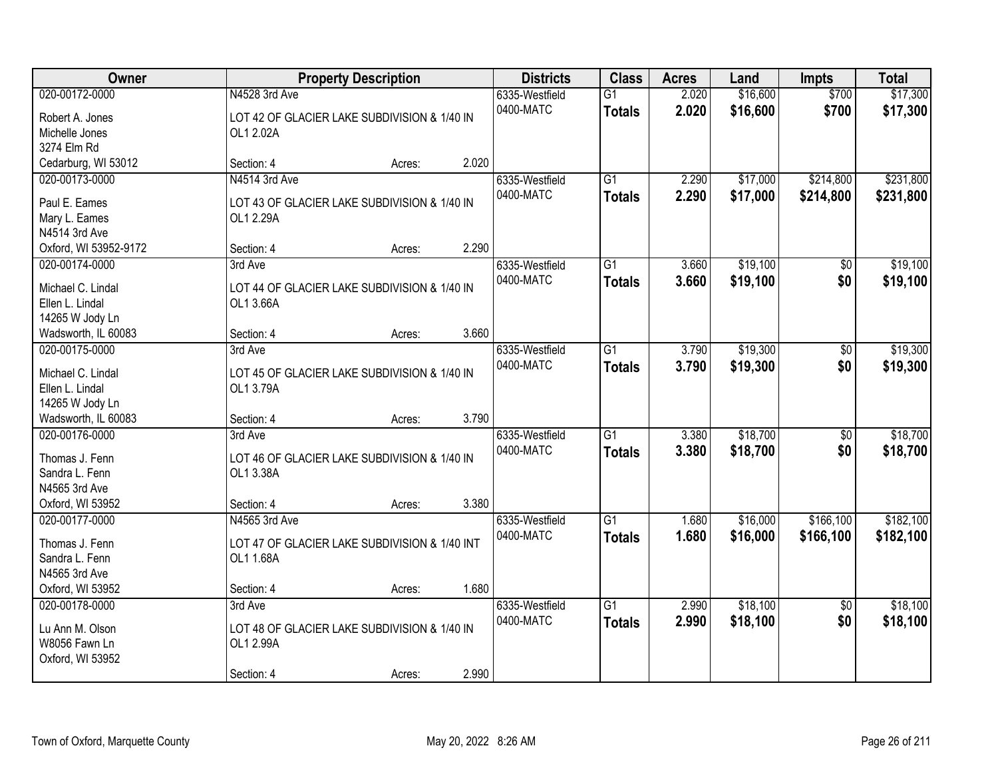| Owner                                                                                   |                                                                                    | <b>Property Description</b> |       | <b>Districts</b>            | <b>Class</b>                     | <b>Acres</b>   | Land                 | <b>Impts</b>           | <b>Total</b>           |
|-----------------------------------------------------------------------------------------|------------------------------------------------------------------------------------|-----------------------------|-------|-----------------------------|----------------------------------|----------------|----------------------|------------------------|------------------------|
| 020-00172-0000<br>Robert A. Jones<br>Michelle Jones<br>3274 Elm Rd                      | N4528 3rd Ave<br>LOT 42 OF GLACIER LAKE SUBDIVISION & 1/40 IN<br>OL1 2.02A         |                             |       | 6335-Westfield<br>0400-MATC | $\overline{G1}$<br><b>Totals</b> | 2.020<br>2.020 | \$16,600<br>\$16,600 | \$700<br>\$700         | \$17,300<br>\$17,300   |
| Cedarburg, WI 53012                                                                     | Section: 4                                                                         | Acres:                      | 2.020 |                             |                                  |                |                      |                        |                        |
| 020-00173-0000<br>Paul E. Eames<br>Mary L. Eames<br>N4514 3rd Ave                       | N4514 3rd Ave<br>LOT 43 OF GLACIER LAKE SUBDIVISION & 1/40 IN<br>OL1 2.29A         |                             |       | 6335-Westfield<br>0400-MATC | $\overline{G1}$<br><b>Totals</b> | 2.290<br>2.290 | \$17,000<br>\$17,000 | \$214,800<br>\$214,800 | \$231,800<br>\$231,800 |
| Oxford, WI 53952-9172                                                                   | Section: 4                                                                         | Acres:                      | 2.290 |                             |                                  |                |                      |                        |                        |
| 020-00174-0000<br>Michael C. Lindal<br>Ellen L. Lindal<br>14265 W Jody Ln               | 3rd Ave<br>LOT 44 OF GLACIER LAKE SUBDIVISION & 1/40 IN<br>OL1 3.66A               |                             |       | 6335-Westfield<br>0400-MATC | $\overline{G1}$<br><b>Totals</b> | 3.660<br>3.660 | \$19,100<br>\$19,100 | \$0<br>\$0             | \$19,100<br>\$19,100   |
| Wadsworth, IL 60083                                                                     | Section: 4                                                                         | Acres:                      | 3.660 |                             | $\overline{G1}$                  |                |                      |                        |                        |
| 020-00175-0000<br>Michael C. Lindal<br>Ellen L. Lindal<br>14265 W Jody Ln               | 3rd Ave<br>LOT 45 OF GLACIER LAKE SUBDIVISION & 1/40 IN<br>OL1 3.79A               |                             |       | 6335-Westfield<br>0400-MATC | <b>Totals</b>                    | 3.790<br>3.790 | \$19,300<br>\$19,300 | \$0<br>\$0             | \$19,300<br>\$19,300   |
| Wadsworth, IL 60083                                                                     | Section: 4                                                                         | Acres:                      | 3.790 |                             |                                  |                |                      |                        |                        |
| 020-00176-0000<br>Thomas J. Fenn<br>Sandra L. Fenn<br>N4565 3rd Ave<br>Oxford, WI 53952 | 3rd Ave<br>LOT 46 OF GLACIER LAKE SUBDIVISION & 1/40 IN<br>OL1 3.38A<br>Section: 4 | Acres:                      | 3.380 | 6335-Westfield<br>0400-MATC | $\overline{G1}$<br><b>Totals</b> | 3.380<br>3.380 | \$18,700<br>\$18,700 | $\overline{50}$<br>\$0 | \$18,700<br>\$18,700   |
| 020-00177-0000                                                                          | N4565 3rd Ave                                                                      |                             |       | 6335-Westfield              | $\overline{G1}$                  | 1.680          | \$16,000             | \$166,100              | \$182,100              |
| Thomas J. Fenn<br>Sandra L. Fenn<br>N4565 3rd Ave<br>Oxford, WI 53952                   | LOT 47 OF GLACIER LAKE SUBDIVISION & 1/40 INT<br>OL1 1.68A<br>Section: 4           | Acres:                      | 1.680 | 0400-MATC                   | <b>Totals</b>                    | 1.680          | \$16,000             | \$166,100              | \$182,100              |
| 020-00178-0000                                                                          | 3rd Ave                                                                            |                             |       | 6335-Westfield              | $\overline{G1}$                  | 2.990          | \$18,100             | $\overline{30}$        | \$18,100               |
| Lu Ann M. Olson<br>W8056 Fawn Ln<br>Oxford, WI 53952                                    | LOT 48 OF GLACIER LAKE SUBDIVISION & 1/40 IN<br>OL1 2.99A<br>Section: 4            | Acres:                      | 2.990 | 0400-MATC                   | <b>Totals</b>                    | 2.990          | \$18,100             | \$0                    | \$18,100               |
|                                                                                         |                                                                                    |                             |       |                             |                                  |                |                      |                        |                        |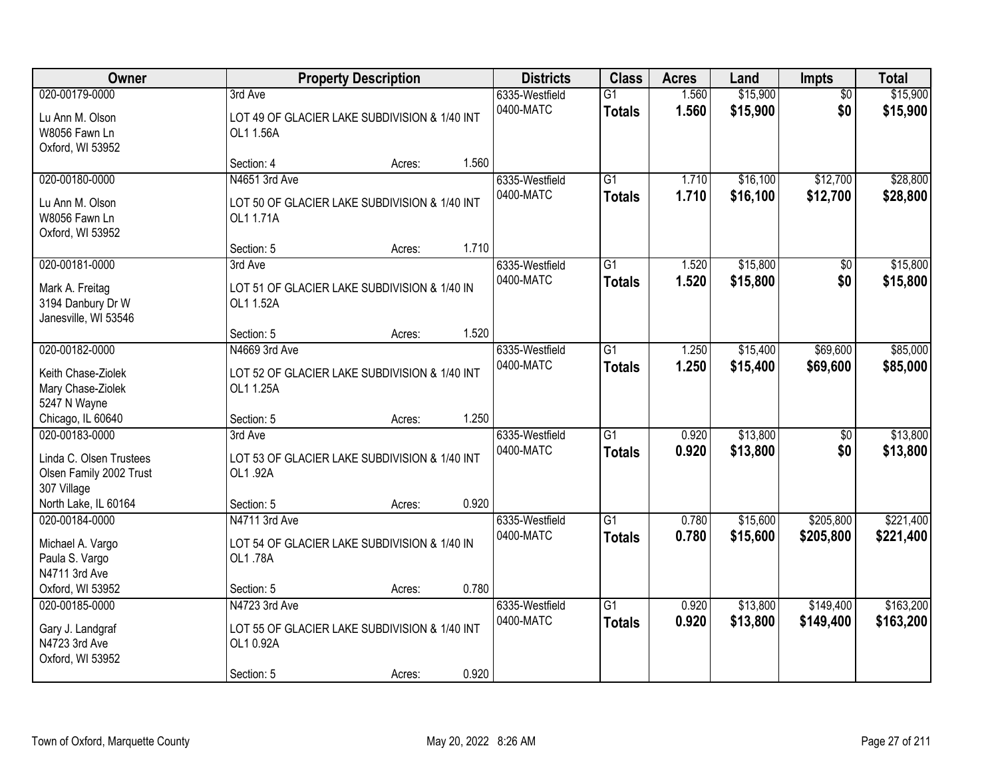| Owner                                                                               |                                          | <b>Property Description</b>                             |       |                             | <b>Class</b>                     | <b>Acres</b>   | Land                 | <b>Impts</b>           | <b>Total</b>           |
|-------------------------------------------------------------------------------------|------------------------------------------|---------------------------------------------------------|-------|-----------------------------|----------------------------------|----------------|----------------------|------------------------|------------------------|
| 020-00179-0000<br>Lu Ann M. Olson<br>W8056 Fawn Ln<br>Oxford, WI 53952              | 3rd Ave<br>OL1 1.56A                     | LOT 49 OF GLACIER LAKE SUBDIVISION & 1/40 INT           |       | 6335-Westfield<br>0400-MATC | $\overline{G1}$<br><b>Totals</b> | 1.560<br>1.560 | \$15,900<br>\$15,900 | $\overline{50}$<br>\$0 | \$15,900<br>\$15,900   |
|                                                                                     | Section: 4                               | Acres:                                                  | 1.560 |                             |                                  |                |                      |                        |                        |
| 020-00180-0000<br>Lu Ann M. Olson<br>W8056 Fawn Ln<br>Oxford, WI 53952              | N4651 3rd Ave<br>OL1 1.71A               | LOT 50 OF GLACIER LAKE SUBDIVISION & 1/40 INT           |       | 6335-Westfield<br>0400-MATC | $\overline{G1}$<br><b>Totals</b> | 1.710<br>1.710 | \$16,100<br>\$16,100 | \$12,700<br>\$12,700   | \$28,800<br>\$28,800   |
|                                                                                     | Section: 5                               | Acres:                                                  | 1.710 |                             |                                  |                |                      |                        |                        |
| 020-00181-0000<br>Mark A. Freitag<br>3194 Danbury Dr W<br>Janesville, WI 53546      | 3rd Ave<br>OL1 1.52A                     | LOT 51 OF GLACIER LAKE SUBDIVISION & 1/40 IN            |       | 6335-Westfield<br>0400-MATC | $\overline{G1}$<br><b>Totals</b> | 1.520<br>1.520 | \$15,800<br>\$15,800 | \$0<br>\$0             | \$15,800<br>\$15,800   |
|                                                                                     | Section: 5                               | Acres:                                                  | 1.520 |                             |                                  |                |                      |                        |                        |
| 020-00182-0000<br>Keith Chase-Ziolek<br>Mary Chase-Ziolek<br>5247 N Wayne           | N4669 3rd Ave<br>OL1 1.25A               | LOT 52 OF GLACIER LAKE SUBDIVISION & 1/40 INT           |       | 6335-Westfield<br>0400-MATC | $\overline{G1}$<br><b>Totals</b> | 1.250<br>1.250 | \$15,400<br>\$15,400 | \$69,600<br>\$69,600   | \$85,000<br>\$85,000   |
| Chicago, IL 60640                                                                   | Section: 5                               | Acres:                                                  | 1.250 |                             |                                  |                |                      |                        |                        |
| 020-00183-0000<br>Linda C. Olsen Trustees<br>Olsen Family 2002 Trust<br>307 Village | 3rd Ave<br>OL1.92A                       | LOT 53 OF GLACIER LAKE SUBDIVISION & 1/40 INT           |       | 6335-Westfield<br>0400-MATC | $\overline{G1}$<br><b>Totals</b> | 0.920<br>0.920 | \$13,800<br>\$13,800 | $\overline{50}$<br>\$0 | \$13,800<br>\$13,800   |
| North Lake, IL 60164                                                                | Section: 5                               | Acres:                                                  | 0.920 |                             |                                  |                |                      |                        |                        |
| 020-00184-0000<br>Michael A. Vargo<br>Paula S. Vargo<br>N4711 3rd Ave               | N4711 3rd Ave<br>OL1.78A                 | LOT 54 OF GLACIER LAKE SUBDIVISION & 1/40 IN            |       | 6335-Westfield<br>0400-MATC | $\overline{G1}$<br><b>Totals</b> | 0.780<br>0.780 | \$15,600<br>\$15,600 | \$205,800<br>\$205,800 | \$221,400<br>\$221,400 |
| Oxford, WI 53952                                                                    | Section: 5                               | Acres:                                                  | 0.780 |                             |                                  |                |                      |                        |                        |
| 020-00185-0000<br>Gary J. Landgraf<br>N4723 3rd Ave<br>Oxford, WI 53952             | N4723 3rd Ave<br>OL1 0.92A<br>Section: 5 | LOT 55 OF GLACIER LAKE SUBDIVISION & 1/40 INT<br>Acres: | 0.920 | 6335-Westfield<br>0400-MATC | $\overline{G1}$<br><b>Totals</b> | 0.920<br>0.920 | \$13,800<br>\$13,800 | \$149,400<br>\$149,400 | \$163,200<br>\$163,200 |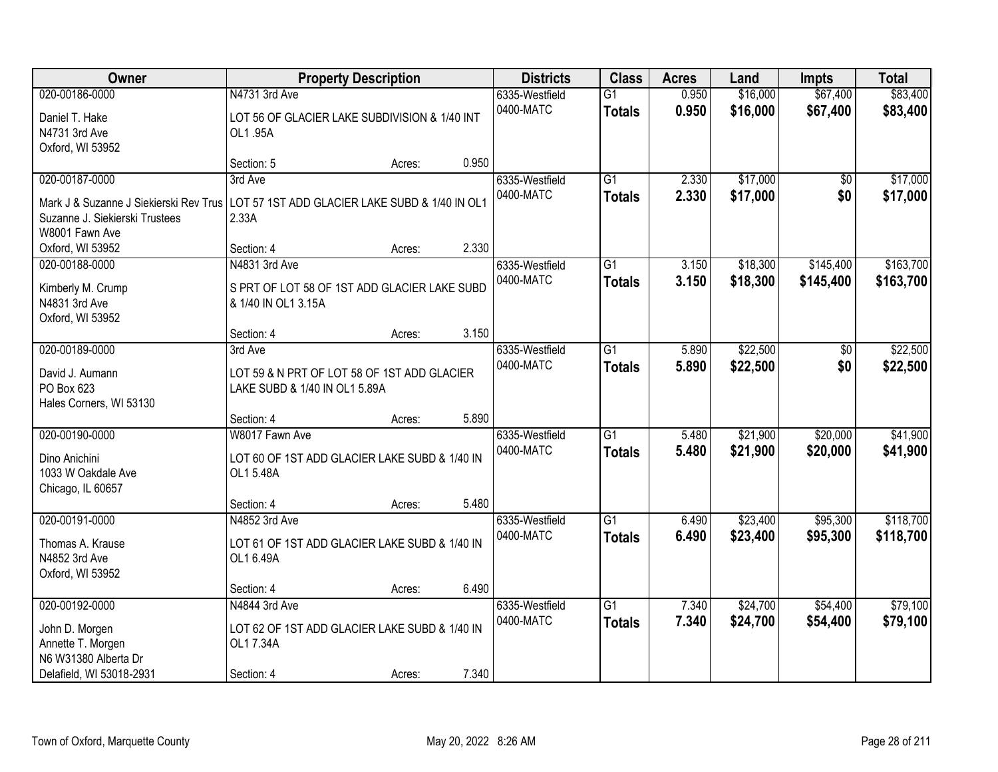| Owner                                                                                                                                                         |                                                                                           | <b>Property Description</b> |       | <b>Districts</b>            | <b>Class</b>                     | <b>Acres</b>   | Land                 | <b>Impts</b>           | <b>Total</b>           |
|---------------------------------------------------------------------------------------------------------------------------------------------------------------|-------------------------------------------------------------------------------------------|-----------------------------|-------|-----------------------------|----------------------------------|----------------|----------------------|------------------------|------------------------|
| 020-00186-0000<br>Daniel T. Hake<br>N4731 3rd Ave<br>Oxford, WI 53952                                                                                         | N4731 3rd Ave<br>LOT 56 OF GLACIER LAKE SUBDIVISION & 1/40 INT<br>OL1.95A                 |                             |       | 6335-Westfield<br>0400-MATC | $\overline{G1}$<br><b>Totals</b> | 0.950<br>0.950 | \$16,000<br>\$16,000 | \$67,400<br>\$67,400   | \$83,400<br>\$83,400   |
|                                                                                                                                                               | Section: 5                                                                                | Acres:                      | 0.950 |                             |                                  |                |                      |                        |                        |
| 020-00187-0000<br>Mark J & Suzanne J Siekierski Rev Trus   LOT 57 1ST ADD GLACIER LAKE SUBD & 1/40 IN OL1<br>Suzanne J. Siekierski Trustees<br>W8001 Fawn Ave | 3rd Ave<br>2.33A                                                                          |                             |       | 6335-Westfield<br>0400-MATC | $\overline{G1}$<br><b>Totals</b> | 2.330<br>2.330 | \$17,000<br>\$17,000 | \$0<br>\$0             | \$17,000<br>\$17,000   |
| Oxford, WI 53952                                                                                                                                              | Section: 4                                                                                | Acres:                      | 2.330 |                             |                                  |                |                      |                        |                        |
| 020-00188-0000<br>Kimberly M. Crump<br>N4831 3rd Ave<br>Oxford, WI 53952                                                                                      | N4831 3rd Ave<br>S PRT OF LOT 58 OF 1ST ADD GLACIER LAKE SUBD<br>& 1/40 IN OL1 3.15A      |                             |       | 6335-Westfield<br>0400-MATC | $\overline{G1}$<br><b>Totals</b> | 3.150<br>3.150 | \$18,300<br>\$18,300 | \$145,400<br>\$145,400 | \$163,700<br>\$163,700 |
|                                                                                                                                                               | Section: 4                                                                                | Acres:                      | 3.150 |                             |                                  |                |                      |                        |                        |
| 020-00189-0000<br>David J. Aumann<br>PO Box 623<br>Hales Corners, WI 53130                                                                                    | 3rd Ave<br>LOT 59 & N PRT OF LOT 58 OF 1ST ADD GLACIER<br>LAKE SUBD & 1/40 IN OL1 5.89A   |                             |       | 6335-Westfield<br>0400-MATC | G1<br><b>Totals</b>              | 5.890<br>5.890 | \$22,500<br>\$22,500 | $\sqrt[6]{3}$<br>\$0   | \$22,500<br>\$22,500   |
|                                                                                                                                                               | Section: 4                                                                                | Acres:                      | 5.890 |                             |                                  |                |                      |                        |                        |
| 020-00190-0000<br>Dino Anichini<br>1033 W Oakdale Ave<br>Chicago, IL 60657                                                                                    | W8017 Fawn Ave<br>LOT 60 OF 1ST ADD GLACIER LAKE SUBD & 1/40 IN<br>OL1 5.48A              |                             |       | 6335-Westfield<br>0400-MATC | $\overline{G1}$<br><b>Totals</b> | 5.480<br>5.480 | \$21,900<br>\$21,900 | \$20,000<br>\$20,000   | \$41,900<br>\$41,900   |
|                                                                                                                                                               | Section: 4                                                                                | Acres:                      | 5.480 |                             |                                  |                |                      |                        |                        |
| 020-00191-0000<br>Thomas A. Krause<br>N4852 3rd Ave<br>Oxford, WI 53952                                                                                       | N4852 3rd Ave<br>LOT 61 OF 1ST ADD GLACIER LAKE SUBD & 1/40 IN<br>OL1 6.49A               |                             |       | 6335-Westfield<br>0400-MATC | $\overline{G1}$<br><b>Totals</b> | 6.490<br>6.490 | \$23,400<br>\$23,400 | \$95,300<br>\$95,300   | \$118,700<br>\$118,700 |
|                                                                                                                                                               | Section: 4                                                                                | Acres:                      | 6.490 |                             |                                  |                |                      |                        |                        |
| 020-00192-0000<br>John D. Morgen<br>Annette T. Morgen<br>N6 W31380 Alberta Dr<br>Delafield, WI 53018-2931                                                     | N4844 3rd Ave<br>LOT 62 OF 1ST ADD GLACIER LAKE SUBD & 1/40 IN<br>OL1 7.34A<br>Section: 4 | Acres:                      | 7.340 | 6335-Westfield<br>0400-MATC | $\overline{G1}$<br><b>Totals</b> | 7.340<br>7.340 | \$24,700<br>\$24,700 | \$54,400<br>\$54,400   | \$79,100<br>\$79,100   |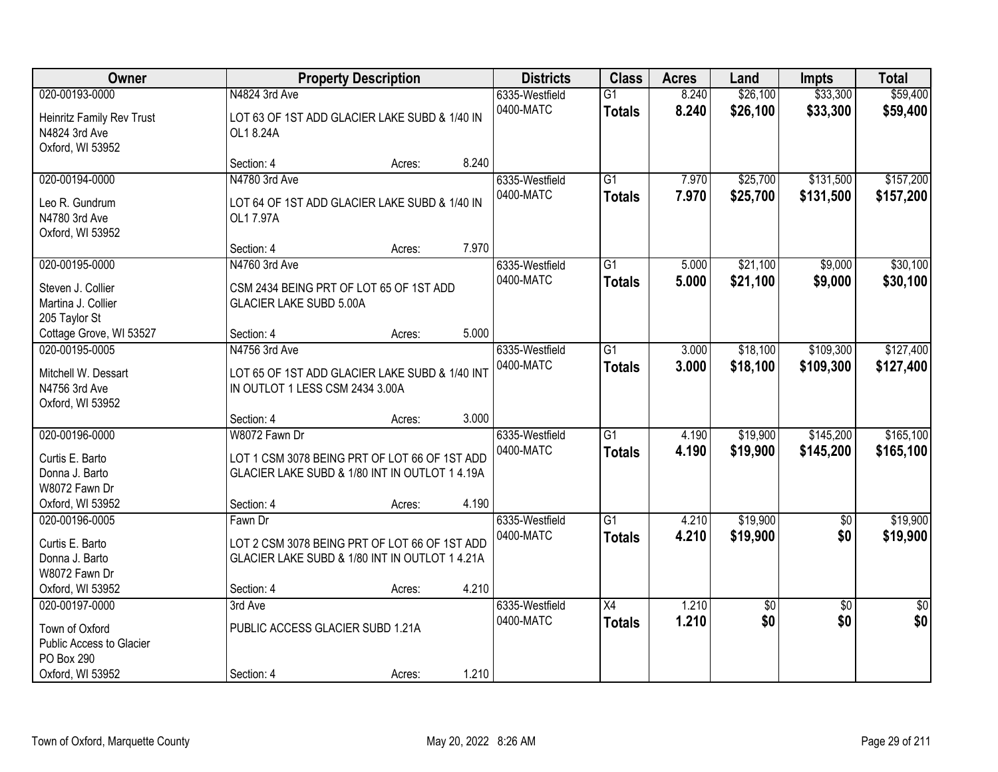| Owner                                                                                          | <b>Property Description</b>                                                                                                    | <b>Districts</b> | <b>Class</b> | <b>Acres</b>                | Land                             | <b>Impts</b>   | <b>Total</b>         |                        |                        |
|------------------------------------------------------------------------------------------------|--------------------------------------------------------------------------------------------------------------------------------|------------------|--------------|-----------------------------|----------------------------------|----------------|----------------------|------------------------|------------------------|
| 020-00193-0000<br>Heinritz Family Rev Trust<br>N4824 3rd Ave<br>Oxford, WI 53952               | N4824 3rd Ave<br>LOT 63 OF 1ST ADD GLACIER LAKE SUBD & 1/40 IN<br>OL1 8.24A                                                    |                  |              | 6335-Westfield<br>0400-MATC | $\overline{G1}$<br><b>Totals</b> | 8.240<br>8.240 | \$26,100<br>\$26,100 | \$33,300<br>\$33,300   | \$59,400<br>\$59,400   |
|                                                                                                | Section: 4                                                                                                                     | Acres:           | 8.240        |                             |                                  |                |                      |                        |                        |
| 020-00194-0000<br>Leo R. Gundrum<br>N4780 3rd Ave<br>Oxford, WI 53952                          | N4780 3rd Ave<br>LOT 64 OF 1ST ADD GLACIER LAKE SUBD & 1/40 IN<br>OL17.97A                                                     |                  |              | 6335-Westfield<br>0400-MATC | $\overline{G1}$<br><b>Totals</b> | 7.970<br>7.970 | \$25,700<br>\$25,700 | \$131,500<br>\$131,500 | \$157,200<br>\$157,200 |
|                                                                                                | Section: 4                                                                                                                     | Acres:           | 7.970        |                             |                                  |                |                      |                        |                        |
| 020-00195-0000<br>Steven J. Collier<br>Martina J. Collier<br>205 Taylor St                     | N4760 3rd Ave<br>CSM 2434 BEING PRT OF LOT 65 OF 1ST ADD<br><b>GLACIER LAKE SUBD 5.00A</b>                                     |                  |              | 6335-Westfield<br>0400-MATC | $\overline{G1}$<br><b>Totals</b> | 5.000<br>5.000 | \$21,100<br>\$21,100 | \$9,000<br>\$9,000     | \$30,100<br>\$30,100   |
| Cottage Grove, WI 53527                                                                        | Section: 4                                                                                                                     | Acres:           | 5.000        |                             |                                  |                |                      |                        |                        |
| 020-00195-0005<br>Mitchell W. Dessart<br>N4756 3rd Ave<br>Oxford, WI 53952                     | N4756 3rd Ave<br>LOT 65 OF 1ST ADD GLACIER LAKE SUBD & 1/40 INT<br>IN OUTLOT 1 LESS CSM 2434 3.00A                             |                  |              | 6335-Westfield<br>0400-MATC | $\overline{G1}$<br><b>Totals</b> | 3.000<br>3.000 | \$18,100<br>\$18,100 | \$109,300<br>\$109,300 | \$127,400<br>\$127,400 |
|                                                                                                | Section: 4                                                                                                                     | Acres:           | 3.000        |                             |                                  |                |                      |                        |                        |
| 020-00196-0000<br>Curtis E. Barto<br>Donna J. Barto<br>W8072 Fawn Dr<br>Oxford, WI 53952       | W8072 Fawn Dr<br>LOT 1 CSM 3078 BEING PRT OF LOT 66 OF 1ST ADD<br>GLACIER LAKE SUBD & 1/80 INT IN OUTLOT 1 4.19A<br>Section: 4 | Acres:           | 4.190        | 6335-Westfield<br>0400-MATC | $\overline{G1}$<br><b>Totals</b> | 4.190<br>4.190 | \$19,900<br>\$19,900 | \$145,200<br>\$145,200 | \$165,100<br>\$165,100 |
| 020-00196-0005<br>Curtis E. Barto<br>Donna J. Barto<br>W8072 Fawn Dr<br>Oxford, WI 53952       | Fawn Dr<br>LOT 2 CSM 3078 BEING PRT OF LOT 66 OF 1ST ADD<br>GLACIER LAKE SUBD & 1/80 INT IN OUTLOT 1 4.21A<br>Section: 4       | Acres:           | 4.210        | 6335-Westfield<br>0400-MATC | $\overline{G1}$<br><b>Totals</b> | 4.210<br>4.210 | \$19,900<br>\$19,900 | $\sqrt{6}$<br>\$0      | \$19,900<br>\$19,900   |
| 020-00197-0000<br>Town of Oxford<br>Public Access to Glacier<br>PO Box 290<br>Oxford, WI 53952 | 3rd Ave<br>PUBLIC ACCESS GLACIER SUBD 1.21A<br>Section: 4                                                                      | Acres:           | 1.210        | 6335-Westfield<br>0400-MATC | $\overline{X4}$<br><b>Totals</b> | 1.210<br>1.210 | $\sqrt{6}$<br>\$0    | $\overline{30}$<br>\$0 | $\overline{50}$<br>\$0 |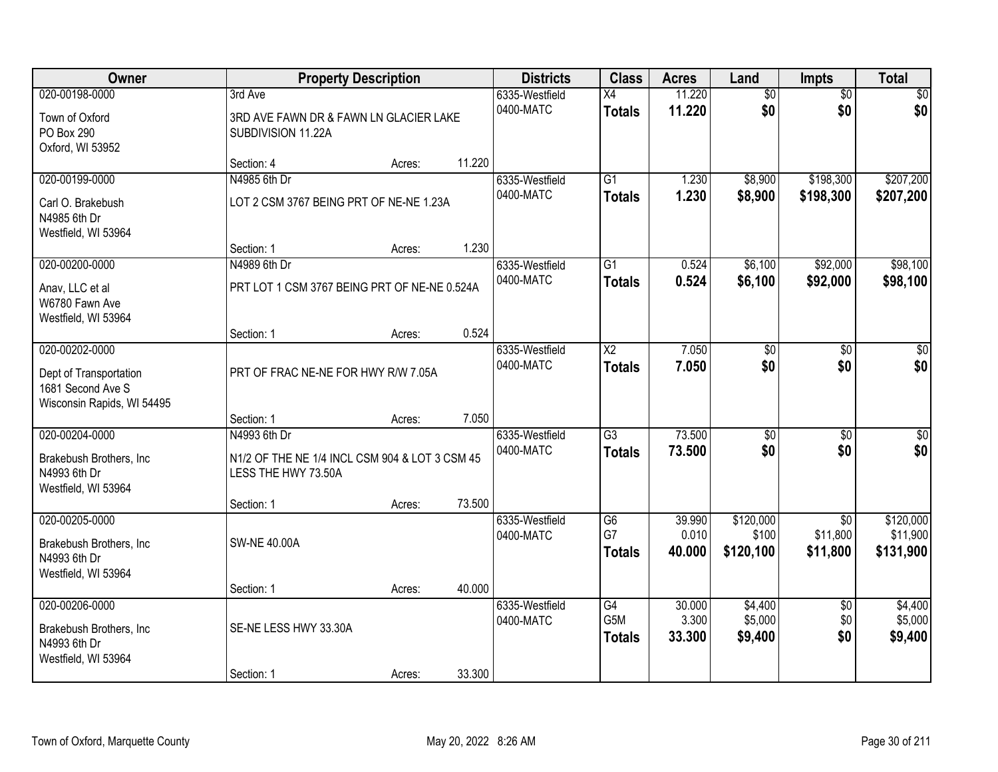| Owner                                                                                       |                                                                                                     | <b>Property Description</b> |        | <b>Districts</b>            | <b>Class</b>                            | <b>Acres</b>              | Land                            | <b>Impts</b>                            | <b>Total</b>                       |
|---------------------------------------------------------------------------------------------|-----------------------------------------------------------------------------------------------------|-----------------------------|--------|-----------------------------|-----------------------------------------|---------------------------|---------------------------------|-----------------------------------------|------------------------------------|
| 020-00198-0000<br>Town of Oxford                                                            | 3rd Ave<br>3RD AVE FAWN DR & FAWN LN GLACIER LAKE                                                   |                             |        | 6335-Westfield<br>0400-MATC | X4<br><b>Totals</b>                     | 11.220<br>11.220          | $\overline{60}$<br>\$0          | $\overline{50}$<br>\$0                  | \$0<br>\$0                         |
| PO Box 290<br>Oxford, WI 53952                                                              | SUBDIVISION 11.22A<br>Section: 4                                                                    |                             | 11.220 |                             |                                         |                           |                                 |                                         |                                    |
| 020-00199-0000<br>Carl O. Brakebush<br>N4985 6th Dr                                         | N4985 6th Dr<br>LOT 2 CSM 3767 BEING PRT OF NE-NE 1.23A                                             | Acres:                      |        | 6335-Westfield<br>0400-MATC | $\overline{G1}$<br><b>Totals</b>        | 1.230<br>1.230            | \$8,900<br>\$8,900              | \$198,300<br>\$198,300                  | \$207,200<br>\$207,200             |
| Westfield, WI 53964                                                                         | Section: 1                                                                                          | Acres:                      | 1.230  |                             |                                         |                           |                                 |                                         |                                    |
| 020-00200-0000<br>Anav, LLC et al<br>W6780 Fawn Ave<br>Westfield, WI 53964                  | N4989 6th Dr<br>PRT LOT 1 CSM 3767 BEING PRT OF NE-NE 0.524A                                        |                             |        | 6335-Westfield<br>0400-MATC | G1<br><b>Totals</b>                     | 0.524<br>0.524            | \$6,100<br>\$6,100              | \$92,000<br>\$92,000                    | \$98,100<br>\$98,100               |
|                                                                                             | Section: 1                                                                                          | Acres:                      | 0.524  |                             |                                         |                           |                                 |                                         |                                    |
| 020-00202-0000<br>Dept of Transportation<br>1681 Second Ave S<br>Wisconsin Rapids, WI 54495 | PRT OF FRAC NE-NE FOR HWY R/W 7.05A                                                                 |                             |        | 6335-Westfield<br>0400-MATC | X2<br><b>Totals</b>                     | 7.050<br>7.050            | \$0<br>\$0                      | \$0<br>\$0                              | \$0<br>\$0                         |
|                                                                                             | Section: 1                                                                                          | Acres:                      | 7.050  |                             |                                         |                           |                                 |                                         |                                    |
| 020-00204-0000<br>Brakebush Brothers, Inc<br>N4993 6th Dr<br>Westfield, WI 53964            | N4993 6th Dr<br>N1/2 OF THE NE 1/4 INCL CSM 904 & LOT 3 CSM 45<br>LESS THE HWY 73.50A<br>Section: 1 | Acres:                      | 73.500 | 6335-Westfield<br>0400-MATC | $\overline{G3}$<br><b>Totals</b>        | 73.500<br>73.500          | $\overline{50}$<br>\$0          | $\overline{50}$<br>\$0                  | $\overline{50}$<br>\$0             |
| 020-00205-0000<br>Brakebush Brothers, Inc<br>N4993 6th Dr<br>Westfield, WI 53964            | <b>SW-NE 40.00A</b>                                                                                 |                             |        | 6335-Westfield<br>0400-MATC | G6<br>G7<br><b>Totals</b>               | 39.990<br>0.010<br>40.000 | \$120,000<br>\$100<br>\$120,100 | $\overline{50}$<br>\$11,800<br>\$11,800 | \$120,000<br>\$11,900<br>\$131,900 |
|                                                                                             | Section: 1                                                                                          | Acres:                      | 40.000 |                             |                                         |                           |                                 |                                         |                                    |
| 020-00206-0000<br>Brakebush Brothers, Inc<br>N4993 6th Dr<br>Westfield, WI 53964            | SE-NE LESS HWY 33.30A<br>Section: 1                                                                 | Acres:                      | 33.300 | 6335-Westfield<br>0400-MATC | $\overline{G4}$<br>G5M<br><b>Totals</b> | 30.000<br>3.300<br>33.300 | \$4,400<br>\$5,000<br>\$9,400   | $\overline{50}$<br>\$0<br>\$0           | \$4,400<br>\$5,000<br>\$9,400      |
|                                                                                             |                                                                                                     |                             |        |                             |                                         |                           |                                 |                                         |                                    |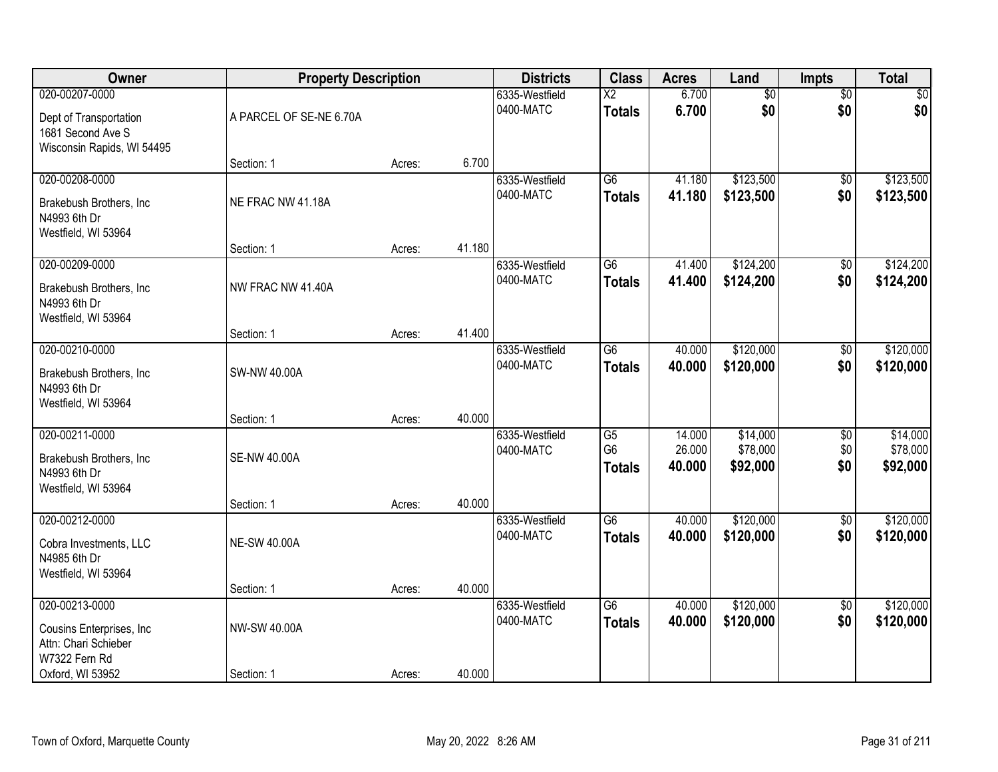| Owner                                                                                       | <b>Property Description</b> |        |        | <b>Districts</b>            | <b>Class</b>                          | <b>Acres</b>               | Land                             | Impts                         | <b>Total</b>                     |
|---------------------------------------------------------------------------------------------|-----------------------------|--------|--------|-----------------------------|---------------------------------------|----------------------------|----------------------------------|-------------------------------|----------------------------------|
| 020-00207-0000<br>Dept of Transportation<br>1681 Second Ave S<br>Wisconsin Rapids, WI 54495 | A PARCEL OF SE-NE 6.70A     |        |        | 6335-Westfield<br>0400-MATC | $\overline{X2}$<br><b>Totals</b>      | 6.700<br>6.700             | $\overline{60}$<br>\$0           | $\overline{50}$<br>\$0        | \$0<br>\$0                       |
|                                                                                             | Section: 1                  | Acres: | 6.700  |                             |                                       |                            |                                  |                               |                                  |
| 020-00208-0000<br>Brakebush Brothers, Inc.<br>N4993 6th Dr<br>Westfield, WI 53964           | NE FRAC NW 41.18A           |        |        | 6335-Westfield<br>0400-MATC | $\overline{G6}$<br><b>Totals</b>      | 41.180<br>41.180           | \$123,500<br>\$123,500           | $\overline{50}$<br>\$0        | \$123,500<br>\$123,500           |
|                                                                                             | Section: 1                  | Acres: | 41.180 |                             |                                       |                            | \$124,200                        |                               | \$124,200                        |
| 020-00209-0000<br>Brakebush Brothers, Inc<br>N4993 6th Dr<br>Westfield, WI 53964            | NW FRAC NW 41.40A           |        |        | 6335-Westfield<br>0400-MATC | G6<br><b>Totals</b>                   | 41.400<br>41.400           | \$124,200                        | \$0<br>\$0                    | \$124,200                        |
|                                                                                             | Section: 1                  | Acres: | 41.400 |                             |                                       |                            |                                  |                               |                                  |
| 020-00210-0000<br>Brakebush Brothers, Inc<br>N4993 6th Dr<br>Westfield, WI 53964            | SW-NW 40.00A                |        |        | 6335-Westfield<br>0400-MATC | $\overline{G6}$<br><b>Totals</b>      | 40.000<br>40.000           | \$120,000<br>\$120,000           | $\overline{50}$<br>\$0        | \$120,000<br>\$120,000           |
|                                                                                             | Section: 1                  | Acres: | 40.000 |                             |                                       |                            |                                  |                               |                                  |
| 020-00211-0000<br>Brakebush Brothers, Inc<br>N4993 6th Dr<br>Westfield, WI 53964            | <b>SE-NW 40.00A</b>         |        | 40.000 | 6335-Westfield<br>0400-MATC | G5<br>G <sub>6</sub><br><b>Totals</b> | 14.000<br>26.000<br>40.000 | \$14,000<br>\$78,000<br>\$92,000 | $\overline{50}$<br>\$0<br>\$0 | \$14,000<br>\$78,000<br>\$92,000 |
| 020-00212-0000                                                                              | Section: 1                  | Acres: |        | 6335-Westfield              | $\overline{G6}$                       | 40.000                     | \$120,000                        | $\overline{60}$               | \$120,000                        |
| Cobra Investments, LLC<br>N4985 6th Dr<br>Westfield, WI 53964                               | <b>NE-SW 40.00A</b>         |        |        | 0400-MATC                   | <b>Totals</b>                         | 40.000                     | \$120,000                        | \$0                           | \$120,000                        |
|                                                                                             | Section: 1                  | Acres: | 40.000 |                             |                                       |                            |                                  |                               |                                  |
| 020-00213-0000<br>Cousins Enterprises, Inc.<br>Attn: Chari Schieber<br>W7322 Fern Rd        | NW-SW 40.00A                |        |        | 6335-Westfield<br>0400-MATC | G6<br><b>Totals</b>                   | 40.000<br>40.000           | \$120,000<br>\$120,000           | $\overline{50}$<br>\$0        | \$120,000<br>\$120,000           |
| Oxford, WI 53952                                                                            | Section: 1                  | Acres: | 40.000 |                             |                                       |                            |                                  |                               |                                  |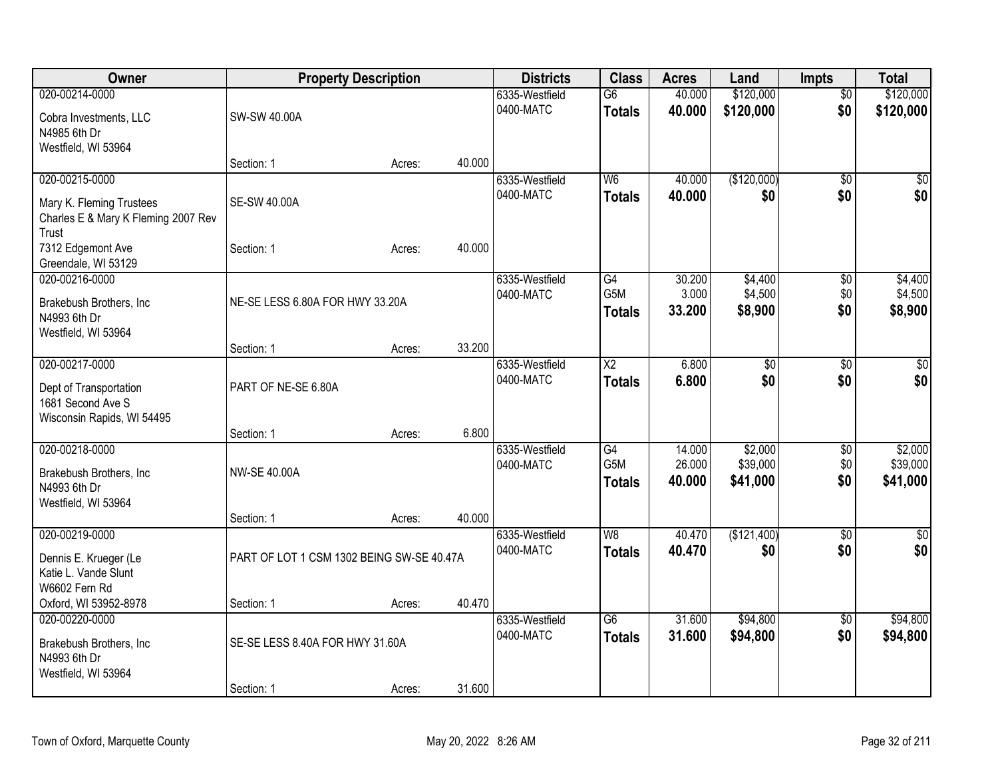| Owner                                    | <b>Property Description</b>               |        |        | <b>Districts</b>            | <b>Class</b>             | <b>Acres</b> | Land            | <b>Impts</b>    | <b>Total</b> |
|------------------------------------------|-------------------------------------------|--------|--------|-----------------------------|--------------------------|--------------|-----------------|-----------------|--------------|
| 020-00214-0000                           |                                           |        |        | 6335-Westfield              | $\overline{G6}$          | 40.000       | \$120,000       | $\overline{50}$ | \$120,000    |
| Cobra Investments, LLC                   | SW-SW 40.00A                              |        |        | 0400-MATC                   | <b>Totals</b>            | 40.000       | \$120,000       | \$0             | \$120,000    |
| N4985 6th Dr                             |                                           |        |        |                             |                          |              |                 |                 |              |
| Westfield, WI 53964                      |                                           |        |        |                             |                          |              |                 |                 |              |
|                                          | Section: 1                                | Acres: | 40.000 |                             |                          |              |                 |                 |              |
| 020-00215-0000                           |                                           |        |        | 6335-Westfield<br>0400-MATC | W <sub>6</sub>           | 40.000       | (\$120,000)     | $\sqrt{50}$     | \$0          |
| Mary K. Fleming Trustees                 | SE-SW 40.00A                              |        |        |                             | <b>Totals</b>            | 40.000       | \$0             | \$0             | \$0          |
| Charles E & Mary K Fleming 2007 Rev      |                                           |        |        |                             |                          |              |                 |                 |              |
| Trust                                    |                                           |        | 40.000 |                             |                          |              |                 |                 |              |
| 7312 Edgemont Ave<br>Greendale, WI 53129 | Section: 1                                | Acres: |        |                             |                          |              |                 |                 |              |
| 020-00216-0000                           |                                           |        |        | 6335-Westfield              | $\overline{G4}$          | 30.200       | \$4,400         | \$0             | \$4,400      |
|                                          |                                           |        |        | 0400-MATC                   | G <sub>5</sub> M         | 3.000        | \$4,500         | \$0             | \$4,500      |
| Brakebush Brothers, Inc<br>N4993 6th Dr  | NE-SE LESS 6.80A FOR HWY 33.20A           |        |        |                             | <b>Totals</b>            | 33.200       | \$8,900         | \$0             | \$8,900      |
| Westfield, WI 53964                      |                                           |        |        |                             |                          |              |                 |                 |              |
|                                          | Section: 1                                | Acres: | 33.200 |                             |                          |              |                 |                 |              |
| 020-00217-0000                           |                                           |        |        | 6335-Westfield              | $\overline{X2}$          | 6.800        | $\overline{50}$ | $\frac{1}{20}$  | $\sqrt{50}$  |
| Dept of Transportation                   | PART OF NE-SE 6.80A                       |        |        | 0400-MATC                   | <b>Totals</b>            | 6.800        | \$0             | \$0             | \$0          |
| 1681 Second Ave S                        |                                           |        |        |                             |                          |              |                 |                 |              |
| Wisconsin Rapids, WI 54495               |                                           |        |        |                             |                          |              |                 |                 |              |
|                                          | Section: 1                                | Acres: | 6.800  |                             |                          |              |                 |                 |              |
| 020-00218-0000                           |                                           |        |        | 6335-Westfield              | G4                       | 14.000       | \$2,000         | \$0             | \$2,000      |
| Brakebush Brothers, Inc                  | <b>NW-SE 40.00A</b>                       |        |        | 0400-MATC                   | G5M                      | 26.000       | \$39,000        | \$0             | \$39,000     |
| N4993 6th Dr                             |                                           |        |        |                             | <b>Totals</b>            | 40.000       | \$41,000        | \$0             | \$41,000     |
| Westfield, WI 53964                      |                                           |        |        |                             |                          |              |                 |                 |              |
|                                          | Section: 1                                | Acres: | 40.000 |                             |                          |              |                 |                 |              |
| 020-00219-0000                           |                                           |        |        | 6335-Westfield<br>0400-MATC | $\overline{\mathsf{W}8}$ | 40.470       | (\$121,400)     | $\overline{60}$ | \$0<br>\$0   |
| Dennis E. Krueger (Le                    | PART OF LOT 1 CSM 1302 BEING SW-SE 40.47A |        |        |                             | <b>Totals</b>            | 40.470       | \$0             | \$0             |              |
| Katie L. Vande Slunt                     |                                           |        |        |                             |                          |              |                 |                 |              |
| W6602 Fern Rd                            | Section: 1                                |        | 40.470 |                             |                          |              |                 |                 |              |
| Oxford, WI 53952-8978<br>020-00220-0000  |                                           | Acres: |        | 6335-Westfield              | $\overline{G6}$          | 31.600       | \$94,800        | $\overline{60}$ | \$94,800     |
|                                          |                                           |        |        | 0400-MATC                   | <b>Totals</b>            | 31.600       | \$94,800        | \$0             | \$94,800     |
| Brakebush Brothers, Inc                  | SE-SE LESS 8.40A FOR HWY 31.60A           |        |        |                             |                          |              |                 |                 |              |
| N4993 6th Dr<br>Westfield, WI 53964      |                                           |        |        |                             |                          |              |                 |                 |              |
|                                          | Section: 1                                | Acres: | 31.600 |                             |                          |              |                 |                 |              |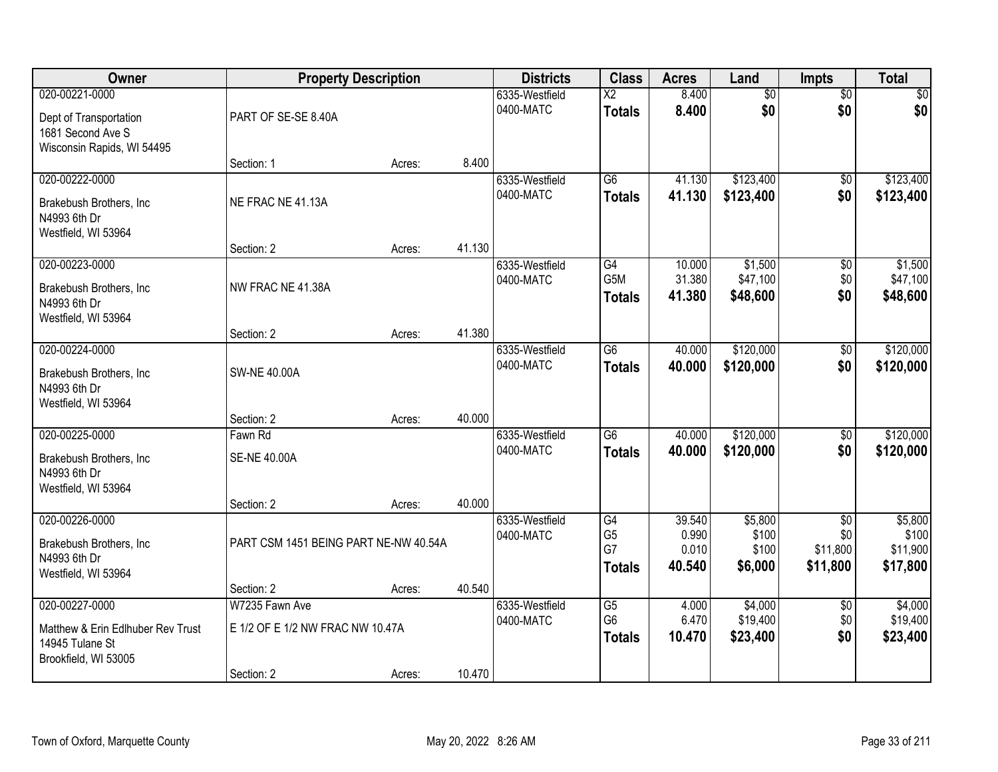| Owner                                                                                          | <b>Property Description</b>                                      |        |        | <b>Districts</b>            | <b>Class</b>                                       | <b>Acres</b>                       | Land                                 | Impts                                          | <b>Total</b>                             |
|------------------------------------------------------------------------------------------------|------------------------------------------------------------------|--------|--------|-----------------------------|----------------------------------------------------|------------------------------------|--------------------------------------|------------------------------------------------|------------------------------------------|
| 020-00221-0000<br>Dept of Transportation<br>1681 Second Ave S                                  | PART OF SE-SE 8.40A                                              |        |        | 6335-Westfield<br>0400-MATC | $\overline{\text{X2}}$<br><b>Totals</b>            | 8.400<br>8.400                     | $\overline{60}$<br>\$0               | $\overline{50}$<br>\$0                         | \$0<br>\$0                               |
| Wisconsin Rapids, WI 54495                                                                     | Section: 1                                                       | Acres: | 8.400  |                             |                                                    |                                    |                                      |                                                |                                          |
| 020-00222-0000<br>Brakebush Brothers, Inc<br>N4993 6th Dr<br>Westfield, WI 53964               | NE FRAC NE 41.13A                                                |        |        | 6335-Westfield<br>0400-MATC | $\overline{G6}$<br><b>Totals</b>                   | 41.130<br>41.130                   | \$123,400<br>\$123,400               | $\overline{50}$<br>\$0                         | \$123,400<br>\$123,400                   |
|                                                                                                | Section: 2                                                       | Acres: | 41.130 |                             |                                                    |                                    |                                      |                                                |                                          |
| 020-00223-0000<br>Brakebush Brothers, Inc.<br>N4993 6th Dr<br>Westfield, WI 53964              | NW FRAC NE 41.38A                                                |        |        | 6335-Westfield<br>0400-MATC | G4<br>G5M<br><b>Totals</b>                         | 10.000<br>31.380<br>41.380         | \$1,500<br>\$47,100<br>\$48,600      | \$0<br>\$0<br>\$0                              | \$1,500<br>\$47,100<br>\$48,600          |
|                                                                                                | Section: 2                                                       | Acres: | 41.380 |                             |                                                    |                                    |                                      |                                                |                                          |
| 020-00224-0000<br>Brakebush Brothers, Inc<br>N4993 6th Dr<br>Westfield, WI 53964               | <b>SW-NE 40.00A</b>                                              |        |        | 6335-Westfield<br>0400-MATC | G <sub>6</sub><br><b>Totals</b>                    | 40.000<br>40.000                   | \$120,000<br>\$120,000               | \$0<br>\$0                                     | \$120,000<br>\$120,000                   |
|                                                                                                | Section: 2                                                       | Acres: | 40.000 |                             |                                                    |                                    |                                      |                                                |                                          |
| 020-00225-0000<br>Brakebush Brothers, Inc<br>N4993 6th Dr<br>Westfield, WI 53964               | Fawn Rd<br><b>SE-NE 40.00A</b>                                   |        |        | 6335-Westfield<br>0400-MATC | $\overline{G6}$<br><b>Totals</b>                   | 40.000<br>40.000                   | \$120,000<br>\$120,000               | $\overline{50}$<br>\$0                         | \$120,000<br>\$120,000                   |
|                                                                                                | Section: 2                                                       | Acres: | 40.000 |                             |                                                    |                                    |                                      |                                                |                                          |
| 020-00226-0000<br>Brakebush Brothers, Inc<br>N4993 6th Dr<br>Westfield, WI 53964               | PART CSM 1451 BEING PART NE-NW 40.54A                            |        |        | 6335-Westfield<br>0400-MATC | G4<br>G <sub>5</sub><br>G7<br><b>Totals</b>        | 39.540<br>0.990<br>0.010<br>40.540 | \$5,800<br>\$100<br>\$100<br>\$6,000 | $\overline{50}$<br>\$0<br>\$11,800<br>\$11,800 | \$5,800<br>\$100<br>\$11,900<br>\$17,800 |
|                                                                                                | Section: 2                                                       | Acres: | 40.540 |                             |                                                    |                                    |                                      |                                                |                                          |
| 020-00227-0000<br>Matthew & Erin Edlhuber Rev Trust<br>14945 Tulane St<br>Brookfield, WI 53005 | W7235 Fawn Ave<br>E 1/2 OF E 1/2 NW FRAC NW 10.47A<br>Section: 2 | Acres: | 10.470 | 6335-Westfield<br>0400-MATC | $\overline{G5}$<br>G <sub>6</sub><br><b>Totals</b> | 4.000<br>6.470<br>10.470           | \$4,000<br>\$19,400<br>\$23,400      | $\overline{50}$<br>\$0<br>\$0                  | \$4,000<br>\$19,400<br>\$23,400          |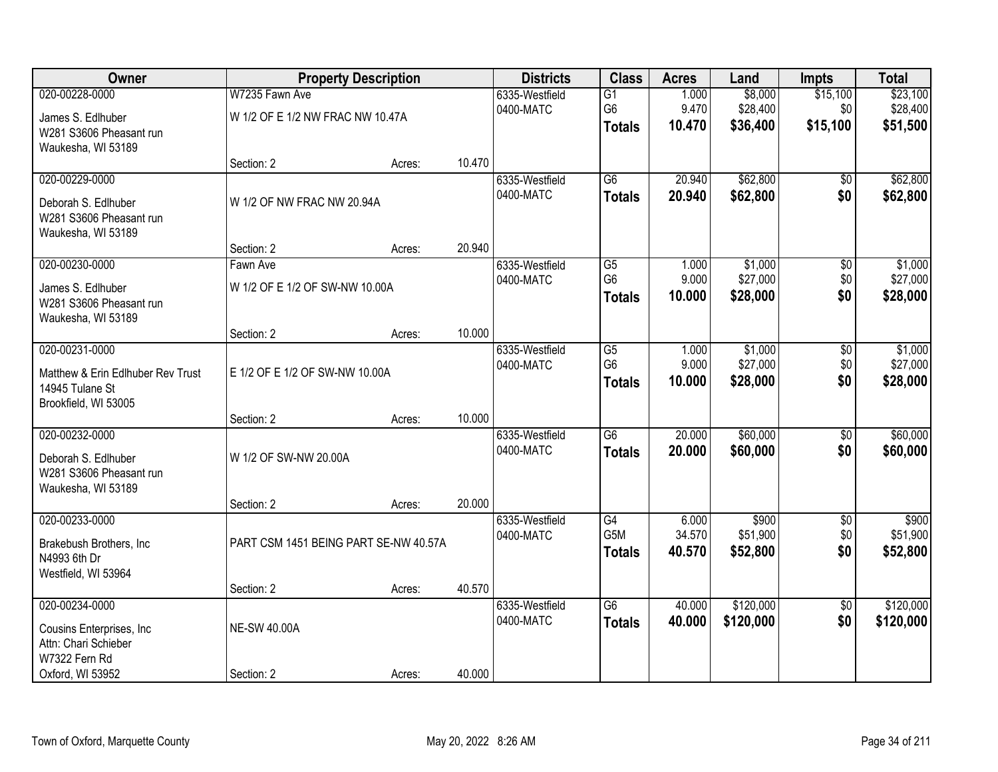| Owner                                                                               |                                       | <b>Property Description</b> |        | <b>Districts</b>            | <b>Class</b>                          | <b>Acres</b>              | Land                            | <b>Impts</b>                  | <b>Total</b>                    |
|-------------------------------------------------------------------------------------|---------------------------------------|-----------------------------|--------|-----------------------------|---------------------------------------|---------------------------|---------------------------------|-------------------------------|---------------------------------|
| 020-00228-0000                                                                      | W7235 Fawn Ave                        |                             |        | 6335-Westfield<br>0400-MATC | G1<br>G <sub>6</sub>                  | 1.000<br>9.470            | \$8,000<br>\$28,400             | \$15,100<br>\$0               | \$23,100<br>\$28,400            |
| James S. Edlhuber<br>W281 S3606 Pheasant run<br>Waukesha, WI 53189                  | W 1/2 OF E 1/2 NW FRAC NW 10.47A      |                             |        |                             | <b>Totals</b>                         | 10.470                    | \$36,400                        | \$15,100                      | \$51,500                        |
|                                                                                     | Section: 2                            | Acres:                      | 10.470 |                             |                                       |                           |                                 |                               |                                 |
| 020-00229-0000<br>Deborah S. Edlhuber<br>W281 S3606 Pheasant run                    | W 1/2 OF NW FRAC NW 20.94A            |                             |        | 6335-Westfield<br>0400-MATC | $\overline{G6}$<br><b>Totals</b>      | 20.940<br>20.940          | \$62,800<br>\$62,800            | \$0<br>\$0                    | \$62,800<br>\$62,800            |
| Waukesha, WI 53189                                                                  | Section: 2                            | Acres:                      | 20.940 |                             |                                       |                           |                                 |                               |                                 |
| 020-00230-0000                                                                      | Fawn Ave                              |                             |        | 6335-Westfield              | G5                                    | 1.000                     | \$1,000                         | \$0                           | \$1,000                         |
| James S. Edlhuber<br>W281 S3606 Pheasant run<br>Waukesha, WI 53189                  | W 1/2 OF E 1/2 OF SW-NW 10.00A        |                             |        | 0400-MATC                   | G <sub>6</sub><br><b>Totals</b>       | 9.000<br>10.000           | \$27,000<br>\$28,000            | \$0<br>\$0                    | \$27,000<br>\$28,000            |
|                                                                                     | Section: 2                            | Acres:                      | 10.000 |                             |                                       |                           |                                 |                               |                                 |
| 020-00231-0000<br>Matthew & Erin Edlhuber Rev Trust<br>14945 Tulane St              | E 1/2 OF E 1/2 OF SW-NW 10.00A        |                             |        | 6335-Westfield<br>0400-MATC | G5<br>G <sub>6</sub><br><b>Totals</b> | 1.000<br>9.000<br>10.000  | \$1,000<br>\$27,000<br>\$28,000 | \$0<br>\$0<br>\$0             | \$1,000<br>\$27,000<br>\$28,000 |
| Brookfield, WI 53005                                                                |                                       |                             | 10.000 |                             |                                       |                           |                                 |                               |                                 |
| 020-00232-0000                                                                      | Section: 2                            | Acres:                      |        | 6335-Westfield              | $\overline{G6}$                       | 20.000                    | \$60,000                        | $\overline{50}$               | \$60,000                        |
| Deborah S. Edlhuber<br>W281 S3606 Pheasant run<br>Waukesha, WI 53189                | W 1/2 OF SW-NW 20.00A                 |                             |        | 0400-MATC                   | <b>Totals</b>                         | 20.000                    | \$60,000                        | \$0                           | \$60,000                        |
|                                                                                     | Section: 2                            | Acres:                      | 20.000 |                             |                                       |                           |                                 |                               |                                 |
| 020-00233-0000<br>Brakebush Brothers, Inc<br>N4993 6th Dr<br>Westfield, WI 53964    | PART CSM 1451 BEING PART SE-NW 40.57A |                             |        | 6335-Westfield<br>0400-MATC | G4<br>G5M<br><b>Totals</b>            | 6.000<br>34.570<br>40.570 | \$900<br>\$51,900<br>\$52,800   | $\overline{50}$<br>\$0<br>\$0 | \$900<br>\$51,900<br>\$52,800   |
|                                                                                     | Section: 2                            | Acres:                      | 40.570 |                             |                                       |                           |                                 |                               |                                 |
| 020-00234-0000<br>Cousins Enterprises, Inc<br>Attn: Chari Schieber<br>W7322 Fern Rd | <b>NE-SW 40.00A</b>                   |                             |        | 6335-Westfield<br>0400-MATC | G6<br><b>Totals</b>                   | 40.000<br>40.000          | \$120,000<br>\$120,000          | $\overline{50}$<br>\$0        | \$120,000<br>\$120,000          |
| Oxford, WI 53952                                                                    | Section: 2                            | Acres:                      | 40.000 |                             |                                       |                           |                                 |                               |                                 |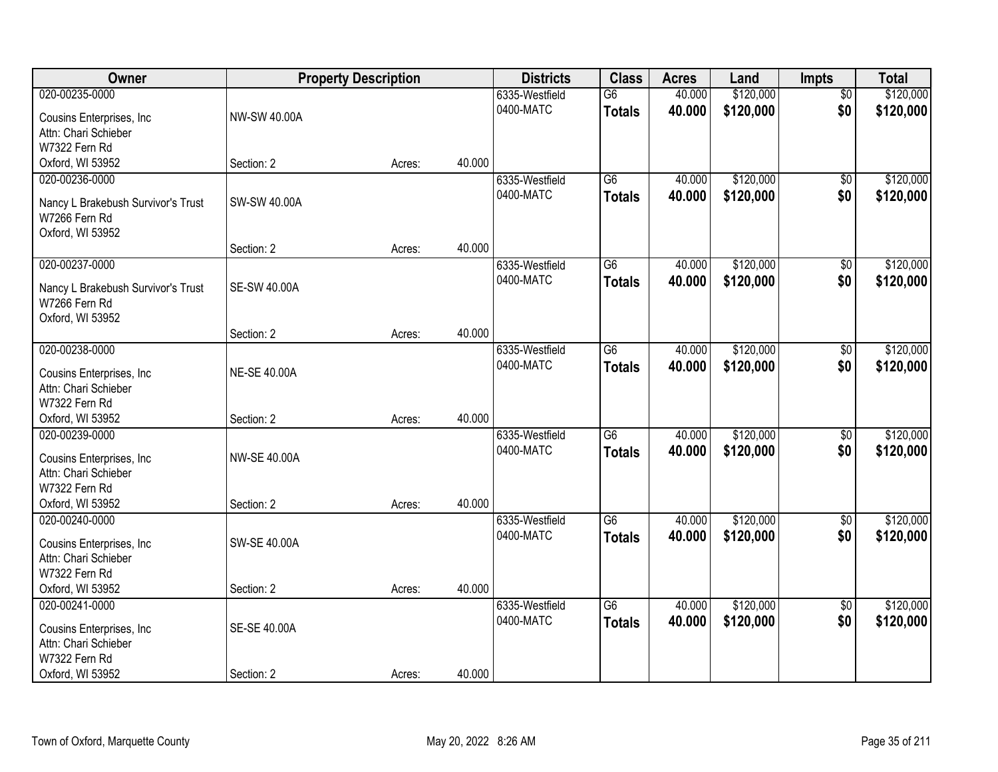| Owner                                               |                     | <b>Property Description</b> |        | <b>Districts</b> | <b>Class</b>    | <b>Acres</b> | Land      | Impts                  | <b>Total</b> |
|-----------------------------------------------------|---------------------|-----------------------------|--------|------------------|-----------------|--------------|-----------|------------------------|--------------|
| 020-00235-0000                                      |                     |                             |        | 6335-Westfield   | $\overline{G6}$ | 40.000       | \$120,000 | $\overline{50}$        | \$120,000    |
| Cousins Enterprises, Inc.                           | NW-SW 40.00A        |                             |        | 0400-MATC        | <b>Totals</b>   | 40.000       | \$120,000 | \$0                    | \$120,000    |
| Attn: Chari Schieber                                |                     |                             |        |                  |                 |              |           |                        |              |
| W7322 Fern Rd                                       |                     |                             |        |                  |                 |              |           |                        |              |
| Oxford, WI 53952                                    | Section: 2          | Acres:                      | 40.000 |                  |                 |              |           |                        |              |
| 020-00236-0000                                      |                     |                             |        | 6335-Westfield   | $\overline{G6}$ | 40.000       | \$120,000 | \$0                    | \$120,000    |
|                                                     | SW-SW 40.00A        |                             |        | 0400-MATC        | <b>Totals</b>   | 40.000       | \$120,000 | \$0                    | \$120,000    |
| Nancy L Brakebush Survivor's Trust<br>W7266 Fern Rd |                     |                             |        |                  |                 |              |           |                        |              |
| Oxford, WI 53952                                    |                     |                             |        |                  |                 |              |           |                        |              |
|                                                     | Section: 2          | Acres:                      | 40.000 |                  |                 |              |           |                        |              |
| 020-00237-0000                                      |                     |                             |        | 6335-Westfield   | $\overline{G6}$ | 40.000       | \$120,000 | $\overline{50}$        | \$120,000    |
|                                                     |                     |                             |        | 0400-MATC        | <b>Totals</b>   | 40.000       | \$120,000 | \$0                    | \$120,000    |
| Nancy L Brakebush Survivor's Trust                  | <b>SE-SW 40.00A</b> |                             |        |                  |                 |              |           |                        |              |
| W7266 Fern Rd                                       |                     |                             |        |                  |                 |              |           |                        |              |
| Oxford, WI 53952                                    |                     |                             |        |                  |                 |              |           |                        |              |
|                                                     | Section: 2          | Acres:                      | 40.000 |                  |                 |              |           |                        |              |
| 020-00238-0000                                      |                     |                             |        | 6335-Westfield   | G <sub>6</sub>  | 40.000       | \$120,000 | \$0                    | \$120,000    |
| Cousins Enterprises, Inc.                           | <b>NE-SE 40.00A</b> |                             |        | 0400-MATC        | <b>Totals</b>   | 40.000       | \$120,000 | \$0                    | \$120,000    |
| Attn: Chari Schieber                                |                     |                             |        |                  |                 |              |           |                        |              |
| W7322 Fern Rd                                       |                     |                             |        |                  |                 |              |           |                        |              |
| Oxford, WI 53952                                    | Section: 2          | Acres:                      | 40.000 |                  |                 |              |           |                        |              |
| 020-00239-0000                                      |                     |                             |        | 6335-Westfield   | $\overline{G6}$ | 40.000       | \$120,000 | $\overline{50}$        | \$120,000    |
| Cousins Enterprises, Inc.                           | <b>NW-SE 40.00A</b> |                             |        | 0400-MATC        | <b>Totals</b>   | 40.000       | \$120,000 | \$0                    | \$120,000    |
| Attn: Chari Schieber                                |                     |                             |        |                  |                 |              |           |                        |              |
| W7322 Fern Rd                                       |                     |                             |        |                  |                 |              |           |                        |              |
| Oxford, WI 53952                                    | Section: 2          | Acres:                      | 40.000 |                  |                 |              |           |                        |              |
| 020-00240-0000                                      |                     |                             |        | 6335-Westfield   | $\overline{G6}$ | 40.000       | \$120,000 | $\sqrt{6}$             | \$120,000    |
|                                                     |                     |                             |        | 0400-MATC        | <b>Totals</b>   | 40.000       | \$120,000 | \$0                    | \$120,000    |
| Cousins Enterprises, Inc.                           | <b>SW-SE 40.00A</b> |                             |        |                  |                 |              |           |                        |              |
| Attn: Chari Schieber                                |                     |                             |        |                  |                 |              |           |                        |              |
| W7322 Fern Rd<br>Oxford, WI 53952                   | Section: 2          |                             | 40.000 |                  |                 |              |           |                        |              |
| 020-00241-0000                                      |                     | Acres:                      |        | 6335-Westfield   | G6              | 40.000       | \$120,000 |                        | \$120,000    |
|                                                     |                     |                             |        | 0400-MATC        |                 |              |           | $\overline{50}$<br>\$0 |              |
| Cousins Enterprises, Inc.                           | SE-SE 40.00A        |                             |        |                  | <b>Totals</b>   | 40.000       | \$120,000 |                        | \$120,000    |
| Attn: Chari Schieber                                |                     |                             |        |                  |                 |              |           |                        |              |
| W7322 Fern Rd                                       |                     |                             |        |                  |                 |              |           |                        |              |
| Oxford, WI 53952                                    | Section: 2          | Acres:                      | 40.000 |                  |                 |              |           |                        |              |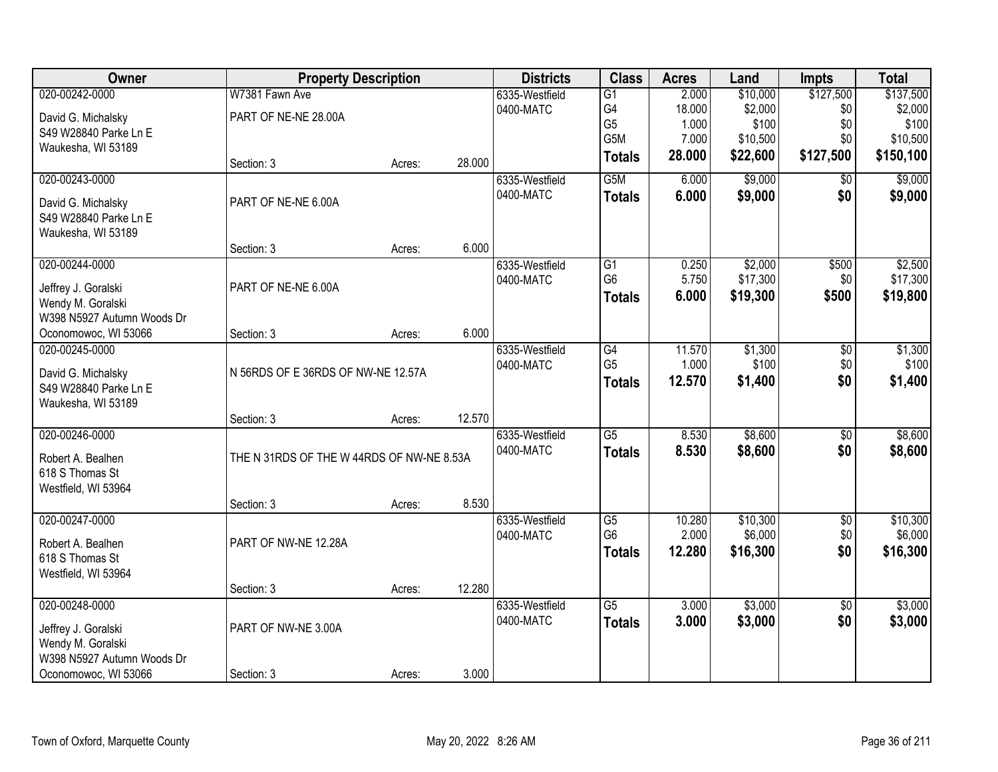| Owner                      | <b>Property Description</b>               |        |        | <b>Districts</b> | <b>Class</b>    | <b>Acres</b> | Land     | <b>Impts</b>    | <b>Total</b> |
|----------------------------|-------------------------------------------|--------|--------|------------------|-----------------|--------------|----------|-----------------|--------------|
| 020-00242-0000             | W7381 Fawn Ave                            |        |        | 6335-Westfield   | $\overline{G1}$ | 2.000        | \$10,000 | \$127,500       | \$137,500    |
| David G. Michalsky         | PART OF NE-NE 28.00A                      |        |        | 0400-MATC        | G4              | 18.000       | \$2,000  | \$0             | \$2,000      |
| S49 W28840 Parke Ln E      |                                           |        |        |                  | G <sub>5</sub>  | 1.000        | \$100    | \$0             | \$100        |
| Waukesha, WI 53189         |                                           |        |        |                  | G5M             | 7.000        | \$10,500 | \$0             | \$10,500     |
|                            | Section: 3                                | Acres: | 28.000 |                  | <b>Totals</b>   | 28.000       | \$22,600 | \$127,500       | \$150,100    |
| 020-00243-0000             |                                           |        |        | 6335-Westfield   | G5M             | 6.000        | \$9,000  | $\overline{50}$ | \$9,000      |
| David G. Michalsky         | PART OF NE-NE 6.00A                       |        |        | 0400-MATC        | <b>Totals</b>   | 6.000        | \$9,000  | \$0             | \$9,000      |
| S49 W28840 Parke Ln E      |                                           |        |        |                  |                 |              |          |                 |              |
| Waukesha, WI 53189         |                                           |        |        |                  |                 |              |          |                 |              |
|                            | Section: 3                                | Acres: | 6.000  |                  |                 |              |          |                 |              |
| 020-00244-0000             |                                           |        |        | 6335-Westfield   | G1              | 0.250        | \$2,000  | \$500           | \$2,500      |
| Jeffrey J. Goralski        | PART OF NE-NE 6.00A                       |        |        | 0400-MATC        | G <sub>6</sub>  | 5.750        | \$17,300 | \$0             | \$17,300     |
| Wendy M. Goralski          |                                           |        |        |                  | <b>Totals</b>   | 6.000        | \$19,300 | \$500           | \$19,800     |
| W398 N5927 Autumn Woods Dr |                                           |        |        |                  |                 |              |          |                 |              |
| Oconomowoc, WI 53066       | Section: 3                                | Acres: | 6.000  |                  |                 |              |          |                 |              |
| 020-00245-0000             |                                           |        |        | 6335-Westfield   | G4              | 11.570       | \$1,300  | \$0             | \$1,300      |
| David G. Michalsky         | N 56RDS OF E 36RDS OF NW-NE 12.57A        |        |        | 0400-MATC        | G <sub>5</sub>  | 1.000        | \$100    | \$0             | \$100        |
| S49 W28840 Parke Ln E      |                                           |        |        |                  | <b>Totals</b>   | 12.570       | \$1,400  | \$0             | \$1,400      |
| Waukesha, WI 53189         |                                           |        |        |                  |                 |              |          |                 |              |
|                            | Section: 3                                | Acres: | 12.570 |                  |                 |              |          |                 |              |
| 020-00246-0000             |                                           |        |        | 6335-Westfield   | $\overline{G5}$ | 8.530        | \$8,600  | $\overline{50}$ | \$8,600      |
| Robert A. Bealhen          | THE N 31RDS OF THE W 44RDS OF NW-NE 8.53A |        |        | 0400-MATC        | <b>Totals</b>   | 8.530        | \$8,600  | \$0             | \$8,600      |
| 618 S Thomas St            |                                           |        |        |                  |                 |              |          |                 |              |
| Westfield, WI 53964        |                                           |        |        |                  |                 |              |          |                 |              |
|                            | Section: 3                                | Acres: | 8.530  |                  |                 |              |          |                 |              |
| 020-00247-0000             |                                           |        |        | 6335-Westfield   | $\overline{G5}$ | 10.280       | \$10,300 | $\sqrt{6}$      | \$10,300     |
| Robert A. Bealhen          | PART OF NW-NE 12.28A                      |        |        | 0400-MATC        | G <sub>6</sub>  | 2.000        | \$6,000  | \$0             | \$6,000      |
| 618 S Thomas St            |                                           |        |        |                  | <b>Totals</b>   | 12.280       | \$16,300 | \$0             | \$16,300     |
| Westfield, WI 53964        |                                           |        |        |                  |                 |              |          |                 |              |
|                            | Section: 3                                | Acres: | 12.280 |                  |                 |              |          |                 |              |
| 020-00248-0000             |                                           |        |        | 6335-Westfield   | $\overline{G5}$ | 3.000        | \$3,000  | $\overline{50}$ | \$3,000      |
| Jeffrey J. Goralski        | PART OF NW-NE 3.00A                       |        |        | 0400-MATC        | <b>Totals</b>   | 3.000        | \$3,000  | \$0             | \$3,000      |
| Wendy M. Goralski          |                                           |        |        |                  |                 |              |          |                 |              |
| W398 N5927 Autumn Woods Dr |                                           |        |        |                  |                 |              |          |                 |              |
| Oconomowoc, WI 53066       | Section: 3                                | Acres: | 3.000  |                  |                 |              |          |                 |              |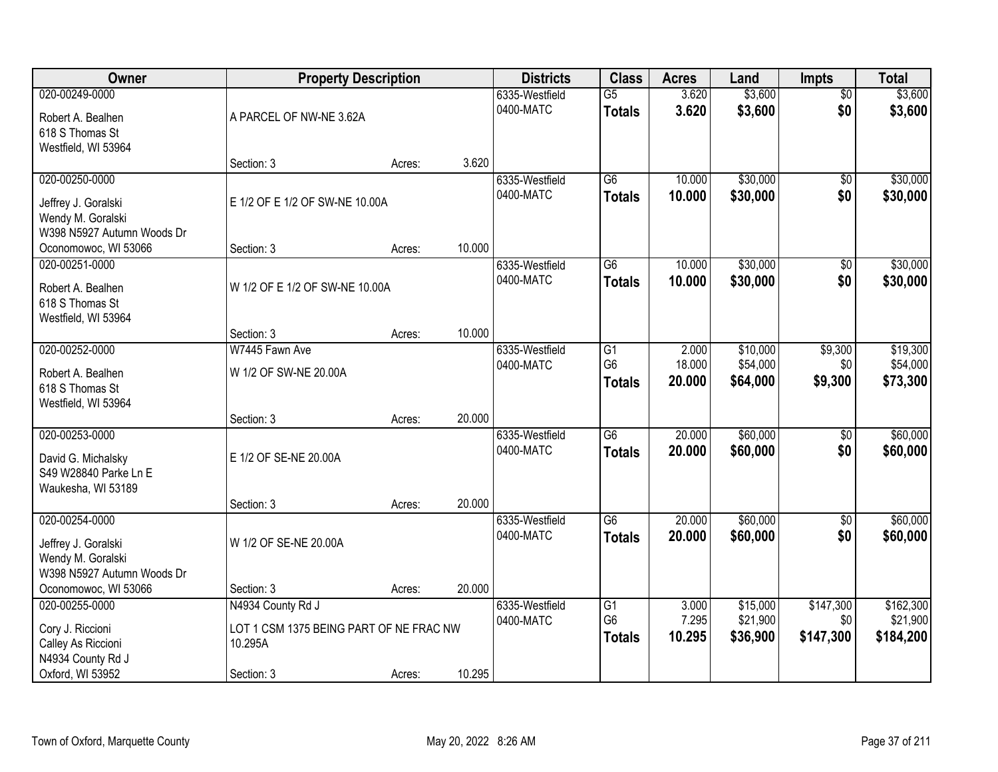| Owner                                              | <b>Property Description</b>             |        |        | <b>Districts</b>            | <b>Class</b>         | <b>Acres</b>     | Land                 | <b>Impts</b>           | <b>Total</b> |
|----------------------------------------------------|-----------------------------------------|--------|--------|-----------------------------|----------------------|------------------|----------------------|------------------------|--------------|
| 020-00249-0000                                     |                                         |        |        | 6335-Westfield              | $\overline{G5}$      | 3.620            | \$3,600              | $\overline{50}$        | \$3,600      |
| Robert A. Bealhen                                  | A PARCEL OF NW-NE 3.62A                 |        |        | 0400-MATC                   | <b>Totals</b>        | 3.620            | \$3,600              | \$0                    | \$3,600      |
| 618 S Thomas St                                    |                                         |        |        |                             |                      |                  |                      |                        |              |
| Westfield, WI 53964                                |                                         |        |        |                             |                      |                  |                      |                        |              |
|                                                    | Section: 3                              | Acres: | 3.620  |                             |                      |                  |                      |                        |              |
| 020-00250-0000                                     |                                         |        |        | 6335-Westfield<br>0400-MATC | $\overline{G6}$      | 10.000<br>10.000 | \$30,000<br>\$30,000 | $\overline{50}$<br>\$0 | \$30,000     |
| Jeffrey J. Goralski                                | E 1/2 OF E 1/2 OF SW-NE 10.00A          |        |        |                             | <b>Totals</b>        |                  |                      |                        | \$30,000     |
| Wendy M. Goralski                                  |                                         |        |        |                             |                      |                  |                      |                        |              |
| W398 N5927 Autumn Woods Dr<br>Oconomowoc, WI 53066 | Section: 3                              | Acres: | 10.000 |                             |                      |                  |                      |                        |              |
| 020-00251-0000                                     |                                         |        |        | 6335-Westfield              | $\overline{G6}$      | 10.000           | \$30,000             | \$0                    | \$30,000     |
|                                                    |                                         |        |        | 0400-MATC                   | <b>Totals</b>        | 10.000           | \$30,000             | \$0                    | \$30,000     |
| Robert A. Bealhen                                  | W 1/2 OF E 1/2 OF SW-NE 10.00A          |        |        |                             |                      |                  |                      |                        |              |
| 618 S Thomas St<br>Westfield, WI 53964             |                                         |        |        |                             |                      |                  |                      |                        |              |
|                                                    | Section: 3                              | Acres: | 10.000 |                             |                      |                  |                      |                        |              |
| 020-00252-0000                                     | W7445 Fawn Ave                          |        |        | 6335-Westfield              | G1                   | 2.000            | \$10,000             | \$9,300                | \$19,300     |
| Robert A. Bealhen                                  | W 1/2 OF SW-NE 20.00A                   |        |        | 0400-MATC                   | G <sub>6</sub>       | 18.000           | \$54,000             | \$0                    | \$54,000     |
| 618 S Thomas St                                    |                                         |        |        |                             | <b>Totals</b>        | 20.000           | \$64,000             | \$9,300                | \$73,300     |
| Westfield, WI 53964                                |                                         |        |        |                             |                      |                  |                      |                        |              |
|                                                    | Section: 3                              | Acres: | 20.000 |                             |                      |                  |                      |                        |              |
| 020-00253-0000                                     |                                         |        |        | 6335-Westfield              | $\overline{G6}$      | 20.000           | \$60,000             | $\overline{50}$        | \$60,000     |
| David G. Michalsky                                 | E 1/2 OF SE-NE 20.00A                   |        |        | 0400-MATC                   | <b>Totals</b>        | 20,000           | \$60,000             | \$0                    | \$60,000     |
| S49 W28840 Parke Ln E                              |                                         |        |        |                             |                      |                  |                      |                        |              |
| Waukesha, WI 53189                                 |                                         |        |        |                             |                      |                  |                      |                        |              |
|                                                    | Section: 3                              | Acres: | 20.000 |                             |                      |                  |                      |                        |              |
| 020-00254-0000                                     |                                         |        |        | 6335-Westfield              | $\overline{G6}$      | 20.000           | \$60,000             | $\sqrt{$0}$            | \$60,000     |
| Jeffrey J. Goralski                                | W 1/2 OF SE-NE 20.00A                   |        |        | 0400-MATC                   | <b>Totals</b>        | 20.000           | \$60,000             | \$0                    | \$60,000     |
| Wendy M. Goralski                                  |                                         |        |        |                             |                      |                  |                      |                        |              |
| W398 N5927 Autumn Woods Dr                         |                                         |        |        |                             |                      |                  |                      |                        |              |
| Oconomowoc, WI 53066<br>020-00255-0000             | Section: 3                              | Acres: | 20.000 |                             |                      |                  | \$15,000             | \$147,300              | \$162,300    |
|                                                    | N4934 County Rd J                       |        |        | 6335-Westfield<br>0400-MATC | G1<br>G <sub>6</sub> | 3.000<br>7.295   | \$21,900             | \$0                    | \$21,900     |
| Cory J. Riccioni                                   | LOT 1 CSM 1375 BEING PART OF NE FRAC NW |        |        |                             | <b>Totals</b>        | 10.295           | \$36,900             | \$147,300              | \$184,200    |
| Calley As Riccioni                                 | 10.295A                                 |        |        |                             |                      |                  |                      |                        |              |
| N4934 County Rd J<br>Oxford, WI 53952              |                                         |        | 10.295 |                             |                      |                  |                      |                        |              |
|                                                    | Section: 3                              | Acres: |        |                             |                      |                  |                      |                        |              |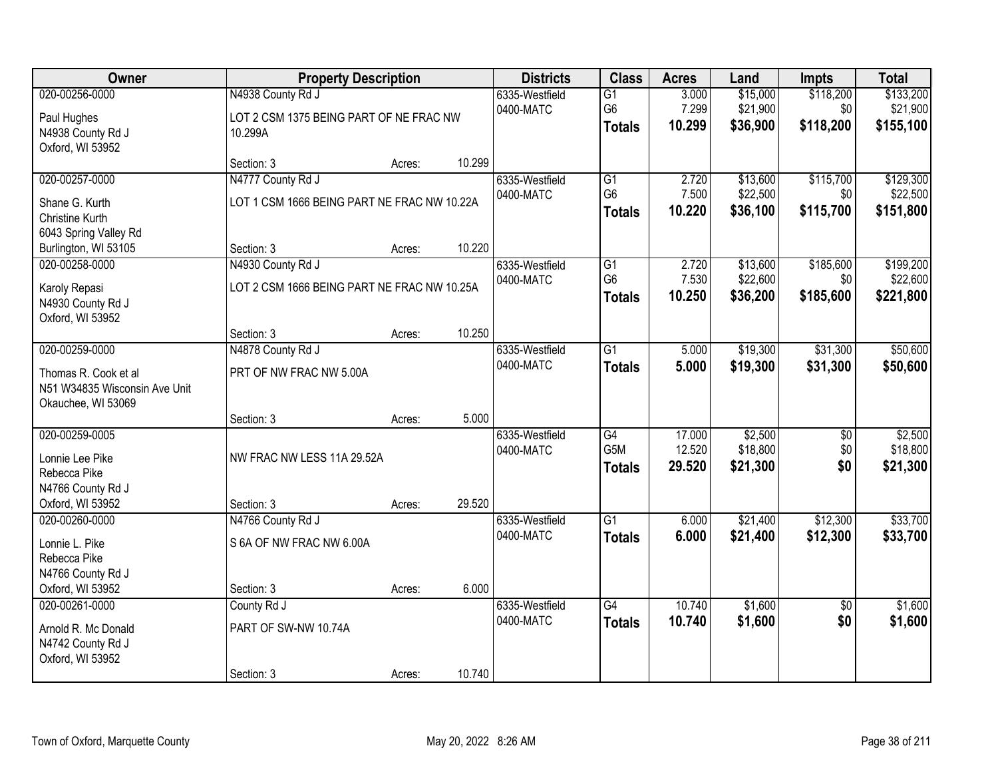| Owner                                                                                              |                                                                         | <b>Property Description</b> |        | <b>Districts</b>            | <b>Class</b>                                         | <b>Acres</b>               | Land                             | <b>Impts</b>                   | <b>Total</b>                       |
|----------------------------------------------------------------------------------------------------|-------------------------------------------------------------------------|-----------------------------|--------|-----------------------------|------------------------------------------------------|----------------------------|----------------------------------|--------------------------------|------------------------------------|
| 020-00256-0000<br>Paul Hughes<br>N4938 County Rd J                                                 | N4938 County Rd J<br>LOT 2 CSM 1375 BEING PART OF NE FRAC NW<br>10.299A |                             |        | 6335-Westfield<br>0400-MATC | $\overline{G1}$<br>G6<br><b>Totals</b>               | 3.000<br>7.299<br>10.299   | \$15,000<br>\$21,900<br>\$36,900 | \$118,200<br>\$0<br>\$118,200  | \$133,200<br>\$21,900<br>\$155,100 |
| Oxford, WI 53952                                                                                   | Section: 3                                                              | Acres:                      | 10.299 |                             |                                                      |                            |                                  |                                |                                    |
| 020-00257-0000<br>Shane G. Kurth<br>Christine Kurth                                                | N4777 County Rd J<br>LOT 1 CSM 1666 BEING PART NE FRAC NW 10.22A        |                             |        | 6335-Westfield<br>0400-MATC | $\overline{G1}$<br>G <sub>6</sub><br><b>Totals</b>   | 2.720<br>7.500<br>10.220   | \$13,600<br>\$22,500<br>\$36,100 | \$115,700<br>\$0<br>\$115,700  | \$129,300<br>\$22,500<br>\$151,800 |
| 6043 Spring Valley Rd<br>Burlington, WI 53105                                                      | Section: 3                                                              | Acres:                      | 10.220 |                             |                                                      |                            |                                  |                                |                                    |
| 020-00258-0000<br>Karoly Repasi<br>N4930 County Rd J<br>Oxford, WI 53952                           | N4930 County Rd J<br>LOT 2 CSM 1666 BEING PART NE FRAC NW 10.25A        |                             |        | 6335-Westfield<br>0400-MATC | G1<br>G <sub>6</sub><br><b>Totals</b>                | 2.720<br>7.530<br>10.250   | \$13,600<br>\$22,600<br>\$36,200 | \$185,600<br>\$0 <br>\$185,600 | \$199,200<br>\$22,600<br>\$221,800 |
|                                                                                                    | Section: 3                                                              | Acres:                      | 10.250 |                             |                                                      |                            |                                  |                                |                                    |
| 020-00259-0000<br>Thomas R. Cook et al<br>N51 W34835 Wisconsin Ave Unit<br>Okauchee, WI 53069      | N4878 County Rd J<br>PRT OF NW FRAC NW 5.00A                            |                             |        | 6335-Westfield<br>0400-MATC | $\overline{G1}$<br><b>Totals</b>                     | 5.000<br>5.000             | \$19,300<br>\$19,300             | \$31,300<br>\$31,300           | \$50,600<br>\$50,600               |
|                                                                                                    | Section: 3                                                              | Acres:                      | 5.000  |                             |                                                      |                            |                                  |                                |                                    |
| 020-00259-0005<br>Lonnie Lee Pike<br>Rebecca Pike<br>N4766 County Rd J<br>Oxford, WI 53952         | NW FRAC NW LESS 11A 29.52A<br>Section: 3                                | Acres:                      | 29.520 | 6335-Westfield<br>0400-MATC | $\overline{G4}$<br>G <sub>5</sub> M<br><b>Totals</b> | 17.000<br>12.520<br>29.520 | \$2,500<br>\$18,800<br>\$21,300  | $\overline{50}$<br>\$0<br>\$0  | \$2,500<br>\$18,800<br>\$21,300    |
| 020-00260-0000<br>Lonnie L. Pike<br>Rebecca Pike<br>N4766 County Rd J                              | N4766 County Rd J<br>S 6A OF NW FRAC NW 6.00A                           |                             | 6.000  | 6335-Westfield<br>0400-MATC | $\overline{G1}$<br><b>Totals</b>                     | 6.000<br>6.000             | \$21,400<br>\$21,400             | \$12,300<br>\$12,300           | \$33,700<br>\$33,700               |
| Oxford, WI 53952<br>020-00261-0000<br>Arnold R. Mc Donald<br>N4742 County Rd J<br>Oxford, WI 53952 | Section: 3<br>County Rd J<br>PART OF SW-NW 10.74A<br>Section: 3         | Acres:<br>Acres:            | 10.740 | 6335-Westfield<br>0400-MATC | $\overline{G4}$<br><b>Totals</b>                     | 10.740<br>10.740           | \$1,600<br>\$1,600               | $\overline{50}$<br>\$0         | \$1,600<br>\$1,600                 |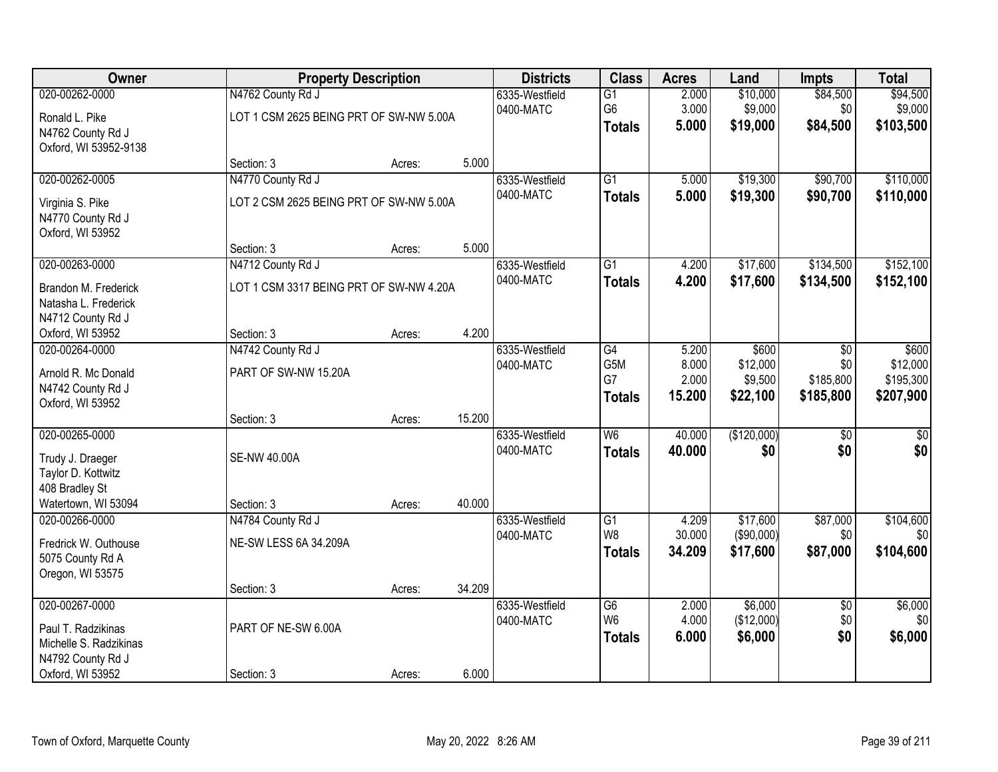| Owner                                                                                                   |                                                              | <b>Property Description</b> |        | <b>Districts</b>            | <b>Class</b>                                       | <b>Acres</b>                      | Land                                     | <b>Impts</b>                         | <b>Total</b>                                |
|---------------------------------------------------------------------------------------------------------|--------------------------------------------------------------|-----------------------------|--------|-----------------------------|----------------------------------------------------|-----------------------------------|------------------------------------------|--------------------------------------|---------------------------------------------|
| 020-00262-0000<br>Ronald L. Pike<br>N4762 County Rd J<br>Oxford, WI 53952-9138                          | N4762 County Rd J<br>LOT 1 CSM 2625 BEING PRT OF SW-NW 5.00A |                             |        | 6335-Westfield<br>0400-MATC | $\overline{G1}$<br>G6<br><b>Totals</b>             | 2.000<br>3.000<br>5.000           | \$10,000<br>\$9,000<br>\$19,000          | \$84,500<br>\$0<br>\$84,500          | \$94,500<br>\$9,000<br>\$103,500            |
|                                                                                                         | Section: 3                                                   | Acres:                      | 5.000  |                             |                                                    |                                   |                                          |                                      |                                             |
| 020-00262-0005<br>Virginia S. Pike<br>N4770 County Rd J<br>Oxford, WI 53952                             | N4770 County Rd J<br>LOT 2 CSM 2625 BEING PRT OF SW-NW 5.00A |                             |        | 6335-Westfield<br>0400-MATC | $\overline{G1}$<br><b>Totals</b>                   | 5.000<br>5.000                    | \$19,300<br>\$19,300                     | \$90,700<br>\$90,700                 | \$110,000<br>\$110,000                      |
|                                                                                                         | Section: 3                                                   | Acres:                      | 5.000  |                             |                                                    |                                   |                                          |                                      |                                             |
| 020-00263-0000<br>Brandon M. Frederick<br>Natasha L. Frederick<br>N4712 County Rd J                     | N4712 County Rd J<br>LOT 1 CSM 3317 BEING PRT OF SW-NW 4.20A |                             |        | 6335-Westfield<br>0400-MATC | G1<br><b>Totals</b>                                | 4.200<br>4.200                    | \$17,600<br>\$17,600                     | \$134,500<br>\$134,500               | \$152,100<br>\$152,100                      |
| Oxford, WI 53952                                                                                        | Section: 3                                                   | Acres:                      | 4.200  |                             |                                                    |                                   |                                          |                                      |                                             |
| 020-00264-0000<br>Arnold R. Mc Donald<br>N4742 County Rd J<br>Oxford, WI 53952                          | N4742 County Rd J<br>PART OF SW-NW 15.20A                    |                             |        | 6335-Westfield<br>0400-MATC | G4<br>G <sub>5</sub> M<br>G7<br><b>Totals</b>      | 5.200<br>8.000<br>2.000<br>15.200 | \$600<br>\$12,000<br>\$9,500<br>\$22,100 | \$0<br>\$0<br>\$185,800<br>\$185,800 | \$600<br>\$12,000<br>\$195,300<br>\$207,900 |
|                                                                                                         | Section: 3                                                   | Acres:                      | 15.200 |                             |                                                    |                                   |                                          |                                      |                                             |
| 020-00265-0000<br>Trudy J. Draeger<br>Taylor D. Kottwitz<br>408 Bradley St<br>Watertown, WI 53094       | <b>SE-NW 40.00A</b><br>Section: 3                            | Acres:                      | 40.000 | 6335-Westfield<br>0400-MATC | $\overline{\mathsf{W6}}$<br><b>Totals</b>          | 40.000<br>40.000                  | (\$120,000)<br>\$0                       | $\overline{50}$<br>\$0               | $\overline{50}$<br>\$0                      |
| 020-00266-0000<br>Fredrick W. Outhouse<br>5075 County Rd A<br>Oregon, WI 53575                          | N4784 County Rd J<br>NE-SW LESS 6A 34.209A                   |                             |        | 6335-Westfield<br>0400-MATC | G1<br>W <sub>8</sub><br><b>Totals</b>              | 4.209<br>30.000<br>34.209         | \$17,600<br>(\$90,000)<br>\$17,600       | \$87,000<br>\$0<br>\$87,000          | \$104,600<br>\$0]<br>\$104,600              |
|                                                                                                         | Section: 3                                                   | Acres:                      | 34.209 |                             |                                                    |                                   |                                          |                                      |                                             |
| 020-00267-0000<br>Paul T. Radzikinas<br>Michelle S. Radzikinas<br>N4792 County Rd J<br>Oxford, WI 53952 | PART OF NE-SW 6.00A<br>Section: 3                            | Acres:                      | 6.000  | 6335-Westfield<br>0400-MATC | $\overline{G6}$<br>W <sub>6</sub><br><b>Totals</b> | 2.000<br>4.000<br>6.000           | \$6,000<br>(\$12,000)<br>\$6,000         | $\overline{50}$<br>\$0<br>\$0        | \$6,000<br>\$0<br>\$6,000                   |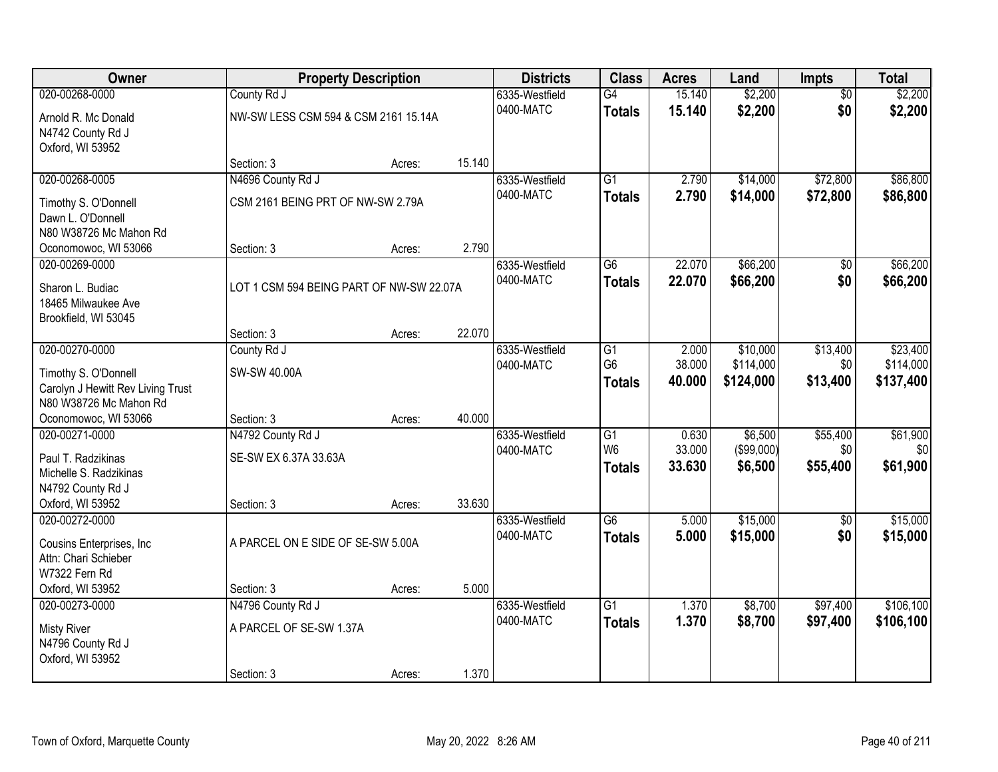| Owner                                                       | <b>Property Description</b>              |        |        | <b>Districts</b>            | <b>Class</b>    | <b>Acres</b>     | Land                 | Impts           | <b>Total</b>         |
|-------------------------------------------------------------|------------------------------------------|--------|--------|-----------------------------|-----------------|------------------|----------------------|-----------------|----------------------|
| 020-00268-0000                                              | County Rd J                              |        |        | 6335-Westfield              | G4              | 15.140           | \$2,200              | $\overline{50}$ | \$2,200              |
| Arnold R. Mc Donald                                         | NW-SW LESS CSM 594 & CSM 2161 15.14A     |        |        | 0400-MATC                   | <b>Totals</b>   | 15.140           | \$2,200              | \$0             | \$2,200              |
| N4742 County Rd J                                           |                                          |        |        |                             |                 |                  |                      |                 |                      |
| Oxford, WI 53952                                            |                                          |        |        |                             |                 |                  |                      |                 |                      |
|                                                             | Section: 3                               | Acres: | 15.140 |                             |                 |                  |                      |                 |                      |
| 020-00268-0005                                              | N4696 County Rd J                        |        |        | 6335-Westfield              | $\overline{G1}$ | 2.790            | \$14,000             | \$72,800        | \$86,800             |
| Timothy S. O'Donnell                                        | CSM 2161 BEING PRT OF NW-SW 2.79A        |        |        | 0400-MATC                   | <b>Totals</b>   | 2.790            | \$14,000             | \$72,800        | \$86,800             |
| Dawn L. O'Donnell                                           |                                          |        |        |                             |                 |                  |                      |                 |                      |
| N80 W38726 Mc Mahon Rd                                      |                                          |        |        |                             |                 |                  |                      |                 |                      |
| Oconomowoc, WI 53066                                        | Section: 3                               | Acres: | 2.790  |                             |                 |                  |                      |                 |                      |
| 020-00269-0000                                              |                                          |        |        | 6335-Westfield<br>0400-MATC | G6              | 22.070<br>22.070 | \$66,200<br>\$66,200 | \$0<br>\$0      | \$66,200<br>\$66,200 |
| Sharon L. Budiac                                            | LOT 1 CSM 594 BEING PART OF NW-SW 22.07A |        |        |                             | <b>Totals</b>   |                  |                      |                 |                      |
| 18465 Milwaukee Ave                                         |                                          |        |        |                             |                 |                  |                      |                 |                      |
| Brookfield, WI 53045                                        | Section: 3                               | Acres: | 22.070 |                             |                 |                  |                      |                 |                      |
| 020-00270-0000                                              | County Rd J                              |        |        | 6335-Westfield              | G1              | 2.000            | \$10,000             | \$13,400        | \$23,400             |
|                                                             |                                          |        |        | 0400-MATC                   | G <sub>6</sub>  | 38.000           | \$114,000            | \$0             | \$114,000            |
| Timothy S. O'Donnell                                        | SW-SW 40.00A                             |        |        |                             | <b>Totals</b>   | 40.000           | \$124,000            | \$13,400        | \$137,400            |
| Carolyn J Hewitt Rev Living Trust<br>N80 W38726 Mc Mahon Rd |                                          |        |        |                             |                 |                  |                      |                 |                      |
| Oconomowoc, WI 53066                                        | Section: 3                               | Acres: | 40.000 |                             |                 |                  |                      |                 |                      |
| 020-00271-0000                                              | N4792 County Rd J                        |        |        | 6335-Westfield              | $\overline{G1}$ | 0.630            | \$6,500              | \$55,400        | \$61,900             |
|                                                             |                                          |        |        | 0400-MATC                   | W <sub>6</sub>  | 33.000           | (\$99,000)           | \$0             | \$0                  |
| Paul T. Radzikinas<br>Michelle S. Radzikinas                | SE-SW EX 6.37A 33.63A                    |        |        |                             | <b>Totals</b>   | 33.630           | \$6,500              | \$55,400        | \$61,900             |
| N4792 County Rd J                                           |                                          |        |        |                             |                 |                  |                      |                 |                      |
| Oxford, WI 53952                                            | Section: 3                               | Acres: | 33.630 |                             |                 |                  |                      |                 |                      |
| 020-00272-0000                                              |                                          |        |        | 6335-Westfield              | $\overline{G6}$ | 5.000            | \$15,000             | $\overline{50}$ | \$15,000             |
| Cousins Enterprises, Inc.                                   | A PARCEL ON E SIDE OF SE-SW 5.00A        |        |        | 0400-MATC                   | <b>Totals</b>   | 5.000            | \$15,000             | \$0             | \$15,000             |
| Attn: Chari Schieber                                        |                                          |        |        |                             |                 |                  |                      |                 |                      |
| W7322 Fern Rd                                               |                                          |        |        |                             |                 |                  |                      |                 |                      |
| Oxford, WI 53952                                            | Section: 3                               | Acres: | 5.000  |                             |                 |                  |                      |                 |                      |
| 020-00273-0000                                              | N4796 County Rd J                        |        |        | 6335-Westfield              | $\overline{G1}$ | 1.370            | \$8,700              | \$97,400        | \$106,100            |
| <b>Misty River</b>                                          | A PARCEL OF SE-SW 1.37A                  |        |        | 0400-MATC                   | <b>Totals</b>   | 1.370            | \$8,700              | \$97,400        | \$106,100            |
| N4796 County Rd J                                           |                                          |        |        |                             |                 |                  |                      |                 |                      |
| Oxford, WI 53952                                            |                                          |        |        |                             |                 |                  |                      |                 |                      |
|                                                             | Section: 3                               | Acres: | 1.370  |                             |                 |                  |                      |                 |                      |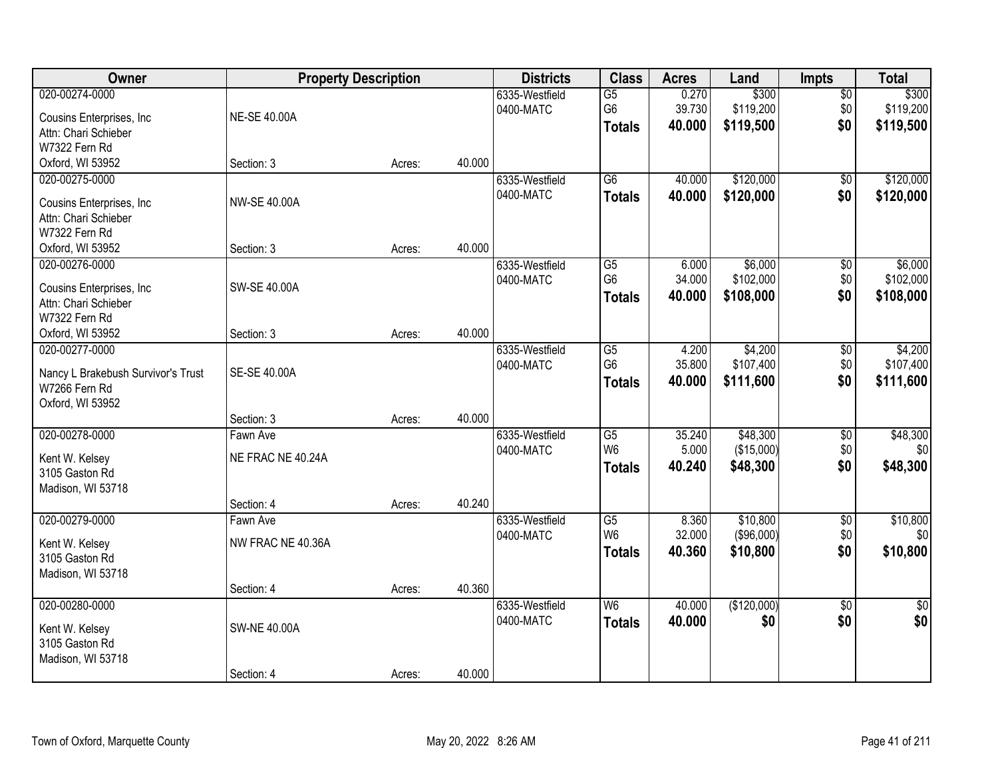| Owner                                               |                     | <b>Property Description</b> |        | <b>Districts</b>            | <b>Class</b>          | <b>Acres</b>    | Land               | Impts                  | <b>Total</b>           |
|-----------------------------------------------------|---------------------|-----------------------------|--------|-----------------------------|-----------------------|-----------------|--------------------|------------------------|------------------------|
| 020-00274-0000<br>Cousins Enterprises, Inc.         | NE-SE 40.00A        |                             |        | 6335-Westfield<br>0400-MATC | $\overline{G5}$<br>G6 | 0.270<br>39.730 | \$300<br>\$119,200 | $\overline{50}$<br>\$0 | \$300<br>\$119,200     |
| Attn: Chari Schieber                                |                     |                             |        |                             | <b>Totals</b>         | 40.000          | \$119,500          | \$0                    | \$119,500              |
| W7322 Fern Rd                                       |                     |                             |        |                             |                       |                 |                    |                        |                        |
| Oxford, WI 53952                                    | Section: 3          | Acres:                      | 40.000 |                             |                       |                 |                    |                        |                        |
| 020-00275-0000                                      |                     |                             |        | 6335-Westfield              | $\overline{G6}$       | 40.000          | \$120,000          | $\overline{50}$        | \$120,000              |
| Cousins Enterprises, Inc                            | <b>NW-SE 40.00A</b> |                             |        | 0400-MATC                   | <b>Totals</b>         | 40.000          | \$120,000          | \$0                    | \$120,000              |
| Attn: Chari Schieber                                |                     |                             |        |                             |                       |                 |                    |                        |                        |
| W7322 Fern Rd                                       |                     |                             |        |                             |                       |                 |                    |                        |                        |
| Oxford, WI 53952                                    | Section: 3          | Acres:                      | 40.000 |                             |                       |                 |                    |                        |                        |
| 020-00276-0000                                      |                     |                             |        | 6335-Westfield              | G5                    | 6.000           | \$6,000            | \$0                    | \$6,000                |
| Cousins Enterprises, Inc.                           | SW-SE 40.00A        |                             |        | 0400-MATC                   | G <sub>6</sub>        | 34.000          | \$102,000          | \$0                    | \$102,000              |
| Attn: Chari Schieber                                |                     |                             |        |                             | <b>Totals</b>         | 40.000          | \$108,000          | \$0                    | \$108,000              |
| W7322 Fern Rd                                       |                     |                             |        |                             |                       |                 |                    |                        |                        |
| Oxford, WI 53952                                    | Section: 3          | Acres:                      | 40.000 |                             |                       |                 |                    |                        |                        |
| 020-00277-0000                                      |                     |                             |        | 6335-Westfield              | G5                    | 4.200           | \$4,200            | $\sqrt[6]{3}$          | \$4,200                |
|                                                     |                     |                             |        | 0400-MATC                   | G <sub>6</sub>        | 35.800          | \$107,400          | \$0                    | \$107,400              |
| Nancy L Brakebush Survivor's Trust<br>W7266 Fern Rd | SE-SE 40.00A        |                             |        |                             | <b>Totals</b>         | 40.000          | \$111,600          | \$0                    | \$111,600              |
| Oxford, WI 53952                                    |                     |                             |        |                             |                       |                 |                    |                        |                        |
|                                                     | Section: 3          | Acres:                      | 40.000 |                             |                       |                 |                    |                        |                        |
| 020-00278-0000                                      | Fawn Ave            |                             |        | 6335-Westfield              | $\overline{G5}$       | 35.240          | \$48,300           | $\overline{50}$        | \$48,300               |
|                                                     |                     |                             |        | 0400-MATC                   | W <sub>6</sub>        | 5.000           | (\$15,000)         | \$0                    | 30                     |
| Kent W. Kelsey                                      | NE FRAC NE 40.24A   |                             |        |                             | <b>Totals</b>         | 40.240          | \$48,300           | \$0                    | \$48,300               |
| 3105 Gaston Rd                                      |                     |                             |        |                             |                       |                 |                    |                        |                        |
| Madison, WI 53718                                   | Section: 4          | Acres:                      | 40.240 |                             |                       |                 |                    |                        |                        |
| 020-00279-0000                                      | Fawn Ave            |                             |        | 6335-Westfield              | $\overline{G5}$       | 8.360           | \$10,800           | $\overline{50}$        | \$10,800               |
|                                                     |                     |                             |        | 0400-MATC                   | W <sub>6</sub>        | 32.000          | $($ \$96,000) $ $  | \$0                    | \$0                    |
| Kent W. Kelsey                                      | NW FRAC NE 40.36A   |                             |        |                             | <b>Totals</b>         | 40.360          | \$10,800           | \$0                    | \$10,800               |
| 3105 Gaston Rd                                      |                     |                             |        |                             |                       |                 |                    |                        |                        |
| Madison, WI 53718                                   |                     |                             |        |                             |                       |                 |                    |                        |                        |
| 020-00280-0000                                      | Section: 4          | Acres:                      | 40.360 | 6335-Westfield              | W6                    | 40.000          |                    | $\overline{50}$        |                        |
|                                                     |                     |                             |        | 0400-MATC                   |                       | 40.000          | (\$120,000)<br>\$0 | \$0                    | $\overline{50}$<br>\$0 |
| Kent W. Kelsey                                      | <b>SW-NE 40.00A</b> |                             |        |                             | <b>Totals</b>         |                 |                    |                        |                        |
| 3105 Gaston Rd                                      |                     |                             |        |                             |                       |                 |                    |                        |                        |
| Madison, WI 53718                                   |                     |                             |        |                             |                       |                 |                    |                        |                        |
|                                                     | Section: 4          | Acres:                      | 40.000 |                             |                       |                 |                    |                        |                        |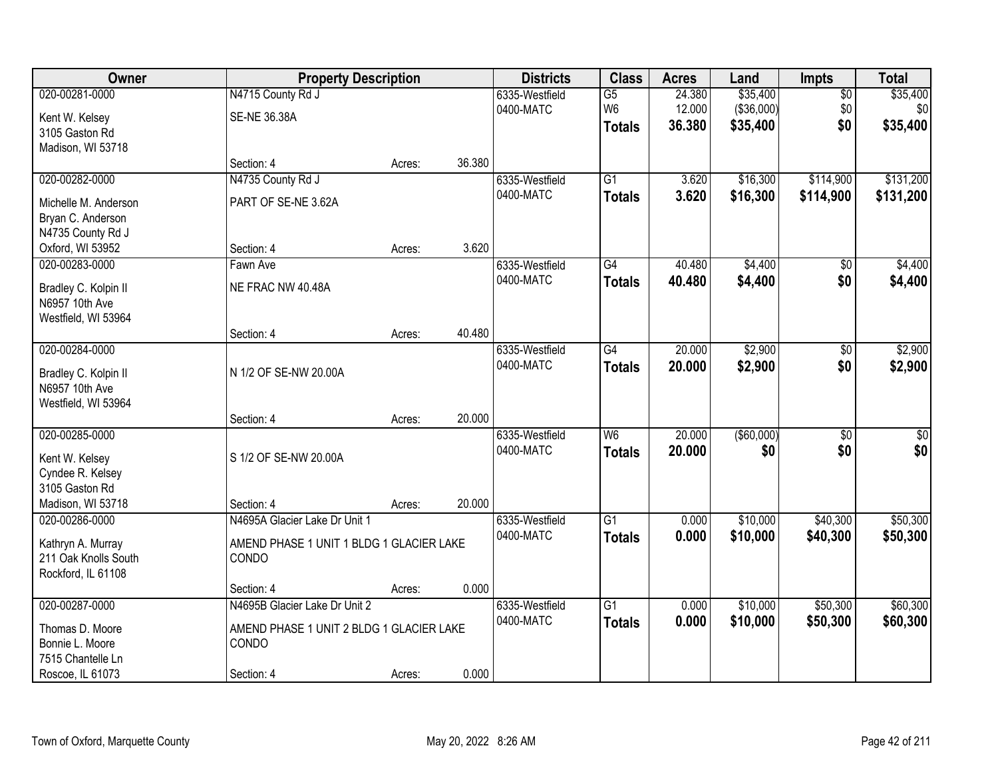| Owner                                                                                       |                                                                                    | <b>Property Description</b> |        | <b>Districts</b>            | <b>Class</b>                                       | <b>Acres</b>               | Land                               | <b>Impts</b>                  | <b>Total</b>                |
|---------------------------------------------------------------------------------------------|------------------------------------------------------------------------------------|-----------------------------|--------|-----------------------------|----------------------------------------------------|----------------------------|------------------------------------|-------------------------------|-----------------------------|
| 020-00281-0000<br>Kent W. Kelsey<br>3105 Gaston Rd                                          | N4715 County Rd J<br><b>SE-NE 36.38A</b>                                           |                             |        | 6335-Westfield<br>0400-MATC | $\overline{G5}$<br>W <sub>6</sub><br><b>Totals</b> | 24.380<br>12.000<br>36.380 | \$35,400<br>(\$36,000)<br>\$35,400 | $\overline{50}$<br>\$0<br>\$0 | \$35,400<br>\$0<br>\$35,400 |
| Madison, WI 53718                                                                           | Section: 4                                                                         | Acres:                      | 36.380 |                             |                                                    |                            |                                    |                               |                             |
| 020-00282-0000<br>Michelle M. Anderson<br>Bryan C. Anderson                                 | N4735 County Rd J<br>PART OF SE-NE 3.62A                                           |                             |        | 6335-Westfield<br>0400-MATC | $\overline{G1}$<br><b>Totals</b>                   | 3.620<br>3.620             | \$16,300<br>\$16,300               | \$114,900<br>\$114,900        | \$131,200<br>\$131,200      |
| N4735 County Rd J<br>Oxford, WI 53952                                                       | Section: 4                                                                         | Acres:                      | 3.620  |                             |                                                    |                            |                                    |                               |                             |
| 020-00283-0000<br>Bradley C. Kolpin II<br>N6957 10th Ave<br>Westfield, WI 53964             | Fawn Ave<br>NE FRAC NW 40.48A                                                      |                             |        | 6335-Westfield<br>0400-MATC | $\overline{G4}$<br><b>Totals</b>                   | 40.480<br>40.480           | \$4,400<br>\$4,400                 | \$0<br>\$0                    | \$4,400<br>\$4,400          |
|                                                                                             | Section: 4                                                                         | Acres:                      | 40.480 |                             |                                                    |                            |                                    |                               |                             |
| 020-00284-0000<br>Bradley C. Kolpin II<br>N6957 10th Ave<br>Westfield, WI 53964             | N 1/2 OF SE-NW 20.00A                                                              |                             |        | 6335-Westfield<br>0400-MATC | $\overline{G4}$<br><b>Totals</b>                   | 20.000<br>20.000           | \$2,900<br>\$2,900                 | \$0<br>\$0                    | \$2,900<br>\$2,900          |
|                                                                                             | Section: 4                                                                         | Acres:                      | 20.000 |                             |                                                    |                            |                                    |                               |                             |
| 020-00285-0000<br>Kent W. Kelsey<br>Cyndee R. Kelsey<br>3105 Gaston Rd<br>Madison, WI 53718 | S 1/2 OF SE-NW 20.00A<br>Section: 4                                                | Acres:                      | 20.000 | 6335-Westfield<br>0400-MATC | $\overline{W6}$<br><b>Totals</b>                   | 20.000<br>20,000           | (\$60,000)<br>\$0                  | $\overline{30}$<br>\$0        | $\sqrt{50}$<br>\$0          |
| 020-00286-0000<br>Kathryn A. Murray<br>211 Oak Knolls South<br>Rockford, IL 61108           | N4695A Glacier Lake Dr Unit 1<br>AMEND PHASE 1 UNIT 1 BLDG 1 GLACIER LAKE<br>CONDO |                             |        | 6335-Westfield<br>0400-MATC | $\overline{G1}$<br><b>Totals</b>                   | 0.000<br>0.000             | \$10,000<br>\$10,000               | \$40,300<br>\$40,300          | \$50,300<br>\$50,300        |
| 020-00287-0000                                                                              | Section: 4<br>N4695B Glacier Lake Dr Unit 2                                        | Acres:                      | 0.000  | 6335-Westfield              | $\overline{G1}$                                    | 0.000                      | \$10,000                           | \$50,300                      | \$60,300                    |
| Thomas D. Moore<br>Bonnie L. Moore<br>7515 Chantelle Ln<br>Roscoe, IL 61073                 | AMEND PHASE 1 UNIT 2 BLDG 1 GLACIER LAKE<br>CONDO<br>Section: 4                    | Acres:                      | 0.000  | 0400-MATC                   | <b>Totals</b>                                      | 0.000                      | \$10,000                           | \$50,300                      | \$60,300                    |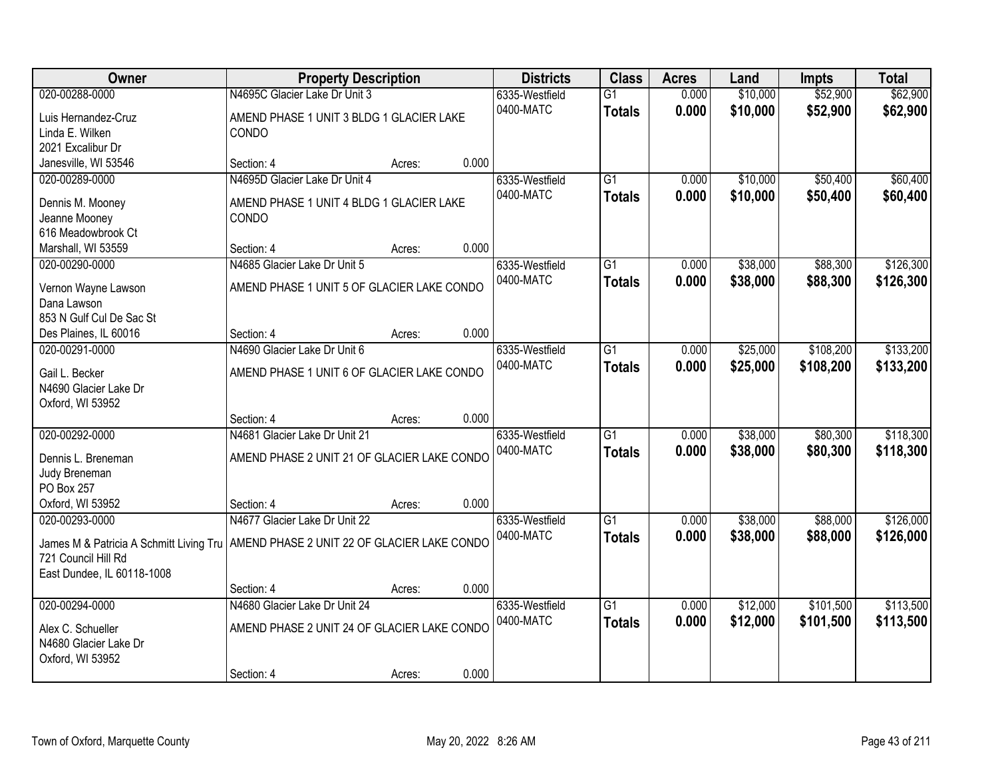| Owner                                                                                                                                      | <b>Property Description</b>                                                                |        |       | <b>Districts</b>            | <b>Class</b>                     | <b>Acres</b>   | Land                 | <b>Impts</b>           | <b>Total</b>           |
|--------------------------------------------------------------------------------------------------------------------------------------------|--------------------------------------------------------------------------------------------|--------|-------|-----------------------------|----------------------------------|----------------|----------------------|------------------------|------------------------|
| 020-00288-0000                                                                                                                             | N4695C Glacier Lake Dr Unit 3                                                              |        |       | 6335-Westfield              | $\overline{G1}$                  | 0.000          | \$10,000             | \$52,900               | \$62,900               |
| Luis Hernandez-Cruz<br>Linda E. Wilken<br>2021 Excalibur Dr                                                                                | AMEND PHASE 1 UNIT 3 BLDG 1 GLACIER LAKE<br>CONDO                                          |        |       | 0400-MATC                   | <b>Totals</b>                    | 0.000          | \$10,000             | \$52,900               | \$62,900               |
| Janesville, WI 53546                                                                                                                       | Section: 4                                                                                 | Acres: | 0.000 |                             |                                  |                |                      |                        |                        |
| 020-00289-0000<br>Dennis M. Mooney<br>Jeanne Mooney<br>616 Meadowbrook Ct                                                                  | N4695D Glacier Lake Dr Unit 4<br>AMEND PHASE 1 UNIT 4 BLDG 1 GLACIER LAKE<br>CONDO         |        |       | 6335-Westfield<br>0400-MATC | $\overline{G1}$<br><b>Totals</b> | 0.000<br>0.000 | \$10,000<br>\$10,000 | \$50,400<br>\$50,400   | \$60,400<br>\$60,400   |
| Marshall, WI 53559                                                                                                                         | Section: 4                                                                                 | Acres: | 0.000 |                             |                                  |                |                      |                        |                        |
| 020-00290-0000<br>Vernon Wayne Lawson<br>Dana Lawson<br>853 N Gulf Cul De Sac St                                                           | N4685 Glacier Lake Dr Unit 5<br>AMEND PHASE 1 UNIT 5 OF GLACIER LAKE CONDO                 |        |       | 6335-Westfield<br>0400-MATC | $\overline{G1}$<br><b>Totals</b> | 0.000<br>0.000 | \$38,000<br>\$38,000 | \$88,300<br>\$88,300   | \$126,300<br>\$126,300 |
| Des Plaines, IL 60016                                                                                                                      | Section: 4                                                                                 | Acres: | 0.000 |                             |                                  |                |                      |                        |                        |
| 020-00291-0000<br>Gail L. Becker<br>N4690 Glacier Lake Dr<br>Oxford, WI 53952                                                              | N4690 Glacier Lake Dr Unit 6<br>AMEND PHASE 1 UNIT 6 OF GLACIER LAKE CONDO                 |        |       | 6335-Westfield<br>0400-MATC | $\overline{G1}$<br><b>Totals</b> | 0.000<br>0.000 | \$25,000<br>\$25,000 | \$108,200<br>\$108,200 | \$133,200<br>\$133,200 |
|                                                                                                                                            | Section: 4                                                                                 | Acres: | 0.000 |                             |                                  |                |                      |                        |                        |
| 020-00292-0000<br>Dennis L. Breneman<br>Judy Breneman<br>PO Box 257<br>Oxford, WI 53952                                                    | N4681 Glacier Lake Dr Unit 21<br>AMEND PHASE 2 UNIT 21 OF GLACIER LAKE CONDO<br>Section: 4 | Acres: | 0.000 | 6335-Westfield<br>0400-MATC | $\overline{G1}$<br><b>Totals</b> | 0.000<br>0.000 | \$38,000<br>\$38,000 | \$80,300<br>\$80,300   | \$118,300<br>\$118,300 |
| 020-00293-0000                                                                                                                             | N4677 Glacier Lake Dr Unit 22                                                              |        |       | 6335-Westfield              | $\overline{G1}$                  | 0.000          | \$38,000             | \$88,000               | \$126,000              |
| James M & Patricia A Schmitt Living Tru   AMEND PHASE 2 UNIT 22 OF GLACIER LAKE CONDO<br>721 Council Hill Rd<br>East Dundee, IL 60118-1008 |                                                                                            |        |       | 0400-MATC                   | <b>Totals</b>                    | 0.000          | \$38,000             | \$88,000               | \$126,000              |
|                                                                                                                                            | Section: 4                                                                                 | Acres: | 0.000 |                             |                                  |                |                      |                        |                        |
| 020-00294-0000<br>Alex C. Schueller<br>N4680 Glacier Lake Dr<br>Oxford, WI 53952                                                           | N4680 Glacier Lake Dr Unit 24<br>AMEND PHASE 2 UNIT 24 OF GLACIER LAKE CONDO<br>Section: 4 | Acres: | 0.000 | 6335-Westfield<br>0400-MATC | $\overline{G1}$<br><b>Totals</b> | 0.000<br>0.000 | \$12,000<br>\$12,000 | \$101,500<br>\$101,500 | \$113,500<br>\$113,500 |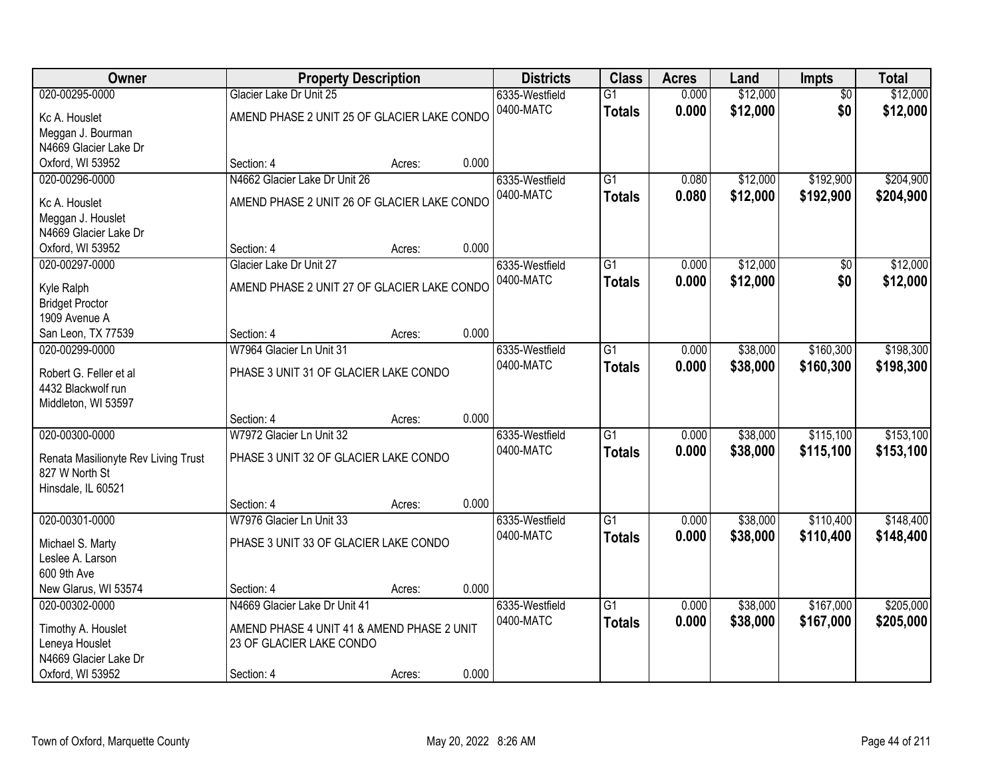| Owner                                | <b>Property Description</b>                 |        |       | <b>Districts</b> | <b>Class</b>    | <b>Acres</b> | Land     | <b>Impts</b>    | <b>Total</b> |
|--------------------------------------|---------------------------------------------|--------|-------|------------------|-----------------|--------------|----------|-----------------|--------------|
| 020-00295-0000                       | Glacier Lake Dr Unit 25                     |        |       | 6335-Westfield   | $\overline{G1}$ | 0.000        | \$12,000 | $\overline{50}$ | \$12,000     |
| Kc A. Houslet                        | AMEND PHASE 2 UNIT 25 OF GLACIER LAKE CONDO |        |       | 0400-MATC        | <b>Totals</b>   | 0.000        | \$12,000 | \$0             | \$12,000     |
| Meggan J. Bourman                    |                                             |        |       |                  |                 |              |          |                 |              |
| N4669 Glacier Lake Dr                |                                             |        |       |                  |                 |              |          |                 |              |
| Oxford, WI 53952                     | Section: 4                                  | Acres: | 0.000 |                  |                 |              |          |                 |              |
| 020-00296-0000                       | N4662 Glacier Lake Dr Unit 26               |        |       | 6335-Westfield   | $\overline{G1}$ | 0.080        | \$12,000 | \$192,900       | \$204,900    |
| Kc A. Houslet                        | AMEND PHASE 2 UNIT 26 OF GLACIER LAKE CONDO |        |       | 0400-MATC        | <b>Totals</b>   | 0.080        | \$12,000 | \$192,900       | \$204,900    |
| Meggan J. Houslet                    |                                             |        |       |                  |                 |              |          |                 |              |
| N4669 Glacier Lake Dr                |                                             |        |       |                  |                 |              |          |                 |              |
| Oxford, WI 53952                     | Section: 4                                  | Acres: | 0.000 |                  |                 |              |          |                 |              |
| 020-00297-0000                       | Glacier Lake Dr Unit 27                     |        |       | 6335-Westfield   | $\overline{G1}$ | 0.000        | \$12,000 | \$0             | \$12,000     |
|                                      |                                             |        |       | 0400-MATC        | <b>Totals</b>   | 0.000        | \$12,000 | \$0             | \$12,000     |
| Kyle Ralph                           | AMEND PHASE 2 UNIT 27 OF GLACIER LAKE CONDO |        |       |                  |                 |              |          |                 |              |
| <b>Bridget Proctor</b>               |                                             |        |       |                  |                 |              |          |                 |              |
| 1909 Avenue A                        |                                             |        |       |                  |                 |              |          |                 |              |
| San Leon, TX 77539                   | Section: 4                                  | Acres: | 0.000 |                  |                 |              |          |                 |              |
| 020-00299-0000                       | W7964 Glacier Ln Unit 31                    |        |       | 6335-Westfield   | $\overline{G1}$ | 0.000        | \$38,000 | \$160,300       | \$198,300    |
| Robert G. Feller et al               | PHASE 3 UNIT 31 OF GLACIER LAKE CONDO       |        |       | 0400-MATC        | <b>Totals</b>   | 0.000        | \$38,000 | \$160,300       | \$198,300    |
| 4432 Blackwolf run                   |                                             |        |       |                  |                 |              |          |                 |              |
| Middleton, WI 53597                  |                                             |        |       |                  |                 |              |          |                 |              |
|                                      | Section: 4                                  | Acres: | 0.000 |                  |                 |              |          |                 |              |
| 020-00300-0000                       | W7972 Glacier Ln Unit 32                    |        |       | 6335-Westfield   | $\overline{G1}$ | 0.000        | \$38,000 | \$115,100       | \$153,100    |
| Renata Masilionyte Rev Living Trust  | PHASE 3 UNIT 32 OF GLACIER LAKE CONDO       |        |       | 0400-MATC        | <b>Totals</b>   | 0.000        | \$38,000 | \$115,100       | \$153,100    |
| 827 W North St                       |                                             |        |       |                  |                 |              |          |                 |              |
| Hinsdale, IL 60521                   |                                             |        |       |                  |                 |              |          |                 |              |
|                                      | Section: 4                                  | Acres: | 0.000 |                  |                 |              |          |                 |              |
| 020-00301-0000                       | W7976 Glacier Ln Unit 33                    |        |       | 6335-Westfield   | $\overline{G1}$ | 0.000        | \$38,000 | \$110,400       | \$148,400    |
|                                      | PHASE 3 UNIT 33 OF GLACIER LAKE CONDO       |        |       | 0400-MATC        | <b>Totals</b>   | 0.000        | \$38,000 | \$110,400       | \$148,400    |
| Michael S. Marty<br>Leslee A. Larson |                                             |        |       |                  |                 |              |          |                 |              |
| 600 9th Ave                          |                                             |        |       |                  |                 |              |          |                 |              |
| New Glarus, WI 53574                 | Section: 4                                  | Acres: | 0.000 |                  |                 |              |          |                 |              |
| 020-00302-0000                       | N4669 Glacier Lake Dr Unit 41               |        |       | 6335-Westfield   | $\overline{G1}$ | 0.000        | \$38,000 | \$167,000       | \$205,000    |
|                                      |                                             |        |       | 0400-MATC        | <b>Totals</b>   | 0.000        | \$38,000 | \$167,000       | \$205,000    |
| Timothy A. Houslet                   | AMEND PHASE 4 UNIT 41 & AMEND PHASE 2 UNIT  |        |       |                  |                 |              |          |                 |              |
| Leneya Houslet                       | 23 OF GLACIER LAKE CONDO                    |        |       |                  |                 |              |          |                 |              |
| N4669 Glacier Lake Dr                |                                             |        |       |                  |                 |              |          |                 |              |
| Oxford, WI 53952                     | Section: 4                                  | Acres: | 0.000 |                  |                 |              |          |                 |              |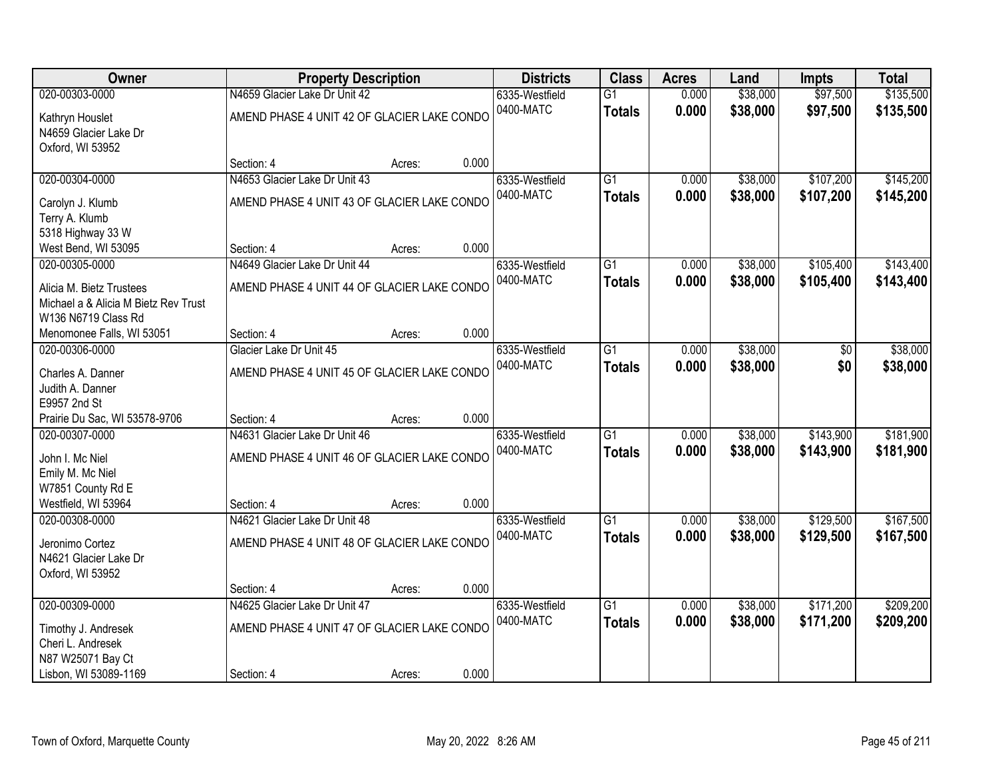| Owner                                     | <b>Property Description</b>                 |        |       | <b>Districts</b> | <b>Class</b>    | <b>Acres</b> | Land     | <b>Impts</b> | <b>Total</b> |
|-------------------------------------------|---------------------------------------------|--------|-------|------------------|-----------------|--------------|----------|--------------|--------------|
| 020-00303-0000                            | N4659 Glacier Lake Dr Unit 42               |        |       | 6335-Westfield   | $\overline{G1}$ | 0.000        | \$38,000 | \$97,500     | \$135,500    |
| Kathryn Houslet                           | AMEND PHASE 4 UNIT 42 OF GLACIER LAKE CONDO |        |       | 0400-MATC        | <b>Totals</b>   | 0.000        | \$38,000 | \$97,500     | \$135,500    |
| N4659 Glacier Lake Dr                     |                                             |        |       |                  |                 |              |          |              |              |
| Oxford, WI 53952                          |                                             |        |       |                  |                 |              |          |              |              |
|                                           | Section: 4                                  | Acres: | 0.000 |                  |                 |              |          |              |              |
| 020-00304-0000                            | N4653 Glacier Lake Dr Unit 43               |        |       | 6335-Westfield   | $\overline{G1}$ | 0.000        | \$38,000 | \$107,200    | \$145,200    |
| Carolyn J. Klumb                          | AMEND PHASE 4 UNIT 43 OF GLACIER LAKE CONDO |        |       | 0400-MATC        | <b>Totals</b>   | 0.000        | \$38,000 | \$107,200    | \$145,200    |
| Terry A. Klumb                            |                                             |        |       |                  |                 |              |          |              |              |
| 5318 Highway 33 W                         |                                             |        |       |                  |                 |              |          |              |              |
| West Bend, WI 53095                       | Section: 4                                  | Acres: | 0.000 |                  |                 |              |          |              |              |
| 020-00305-0000                            | N4649 Glacier Lake Dr Unit 44               |        |       | 6335-Westfield   | G1              | 0.000        | \$38,000 | \$105,400    | \$143,400    |
| Alicia M. Bietz Trustees                  | AMEND PHASE 4 UNIT 44 OF GLACIER LAKE CONDO |        |       | 0400-MATC        | <b>Totals</b>   | 0.000        | \$38,000 | \$105,400    | \$143,400    |
| Michael a & Alicia M Bietz Rev Trust      |                                             |        |       |                  |                 |              |          |              |              |
| W136 N6719 Class Rd                       |                                             |        |       |                  |                 |              |          |              |              |
| Menomonee Falls, WI 53051                 | Section: 4                                  | Acres: | 0.000 |                  |                 |              |          |              |              |
| 020-00306-0000                            | Glacier Lake Dr Unit 45                     |        |       | 6335-Westfield   | G1              | 0.000        | \$38,000 | \$0          | \$38,000     |
| Charles A. Danner                         | AMEND PHASE 4 UNIT 45 OF GLACIER LAKE CONDO |        |       | 0400-MATC        | <b>Totals</b>   | 0.000        | \$38,000 | \$0          | \$38,000     |
| Judith A. Danner                          |                                             |        |       |                  |                 |              |          |              |              |
| E9957 2nd St                              |                                             |        |       |                  |                 |              |          |              |              |
| Prairie Du Sac, WI 53578-9706             | Section: 4                                  | Acres: | 0.000 |                  |                 |              |          |              |              |
| 020-00307-0000                            | N4631 Glacier Lake Dr Unit 46               |        |       | 6335-Westfield   | $\overline{G1}$ | 0.000        | \$38,000 | \$143,900    | \$181,900    |
|                                           |                                             |        |       | 0400-MATC        | <b>Totals</b>   | 0.000        | \$38,000 | \$143,900    | \$181,900    |
| John I. Mc Niel<br>Emily M. Mc Niel       | AMEND PHASE 4 UNIT 46 OF GLACIER LAKE CONDO |        |       |                  |                 |              |          |              |              |
| W7851 County Rd E                         |                                             |        |       |                  |                 |              |          |              |              |
| Westfield, WI 53964                       | Section: 4                                  | Acres: | 0.000 |                  |                 |              |          |              |              |
| 020-00308-0000                            | N4621 Glacier Lake Dr Unit 48               |        |       | 6335-Westfield   | $\overline{G1}$ | 0.000        | \$38,000 | \$129,500    | \$167,500    |
|                                           |                                             |        |       | 0400-MATC        | <b>Totals</b>   | 0.000        | \$38,000 | \$129,500    | \$167,500    |
| Jeronimo Cortez                           | AMEND PHASE 4 UNIT 48 OF GLACIER LAKE CONDO |        |       |                  |                 |              |          |              |              |
| N4621 Glacier Lake Dr<br>Oxford, WI 53952 |                                             |        |       |                  |                 |              |          |              |              |
|                                           | Section: 4                                  | Acres: | 0.000 |                  |                 |              |          |              |              |
| 020-00309-0000                            | N4625 Glacier Lake Dr Unit 47               |        |       | 6335-Westfield   | $\overline{G1}$ | 0.000        | \$38,000 | \$171,200    | \$209,200    |
|                                           |                                             |        |       | 0400-MATC        | <b>Totals</b>   | 0.000        | \$38,000 | \$171,200    | \$209,200    |
| Timothy J. Andresek                       | AMEND PHASE 4 UNIT 47 OF GLACIER LAKE CONDO |        |       |                  |                 |              |          |              |              |
| Cheri L. Andresek                         |                                             |        |       |                  |                 |              |          |              |              |
| N87 W25071 Bay Ct                         |                                             |        |       |                  |                 |              |          |              |              |
| Lisbon, WI 53089-1169                     | Section: 4                                  | Acres: | 0.000 |                  |                 |              |          |              |              |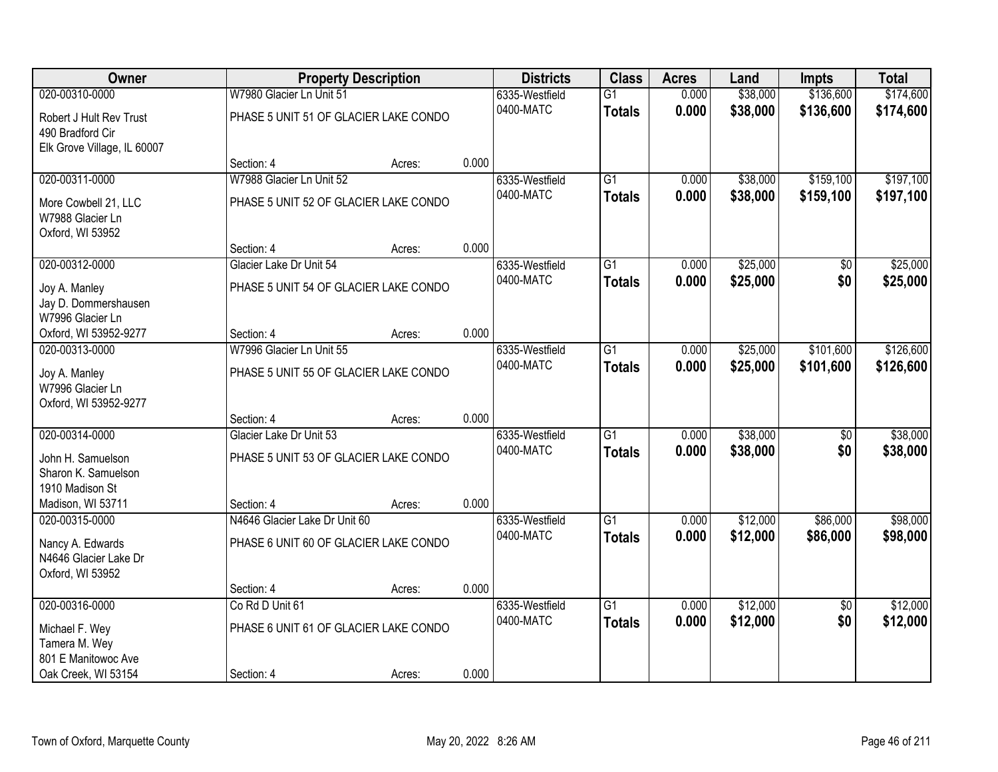| Owner                                       |                                       | <b>Property Description</b> |       | <b>Districts</b> | <b>Class</b>    | <b>Acres</b> | Land     | <b>Impts</b>    | <b>Total</b> |
|---------------------------------------------|---------------------------------------|-----------------------------|-------|------------------|-----------------|--------------|----------|-----------------|--------------|
| 020-00310-0000                              | W7980 Glacier Ln Unit 51              |                             |       | 6335-Westfield   | $\overline{G1}$ | 0.000        | \$38,000 | \$136,600       | \$174,600    |
| Robert J Hult Rev Trust<br>490 Bradford Cir | PHASE 5 UNIT 51 OF GLACIER LAKE CONDO |                             |       | 0400-MATC        | <b>Totals</b>   | 0.000        | \$38,000 | \$136,600       | \$174,600    |
| Elk Grove Village, IL 60007                 |                                       |                             |       |                  |                 |              |          |                 |              |
|                                             | Section: 4                            | Acres:                      | 0.000 |                  |                 |              |          |                 |              |
| 020-00311-0000                              | W7988 Glacier Ln Unit 52              |                             |       | 6335-Westfield   | G1              | 0.000        | \$38,000 | \$159,100       | \$197,100    |
| More Cowbell 21, LLC                        | PHASE 5 UNIT 52 OF GLACIER LAKE CONDO |                             |       | 0400-MATC        | <b>Totals</b>   | 0.000        | \$38,000 | \$159,100       | \$197,100    |
| W7988 Glacier Ln                            |                                       |                             |       |                  |                 |              |          |                 |              |
| Oxford, WI 53952                            |                                       |                             |       |                  |                 |              |          |                 |              |
|                                             | Section: 4                            | Acres:                      | 0.000 |                  |                 |              |          |                 |              |
| 020-00312-0000                              | Glacier Lake Dr Unit 54               |                             |       | 6335-Westfield   | $\overline{G1}$ | 0.000        | \$25,000 | \$0             | \$25,000     |
| Joy A. Manley                               | PHASE 5 UNIT 54 OF GLACIER LAKE CONDO |                             |       | 0400-MATC        | <b>Totals</b>   | 0.000        | \$25,000 | \$0             | \$25,000     |
| Jay D. Dommershausen                        |                                       |                             |       |                  |                 |              |          |                 |              |
| W7996 Glacier Ln                            |                                       |                             |       |                  |                 |              |          |                 |              |
| Oxford, WI 53952-9277                       | Section: 4                            | Acres:                      | 0.000 |                  |                 |              |          |                 |              |
| 020-00313-0000                              | W7996 Glacier Ln Unit 55              |                             |       | 6335-Westfield   | $\overline{G1}$ | 0.000        | \$25,000 | \$101,600       | \$126,600    |
| Joy A. Manley                               | PHASE 5 UNIT 55 OF GLACIER LAKE CONDO |                             |       | 0400-MATC        | <b>Totals</b>   | 0.000        | \$25,000 | \$101,600       | \$126,600    |
| W7996 Glacier Ln                            |                                       |                             |       |                  |                 |              |          |                 |              |
| Oxford, WI 53952-9277                       |                                       |                             |       |                  |                 |              |          |                 |              |
|                                             | Section: 4                            | Acres:                      | 0.000 |                  |                 |              |          |                 |              |
| 020-00314-0000                              | Glacier Lake Dr Unit 53               |                             |       | 6335-Westfield   | $\overline{G1}$ | 0.000        | \$38,000 | \$0             | \$38,000     |
| John H. Samuelson                           | PHASE 5 UNIT 53 OF GLACIER LAKE CONDO |                             |       | 0400-MATC        | <b>Totals</b>   | 0.000        | \$38,000 | \$0             | \$38,000     |
| Sharon K. Samuelson                         |                                       |                             |       |                  |                 |              |          |                 |              |
| 1910 Madison St                             |                                       |                             |       |                  |                 |              |          |                 |              |
| Madison, WI 53711                           | Section: 4                            | Acres:                      | 0.000 |                  |                 |              |          |                 |              |
| 020-00315-0000                              | N4646 Glacier Lake Dr Unit 60         |                             |       | 6335-Westfield   | $\overline{G1}$ | 0.000        | \$12,000 | \$86,000        | \$98,000     |
| Nancy A. Edwards                            | PHASE 6 UNIT 60 OF GLACIER LAKE CONDO |                             |       | 0400-MATC        | <b>Totals</b>   | 0.000        | \$12,000 | \$86,000        | \$98,000     |
| N4646 Glacier Lake Dr                       |                                       |                             |       |                  |                 |              |          |                 |              |
| Oxford, WI 53952                            |                                       |                             |       |                  |                 |              |          |                 |              |
|                                             | Section: 4                            | Acres:                      | 0.000 |                  |                 |              |          |                 |              |
| 020-00316-0000                              | Co Rd D Unit 61                       |                             |       | 6335-Westfield   | $\overline{G1}$ | 0.000        | \$12,000 | $\overline{50}$ | \$12,000     |
| Michael F. Wey                              | PHASE 6 UNIT 61 OF GLACIER LAKE CONDO |                             |       | 0400-MATC        | <b>Totals</b>   | 0.000        | \$12,000 | \$0             | \$12,000     |
| Tamera M. Wey                               |                                       |                             |       |                  |                 |              |          |                 |              |
| 801 E Manitowoc Ave                         |                                       |                             |       |                  |                 |              |          |                 |              |
| Oak Creek, WI 53154                         | Section: 4                            | Acres:                      | 0.000 |                  |                 |              |          |                 |              |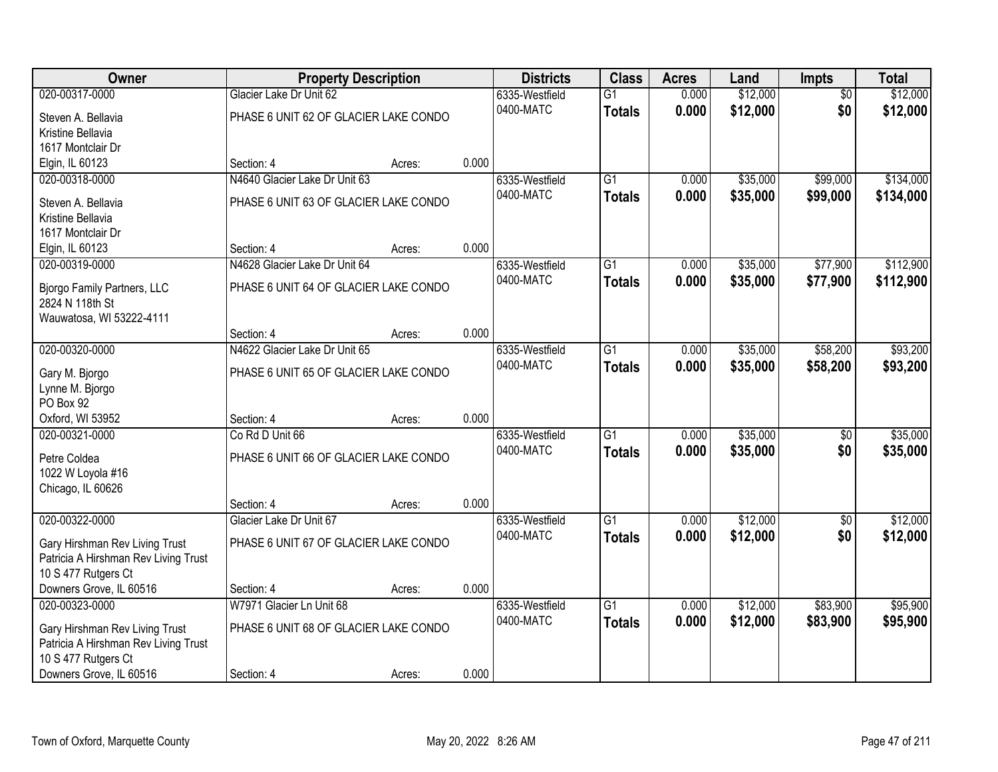| <b>Owner</b>                                                | <b>Property Description</b>           |        |       | <b>Districts</b> | <b>Class</b>    | <b>Acres</b> | Land     | <b>Impts</b>    | <b>Total</b> |
|-------------------------------------------------------------|---------------------------------------|--------|-------|------------------|-----------------|--------------|----------|-----------------|--------------|
| 020-00317-0000                                              | Glacier Lake Dr Unit 62               |        |       | 6335-Westfield   | $\overline{G1}$ | 0.000        | \$12,000 | $\overline{50}$ | \$12,000     |
| Steven A. Bellavia                                          | PHASE 6 UNIT 62 OF GLACIER LAKE CONDO |        |       | 0400-MATC        | <b>Totals</b>   | 0.000        | \$12,000 | \$0             | \$12,000     |
| Kristine Bellavia                                           |                                       |        |       |                  |                 |              |          |                 |              |
| 1617 Montclair Dr                                           |                                       |        |       |                  |                 |              |          |                 |              |
| Elgin, IL 60123                                             | Section: 4                            | Acres: | 0.000 |                  |                 |              |          |                 |              |
| 020-00318-0000                                              | N4640 Glacier Lake Dr Unit 63         |        |       | 6335-Westfield   | $\overline{G1}$ | 0.000        | \$35,000 | \$99,000        | \$134,000    |
| Steven A. Bellavia                                          | PHASE 6 UNIT 63 OF GLACIER LAKE CONDO |        |       | 0400-MATC        | <b>Totals</b>   | 0.000        | \$35,000 | \$99,000        | \$134,000    |
| Kristine Bellavia                                           |                                       |        |       |                  |                 |              |          |                 |              |
| 1617 Montclair Dr                                           |                                       |        |       |                  |                 |              |          |                 |              |
| Elgin, IL 60123                                             | Section: 4                            | Acres: | 0.000 |                  |                 |              |          |                 |              |
| 020-00319-0000                                              | N4628 Glacier Lake Dr Unit 64         |        |       | 6335-Westfield   | G1              | 0.000        | \$35,000 | \$77,900        | \$112,900    |
| Bjorgo Family Partners, LLC                                 | PHASE 6 UNIT 64 OF GLACIER LAKE CONDO |        |       | 0400-MATC        | <b>Totals</b>   | 0.000        | \$35,000 | \$77,900        | \$112,900    |
| 2824 N 118th St                                             |                                       |        |       |                  |                 |              |          |                 |              |
| Wauwatosa, WI 53222-4111                                    |                                       |        |       |                  |                 |              |          |                 |              |
|                                                             | Section: 4                            | Acres: | 0.000 |                  |                 |              |          |                 |              |
| 020-00320-0000                                              | N4622 Glacier Lake Dr Unit 65         |        |       | 6335-Westfield   | $\overline{G1}$ | 0.000        | \$35,000 | \$58,200        | \$93,200     |
|                                                             | PHASE 6 UNIT 65 OF GLACIER LAKE CONDO |        |       | 0400-MATC        | <b>Totals</b>   | 0.000        | \$35,000 | \$58,200        | \$93,200     |
| Gary M. Bjorgo<br>Lynne M. Bjorgo                           |                                       |        |       |                  |                 |              |          |                 |              |
| PO Box 92                                                   |                                       |        |       |                  |                 |              |          |                 |              |
| Oxford, WI 53952                                            | Section: 4                            | Acres: | 0.000 |                  |                 |              |          |                 |              |
| 020-00321-0000                                              | Co Rd D Unit 66                       |        |       | 6335-Westfield   | $\overline{G1}$ | 0.000        | \$35,000 | \$0             | \$35,000     |
|                                                             |                                       |        |       | 0400-MATC        | <b>Totals</b>   | 0.000        | \$35,000 | \$0             | \$35,000     |
| Petre Coldea                                                | PHASE 6 UNIT 66 OF GLACIER LAKE CONDO |        |       |                  |                 |              |          |                 |              |
| 1022 W Loyola #16<br>Chicago, IL 60626                      |                                       |        |       |                  |                 |              |          |                 |              |
|                                                             | Section: 4                            | Acres: | 0.000 |                  |                 |              |          |                 |              |
| 020-00322-0000                                              | Glacier Lake Dr Unit 67               |        |       | 6335-Westfield   | $\overline{G1}$ | 0.000        | \$12,000 | $\overline{60}$ | \$12,000     |
|                                                             |                                       |        |       | 0400-MATC        | <b>Totals</b>   | 0.000        | \$12,000 | \$0             | \$12,000     |
| Gary Hirshman Rev Living Trust                              | PHASE 6 UNIT 67 OF GLACIER LAKE CONDO |        |       |                  |                 |              |          |                 |              |
| Patricia A Hirshman Rev Living Trust<br>10 S 477 Rutgers Ct |                                       |        |       |                  |                 |              |          |                 |              |
| Downers Grove, IL 60516                                     | Section: 4                            | Acres: | 0.000 |                  |                 |              |          |                 |              |
| 020-00323-0000                                              | W7971 Glacier Ln Unit 68              |        |       | 6335-Westfield   | $\overline{G1}$ | 0.000        | \$12,000 | \$83,900        | \$95,900     |
|                                                             |                                       |        |       | 0400-MATC        | <b>Totals</b>   | 0.000        | \$12,000 | \$83,900        | \$95,900     |
| Gary Hirshman Rev Living Trust                              | PHASE 6 UNIT 68 OF GLACIER LAKE CONDO |        |       |                  |                 |              |          |                 |              |
| Patricia A Hirshman Rev Living Trust                        |                                       |        |       |                  |                 |              |          |                 |              |
| 10 S 477 Rutgers Ct<br>Downers Grove, IL 60516              |                                       |        | 0.000 |                  |                 |              |          |                 |              |
|                                                             | Section: 4                            | Acres: |       |                  |                 |              |          |                 |              |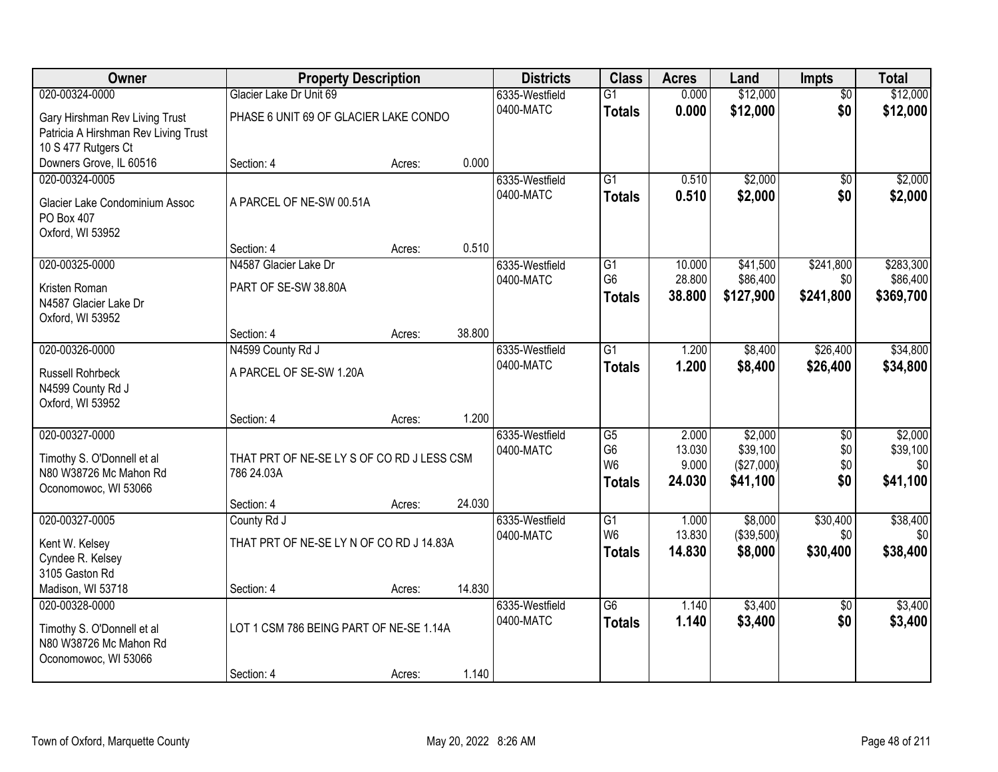| Owner                                | <b>Property Description</b>                |        |        | <b>Districts</b>            | <b>Class</b>                      | <b>Acres</b>     | Land                | <b>Impts</b>           | <b>Total</b>        |
|--------------------------------------|--------------------------------------------|--------|--------|-----------------------------|-----------------------------------|------------------|---------------------|------------------------|---------------------|
| 020-00324-0000                       | Glacier Lake Dr Unit 69                    |        |        | 6335-Westfield              | $\overline{G1}$                   | 0.000            | \$12,000            | $\overline{50}$        | \$12,000            |
| Gary Hirshman Rev Living Trust       | PHASE 6 UNIT 69 OF GLACIER LAKE CONDO      |        |        | 0400-MATC                   | <b>Totals</b>                     | 0.000            | \$12,000            | \$0                    | \$12,000            |
| Patricia A Hirshman Rev Living Trust |                                            |        |        |                             |                                   |                  |                     |                        |                     |
| 10 S 477 Rutgers Ct                  |                                            |        |        |                             |                                   |                  |                     |                        |                     |
| Downers Grove, IL 60516              | Section: 4                                 | Acres: | 0.000  |                             |                                   |                  |                     |                        |                     |
| 020-00324-0005                       |                                            |        |        | 6335-Westfield              | G1                                | 0.510            | \$2,000             | \$0                    | \$2,000             |
| Glacier Lake Condominium Assoc       | A PARCEL OF NE-SW 00.51A                   |        |        | 0400-MATC                   | <b>Totals</b>                     | 0.510            | \$2,000             | \$0                    | \$2,000             |
| PO Box 407                           |                                            |        |        |                             |                                   |                  |                     |                        |                     |
| Oxford, WI 53952                     |                                            |        |        |                             |                                   |                  |                     |                        |                     |
|                                      | Section: 4                                 | Acres: | 0.510  |                             |                                   |                  |                     |                        |                     |
| 020-00325-0000                       | N4587 Glacier Lake Dr                      |        |        | 6335-Westfield              | $\overline{G1}$                   | 10.000           | \$41,500            | \$241,800              | \$283,300           |
| Kristen Roman                        | PART OF SE-SW 38.80A                       |        |        | 0400-MATC                   | G <sub>6</sub>                    | 28.800<br>38.800 | \$86,400            | \$0                    | \$86,400            |
| N4587 Glacier Lake Dr                |                                            |        |        |                             | <b>Totals</b>                     |                  | \$127,900           | \$241,800              | \$369,700           |
| Oxford, WI 53952                     |                                            |        |        |                             |                                   |                  |                     |                        |                     |
|                                      | Section: 4                                 | Acres: | 38.800 |                             |                                   |                  |                     |                        |                     |
| 020-00326-0000                       | N4599 County Rd J                          |        |        | 6335-Westfield              | $\overline{G1}$                   | 1.200            | \$8,400             | \$26,400               | \$34,800            |
| Russell Rohrbeck                     | A PARCEL OF SE-SW 1.20A                    |        |        | 0400-MATC                   | <b>Totals</b>                     | 1.200            | \$8,400             | \$26,400               | \$34,800            |
| N4599 County Rd J                    |                                            |        |        |                             |                                   |                  |                     |                        |                     |
| Oxford, WI 53952                     |                                            |        |        |                             |                                   |                  |                     |                        |                     |
|                                      | Section: 4                                 | Acres: | 1.200  |                             |                                   |                  |                     |                        |                     |
| 020-00327-0000                       |                                            |        |        | 6335-Westfield<br>0400-MATC | $\overline{G5}$<br>G <sub>6</sub> | 2.000<br>13.030  | \$2,000<br>\$39,100 | $\overline{30}$<br>\$0 | \$2,000<br>\$39,100 |
| Timothy S. O'Donnell et al           | THAT PRT OF NE-SE LY S OF CO RD J LESS CSM |        |        |                             | W <sub>6</sub>                    | 9.000            | (\$27,000)          | \$0                    | \$0                 |
| N80 W38726 Mc Mahon Rd               | 786 24.03A                                 |        |        |                             | <b>Totals</b>                     | 24.030           | \$41,100            | \$0                    | \$41,100            |
| Oconomowoc, WI 53066                 |                                            |        |        |                             |                                   |                  |                     |                        |                     |
| 020-00327-0005                       | Section: 4<br>County Rd J                  | Acres: | 24.030 | 6335-Westfield              | $\overline{G1}$                   | 1.000            | \$8,000             | \$30,400               | \$38,400            |
|                                      |                                            |        |        | 0400-MATC                   | W <sub>6</sub>                    | 13.830           | (\$39,500)          | \$0                    | \$0                 |
| Kent W. Kelsey                       | THAT PRT OF NE-SE LY N OF CO RD J 14.83A   |        |        |                             | <b>Totals</b>                     | 14.830           | \$8,000             | \$30,400               | \$38,400            |
| Cyndee R. Kelsey                     |                                            |        |        |                             |                                   |                  |                     |                        |                     |
| 3105 Gaston Rd<br>Madison, WI 53718  | Section: 4                                 | Acres: | 14.830 |                             |                                   |                  |                     |                        |                     |
| 020-00328-0000                       |                                            |        |        | 6335-Westfield              | $\overline{G6}$                   | 1.140            | \$3,400             | $\overline{50}$        | \$3,400             |
|                                      |                                            |        |        | 0400-MATC                   | <b>Totals</b>                     | 1.140            | \$3,400             | \$0                    | \$3,400             |
| Timothy S. O'Donnell et al           | LOT 1 CSM 786 BEING PART OF NE-SE 1.14A    |        |        |                             |                                   |                  |                     |                        |                     |
| N80 W38726 Mc Mahon Rd               |                                            |        |        |                             |                                   |                  |                     |                        |                     |
| Oconomowoc, WI 53066                 | Section: 4                                 | Acres: | 1.140  |                             |                                   |                  |                     |                        |                     |
|                                      |                                            |        |        |                             |                                   |                  |                     |                        |                     |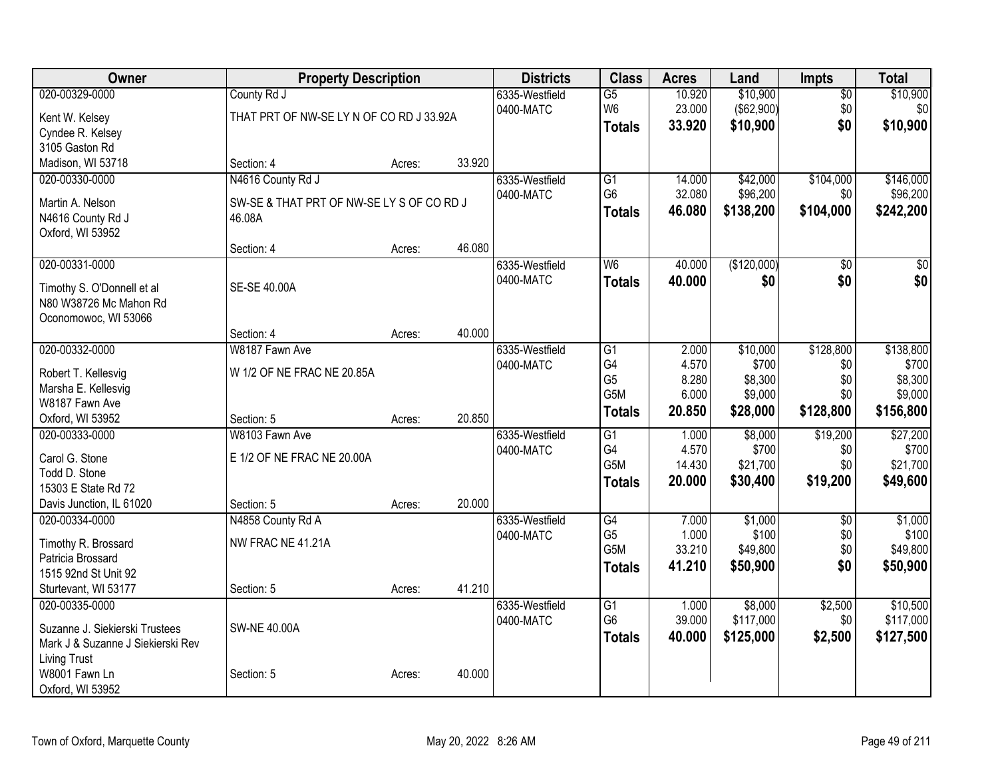| Owner                                                |                                           | <b>Property Description</b> |        | <b>Districts</b> | <b>Class</b>                      | <b>Acres</b> | Land        | <b>Impts</b>    | <b>Total</b> |
|------------------------------------------------------|-------------------------------------------|-----------------------------|--------|------------------|-----------------------------------|--------------|-------------|-----------------|--------------|
| 020-00329-0000                                       | County Rd J                               |                             |        | 6335-Westfield   | $\overline{G5}$                   | 10.920       | \$10,900    | $\overline{50}$ | \$10,900     |
| Kent W. Kelsey                                       | THAT PRT OF NW-SE LY N OF CO RD J 33.92A  |                             |        | 0400-MATC        | W <sub>6</sub>                    | 23.000       | (\$62,900)  | \$0             | \$0          |
| Cyndee R. Kelsey                                     |                                           |                             |        |                  | <b>Totals</b>                     | 33.920       | \$10,900    | \$0             | \$10,900     |
| 3105 Gaston Rd                                       |                                           |                             |        |                  |                                   |              |             |                 |              |
| Madison, WI 53718                                    | Section: 4                                | Acres:                      | 33.920 |                  |                                   |              |             |                 |              |
| 020-00330-0000                                       | N4616 County Rd J                         |                             |        | 6335-Westfield   | G1                                | 14.000       | \$42,000    | \$104,000       | \$146,000    |
| Martin A. Nelson                                     | SW-SE & THAT PRT OF NW-SE LY S OF CO RD J |                             |        | 0400-MATC        | G <sub>6</sub>                    | 32.080       | \$96,200    | \$0             | \$96,200     |
| N4616 County Rd J                                    | 46.08A                                    |                             |        |                  | <b>Totals</b>                     | 46.080       | \$138,200   | \$104,000       | \$242,200    |
| Oxford, WI 53952                                     |                                           |                             |        |                  |                                   |              |             |                 |              |
|                                                      | Section: 4                                | Acres:                      | 46.080 |                  |                                   |              |             |                 |              |
| 020-00331-0000                                       |                                           |                             |        | 6335-Westfield   | W <sub>6</sub>                    | 40.000       | (\$120,000) | \$0             | \$0          |
|                                                      | SE-SE 40.00A                              |                             |        | 0400-MATC        | <b>Totals</b>                     | 40.000       | \$0         | \$0             | \$0          |
| Timothy S. O'Donnell et al<br>N80 W38726 Mc Mahon Rd |                                           |                             |        |                  |                                   |              |             |                 |              |
| Oconomowoc, WI 53066                                 |                                           |                             |        |                  |                                   |              |             |                 |              |
|                                                      | Section: 4                                | Acres:                      | 40.000 |                  |                                   |              |             |                 |              |
| 020-00332-0000                                       | W8187 Fawn Ave                            |                             |        | 6335-Westfield   | G1                                | 2.000        | \$10,000    | \$128,800       | \$138,800    |
|                                                      |                                           |                             |        | 0400-MATC        | G4                                | 4.570        | \$700       | \$0             | \$700        |
| Robert T. Kellesvig                                  | W 1/2 OF NE FRAC NE 20.85A                |                             |        |                  | G <sub>5</sub>                    | 8.280        | \$8,300     | \$0             | \$8,300      |
| Marsha E. Kellesvig<br>W8187 Fawn Ave                |                                           |                             |        |                  | G <sub>5</sub> M                  | 6.000        | \$9,000     | \$0             | \$9,000      |
| Oxford, WI 53952                                     | Section: 5                                | Acres:                      | 20.850 |                  | <b>Totals</b>                     | 20.850       | \$28,000    | \$128,800       | \$156,800    |
| 020-00333-0000                                       | W8103 Fawn Ave                            |                             |        | 6335-Westfield   | G1                                | 1.000        | \$8,000     | \$19,200        | \$27,200     |
|                                                      |                                           |                             |        | 0400-MATC        | G4                                | 4.570        | \$700       | \$0             | \$700        |
| Carol G. Stone                                       | E 1/2 OF NE FRAC NE 20.00A                |                             |        |                  | G <sub>5</sub> M                  | 14.430       | \$21,700    | \$0             | \$21,700     |
| Todd D. Stone                                        |                                           |                             |        |                  | <b>Totals</b>                     | 20.000       | \$30,400    | \$19,200        | \$49,600     |
| 15303 E State Rd 72                                  |                                           |                             | 20.000 |                  |                                   |              |             |                 |              |
| Davis Junction, IL 61020<br>020-00334-0000           | Section: 5<br>N4858 County Rd A           | Acres:                      |        | 6335-Westfield   | G4                                | 7.000        | \$1,000     | $\overline{50}$ | \$1,000      |
|                                                      |                                           |                             |        | 0400-MATC        | G <sub>5</sub>                    | 1.000        | \$100       | \$0             | \$100        |
| Timothy R. Brossard                                  | NW FRAC NE 41.21A                         |                             |        |                  | G5M                               | 33.210       | \$49,800    | \$0             | \$49,800     |
| Patricia Brossard                                    |                                           |                             |        |                  | <b>Totals</b>                     | 41.210       | \$50,900    | \$0             | \$50,900     |
| 1515 92nd St Unit 92                                 |                                           |                             |        |                  |                                   |              |             |                 |              |
| Sturtevant, WI 53177                                 | Section: 5                                | Acres:                      | 41.210 |                  |                                   |              |             |                 |              |
| 020-00335-0000                                       |                                           |                             |        | 6335-Westfield   | $\overline{G1}$<br>G <sub>6</sub> | 1.000        | \$8,000     | \$2,500         | \$10,500     |
| Suzanne J. Siekierski Trustees                       | <b>SW-NE 40.00A</b>                       |                             |        | 0400-MATC        |                                   | 39.000       | \$117,000   | \$0             | \$117,000    |
| Mark J & Suzanne J Siekierski Rev                    |                                           |                             |        |                  | <b>Totals</b>                     | 40.000       | \$125,000   | \$2,500         | \$127,500    |
| <b>Living Trust</b>                                  |                                           |                             |        |                  |                                   |              |             |                 |              |
| W8001 Fawn Ln                                        | Section: 5                                | Acres:                      | 40.000 |                  |                                   |              |             |                 |              |
| Oxford, WI 53952                                     |                                           |                             |        |                  |                                   |              |             |                 |              |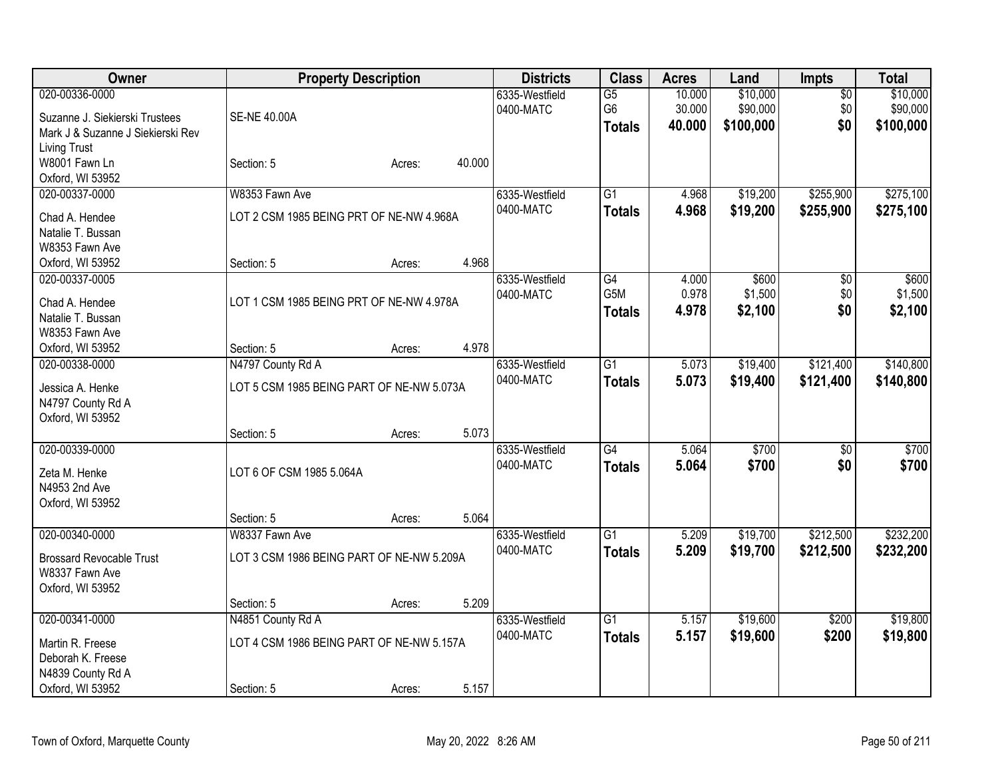| Owner                             |                                           | <b>Property Description</b> |        | <b>Districts</b> | <b>Class</b>    | <b>Acres</b> | Land      | <b>Impts</b>    | <b>Total</b> |
|-----------------------------------|-------------------------------------------|-----------------------------|--------|------------------|-----------------|--------------|-----------|-----------------|--------------|
| 020-00336-0000                    |                                           |                             |        | 6335-Westfield   | $\overline{G5}$ | 10.000       | \$10,000  | $\overline{50}$ | \$10,000     |
| Suzanne J. Siekierski Trustees    | <b>SE-NE 40.00A</b>                       |                             |        | 0400-MATC        | G <sub>6</sub>  | 30.000       | \$90,000  | \$0             | \$90,000     |
| Mark J & Suzanne J Siekierski Rev |                                           |                             |        |                  | <b>Totals</b>   | 40.000       | \$100,000 | \$0             | \$100,000    |
| <b>Living Trust</b>               |                                           |                             |        |                  |                 |              |           |                 |              |
| W8001 Fawn Ln                     | Section: 5                                | Acres:                      | 40.000 |                  |                 |              |           |                 |              |
| Oxford, WI 53952                  |                                           |                             |        |                  |                 |              |           |                 |              |
| 020-00337-0000                    | W8353 Fawn Ave                            |                             |        | 6335-Westfield   | $\overline{G1}$ | 4.968        | \$19,200  | \$255,900       | \$275,100    |
| Chad A. Hendee                    | LOT 2 CSM 1985 BEING PRT OF NE-NW 4.968A  |                             |        | 0400-MATC        | <b>Totals</b>   | 4.968        | \$19,200  | \$255,900       | \$275,100    |
| Natalie T. Bussan                 |                                           |                             |        |                  |                 |              |           |                 |              |
| W8353 Fawn Ave                    |                                           |                             |        |                  |                 |              |           |                 |              |
| Oxford, WI 53952                  | Section: 5                                | Acres:                      | 4.968  |                  |                 |              |           |                 |              |
| 020-00337-0005                    |                                           |                             |        | 6335-Westfield   | $\overline{G4}$ | 4.000        | \$600     | \$0             | \$600        |
| Chad A. Hendee                    | LOT 1 CSM 1985 BEING PRT OF NE-NW 4.978A  |                             |        | 0400-MATC        | G5M             | 0.978        | \$1,500   | \$0             | \$1,500      |
| Natalie T. Bussan                 |                                           |                             |        |                  | <b>Totals</b>   | 4.978        | \$2,100   | \$0             | \$2,100      |
| W8353 Fawn Ave                    |                                           |                             |        |                  |                 |              |           |                 |              |
| Oxford, WI 53952                  | Section: 5                                | Acres:                      | 4.978  |                  |                 |              |           |                 |              |
| 020-00338-0000                    | N4797 County Rd A                         |                             |        | 6335-Westfield   | $\overline{G1}$ | 5.073        | \$19,400  | \$121,400       | \$140,800    |
|                                   |                                           |                             |        | 0400-MATC        | <b>Totals</b>   | 5.073        | \$19,400  | \$121,400       | \$140,800    |
| Jessica A. Henke                  | LOT 5 CSM 1985 BEING PART OF NE-NW 5.073A |                             |        |                  |                 |              |           |                 |              |
| N4797 County Rd A                 |                                           |                             |        |                  |                 |              |           |                 |              |
| Oxford, WI 53952                  | Section: 5                                | Acres:                      | 5.073  |                  |                 |              |           |                 |              |
| 020-00339-0000                    |                                           |                             |        | 6335-Westfield   | $\overline{G4}$ | 5.064        | \$700     | \$0             | \$700        |
|                                   |                                           |                             |        | 0400-MATC        | <b>Totals</b>   | 5.064        | \$700     | \$0             | \$700        |
| Zeta M. Henke                     | LOT 6 OF CSM 1985 5.064A                  |                             |        |                  |                 |              |           |                 |              |
| N4953 2nd Ave                     |                                           |                             |        |                  |                 |              |           |                 |              |
| Oxford, WI 53952                  |                                           |                             |        |                  |                 |              |           |                 |              |
|                                   | Section: 5                                | Acres:                      | 5.064  |                  |                 |              |           |                 |              |
| 020-00340-0000                    | W8337 Fawn Ave                            |                             |        | 6335-Westfield   | $\overline{G1}$ | 5.209        | \$19,700  | \$212,500       | \$232,200    |
| <b>Brossard Revocable Trust</b>   | LOT 3 CSM 1986 BEING PART OF NE-NW 5.209A |                             |        | 0400-MATC        | <b>Totals</b>   | 5.209        | \$19,700  | \$212,500       | \$232,200    |
| W8337 Fawn Ave                    |                                           |                             |        |                  |                 |              |           |                 |              |
| Oxford, WI 53952                  |                                           |                             |        |                  |                 |              |           |                 |              |
|                                   | Section: 5                                | Acres:                      | 5.209  |                  |                 |              |           |                 |              |
| 020-00341-0000                    | N4851 County Rd A                         |                             |        | 6335-Westfield   | $\overline{G1}$ | 5.157        | \$19,600  | \$200           | \$19,800     |
| Martin R. Freese                  | LOT 4 CSM 1986 BEING PART OF NE-NW 5.157A |                             |        | 0400-MATC        | <b>Totals</b>   | 5.157        | \$19,600  | \$200           | \$19,800     |
| Deborah K. Freese                 |                                           |                             |        |                  |                 |              |           |                 |              |
| N4839 County Rd A                 |                                           |                             |        |                  |                 |              |           |                 |              |
| Oxford, WI 53952                  | Section: 5                                | Acres:                      | 5.157  |                  |                 |              |           |                 |              |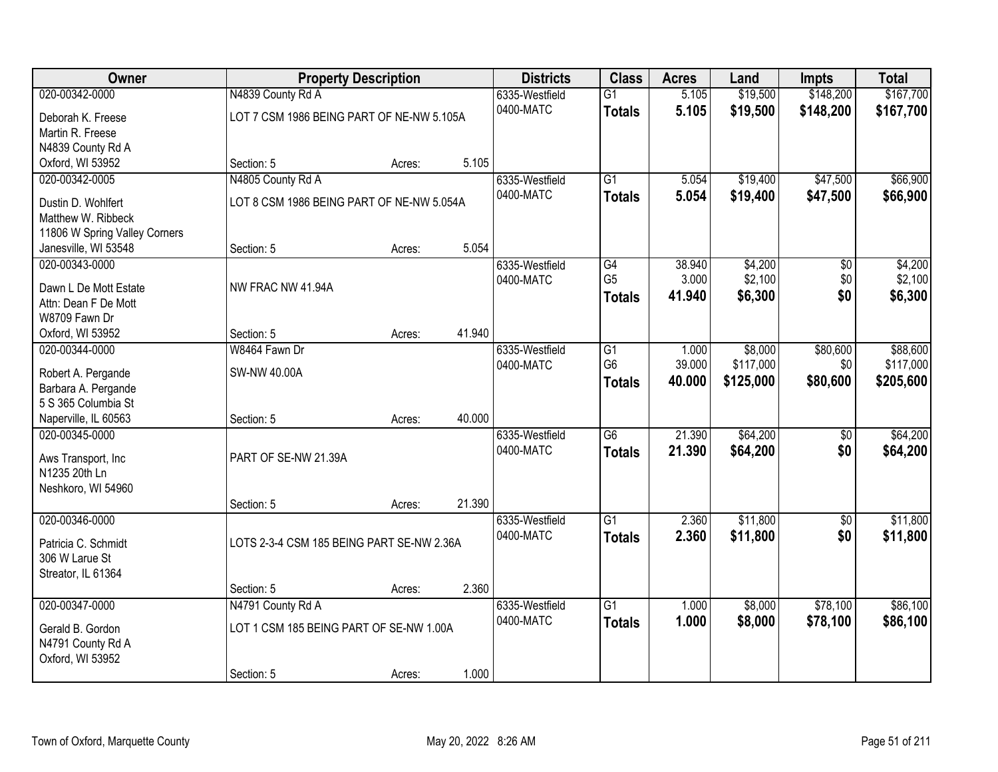| Owner                                         | <b>Property Description</b>               | <b>Districts</b> | <b>Class</b> | <b>Acres</b>                | Land            | <b>Impts</b>   | <b>Total</b> |           |           |
|-----------------------------------------------|-------------------------------------------|------------------|--------------|-----------------------------|-----------------|----------------|--------------|-----------|-----------|
| 020-00342-0000                                | N4839 County Rd A                         |                  |              | 6335-Westfield              | $\overline{G1}$ | 5.105          | \$19,500     | \$148,200 | \$167,700 |
| Deborah K. Freese                             | LOT 7 CSM 1986 BEING PART OF NE-NW 5.105A |                  |              | 0400-MATC                   | <b>Totals</b>   | 5.105          | \$19,500     | \$148,200 | \$167,700 |
| Martin R. Freese                              |                                           |                  |              |                             |                 |                |              |           |           |
| N4839 County Rd A                             |                                           |                  |              |                             |                 |                |              |           |           |
| Oxford, WI 53952                              | Section: 5                                | Acres:           | 5.105        |                             |                 |                |              |           |           |
| 020-00342-0005                                | N4805 County Rd A                         |                  |              | 6335-Westfield              | $\overline{G1}$ | 5.054          | \$19,400     | \$47,500  | \$66,900  |
| Dustin D. Wohlfert                            | LOT 8 CSM 1986 BEING PART OF NE-NW 5.054A |                  |              | 0400-MATC                   | <b>Totals</b>   | 5.054          | \$19,400     | \$47,500  | \$66,900  |
| Matthew W. Ribbeck                            |                                           |                  |              |                             |                 |                |              |           |           |
| 11806 W Spring Valley Corners                 |                                           |                  |              |                             |                 |                |              |           |           |
| Janesville, WI 53548                          | Section: 5                                | Acres:           | 5.054        |                             |                 |                |              |           |           |
| 020-00343-0000                                |                                           |                  |              | 6335-Westfield              | G4              | 38.940         | \$4,200      | \$0       | \$4,200   |
|                                               | NW FRAC NW 41.94A                         |                  |              | 0400-MATC                   | G <sub>5</sub>  | 3.000          | \$2,100      | \$0       | \$2,100   |
| Dawn L De Mott Estate<br>Attn: Dean F De Mott |                                           |                  |              |                             | <b>Totals</b>   | 41.940         | \$6,300      | \$0       | \$6,300   |
| W8709 Fawn Dr                                 |                                           |                  |              |                             |                 |                |              |           |           |
| Oxford, WI 53952                              | Section: 5                                | Acres:           | 41.940       |                             |                 |                |              |           |           |
| 020-00344-0000                                | W8464 Fawn Dr                             |                  |              | 6335-Westfield              | G1              | 1.000          | \$8,000      | \$80,600  | \$88,600  |
|                                               |                                           |                  |              | 0400-MATC                   | G <sub>6</sub>  | 39.000         | \$117,000    | \$0       | \$117,000 |
| Robert A. Pergande                            | SW-NW 40.00A                              |                  |              |                             | <b>Totals</b>   | 40.000         | \$125,000    | \$80,600  | \$205,600 |
| Barbara A. Pergande<br>5 S 365 Columbia St    |                                           |                  |              |                             |                 |                |              |           |           |
| Naperville, IL 60563                          | Section: 5                                | Acres:           | 40.000       |                             |                 |                |              |           |           |
| 020-00345-0000                                |                                           |                  |              | 6335-Westfield              | $\overline{G6}$ | 21.390         | \$64,200     | \$0       | \$64,200  |
|                                               |                                           |                  |              | 0400-MATC                   | <b>Totals</b>   | 21.390         | \$64,200     | \$0       | \$64,200  |
| Aws Transport, Inc                            | PART OF SE-NW 21.39A                      |                  |              |                             |                 |                |              |           |           |
| N1235 20th Ln                                 |                                           |                  |              |                             |                 |                |              |           |           |
| Neshkoro, WI 54960                            |                                           |                  | 21.390       |                             |                 |                |              |           |           |
| 020-00346-0000                                | Section: 5                                | Acres:           |              | 6335-Westfield              | $\overline{G1}$ | 2.360          | \$11,800     | \$0       | \$11,800  |
|                                               |                                           |                  |              | 0400-MATC                   | <b>Totals</b>   | 2.360          | \$11,800     | \$0       | \$11,800  |
| Patricia C. Schmidt                           | LOTS 2-3-4 CSM 185 BEING PART SE-NW 2.36A |                  |              |                             |                 |                |              |           |           |
| 306 W Larue St                                |                                           |                  |              |                             |                 |                |              |           |           |
| Streator, IL 61364                            |                                           |                  |              |                             |                 |                |              |           |           |
|                                               | Section: 5                                | Acres:           | 2.360        |                             |                 |                |              |           |           |
| 020-00347-0000                                | N4791 County Rd A                         |                  |              | 6335-Westfield<br>0400-MATC | $\overline{G1}$ | 1.000<br>1.000 | \$8,000      | \$78,100  | \$86,100  |
| Gerald B. Gordon                              | LOT 1 CSM 185 BEING PART OF SE-NW 1.00A   |                  |              |                             | <b>Totals</b>   |                | \$8,000      | \$78,100  | \$86,100  |
| N4791 County Rd A                             |                                           |                  |              |                             |                 |                |              |           |           |
| Oxford, WI 53952                              |                                           |                  |              |                             |                 |                |              |           |           |
|                                               | Section: 5                                | Acres:           | 1.000        |                             |                 |                |              |           |           |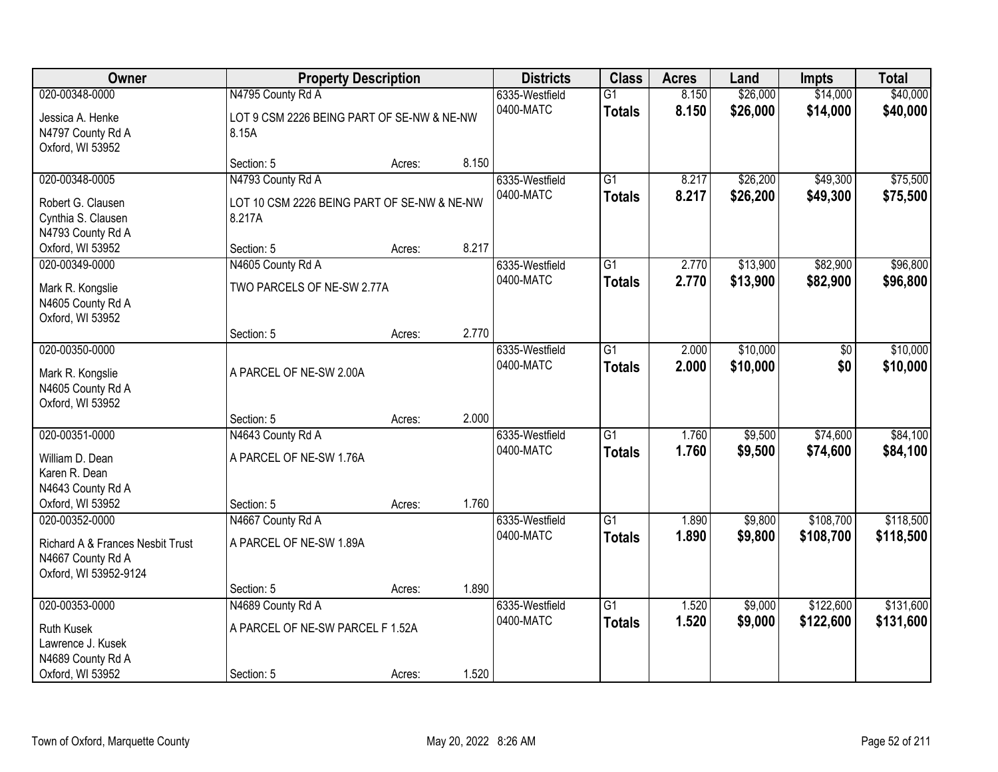| Owner<br><b>Property Description</b>                                                              | <b>Districts</b>                                                           | <b>Class</b> | <b>Acres</b> | Land                        | <b>Impts</b>                     | <b>Total</b>   |                      |                        |                        |
|---------------------------------------------------------------------------------------------------|----------------------------------------------------------------------------|--------------|--------------|-----------------------------|----------------------------------|----------------|----------------------|------------------------|------------------------|
| 020-00348-0000<br>Jessica A. Henke<br>N4797 County Rd A<br>Oxford, WI 53952                       | N4795 County Rd A<br>LOT 9 CSM 2226 BEING PART OF SE-NW & NE-NW<br>8.15A   |              |              | 6335-Westfield<br>0400-MATC | $\overline{G1}$<br><b>Totals</b> | 8.150<br>8.150 | \$26,000<br>\$26,000 | \$14,000<br>\$14,000   | \$40,000<br>\$40,000   |
|                                                                                                   | Section: 5                                                                 | Acres:       | 8.150        |                             |                                  |                |                      |                        |                        |
| 020-00348-0005<br>Robert G. Clausen<br>Cynthia S. Clausen<br>N4793 County Rd A                    | N4793 County Rd A<br>LOT 10 CSM 2226 BEING PART OF SE-NW & NE-NW<br>8.217A |              |              | 6335-Westfield<br>0400-MATC | $\overline{G1}$<br><b>Totals</b> | 8.217<br>8.217 | \$26,200<br>\$26,200 | \$49,300<br>\$49,300   | \$75,500<br>\$75,500   |
| Oxford, WI 53952                                                                                  | Section: 5                                                                 | Acres:       | 8.217        |                             |                                  |                |                      |                        |                        |
| 020-00349-0000<br>Mark R. Kongslie<br>N4605 County Rd A<br>Oxford, WI 53952                       | N4605 County Rd A<br>TWO PARCELS OF NE-SW 2.77A                            |              |              | 6335-Westfield<br>0400-MATC | $\overline{G1}$<br><b>Totals</b> | 2.770<br>2.770 | \$13,900<br>\$13,900 | \$82,900<br>\$82,900   | \$96,800<br>\$96,800   |
|                                                                                                   | Section: 5                                                                 | Acres:       | 2.770        |                             |                                  |                |                      |                        |                        |
| 020-00350-0000<br>Mark R. Kongslie<br>N4605 County Rd A<br>Oxford, WI 53952                       | A PARCEL OF NE-SW 2.00A                                                    |              |              | 6335-Westfield<br>0400-MATC | $\overline{G1}$<br><b>Totals</b> | 2.000<br>2.000 | \$10,000<br>\$10,000 | \$0<br>\$0             | \$10,000<br>\$10,000   |
|                                                                                                   | Section: 5                                                                 | Acres:       | 2.000        |                             |                                  |                |                      |                        |                        |
| 020-00351-0000<br>William D. Dean<br>Karen R. Dean<br>N4643 County Rd A<br>Oxford, WI 53952       | N4643 County Rd A<br>A PARCEL OF NE-SW 1.76A<br>Section: 5                 | Acres:       | 1.760        | 6335-Westfield<br>0400-MATC | $\overline{G1}$<br><b>Totals</b> | 1.760<br>1.760 | \$9,500<br>\$9,500   | \$74,600<br>\$74,600   | \$84,100<br>\$84,100   |
| 020-00352-0000<br>Richard A & Frances Nesbit Trust<br>N4667 County Rd A<br>Oxford, WI 53952-9124  | N4667 County Rd A<br>A PARCEL OF NE-SW 1.89A                               |              |              | 6335-Westfield<br>0400-MATC | $\overline{G1}$<br><b>Totals</b> | 1.890<br>1.890 | \$9,800<br>\$9,800   | \$108,700<br>\$108,700 | \$118,500<br>\$118,500 |
|                                                                                                   | Section: 5                                                                 | Acres:       | 1.890        |                             |                                  |                |                      |                        |                        |
| 020-00353-0000<br><b>Ruth Kusek</b><br>Lawrence J. Kusek<br>N4689 County Rd A<br>Oxford, WI 53952 | N4689 County Rd A<br>A PARCEL OF NE-SW PARCEL F 1.52A<br>Section: 5        | Acres:       | 1.520        | 6335-Westfield<br>0400-MATC | $\overline{G1}$<br><b>Totals</b> | 1.520<br>1.520 | \$9,000<br>\$9,000   | \$122,600<br>\$122,600 | \$131,600<br>\$131,600 |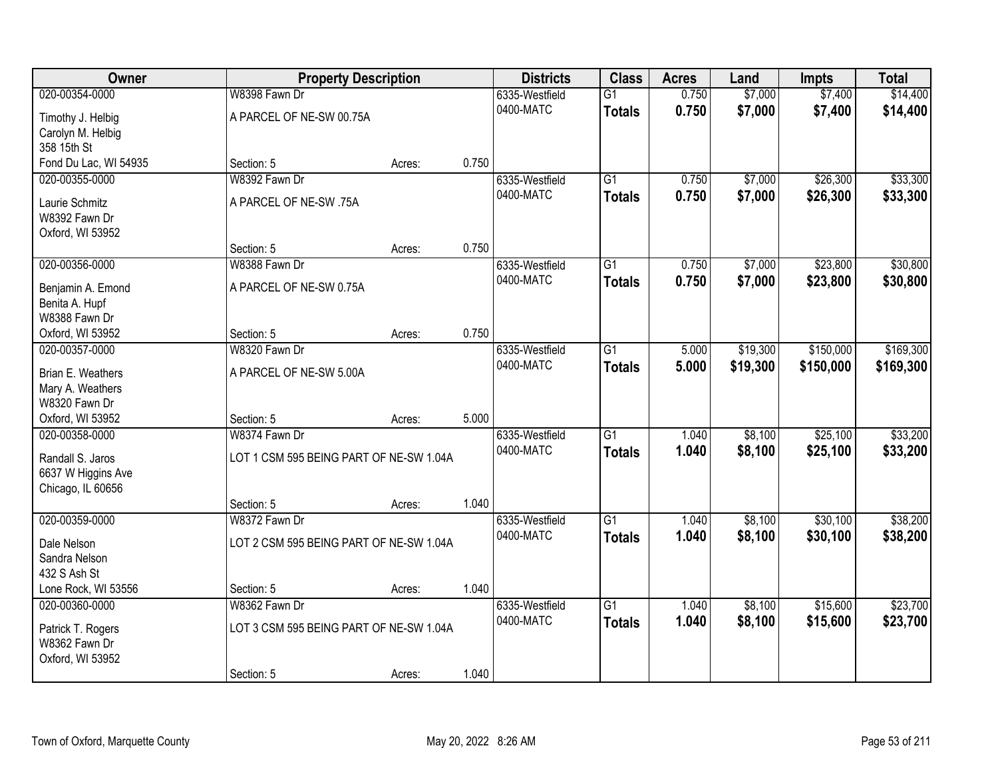| Owner                 | <b>Property Description</b>             |        |       | <b>Districts</b> | <b>Class</b>    | <b>Acres</b> | Land     | <b>Impts</b> | <b>Total</b> |
|-----------------------|-----------------------------------------|--------|-------|------------------|-----------------|--------------|----------|--------------|--------------|
| 020-00354-0000        | W8398 Fawn Dr                           |        |       | 6335-Westfield   | $\overline{G1}$ | 0.750        | \$7,000  | \$7,400      | \$14,400     |
| Timothy J. Helbig     | A PARCEL OF NE-SW 00.75A                |        |       | 0400-MATC        | <b>Totals</b>   | 0.750        | \$7,000  | \$7,400      | \$14,400     |
| Carolyn M. Helbig     |                                         |        |       |                  |                 |              |          |              |              |
| 358 15th St           |                                         |        |       |                  |                 |              |          |              |              |
| Fond Du Lac, WI 54935 | Section: 5                              | Acres: | 0.750 |                  |                 |              |          |              |              |
| 020-00355-0000        | W8392 Fawn Dr                           |        |       | 6335-Westfield   | $\overline{G1}$ | 0.750        | \$7,000  | \$26,300     | \$33,300     |
| Laurie Schmitz        | A PARCEL OF NE-SW .75A                  |        |       | 0400-MATC        | <b>Totals</b>   | 0.750        | \$7,000  | \$26,300     | \$33,300     |
| W8392 Fawn Dr         |                                         |        |       |                  |                 |              |          |              |              |
| Oxford, WI 53952      |                                         |        |       |                  |                 |              |          |              |              |
|                       | Section: 5                              | Acres: | 0.750 |                  |                 |              |          |              |              |
| 020-00356-0000        | W8388 Fawn Dr                           |        |       | 6335-Westfield   | G1              | 0.750        | \$7,000  | \$23,800     | \$30,800     |
| Benjamin A. Emond     | A PARCEL OF NE-SW 0.75A                 |        |       | 0400-MATC        | <b>Totals</b>   | 0.750        | \$7,000  | \$23,800     | \$30,800     |
| Benita A. Hupf        |                                         |        |       |                  |                 |              |          |              |              |
| W8388 Fawn Dr         |                                         |        |       |                  |                 |              |          |              |              |
| Oxford, WI 53952      | Section: 5                              | Acres: | 0.750 |                  |                 |              |          |              |              |
| 020-00357-0000        | W8320 Fawn Dr                           |        |       | 6335-Westfield   | $\overline{G1}$ | 5.000        | \$19,300 | \$150,000    | \$169,300    |
| Brian E. Weathers     | A PARCEL OF NE-SW 5.00A                 |        |       | 0400-MATC        | <b>Totals</b>   | 5.000        | \$19,300 | \$150,000    | \$169,300    |
| Mary A. Weathers      |                                         |        |       |                  |                 |              |          |              |              |
| W8320 Fawn Dr         |                                         |        |       |                  |                 |              |          |              |              |
| Oxford, WI 53952      | Section: 5                              | Acres: | 5.000 |                  |                 |              |          |              |              |
| 020-00358-0000        | W8374 Fawn Dr                           |        |       | 6335-Westfield   | $\overline{G1}$ | 1.040        | \$8,100  | \$25,100     | \$33,200     |
| Randall S. Jaros      | LOT 1 CSM 595 BEING PART OF NE-SW 1.04A |        |       | 0400-MATC        | <b>Totals</b>   | 1.040        | \$8,100  | \$25,100     | \$33,200     |
| 6637 W Higgins Ave    |                                         |        |       |                  |                 |              |          |              |              |
| Chicago, IL 60656     |                                         |        |       |                  |                 |              |          |              |              |
|                       | Section: 5                              | Acres: | 1.040 |                  |                 |              |          |              |              |
| 020-00359-0000        | W8372 Fawn Dr                           |        |       | 6335-Westfield   | $\overline{G1}$ | 1.040        | \$8,100  | \$30,100     | \$38,200     |
| Dale Nelson           | LOT 2 CSM 595 BEING PART OF NE-SW 1.04A |        |       | 0400-MATC        | <b>Totals</b>   | 1.040        | \$8,100  | \$30,100     | \$38,200     |
| Sandra Nelson         |                                         |        |       |                  |                 |              |          |              |              |
| 432 S Ash St          |                                         |        |       |                  |                 |              |          |              |              |
| Lone Rock, WI 53556   | Section: 5                              | Acres: | 1.040 |                  |                 |              |          |              |              |
| 020-00360-0000        | W8362 Fawn Dr                           |        |       | 6335-Westfield   | $\overline{G1}$ | 1.040        | \$8,100  | \$15,600     | \$23,700     |
| Patrick T. Rogers     | LOT 3 CSM 595 BEING PART OF NE-SW 1.04A |        |       | 0400-MATC        | <b>Totals</b>   | 1.040        | \$8,100  | \$15,600     | \$23,700     |
| W8362 Fawn Dr         |                                         |        |       |                  |                 |              |          |              |              |
| Oxford, WI 53952      |                                         |        |       |                  |                 |              |          |              |              |
|                       | Section: 5                              | Acres: | 1.040 |                  |                 |              |          |              |              |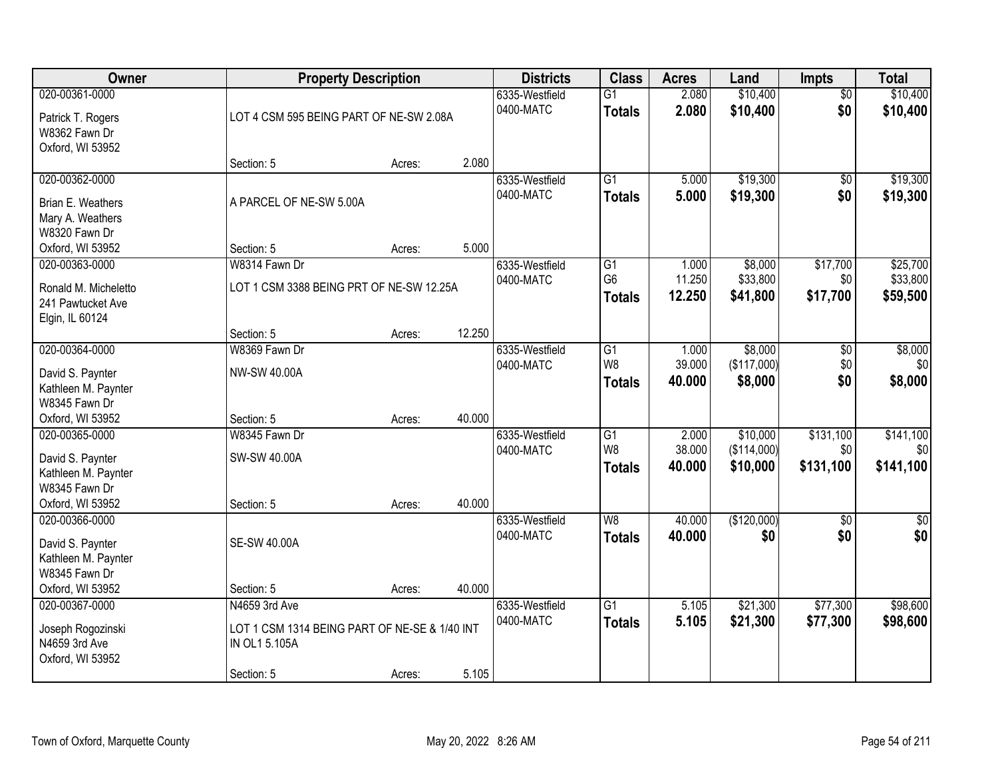| Owner                              | <b>Property Description</b>                   |        |        | <b>Districts</b> | <b>Class</b>    | <b>Acres</b> | Land        | <b>Impts</b>    | <b>Total</b> |
|------------------------------------|-----------------------------------------------|--------|--------|------------------|-----------------|--------------|-------------|-----------------|--------------|
| 020-00361-0000                     |                                               |        |        | 6335-Westfield   | $\overline{G1}$ | 2.080        | \$10,400    | $\overline{50}$ | \$10,400     |
| Patrick T. Rogers                  | LOT 4 CSM 595 BEING PART OF NE-SW 2.08A       |        |        | 0400-MATC        | <b>Totals</b>   | 2.080        | \$10,400    | \$0             | \$10,400     |
| W8362 Fawn Dr                      |                                               |        |        |                  |                 |              |             |                 |              |
| Oxford, WI 53952                   |                                               |        |        |                  |                 |              |             |                 |              |
|                                    | Section: 5                                    | Acres: | 2.080  |                  |                 |              |             |                 |              |
| 020-00362-0000                     |                                               |        |        | 6335-Westfield   | $\overline{G1}$ | 5.000        | \$19,300    | \$0             | \$19,300     |
| Brian E. Weathers                  | A PARCEL OF NE-SW 5.00A                       |        |        | 0400-MATC        | <b>Totals</b>   | 5.000        | \$19,300    | \$0             | \$19,300     |
| Mary A. Weathers                   |                                               |        |        |                  |                 |              |             |                 |              |
| W8320 Fawn Dr                      |                                               |        |        |                  |                 |              |             |                 |              |
| Oxford, WI 53952                   | Section: 5                                    | Acres: | 5.000  |                  |                 |              |             |                 |              |
| 020-00363-0000                     | W8314 Fawn Dr                                 |        |        | 6335-Westfield   | G <sub>1</sub>  | 1.000        | \$8,000     | \$17,700        | \$25,700     |
| Ronald M. Micheletto               | LOT 1 CSM 3388 BEING PRT OF NE-SW 12.25A      |        |        | 0400-MATC        | G <sub>6</sub>  | 11.250       | \$33,800    | \$0             | \$33,800     |
| 241 Pawtucket Ave                  |                                               |        |        |                  | <b>Totals</b>   | 12.250       | \$41,800    | \$17,700        | \$59,500     |
| Elgin, IL 60124                    |                                               |        |        |                  |                 |              |             |                 |              |
|                                    | Section: 5                                    | Acres: | 12.250 |                  |                 |              |             |                 |              |
| 020-00364-0000                     | W8369 Fawn Dr                                 |        |        | 6335-Westfield   | $\overline{G1}$ | 1.000        | \$8,000     | \$0             | \$8,000      |
| David S. Paynter                   | NW-SW 40.00A                                  |        |        | 0400-MATC        | W <sub>8</sub>  | 39.000       | (\$117,000) | \$0             | \$0          |
| Kathleen M. Paynter                |                                               |        |        |                  | <b>Totals</b>   | 40.000       | \$8,000     | \$0             | \$8,000      |
| W8345 Fawn Dr                      |                                               |        |        |                  |                 |              |             |                 |              |
| Oxford, WI 53952                   | Section: 5                                    | Acres: | 40.000 |                  |                 |              |             |                 |              |
| 020-00365-0000                     | W8345 Fawn Dr                                 |        |        | 6335-Westfield   | G1              | 2.000        | \$10,000    | \$131,100       | \$141,100    |
| David S. Paynter                   | SW-SW 40.00A                                  |        |        | 0400-MATC        | W <sub>8</sub>  | 38.000       | (\$114,000) | \$0             | \$0          |
| Kathleen M. Paynter                |                                               |        |        |                  | <b>Totals</b>   | 40.000       | \$10,000    | \$131,100       | \$141,100    |
| W8345 Fawn Dr                      |                                               |        |        |                  |                 |              |             |                 |              |
| Oxford, WI 53952                   | Section: 5                                    | Acres: | 40.000 |                  |                 |              |             |                 |              |
| 020-00366-0000                     |                                               |        |        | 6335-Westfield   | $\overline{W8}$ | 40.000       | (\$120,000) | $\overline{60}$ | $\sqrt{50}$  |
| David S. Paynter                   | <b>SE-SW 40.00A</b>                           |        |        | 0400-MATC        | <b>Totals</b>   | 40.000       | \$0         | \$0             | \$0          |
| Kathleen M. Paynter                |                                               |        |        |                  |                 |              |             |                 |              |
| W8345 Fawn Dr                      |                                               |        |        |                  |                 |              |             |                 |              |
| Oxford, WI 53952                   | Section: 5                                    | Acres: | 40.000 |                  |                 |              |             |                 |              |
| 020-00367-0000                     | N4659 3rd Ave                                 |        |        | 6335-Westfield   | G1              | 5.105        | \$21,300    | \$77,300        | \$98,600     |
|                                    | LOT 1 CSM 1314 BEING PART OF NE-SE & 1/40 INT |        |        | 0400-MATC        | <b>Totals</b>   | 5.105        | \$21,300    | \$77,300        | \$98,600     |
| Joseph Rogozinski<br>N4659 3rd Ave | IN OL1 5.105A                                 |        |        |                  |                 |              |             |                 |              |
| Oxford, WI 53952                   |                                               |        |        |                  |                 |              |             |                 |              |
|                                    | Section: 5                                    | Acres: | 5.105  |                  |                 |              |             |                 |              |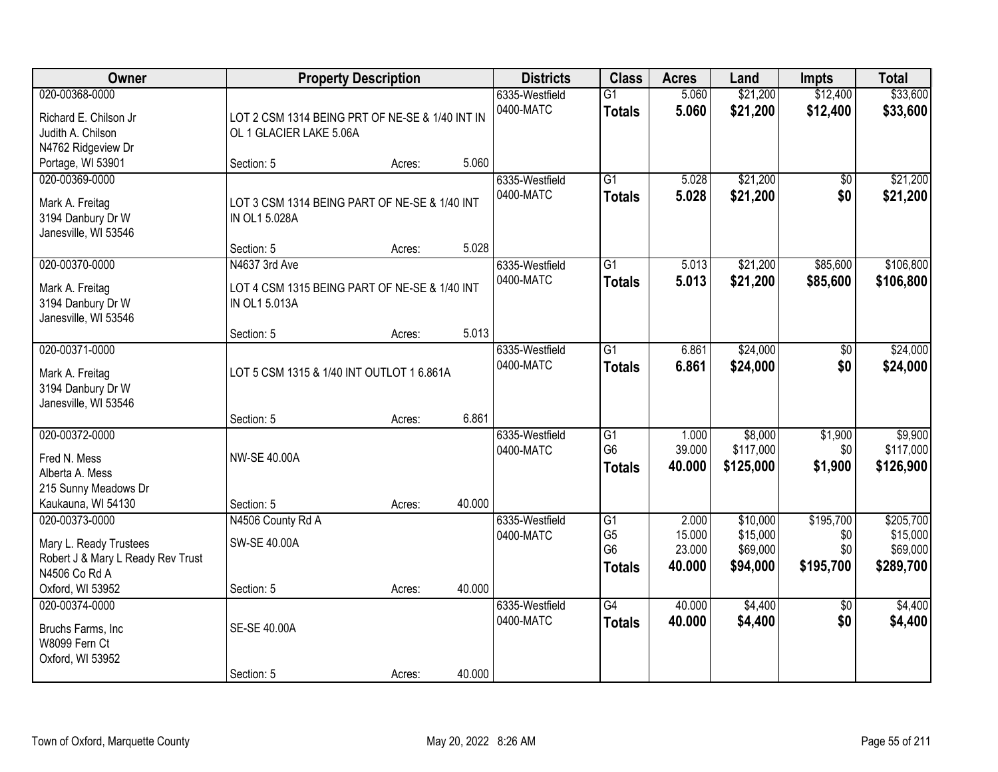| Owner                                                                                                              |                                                                              | <b>Property Description</b> |        | <b>Districts</b>            | <b>Class</b>                                            | <b>Acres</b>                        | Land                                         | <b>Impts</b>                         | <b>Total</b>                                   |
|--------------------------------------------------------------------------------------------------------------------|------------------------------------------------------------------------------|-----------------------------|--------|-----------------------------|---------------------------------------------------------|-------------------------------------|----------------------------------------------|--------------------------------------|------------------------------------------------|
| 020-00368-0000<br>Richard E. Chilson Jr<br>Judith A. Chilson<br>N4762 Ridgeview Dr                                 | LOT 2 CSM 1314 BEING PRT OF NE-SE & 1/40 INT IN<br>OL 1 GLACIER LAKE 5.06A   |                             |        | 6335-Westfield<br>0400-MATC | $\overline{G1}$<br><b>Totals</b>                        | 5.060<br>5.060                      | \$21,200<br>\$21,200                         | \$12,400<br>\$12,400                 | \$33,600<br>\$33,600                           |
| Portage, WI 53901                                                                                                  | Section: 5                                                                   | Acres:                      | 5.060  |                             |                                                         |                                     |                                              |                                      |                                                |
| 020-00369-0000<br>Mark A. Freitag<br>3194 Danbury Dr W<br>Janesville, WI 53546                                     | LOT 3 CSM 1314 BEING PART OF NE-SE & 1/40 INT<br>IN OL1 5.028A<br>Section: 5 |                             | 5.028  | 6335-Westfield<br>0400-MATC | $\overline{G1}$<br><b>Totals</b>                        | 5.028<br>5.028                      | \$21,200<br>\$21,200                         | \$0<br>\$0                           | \$21,200<br>\$21,200                           |
| 020-00370-0000                                                                                                     | N4637 3rd Ave                                                                | Acres:                      |        | 6335-Westfield              | $\overline{G1}$                                         | 5.013                               | \$21,200                                     | \$85,600                             | \$106,800                                      |
| Mark A. Freitag<br>3194 Danbury Dr W<br>Janesville, WI 53546                                                       | LOT 4 CSM 1315 BEING PART OF NE-SE & 1/40 INT<br>IN OL1 5.013A               |                             |        | 0400-MATC                   | <b>Totals</b>                                           | 5.013                               | \$21,200                                     | \$85,600                             | \$106,800                                      |
|                                                                                                                    | Section: 5                                                                   | Acres:                      | 5.013  |                             |                                                         |                                     |                                              |                                      |                                                |
| 020-00371-0000<br>Mark A. Freitag<br>3194 Danbury Dr W<br>Janesville, WI 53546                                     | LOT 5 CSM 1315 & 1/40 INT OUTLOT 1 6.861A                                    |                             |        | 6335-Westfield<br>0400-MATC | $\overline{G1}$<br><b>Totals</b>                        | 6.861<br>6.861                      | \$24,000<br>\$24,000                         | \$0<br>\$0                           | \$24,000<br>\$24,000                           |
|                                                                                                                    | Section: 5                                                                   | Acres:                      | 6.861  |                             |                                                         |                                     |                                              |                                      |                                                |
| 020-00372-0000<br>Fred N. Mess<br>Alberta A. Mess<br>215 Sunny Meadows Dr<br>Kaukauna, WI 54130                    | <b>NW-SE 40.00A</b><br>Section: 5                                            | Acres:                      | 40.000 | 6335-Westfield<br>0400-MATC | $\overline{G1}$<br>G <sub>6</sub><br><b>Totals</b>      | 1.000<br>39.000<br>40.000           | \$8,000<br>\$117,000<br>\$125,000            | \$1,900<br>\$0<br>\$1,900            | \$9,900<br>\$117,000<br>\$126,900              |
| 020-00373-0000<br>Mary L. Ready Trustees<br>Robert J & Mary L Ready Rev Trust<br>N4506 Co Rd A<br>Oxford, WI 53952 | N4506 County Rd A<br>SW-SE 40.00A<br>Section: 5                              | Acres:                      | 40.000 | 6335-Westfield<br>0400-MATC | G1<br>G <sub>5</sub><br>G <sub>6</sub><br><b>Totals</b> | 2.000<br>15.000<br>23.000<br>40.000 | \$10,000<br>\$15,000<br>\$69,000<br>\$94,000 | \$195,700<br>\$0<br>\$0<br>\$195,700 | \$205,700<br>\$15,000<br>\$69,000<br>\$289,700 |
| 020-00374-0000<br>Bruchs Farms, Inc<br>W8099 Fern Ct<br>Oxford, WI 53952                                           | SE-SE 40.00A<br>Section: 5                                                   | Acres:                      | 40.000 | 6335-Westfield<br>0400-MATC | $\overline{G4}$<br><b>Totals</b>                        | 40.000<br>40.000                    | \$4,400<br>\$4,400                           | $\overline{50}$<br>\$0               | \$4,400<br>\$4,400                             |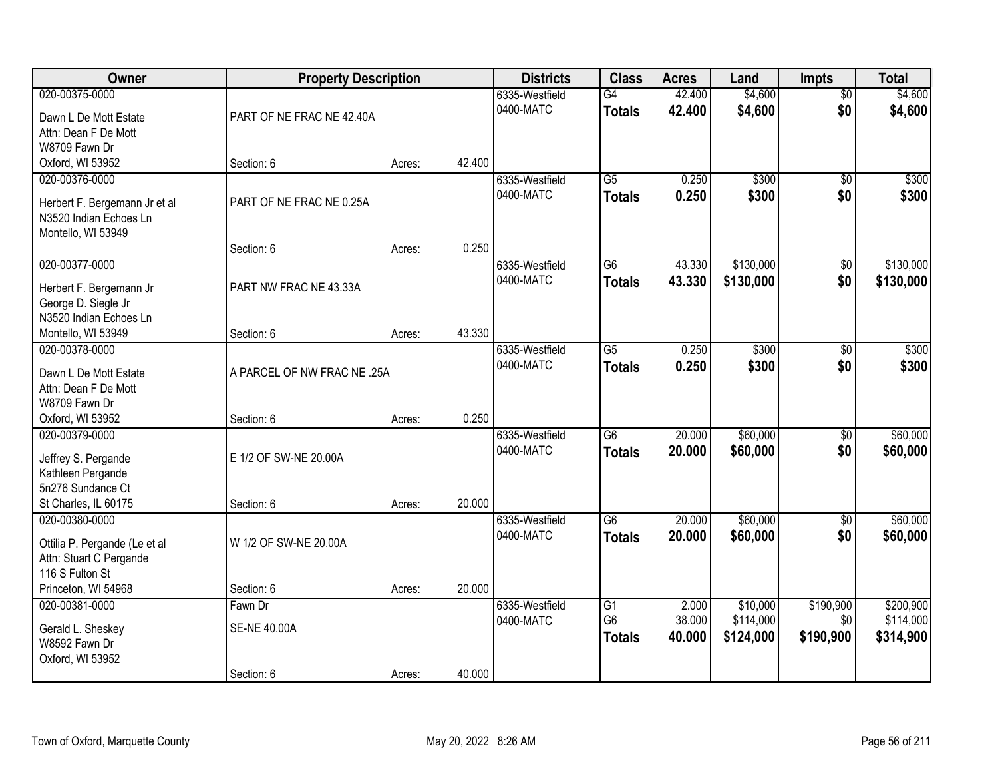| Owner                                      | <b>Property Description</b> |        |        | <b>Districts</b>            | <b>Class</b>                     | <b>Acres</b>     | Land               | <b>Impts</b>           | <b>Total</b>       |
|--------------------------------------------|-----------------------------|--------|--------|-----------------------------|----------------------------------|------------------|--------------------|------------------------|--------------------|
| 020-00375-0000                             |                             |        |        | 6335-Westfield<br>0400-MATC | $\overline{G4}$<br><b>Totals</b> | 42.400<br>42.400 | \$4,600<br>\$4,600 | $\overline{50}$<br>\$0 | \$4,600<br>\$4,600 |
| Dawn L De Mott Estate                      | PART OF NE FRAC NE 42.40A   |        |        |                             |                                  |                  |                    |                        |                    |
| Attn: Dean F De Mott                       |                             |        |        |                             |                                  |                  |                    |                        |                    |
| W8709 Fawn Dr                              |                             |        |        |                             |                                  |                  |                    |                        |                    |
| Oxford, WI 53952                           | Section: 6                  | Acres: | 42.400 |                             |                                  |                  |                    |                        |                    |
| 020-00376-0000                             |                             |        |        | 6335-Westfield              | $\overline{G5}$                  | 0.250            | \$300              | $\overline{50}$        | \$300              |
| Herbert F. Bergemann Jr et al              | PART OF NE FRAC NE 0.25A    |        |        | 0400-MATC                   | <b>Totals</b>                    | 0.250            | \$300              | \$0                    | \$300              |
| N3520 Indian Echoes Ln                     |                             |        |        |                             |                                  |                  |                    |                        |                    |
| Montello, WI 53949                         |                             |        |        |                             |                                  |                  |                    |                        |                    |
|                                            | Section: 6                  | Acres: | 0.250  |                             |                                  |                  |                    |                        |                    |
| 020-00377-0000                             |                             |        |        | 6335-Westfield              | $\overline{G6}$                  | 43.330           | \$130,000          | \$0                    | \$130,000          |
| Herbert F. Bergemann Jr                    | PART NW FRAC NE 43.33A      |        |        | 0400-MATC                   | <b>Totals</b>                    | 43.330           | \$130,000          | \$0                    | \$130,000          |
| George D. Siegle Jr                        |                             |        |        |                             |                                  |                  |                    |                        |                    |
| N3520 Indian Echoes Ln                     |                             |        |        |                             |                                  |                  |                    |                        |                    |
| Montello, WI 53949                         | Section: 6                  | Acres: | 43.330 |                             |                                  |                  |                    |                        |                    |
| 020-00378-0000                             |                             |        |        | 6335-Westfield              | $\overline{G5}$                  | 0.250            | \$300              | \$0                    | \$300              |
| Dawn L De Mott Estate                      | A PARCEL OF NW FRAC NE .25A |        |        | 0400-MATC                   | <b>Totals</b>                    | 0.250            | \$300              | \$0                    | \$300              |
| Attn: Dean F De Mott                       |                             |        |        |                             |                                  |                  |                    |                        |                    |
| W8709 Fawn Dr                              |                             |        |        |                             |                                  |                  |                    |                        |                    |
| Oxford, WI 53952                           | Section: 6                  | Acres: | 0.250  |                             |                                  |                  |                    |                        |                    |
| 020-00379-0000                             |                             |        |        | 6335-Westfield              | $\overline{G6}$                  | 20.000           | \$60,000           | \$0                    | \$60,000           |
| Jeffrey S. Pergande                        | E 1/2 OF SW-NE 20.00A       |        |        | 0400-MATC                   | <b>Totals</b>                    | 20.000           | \$60,000           | \$0                    | \$60,000           |
| Kathleen Pergande                          |                             |        |        |                             |                                  |                  |                    |                        |                    |
| 5n276 Sundance Ct                          |                             |        |        |                             |                                  |                  |                    |                        |                    |
| St Charles, IL 60175                       | Section: 6                  | Acres: | 20.000 |                             |                                  |                  |                    |                        |                    |
| 020-00380-0000                             |                             |        |        | 6335-Westfield              | $\overline{G6}$                  | 20.000           | \$60,000           | \$0                    | \$60,000           |
|                                            |                             |        |        | 0400-MATC                   | <b>Totals</b>                    | 20.000           | \$60,000           | \$0                    | \$60,000           |
| Ottilia P. Pergande (Le et al              | W 1/2 OF SW-NE 20.00A       |        |        |                             |                                  |                  |                    |                        |                    |
| Attn: Stuart C Pergande<br>116 S Fulton St |                             |        |        |                             |                                  |                  |                    |                        |                    |
| Princeton, WI 54968                        | Section: 6                  | Acres: | 20.000 |                             |                                  |                  |                    |                        |                    |
| 020-00381-0000                             | Fawn Dr                     |        |        | 6335-Westfield              | $\overline{G1}$                  | 2.000            | \$10,000           | \$190,900              | \$200,900          |
|                                            |                             |        |        | 0400-MATC                   | G <sub>6</sub>                   | 38.000           | \$114,000          | \$0                    | \$114,000          |
| Gerald L. Sheskey                          | <b>SE-NE 40.00A</b>         |        |        |                             | <b>Totals</b>                    | 40.000           | \$124,000          | \$190,900              | \$314,900          |
| W8592 Fawn Dr                              |                             |        |        |                             |                                  |                  |                    |                        |                    |
| Oxford, WI 53952                           | Section: 6                  | Acres: | 40.000 |                             |                                  |                  |                    |                        |                    |
|                                            |                             |        |        |                             |                                  |                  |                    |                        |                    |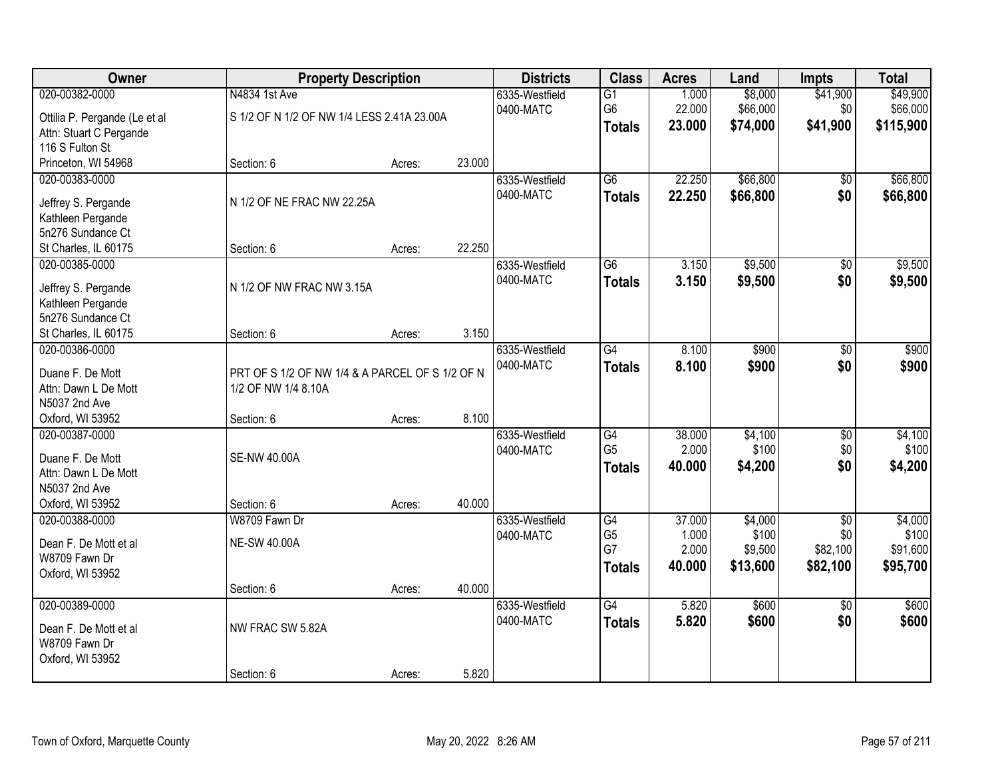| Owner                                                                                                               | <b>Property Description</b>                                            |                  |        | <b>Districts</b>            | <b>Class</b>                                | <b>Acres</b>                       | Land                                    | <b>Impts</b>                                   | <b>Total</b>                             |
|---------------------------------------------------------------------------------------------------------------------|------------------------------------------------------------------------|------------------|--------|-----------------------------|---------------------------------------------|------------------------------------|-----------------------------------------|------------------------------------------------|------------------------------------------|
| 020-00382-0000<br>Ottilia P. Pergande (Le et al<br>Attn: Stuart C Pergande<br>116 S Fulton St                       | N4834 1st Ave<br>S 1/2 OF N 1/2 OF NW 1/4 LESS 2.41A 23.00A            |                  |        | 6335-Westfield<br>0400-MATC | $\overline{G1}$<br>G6<br><b>Totals</b>      | 1.000<br>22.000<br>23.000          | \$8,000<br>\$66,000<br>\$74,000         | \$41,900<br>\$0<br>\$41,900                    | \$49,900<br>\$66,000<br>\$115,900        |
| Princeton, WI 54968                                                                                                 | Section: 6                                                             | Acres:           | 23.000 |                             |                                             |                                    |                                         |                                                |                                          |
| 020-00383-0000<br>Jeffrey S. Pergande<br>Kathleen Pergande<br>5n276 Sundance Ct<br>St Charles, IL 60175             | N 1/2 OF NE FRAC NW 22.25A<br>Section: 6                               | Acres:           | 22.250 | 6335-Westfield<br>0400-MATC | $\overline{G6}$<br><b>Totals</b>            | 22.250<br>22.250                   | \$66,800<br>\$66,800                    | \$0<br>\$0                                     | \$66,800<br>\$66,800                     |
| 020-00385-0000<br>Jeffrey S. Pergande<br>Kathleen Pergande<br>5n276 Sundance Ct<br>St Charles, IL 60175             | N 1/2 OF NW FRAC NW 3.15A<br>Section: 6                                | Acres:           | 3.150  | 6335-Westfield<br>0400-MATC | G6<br><b>Totals</b>                         | 3.150<br>3.150                     | \$9,500<br>\$9,500                      | \$0<br>\$0                                     | \$9,500<br>\$9,500                       |
| 020-00386-0000<br>Duane F. De Mott<br>Attn: Dawn L De Mott<br>N5037 2nd Ave                                         | PRT OF S 1/2 OF NW 1/4 & A PARCEL OF S 1/2 OF N<br>1/2 OF NW 1/4 8.10A |                  | 8.100  | 6335-Westfield<br>0400-MATC | G4<br><b>Totals</b>                         | 8.100<br>8.100                     | \$900<br>\$900                          | \$0<br>\$0                                     | \$900<br>\$900                           |
| Oxford, WI 53952<br>020-00387-0000<br>Duane F. De Mott<br>Attn: Dawn L De Mott<br>N5037 2nd Ave<br>Oxford, WI 53952 | Section: 6<br><b>SE-NW 40.00A</b><br>Section: 6                        | Acres:<br>Acres: | 40.000 | 6335-Westfield<br>0400-MATC | G4<br>G <sub>5</sub><br><b>Totals</b>       | 38.000<br>2.000<br>40.000          | \$4,100<br>\$100<br>\$4,200             | $\overline{50}$<br>\$0<br>\$0                  | \$4,100<br>\$100<br>\$4,200              |
| 020-00388-0000<br>Dean F. De Mott et al<br>W8709 Fawn Dr<br>Oxford, WI 53952                                        | W8709 Fawn Dr<br><b>NE-SW 40.00A</b><br>Section: 6                     | Acres:           | 40.000 | 6335-Westfield<br>0400-MATC | G4<br>G <sub>5</sub><br>G7<br><b>Totals</b> | 37.000<br>1.000<br>2.000<br>40.000 | \$4,000<br>\$100<br>\$9,500<br>\$13,600 | $\overline{50}$<br>\$0<br>\$82,100<br>\$82,100 | \$4,000<br>\$100<br>\$91,600<br>\$95,700 |
| 020-00389-0000<br>Dean F. De Mott et al<br>W8709 Fawn Dr<br>Oxford, WI 53952                                        | NW FRAC SW 5.82A<br>Section: 6                                         | Acres:           | 5.820  | 6335-Westfield<br>0400-MATC | $\overline{G4}$<br><b>Totals</b>            | 5.820<br>5.820                     | \$600<br>\$600                          | $\overline{50}$<br>\$0                         | \$600<br>\$600                           |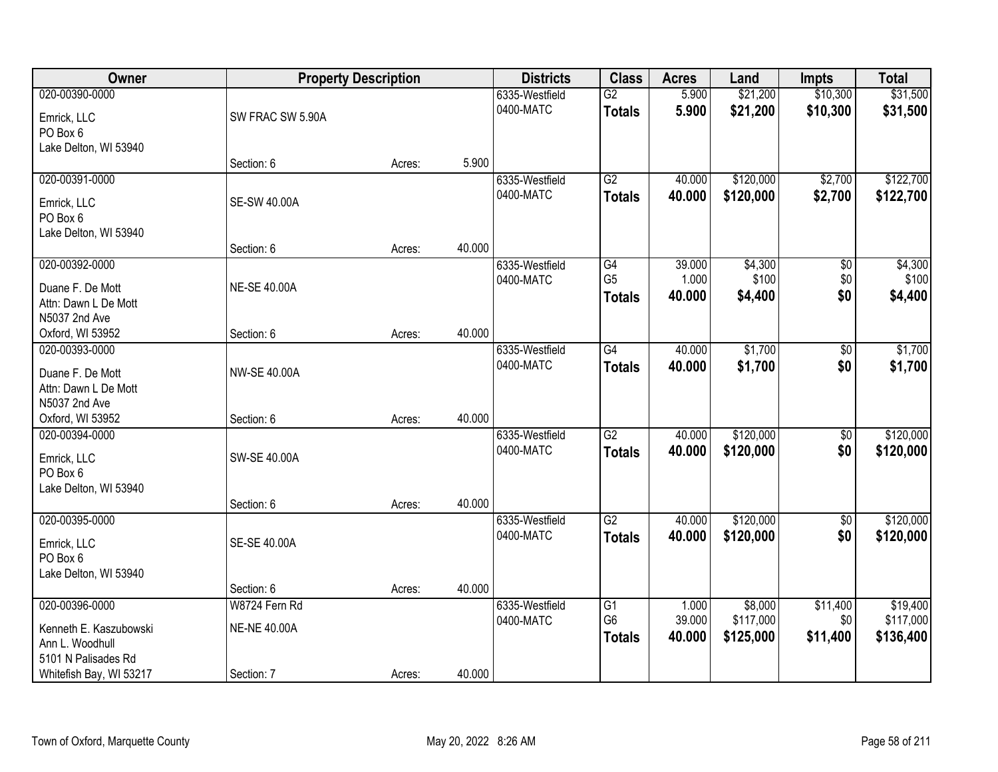| Owner                   |                     | <b>Property Description</b> |        | <b>Districts</b> | <b>Class</b>    | <b>Acres</b> | Land      | <b>Impts</b>    | <b>Total</b> |
|-------------------------|---------------------|-----------------------------|--------|------------------|-----------------|--------------|-----------|-----------------|--------------|
| 020-00390-0000          |                     |                             |        | 6335-Westfield   | G2              | 5.900        | \$21,200  | \$10,300        | \$31,500     |
| Emrick, LLC             | SW FRAC SW 5.90A    |                             |        | 0400-MATC        | <b>Totals</b>   | 5.900        | \$21,200  | \$10,300        | \$31,500     |
| PO Box 6                |                     |                             |        |                  |                 |              |           |                 |              |
| Lake Delton, WI 53940   |                     |                             |        |                  |                 |              |           |                 |              |
|                         | Section: 6          | Acres:                      | 5.900  |                  |                 |              |           |                 |              |
| 020-00391-0000          |                     |                             |        | 6335-Westfield   | G2              | 40.000       | \$120,000 | \$2,700         | \$122,700    |
| Emrick, LLC             | <b>SE-SW 40.00A</b> |                             |        | 0400-MATC        | <b>Totals</b>   | 40.000       | \$120,000 | \$2,700         | \$122,700    |
| PO Box 6                |                     |                             |        |                  |                 |              |           |                 |              |
| Lake Delton, WI 53940   |                     |                             |        |                  |                 |              |           |                 |              |
|                         | Section: 6          | Acres:                      | 40.000 |                  |                 |              |           |                 |              |
| 020-00392-0000          |                     |                             |        | 6335-Westfield   | G4              | 39.000       | \$4,300   | \$0             | \$4,300      |
| Duane F. De Mott        | <b>NE-SE 40.00A</b> |                             |        | 0400-MATC        | G <sub>5</sub>  | 1.000        | \$100     | \$0             | \$100        |
| Attn: Dawn L De Mott    |                     |                             |        |                  | <b>Totals</b>   | 40.000       | \$4,400   | \$0             | \$4,400      |
| N5037 2nd Ave           |                     |                             |        |                  |                 |              |           |                 |              |
| Oxford, WI 53952        | Section: 6          | Acres:                      | 40.000 |                  |                 |              |           |                 |              |
| 020-00393-0000          |                     |                             |        | 6335-Westfield   | $\overline{G4}$ | 40.000       | \$1,700   | $\overline{50}$ | \$1,700      |
| Duane F. De Mott        | NW-SE 40.00A        |                             |        | 0400-MATC        | <b>Totals</b>   | 40.000       | \$1,700   | \$0             | \$1,700      |
| Attn: Dawn L De Mott    |                     |                             |        |                  |                 |              |           |                 |              |
| N5037 2nd Ave           |                     |                             |        |                  |                 |              |           |                 |              |
| Oxford, WI 53952        | Section: 6          | Acres:                      | 40.000 |                  |                 |              |           |                 |              |
| 020-00394-0000          |                     |                             |        | 6335-Westfield   | $\overline{G2}$ | 40.000       | \$120,000 | $\overline{50}$ | \$120,000    |
| Emrick, LLC             | SW-SE 40.00A        |                             |        | 0400-MATC        | <b>Totals</b>   | 40.000       | \$120,000 | \$0             | \$120,000    |
| PO Box 6                |                     |                             |        |                  |                 |              |           |                 |              |
| Lake Delton, WI 53940   |                     |                             |        |                  |                 |              |           |                 |              |
|                         | Section: 6          | Acres:                      | 40.000 |                  |                 |              |           |                 |              |
| 020-00395-0000          |                     |                             |        | 6335-Westfield   | G2              | 40.000       | \$120,000 | $\overline{60}$ | \$120,000    |
| Emrick, LLC             | SE-SE 40.00A        |                             |        | 0400-MATC        | <b>Totals</b>   | 40.000       | \$120,000 | \$0             | \$120,000    |
| PO Box 6                |                     |                             |        |                  |                 |              |           |                 |              |
| Lake Delton, WI 53940   |                     |                             |        |                  |                 |              |           |                 |              |
|                         | Section: 6          | Acres:                      | 40.000 |                  |                 |              |           |                 |              |
| 020-00396-0000          | W8724 Fern Rd       |                             |        | 6335-Westfield   | G1              | 1.000        | \$8,000   | \$11,400        | \$19,400     |
| Kenneth E. Kaszubowski  | <b>NE-NE 40.00A</b> |                             |        | 0400-MATC        | G <sub>6</sub>  | 39.000       | \$117,000 | \$0             | \$117,000    |
| Ann L. Woodhull         |                     |                             |        |                  | <b>Totals</b>   | 40.000       | \$125,000 | \$11,400        | \$136,400    |
| 5101 N Palisades Rd     |                     |                             |        |                  |                 |              |           |                 |              |
| Whitefish Bay, WI 53217 | Section: 7          | Acres:                      | 40.000 |                  |                 |              |           |                 |              |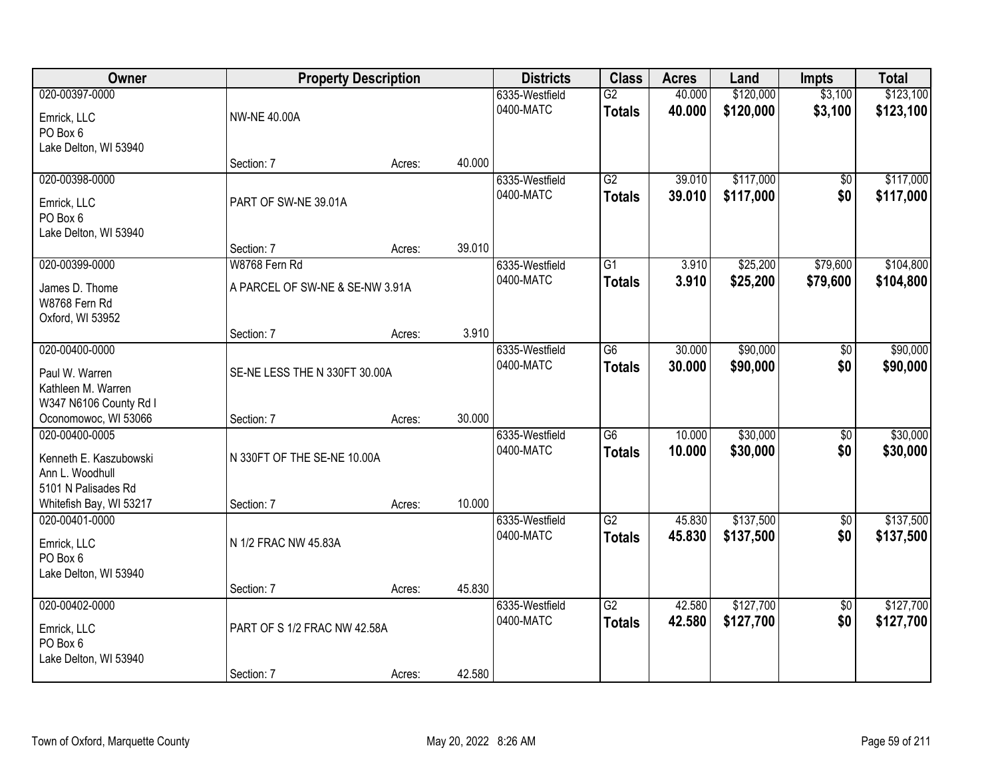| Owner                                               |                                 | <b>Property Description</b> |        | <b>Districts</b>            | <b>Class</b>        | <b>Acres</b>     | Land                   | <b>Impts</b>           | <b>Total</b>           |
|-----------------------------------------------------|---------------------------------|-----------------------------|--------|-----------------------------|---------------------|------------------|------------------------|------------------------|------------------------|
| 020-00397-0000<br>Emrick, LLC                       | <b>NW-NE 40.00A</b>             |                             |        | 6335-Westfield<br>0400-MATC | G2<br><b>Totals</b> | 40.000<br>40.000 | \$120,000<br>\$120,000 | \$3,100<br>\$3,100     | \$123,100<br>\$123,100 |
| PO Box 6<br>Lake Delton, WI 53940                   |                                 |                             |        |                             |                     |                  |                        |                        |                        |
|                                                     | Section: 7                      | Acres:                      | 40.000 |                             |                     |                  |                        |                        |                        |
| 020-00398-0000                                      |                                 |                             |        | 6335-Westfield              | G2                  | 39.010           | \$117,000              | $\overline{50}$        | \$117,000              |
| Emrick, LLC<br>PO Box 6                             | PART OF SW-NE 39.01A            |                             |        | 0400-MATC                   | <b>Totals</b>       | 39.010           | \$117,000              | \$0                    | \$117,000              |
| Lake Delton, WI 53940                               | Section: 7                      | Acres:                      | 39.010 |                             |                     |                  |                        |                        |                        |
| 020-00399-0000                                      | W8768 Fern Rd                   |                             |        | 6335-Westfield              | G1                  | 3.910            | \$25,200               | \$79,600               | \$104,800              |
|                                                     |                                 |                             |        | 0400-MATC                   | <b>Totals</b>       | 3.910            | \$25,200               | \$79,600               | \$104,800              |
| James D. Thome<br>W8768 Fern Rd<br>Oxford, WI 53952 | A PARCEL OF SW-NE & SE-NW 3.91A |                             |        |                             |                     |                  |                        |                        |                        |
|                                                     | Section: 7                      | Acres:                      | 3.910  |                             |                     |                  |                        |                        |                        |
| 020-00400-0000                                      |                                 |                             |        | 6335-Westfield              | $\overline{G6}$     | 30.000           | \$90,000               | \$0                    | \$90,000               |
|                                                     |                                 |                             |        | 0400-MATC                   | <b>Totals</b>       | 30.000           | \$90,000               | \$0                    | \$90,000               |
| Paul W. Warren<br>Kathleen M. Warren                | SE-NE LESS THE N 330FT 30.00A   |                             |        |                             |                     |                  |                        |                        |                        |
| W347 N6106 County Rd I                              |                                 |                             |        |                             |                     |                  |                        |                        |                        |
| Oconomowoc, WI 53066                                | Section: 7                      | Acres:                      | 30.000 |                             |                     |                  |                        |                        |                        |
| 020-00400-0005                                      |                                 |                             |        | 6335-Westfield              | $\overline{G6}$     | 10.000           | \$30,000               | $\overline{50}$        | \$30,000               |
|                                                     |                                 |                             |        | 0400-MATC                   | <b>Totals</b>       | 10.000           | \$30,000               | \$0                    | \$30,000               |
| Kenneth E. Kaszubowski                              | N 330FT OF THE SE-NE 10.00A     |                             |        |                             |                     |                  |                        |                        |                        |
| Ann L. Woodhull<br>5101 N Palisades Rd              |                                 |                             |        |                             |                     |                  |                        |                        |                        |
| Whitefish Bay, WI 53217                             | Section: 7                      | Acres:                      | 10.000 |                             |                     |                  |                        |                        |                        |
| 020-00401-0000                                      |                                 |                             |        | 6335-Westfield              | $\overline{G2}$     | 45.830           | \$137,500              | $\overline{60}$        | \$137,500              |
|                                                     |                                 |                             |        | 0400-MATC                   | <b>Totals</b>       | 45.830           | \$137,500              | \$0                    | \$137,500              |
| Emrick, LLC                                         | N 1/2 FRAC NW 45.83A            |                             |        |                             |                     |                  |                        |                        |                        |
| PO Box 6                                            |                                 |                             |        |                             |                     |                  |                        |                        |                        |
| Lake Delton, WI 53940                               |                                 |                             |        |                             |                     |                  |                        |                        |                        |
| 020-00402-0000                                      | Section: 7                      | Acres:                      | 45.830 | 6335-Westfield              | G2                  | 42.580           | \$127,700              |                        | \$127,700              |
|                                                     |                                 |                             |        | 0400-MATC                   |                     | 42.580           | \$127,700              | $\overline{50}$<br>\$0 | \$127,700              |
| Emrick, LLC                                         | PART OF S 1/2 FRAC NW 42.58A    |                             |        |                             | <b>Totals</b>       |                  |                        |                        |                        |
| PO Box 6                                            |                                 |                             |        |                             |                     |                  |                        |                        |                        |
| Lake Delton, WI 53940                               |                                 |                             |        |                             |                     |                  |                        |                        |                        |
|                                                     | Section: 7                      | Acres:                      | 42.580 |                             |                     |                  |                        |                        |                        |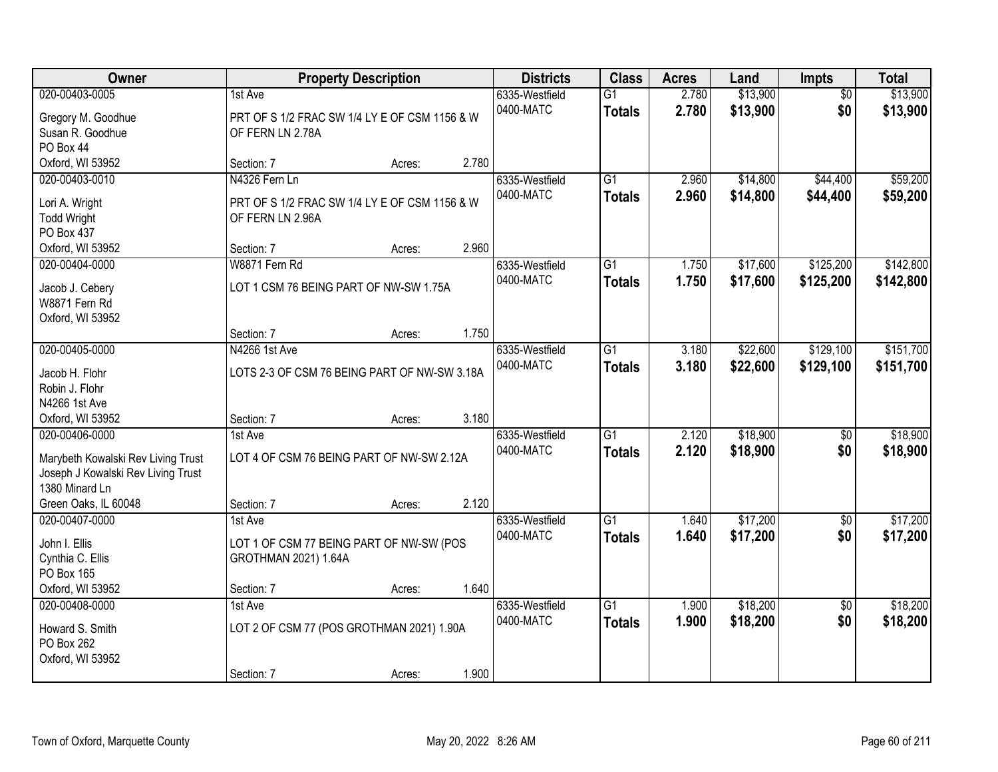| Owner                                                                                                                                |                                                                                    | <b>Property Description</b> |       | <b>Districts</b>            | <b>Class</b>                     | <b>Acres</b>   | Land                 | Impts                  | <b>Total</b>           |
|--------------------------------------------------------------------------------------------------------------------------------------|------------------------------------------------------------------------------------|-----------------------------|-------|-----------------------------|----------------------------------|----------------|----------------------|------------------------|------------------------|
| 020-00403-0005<br>Gregory M. Goodhue<br>Susan R. Goodhue<br>PO Box 44                                                                | 1st Ave<br>PRT OF S 1/2 FRAC SW 1/4 LY E OF CSM 1156 & W<br>OF FERN LN 2.78A       |                             |       | 6335-Westfield<br>0400-MATC | $\overline{G1}$<br><b>Totals</b> | 2.780<br>2.780 | \$13,900<br>\$13,900 | $\overline{50}$<br>\$0 | \$13,900<br>\$13,900   |
| Oxford, WI 53952                                                                                                                     | Section: 7                                                                         | Acres:                      | 2.780 |                             |                                  |                |                      |                        |                        |
| 020-00403-0010<br>Lori A. Wright<br><b>Todd Wright</b><br>PO Box 437                                                                 | N4326 Fern Ln<br>PRT OF S 1/2 FRAC SW 1/4 LY E OF CSM 1156 & W<br>OF FERN LN 2.96A |                             |       | 6335-Westfield<br>0400-MATC | $\overline{G1}$<br><b>Totals</b> | 2.960<br>2.960 | \$14,800<br>\$14,800 | \$44,400<br>\$44,400   | \$59,200<br>\$59,200   |
| Oxford, WI 53952                                                                                                                     | Section: 7                                                                         | Acres:                      | 2.960 |                             |                                  |                |                      |                        |                        |
| 020-00404-0000<br>Jacob J. Cebery<br>W8871 Fern Rd<br>Oxford, WI 53952                                                               | W8871 Fern Rd<br>LOT 1 CSM 76 BEING PART OF NW-SW 1.75A                            |                             |       | 6335-Westfield<br>0400-MATC | G1<br><b>Totals</b>              | 1.750<br>1.750 | \$17,600<br>\$17,600 | \$125,200<br>\$125,200 | \$142,800<br>\$142,800 |
|                                                                                                                                      | Section: 7                                                                         | Acres:                      | 1.750 |                             |                                  |                |                      |                        |                        |
| 020-00405-0000<br>Jacob H. Flohr<br>Robin J. Flohr<br>N4266 1st Ave                                                                  | N4266 1st Ave<br>LOTS 2-3 OF CSM 76 BEING PART OF NW-SW 3.18A                      |                             |       | 6335-Westfield<br>0400-MATC | $\overline{G1}$<br><b>Totals</b> | 3.180<br>3.180 | \$22,600<br>\$22,600 | \$129,100<br>\$129,100 | \$151,700<br>\$151,700 |
| Oxford, WI 53952                                                                                                                     | Section: 7                                                                         | Acres:                      | 3.180 |                             |                                  |                |                      |                        |                        |
| 020-00406-0000<br>Marybeth Kowalski Rev Living Trust<br>Joseph J Kowalski Rev Living Trust<br>1380 Minard Ln<br>Green Oaks, IL 60048 | 1st Ave<br>LOT 4 OF CSM 76 BEING PART OF NW-SW 2.12A<br>Section: 7                 | Acres:                      | 2.120 | 6335-Westfield<br>0400-MATC | $\overline{G1}$<br><b>Totals</b> | 2.120<br>2.120 | \$18,900<br>\$18,900 | $\overline{50}$<br>\$0 | \$18,900<br>\$18,900   |
| 020-00407-0000                                                                                                                       | 1st Ave                                                                            |                             |       | 6335-Westfield              | $\overline{G1}$                  | 1.640          | \$17,200             | $\sqrt{6}$             | \$17,200               |
| John I. Ellis<br>Cynthia C. Ellis<br>PO Box 165<br>Oxford, WI 53952                                                                  | LOT 1 OF CSM 77 BEING PART OF NW-SW (POS<br>GROTHMAN 2021) 1.64A<br>Section: 7     | Acres:                      | 1.640 | 0400-MATC                   | <b>Totals</b>                    | 1.640          | \$17,200             | \$0                    | \$17,200               |
| 020-00408-0000                                                                                                                       | 1st Ave                                                                            |                             |       | 6335-Westfield              | $\overline{G1}$                  | 1.900          | \$18,200             | $\overline{50}$        | \$18,200               |
| Howard S. Smith<br>PO Box 262<br>Oxford, WI 53952                                                                                    | LOT 2 OF CSM 77 (POS GROTHMAN 2021) 1.90A<br>Section: 7                            | Acres:                      | 1.900 | 0400-MATC                   | <b>Totals</b>                    | 1.900          | \$18,200             | \$0                    | \$18,200               |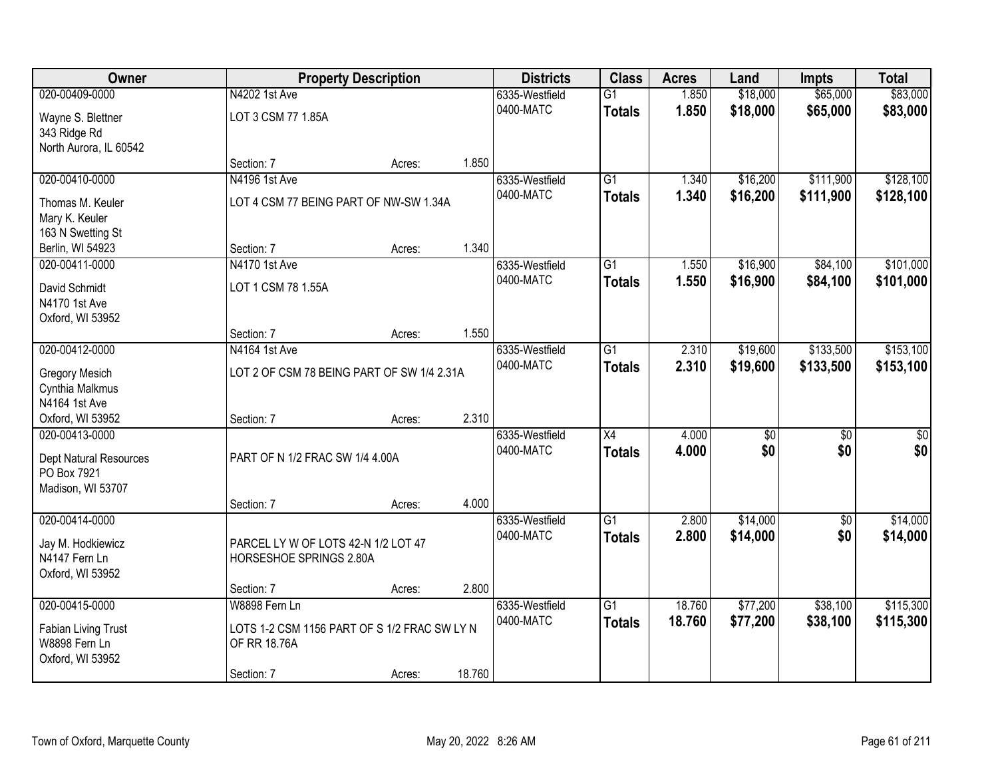| Owner                                |                                              | <b>Property Description</b> |        | <b>Districts</b> | <b>Class</b>    | <b>Acres</b> | Land            | <b>Impts</b>    | <b>Total</b>    |
|--------------------------------------|----------------------------------------------|-----------------------------|--------|------------------|-----------------|--------------|-----------------|-----------------|-----------------|
| 020-00409-0000                       | N4202 1st Ave                                |                             |        | 6335-Westfield   | $\overline{G1}$ | 1.850        | \$18,000        | \$65,000        | \$83,000        |
| Wayne S. Blettner                    | LOT 3 CSM 77 1.85A                           |                             |        | 0400-MATC        | <b>Totals</b>   | 1.850        | \$18,000        | \$65,000        | \$83,000        |
| 343 Ridge Rd                         |                                              |                             |        |                  |                 |              |                 |                 |                 |
| North Aurora, IL 60542               |                                              |                             |        |                  |                 |              |                 |                 |                 |
|                                      | Section: 7                                   | Acres:                      | 1.850  |                  |                 |              |                 |                 |                 |
| 020-00410-0000                       | N4196 1st Ave                                |                             |        | 6335-Westfield   | $\overline{G1}$ | 1.340        | \$16,200        | \$111,900       | \$128,100       |
| Thomas M. Keuler                     | LOT 4 CSM 77 BEING PART OF NW-SW 1.34A       |                             |        | 0400-MATC        | <b>Totals</b>   | 1.340        | \$16,200        | \$111,900       | \$128,100       |
| Mary K. Keuler                       |                                              |                             |        |                  |                 |              |                 |                 |                 |
| 163 N Swetting St                    |                                              |                             |        |                  |                 |              |                 |                 |                 |
| Berlin, WI 54923                     | Section: 7                                   | Acres:                      | 1.340  |                  |                 |              |                 |                 |                 |
| 020-00411-0000                       | N4170 1st Ave                                |                             |        | 6335-Westfield   | G1              | 1.550        | \$16,900        | \$84,100        | \$101,000       |
| David Schmidt                        | LOT 1 CSM 78 1.55A                           |                             |        | 0400-MATC        | <b>Totals</b>   | 1.550        | \$16,900        | \$84,100        | \$101,000       |
| N4170 1st Ave                        |                                              |                             |        |                  |                 |              |                 |                 |                 |
| Oxford, WI 53952                     |                                              |                             |        |                  |                 |              |                 |                 |                 |
|                                      | Section: 7                                   | Acres:                      | 1.550  |                  |                 |              |                 |                 |                 |
| 020-00412-0000                       | N4164 1st Ave                                |                             |        | 6335-Westfield   | G1              | 2.310        | \$19,600        | \$133,500       | \$153,100       |
| <b>Gregory Mesich</b>                | LOT 2 OF CSM 78 BEING PART OF SW 1/4 2.31A   |                             |        | 0400-MATC        | <b>Totals</b>   | 2.310        | \$19,600        | \$133,500       | \$153,100       |
| Cynthia Malkmus                      |                                              |                             |        |                  |                 |              |                 |                 |                 |
| N4164 1st Ave                        |                                              |                             |        |                  |                 |              |                 |                 |                 |
| Oxford, WI 53952                     | Section: 7                                   | Acres:                      | 2.310  |                  |                 |              |                 |                 |                 |
| 020-00413-0000                       |                                              |                             |        | 6335-Westfield   | $\overline{X4}$ | 4.000        | $\overline{30}$ | $\overline{30}$ | $\overline{30}$ |
| Dept Natural Resources               | PART OF N 1/2 FRAC SW 1/4 4.00A              |                             |        | 0400-MATC        | <b>Totals</b>   | 4.000        | \$0             | \$0             | \$0             |
| PO Box 7921                          |                                              |                             |        |                  |                 |              |                 |                 |                 |
| Madison, WI 53707                    |                                              |                             |        |                  |                 |              |                 |                 |                 |
|                                      | Section: 7                                   | Acres:                      | 4.000  |                  |                 |              |                 |                 |                 |
| 020-00414-0000                       |                                              |                             |        | 6335-Westfield   | $\overline{G1}$ | 2.800        | \$14,000        | $\sqrt{6}$      | \$14,000        |
| Jay M. Hodkiewicz                    | PARCEL LY W OF LOTS 42-N 1/2 LOT 47          |                             |        | 0400-MATC        | <b>Totals</b>   | 2.800        | \$14,000        | \$0             | \$14,000        |
| N4147 Fern Ln                        | HORSESHOE SPRINGS 2.80A                      |                             |        |                  |                 |              |                 |                 |                 |
| Oxford, WI 53952                     |                                              |                             |        |                  |                 |              |                 |                 |                 |
|                                      | Section: 7                                   | Acres:                      | 2.800  |                  |                 |              |                 |                 |                 |
| 020-00415-0000                       | W8898 Fern Ln                                |                             |        | 6335-Westfield   | $\overline{G1}$ | 18.760       | \$77,200        | \$38,100        | \$115,300       |
|                                      | LOTS 1-2 CSM 1156 PART OF S 1/2 FRAC SW LY N |                             |        | 0400-MATC        | <b>Totals</b>   | 18.760       | \$77,200        | \$38,100        | \$115,300       |
| Fabian Living Trust<br>W8898 Fern Ln | OF RR 18.76A                                 |                             |        |                  |                 |              |                 |                 |                 |
| Oxford, WI 53952                     |                                              |                             |        |                  |                 |              |                 |                 |                 |
|                                      | Section: 7                                   | Acres:                      | 18.760 |                  |                 |              |                 |                 |                 |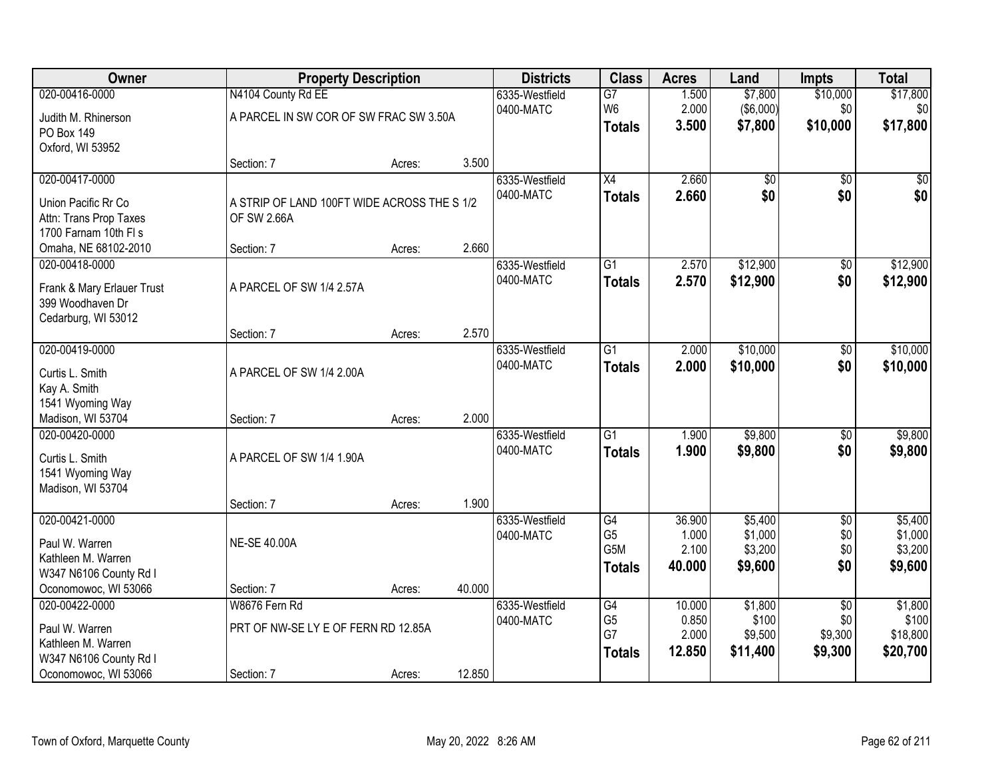| Owner                      |                                             | <b>Property Description</b> |        | <b>Districts</b> | <b>Class</b>    | <b>Acres</b> | Land             | <b>Impts</b>    | <b>Total</b> |
|----------------------------|---------------------------------------------|-----------------------------|--------|------------------|-----------------|--------------|------------------|-----------------|--------------|
| 020-00416-0000             | N4104 County Rd EE                          |                             |        | 6335-Westfield   | $\overline{G7}$ | 1.500        | \$7,800          | \$10,000        | \$17,800     |
| Judith M. Rhinerson        | A PARCEL IN SW COR OF SW FRAC SW 3.50A      |                             |        | 0400-MATC        | W <sub>6</sub>  | 2.000        | $($ \$6,000) $ $ | \$0             | \$0          |
| PO Box 149                 |                                             |                             |        |                  | <b>Totals</b>   | 3.500        | \$7,800          | \$10,000        | \$17,800     |
| Oxford, WI 53952           |                                             |                             |        |                  |                 |              |                  |                 |              |
|                            | Section: 7                                  | Acres:                      | 3.500  |                  |                 |              |                  |                 |              |
| 020-00417-0000             |                                             |                             |        | 6335-Westfield   | $\overline{X4}$ | 2.660        | \$0              | $\overline{50}$ | \$0          |
| Union Pacific Rr Co        | A STRIP OF LAND 100FT WIDE ACROSS THE S 1/2 |                             |        | 0400-MATC        | <b>Totals</b>   | 2.660        | \$0              | \$0             | \$0          |
| Attn: Trans Prop Taxes     | OF SW 2.66A                                 |                             |        |                  |                 |              |                  |                 |              |
| 1700 Farnam 10th FI s      |                                             |                             |        |                  |                 |              |                  |                 |              |
| Omaha, NE 68102-2010       | Section: 7                                  | Acres:                      | 2.660  |                  |                 |              |                  |                 |              |
| 020-00418-0000             |                                             |                             |        | 6335-Westfield   | G1              | 2.570        | \$12,900         | \$0             | \$12,900     |
| Frank & Mary Erlauer Trust | A PARCEL OF SW 1/4 2.57A                    |                             |        | 0400-MATC        | <b>Totals</b>   | 2.570        | \$12,900         | \$0             | \$12,900     |
| 399 Woodhaven Dr           |                                             |                             |        |                  |                 |              |                  |                 |              |
| Cedarburg, WI 53012        |                                             |                             |        |                  |                 |              |                  |                 |              |
|                            | Section: 7                                  | Acres:                      | 2.570  |                  |                 |              |                  |                 |              |
| 020-00419-0000             |                                             |                             |        | 6335-Westfield   | $\overline{G1}$ | 2.000        | \$10,000         | \$0             | \$10,000     |
| Curtis L. Smith            | A PARCEL OF SW 1/4 2.00A                    |                             |        | 0400-MATC        | <b>Totals</b>   | 2.000        | \$10,000         | \$0             | \$10,000     |
| Kay A. Smith               |                                             |                             |        |                  |                 |              |                  |                 |              |
| 1541 Wyoming Way           |                                             |                             |        |                  |                 |              |                  |                 |              |
| Madison, WI 53704          | Section: 7                                  | Acres:                      | 2.000  |                  |                 |              |                  |                 |              |
| 020-00420-0000             |                                             |                             |        | 6335-Westfield   | $\overline{G1}$ | 1.900        | \$9,800          | $\overline{50}$ | \$9,800      |
| Curtis L. Smith            | A PARCEL OF SW 1/4 1.90A                    |                             |        | 0400-MATC        | <b>Totals</b>   | 1.900        | \$9,800          | \$0             | \$9,800      |
| 1541 Wyoming Way           |                                             |                             |        |                  |                 |              |                  |                 |              |
| Madison, WI 53704          |                                             |                             |        |                  |                 |              |                  |                 |              |
|                            | Section: 7                                  | Acres:                      | 1.900  |                  |                 |              |                  |                 |              |
| 020-00421-0000             |                                             |                             |        | 6335-Westfield   | G4              | 36.900       | \$5,400          | $\overline{50}$ | \$5,400      |
| Paul W. Warren             | <b>NE-SE 40.00A</b>                         |                             |        | 0400-MATC        | G <sub>5</sub>  | 1.000        | \$1,000          | \$0             | \$1,000      |
| Kathleen M. Warren         |                                             |                             |        |                  | G5M             | 2.100        | \$3,200          | \$0             | \$3,200      |
| W347 N6106 County Rd I     |                                             |                             |        |                  | <b>Totals</b>   | 40.000       | \$9,600          | \$0             | \$9,600      |
| Oconomowoc, WI 53066       | Section: 7                                  | Acres:                      | 40.000 |                  |                 |              |                  |                 |              |
| 020-00422-0000             | W8676 Fern Rd                               |                             |        | 6335-Westfield   | G4              | 10.000       | \$1,800          | $\overline{50}$ | \$1,800      |
| Paul W. Warren             | PRT OF NW-SE LY E OF FERN RD 12.85A         |                             |        | 0400-MATC        | G <sub>5</sub>  | 0.850        | \$100            | \$0             | \$100        |
| Kathleen M. Warren         |                                             |                             |        |                  | G7              | 2.000        | \$9,500          | \$9,300         | \$18,800     |
| W347 N6106 County Rd I     |                                             |                             |        |                  | <b>Totals</b>   | 12.850       | \$11,400         | \$9,300         | \$20,700     |
| Oconomowoc, WI 53066       | Section: 7                                  | Acres:                      | 12.850 |                  |                 |              |                  |                 |              |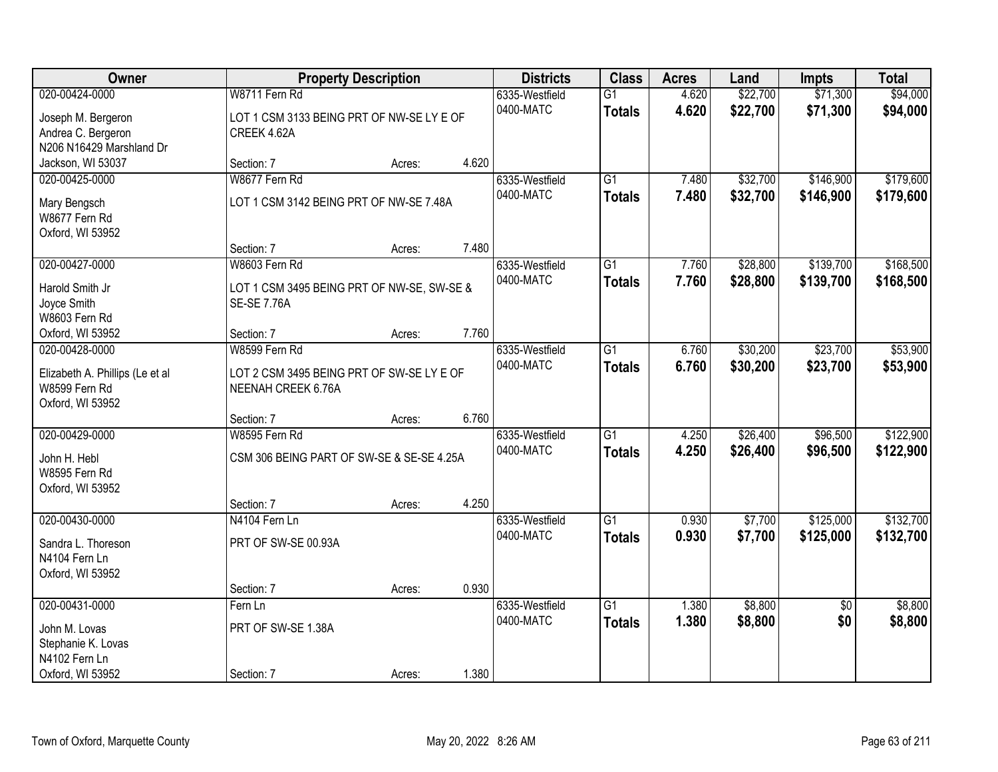| Owner                                                                                      | <b>Property Description</b>                                                       | <b>Districts</b> | <b>Class</b> | <b>Acres</b>                | Land                             | <b>Impts</b>   | <b>Total</b>         |                        |                        |
|--------------------------------------------------------------------------------------------|-----------------------------------------------------------------------------------|------------------|--------------|-----------------------------|----------------------------------|----------------|----------------------|------------------------|------------------------|
| 020-00424-0000<br>Joseph M. Bergeron<br>Andrea C. Bergeron<br>N206 N16429 Marshland Dr     | W8711 Fern Rd<br>LOT 1 CSM 3133 BEING PRT OF NW-SE LY E OF<br>CREEK 4.62A         |                  |              | 6335-Westfield<br>0400-MATC | $\overline{G1}$<br><b>Totals</b> | 4.620<br>4.620 | \$22,700<br>\$22,700 | \$71,300<br>\$71,300   | \$94,000<br>\$94,000   |
| Jackson, WI 53037                                                                          | Section: 7                                                                        | Acres:           | 4.620        |                             |                                  |                |                      |                        |                        |
| 020-00425-0000<br>Mary Bengsch<br>W8677 Fern Rd<br>Oxford, WI 53952                        | W8677 Fern Rd<br>LOT 1 CSM 3142 BEING PRT OF NW-SE 7.48A                          |                  |              | 6335-Westfield<br>0400-MATC | $\overline{G1}$<br><b>Totals</b> | 7.480<br>7.480 | \$32,700<br>\$32,700 | \$146,900<br>\$146,900 | \$179,600<br>\$179,600 |
|                                                                                            | Section: 7                                                                        | Acres:           | 7.480        |                             |                                  |                |                      |                        |                        |
| 020-00427-0000<br>Harold Smith Jr<br>Joyce Smith<br>W8603 Fern Rd                          | W8603 Fern Rd<br>LOT 1 CSM 3495 BEING PRT OF NW-SE, SW-SE &<br><b>SE-SE 7.76A</b> |                  |              | 6335-Westfield<br>0400-MATC | G1<br><b>Totals</b>              | 7.760<br>7.760 | \$28,800<br>\$28,800 | \$139,700<br>\$139,700 | \$168,500<br>\$168,500 |
| Oxford, WI 53952                                                                           | Section: 7                                                                        | Acres:           | 7.760        |                             |                                  |                |                      |                        |                        |
| 020-00428-0000<br>Elizabeth A. Phillips (Le et al<br>W8599 Fern Rd<br>Oxford, WI 53952     | W8599 Fern Rd<br>LOT 2 CSM 3495 BEING PRT OF SW-SE LY E OF<br>NEENAH CREEK 6.76A  |                  |              | 6335-Westfield<br>0400-MATC | G1<br><b>Totals</b>              | 6.760<br>6.760 | \$30,200<br>\$30,200 | \$23,700<br>\$23,700   | \$53,900<br>\$53,900   |
|                                                                                            | Section: 7                                                                        | Acres:           | 6.760        |                             |                                  |                |                      |                        |                        |
| 020-00429-0000<br>John H. Hebl<br>W8595 Fern Rd<br>Oxford, WI 53952                        | W8595 Fern Rd<br>CSM 306 BEING PART OF SW-SE & SE-SE 4.25A                        |                  |              | 6335-Westfield<br>0400-MATC | $\overline{G1}$<br><b>Totals</b> | 4.250<br>4.250 | \$26,400<br>\$26,400 | \$96,500<br>\$96,500   | \$122,900<br>\$122,900 |
|                                                                                            | Section: 7                                                                        | Acres:           | 4.250        |                             |                                  |                |                      |                        |                        |
| 020-00430-0000<br>Sandra L. Thoreson<br>N4104 Fern Ln<br>Oxford, WI 53952                  | N4104 Fern Ln<br>PRT OF SW-SE 00.93A                                              |                  |              | 6335-Westfield<br>0400-MATC | $\overline{G1}$<br><b>Totals</b> | 0.930<br>0.930 | \$7,700<br>\$7,700   | \$125,000<br>\$125,000 | \$132,700<br>\$132,700 |
|                                                                                            | Section: 7                                                                        | Acres:           | 0.930        |                             |                                  |                |                      |                        |                        |
| 020-00431-0000<br>John M. Lovas<br>Stephanie K. Lovas<br>N4102 Fern Ln<br>Oxford, WI 53952 | Fern Ln<br>PRT OF SW-SE 1.38A<br>Section: 7                                       | Acres:           | 1.380        | 6335-Westfield<br>0400-MATC | $\overline{G1}$<br><b>Totals</b> | 1.380<br>1.380 | \$8,800<br>\$8,800   | $\overline{50}$<br>\$0 | \$8,800<br>\$8,800     |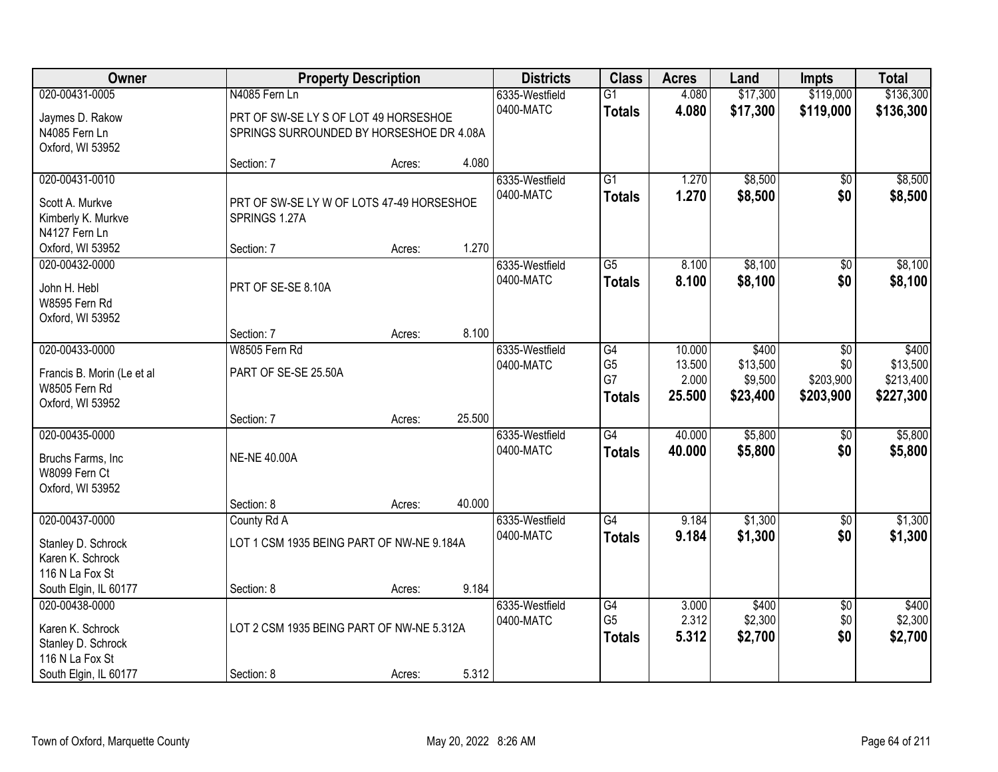| Owner                      |                                           | <b>Property Description</b> |        | <b>Districts</b> | <b>Class</b>    | <b>Acres</b> | Land     | <b>Impts</b>    | <b>Total</b> |
|----------------------------|-------------------------------------------|-----------------------------|--------|------------------|-----------------|--------------|----------|-----------------|--------------|
| 020-00431-0005             | N4085 Fern Ln                             |                             |        | 6335-Westfield   | $\overline{G1}$ | 4.080        | \$17,300 | \$119,000       | \$136,300    |
| Jaymes D. Rakow            | PRT OF SW-SE LY S OF LOT 49 HORSESHOE     |                             |        | 0400-MATC        | <b>Totals</b>   | 4.080        | \$17,300 | \$119,000       | \$136,300    |
| N4085 Fern Ln              | SPRINGS SURROUNDED BY HORSESHOE DR 4.08A  |                             |        |                  |                 |              |          |                 |              |
| Oxford, WI 53952           |                                           |                             |        |                  |                 |              |          |                 |              |
|                            | Section: 7                                | Acres:                      | 4.080  |                  |                 |              |          |                 |              |
| 020-00431-0010             |                                           |                             |        | 6335-Westfield   | $\overline{G1}$ | 1.270        | \$8,500  | \$0             | \$8,500      |
| Scott A. Murkve            | PRT OF SW-SE LY W OF LOTS 47-49 HORSESHOE |                             |        | 0400-MATC        | <b>Totals</b>   | 1.270        | \$8,500  | \$0             | \$8,500      |
| Kimberly K. Murkve         | SPRINGS 1.27A                             |                             |        |                  |                 |              |          |                 |              |
| N4127 Fern Ln              |                                           |                             |        |                  |                 |              |          |                 |              |
| Oxford, WI 53952           | Section: 7                                | Acres:                      | 1.270  |                  |                 |              |          |                 |              |
| 020-00432-0000             |                                           |                             |        | 6335-Westfield   | $\overline{G5}$ | 8.100        | \$8,100  | \$0             | \$8,100      |
| John H. Hebl               | PRT OF SE-SE 8.10A                        |                             |        | 0400-MATC        | <b>Totals</b>   | 8.100        | \$8,100  | \$0             | \$8,100      |
| W8595 Fern Rd              |                                           |                             |        |                  |                 |              |          |                 |              |
| Oxford, WI 53952           |                                           |                             |        |                  |                 |              |          |                 |              |
|                            | Section: 7                                | Acres:                      | 8.100  |                  |                 |              |          |                 |              |
| 020-00433-0000             | W8505 Fern Rd                             |                             |        | 6335-Westfield   | G4              | 10.000       | \$400    | \$0             | \$400        |
| Francis B. Morin (Le et al | PART OF SE-SE 25.50A                      |                             |        | 0400-MATC        | G <sub>5</sub>  | 13.500       | \$13,500 | \$0             | \$13,500     |
| W8505 Fern Rd              |                                           |                             |        |                  | G7              | 2.000        | \$9,500  | \$203,900       | \$213,400    |
| Oxford, WI 53952           |                                           |                             |        |                  | <b>Totals</b>   | 25.500       | \$23,400 | \$203,900       | \$227,300    |
|                            | Section: 7                                | Acres:                      | 25.500 |                  |                 |              |          |                 |              |
| 020-00435-0000             |                                           |                             |        | 6335-Westfield   | G4              | 40.000       | \$5,800  | $\overline{50}$ | \$5,800      |
| Bruchs Farms, Inc          | <b>NE-NE 40.00A</b>                       |                             |        | 0400-MATC        | <b>Totals</b>   | 40.000       | \$5,800  | \$0             | \$5,800      |
| W8099 Fern Ct              |                                           |                             |        |                  |                 |              |          |                 |              |
| Oxford, WI 53952           |                                           |                             |        |                  |                 |              |          |                 |              |
|                            | Section: 8                                | Acres:                      | 40.000 |                  |                 |              |          |                 |              |
| 020-00437-0000             | County Rd A                               |                             |        | 6335-Westfield   | G4              | 9.184        | \$1,300  | $\overline{50}$ | \$1,300      |
| Stanley D. Schrock         | LOT 1 CSM 1935 BEING PART OF NW-NE 9.184A |                             |        | 0400-MATC        | <b>Totals</b>   | 9.184        | \$1,300  | \$0             | \$1,300      |
| Karen K. Schrock           |                                           |                             |        |                  |                 |              |          |                 |              |
| 116 N La Fox St            |                                           |                             |        |                  |                 |              |          |                 |              |
| South Elgin, IL 60177      | Section: 8                                | Acres:                      | 9.184  |                  |                 |              |          |                 |              |
| 020-00438-0000             |                                           |                             |        | 6335-Westfield   | G4              | 3.000        | \$400    | $\overline{50}$ | \$400        |
| Karen K. Schrock           | LOT 2 CSM 1935 BEING PART OF NW-NE 5.312A |                             |        | 0400-MATC        | G <sub>5</sub>  | 2.312        | \$2,300  | \$0             | \$2,300      |
| Stanley D. Schrock         |                                           |                             |        |                  | <b>Totals</b>   | 5.312        | \$2,700  | \$0             | \$2,700      |
| 116 N La Fox St            |                                           |                             |        |                  |                 |              |          |                 |              |
| South Elgin, IL 60177      | Section: 8                                | Acres:                      | 5.312  |                  |                 |              |          |                 |              |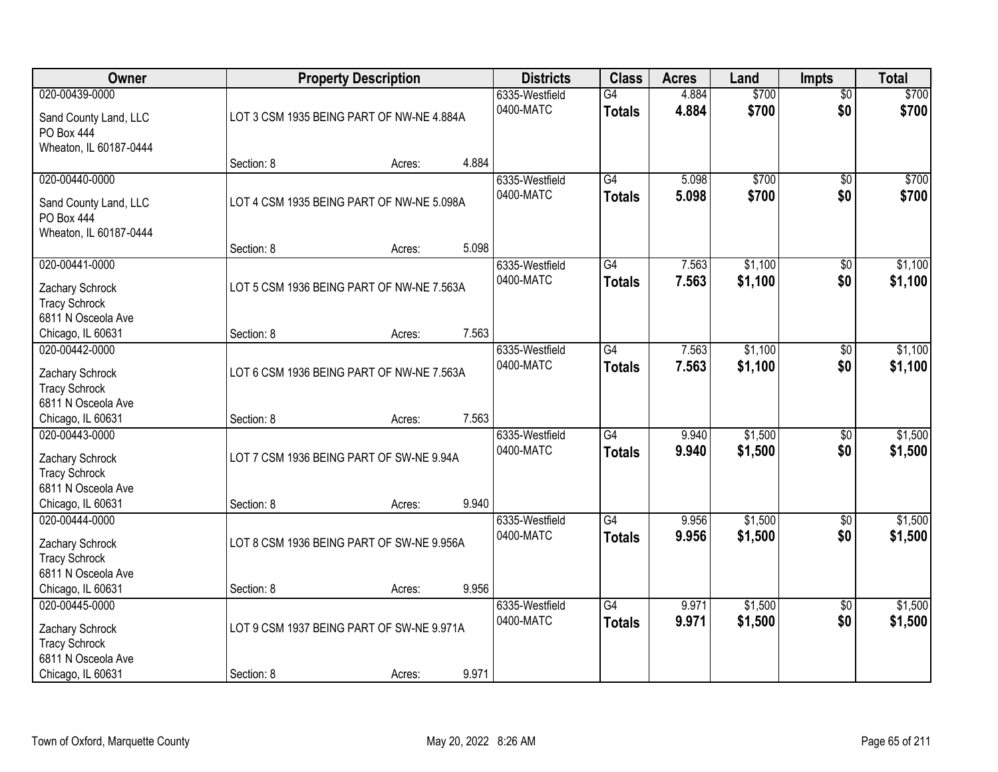| Owner                                   |            | <b>Property Description</b>               |       | <b>Districts</b> | <b>Class</b>    | <b>Acres</b> | Land    | <b>Impts</b>    | <b>Total</b> |
|-----------------------------------------|------------|-------------------------------------------|-------|------------------|-----------------|--------------|---------|-----------------|--------------|
| 020-00439-0000                          |            |                                           |       | 6335-Westfield   | G4              | 4.884        | \$700   | $\overline{50}$ | \$700        |
| Sand County Land, LLC                   |            | LOT 3 CSM 1935 BEING PART OF NW-NE 4.884A |       | 0400-MATC        | <b>Totals</b>   | 4.884        | \$700   | \$0             | \$700        |
| PO Box 444                              |            |                                           |       |                  |                 |              |         |                 |              |
| Wheaton, IL 60187-0444                  |            |                                           |       |                  |                 |              |         |                 |              |
|                                         | Section: 8 | Acres:                                    | 4.884 |                  |                 |              |         |                 |              |
| 020-00440-0000                          |            |                                           |       | 6335-Westfield   | $\overline{G4}$ | 5.098        | \$700   | $\overline{50}$ | \$700        |
| Sand County Land, LLC                   |            | LOT 4 CSM 1935 BEING PART OF NW-NE 5.098A |       | 0400-MATC        | <b>Totals</b>   | 5.098        | \$700   | \$0             | \$700        |
| <b>PO Box 444</b>                       |            |                                           |       |                  |                 |              |         |                 |              |
| Wheaton, IL 60187-0444                  |            |                                           |       |                  |                 |              |         |                 |              |
|                                         | Section: 8 | Acres:                                    | 5.098 |                  |                 |              |         |                 |              |
| 020-00441-0000                          |            |                                           |       | 6335-Westfield   | G4              | 7.563        | \$1,100 | \$0             | \$1,100      |
| Zachary Schrock                         |            | LOT 5 CSM 1936 BEING PART OF NW-NE 7.563A |       | 0400-MATC        | <b>Totals</b>   | 7.563        | \$1,100 | \$0             | \$1,100      |
| <b>Tracy Schrock</b>                    |            |                                           |       |                  |                 |              |         |                 |              |
| 6811 N Osceola Ave                      |            |                                           |       |                  |                 |              |         |                 |              |
| Chicago, IL 60631                       | Section: 8 | Acres:                                    | 7.563 |                  |                 |              |         |                 |              |
| 020-00442-0000                          |            |                                           |       | 6335-Westfield   | $\overline{G4}$ | 7.563        | \$1,100 | \$0             | \$1,100      |
|                                         |            |                                           |       | 0400-MATC        | <b>Totals</b>   | 7.563        | \$1,100 | \$0             | \$1,100      |
| Zachary Schrock<br><b>Tracy Schrock</b> |            | LOT 6 CSM 1936 BEING PART OF NW-NE 7.563A |       |                  |                 |              |         |                 |              |
| 6811 N Osceola Ave                      |            |                                           |       |                  |                 |              |         |                 |              |
| Chicago, IL 60631                       | Section: 8 | Acres:                                    | 7.563 |                  |                 |              |         |                 |              |
| 020-00443-0000                          |            |                                           |       | 6335-Westfield   | $\overline{G4}$ | 9.940        | \$1,500 | \$0             | \$1,500      |
|                                         |            |                                           |       | 0400-MATC        | <b>Totals</b>   | 9.940        | \$1,500 | \$0             | \$1,500      |
| Zachary Schrock                         |            | LOT 7 CSM 1936 BEING PART OF SW-NE 9.94A  |       |                  |                 |              |         |                 |              |
| <b>Tracy Schrock</b>                    |            |                                           |       |                  |                 |              |         |                 |              |
| 6811 N Osceola Ave<br>Chicago, IL 60631 | Section: 8 |                                           | 9.940 |                  |                 |              |         |                 |              |
| 020-00444-0000                          |            | Acres:                                    |       | 6335-Westfield   | $\overline{G4}$ | 9.956        | \$1,500 | $\sqrt{6}$      | \$1,500      |
|                                         |            |                                           |       | 0400-MATC        | <b>Totals</b>   | 9.956        | \$1,500 | \$0             | \$1,500      |
| Zachary Schrock                         |            | LOT 8 CSM 1936 BEING PART OF SW-NE 9.956A |       |                  |                 |              |         |                 |              |
| <b>Tracy Schrock</b>                    |            |                                           |       |                  |                 |              |         |                 |              |
| 6811 N Osceola Ave                      |            |                                           |       |                  |                 |              |         |                 |              |
| Chicago, IL 60631                       | Section: 8 | Acres:                                    | 9.956 |                  |                 |              |         |                 |              |
| 020-00445-0000                          |            |                                           |       | 6335-Westfield   | $\overline{G4}$ | 9.971        | \$1,500 | $\overline{30}$ | \$1,500      |
| Zachary Schrock                         |            | LOT 9 CSM 1937 BEING PART OF SW-NE 9.971A |       | 0400-MATC        | <b>Totals</b>   | 9.971        | \$1,500 | \$0             | \$1,500      |
| <b>Tracy Schrock</b>                    |            |                                           |       |                  |                 |              |         |                 |              |
| 6811 N Osceola Ave                      |            |                                           |       |                  |                 |              |         |                 |              |
| Chicago, IL 60631                       | Section: 8 | Acres:                                    | 9.971 |                  |                 |              |         |                 |              |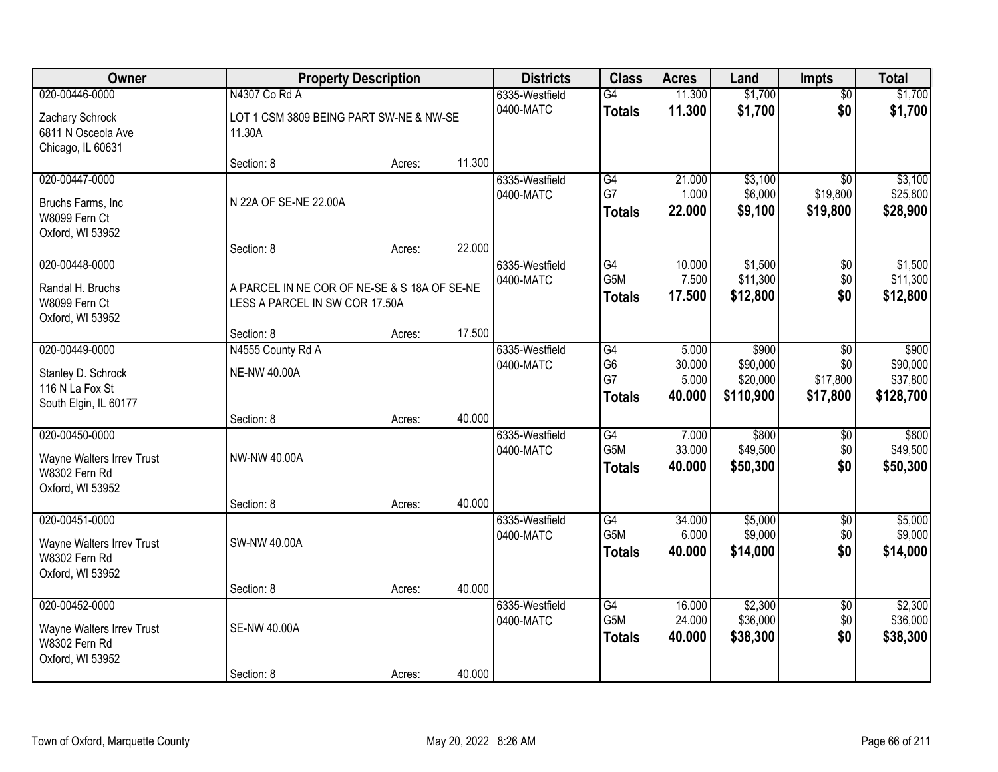| Owner                                                                            | <b>Property Description</b>                                                    |        |        | <b>Districts</b>            | <b>Class</b>                                             | <b>Acres</b>                       | Land                                       | <b>Impts</b>                            | <b>Total</b>                               |
|----------------------------------------------------------------------------------|--------------------------------------------------------------------------------|--------|--------|-----------------------------|----------------------------------------------------------|------------------------------------|--------------------------------------------|-----------------------------------------|--------------------------------------------|
| 020-00446-0000                                                                   | N4307 Co Rd A                                                                  |        |        | 6335-Westfield              | G4                                                       | 11.300                             | \$1,700                                    | $\overline{60}$                         | \$1,700                                    |
| Zachary Schrock<br>6811 N Osceola Ave<br>Chicago, IL 60631                       | LOT 1 CSM 3809 BEING PART SW-NE & NW-SE<br>11.30A                              |        |        | 0400-MATC                   | <b>Totals</b>                                            | 11.300                             | \$1,700                                    | \$0                                     | \$1,700                                    |
|                                                                                  | Section: 8                                                                     | Acres: | 11.300 |                             |                                                          |                                    |                                            |                                         |                                            |
| 020-00447-0000<br>Bruchs Farms, Inc<br>W8099 Fern Ct<br>Oxford, WI 53952         | N 22A OF SE-NE 22.00A                                                          |        |        | 6335-Westfield<br>0400-MATC | G4<br>G7<br><b>Totals</b>                                | 21.000<br>1.000<br>22.000          | \$3,100<br>\$6,000<br>\$9,100              | $\overline{50}$<br>\$19,800<br>\$19,800 | \$3,100<br>\$25,800<br>\$28,900            |
|                                                                                  | Section: 8                                                                     | Acres: | 22.000 |                             | $\overline{G4}$                                          |                                    |                                            |                                         |                                            |
| 020-00448-0000<br>Randal H. Bruchs<br>W8099 Fern Ct<br>Oxford, WI 53952          | A PARCEL IN NE COR OF NE-SE & S 18A OF SE-NE<br>LESS A PARCEL IN SW COR 17.50A |        |        | 6335-Westfield<br>0400-MATC | G5M<br><b>Totals</b>                                     | 10.000<br>7.500<br>17.500          | \$1,500<br>\$11,300<br>\$12,800            | $\sqrt[6]{}$<br>\$0<br>\$0              | \$1,500<br>\$11,300<br>\$12,800            |
|                                                                                  | Section: 8                                                                     | Acres: | 17.500 |                             |                                                          |                                    |                                            |                                         |                                            |
| 020-00449-0000<br>Stanley D. Schrock<br>116 N La Fox St<br>South Elgin, IL 60177 | N4555 County Rd A<br><b>NE-NW 40.00A</b>                                       |        |        | 6335-Westfield<br>0400-MATC | $\overline{G4}$<br>G <sub>6</sub><br>G7<br><b>Totals</b> | 5.000<br>30.000<br>5.000<br>40.000 | \$900<br>\$90,000<br>\$20,000<br>\$110,900 | \$0<br>\$0<br>\$17,800<br>\$17,800      | \$900<br>\$90,000<br>\$37,800<br>\$128,700 |
|                                                                                  | Section: 8                                                                     | Acres: | 40.000 |                             |                                                          |                                    |                                            |                                         |                                            |
| 020-00450-0000<br>Wayne Walters Irrev Trust<br>W8302 Fern Rd<br>Oxford, WI 53952 | NW-NW 40.00A                                                                   |        |        | 6335-Westfield<br>0400-MATC | $\overline{G4}$<br>G <sub>5</sub> M<br><b>Totals</b>     | 7.000<br>33.000<br>40.000          | \$800<br>\$49,500<br>\$50,300              | \$0<br>\$0<br>\$0                       | \$800<br>\$49,500<br>\$50,300              |
| 020-00451-0000                                                                   | Section: 8                                                                     | Acres: | 40.000 | 6335-Westfield              | G4                                                       | 34.000                             | \$5,000                                    | $\sqrt{6}$                              | \$5,000                                    |
| Wayne Walters Irrev Trust<br>W8302 Fern Rd<br>Oxford, WI 53952                   | SW-NW 40.00A                                                                   |        |        | 0400-MATC                   | G5M<br><b>Totals</b>                                     | 6.000<br>40.000                    | \$9,000<br>\$14,000                        | \$0<br>\$0                              | \$9,000<br>\$14,000                        |
|                                                                                  | Section: 8                                                                     | Acres: | 40.000 |                             |                                                          |                                    |                                            |                                         |                                            |
| 020-00452-0000<br>Wayne Walters Irrev Trust<br>W8302 Fern Rd<br>Oxford, WI 53952 | <b>SE-NW 40.00A</b>                                                            |        |        | 6335-Westfield<br>0400-MATC | $\overline{G4}$<br>G5M<br><b>Totals</b>                  | 16.000<br>24.000<br>40.000         | \$2,300<br>\$36,000<br>\$38,300            | $\overline{50}$<br>\$0<br>\$0           | \$2,300<br>\$36,000<br>\$38,300            |
|                                                                                  | Section: 8                                                                     | Acres: | 40.000 |                             |                                                          |                                    |                                            |                                         |                                            |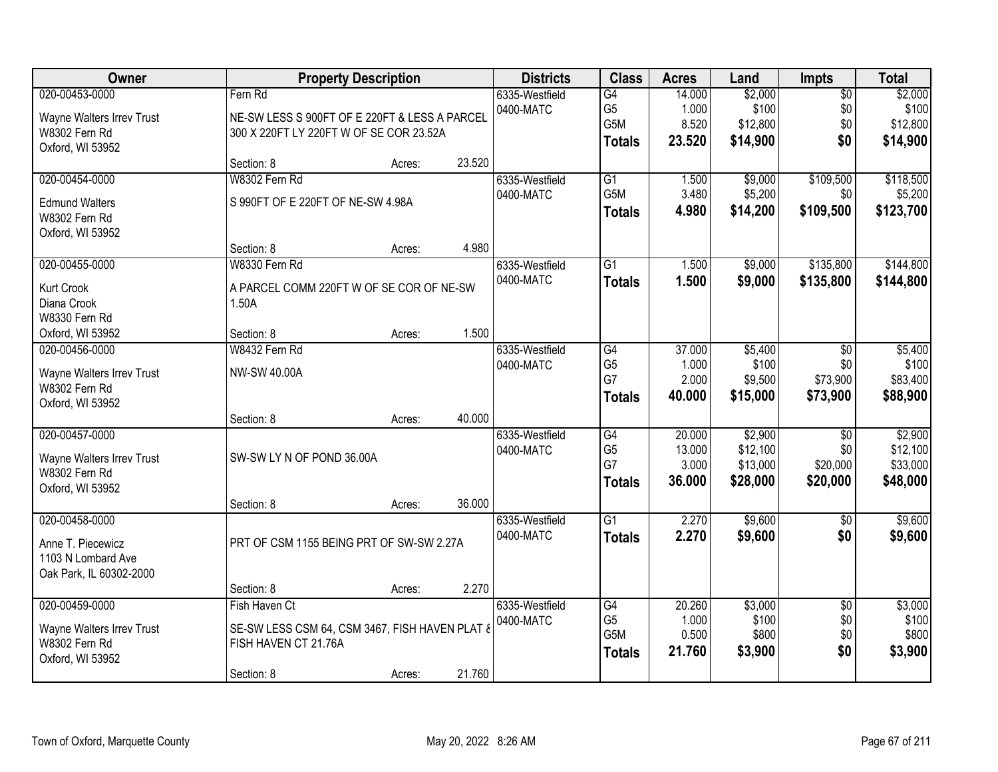| Owner                     |                                                | <b>Property Description</b> |        | <b>Districts</b> | <b>Class</b>     | <b>Acres</b> | Land     | Impts           | <b>Total</b> |
|---------------------------|------------------------------------------------|-----------------------------|--------|------------------|------------------|--------------|----------|-----------------|--------------|
| 020-00453-0000            | Fern Rd                                        |                             |        | 6335-Westfield   | G4               | 14.000       | \$2,000  | $\overline{60}$ | \$2,000      |
| Wayne Walters Irrev Trust | NE-SW LESS S 900FT OF E 220FT & LESS A PARCEL  |                             |        | 0400-MATC        | G <sub>5</sub>   | 1.000        | \$100    | \$0             | \$100        |
| W8302 Fern Rd             | 300 X 220FT LY 220FT W OF SE COR 23.52A        |                             |        |                  | G5M              | 8.520        | \$12,800 | \$0             | \$12,800     |
| Oxford, WI 53952          |                                                |                             |        |                  | <b>Totals</b>    | 23.520       | \$14,900 | \$0             | \$14,900     |
|                           | Section: 8                                     | Acres:                      | 23.520 |                  |                  |              |          |                 |              |
| 020-00454-0000            | W8302 Fern Rd                                  |                             |        | 6335-Westfield   | $\overline{G1}$  | 1.500        | \$9,000  | \$109,500       | \$118,500    |
| <b>Edmund Walters</b>     | S 990FT OF E 220FT OF NE-SW 4.98A              |                             |        | 0400-MATC        | G <sub>5</sub> M | 3.480        | \$5,200  | \$0             | \$5,200      |
| W8302 Fern Rd             |                                                |                             |        |                  | <b>Totals</b>    | 4.980        | \$14,200 | \$109,500       | \$123,700    |
| Oxford, WI 53952          |                                                |                             |        |                  |                  |              |          |                 |              |
|                           | Section: 8                                     | Acres:                      | 4.980  |                  |                  |              |          |                 |              |
| 020-00455-0000            | W8330 Fern Rd                                  |                             |        | 6335-Westfield   | $\overline{G1}$  | 1.500        | \$9,000  | \$135,800       | \$144,800    |
| Kurt Crook                | A PARCEL COMM 220FT W OF SE COR OF NE-SW       |                             |        | 0400-MATC        | <b>Totals</b>    | 1.500        | \$9,000  | \$135,800       | \$144,800    |
| Diana Crook               | 1.50A                                          |                             |        |                  |                  |              |          |                 |              |
| W8330 Fern Rd             |                                                |                             |        |                  |                  |              |          |                 |              |
| Oxford, WI 53952          | Section: 8                                     | Acres:                      | 1.500  |                  |                  |              |          |                 |              |
| 020-00456-0000            | W8432 Fern Rd                                  |                             |        | 6335-Westfield   | G4               | 37.000       | \$5,400  | \$0             | \$5,400      |
| Wayne Walters Irrev Trust | NW-SW 40.00A                                   |                             |        | 0400-MATC        | G <sub>5</sub>   | 1.000        | \$100    | \$0             | \$100        |
| W8302 Fern Rd             |                                                |                             |        |                  | G7               | 2.000        | \$9,500  | \$73,900        | \$83,400     |
| Oxford, WI 53952          |                                                |                             |        |                  | <b>Totals</b>    | 40.000       | \$15,000 | \$73,900        | \$88,900     |
|                           | Section: 8                                     | Acres:                      | 40.000 |                  |                  |              |          |                 |              |
| 020-00457-0000            |                                                |                             |        | 6335-Westfield   | $\overline{G4}$  | 20.000       | \$2,900  | $\overline{50}$ | \$2,900      |
| Wayne Walters Irrev Trust | SW-SW LY N OF POND 36.00A                      |                             |        | 0400-MATC        | G <sub>5</sub>   | 13.000       | \$12,100 | \$0             | \$12,100     |
| W8302 Fern Rd             |                                                |                             |        |                  | G7               | 3.000        | \$13,000 | \$20,000        | \$33,000     |
| Oxford, WI 53952          |                                                |                             |        |                  | <b>Totals</b>    | 36.000       | \$28,000 | \$20,000        | \$48,000     |
|                           | Section: 8                                     | Acres:                      | 36.000 |                  |                  |              |          |                 |              |
| 020-00458-0000            |                                                |                             |        | 6335-Westfield   | G1               | 2.270        | \$9,600  | $\sqrt{6}$      | \$9,600      |
| Anne T. Piecewicz         | PRT OF CSM 1155 BEING PRT OF SW-SW 2.27A       |                             |        | 0400-MATC        | <b>Totals</b>    | 2.270        | \$9,600  | \$0             | \$9,600      |
| 1103 N Lombard Ave        |                                                |                             |        |                  |                  |              |          |                 |              |
| Oak Park, IL 60302-2000   |                                                |                             |        |                  |                  |              |          |                 |              |
|                           | Section: 8                                     | Acres:                      | 2.270  |                  |                  |              |          |                 |              |
| 020-00459-0000            | Fish Haven Ct                                  |                             |        | 6335-Westfield   | G4               | 20.260       | \$3,000  | $\overline{30}$ | \$3,000      |
| Wayne Walters Irrev Trust | SE-SW LESS CSM 64, CSM 3467, FISH HAVEN PLAT & |                             |        | 0400-MATC        | G <sub>5</sub>   | 1.000        | \$100    | \$0             | \$100        |
| W8302 Fern Rd             | FISH HAVEN CT 21.76A                           |                             |        |                  | G5M              | 0.500        | \$800    | \$0             | \$800        |
| Oxford, WI 53952          |                                                |                             |        |                  | <b>Totals</b>    | 21.760       | \$3,900  | \$0             | \$3,900      |
|                           | Section: 8                                     | Acres:                      | 21.760 |                  |                  |              |          |                 |              |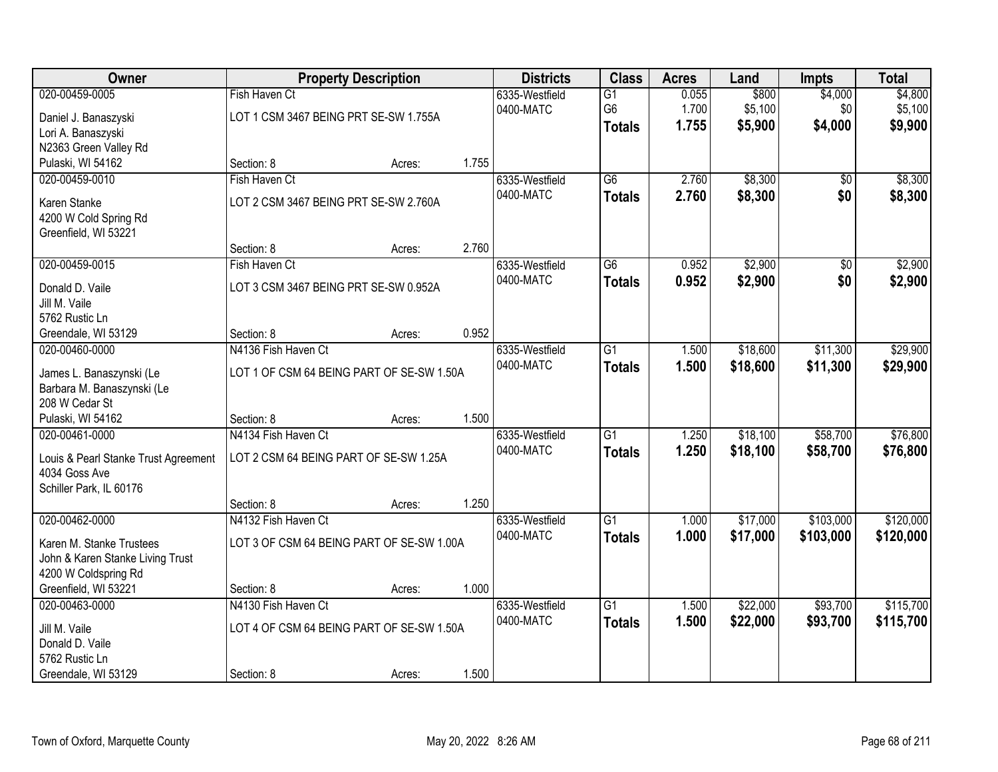| Owner                                        |                                           | <b>Property Description</b> |       | <b>Districts</b>            | <b>Class</b>    | <b>Acres</b> | Land     | <b>Impts</b>    | <b>Total</b> |
|----------------------------------------------|-------------------------------------------|-----------------------------|-------|-----------------------------|-----------------|--------------|----------|-----------------|--------------|
| 020-00459-0005                               | Fish Haven Ct                             |                             |       | 6335-Westfield              | $\overline{G1}$ | 0.055        | \$800    | \$4,000         | \$4,800      |
| Daniel J. Banaszyski                         | LOT 1 CSM 3467 BEING PRT SE-SW 1.755A     |                             |       | 0400-MATC                   | G <sub>6</sub>  | 1.700        | \$5,100  | \$0             | \$5,100      |
| Lori A. Banaszyski                           |                                           |                             |       |                             | <b>Totals</b>   | 1.755        | \$5,900  | \$4,000         | \$9,900      |
| N2363 Green Valley Rd                        |                                           |                             |       |                             |                 |              |          |                 |              |
| Pulaski, WI 54162                            | Section: 8                                | Acres:                      | 1.755 |                             |                 |              |          |                 |              |
| 020-00459-0010                               | Fish Haven Ct                             |                             |       | 6335-Westfield              | $\overline{G6}$ | 2.760        | \$8,300  | $\overline{30}$ | \$8,300      |
| Karen Stanke                                 | LOT 2 CSM 3467 BEING PRT SE-SW 2.760A     |                             |       | 0400-MATC                   | <b>Totals</b>   | 2.760        | \$8,300  | \$0             | \$8,300      |
| 4200 W Cold Spring Rd                        |                                           |                             |       |                             |                 |              |          |                 |              |
| Greenfield, WI 53221                         |                                           |                             |       |                             |                 |              |          |                 |              |
|                                              | Section: 8                                | Acres:                      | 2.760 |                             |                 |              |          |                 |              |
| 020-00459-0015                               | Fish Haven Ct                             |                             |       | 6335-Westfield              | $\overline{G6}$ | 0.952        | \$2,900  | \$0             | \$2,900      |
| Donald D. Vaile                              | LOT 3 CSM 3467 BEING PRT SE-SW 0.952A     |                             |       | 0400-MATC                   | <b>Totals</b>   | 0.952        | \$2,900  | \$0             | \$2,900      |
| Jill M. Vaile                                |                                           |                             |       |                             |                 |              |          |                 |              |
| 5762 Rustic Ln                               |                                           |                             |       |                             |                 |              |          |                 |              |
| Greendale, WI 53129                          | Section: 8                                | Acres:                      | 0.952 |                             |                 |              |          |                 |              |
| 020-00460-0000                               | N4136 Fish Haven Ct                       |                             |       | 6335-Westfield              | $\overline{G1}$ | 1.500        | \$18,600 | \$11,300        | \$29,900     |
|                                              |                                           |                             |       | 0400-MATC                   | <b>Totals</b>   | 1.500        | \$18,600 | \$11,300        | \$29,900     |
| James L. Banaszynski (Le                     | LOT 1 OF CSM 64 BEING PART OF SE-SW 1.50A |                             |       |                             |                 |              |          |                 |              |
| Barbara M. Banaszynski (Le<br>208 W Cedar St |                                           |                             |       |                             |                 |              |          |                 |              |
| Pulaski, WI 54162                            | Section: 8                                | Acres:                      | 1.500 |                             |                 |              |          |                 |              |
| 020-00461-0000                               | N4134 Fish Haven Ct                       |                             |       | 6335-Westfield              | $\overline{G1}$ | 1.250        | \$18,100 | \$58,700        | \$76,800     |
|                                              |                                           |                             |       | 0400-MATC                   | <b>Totals</b>   | 1.250        | \$18,100 | \$58,700        | \$76,800     |
| Louis & Pearl Stanke Trust Agreement         | LOT 2 CSM 64 BEING PART OF SE-SW 1.25A    |                             |       |                             |                 |              |          |                 |              |
| 4034 Goss Ave                                |                                           |                             |       |                             |                 |              |          |                 |              |
| Schiller Park, IL 60176                      | Section: 8                                |                             | 1.250 |                             |                 |              |          |                 |              |
| 020-00462-0000                               | N4132 Fish Haven Ct                       | Acres:                      |       | 6335-Westfield              | $\overline{G1}$ | 1.000        | \$17,000 | \$103,000       | \$120,000    |
|                                              |                                           |                             |       | 0400-MATC                   | <b>Totals</b>   | 1.000        | \$17,000 | \$103,000       | \$120,000    |
| Karen M. Stanke Trustees                     | LOT 3 OF CSM 64 BEING PART OF SE-SW 1.00A |                             |       |                             |                 |              |          |                 |              |
| John & Karen Stanke Living Trust             |                                           |                             |       |                             |                 |              |          |                 |              |
| 4200 W Coldspring Rd                         |                                           |                             |       |                             |                 |              |          |                 |              |
| Greenfield, WI 53221                         | Section: 8<br>N4130 Fish Haven Ct         | Acres:                      | 1.000 |                             | $\overline{G1}$ |              | \$22,000 | \$93,700        | \$115,700    |
| 020-00463-0000                               |                                           |                             |       | 6335-Westfield<br>0400-MATC |                 | 1.500        |          |                 |              |
| Jill M. Vaile                                | LOT 4 OF CSM 64 BEING PART OF SE-SW 1.50A |                             |       |                             | <b>Totals</b>   | 1.500        | \$22,000 | \$93,700        | \$115,700    |
| Donald D. Vaile                              |                                           |                             |       |                             |                 |              |          |                 |              |
| 5762 Rustic Ln                               |                                           |                             |       |                             |                 |              |          |                 |              |
| Greendale, WI 53129                          | Section: 8                                | Acres:                      | 1.500 |                             |                 |              |          |                 |              |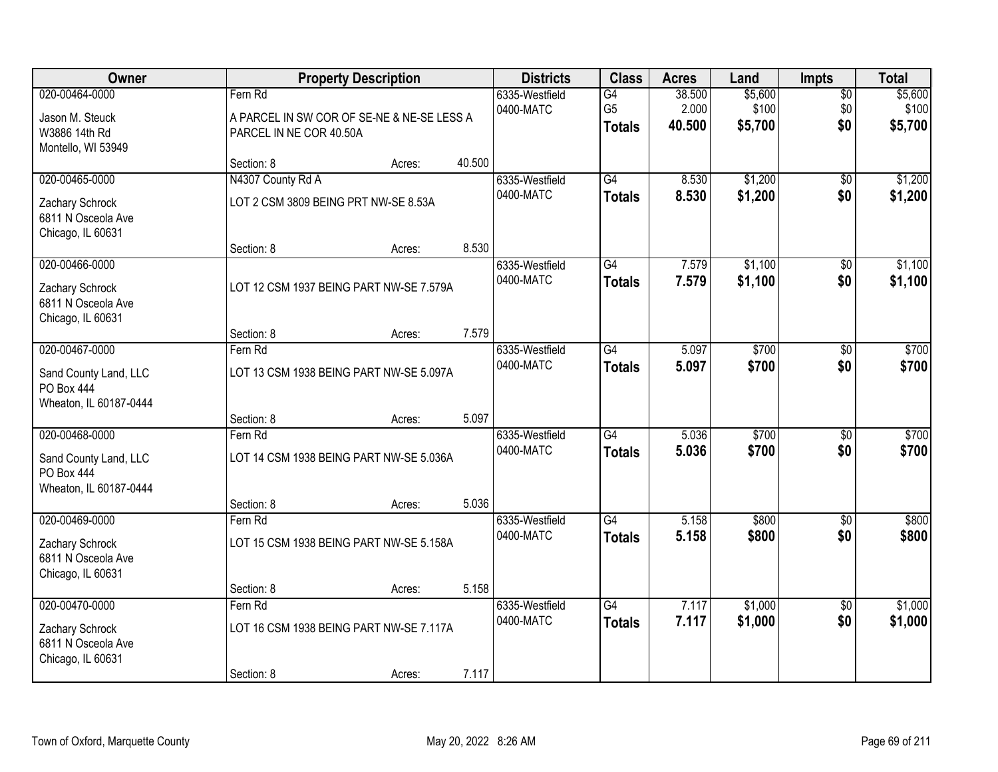| Owner                                                                           |                                    | <b>Property Description</b>                |        | <b>Districts</b>            | <b>Class</b>                          | <b>Acres</b>              | Land                        | <b>Impts</b>                  | <b>Total</b>                |
|---------------------------------------------------------------------------------|------------------------------------|--------------------------------------------|--------|-----------------------------|---------------------------------------|---------------------------|-----------------------------|-------------------------------|-----------------------------|
| 020-00464-0000<br>Jason M. Steuck<br>W3886 14th Rd<br>Montello, WI 53949        | Fern Rd<br>PARCEL IN NE COR 40.50A | A PARCEL IN SW COR OF SE-NE & NE-SE LESS A |        | 6335-Westfield<br>0400-MATC | G4<br>G <sub>5</sub><br><b>Totals</b> | 38.500<br>2.000<br>40.500 | \$5,600<br>\$100<br>\$5,700 | $\overline{50}$<br>\$0<br>\$0 | \$5,600<br>\$100<br>\$5,700 |
|                                                                                 | Section: 8                         | Acres:                                     | 40.500 |                             |                                       |                           |                             |                               |                             |
| 020-00465-0000                                                                  | N4307 County Rd A                  |                                            |        | 6335-Westfield              | $\overline{G4}$                       | 8.530                     | \$1,200                     | $\overline{50}$               | \$1,200                     |
| Zachary Schrock<br>6811 N Osceola Ave<br>Chicago, IL 60631                      |                                    | LOT 2 CSM 3809 BEING PRT NW-SE 8.53A       |        | 0400-MATC                   | <b>Totals</b>                         | 8.530                     | \$1,200                     | \$0                           | \$1,200                     |
|                                                                                 | Section: 8                         | Acres:                                     | 8.530  |                             |                                       |                           |                             |                               |                             |
| 020-00466-0000<br>Zachary Schrock<br>6811 N Osceola Ave<br>Chicago, IL 60631    |                                    | LOT 12 CSM 1937 BEING PART NW-SE 7.579A    |        | 6335-Westfield<br>0400-MATC | G4<br><b>Totals</b>                   | 7.579<br>7.579            | \$1,100<br>\$1,100          | $\overline{50}$<br>\$0        | \$1,100<br>\$1,100          |
|                                                                                 | Section: 8                         | Acres:                                     | 7.579  |                             |                                       |                           |                             |                               |                             |
| 020-00467-0000                                                                  | Fern Rd                            |                                            |        | 6335-Westfield              | G4                                    | 5.097                     | \$700                       | $\overline{30}$               | \$700                       |
| Sand County Land, LLC<br>PO Box 444<br>Wheaton, IL 60187-0444                   |                                    | LOT 13 CSM 1938 BEING PART NW-SE 5.097A    |        | 0400-MATC                   | <b>Totals</b>                         | 5.097                     | \$700                       | \$0                           | \$700                       |
|                                                                                 | Section: 8                         | Acres:                                     | 5.097  |                             |                                       |                           |                             |                               |                             |
| 020-00468-0000<br>Sand County Land, LLC<br>PO Box 444<br>Wheaton, IL 60187-0444 | Fern Rd                            | LOT 14 CSM 1938 BEING PART NW-SE 5.036A    |        | 6335-Westfield<br>0400-MATC | $\overline{G4}$<br><b>Totals</b>      | 5.036<br>5.036            | \$700<br>\$700              | $\overline{50}$<br>\$0        | \$700<br>\$700              |
|                                                                                 | Section: 8                         | Acres:                                     | 5.036  |                             |                                       |                           |                             |                               |                             |
| 020-00469-0000                                                                  | Fern Rd                            |                                            |        | 6335-Westfield              | $\overline{G4}$                       | 5.158                     | \$800                       | $\sqrt{6}$                    | \$800                       |
| Zachary Schrock<br>6811 N Osceola Ave<br>Chicago, IL 60631                      |                                    | LOT 15 CSM 1938 BEING PART NW-SE 5.158A    |        | 0400-MATC                   | <b>Totals</b>                         | 5.158                     | \$800                       | \$0                           | \$800                       |
|                                                                                 | Section: 8                         | Acres:                                     | 5.158  |                             |                                       |                           |                             |                               |                             |
| 020-00470-0000                                                                  | Fern Rd                            |                                            |        | 6335-Westfield              | $\overline{G4}$                       | 7.117                     | \$1,000                     | $\overline{50}$               | \$1,000                     |
| Zachary Schrock<br>6811 N Osceola Ave<br>Chicago, IL 60631                      |                                    | LOT 16 CSM 1938 BEING PART NW-SE 7.117A    |        | 0400-MATC                   | <b>Totals</b>                         | 7.117                     | \$1,000                     | \$0                           | \$1,000                     |
|                                                                                 | Section: 8                         | Acres:                                     | 7.117  |                             |                                       |                           |                             |                               |                             |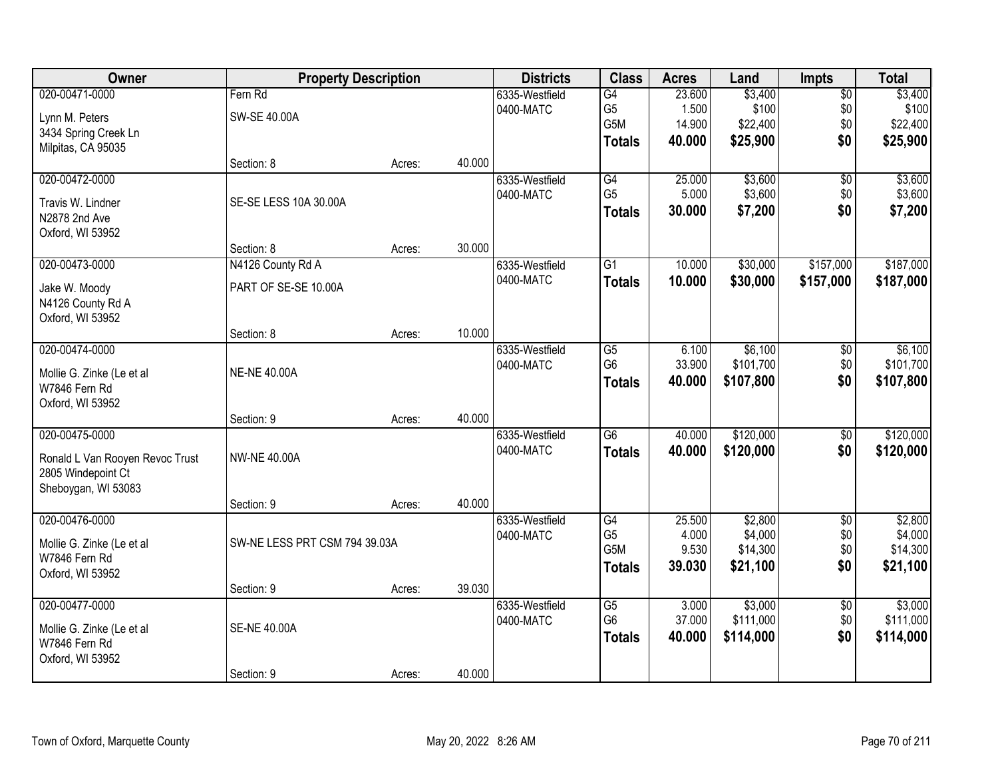| Owner                           |                               | <b>Property Description</b> |        | <b>Districts</b> | <b>Class</b>    | <b>Acres</b> | Land      | Impts           | <b>Total</b> |
|---------------------------------|-------------------------------|-----------------------------|--------|------------------|-----------------|--------------|-----------|-----------------|--------------|
| 020-00471-0000                  | Fern Rd                       |                             |        | 6335-Westfield   | G4              | 23.600       | \$3,400   | $\overline{60}$ | \$3,400      |
| Lynn M. Peters                  | SW-SE 40.00A                  |                             |        | 0400-MATC        | G <sub>5</sub>  | 1.500        | \$100     | \$0             | \$100        |
| 3434 Spring Creek Ln            |                               |                             |        |                  | G5M             | 14.900       | \$22,400  | \$0             | \$22,400     |
| Milpitas, CA 95035              |                               |                             |        |                  | <b>Totals</b>   | 40.000       | \$25,900  | \$0             | \$25,900     |
|                                 | Section: 8                    | Acres:                      | 40.000 |                  |                 |              |           |                 |              |
| 020-00472-0000                  |                               |                             |        | 6335-Westfield   | G4              | 25.000       | \$3,600   | $\overline{50}$ | \$3,600      |
| Travis W. Lindner               | SE-SE LESS 10A 30.00A         |                             |        | 0400-MATC        | G <sub>5</sub>  | 5.000        | \$3,600   | \$0             | \$3,600      |
| N2878 2nd Ave                   |                               |                             |        |                  | <b>Totals</b>   | 30.000       | \$7,200   | \$0             | \$7,200      |
| Oxford, WI 53952                |                               |                             |        |                  |                 |              |           |                 |              |
|                                 | Section: 8                    | Acres:                      | 30.000 |                  |                 |              |           |                 |              |
| 020-00473-0000                  | N4126 County Rd A             |                             |        | 6335-Westfield   | G <sub>1</sub>  | 10.000       | \$30,000  | \$157,000       | \$187,000    |
| Jake W. Moody                   | PART OF SE-SE 10.00A          |                             |        | 0400-MATC        | <b>Totals</b>   | 10.000       | \$30,000  | \$157,000       | \$187,000    |
| N4126 County Rd A               |                               |                             |        |                  |                 |              |           |                 |              |
| Oxford, WI 53952                |                               |                             |        |                  |                 |              |           |                 |              |
|                                 | Section: 8                    | Acres:                      | 10.000 |                  |                 |              |           |                 |              |
| 020-00474-0000                  |                               |                             |        | 6335-Westfield   | G5              | 6.100        | \$6,100   | \$0             | \$6,100      |
| Mollie G. Zinke (Le et al       | <b>NE-NE 40.00A</b>           |                             |        | 0400-MATC        | G <sub>6</sub>  | 33.900       | \$101,700 | \$0             | \$101,700    |
| W7846 Fern Rd                   |                               |                             |        |                  | <b>Totals</b>   | 40.000       | \$107,800 | \$0             | \$107,800    |
| Oxford, WI 53952                |                               |                             |        |                  |                 |              |           |                 |              |
|                                 | Section: 9                    | Acres:                      | 40.000 |                  |                 |              |           |                 |              |
| 020-00475-0000                  |                               |                             |        | 6335-Westfield   | $\overline{G6}$ | 40.000       | \$120,000 | $\overline{50}$ | \$120,000    |
| Ronald L Van Rooyen Revoc Trust | <b>NW-NE 40.00A</b>           |                             |        | 0400-MATC        | <b>Totals</b>   | 40.000       | \$120,000 | \$0             | \$120,000    |
| 2805 Windepoint Ct              |                               |                             |        |                  |                 |              |           |                 |              |
| Sheboygan, WI 53083             |                               |                             |        |                  |                 |              |           |                 |              |
|                                 | Section: 9                    | Acres:                      | 40.000 |                  |                 |              |           |                 |              |
| 020-00476-0000                  |                               |                             |        | 6335-Westfield   | G4              | 25.500       | \$2,800   | $\overline{50}$ | \$2,800      |
| Mollie G. Zinke (Le et al       | SW-NE LESS PRT CSM 794 39.03A |                             |        | 0400-MATC        | G <sub>5</sub>  | 4.000        | \$4,000   | \$0             | \$4,000      |
| W7846 Fern Rd                   |                               |                             |        |                  | G5M             | 9.530        | \$14,300  | \$0             | \$14,300     |
| Oxford, WI 53952                |                               |                             |        |                  | <b>Totals</b>   | 39.030       | \$21,100  | \$0             | \$21,100     |
|                                 | Section: 9                    | Acres:                      | 39.030 |                  |                 |              |           |                 |              |
| 020-00477-0000                  |                               |                             |        | 6335-Westfield   | G5              | 3.000        | \$3,000   | $\overline{50}$ | \$3,000      |
| Mollie G. Zinke (Le et al       | <b>SE-NE 40.00A</b>           |                             |        | 0400-MATC        | G <sub>6</sub>  | 37.000       | \$111,000 | \$0             | \$111,000    |
| W7846 Fern Rd                   |                               |                             |        |                  | <b>Totals</b>   | 40.000       | \$114,000 | \$0             | \$114,000    |
| Oxford, WI 53952                |                               |                             |        |                  |                 |              |           |                 |              |
|                                 | Section: 9                    | Acres:                      | 40.000 |                  |                 |              |           |                 |              |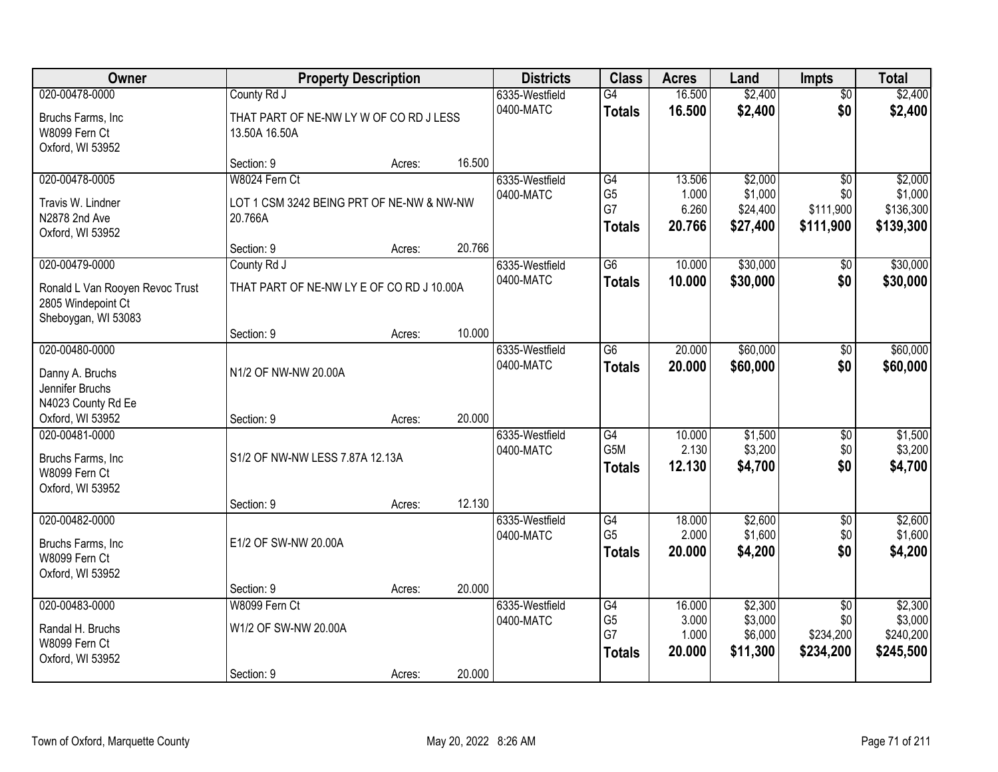| Owner                                                                                          |                                                                       | <b>Property Description</b> |        | <b>Districts</b>            | <b>Class</b>                                             | <b>Acres</b>                       | Land                                       | <b>Impts</b>                                     | <b>Total</b>                                 |
|------------------------------------------------------------------------------------------------|-----------------------------------------------------------------------|-----------------------------|--------|-----------------------------|----------------------------------------------------------|------------------------------------|--------------------------------------------|--------------------------------------------------|----------------------------------------------|
| 020-00478-0000                                                                                 | County Rd J                                                           |                             |        | 6335-Westfield              | G4                                                       | 16.500                             | \$2,400                                    | $\overline{50}$                                  | \$2,400                                      |
| Bruchs Farms, Inc<br>W8099 Fern Ct<br>Oxford, WI 53952                                         | THAT PART OF NE-NW LY W OF CO RD J LESS<br>13.50A 16.50A              |                             |        | 0400-MATC                   | <b>Totals</b>                                            | 16.500                             | \$2,400                                    | \$0                                              | \$2,400                                      |
|                                                                                                | Section: 9                                                            | Acres:                      | 16.500 |                             |                                                          |                                    |                                            |                                                  |                                              |
| 020-00478-0005<br>Travis W. Lindner<br>N2878 2nd Ave<br>Oxford, WI 53952                       | W8024 Fern Ct<br>LOT 1 CSM 3242 BEING PRT OF NE-NW & NW-NW<br>20.766A |                             |        | 6335-Westfield<br>0400-MATC | $\overline{G4}$<br>G <sub>5</sub><br>G7<br><b>Totals</b> | 13.506<br>1.000<br>6.260<br>20.766 | \$2,000<br>\$1,000<br>\$24,400<br>\$27,400 | $\overline{30}$<br>\$0<br>\$111,900<br>\$111,900 | \$2,000<br>\$1,000<br>\$136,300<br>\$139,300 |
|                                                                                                | Section: 9                                                            | Acres:                      | 20.766 |                             |                                                          |                                    |                                            |                                                  |                                              |
| 020-00479-0000<br>Ronald L Van Rooyen Revoc Trust<br>2805 Windepoint Ct<br>Sheboygan, WI 53083 | County Rd J<br>THAT PART OF NE-NW LY E OF CO RD J 10.00A              |                             |        | 6335-Westfield<br>0400-MATC | G6<br><b>Totals</b>                                      | 10.000<br>10.000                   | \$30,000<br>\$30,000                       | \$0<br>\$0                                       | \$30,000<br>\$30,000                         |
|                                                                                                | Section: 9                                                            | Acres:                      | 10.000 |                             |                                                          |                                    |                                            |                                                  |                                              |
| 020-00480-0000<br>Danny A. Bruchs<br>Jennifer Bruchs<br>N4023 County Rd Ee                     | N1/2 OF NW-NW 20.00A                                                  |                             |        | 6335-Westfield<br>0400-MATC | G <sub>6</sub><br><b>Totals</b>                          | 20.000<br>20.000                   | \$60,000<br>\$60,000                       | \$0<br>\$0                                       | \$60,000<br>\$60,000                         |
| Oxford, WI 53952                                                                               | Section: 9                                                            | Acres:                      | 20.000 |                             |                                                          |                                    |                                            |                                                  |                                              |
| 020-00481-0000<br>Bruchs Farms, Inc<br>W8099 Fern Ct<br>Oxford, WI 53952                       | S1/2 OF NW-NW LESS 7.87A 12.13A<br>Section: 9                         | Acres:                      | 12.130 | 6335-Westfield<br>0400-MATC | $\overline{G4}$<br>G <sub>5</sub> M<br><b>Totals</b>     | 10.000<br>2.130<br>12.130          | \$1,500<br>\$3,200<br>\$4,700              | $\overline{30}$<br>\$0<br>\$0                    | \$1,500<br>\$3,200<br>\$4,700                |
| 020-00482-0000<br>Bruchs Farms, Inc<br>W8099 Fern Ct<br>Oxford, WI 53952                       | E1/2 OF SW-NW 20.00A                                                  |                             |        | 6335-Westfield<br>0400-MATC | $\overline{G4}$<br>G <sub>5</sub><br><b>Totals</b>       | 18.000<br>2.000<br>20,000          | \$2,600<br>\$1,600<br>\$4,200              | $\overline{60}$<br>\$0<br>\$0                    | \$2,600<br>\$1,600<br>\$4,200                |
| 020-00483-0000                                                                                 | Section: 9<br>W8099 Fern Ct                                           | Acres:                      | 20.000 | 6335-Westfield              | $\overline{G4}$                                          | 16.000                             | \$2,300                                    | $\overline{50}$                                  | \$2,300                                      |
| Randal H. Bruchs<br>W8099 Fern Ct<br>Oxford, WI 53952                                          | W1/2 OF SW-NW 20.00A<br>Section: 9                                    | Acres:                      | 20.000 | 0400-MATC                   | G <sub>5</sub><br>G7<br><b>Totals</b>                    | 3.000<br>1.000<br>20.000           | \$3,000<br>\$6,000<br>\$11,300             | \$0<br>\$234,200<br>\$234,200                    | \$3,000<br>\$240,200<br>\$245,500            |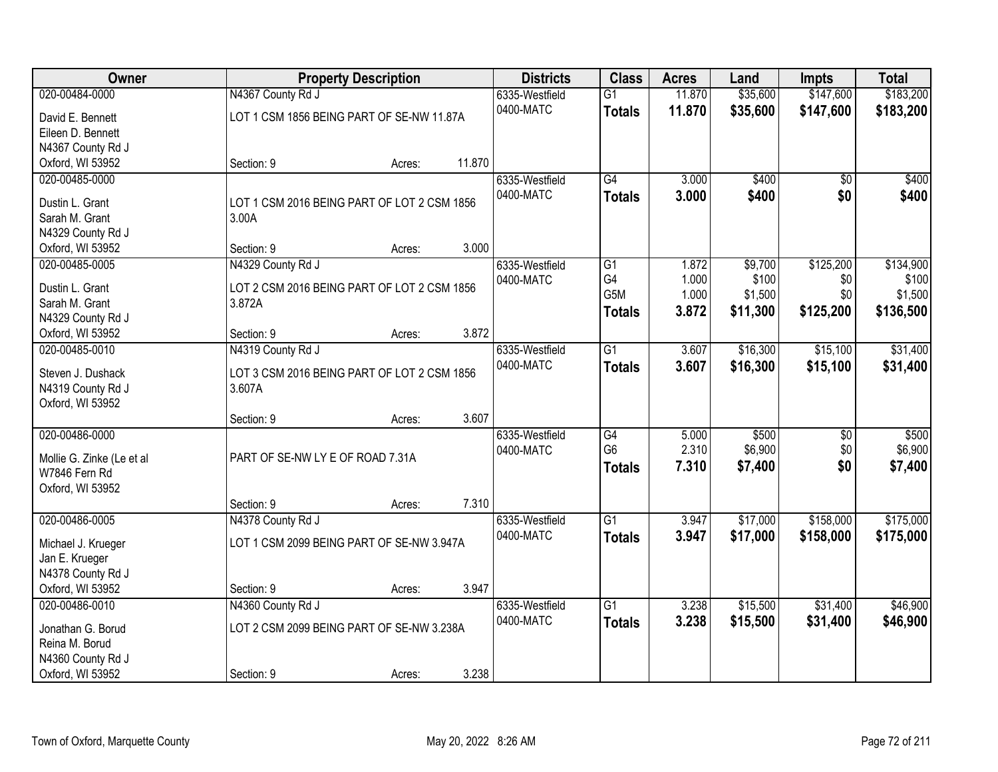| Owner                                 |                                             | <b>Property Description</b> |        | <b>Districts</b> | <b>Class</b>    | <b>Acres</b> | Land     | <b>Impts</b>    | <b>Total</b> |
|---------------------------------------|---------------------------------------------|-----------------------------|--------|------------------|-----------------|--------------|----------|-----------------|--------------|
| 020-00484-0000                        | N4367 County Rd J                           |                             |        | 6335-Westfield   | $\overline{G1}$ | 11.870       | \$35,600 | \$147,600       | \$183,200    |
| David E. Bennett                      | LOT 1 CSM 1856 BEING PART OF SE-NW 11.87A   |                             |        | 0400-MATC        | <b>Totals</b>   | 11.870       | \$35,600 | \$147,600       | \$183,200    |
| Eileen D. Bennett                     |                                             |                             |        |                  |                 |              |          |                 |              |
| N4367 County Rd J                     |                                             |                             |        |                  |                 |              |          |                 |              |
| Oxford, WI 53952                      | Section: 9                                  | Acres:                      | 11.870 |                  |                 |              |          |                 |              |
| 020-00485-0000                        |                                             |                             |        | 6335-Westfield   | $\overline{G4}$ | 3.000        | \$400    | $\overline{50}$ | \$400        |
| Dustin L. Grant                       | LOT 1 CSM 2016 BEING PART OF LOT 2 CSM 1856 |                             |        | 0400-MATC        | <b>Totals</b>   | 3.000        | \$400    | \$0             | \$400        |
| Sarah M. Grant                        | 3.00A                                       |                             |        |                  |                 |              |          |                 |              |
| N4329 County Rd J                     |                                             |                             |        |                  |                 |              |          |                 |              |
| Oxford, WI 53952                      | Section: 9                                  | Acres:                      | 3.000  |                  |                 |              |          |                 |              |
| 020-00485-0005                        | N4329 County Rd J                           |                             |        | 6335-Westfield   | $\overline{G1}$ | 1.872        | \$9,700  | \$125,200       | \$134,900    |
| Dustin L. Grant                       | LOT 2 CSM 2016 BEING PART OF LOT 2 CSM 1856 |                             |        | 0400-MATC        | G4              | 1.000        | \$100    | \$0             | \$100        |
| Sarah M. Grant                        | 3.872A                                      |                             |        |                  | G5M             | 1.000        | \$1,500  | \$0             | \$1,500      |
| N4329 County Rd J                     |                                             |                             |        |                  | <b>Totals</b>   | 3.872        | \$11,300 | \$125,200       | \$136,500    |
| Oxford, WI 53952                      | Section: 9                                  | Acres:                      | 3.872  |                  |                 |              |          |                 |              |
| 020-00485-0010                        | N4319 County Rd J                           |                             |        | 6335-Westfield   | $\overline{G1}$ | 3.607        | \$16,300 | \$15,100        | \$31,400     |
|                                       |                                             |                             |        | 0400-MATC        | <b>Totals</b>   | 3.607        | \$16,300 | \$15,100        | \$31,400     |
| Steven J. Dushack                     | LOT 3 CSM 2016 BEING PART OF LOT 2 CSM 1856 |                             |        |                  |                 |              |          |                 |              |
| N4319 County Rd J<br>Oxford, WI 53952 | 3.607A                                      |                             |        |                  |                 |              |          |                 |              |
|                                       | Section: 9                                  | Acres:                      | 3.607  |                  |                 |              |          |                 |              |
| 020-00486-0000                        |                                             |                             |        | 6335-Westfield   | G4              | 5.000        | \$500    | \$0             | \$500        |
|                                       |                                             |                             |        | 0400-MATC        | G <sub>6</sub>  | 2.310        | \$6,900  | \$0             | \$6,900      |
| Mollie G. Zinke (Le et al             | PART OF SE-NW LY E OF ROAD 7.31A            |                             |        |                  | <b>Totals</b>   | 7.310        | \$7,400  | \$0             | \$7,400      |
| W7846 Fern Rd                         |                                             |                             |        |                  |                 |              |          |                 |              |
| Oxford, WI 53952                      |                                             |                             | 7.310  |                  |                 |              |          |                 |              |
| 020-00486-0005                        | Section: 9<br>N4378 County Rd J             | Acres:                      |        | 6335-Westfield   | $\overline{G1}$ | 3.947        | \$17,000 | \$158,000       | \$175,000    |
|                                       |                                             |                             |        | 0400-MATC        |                 | 3.947        | \$17,000 | \$158,000       |              |
| Michael J. Krueger                    | LOT 1 CSM 2099 BEING PART OF SE-NW 3.947A   |                             |        |                  | <b>Totals</b>   |              |          |                 | \$175,000    |
| Jan E. Krueger                        |                                             |                             |        |                  |                 |              |          |                 |              |
| N4378 County Rd J                     |                                             |                             |        |                  |                 |              |          |                 |              |
| Oxford, WI 53952                      | Section: 9                                  | Acres:                      | 3.947  |                  |                 |              |          |                 |              |
| 020-00486-0010                        | N4360 County Rd J                           |                             |        | 6335-Westfield   | $\overline{G1}$ | 3.238        | \$15,500 | \$31,400        | \$46,900     |
| Jonathan G. Borud                     | LOT 2 CSM 2099 BEING PART OF SE-NW 3.238A   |                             |        | 0400-MATC        | <b>Totals</b>   | 3.238        | \$15,500 | \$31,400        | \$46,900     |
| Reina M. Borud                        |                                             |                             |        |                  |                 |              |          |                 |              |
| N4360 County Rd J                     |                                             |                             |        |                  |                 |              |          |                 |              |
| Oxford, WI 53952                      | Section: 9                                  | Acres:                      | 3.238  |                  |                 |              |          |                 |              |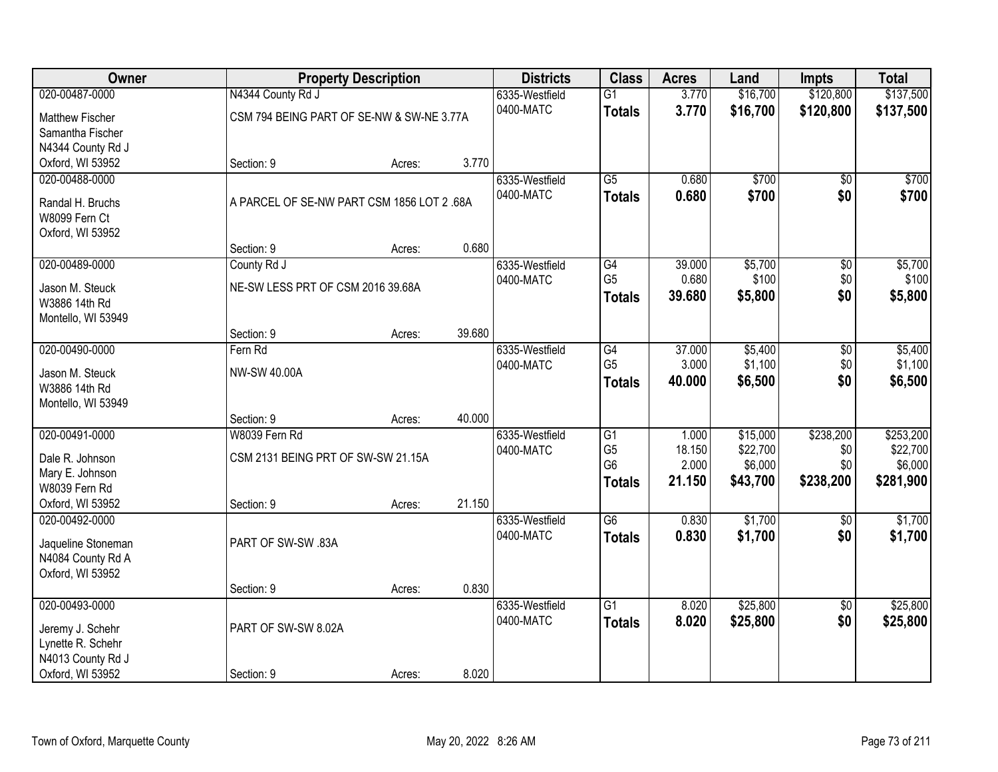| Owner                                 |                                            | <b>Property Description</b> |        |                | <b>Class</b>    | <b>Acres</b> | Land     | <b>Impts</b>    | <b>Total</b> |
|---------------------------------------|--------------------------------------------|-----------------------------|--------|----------------|-----------------|--------------|----------|-----------------|--------------|
| 020-00487-0000                        | N4344 County Rd J                          |                             |        | 6335-Westfield | $\overline{G1}$ | 3.770        | \$16,700 | \$120,800       | \$137,500    |
| <b>Matthew Fischer</b>                | CSM 794 BEING PART OF SE-NW & SW-NE 3.77A  |                             |        | 0400-MATC      | <b>Totals</b>   | 3.770        | \$16,700 | \$120,800       | \$137,500    |
| Samantha Fischer                      |                                            |                             |        |                |                 |              |          |                 |              |
| N4344 County Rd J                     |                                            |                             |        |                |                 |              |          |                 |              |
| Oxford, WI 53952                      | Section: 9                                 | Acres:                      | 3.770  |                |                 |              |          |                 |              |
| 020-00488-0000                        |                                            |                             |        | 6335-Westfield | $\overline{G5}$ | 0.680        | \$700    | \$0             | \$700        |
| Randal H. Bruchs                      | A PARCEL OF SE-NW PART CSM 1856 LOT 2 .68A |                             |        | 0400-MATC      | <b>Totals</b>   | 0.680        | \$700    | \$0             | \$700        |
| W8099 Fern Ct                         |                                            |                             |        |                |                 |              |          |                 |              |
| Oxford, WI 53952                      |                                            |                             |        |                |                 |              |          |                 |              |
|                                       | Section: 9                                 | Acres:                      | 0.680  |                |                 |              |          |                 |              |
| 020-00489-0000                        | County Rd J                                |                             |        | 6335-Westfield | G4              | 39.000       | \$5,700  | $\sqrt{$0}$     | \$5,700      |
| Jason M. Steuck                       | NE-SW LESS PRT OF CSM 2016 39.68A          |                             |        | 0400-MATC      | G <sub>5</sub>  | 0.680        | \$100    | \$0             | \$100        |
| W3886 14th Rd                         |                                            |                             |        |                | <b>Totals</b>   | 39.680       | \$5,800  | \$0             | \$5,800      |
| Montello, WI 53949                    |                                            |                             |        |                |                 |              |          |                 |              |
|                                       | Section: 9                                 | Acres:                      | 39.680 |                |                 |              |          |                 |              |
| 020-00490-0000                        | Fern Rd                                    |                             |        | 6335-Westfield | $\overline{G4}$ | 37.000       | \$5,400  | \$0             | \$5,400      |
|                                       | NW-SW 40.00A                               |                             |        | 0400-MATC      | G <sub>5</sub>  | 3.000        | \$1,100  | \$0             | \$1,100      |
| Jason M. Steuck<br>W3886 14th Rd      |                                            |                             |        |                | <b>Totals</b>   | 40.000       | \$6,500  | \$0             | \$6,500      |
| Montello, WI 53949                    |                                            |                             |        |                |                 |              |          |                 |              |
|                                       | Section: 9                                 | Acres:                      | 40.000 |                |                 |              |          |                 |              |
| 020-00491-0000                        | W8039 Fern Rd                              |                             |        | 6335-Westfield | G1              | 1.000        | \$15,000 | \$238,200       | \$253,200    |
|                                       |                                            |                             |        | 0400-MATC      | G <sub>5</sub>  | 18.150       | \$22,700 | \$0             | \$22,700     |
| Dale R. Johnson                       | CSM 2131 BEING PRT OF SW-SW 21.15A         |                             |        |                | G <sub>6</sub>  | 2.000        | \$6,000  | \$0             | \$6,000      |
| Mary E. Johnson<br>W8039 Fern Rd      |                                            |                             |        |                | <b>Totals</b>   | 21.150       | \$43,700 | \$238,200       | \$281,900    |
| Oxford, WI 53952                      | Section: 9                                 | Acres:                      | 21.150 |                |                 |              |          |                 |              |
| 020-00492-0000                        |                                            |                             |        | 6335-Westfield | $\overline{G6}$ | 0.830        | \$1,700  | $\sqrt{6}$      | \$1,700      |
|                                       |                                            |                             |        | 0400-MATC      | <b>Totals</b>   | 0.830        | \$1,700  | \$0             | \$1,700      |
| Jaqueline Stoneman                    | PART OF SW-SW .83A                         |                             |        |                |                 |              |          |                 |              |
| N4084 County Rd A<br>Oxford, WI 53952 |                                            |                             |        |                |                 |              |          |                 |              |
|                                       | Section: 9                                 | Acres:                      | 0.830  |                |                 |              |          |                 |              |
| 020-00493-0000                        |                                            |                             |        | 6335-Westfield | $\overline{G1}$ | 8.020        | \$25,800 | $\overline{50}$ | \$25,800     |
|                                       |                                            |                             |        | 0400-MATC      | <b>Totals</b>   | 8.020        | \$25,800 | \$0             | \$25,800     |
| Jeremy J. Schehr                      | PART OF SW-SW 8.02A                        |                             |        |                |                 |              |          |                 |              |
| Lynette R. Schehr                     |                                            |                             |        |                |                 |              |          |                 |              |
| N4013 County Rd J                     |                                            |                             |        |                |                 |              |          |                 |              |
| Oxford, WI 53952                      | Section: 9                                 | Acres:                      | 8.020  |                |                 |              |          |                 |              |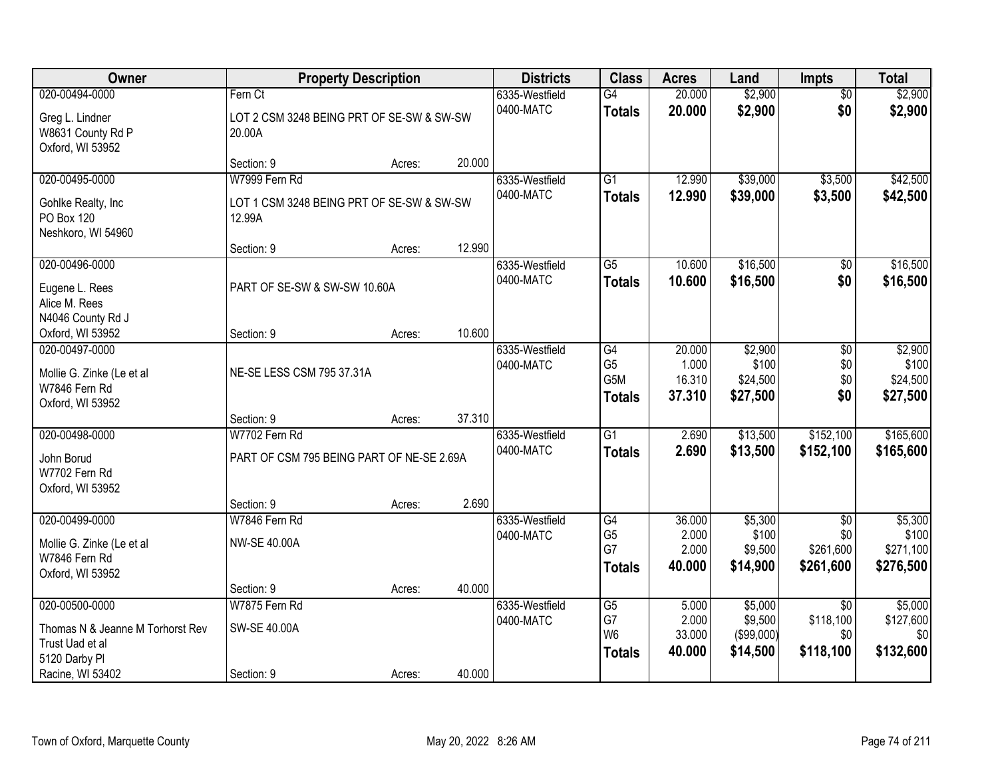| Owner                                                    |                                                            | <b>Property Description</b> |        | <b>Districts</b>            | <b>Class</b>                      | <b>Acres</b>     | Land                  | <b>Impts</b>       | <b>Total</b>         |
|----------------------------------------------------------|------------------------------------------------------------|-----------------------------|--------|-----------------------------|-----------------------------------|------------------|-----------------------|--------------------|----------------------|
| 020-00494-0000                                           | Fern Ct                                                    |                             |        | 6335-Westfield              | $\overline{G4}$                   | 20.000           | \$2,900               | $\overline{50}$    | \$2,900              |
| Greg L. Lindner<br>W8631 County Rd P<br>Oxford, WI 53952 | LOT 2 CSM 3248 BEING PRT OF SE-SW & SW-SW<br>20.00A        |                             |        | 0400-MATC                   | <b>Totals</b>                     | 20.000           | \$2,900               | \$0                | \$2,900              |
|                                                          | Section: 9                                                 | Acres:                      | 20.000 |                             |                                   |                  |                       |                    |                      |
| 020-00495-0000<br>Gohlke Realty, Inc                     | W7999 Fern Rd<br>LOT 1 CSM 3248 BEING PRT OF SE-SW & SW-SW |                             |        | 6335-Westfield<br>0400-MATC | $\overline{G1}$<br><b>Totals</b>  | 12.990<br>12.990 | \$39,000<br>\$39,000  | \$3,500<br>\$3,500 | \$42,500<br>\$42,500 |
| PO Box 120<br>Neshkoro, WI 54960                         | 12.99A                                                     |                             |        |                             |                                   |                  |                       |                    |                      |
|                                                          | Section: 9                                                 | Acres:                      | 12.990 |                             |                                   |                  |                       |                    |                      |
| 020-00496-0000                                           |                                                            |                             |        | 6335-Westfield<br>0400-MATC | G5                                | 10.600           | \$16,500              | \$0                | \$16,500             |
| Eugene L. Rees<br>Alice M. Rees<br>N4046 County Rd J     | PART OF SE-SW & SW-SW 10.60A                               |                             |        |                             | <b>Totals</b>                     | 10.600           | \$16,500              | \$0                | \$16,500             |
| Oxford, WI 53952                                         | Section: 9                                                 | Acres:                      | 10.600 |                             |                                   |                  |                       |                    |                      |
| 020-00497-0000<br>Mollie G. Zinke (Le et al              | NE-SE LESS CSM 795 37.31A                                  |                             |        | 6335-Westfield<br>0400-MATC | G4<br>G <sub>5</sub>              | 20.000<br>1.000  | \$2,900<br>\$100      | \$0<br>\$0         | \$2,900<br>\$100     |
| W7846 Fern Rd<br>Oxford, WI 53952                        |                                                            |                             |        |                             | G <sub>5</sub> M<br><b>Totals</b> | 16.310<br>37.310 | \$24,500<br>\$27,500  | \$0<br>\$0         | \$24,500<br>\$27,500 |
|                                                          | Section: 9                                                 | Acres:                      | 37.310 |                             |                                   |                  |                       |                    |                      |
| 020-00498-0000                                           | W7702 Fern Rd                                              |                             |        | 6335-Westfield              | $\overline{G1}$                   | 2.690            | \$13,500              | \$152,100          | \$165,600            |
| John Borud<br>W7702 Fern Rd<br>Oxford, WI 53952          | PART OF CSM 795 BEING PART OF NE-SE 2.69A                  |                             |        | 0400-MATC                   | <b>Totals</b>                     | 2.690            | \$13,500              | \$152,100          | \$165,600            |
|                                                          | Section: 9                                                 | Acres:                      | 2.690  |                             |                                   |                  |                       |                    |                      |
| 020-00499-0000                                           | W7846 Fern Rd                                              |                             |        | 6335-Westfield              | $\overline{G4}$                   | 36.000           | \$5,300               | $\overline{50}$    | \$5,300              |
| Mollie G. Zinke (Le et al<br>W7846 Fern Rd               | <b>NW-SE 40.00A</b>                                        |                             |        | 0400-MATC                   | G <sub>5</sub><br>G7              | 2.000<br>2.000   | \$100<br>\$9,500      | \$0<br>\$261,600   | \$100<br>\$271,100   |
| Oxford, WI 53952                                         |                                                            |                             |        |                             | <b>Totals</b>                     | 40.000           | \$14,900              | \$261,600          | \$276,500            |
|                                                          | Section: 9                                                 | Acres:                      | 40.000 |                             |                                   |                  |                       |                    |                      |
| 020-00500-0000                                           | W7875 Fern Rd                                              |                             |        | 6335-Westfield              | G5                                | 5.000            | \$5,000               | $\overline{30}$    | \$5,000              |
| Thomas N & Jeanne M Torhorst Rev                         | SW-SE 40.00A                                               |                             |        | 0400-MATC                   | G7<br>W <sub>6</sub>              | 2.000<br>33.000  | \$9,500<br>(\$99,000) | \$118,100<br>\$0   | \$127,600<br>\$0     |
| Trust Uad et al                                          |                                                            |                             |        |                             | <b>Totals</b>                     | 40.000           | \$14,500              | \$118,100          | \$132,600            |
| 5120 Darby PI                                            |                                                            |                             |        |                             |                                   |                  |                       |                    |                      |
| Racine, WI 53402                                         | Section: 9                                                 | Acres:                      | 40.000 |                             |                                   |                  |                       |                    |                      |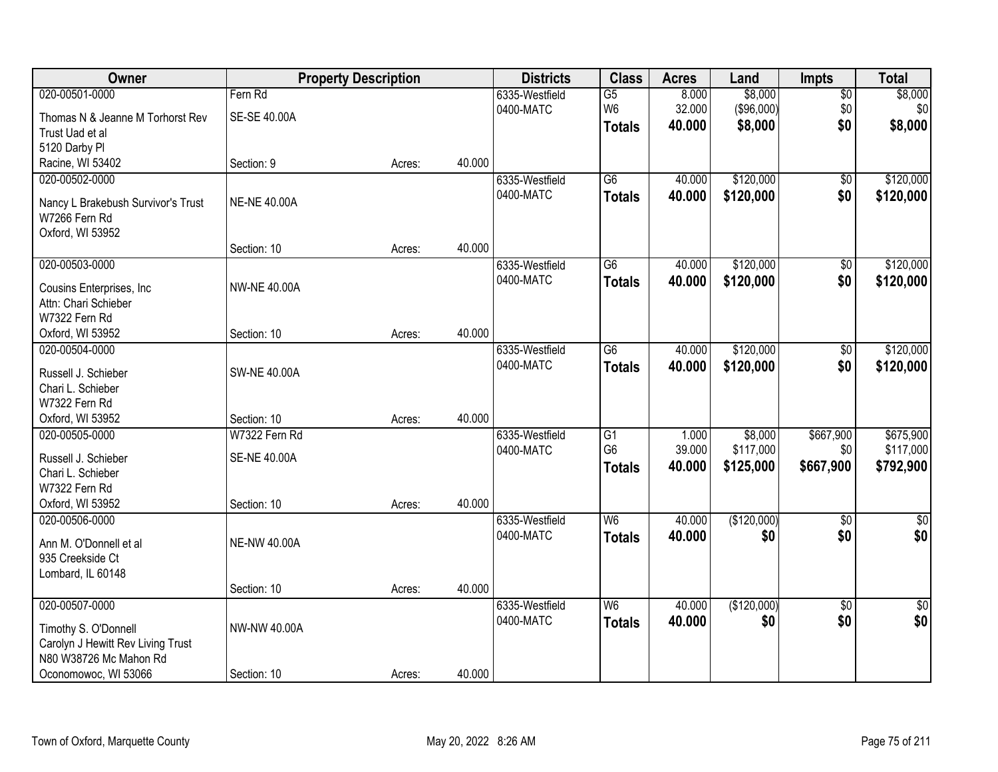| Owner                                    | <b>Property Description</b> |        | <b>Districts</b> | <b>Class</b>   | <b>Acres</b>    | Land   | <b>Impts</b> | <b>Total</b>    |               |
|------------------------------------------|-----------------------------|--------|------------------|----------------|-----------------|--------|--------------|-----------------|---------------|
| 020-00501-0000                           | Fern Rd                     |        |                  | 6335-Westfield | $\overline{G5}$ | 8.000  | \$8,000      | $\overline{50}$ | \$8,000       |
| Thomas N & Jeanne M Torhorst Rev         | SE-SE 40.00A                |        |                  | 0400-MATC      | W <sub>6</sub>  | 32.000 | (\$96,000)   | \$0             | \$0           |
| Trust Uad et al                          |                             |        |                  |                | <b>Totals</b>   | 40.000 | \$8,000      | \$0             | \$8,000       |
| 5120 Darby PI                            |                             |        |                  |                |                 |        |              |                 |               |
| Racine, WI 53402                         | Section: 9                  | Acres: | 40.000           |                |                 |        |              |                 |               |
| 020-00502-0000                           |                             |        |                  | 6335-Westfield | $\overline{G6}$ | 40.000 | \$120,000    | \$0             | \$120,000     |
| Nancy L Brakebush Survivor's Trust       | <b>NE-NE 40.00A</b>         |        |                  | 0400-MATC      | <b>Totals</b>   | 40.000 | \$120,000    | \$0             | \$120,000     |
| W7266 Fern Rd                            |                             |        |                  |                |                 |        |              |                 |               |
| Oxford, WI 53952                         |                             |        |                  |                |                 |        |              |                 |               |
|                                          | Section: 10                 | Acres: | 40.000           |                |                 |        |              |                 |               |
| 020-00503-0000                           |                             |        |                  | 6335-Westfield | $\overline{G6}$ | 40.000 | \$120,000    | $\overline{50}$ | \$120,000     |
| Cousins Enterprises, Inc.                | <b>NW-NE 40.00A</b>         |        |                  | 0400-MATC      | <b>Totals</b>   | 40.000 | \$120,000    | \$0             | \$120,000     |
| Attn: Chari Schieber                     |                             |        |                  |                |                 |        |              |                 |               |
| W7322 Fern Rd                            |                             |        |                  |                |                 |        |              |                 |               |
| Oxford, WI 53952                         | Section: 10                 | Acres: | 40.000           |                |                 |        |              |                 |               |
| 020-00504-0000                           |                             |        |                  | 6335-Westfield | G <sub>6</sub>  | 40.000 | \$120,000    | \$0             | \$120,000     |
| Russell J. Schieber                      | <b>SW-NE 40.00A</b>         |        |                  | 0400-MATC      | <b>Totals</b>   | 40.000 | \$120,000    | \$0             | \$120,000     |
| Chari L. Schieber                        |                             |        |                  |                |                 |        |              |                 |               |
| W7322 Fern Rd                            |                             |        |                  |                |                 |        |              |                 |               |
| Oxford, WI 53952                         | Section: 10                 | Acres: | 40.000           |                |                 |        |              |                 |               |
| 020-00505-0000                           | W7322 Fern Rd               |        |                  | 6335-Westfield | $\overline{G1}$ | 1.000  | \$8,000      | \$667,900       | \$675,900     |
|                                          |                             |        |                  | 0400-MATC      | G <sub>6</sub>  | 39.000 | \$117,000    | \$0             | \$117,000     |
| Russell J. Schieber<br>Chari L. Schieber | <b>SE-NE 40.00A</b>         |        |                  |                | <b>Totals</b>   | 40.000 | \$125,000    | \$667,900       | \$792,900     |
| W7322 Fern Rd                            |                             |        |                  |                |                 |        |              |                 |               |
| Oxford, WI 53952                         | Section: 10                 | Acres: | 40.000           |                |                 |        |              |                 |               |
| 020-00506-0000                           |                             |        |                  | 6335-Westfield | W <sub>6</sub>  | 40.000 | (\$120,000)  | $\sqrt{6}$      | $\frac{6}{3}$ |
|                                          |                             |        |                  | 0400-MATC      | <b>Totals</b>   | 40.000 | \$0          | \$0             | \$0           |
| Ann M. O'Donnell et al                   | <b>NE-NW 40.00A</b>         |        |                  |                |                 |        |              |                 |               |
| 935 Creekside Ct                         |                             |        |                  |                |                 |        |              |                 |               |
| Lombard, IL 60148                        | Section: 10                 | Acres: | 40.000           |                |                 |        |              |                 |               |
| 020-00507-0000                           |                             |        |                  | 6335-Westfield | W <sub>6</sub>  | 40.000 | (\$120,000)  | $\overline{50}$ | $\sqrt{50}$   |
|                                          |                             |        |                  | 0400-MATC      | <b>Totals</b>   | 40.000 | \$0          | \$0             | \$0           |
| Timothy S. O'Donnell                     | NW-NW 40.00A                |        |                  |                |                 |        |              |                 |               |
| Carolyn J Hewitt Rev Living Trust        |                             |        |                  |                |                 |        |              |                 |               |
| N80 W38726 Mc Mahon Rd                   |                             |        |                  |                |                 |        |              |                 |               |
| Oconomowoc, WI 53066                     | Section: 10                 | Acres: | 40.000           |                |                 |        |              |                 |               |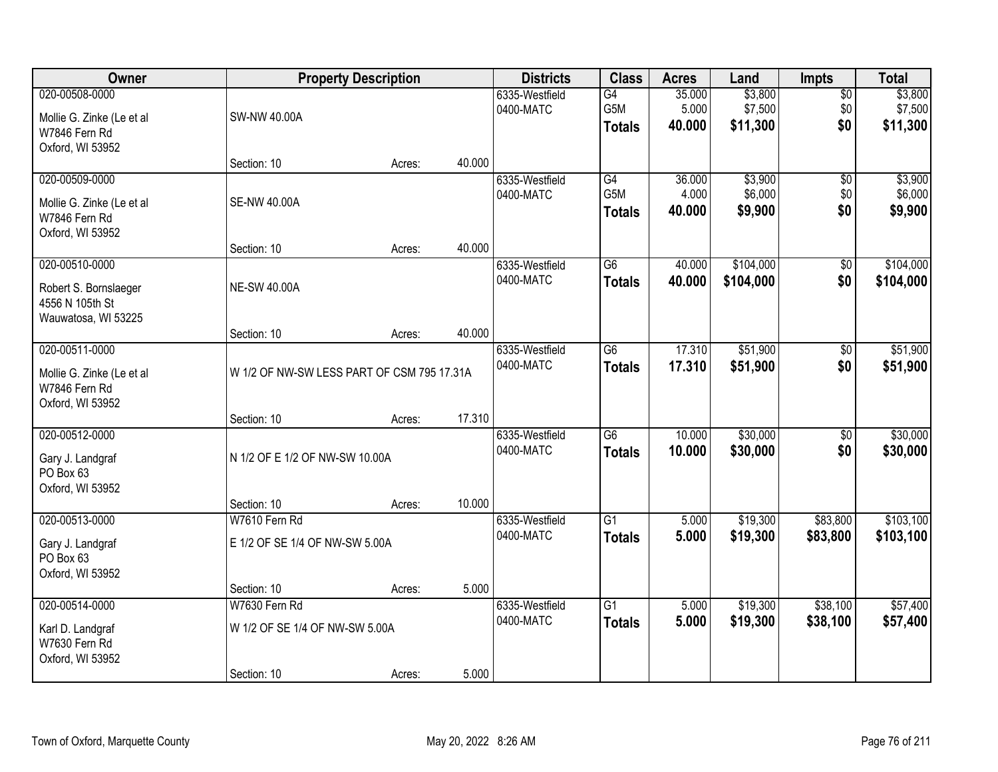| <b>Owner</b>                                                                      |                                                                | <b>Property Description</b> |                             | <b>Districts</b>                 | <b>Class</b>                     | <b>Acres</b>              | Land                           | Impts                         | <b>Total</b>                   |
|-----------------------------------------------------------------------------------|----------------------------------------------------------------|-----------------------------|-----------------------------|----------------------------------|----------------------------------|---------------------------|--------------------------------|-------------------------------|--------------------------------|
| 020-00508-0000<br>Mollie G. Zinke (Le et al<br>W7846 Fern Rd<br>Oxford, WI 53952  | SW-NW 40.00A                                                   |                             |                             | 6335-Westfield<br>0400-MATC      | G4<br>G5M<br><b>Totals</b>       | 35.000<br>5.000<br>40.000 | \$3,800<br>\$7,500<br>\$11,300 | $\overline{50}$<br>\$0<br>\$0 | \$3,800<br>\$7,500<br>\$11,300 |
|                                                                                   | Section: 10                                                    | Acres:                      | 40.000                      |                                  |                                  |                           |                                |                               |                                |
| 020-00509-0000<br>Mollie G. Zinke (Le et al<br>W7846 Fern Rd<br>Oxford, WI 53952  | <b>SE-NW 40.00A</b>                                            |                             |                             | 6335-Westfield<br>0400-MATC      | G4<br>G5M<br><b>Totals</b>       | 36.000<br>4.000<br>40.000 | \$3,900<br>\$6,000<br>\$9,900  | $\overline{50}$<br>\$0<br>\$0 | \$3,900<br>\$6,000<br>\$9,900  |
|                                                                                   | Section: 10                                                    | Acres:                      | 40.000                      |                                  |                                  |                           |                                |                               |                                |
| 020-00510-0000<br>Robert S. Bornslaeger<br>4556 N 105th St<br>Wauwatosa, WI 53225 | <b>NE-SW 40.00A</b>                                            |                             |                             | 6335-Westfield<br>0400-MATC      | G6<br><b>Totals</b>              | 40.000<br>40.000          | \$104,000<br>\$104,000         | \$0<br>\$0                    | \$104,000<br>\$104,000         |
|                                                                                   | Section: 10                                                    | Acres:                      | 40.000                      |                                  |                                  |                           |                                |                               |                                |
| 020-00511-0000<br>Mollie G. Zinke (Le et al<br>W7846 Fern Rd<br>Oxford, WI 53952  | W 1/2 OF NW-SW LESS PART OF CSM 795 17.31A                     |                             | 6335-Westfield<br>0400-MATC | $\overline{G6}$<br><b>Totals</b> | 17.310<br>17.310                 | \$51,900<br>\$51,900      | \$0<br>\$0                     | \$51,900<br>\$51,900          |                                |
|                                                                                   | Section: 10                                                    | Acres:                      | 17.310                      |                                  |                                  |                           |                                |                               |                                |
| 020-00512-0000<br>Gary J. Landgraf<br>PO Box 63<br>Oxford, WI 53952               | N 1/2 OF E 1/2 OF NW-SW 10.00A                                 |                             |                             | 6335-Westfield<br>0400-MATC      | $\overline{G6}$<br><b>Totals</b> | 10.000<br>10.000          | \$30,000<br>\$30,000           | $\overline{50}$<br>\$0        | \$30,000<br>\$30,000           |
| 020-00513-0000                                                                    | Section: 10<br>W7610 Fern Rd                                   | Acres:                      | 10.000                      |                                  | $\overline{G1}$                  | 5.000                     |                                |                               | \$103,100                      |
| Gary J. Landgraf<br>PO Box 63<br>Oxford, WI 53952                                 | E 1/2 OF SE 1/4 OF NW-SW 5.00A                                 |                             |                             | 6335-Westfield<br>0400-MATC      | <b>Totals</b>                    | 5.000                     | \$19,300<br>\$19,300           | \$83,800<br>\$83,800          | \$103,100                      |
|                                                                                   | Section: 10                                                    | Acres:                      | 5.000                       |                                  |                                  |                           |                                |                               |                                |
| 020-00514-0000<br>Karl D. Landgraf<br>W7630 Fern Rd<br>Oxford, WI 53952           | W7630 Fern Rd<br>W 1/2 OF SE 1/4 OF NW-SW 5.00A<br>Section: 10 | Acres:                      | 5.000                       | 6335-Westfield<br>0400-MATC      | $\overline{G1}$<br><b>Totals</b> | 5.000<br>5.000            | \$19,300<br>\$19,300           | \$38,100<br>\$38,100          | \$57,400<br>\$57,400           |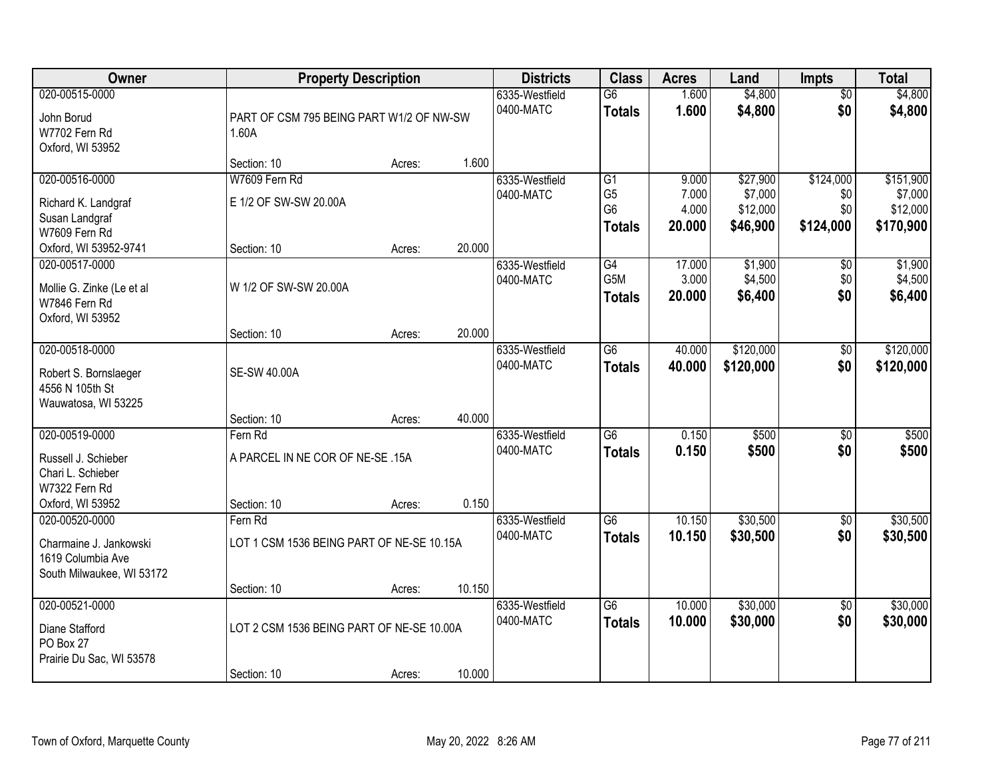| <b>Owner</b>                                                                                    |                                                                     | <b>Property Description</b>              |        | <b>Districts</b>            | <b>Class</b>                                            | <b>Acres</b>                      | Land                                        | <b>Impts</b>                         | <b>Total</b>                                  |
|-------------------------------------------------------------------------------------------------|---------------------------------------------------------------------|------------------------------------------|--------|-----------------------------|---------------------------------------------------------|-----------------------------------|---------------------------------------------|--------------------------------------|-----------------------------------------------|
| 020-00515-0000<br>John Borud<br>W7702 Fern Rd<br>Oxford, WI 53952                               | 1.60A                                                               | PART OF CSM 795 BEING PART W1/2 OF NW-SW |        | 6335-Westfield<br>0400-MATC | $\overline{G6}$<br><b>Totals</b>                        | 1.600<br>1.600                    | \$4,800<br>\$4,800                          | $\overline{50}$<br>\$0               | \$4,800<br>\$4,800                            |
|                                                                                                 | Section: 10                                                         | Acres:                                   | 1.600  |                             |                                                         |                                   |                                             |                                      |                                               |
| 020-00516-0000<br>Richard K. Landgraf<br>Susan Landgraf<br>W7609 Fern Rd                        | W7609 Fern Rd<br>E 1/2 OF SW-SW 20.00A                              |                                          |        | 6335-Westfield<br>0400-MATC | G1<br>G <sub>5</sub><br>G <sub>6</sub><br><b>Totals</b> | 9.000<br>7.000<br>4.000<br>20.000 | \$27,900<br>\$7,000<br>\$12,000<br>\$46,900 | \$124,000<br>\$0<br>\$0<br>\$124,000 | \$151,900<br>\$7,000<br>\$12,000<br>\$170,900 |
| Oxford, WI 53952-9741                                                                           | Section: 10                                                         | Acres:                                   | 20.000 |                             |                                                         |                                   |                                             |                                      |                                               |
| 020-00517-0000<br>Mollie G. Zinke (Le et al<br>W7846 Fern Rd<br>Oxford, WI 53952                | W 1/2 OF SW-SW 20.00A                                               |                                          |        | 6335-Westfield<br>0400-MATC | G4<br>G5M<br><b>Totals</b>                              | 17.000<br>3.000<br>20.000         | \$1,900<br>\$4,500<br>\$6,400               | \$0<br>\$0<br>\$0                    | \$1,900<br>\$4,500<br>\$6,400                 |
|                                                                                                 | Section: 10                                                         | Acres:                                   | 20.000 |                             |                                                         |                                   |                                             |                                      |                                               |
| 020-00518-0000<br>Robert S. Bornslaeger<br>4556 N 105th St<br>Wauwatosa, WI 53225               | <b>SE-SW 40.00A</b>                                                 |                                          |        | 6335-Westfield<br>0400-MATC | $\overline{G6}$<br><b>Totals</b>                        | 40.000<br>40.000                  | \$120,000<br>\$120,000                      | \$0<br>\$0                           | \$120,000<br>\$120,000                        |
|                                                                                                 | Section: 10                                                         | Acres:                                   | 40.000 |                             |                                                         |                                   |                                             |                                      |                                               |
| 020-00519-0000<br>Russell J. Schieber<br>Chari L. Schieber<br>W7322 Fern Rd<br>Oxford, WI 53952 | Fern Rd<br>A PARCEL IN NE COR OF NE-SE .15A<br>Section: 10          | Acres:                                   | 0.150  | 6335-Westfield<br>0400-MATC | $\overline{G6}$<br><b>Totals</b>                        | 0.150<br>0.150                    | \$500<br>\$500                              | \$0<br>\$0                           | \$500<br>\$500                                |
| 020-00520-0000<br>Charmaine J. Jankowski<br>1619 Columbia Ave<br>South Milwaukee, WI 53172      | Fern Rd<br>LOT 1 CSM 1536 BEING PART OF NE-SE 10.15A<br>Section: 10 | Acres:                                   | 10.150 | 6335-Westfield<br>0400-MATC | G6<br><b>Totals</b>                                     | 10.150<br>10.150                  | \$30,500<br>\$30,500                        | \$0<br>\$0                           | \$30,500<br>\$30,500                          |
| 020-00521-0000<br>Diane Stafford<br>PO Box 27<br>Prairie Du Sac, WI 53578                       | LOT 2 CSM 1536 BEING PART OF NE-SE 10.00A<br>Section: 10            | Acres:                                   | 10.000 | 6335-Westfield<br>0400-MATC | $\overline{G6}$<br><b>Totals</b>                        | 10.000<br>10.000                  | \$30,000<br>\$30,000                        | $\overline{50}$<br>\$0               | \$30,000<br>\$30,000                          |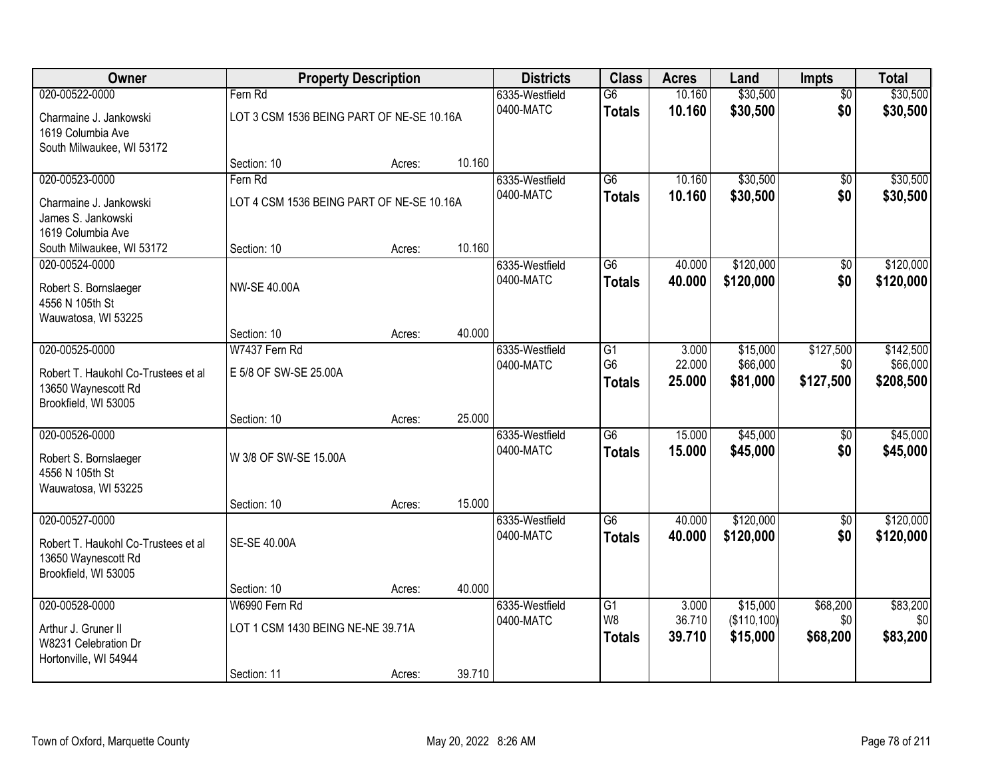| Owner                                       |                                           | <b>Property Description</b> |        | <b>Districts</b>            | <b>Class</b>    | <b>Acres</b> | Land        | <b>Impts</b>    | <b>Total</b> |
|---------------------------------------------|-------------------------------------------|-----------------------------|--------|-----------------------------|-----------------|--------------|-------------|-----------------|--------------|
| 020-00522-0000                              | Fern Rd                                   |                             |        | 6335-Westfield              | $\overline{G6}$ | 10.160       | \$30,500    | $\overline{50}$ | \$30,500     |
| Charmaine J. Jankowski                      | LOT 3 CSM 1536 BEING PART OF NE-SE 10.16A |                             |        | 0400-MATC                   | <b>Totals</b>   | 10.160       | \$30,500    | \$0             | \$30,500     |
| 1619 Columbia Ave                           |                                           |                             |        |                             |                 |              |             |                 |              |
| South Milwaukee, WI 53172                   |                                           |                             |        |                             |                 |              |             |                 |              |
|                                             | Section: 10                               | Acres:                      | 10.160 |                             |                 |              |             |                 |              |
| 020-00523-0000                              | Fern Rd                                   |                             |        | 6335-Westfield              | $\overline{G6}$ | 10.160       | \$30,500    | $\overline{50}$ | \$30,500     |
| Charmaine J. Jankowski                      | LOT 4 CSM 1536 BEING PART OF NE-SE 10.16A |                             |        | 0400-MATC                   | <b>Totals</b>   | 10.160       | \$30,500    | \$0             | \$30,500     |
| James S. Jankowski                          |                                           |                             |        |                             |                 |              |             |                 |              |
| 1619 Columbia Ave                           |                                           |                             |        |                             |                 |              |             |                 |              |
| South Milwaukee, WI 53172<br>020-00524-0000 | Section: 10                               | Acres:                      | 10.160 |                             | G6              | 40.000       | \$120,000   | \$0             | \$120,000    |
|                                             |                                           |                             |        | 6335-Westfield<br>0400-MATC | <b>Totals</b>   | 40.000       | \$120,000   | \$0             | \$120,000    |
| Robert S. Bornslaeger                       | <b>NW-SE 40.00A</b>                       |                             |        |                             |                 |              |             |                 |              |
| 4556 N 105th St                             |                                           |                             |        |                             |                 |              |             |                 |              |
| Wauwatosa, WI 53225                         | Section: 10                               | Acres:                      | 40.000 |                             |                 |              |             |                 |              |
| 020-00525-0000                              | W7437 Fern Rd                             |                             |        | 6335-Westfield              | $\overline{G1}$ | 3.000        | \$15,000    | \$127,500       | \$142,500    |
|                                             |                                           |                             |        | 0400-MATC                   | G <sub>6</sub>  | 22.000       | \$66,000    | \$0             | \$66,000     |
| Robert T. Haukohl Co-Trustees et al         | E 5/8 OF SW-SE 25.00A                     |                             |        |                             | <b>Totals</b>   | 25.000       | \$81,000    | \$127,500       | \$208,500    |
| 13650 Waynescott Rd<br>Brookfield, WI 53005 |                                           |                             |        |                             |                 |              |             |                 |              |
|                                             | Section: 10                               | Acres:                      | 25.000 |                             |                 |              |             |                 |              |
| 020-00526-0000                              |                                           |                             |        | 6335-Westfield              | $\overline{G6}$ | 15.000       | \$45,000    | $\overline{50}$ | \$45,000     |
|                                             | W 3/8 OF SW-SE 15.00A                     |                             |        | 0400-MATC                   | <b>Totals</b>   | 15.000       | \$45,000    | \$0             | \$45,000     |
| Robert S. Bornslaeger<br>4556 N 105th St    |                                           |                             |        |                             |                 |              |             |                 |              |
| Wauwatosa, WI 53225                         |                                           |                             |        |                             |                 |              |             |                 |              |
|                                             | Section: 10                               | Acres:                      | 15.000 |                             |                 |              |             |                 |              |
| 020-00527-0000                              |                                           |                             |        | 6335-Westfield              | $\overline{G6}$ | 40.000       | \$120,000   | $\overline{60}$ | \$120,000    |
| Robert T. Haukohl Co-Trustees et al         | SE-SE 40.00A                              |                             |        | 0400-MATC                   | <b>Totals</b>   | 40.000       | \$120,000   | \$0             | \$120,000    |
| 13650 Waynescott Rd                         |                                           |                             |        |                             |                 |              |             |                 |              |
| Brookfield, WI 53005                        |                                           |                             |        |                             |                 |              |             |                 |              |
|                                             | Section: 10                               | Acres:                      | 40.000 |                             |                 |              |             |                 |              |
| 020-00528-0000                              | W6990 Fern Rd                             |                             |        | 6335-Westfield              | G1              | 3.000        | \$15,000    | \$68,200        | \$83,200     |
| Arthur J. Gruner II                         | LOT 1 CSM 1430 BEING NE-NE 39.71A         |                             |        | 0400-MATC                   | W <sub>8</sub>  | 36.710       | (\$110,100) | \$0             | \$0          |
| W8231 Celebration Dr                        |                                           |                             |        |                             | <b>Totals</b>   | 39.710       | \$15,000    | \$68,200        | \$83,200     |
| Hortonville, WI 54944                       |                                           |                             |        |                             |                 |              |             |                 |              |
|                                             | Section: 11                               | Acres:                      | 39.710 |                             |                 |              |             |                 |              |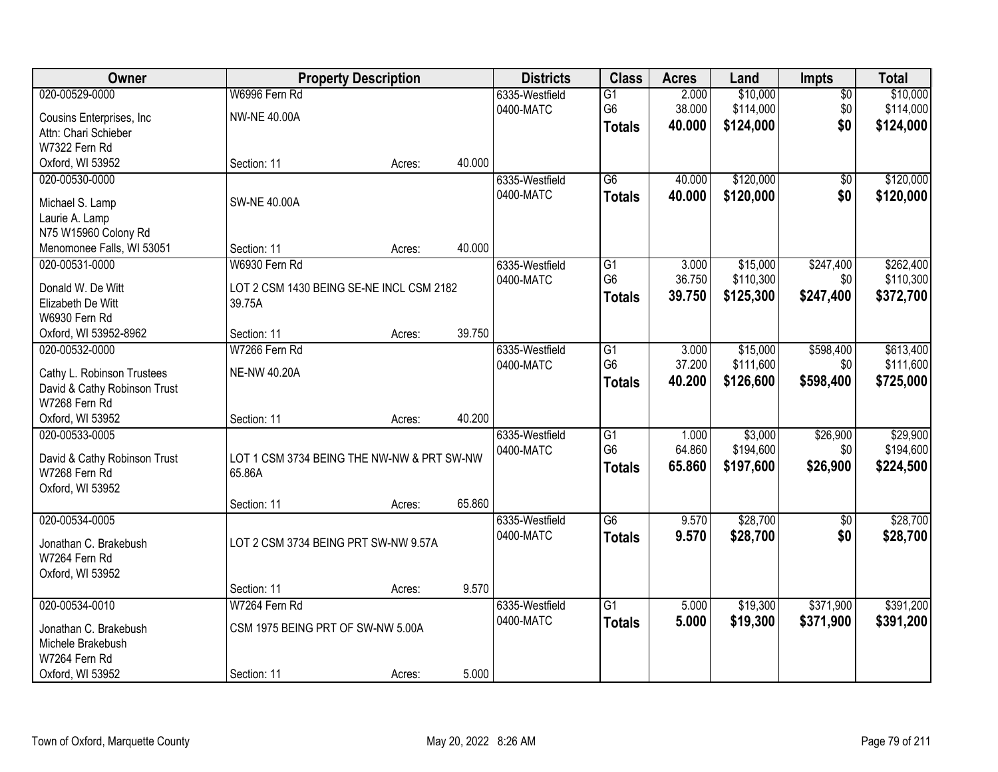| Owner                        |                                            | <b>Property Description</b> |        | <b>Districts</b> | <b>Class</b>    | <b>Acres</b> | Land      | Impts           | <b>Total</b> |
|------------------------------|--------------------------------------------|-----------------------------|--------|------------------|-----------------|--------------|-----------|-----------------|--------------|
| 020-00529-0000               | W6996 Fern Rd                              |                             |        | 6335-Westfield   | $\overline{G1}$ | 2.000        | \$10,000  | $\overline{50}$ | \$10,000     |
| Cousins Enterprises, Inc.    | <b>NW-NE 40.00A</b>                        |                             |        | 0400-MATC        | G <sub>6</sub>  | 38.000       | \$114,000 | \$0             | \$114,000    |
| Attn: Chari Schieber         |                                            |                             |        |                  | <b>Totals</b>   | 40.000       | \$124,000 | \$0             | \$124,000    |
| W7322 Fern Rd                |                                            |                             |        |                  |                 |              |           |                 |              |
| Oxford, WI 53952             | Section: 11                                | Acres:                      | 40.000 |                  |                 |              |           |                 |              |
| 020-00530-0000               |                                            |                             |        | 6335-Westfield   | $\overline{G6}$ | 40.000       | \$120,000 | $\overline{50}$ | \$120,000    |
|                              |                                            |                             |        | 0400-MATC        | <b>Totals</b>   | 40.000       | \$120,000 | \$0             | \$120,000    |
| Michael S. Lamp              | <b>SW-NE 40.00A</b>                        |                             |        |                  |                 |              |           |                 |              |
| Laurie A. Lamp               |                                            |                             |        |                  |                 |              |           |                 |              |
| N75 W15960 Colony Rd         |                                            |                             |        |                  |                 |              |           |                 |              |
| Menomonee Falls, WI 53051    | Section: 11                                | Acres:                      | 40.000 |                  |                 |              |           |                 |              |
| 020-00531-0000               | W6930 Fern Rd                              |                             |        | 6335-Westfield   | G1              | 3.000        | \$15,000  | \$247,400       | \$262,400    |
| Donald W. De Witt            | LOT 2 CSM 1430 BEING SE-NE INCL CSM 2182   |                             |        | 0400-MATC        | G <sub>6</sub>  | 36.750       | \$110,300 | \$0             | \$110,300    |
| Elizabeth De Witt            | 39.75A                                     |                             |        |                  | <b>Totals</b>   | 39.750       | \$125,300 | \$247,400       | \$372,700    |
| W6930 Fern Rd                |                                            |                             |        |                  |                 |              |           |                 |              |
| Oxford, WI 53952-8962        | Section: 11                                | Acres:                      | 39.750 |                  |                 |              |           |                 |              |
| 020-00532-0000               | W7266 Fern Rd                              |                             |        | 6335-Westfield   | $\overline{G1}$ | 3.000        | \$15,000  | \$598,400       | \$613,400    |
|                              |                                            |                             |        | 0400-MATC        | G <sub>6</sub>  | 37.200       | \$111,600 | \$0             | \$111,600    |
| Cathy L. Robinson Trustees   | <b>NE-NW 40.20A</b>                        |                             |        |                  | <b>Totals</b>   | 40.200       | \$126,600 | \$598,400       | \$725,000    |
| David & Cathy Robinson Trust |                                            |                             |        |                  |                 |              |           |                 |              |
| W7268 Fern Rd                |                                            |                             |        |                  |                 |              |           |                 |              |
| Oxford, WI 53952             | Section: 11                                | Acres:                      | 40.200 |                  |                 |              |           |                 |              |
| 020-00533-0005               |                                            |                             |        | 6335-Westfield   | $\overline{G1}$ | 1.000        | \$3,000   | \$26,900        | \$29,900     |
| David & Cathy Robinson Trust | LOT 1 CSM 3734 BEING THE NW-NW & PRT SW-NW |                             |        | 0400-MATC        | G <sub>6</sub>  | 64.860       | \$194,600 | \$0             | \$194,600    |
| W7268 Fern Rd                | 65.86A                                     |                             |        |                  | <b>Totals</b>   | 65.860       | \$197,600 | \$26,900        | \$224,500    |
| Oxford, WI 53952             |                                            |                             |        |                  |                 |              |           |                 |              |
|                              | Section: 11                                | Acres:                      | 65.860 |                  |                 |              |           |                 |              |
| 020-00534-0005               |                                            |                             |        | 6335-Westfield   | $\overline{G6}$ | 9.570        | \$28,700  | $\overline{50}$ | \$28,700     |
|                              |                                            |                             |        | 0400-MATC        | <b>Totals</b>   | 9.570        | \$28,700  | \$0             | \$28,700     |
| Jonathan C. Brakebush        | LOT 2 CSM 3734 BEING PRT SW-NW 9.57A       |                             |        |                  |                 |              |           |                 |              |
| W7264 Fern Rd                |                                            |                             |        |                  |                 |              |           |                 |              |
| Oxford, WI 53952             |                                            |                             |        |                  |                 |              |           |                 |              |
|                              | Section: 11                                | Acres:                      | 9.570  |                  |                 |              |           |                 |              |
| 020-00534-0010               | W7264 Fern Rd                              |                             |        | 6335-Westfield   | $\overline{G1}$ | 5.000        | \$19,300  | \$371,900       | \$391,200    |
| Jonathan C. Brakebush        | CSM 1975 BEING PRT OF SW-NW 5.00A          |                             |        | 0400-MATC        | <b>Totals</b>   | 5.000        | \$19,300  | \$371,900       | \$391,200    |
| Michele Brakebush            |                                            |                             |        |                  |                 |              |           |                 |              |
| W7264 Fern Rd                |                                            |                             |        |                  |                 |              |           |                 |              |
| Oxford, WI 53952             | Section: 11                                | Acres:                      | 5.000  |                  |                 |              |           |                 |              |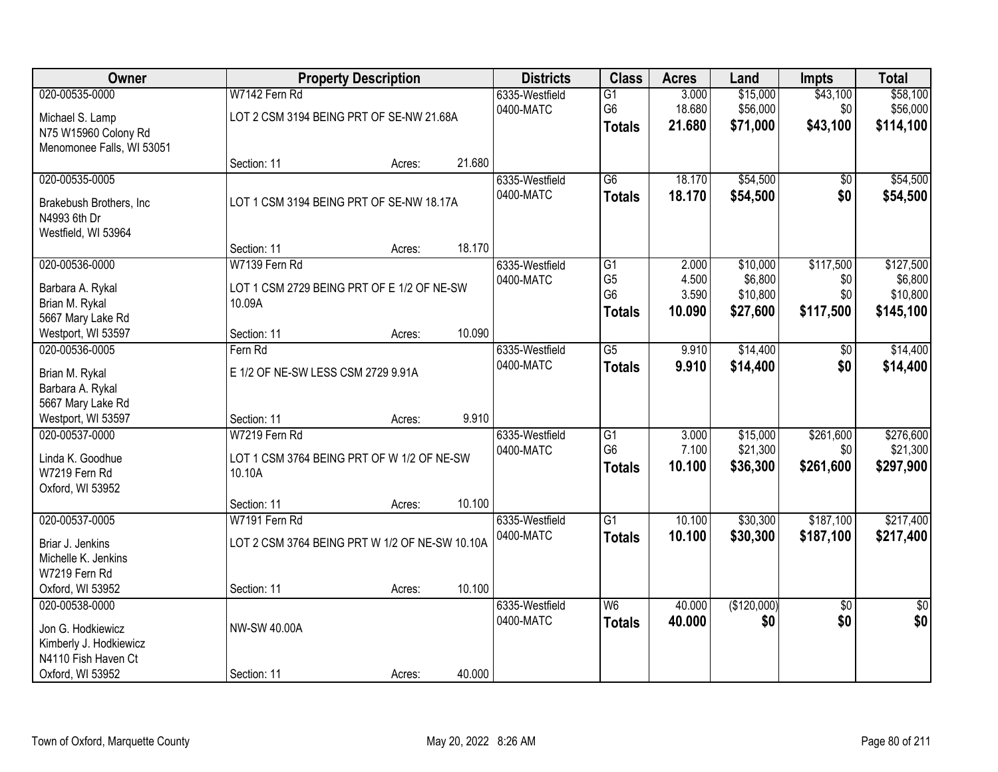| Owner                                                                                                    |                                                                       | <b>Property Description</b> |        | <b>Districts</b>            | <b>Class</b>                                            | <b>Acres</b>                      | Land                                        | <b>Impts</b>                         | <b>Total</b>                                  |
|----------------------------------------------------------------------------------------------------------|-----------------------------------------------------------------------|-----------------------------|--------|-----------------------------|---------------------------------------------------------|-----------------------------------|---------------------------------------------|--------------------------------------|-----------------------------------------------|
| 020-00535-0000<br>Michael S. Lamp<br>N75 W15960 Colony Rd<br>Menomonee Falls, WI 53051                   | W7142 Fern Rd<br>LOT 2 CSM 3194 BEING PRT OF SE-NW 21.68A             |                             |        | 6335-Westfield<br>0400-MATC | $\overline{G1}$<br>G <sub>6</sub><br><b>Totals</b>      | 3.000<br>18.680<br>21.680         | \$15,000<br>\$56,000<br>\$71,000            | \$43,100<br>\$0<br>\$43,100          | \$58,100<br>\$56,000<br>\$114,100             |
|                                                                                                          | Section: 11                                                           | Acres:                      | 21.680 |                             |                                                         |                                   |                                             |                                      |                                               |
| 020-00535-0005<br>Brakebush Brothers, Inc<br>N4993 6th Dr<br>Westfield, WI 53964                         | LOT 1 CSM 3194 BEING PRT OF SE-NW 18.17A                              |                             |        | 6335-Westfield<br>0400-MATC | $\overline{G6}$<br><b>Totals</b>                        | 18.170<br>18.170                  | \$54,500<br>\$54,500                        | \$0<br>\$0                           | \$54,500<br>\$54,500                          |
|                                                                                                          | Section: 11                                                           | Acres:                      | 18.170 |                             |                                                         |                                   |                                             |                                      |                                               |
| 020-00536-0000<br>Barbara A. Rykal<br>Brian M. Rykal<br>5667 Mary Lake Rd                                | W7139 Fern Rd<br>LOT 1 CSM 2729 BEING PRT OF E 1/2 OF NE-SW<br>10.09A |                             |        | 6335-Westfield<br>0400-MATC | G1<br>G <sub>5</sub><br>G <sub>6</sub><br><b>Totals</b> | 2.000<br>4.500<br>3.590<br>10.090 | \$10,000<br>\$6,800<br>\$10,800<br>\$27,600 | \$117,500<br>\$0<br>\$0<br>\$117,500 | \$127,500<br>\$6,800<br>\$10,800<br>\$145,100 |
| Westport, WI 53597                                                                                       | Section: 11                                                           | Acres:                      | 10.090 |                             |                                                         |                                   |                                             |                                      |                                               |
| 020-00536-0005<br>Brian M. Rykal<br>Barbara A. Rykal                                                     | Fern Rd<br>E 1/2 OF NE-SW LESS CSM 2729 9.91A                         |                             |        | 6335-Westfield<br>0400-MATC | $\overline{G5}$<br><b>Totals</b>                        | 9.910<br>9.910                    | \$14,400<br>\$14,400                        | $\sqrt[6]{}$<br>\$0                  | \$14,400<br>\$14,400                          |
| 5667 Mary Lake Rd<br>Westport, WI 53597                                                                  | Section: 11                                                           | Acres:                      | 9.910  |                             |                                                         |                                   |                                             |                                      |                                               |
| 020-00537-0000<br>Linda K. Goodhue<br>W7219 Fern Rd<br>Oxford, WI 53952                                  | W7219 Fern Rd<br>LOT 1 CSM 3764 BEING PRT OF W 1/2 OF NE-SW<br>10.10A |                             |        | 6335-Westfield<br>0400-MATC | $\overline{G1}$<br>G <sub>6</sub><br><b>Totals</b>      | 3.000<br>7.100<br>10.100          | \$15,000<br>\$21,300<br>\$36,300            | \$261,600<br>\$0<br>\$261,600        | \$276,600<br>\$21,300<br>\$297,900            |
|                                                                                                          | Section: 11                                                           | Acres:                      | 10.100 |                             |                                                         |                                   |                                             |                                      |                                               |
| 020-00537-0005<br>Briar J. Jenkins<br>Michelle K. Jenkins<br>W7219 Fern Rd                               | W7191 Fern Rd<br>LOT 2 CSM 3764 BEING PRT W 1/2 OF NE-SW 10.10A       |                             |        | 6335-Westfield<br>0400-MATC | $\overline{G1}$<br><b>Totals</b>                        | 10.100<br>10.100                  | \$30,300<br>\$30,300                        | \$187,100<br>\$187,100               | \$217,400<br>\$217,400                        |
| Oxford, WI 53952                                                                                         | Section: 11                                                           | Acres:                      | 10.100 |                             |                                                         |                                   |                                             |                                      |                                               |
| 020-00538-0000<br>Jon G. Hodkiewicz<br>Kimberly J. Hodkiewicz<br>N4110 Fish Haven Ct<br>Oxford, WI 53952 | NW-SW 40.00A<br>Section: 11                                           |                             | 40.000 | 6335-Westfield<br>0400-MATC | W6<br><b>Totals</b>                                     | 40.000<br>40.000                  | (\$120,000)<br>\$0                          | $\overline{50}$<br>\$0               | \$0<br>\$0                                    |
|                                                                                                          |                                                                       | Acres:                      |        |                             |                                                         |                                   |                                             |                                      |                                               |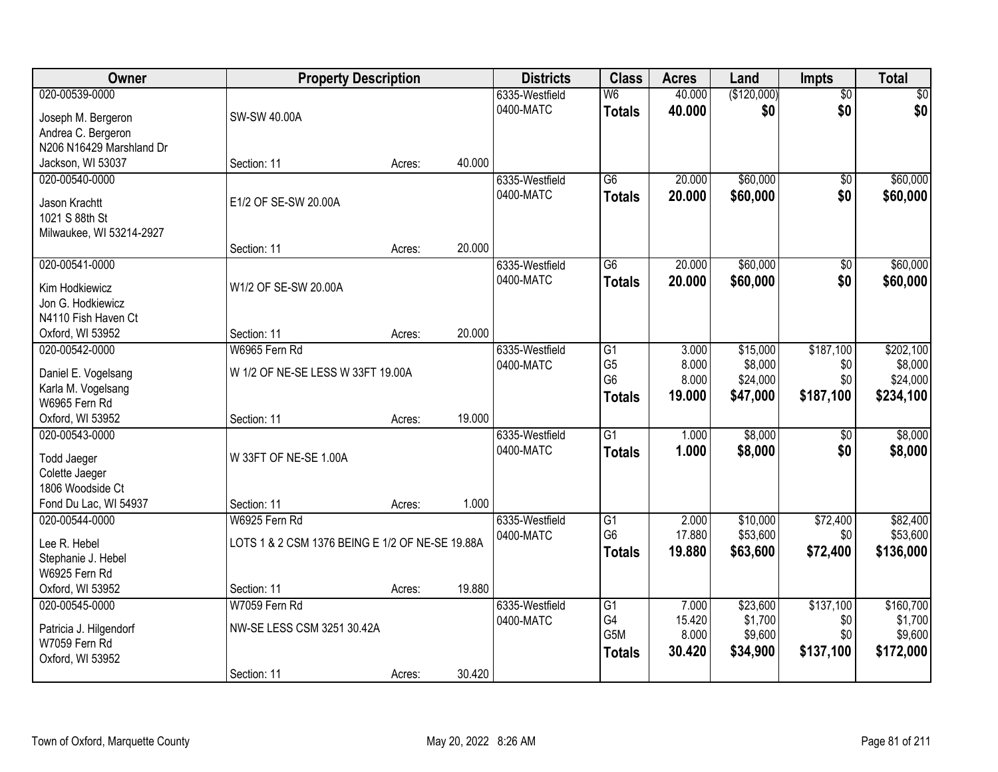| Owner                                    | <b>Property Description</b>                     |        |        | <b>Districts</b> | <b>Class</b>     | <b>Acres</b> | Land        | <b>Impts</b>    | <b>Total</b> |
|------------------------------------------|-------------------------------------------------|--------|--------|------------------|------------------|--------------|-------------|-----------------|--------------|
| 020-00539-0000                           |                                                 |        |        | 6335-Westfield   | W <sub>6</sub>   | 40.000       | (\$120,000) | $\overline{50}$ | $\sqrt{30}$  |
| Joseph M. Bergeron                       | SW-SW 40.00A                                    |        |        | 0400-MATC        | <b>Totals</b>    | 40.000       | \$0         | \$0             | \$0          |
| Andrea C. Bergeron                       |                                                 |        |        |                  |                  |              |             |                 |              |
| N206 N16429 Marshland Dr                 |                                                 |        |        |                  |                  |              |             |                 |              |
| Jackson, WI 53037                        | Section: 11                                     | Acres: | 40.000 |                  |                  |              |             |                 |              |
| 020-00540-0000                           |                                                 |        |        | 6335-Westfield   | $\overline{G6}$  | 20.000       | \$60,000    | $\overline{50}$ | \$60,000     |
| Jason Krachtt                            | E1/2 OF SE-SW 20.00A                            |        |        | 0400-MATC        | <b>Totals</b>    | 20.000       | \$60,000    | \$0             | \$60,000     |
| 1021 S 88th St                           |                                                 |        |        |                  |                  |              |             |                 |              |
| Milwaukee, WI 53214-2927                 |                                                 |        |        |                  |                  |              |             |                 |              |
|                                          | Section: 11                                     | Acres: | 20.000 |                  |                  |              |             |                 |              |
| 020-00541-0000                           |                                                 |        |        | 6335-Westfield   | G6               | 20.000       | \$60,000    | \$0             | \$60,000     |
|                                          |                                                 |        |        | 0400-MATC        | <b>Totals</b>    | 20.000       | \$60,000    | \$0             | \$60,000     |
| Kim Hodkiewicz                           | W1/2 OF SE-SW 20.00A                            |        |        |                  |                  |              |             |                 |              |
| Jon G. Hodkiewicz<br>N4110 Fish Haven Ct |                                                 |        |        |                  |                  |              |             |                 |              |
| Oxford, WI 53952                         | Section: 11                                     | Acres: | 20.000 |                  |                  |              |             |                 |              |
| 020-00542-0000                           | W6965 Fern Rd                                   |        |        | 6335-Westfield   | G1               | 3.000        | \$15,000    | \$187,100       | \$202,100    |
|                                          |                                                 |        |        | 0400-MATC        | G <sub>5</sub>   | 8.000        | \$8,000     | \$0             | \$8,000      |
| Daniel E. Vogelsang                      | W 1/2 OF NE-SE LESS W 33FT 19.00A               |        |        |                  | G <sub>6</sub>   | 8.000        | \$24,000    | \$0             | \$24,000     |
| Karla M. Vogelsang                       |                                                 |        |        |                  | <b>Totals</b>    | 19.000       | \$47,000    | \$187,100       | \$234,100    |
| W6965 Fern Rd                            |                                                 |        | 19.000 |                  |                  |              |             |                 |              |
| Oxford, WI 53952<br>020-00543-0000       | Section: 11                                     | Acres: |        |                  | $\overline{G1}$  | 1.000        | \$8,000     |                 | \$8,000      |
|                                          |                                                 |        |        | 6335-Westfield   |                  |              |             | $\overline{50}$ |              |
| Todd Jaeger                              | W 33FT OF NE-SE 1.00A                           |        |        | 0400-MATC        | <b>Totals</b>    | 1.000        | \$8,000     | \$0             | \$8,000      |
| Colette Jaeger                           |                                                 |        |        |                  |                  |              |             |                 |              |
| 1806 Woodside Ct                         |                                                 |        |        |                  |                  |              |             |                 |              |
| Fond Du Lac, WI 54937                    | Section: 11                                     | Acres: | 1.000  |                  |                  |              |             |                 |              |
| 020-00544-0000                           | W6925 Fern Rd                                   |        |        | 6335-Westfield   | $\overline{G1}$  | 2.000        | \$10,000    | \$72,400        | \$82,400     |
| Lee R. Hebel                             | LOTS 1 & 2 CSM 1376 BEING E 1/2 OF NE-SE 19.88A |        |        | 0400-MATC        | G <sub>6</sub>   | 17.880       | \$53,600    | \$0             | \$53,600     |
| Stephanie J. Hebel                       |                                                 |        |        |                  | <b>Totals</b>    | 19,880       | \$63,600    | \$72,400        | \$136,000    |
| W6925 Fern Rd                            |                                                 |        |        |                  |                  |              |             |                 |              |
| Oxford, WI 53952                         | Section: 11                                     | Acres: | 19.880 |                  |                  |              |             |                 |              |
| 020-00545-0000                           | W7059 Fern Rd                                   |        |        | 6335-Westfield   | $\overline{G1}$  | 7.000        | \$23,600    | \$137,100       | \$160,700    |
| Patricia J. Hilgendorf                   | NW-SE LESS CSM 3251 30.42A                      |        |        | 0400-MATC        | G4               | 15.420       | \$1,700     | \$0             | \$1,700      |
| W7059 Fern Rd                            |                                                 |        |        |                  | G <sub>5</sub> M | 8.000        | \$9,600     | \$0             | \$9,600      |
| Oxford, WI 53952                         |                                                 |        |        |                  | <b>Totals</b>    | 30.420       | \$34,900    | \$137,100       | \$172,000    |
|                                          | Section: 11                                     | Acres: | 30.420 |                  |                  |              |             |                 |              |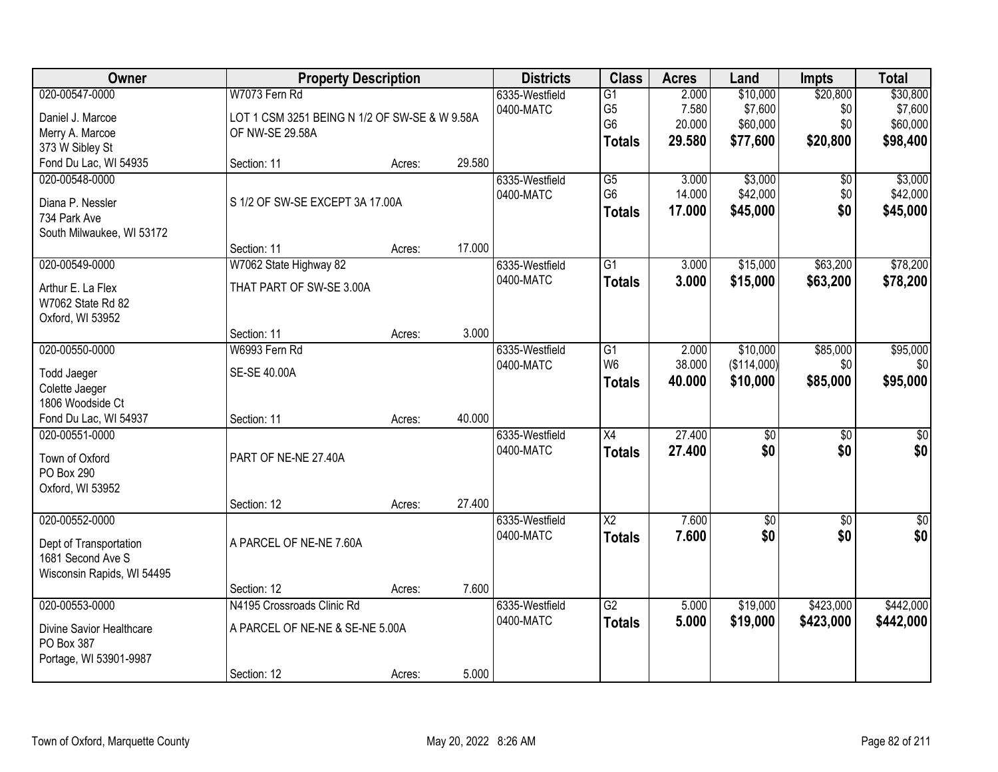| Owner                      |                                               | <b>Property Description</b> |        |                | <b>Class</b>           | <b>Acres</b> | Land            | <b>Impts</b>    | <b>Total</b>     |
|----------------------------|-----------------------------------------------|-----------------------------|--------|----------------|------------------------|--------------|-----------------|-----------------|------------------|
| 020-00547-0000             | W7073 Fern Rd                                 |                             |        | 6335-Westfield | $\overline{G1}$        | 2.000        | \$10,000        | \$20,800        | \$30,800         |
| Daniel J. Marcoe           | LOT 1 CSM 3251 BEING N 1/2 OF SW-SE & W 9.58A |                             |        | 0400-MATC      | G <sub>5</sub>         | 7.580        | \$7,600         | \$0             | \$7,600          |
| Merry A. Marcoe            | OF NW-SE 29.58A                               |                             |        |                | G <sub>6</sub>         | 20.000       | \$60,000        | \$0             | \$60,000         |
| 373 W Sibley St            |                                               |                             |        |                | <b>Totals</b>          | 29.580       | \$77,600        | \$20,800        | \$98,400         |
| Fond Du Lac, WI 54935      | Section: 11                                   | Acres:                      | 29.580 |                |                        |              |                 |                 |                  |
| 020-00548-0000             |                                               |                             |        | 6335-Westfield | $\overline{G5}$        | 3.000        | \$3,000         | $\overline{50}$ | \$3,000          |
| Diana P. Nessler           | S 1/2 OF SW-SE EXCEPT 3A 17.00A               |                             |        | 0400-MATC      | G <sub>6</sub>         | 14.000       | \$42,000        | \$0             | \$42,000         |
| 734 Park Ave               |                                               |                             |        |                | <b>Totals</b>          | 17.000       | \$45,000        | \$0             | \$45,000         |
| South Milwaukee, WI 53172  |                                               |                             |        |                |                        |              |                 |                 |                  |
|                            | Section: 11                                   | Acres:                      | 17.000 |                |                        |              |                 |                 |                  |
| 020-00549-0000             | W7062 State Highway 82                        |                             |        | 6335-Westfield | $\overline{G1}$        | 3.000        | \$15,000        | \$63,200        | \$78,200         |
| Arthur E. La Flex          | THAT PART OF SW-SE 3.00A                      |                             |        | 0400-MATC      | <b>Totals</b>          | 3.000        | \$15,000        | \$63,200        | \$78,200         |
| W7062 State Rd 82          |                                               |                             |        |                |                        |              |                 |                 |                  |
| Oxford, WI 53952           |                                               |                             |        |                |                        |              |                 |                 |                  |
|                            | Section: 11                                   | Acres:                      | 3.000  |                |                        |              |                 |                 |                  |
| 020-00550-0000             | W6993 Fern Rd                                 |                             |        | 6335-Westfield | G1                     | 2.000        | \$10,000        | \$85,000        | \$95,000         |
| <b>Todd Jaeger</b>         | SE-SE 40.00A                                  |                             |        | 0400-MATC      | W <sub>6</sub>         | 38.000       | (\$114,000)     | \$0             | \$0              |
| Colette Jaeger             |                                               |                             |        |                | <b>Totals</b>          | 40.000       | \$10,000        | \$85,000        | \$95,000         |
| 1806 Woodside Ct           |                                               |                             |        |                |                        |              |                 |                 |                  |
| Fond Du Lac, WI 54937      | Section: 11                                   | Acres:                      | 40.000 |                |                        |              |                 |                 |                  |
| 020-00551-0000             |                                               |                             |        | 6335-Westfield | $\overline{X4}$        | 27.400       | $\overline{50}$ | $\overline{30}$ | $\sqrt{50}$      |
| Town of Oxford             | PART OF NE-NE 27.40A                          |                             |        | 0400-MATC      | <b>Totals</b>          | 27.400       | \$0             | \$0             | \$0              |
| PO Box 290                 |                                               |                             |        |                |                        |              |                 |                 |                  |
| Oxford, WI 53952           |                                               |                             |        |                |                        |              |                 |                 |                  |
|                            | Section: 12                                   | Acres:                      | 27.400 |                |                        |              |                 |                 |                  |
| 020-00552-0000             |                                               |                             |        | 6335-Westfield | $\overline{\text{X2}}$ | 7.600        | $\overline{30}$ | \$0             | $\overline{\$0}$ |
| Dept of Transportation     | A PARCEL OF NE-NE 7.60A                       |                             |        | 0400-MATC      | <b>Totals</b>          | 7.600        | \$0             | \$0             | \$0              |
| 1681 Second Ave S          |                                               |                             |        |                |                        |              |                 |                 |                  |
| Wisconsin Rapids, WI 54495 |                                               |                             |        |                |                        |              |                 |                 |                  |
|                            | Section: 12                                   | Acres:                      | 7.600  |                |                        |              |                 |                 |                  |
| 020-00553-0000             | N4195 Crossroads Clinic Rd                    |                             |        | 6335-Westfield | $\overline{G2}$        | 5.000        | \$19,000        | \$423,000       | \$442,000        |
| Divine Savior Healthcare   | A PARCEL OF NE-NE & SE-NE 5.00A               |                             |        | 0400-MATC      | <b>Totals</b>          | 5.000        | \$19,000        | \$423,000       | \$442,000        |
| PO Box 387                 |                                               |                             |        |                |                        |              |                 |                 |                  |
| Portage, WI 53901-9987     |                                               |                             |        |                |                        |              |                 |                 |                  |
|                            | Section: 12                                   | Acres:                      | 5.000  |                |                        |              |                 |                 |                  |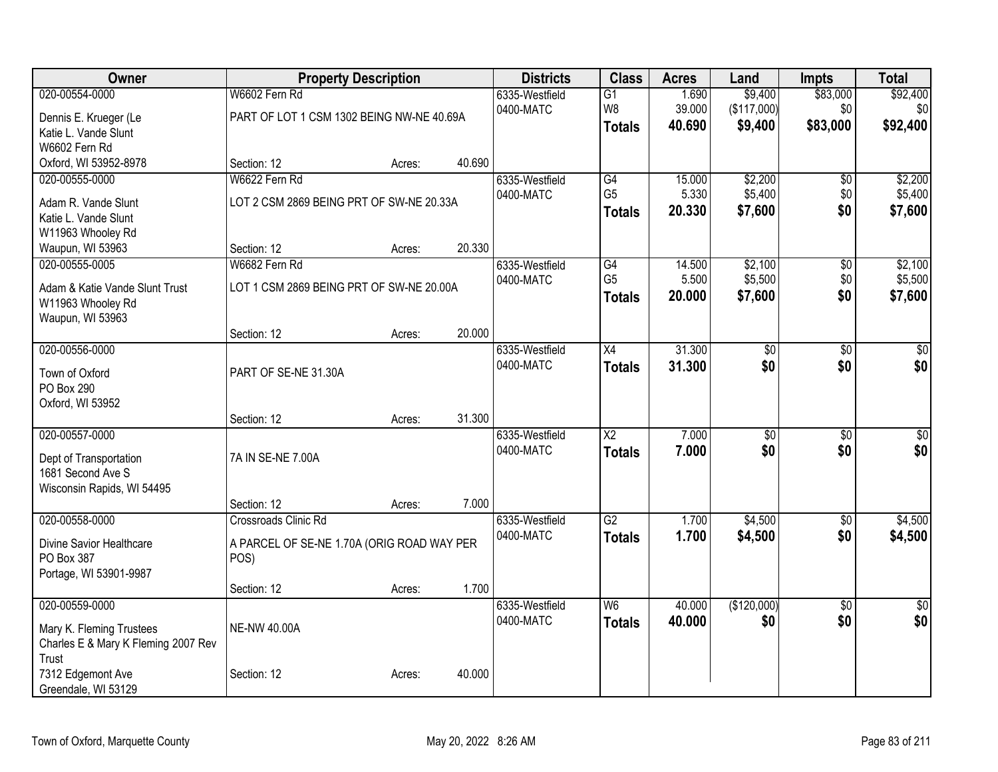| \$83,000<br>020-00554-0000<br>W6602 Fern Rd<br>1.690<br>\$9,400<br>6335-Westfield<br>$\overline{G1}$<br>W <sub>8</sub><br>(\$117,000)<br>39.000<br>\$0<br>0400-MATC<br>PART OF LOT 1 CSM 1302 BEING NW-NE 40.69A<br>Dennis E. Krueger (Le<br>40.690<br>\$83,000<br>\$9,400<br><b>Totals</b><br>Katie L. Vande Slunt | \$92,400<br>\$0<br>\$92,400 |
|---------------------------------------------------------------------------------------------------------------------------------------------------------------------------------------------------------------------------------------------------------------------------------------------------------------------|-----------------------------|
|                                                                                                                                                                                                                                                                                                                     |                             |
|                                                                                                                                                                                                                                                                                                                     |                             |
|                                                                                                                                                                                                                                                                                                                     |                             |
| W6602 Fern Rd                                                                                                                                                                                                                                                                                                       |                             |
| Oxford, WI 53952-8978<br>40.690<br>Section: 12<br>Acres:                                                                                                                                                                                                                                                            |                             |
| W6622 Fern Rd<br>\$2,200<br>020-00555-0000<br>G4<br>15.000<br>\$0<br>6335-Westfield                                                                                                                                                                                                                                 | \$2,200                     |
| \$5,400<br>5.330<br>G <sub>5</sub><br>\$0<br>0400-MATC<br>LOT 2 CSM 2869 BEING PRT OF SW-NE 20.33A<br>Adam R. Vande Slunt                                                                                                                                                                                           | \$5,400                     |
| 20.330<br>\$7,600<br>\$0<br><b>Totals</b><br>Katie L. Vande Slunt                                                                                                                                                                                                                                                   | \$7,600                     |
| W11963 Whooley Rd                                                                                                                                                                                                                                                                                                   |                             |
| 20.330<br>Waupun, WI 53963<br>Section: 12<br>Acres:                                                                                                                                                                                                                                                                 |                             |
| W6682 Fern Rd<br>\$2,100<br>020-00555-0005<br>$\overline{G4}$<br>14.500<br>$\overline{50}$<br>6335-Westfield                                                                                                                                                                                                        | \$2,100                     |
| \$5,500<br>G <sub>5</sub><br>5.500<br>\$0<br>0400-MATC<br>Adam & Katie Vande Slunt Trust<br>LOT 1 CSM 2869 BEING PRT OF SW-NE 20.00A                                                                                                                                                                                | \$5,500                     |
| \$0<br>20.000<br>\$7,600<br><b>Totals</b><br>W11963 Whooley Rd                                                                                                                                                                                                                                                      | \$7,600                     |
| Waupun, WI 53963                                                                                                                                                                                                                                                                                                    |                             |
| 20.000<br>Section: 12<br>Acres:                                                                                                                                                                                                                                                                                     |                             |
| 31.300<br>020-00556-0000<br>$\overline{X4}$<br>$\overline{50}$<br>6335-Westfield<br>\$0                                                                                                                                                                                                                             | \$0                         |
| 0400-MATC<br>\$0<br>31.300<br>\$0<br><b>Totals</b>                                                                                                                                                                                                                                                                  | \$0                         |
| PART OF SE-NE 31.30A<br>Town of Oxford<br>PO Box 290                                                                                                                                                                                                                                                                |                             |
| Oxford, WI 53952                                                                                                                                                                                                                                                                                                    |                             |
| 31.300<br>Section: 12<br>Acres:                                                                                                                                                                                                                                                                                     |                             |
| 020-00557-0000<br>$\overline{\text{X2}}$<br>7.000<br>$\overline{50}$<br>$\overline{50}$<br>6335-Westfield                                                                                                                                                                                                           | $\overline{\$0}$            |
| \$0<br>0400-MATC<br>7.000<br>\$0<br><b>Totals</b>                                                                                                                                                                                                                                                                   | \$0                         |
| 7A IN SE-NE 7.00A<br>Dept of Transportation<br>1681 Second Ave S                                                                                                                                                                                                                                                    |                             |
| Wisconsin Rapids, WI 54495                                                                                                                                                                                                                                                                                          |                             |
| 7.000<br>Section: 12<br>Acres:                                                                                                                                                                                                                                                                                      |                             |
| 020-00558-0000<br>6335-Westfield<br>$\overline{G2}$<br>1.700<br>\$4,500<br>Crossroads Clinic Rd<br>$\sqrt{6}$                                                                                                                                                                                                       | \$4,500                     |
| 1.700<br>0400-MATC<br>\$4,500<br>\$0<br><b>Totals</b>                                                                                                                                                                                                                                                               | \$4,500                     |
| A PARCEL OF SE-NE 1.70A (ORIG ROAD WAY PER<br>Divine Savior Healthcare                                                                                                                                                                                                                                              |                             |
| PO Box 387<br>POS)                                                                                                                                                                                                                                                                                                  |                             |
| Portage, WI 53901-9987<br>1.700<br>Section: 12<br>Acres:                                                                                                                                                                                                                                                            |                             |
| 020-00559-0000<br>(\$120,000)<br>$\overline{\mathsf{W6}}$<br>40.000<br>$\overline{50}$<br>6335-Westfield                                                                                                                                                                                                            | $\overline{50}$             |
| \$0<br>40.000<br>0400-MATC<br>\$0<br><b>Totals</b>                                                                                                                                                                                                                                                                  | \$0                         |
| <b>NE-NW 40.00A</b><br>Mary K. Fleming Trustees                                                                                                                                                                                                                                                                     |                             |
| Charles E & Mary K Fleming 2007 Rev                                                                                                                                                                                                                                                                                 |                             |
| Trust<br>7312 Edgemont Ave<br>40.000<br>Section: 12                                                                                                                                                                                                                                                                 |                             |
| Acres:<br>Greendale, WI 53129                                                                                                                                                                                                                                                                                       |                             |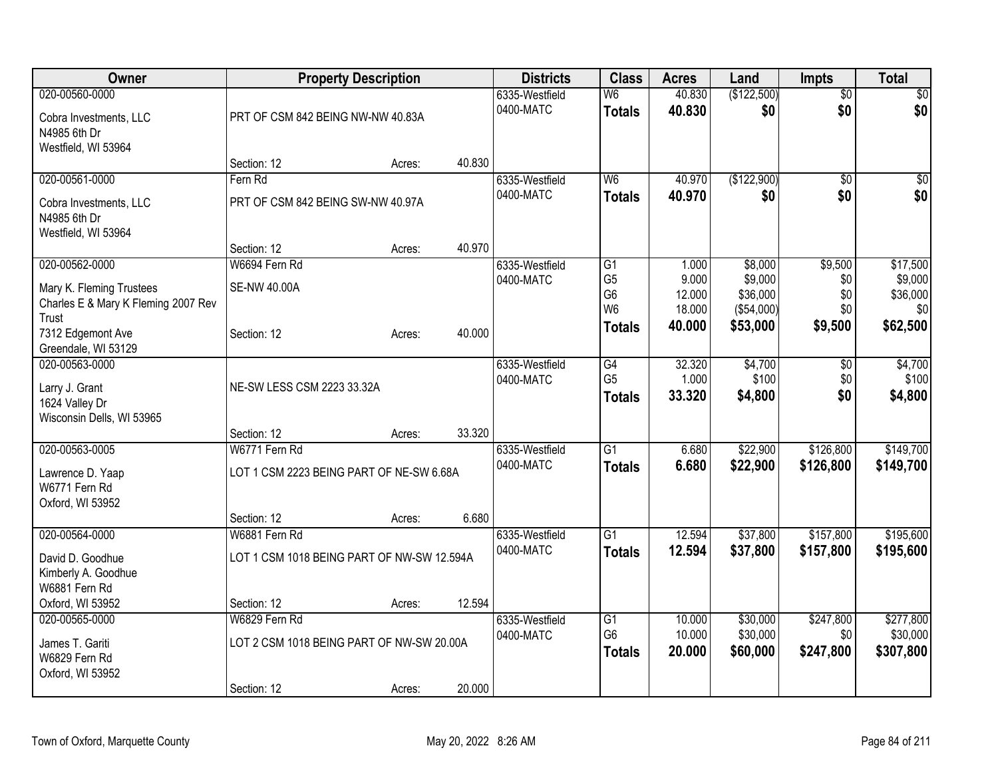| Owner                                       |                                            | <b>Property Description</b> |        | <b>Districts</b>            | <b>Class</b>         | <b>Acres</b>   | Land               | <b>Impts</b>    | <b>Total</b>        |
|---------------------------------------------|--------------------------------------------|-----------------------------|--------|-----------------------------|----------------------|----------------|--------------------|-----------------|---------------------|
| 020-00560-0000                              |                                            |                             |        | 6335-Westfield              | W <sub>6</sub>       | 40.830         | (\$122,500)        | $\overline{50}$ | $\sqrt{50}$         |
| Cobra Investments, LLC                      | PRT OF CSM 842 BEING NW-NW 40.83A          |                             |        | 0400-MATC                   | <b>Totals</b>        | 40.830         | \$0                | \$0             | \$0                 |
| N4985 6th Dr                                |                                            |                             |        |                             |                      |                |                    |                 |                     |
| Westfield, WI 53964                         |                                            |                             |        |                             |                      |                |                    |                 |                     |
|                                             | Section: 12                                | Acres:                      | 40.830 |                             |                      |                |                    |                 |                     |
| 020-00561-0000                              | Fern Rd                                    |                             |        | 6335-Westfield              | W <sub>6</sub>       | 40.970         | (\$122,900)        | $\overline{30}$ | $\sqrt{50}$         |
| Cobra Investments, LLC                      | PRT OF CSM 842 BEING SW-NW 40.97A          |                             |        | 0400-MATC                   | <b>Totals</b>        | 40.970         | \$0                | \$0             | \$0                 |
| N4985 6th Dr                                |                                            |                             |        |                             |                      |                |                    |                 |                     |
| Westfield, WI 53964                         |                                            |                             |        |                             |                      |                |                    |                 |                     |
|                                             | Section: 12                                | Acres:                      | 40.970 |                             |                      |                |                    |                 |                     |
| 020-00562-0000                              | W6694 Fern Rd                              |                             |        | 6335-Westfield<br>0400-MATC | G1<br>G <sub>5</sub> | 1.000<br>9.000 | \$8,000<br>\$9,000 | \$9,500<br>\$0  | \$17,500<br>\$9,000 |
| Mary K. Fleming Trustees                    | <b>SE-NW 40.00A</b>                        |                             |        |                             | G <sub>6</sub>       | 12.000         | \$36,000           | \$0             | \$36,000            |
| Charles E & Mary K Fleming 2007 Rev         |                                            |                             |        |                             | W <sub>6</sub>       | 18.000         | (\$54,000)         | \$0             | \$0                 |
| Trust                                       |                                            |                             | 40.000 |                             | <b>Totals</b>        | 40,000         | \$53,000           | \$9,500         | \$62,500            |
| 7312 Edgemont Ave<br>Greendale, WI 53129    | Section: 12                                | Acres:                      |        |                             |                      |                |                    |                 |                     |
| 020-00563-0000                              |                                            |                             |        | 6335-Westfield              | G4                   | 32.320         | \$4,700            | \$0             | \$4,700             |
|                                             |                                            |                             |        | 0400-MATC                   | G <sub>5</sub>       | 1.000          | \$100              | \$0             | \$100               |
| Larry J. Grant                              | NE-SW LESS CSM 2223 33.32A                 |                             |        |                             | <b>Totals</b>        | 33.320         | \$4,800            | \$0             | \$4,800             |
| 1624 Valley Dr<br>Wisconsin Dells, WI 53965 |                                            |                             |        |                             |                      |                |                    |                 |                     |
|                                             | Section: 12                                | Acres:                      | 33.320 |                             |                      |                |                    |                 |                     |
| 020-00563-0005                              | W6771 Fern Rd                              |                             |        | 6335-Westfield              | $\overline{G1}$      | 6.680          | \$22,900           | \$126,800       | \$149,700           |
| Lawrence D. Yaap                            | LOT 1 CSM 2223 BEING PART OF NE-SW 6.68A   |                             |        | 0400-MATC                   | <b>Totals</b>        | 6.680          | \$22,900           | \$126,800       | \$149,700           |
| W6771 Fern Rd                               |                                            |                             |        |                             |                      |                |                    |                 |                     |
| Oxford, WI 53952                            |                                            |                             |        |                             |                      |                |                    |                 |                     |
|                                             | Section: 12                                | Acres:                      | 6.680  |                             |                      |                |                    |                 |                     |
| 020-00564-0000                              | W6881 Fern Rd                              |                             |        | 6335-Westfield              | $\overline{G1}$      | 12.594         | \$37,800           | \$157,800       | \$195,600           |
| David D. Goodhue                            | LOT 1 CSM 1018 BEING PART OF NW-SW 12.594A |                             |        | 0400-MATC                   | <b>Totals</b>        | 12.594         | \$37,800           | \$157,800       | \$195,600           |
| Kimberly A. Goodhue                         |                                            |                             |        |                             |                      |                |                    |                 |                     |
| W6881 Fern Rd                               |                                            |                             |        |                             |                      |                |                    |                 |                     |
| Oxford, WI 53952                            | Section: 12                                | Acres:                      | 12.594 |                             |                      |                |                    |                 |                     |
| 020-00565-0000                              | W6829 Fern Rd                              |                             |        | 6335-Westfield              | $\overline{G1}$      | 10.000         | \$30,000           | \$247,800       | \$277,800           |
| James T. Gariti                             | LOT 2 CSM 1018 BEING PART OF NW-SW 20.00A  |                             |        | 0400-MATC                   | G <sub>6</sub>       | 10.000         | \$30,000           | \$0             | \$30,000            |
| W6829 Fern Rd                               |                                            |                             |        |                             | <b>Totals</b>        | 20.000         | \$60,000           | \$247,800       | \$307,800           |
| Oxford, WI 53952                            |                                            |                             |        |                             |                      |                |                    |                 |                     |
|                                             | Section: 12                                | Acres:                      | 20.000 |                             |                      |                |                    |                 |                     |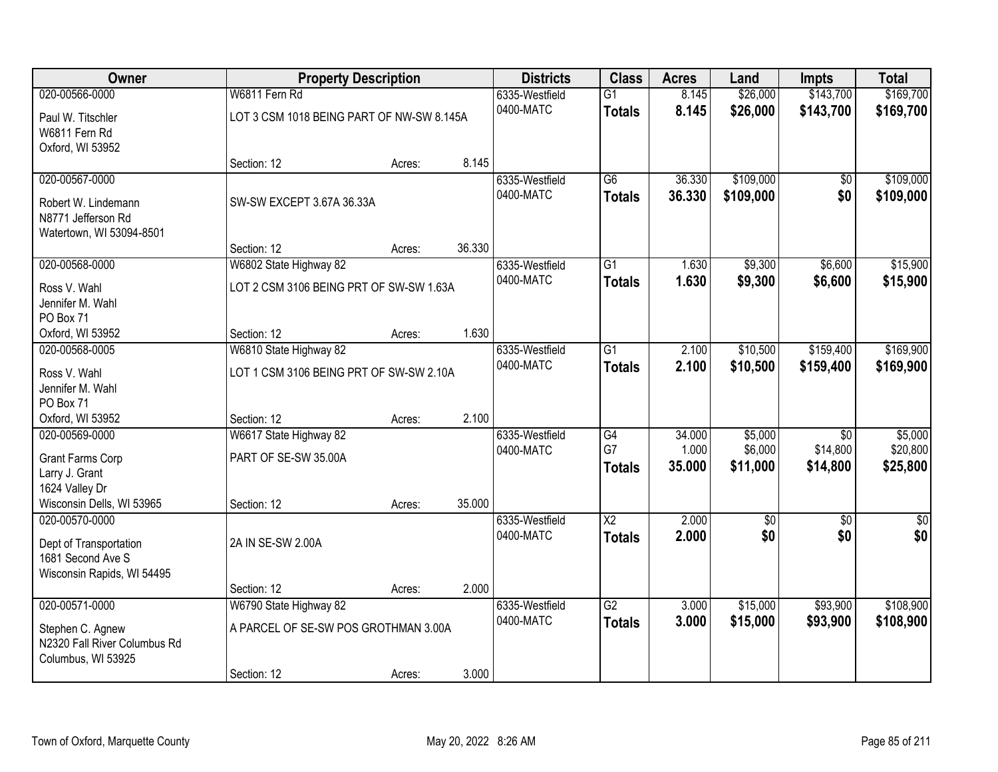| Owner                        |                                           | <b>Property Description</b> |        |                             | <b>Class</b>           | <b>Acres</b>    | Land                | <b>Impts</b>         | <b>Total</b>         |
|------------------------------|-------------------------------------------|-----------------------------|--------|-----------------------------|------------------------|-----------------|---------------------|----------------------|----------------------|
| 020-00566-0000               | W6811 Fern Rd                             |                             |        | 6335-Westfield              | $\overline{G1}$        | 8.145           | \$26,000            | \$143,700            | \$169,700            |
| Paul W. Titschler            | LOT 3 CSM 1018 BEING PART OF NW-SW 8.145A |                             |        | 0400-MATC                   | <b>Totals</b>          | 8.145           | \$26,000            | \$143,700            | \$169,700            |
| W6811 Fern Rd                |                                           |                             |        |                             |                        |                 |                     |                      |                      |
| Oxford, WI 53952             |                                           |                             |        |                             |                        |                 |                     |                      |                      |
|                              | Section: 12                               | Acres:                      | 8.145  |                             |                        |                 |                     |                      |                      |
| 020-00567-0000               |                                           |                             |        | 6335-Westfield              | $\overline{G6}$        | 36.330          | \$109,000           | \$0                  | \$109,000            |
| Robert W. Lindemann          | SW-SW EXCEPT 3.67A 36.33A                 |                             |        | 0400-MATC                   | <b>Totals</b>          | 36.330          | \$109,000           | \$0                  | \$109,000            |
| N8771 Jefferson Rd           |                                           |                             |        |                             |                        |                 |                     |                      |                      |
| Watertown, WI 53094-8501     |                                           |                             |        |                             |                        |                 |                     |                      |                      |
|                              | Section: 12                               | Acres:                      | 36.330 |                             |                        |                 |                     |                      |                      |
| 020-00568-0000               | W6802 State Highway 82                    |                             |        | 6335-Westfield              | $\overline{G1}$        | 1.630           | \$9,300             | \$6,600              | \$15,900             |
| Ross V. Wahl                 | LOT 2 CSM 3106 BEING PRT OF SW-SW 1.63A   |                             |        | 0400-MATC                   | <b>Totals</b>          | 1.630           | \$9,300             | \$6,600              | \$15,900             |
| Jennifer M. Wahl             |                                           |                             |        |                             |                        |                 |                     |                      |                      |
| PO Box 71                    |                                           |                             |        |                             |                        |                 |                     |                      |                      |
| Oxford, WI 53952             | Section: 12                               | Acres:                      | 1.630  |                             |                        |                 |                     |                      |                      |
| 020-00568-0005               | W6810 State Highway 82                    |                             |        | 6335-Westfield              | $\overline{G1}$        | 2.100           | \$10,500            | \$159,400            | \$169,900            |
| Ross V. Wahl                 | LOT 1 CSM 3106 BEING PRT OF SW-SW 2.10A   |                             |        | 0400-MATC                   | <b>Totals</b>          | 2.100           | \$10,500            | \$159,400            | \$169,900            |
| Jennifer M. Wahl             |                                           |                             |        |                             |                        |                 |                     |                      |                      |
| PO Box 71                    |                                           |                             |        |                             |                        |                 |                     |                      |                      |
| Oxford, WI 53952             | Section: 12                               | Acres:                      | 2.100  |                             |                        |                 |                     |                      |                      |
| 020-00569-0000               | W6617 State Highway 82                    |                             |        | 6335-Westfield              | G4<br>G7               | 34.000          | \$5,000             | $\overline{30}$      | \$5,000              |
| Grant Farms Corp             | PART OF SE-SW 35.00A                      |                             |        | 0400-MATC                   |                        | 1.000<br>35.000 | \$6,000<br>\$11,000 | \$14,800<br>\$14,800 | \$20,800<br>\$25,800 |
| Larry J. Grant               |                                           |                             |        |                             | <b>Totals</b>          |                 |                     |                      |                      |
| 1624 Valley Dr               |                                           |                             |        |                             |                        |                 |                     |                      |                      |
| Wisconsin Dells, WI 53965    | Section: 12                               | Acres:                      | 35.000 |                             |                        |                 |                     |                      |                      |
| 020-00570-0000               |                                           |                             |        | 6335-Westfield              | $\overline{\text{X2}}$ | 2.000           | $\overline{50}$     | $\overline{50}$      | \$0                  |
| Dept of Transportation       | 2A IN SE-SW 2.00A                         |                             |        | 0400-MATC                   | <b>Totals</b>          | 2.000           | \$0                 | \$0                  | \$0                  |
| 1681 Second Ave S            |                                           |                             |        |                             |                        |                 |                     |                      |                      |
| Wisconsin Rapids, WI 54495   |                                           |                             |        |                             |                        |                 |                     |                      |                      |
|                              | Section: 12                               | Acres:                      | 2.000  |                             |                        |                 |                     |                      |                      |
| 020-00571-0000               | W6790 State Highway 82                    |                             |        | 6335-Westfield<br>0400-MATC | $\overline{G2}$        | 3.000           | \$15,000            | \$93,900             | \$108,900            |
| Stephen C. Agnew             | A PARCEL OF SE-SW POS GROTHMAN 3.00A      |                             |        |                             | <b>Totals</b>          | 3.000           | \$15,000            | \$93,900             | \$108,900            |
| N2320 Fall River Columbus Rd |                                           |                             |        |                             |                        |                 |                     |                      |                      |
| Columbus, WI 53925           |                                           |                             |        |                             |                        |                 |                     |                      |                      |
|                              | Section: 12                               | Acres:                      | 3.000  |                             |                        |                 |                     |                      |                      |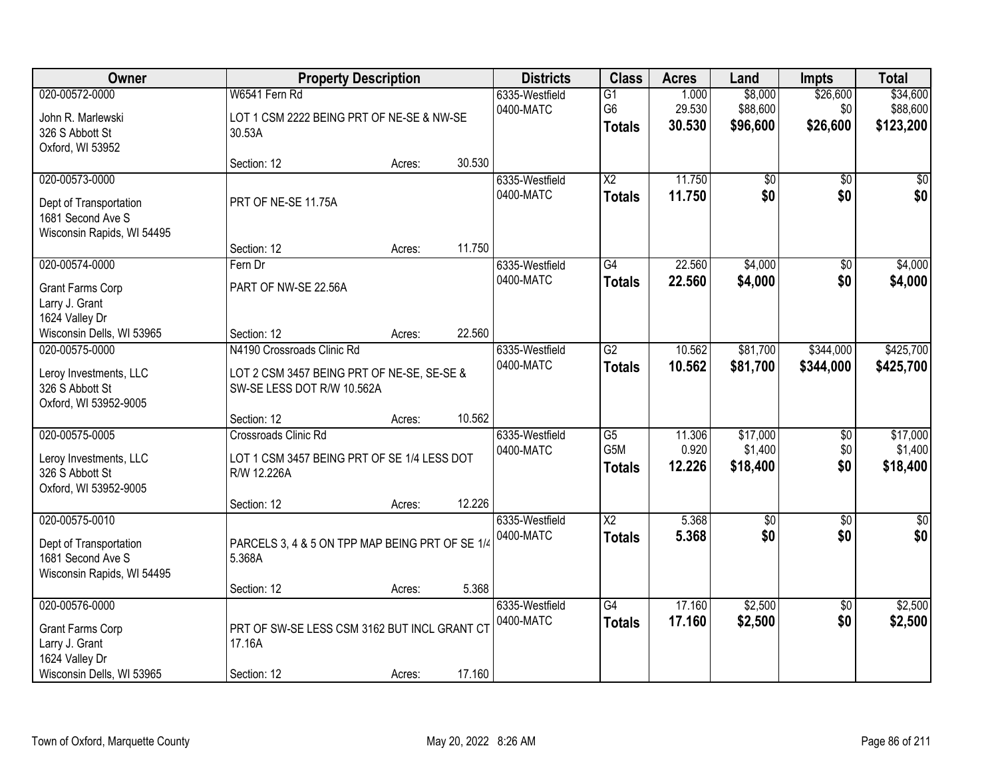| <b>Class</b><br>Owner<br><b>Districts</b><br><b>Property Description</b><br><b>Acres</b><br>Land<br><b>Impts</b>                               |                 | <b>Total</b> |
|------------------------------------------------------------------------------------------------------------------------------------------------|-----------------|--------------|
| 020-00572-0000<br>W6541 Fern Rd<br>$\overline{G1}$<br>1.000<br>\$8,000<br>6335-Westfield                                                       | \$26,600        | \$34,600     |
| 29.530<br>\$88,600<br>G <sub>6</sub><br>0400-MATC<br>LOT 1 CSM 2222 BEING PRT OF NE-SE & NW-SE<br>John R. Marlewski                            | \$0             | \$88,600     |
| \$96,600<br>30.530<br><b>Totals</b><br>326 S Abbott St<br>30.53A                                                                               | \$26,600        | \$123,200    |
| Oxford, WI 53952                                                                                                                               |                 |              |
| 30.530<br>Section: 12<br>Acres:                                                                                                                |                 |              |
| $\overline{X2}$<br>11.750<br>020-00573-0000<br>6335-Westfield<br>\$0                                                                           | $\overline{50}$ | \$0          |
| \$0<br>0400-MATC<br>11.750<br><b>Totals</b><br>PRT OF NE-SE 11.75A<br>Dept of Transportation                                                   | \$0             | \$0          |
| 1681 Second Ave S                                                                                                                              |                 |              |
| Wisconsin Rapids, WI 54495                                                                                                                     |                 |              |
| 11.750<br>Section: 12<br>Acres:                                                                                                                |                 |              |
| 22.560<br>\$4,000<br>020-00574-0000<br>G4<br>Fern Dr<br>6335-Westfield                                                                         | \$0             | \$4,000      |
| 0400-MATC<br>\$4,000<br>22.560<br><b>Totals</b><br>PART OF NW-SE 22.56A<br>Grant Farms Corp                                                    | \$0             | \$4,000      |
| Larry J. Grant                                                                                                                                 |                 |              |
| 1624 Valley Dr                                                                                                                                 |                 |              |
| 22.560<br>Wisconsin Dells, WI 53965<br>Section: 12<br>Acres:                                                                                   |                 |              |
| 020-00575-0000<br>$\overline{G2}$<br>10.562<br>\$81,700<br>N4190 Crossroads Clinic Rd<br>6335-Westfield                                        | \$344,000       | \$425,700    |
| 0400-MATC<br>10.562<br>\$81,700<br><b>Totals</b>                                                                                               | \$344,000       | \$425,700    |
| LOT 2 CSM 3457 BEING PRT OF NE-SE, SE-SE &<br>Leroy Investments, LLC<br>326 S Abbott St<br>SW-SE LESS DOT R/W 10.562A                          |                 |              |
| Oxford, WI 53952-9005                                                                                                                          |                 |              |
| 10.562<br>Section: 12<br>Acres:                                                                                                                |                 |              |
| 020-00575-0005<br>$\overline{G5}$<br>11.306<br>\$17,000<br>Crossroads Clinic Rd<br>6335-Westfield                                              | $\overline{50}$ | \$17,000     |
| G <sub>5</sub> M<br>0.920<br>\$1,400<br>0400-MATC                                                                                              | \$0             | \$1,400      |
| LOT 1 CSM 3457 BEING PRT OF SE 1/4 LESS DOT<br>Leroy Investments, LLC<br>12.226<br>\$18,400<br><b>Totals</b><br>326 S Abbott St<br>R/W 12.226A | \$0             | \$18,400     |
| Oxford, WI 53952-9005                                                                                                                          |                 |              |
| 12.226<br>Section: 12<br>Acres:                                                                                                                |                 |              |
| $\overline{\text{X2}}$<br>5.368<br>020-00575-0010<br>$\overline{60}$<br>6335-Westfield                                                         | $\overline{60}$ | $\sqrt{60}$  |
| \$0<br>0400-MATC<br>5.368<br><b>Totals</b>                                                                                                     | \$0             | \$0          |
| PARCELS 3, 4 & 5 ON TPP MAP BEING PRT OF SE 1/4<br>Dept of Transportation<br>1681 Second Ave S<br>5.368A                                       |                 |              |
| Wisconsin Rapids, WI 54495                                                                                                                     |                 |              |
| 5.368<br>Section: 12<br>Acres:                                                                                                                 |                 |              |
| 020-00576-0000<br>17.160<br>\$2,500<br>6335-Westfield<br>$\overline{G4}$                                                                       | $\overline{50}$ | \$2,500      |
| 17.160<br>\$2,500<br>0400-MATC<br><b>Totals</b>                                                                                                | \$0             | \$2,500      |
| PRT OF SW-SE LESS CSM 3162 BUT INCL GRANT CT<br><b>Grant Farms Corp</b>                                                                        |                 |              |
| Larry J. Grant<br>17.16A<br>1624 Valley Dr                                                                                                     |                 |              |
| 17.160<br>Wisconsin Dells, WI 53965<br>Section: 12<br>Acres:                                                                                   |                 |              |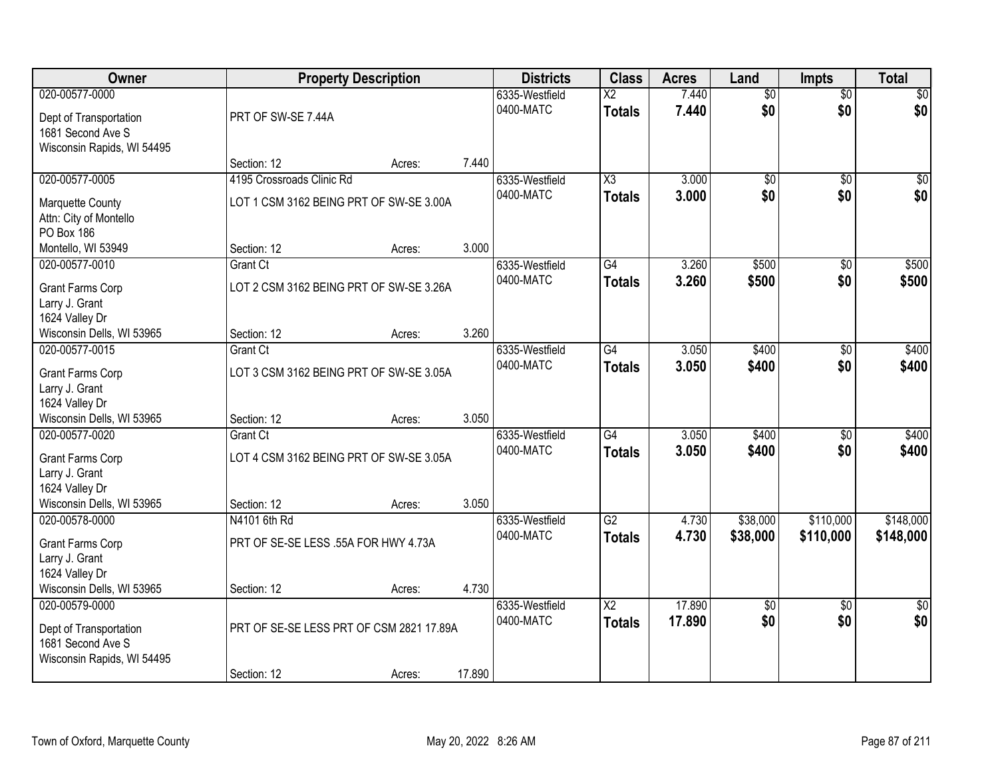| Owner                                                                                       | <b>Property Description</b>                                          |        |        | <b>Districts</b>            | <b>Class</b>                            | <b>Acres</b>   | Land                   | <b>Impts</b>           | <b>Total</b>       |
|---------------------------------------------------------------------------------------------|----------------------------------------------------------------------|--------|--------|-----------------------------|-----------------------------------------|----------------|------------------------|------------------------|--------------------|
| 020-00577-0000<br>Dept of Transportation<br>1681 Second Ave S<br>Wisconsin Rapids, WI 54495 | PRT OF SW-SE 7.44A                                                   |        |        | 6335-Westfield<br>0400-MATC | $\overline{\text{X2}}$<br><b>Totals</b> | 7.440<br>7.440 | $\overline{50}$<br>\$0 | $\overline{50}$<br>\$0 | \$0<br>\$0         |
|                                                                                             | Section: 12                                                          | Acres: | 7.440  |                             |                                         |                |                        |                        |                    |
| 020-00577-0005<br>Marquette County                                                          | 4195 Crossroads Clinic Rd<br>LOT 1 CSM 3162 BEING PRT OF SW-SE 3.00A |        |        | 6335-Westfield<br>0400-MATC | X3<br><b>Totals</b>                     | 3.000<br>3.000 | \$0<br>\$0             | $\overline{50}$<br>\$0 | $\sqrt{50}$<br>\$0 |
| Attn: City of Montello<br>PO Box 186<br>Montello, WI 53949                                  | Section: 12                                                          | Acres: | 3.000  |                             |                                         |                |                        |                        |                    |
| 020-00577-0010                                                                              | <b>Grant Ct</b>                                                      |        |        | 6335-Westfield              | G4                                      | 3.260          | \$500                  | \$0                    | \$500              |
| <b>Grant Farms Corp</b><br>Larry J. Grant<br>1624 Valley Dr                                 | LOT 2 CSM 3162 BEING PRT OF SW-SE 3.26A                              |        |        | 0400-MATC                   | <b>Totals</b>                           | 3.260          | \$500                  | \$0                    | \$500              |
| Wisconsin Dells, WI 53965                                                                   | Section: 12                                                          | Acres: | 3.260  |                             |                                         |                |                        |                        |                    |
| 020-00577-0015                                                                              | <b>Grant Ct</b>                                                      |        |        | 6335-Westfield              | $\overline{G4}$                         | 3.050          | \$400                  | \$0                    | \$400              |
| <b>Grant Farms Corp</b><br>Larry J. Grant                                                   | LOT 3 CSM 3162 BEING PRT OF SW-SE 3.05A                              |        |        | 0400-MATC                   | <b>Totals</b>                           | 3.050          | \$400                  | \$0                    | \$400              |
| 1624 Valley Dr                                                                              |                                                                      |        | 3.050  |                             |                                         |                |                        |                        |                    |
| Wisconsin Dells, WI 53965<br>020-00577-0020                                                 | Section: 12<br><b>Grant Ct</b>                                       | Acres: |        | 6335-Westfield              | $\overline{G4}$                         | 3.050          | \$400                  | $\overline{50}$        | \$400              |
|                                                                                             |                                                                      |        |        | 0400-MATC                   | <b>Totals</b>                           | 3.050          | \$400                  | \$0                    | \$400              |
| <b>Grant Farms Corp</b>                                                                     | LOT 4 CSM 3162 BEING PRT OF SW-SE 3.05A                              |        |        |                             |                                         |                |                        |                        |                    |
| Larry J. Grant                                                                              |                                                                      |        |        |                             |                                         |                |                        |                        |                    |
| 1624 Valley Dr<br>Wisconsin Dells, WI 53965                                                 | Section: 12                                                          | Acres: | 3.050  |                             |                                         |                |                        |                        |                    |
| 020-00578-0000                                                                              | N4101 6th Rd                                                         |        |        | 6335-Westfield              | G2                                      | 4.730          | \$38,000               | \$110,000              | \$148,000          |
| Grant Farms Corp<br>Larry J. Grant                                                          | PRT OF SE-SE LESS .55A FOR HWY 4.73A                                 |        |        | 0400-MATC                   | <b>Totals</b>                           | 4.730          | \$38,000               | \$110,000              | \$148,000          |
| 1624 Valley Dr                                                                              |                                                                      |        |        |                             |                                         |                |                        |                        |                    |
| Wisconsin Dells, WI 53965                                                                   | Section: 12                                                          | Acres: | 4.730  |                             |                                         |                |                        |                        |                    |
| 020-00579-0000                                                                              |                                                                      |        |        | 6335-Westfield              | $\overline{X2}$                         | 17.890         | $\overline{50}$        | $\overline{50}$        | $\overline{30}$    |
| Dept of Transportation<br>1681 Second Ave S                                                 | PRT OF SE-SE LESS PRT OF CSM 2821 17.89A                             |        |        | 0400-MATC                   | <b>Totals</b>                           | 17.890         | \$0                    | \$0                    | \$0                |
| Wisconsin Rapids, WI 54495                                                                  | Section: 12                                                          | Acres: | 17.890 |                             |                                         |                |                        |                        |                    |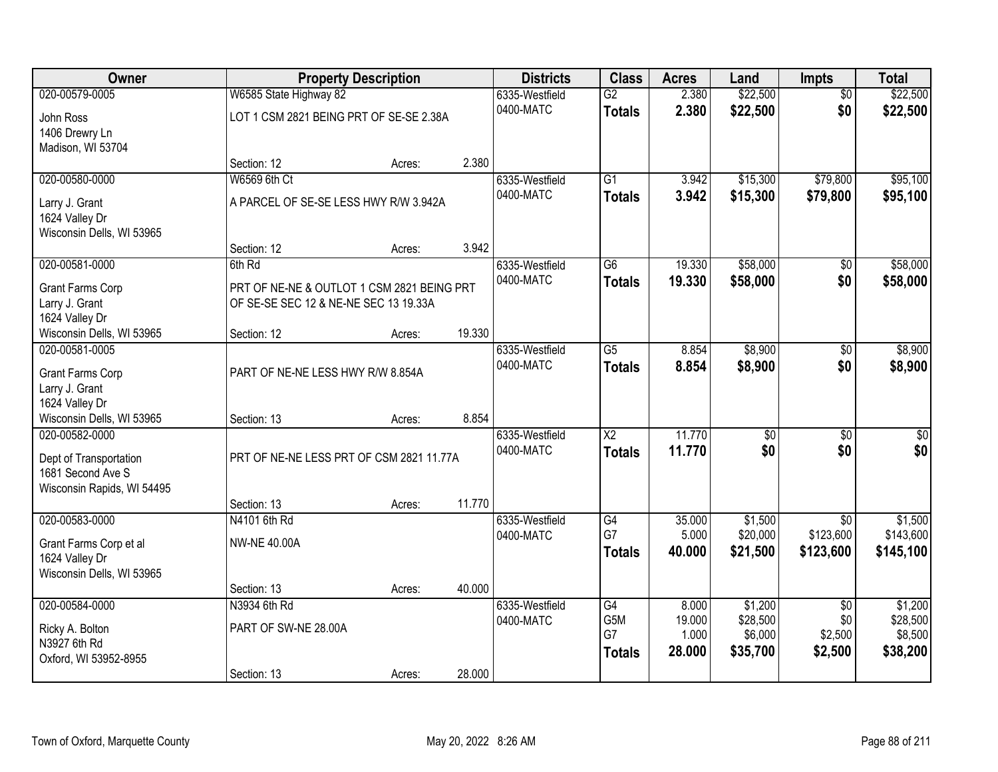| Owner                      |                                            | <b>Property Description</b> |        |                | <b>Class</b>           | <b>Acres</b> | Land            | <b>Impts</b>    | <b>Total</b>     |
|----------------------------|--------------------------------------------|-----------------------------|--------|----------------|------------------------|--------------|-----------------|-----------------|------------------|
| 020-00579-0005             | W6585 State Highway 82                     |                             |        | 6335-Westfield | $\overline{G2}$        | 2.380        | \$22,500        | $\overline{50}$ | \$22,500         |
| John Ross                  | LOT 1 CSM 2821 BEING PRT OF SE-SE 2.38A    |                             |        | 0400-MATC      | <b>Totals</b>          | 2.380        | \$22,500        | \$0             | \$22,500         |
| 1406 Drewry Ln             |                                            |                             |        |                |                        |              |                 |                 |                  |
| Madison, WI 53704          |                                            |                             |        |                |                        |              |                 |                 |                  |
|                            | Section: 12                                | Acres:                      | 2.380  |                |                        |              |                 |                 |                  |
| 020-00580-0000             | W6569 6th Ct                               |                             |        | 6335-Westfield | $\overline{G1}$        | 3.942        | \$15,300        | \$79,800        | \$95,100         |
| Larry J. Grant             | A PARCEL OF SE-SE LESS HWY R/W 3.942A      |                             |        | 0400-MATC      | <b>Totals</b>          | 3.942        | \$15,300        | \$79,800        | \$95,100         |
| 1624 Valley Dr             |                                            |                             |        |                |                        |              |                 |                 |                  |
| Wisconsin Dells, WI 53965  |                                            |                             |        |                |                        |              |                 |                 |                  |
|                            | Section: 12                                | Acres:                      | 3.942  |                |                        |              |                 |                 |                  |
| 020-00581-0000             | 6th Rd                                     |                             |        | 6335-Westfield | G6                     | 19.330       | \$58,000        | \$0             | \$58,000         |
| <b>Grant Farms Corp</b>    | PRT OF NE-NE & OUTLOT 1 CSM 2821 BEING PRT |                             |        | 0400-MATC      | <b>Totals</b>          | 19.330       | \$58,000        | \$0             | \$58,000         |
| Larry J. Grant             | OF SE-SE SEC 12 & NE-NE SEC 13 19.33A      |                             |        |                |                        |              |                 |                 |                  |
| 1624 Valley Dr             |                                            |                             |        |                |                        |              |                 |                 |                  |
| Wisconsin Dells, WI 53965  | Section: 12                                | Acres:                      | 19.330 |                |                        |              |                 |                 |                  |
| 020-00581-0005             |                                            |                             |        | 6335-Westfield | $\overline{G5}$        | 8.854        | \$8,900         | \$0             | \$8,900          |
| <b>Grant Farms Corp</b>    | PART OF NE-NE LESS HWY R/W 8.854A          |                             |        | 0400-MATC      | <b>Totals</b>          | 8.854        | \$8,900         | \$0             | \$8,900          |
| Larry J. Grant             |                                            |                             |        |                |                        |              |                 |                 |                  |
| 1624 Valley Dr             |                                            |                             |        |                |                        |              |                 |                 |                  |
| Wisconsin Dells, WI 53965  | Section: 13                                | Acres:                      | 8.854  |                |                        |              |                 |                 |                  |
| 020-00582-0000             |                                            |                             |        | 6335-Westfield | $\overline{\text{X2}}$ | 11.770       | $\overline{50}$ | $\overline{30}$ | $\overline{\$0}$ |
| Dept of Transportation     | PRT OF NE-NE LESS PRT OF CSM 2821 11.77A   |                             |        | 0400-MATC      | <b>Totals</b>          | 11.770       | \$0             | \$0             | \$0              |
| 1681 Second Ave S          |                                            |                             |        |                |                        |              |                 |                 |                  |
| Wisconsin Rapids, WI 54495 |                                            |                             |        |                |                        |              |                 |                 |                  |
|                            | Section: 13                                | Acres:                      | 11.770 |                |                        |              |                 |                 |                  |
| 020-00583-0000             | N4101 6th Rd                               |                             |        | 6335-Westfield | G4                     | 35.000       | \$1,500         | $\overline{50}$ | \$1,500          |
| Grant Farms Corp et al     | <b>NW-NE 40.00A</b>                        |                             |        | 0400-MATC      | G7                     | 5.000        | \$20,000        | \$123,600       | \$143,600        |
| 1624 Valley Dr             |                                            |                             |        |                | <b>Totals</b>          | 40,000       | \$21,500        | \$123,600       | \$145,100        |
| Wisconsin Dells, WI 53965  |                                            |                             |        |                |                        |              |                 |                 |                  |
|                            | Section: 13                                | Acres:                      | 40.000 |                |                        |              |                 |                 |                  |
| 020-00584-0000             | N3934 6th Rd                               |                             |        | 6335-Westfield | G4                     | 8.000        | \$1,200         | $\overline{50}$ | \$1,200          |
| Ricky A. Bolton            | PART OF SW-NE 28.00A                       |                             |        | 0400-MATC      | G5M                    | 19.000       | \$28,500        | \$0             | \$28,500         |
| N3927 6th Rd               |                                            |                             |        |                | G7                     | 1.000        | \$6,000         | \$2,500         | \$8,500          |
| Oxford, WI 53952-8955      |                                            |                             |        |                | <b>Totals</b>          | 28.000       | \$35,700        | \$2,500         | \$38,200         |
|                            | Section: 13                                | Acres:                      | 28.000 |                |                        |              |                 |                 |                  |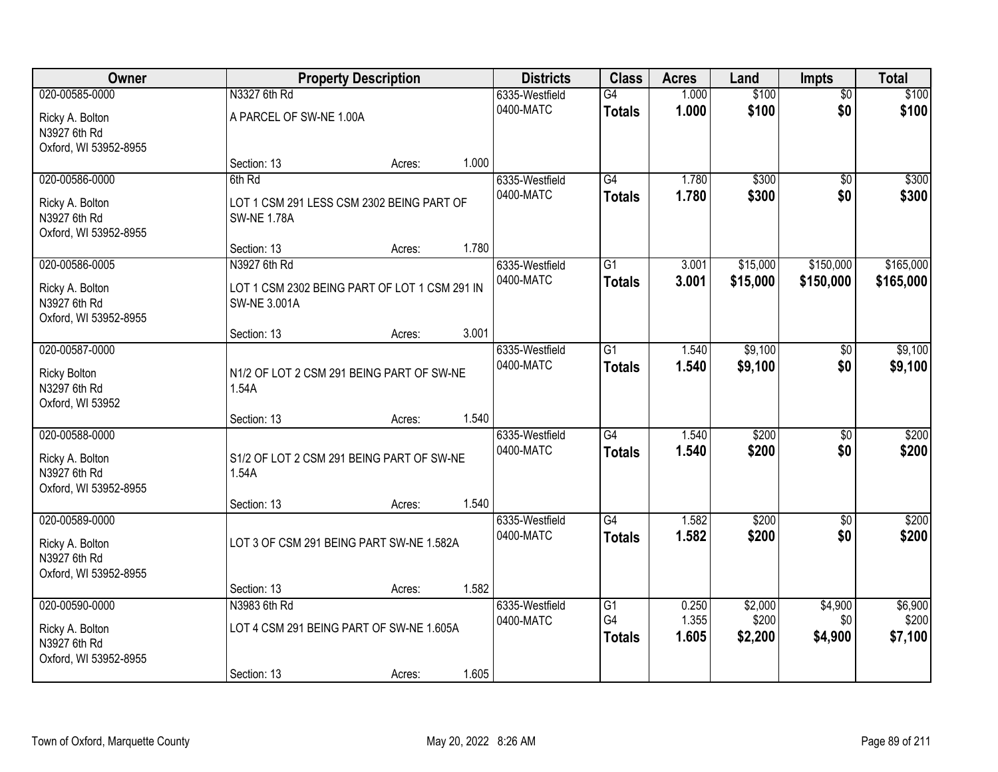| <b>Owner</b>                     |                                               | <b>Property Description</b> |       |                | <b>Class</b>    | <b>Acres</b>   | Land     | Impts           | <b>Total</b> |
|----------------------------------|-----------------------------------------------|-----------------------------|-------|----------------|-----------------|----------------|----------|-----------------|--------------|
| 020-00585-0000                   | N3327 6th Rd                                  |                             |       | 6335-Westfield | G4              | 1.000          | \$100    | $\overline{50}$ | \$100        |
| Ricky A. Bolton                  | A PARCEL OF SW-NE 1.00A                       |                             |       | 0400-MATC      | <b>Totals</b>   | 1.000          | \$100    | \$0             | \$100        |
| N3927 6th Rd                     |                                               |                             |       |                |                 |                |          |                 |              |
| Oxford, WI 53952-8955            |                                               |                             |       |                |                 |                |          |                 |              |
|                                  | Section: 13                                   | Acres:                      | 1.000 |                |                 |                |          |                 |              |
| 020-00586-0000                   | 6th Rd                                        |                             |       | 6335-Westfield | G4              | 1.780          | \$300    | $\overline{50}$ | \$300        |
| Ricky A. Bolton                  | LOT 1 CSM 291 LESS CSM 2302 BEING PART OF     |                             |       | 0400-MATC      | <b>Totals</b>   | 1.780          | \$300    | \$0             | \$300        |
| N3927 6th Rd                     | <b>SW-NE 1.78A</b>                            |                             |       |                |                 |                |          |                 |              |
| Oxford, WI 53952-8955            |                                               |                             |       |                |                 |                |          |                 |              |
| 020-00586-0005                   | Section: 13<br>N3927 6th Rd                   | Acres:                      | 1.780 | 6335-Westfield | G1              | 3.001          | \$15,000 | \$150,000       | \$165,000    |
|                                  |                                               |                             |       | 0400-MATC      | <b>Totals</b>   | 3.001          | \$15,000 | \$150,000       | \$165,000    |
| Ricky A. Bolton                  | LOT 1 CSM 2302 BEING PART OF LOT 1 CSM 291 IN |                             |       |                |                 |                |          |                 |              |
| N3927 6th Rd                     | <b>SW-NE 3.001A</b>                           |                             |       |                |                 |                |          |                 |              |
| Oxford, WI 53952-8955            | Section: 13                                   | Acres:                      | 3.001 |                |                 |                |          |                 |              |
| 020-00587-0000                   |                                               |                             |       | 6335-Westfield | $\overline{G1}$ | 1.540          | \$9,100  | \$0             | \$9,100      |
|                                  |                                               |                             |       | 0400-MATC      | <b>Totals</b>   | 1.540          | \$9,100  | \$0             | \$9,100      |
| <b>Ricky Bolton</b>              | N1/2 OF LOT 2 CSM 291 BEING PART OF SW-NE     |                             |       |                |                 |                |          |                 |              |
| N3297 6th Rd<br>Oxford, WI 53952 | 1.54A                                         |                             |       |                |                 |                |          |                 |              |
|                                  | Section: 13                                   | Acres:                      | 1.540 |                |                 |                |          |                 |              |
| 020-00588-0000                   |                                               |                             |       | 6335-Westfield | G4              | 1.540          | \$200    | $\overline{50}$ | \$200        |
| Ricky A. Bolton                  | S1/2 OF LOT 2 CSM 291 BEING PART OF SW-NE     |                             |       | 0400-MATC      | <b>Totals</b>   | 1.540          | \$200    | \$0             | \$200        |
| N3927 6th Rd                     | 1.54A                                         |                             |       |                |                 |                |          |                 |              |
| Oxford, WI 53952-8955            |                                               |                             |       |                |                 |                |          |                 |              |
|                                  | Section: 13                                   | Acres:                      | 1.540 |                |                 |                |          |                 |              |
| 020-00589-0000                   |                                               |                             |       | 6335-Westfield | $\overline{G4}$ | 1.582          | \$200    | $\sqrt{6}$      | \$200        |
| Ricky A. Bolton                  | LOT 3 OF CSM 291 BEING PART SW-NE 1.582A      |                             |       | 0400-MATC      | <b>Totals</b>   | 1.582          | \$200    | \$0             | \$200        |
| N3927 6th Rd                     |                                               |                             |       |                |                 |                |          |                 |              |
| Oxford, WI 53952-8955            |                                               |                             |       |                |                 |                |          |                 |              |
|                                  | Section: 13                                   | Acres:                      | 1.582 |                |                 |                |          |                 |              |
| 020-00590-0000                   | N3983 6th Rd                                  |                             |       | 6335-Westfield | G1              | 0.250          | \$2,000  | \$4,900         | \$6,900      |
| Ricky A. Bolton                  | LOT 4 CSM 291 BEING PART OF SW-NE 1.605A      |                             |       | 0400-MATC      | G4              | 1.355<br>1.605 | \$200    | \$0             | \$200        |
| N3927 6th Rd                     |                                               |                             |       |                | <b>Totals</b>   |                | \$2,200  | \$4,900         | \$7,100      |
| Oxford, WI 53952-8955            |                                               |                             |       |                |                 |                |          |                 |              |
|                                  | Section: 13                                   | Acres:                      | 1.605 |                |                 |                |          |                 |              |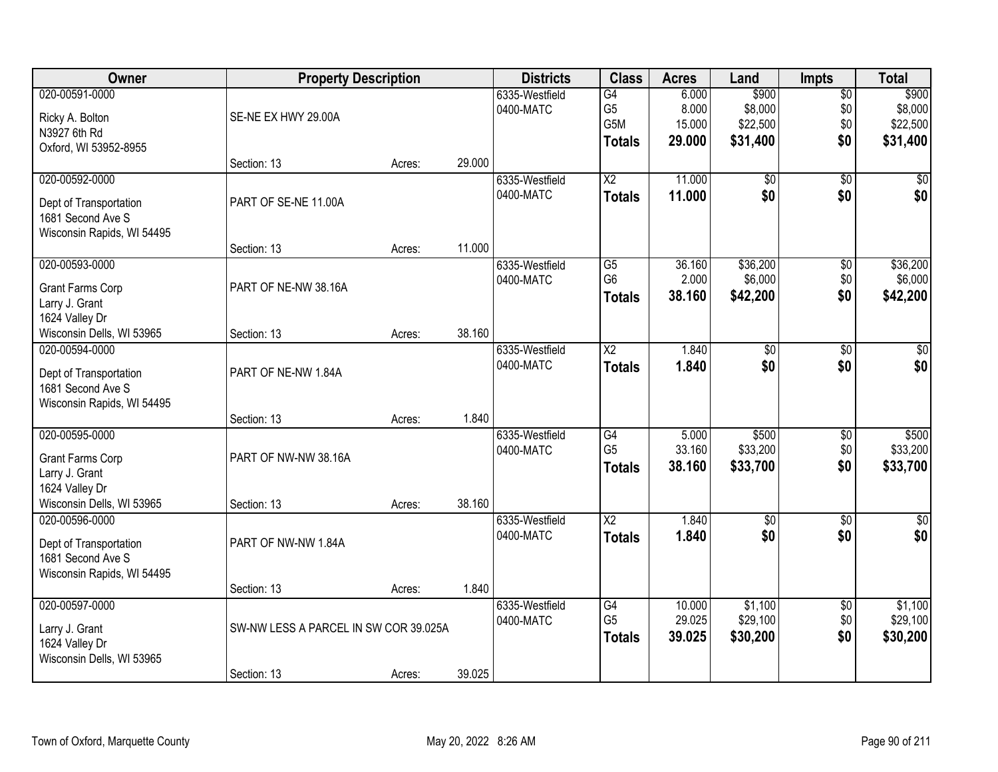| Owner                      | <b>Property Description</b>           |        |        | <b>Districts</b> | <b>Class</b>    | <b>Acres</b> | Land            | <b>Impts</b>    | <b>Total</b> |
|----------------------------|---------------------------------------|--------|--------|------------------|-----------------|--------------|-----------------|-----------------|--------------|
| 020-00591-0000             |                                       |        |        | 6335-Westfield   | G4              | 6.000        | \$900           | $\overline{50}$ | \$900        |
| Ricky A. Bolton            | SE-NE EX HWY 29.00A                   |        |        | 0400-MATC        | G <sub>5</sub>  | 8.000        | \$8,000         | \$0             | \$8,000      |
| N3927 6th Rd               |                                       |        |        |                  | G5M             | 15.000       | \$22,500        | \$0             | \$22,500     |
| Oxford, WI 53952-8955      |                                       |        |        |                  | <b>Totals</b>   | 29.000       | \$31,400        | \$0             | \$31,400     |
|                            | Section: 13                           | Acres: | 29.000 |                  |                 |              |                 |                 |              |
| 020-00592-0000             |                                       |        |        | 6335-Westfield   | $\overline{X2}$ | 11.000       | \$0             | $\overline{50}$ | \$0          |
| Dept of Transportation     | PART OF SE-NE 11.00A                  |        |        | 0400-MATC        | <b>Totals</b>   | 11.000       | \$0             | \$0             | \$0          |
| 1681 Second Ave S          |                                       |        |        |                  |                 |              |                 |                 |              |
| Wisconsin Rapids, WI 54495 |                                       |        |        |                  |                 |              |                 |                 |              |
|                            | Section: 13                           | Acres: | 11.000 |                  |                 |              |                 |                 |              |
| 020-00593-0000             |                                       |        |        | 6335-Westfield   | $\overline{G5}$ | 36.160       | \$36,200        | $\overline{50}$ | \$36,200     |
| <b>Grant Farms Corp</b>    | PART OF NE-NW 38.16A                  |        |        | 0400-MATC        | G <sub>6</sub>  | 2.000        | \$6,000         | \$0             | \$6,000      |
| Larry J. Grant             |                                       |        |        |                  | <b>Totals</b>   | 38.160       | \$42,200        | \$0             | \$42,200     |
| 1624 Valley Dr             |                                       |        |        |                  |                 |              |                 |                 |              |
| Wisconsin Dells, WI 53965  | Section: 13                           | Acres: | 38.160 |                  |                 |              |                 |                 |              |
| 020-00594-0000             |                                       |        |        | 6335-Westfield   | $\overline{X2}$ | 1.840        | \$0             | \$0             | \$0          |
| Dept of Transportation     | PART OF NE-NW 1.84A                   |        |        | 0400-MATC        | <b>Totals</b>   | 1.840        | \$0             | \$0             | \$0          |
| 1681 Second Ave S          |                                       |        |        |                  |                 |              |                 |                 |              |
| Wisconsin Rapids, WI 54495 |                                       |        |        |                  |                 |              |                 |                 |              |
|                            | Section: 13                           | Acres: | 1.840  |                  |                 |              |                 |                 |              |
| 020-00595-0000             |                                       |        |        | 6335-Westfield   | $\overline{G4}$ | 5.000        | \$500           | $\overline{50}$ | \$500        |
| <b>Grant Farms Corp</b>    | PART OF NW-NW 38.16A                  |        |        | 0400-MATC        | G <sub>5</sub>  | 33.160       | \$33,200        | \$0             | \$33,200     |
| Larry J. Grant             |                                       |        |        |                  | <b>Totals</b>   | 38.160       | \$33,700        | \$0             | \$33,700     |
| 1624 Valley Dr             |                                       |        |        |                  |                 |              |                 |                 |              |
| Wisconsin Dells, WI 53965  | Section: 13                           | Acres: | 38.160 |                  |                 |              |                 |                 |              |
| 020-00596-0000             |                                       |        |        | 6335-Westfield   | $\overline{X2}$ | 1.840        | $\overline{60}$ | $\overline{50}$ | \$0          |
| Dept of Transportation     | PART OF NW-NW 1.84A                   |        |        | 0400-MATC        | <b>Totals</b>   | 1.840        | \$0             | \$0             | \$0          |
| 1681 Second Ave S          |                                       |        |        |                  |                 |              |                 |                 |              |
| Wisconsin Rapids, WI 54495 |                                       |        |        |                  |                 |              |                 |                 |              |
|                            | Section: 13                           | Acres: | 1.840  |                  |                 |              |                 |                 |              |
| 020-00597-0000             |                                       |        |        | 6335-Westfield   | G4              | 10.000       | \$1,100         | $\overline{50}$ | \$1,100      |
| Larry J. Grant             | SW-NW LESS A PARCEL IN SW COR 39.025A |        |        | 0400-MATC        | G <sub>5</sub>  | 29.025       | \$29,100        | \$0             | \$29,100     |
| 1624 Valley Dr             |                                       |        |        |                  | <b>Totals</b>   | 39.025       | \$30,200        | \$0             | \$30,200     |
| Wisconsin Dells, WI 53965  |                                       |        |        |                  |                 |              |                 |                 |              |
|                            | Section: 13                           | Acres: | 39.025 |                  |                 |              |                 |                 |              |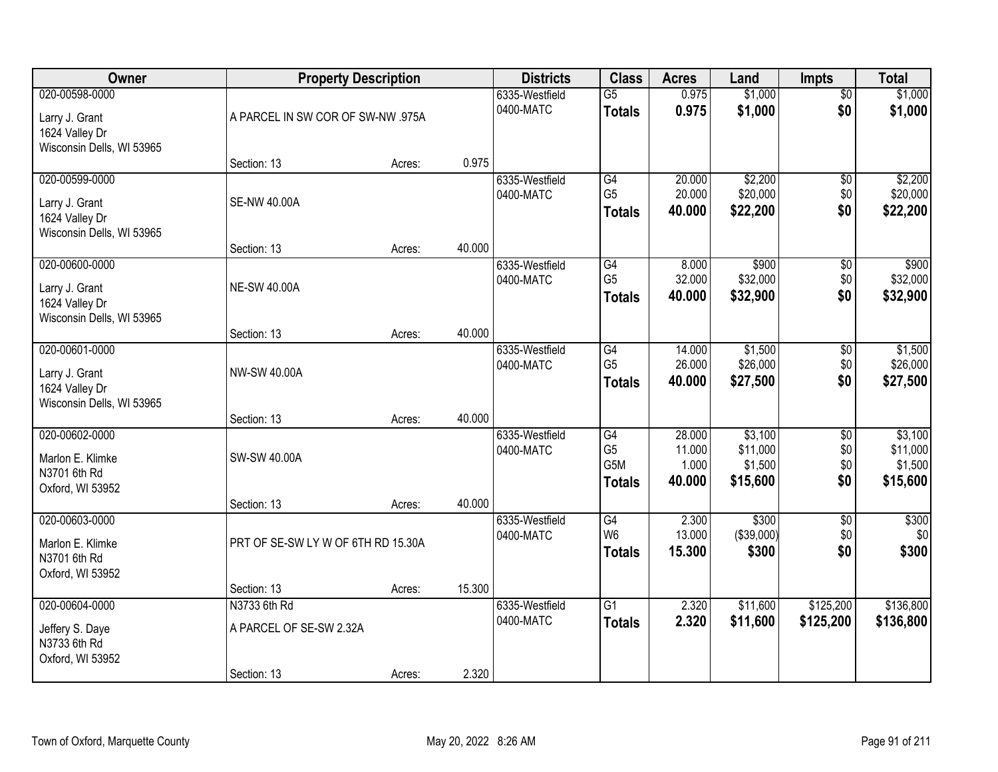| Owner                                                                           |                                                        | <b>Property Description</b> |        |                             | <b>Class</b>                                                           | <b>Acres</b>                        | Land                                       | <b>Impts</b>                         | <b>Total</b>                               |
|---------------------------------------------------------------------------------|--------------------------------------------------------|-----------------------------|--------|-----------------------------|------------------------------------------------------------------------|-------------------------------------|--------------------------------------------|--------------------------------------|--------------------------------------------|
| 020-00598-0000<br>Larry J. Grant<br>1624 Valley Dr                              | A PARCEL IN SW COR OF SW-NW .975A                      |                             |        | 6335-Westfield<br>0400-MATC | $\overline{G5}$<br><b>Totals</b>                                       | 0.975<br>0.975                      | \$1,000<br>\$1,000                         | $\overline{50}$<br>\$0               | \$1,000<br>\$1,000                         |
| Wisconsin Dells, WI 53965                                                       | Section: 13                                            | Acres:                      | 0.975  |                             |                                                                        |                                     |                                            |                                      |                                            |
| 020-00599-0000<br>Larry J. Grant<br>1624 Valley Dr<br>Wisconsin Dells, WI 53965 | <b>SE-NW 40.00A</b>                                    |                             |        | 6335-Westfield<br>0400-MATC | G4<br>G <sub>5</sub><br><b>Totals</b>                                  | 20.000<br>20.000<br>40.000          | \$2,200<br>\$20,000<br>\$22,200            | $\overline{50}$<br>\$0<br>\$0        | \$2,200<br>\$20,000<br>\$22,200            |
| 020-00600-0000                                                                  | Section: 13                                            | Acres:                      | 40.000 | 6335-Westfield              | G4                                                                     | 8.000                               | \$900                                      | \$0                                  | \$900                                      |
| Larry J. Grant<br>1624 Valley Dr<br>Wisconsin Dells, WI 53965                   | <b>NE-SW 40.00A</b>                                    |                             |        | 0400-MATC                   | G <sub>5</sub><br><b>Totals</b>                                        | 32.000<br>40.000                    | \$32,000<br>\$32,900                       | \$0<br>\$0                           | \$32,000<br>\$32,900                       |
|                                                                                 | Section: 13                                            | Acres:                      | 40.000 |                             |                                                                        |                                     |                                            |                                      |                                            |
| 020-00601-0000<br>Larry J. Grant<br>1624 Valley Dr<br>Wisconsin Dells, WI 53965 | NW-SW 40.00A                                           |                             |        | 6335-Westfield<br>0400-MATC | G4<br>G <sub>5</sub><br><b>Totals</b>                                  | 14.000<br>26.000<br>40.000          | \$1,500<br>\$26,000<br>\$27,500            | \$0<br>\$0<br>\$0                    | \$1,500<br>\$26,000<br>\$27,500            |
|                                                                                 | Section: 13                                            | Acres:                      | 40.000 |                             |                                                                        |                                     |                                            |                                      |                                            |
| 020-00602-0000<br>Marlon E. Klimke<br>N3701 6th Rd<br>Oxford, WI 53952          | SW-SW 40.00A                                           |                             |        | 6335-Westfield<br>0400-MATC | $\overline{G4}$<br>G <sub>5</sub><br>G <sub>5</sub> M<br><b>Totals</b> | 28.000<br>11.000<br>1.000<br>40.000 | \$3,100<br>\$11,000<br>\$1,500<br>\$15,600 | $\overline{30}$<br>\$0<br>\$0<br>\$0 | \$3,100<br>\$11,000<br>\$1,500<br>\$15,600 |
| 020-00603-0000                                                                  | Section: 13                                            | Acres:                      | 40.000 | 6335-Westfield              | $\overline{G4}$                                                        | 2.300                               | \$300                                      | $\overline{50}$                      | \$300                                      |
| Marlon E. Klimke<br>N3701 6th Rd<br>Oxford, WI 53952                            | PRT OF SE-SW LY W OF 6TH RD 15.30A                     |                             |        | 0400-MATC                   | W <sub>6</sub><br><b>Totals</b>                                        | 13.000<br>15.300                    | (\$39,000)<br>\$300                        | \$0<br>\$0                           | \$0<br>\$300                               |
|                                                                                 | Section: 13                                            | Acres:                      | 15.300 |                             |                                                                        |                                     |                                            |                                      |                                            |
| 020-00604-0000<br>Jeffery S. Daye<br>N3733 6th Rd<br>Oxford, WI 53952           | N3733 6th Rd<br>A PARCEL OF SE-SW 2.32A<br>Section: 13 | Acres:                      | 2.320  | 6335-Westfield<br>0400-MATC | $\overline{G1}$<br><b>Totals</b>                                       | 2.320<br>2.320                      | \$11,600<br>\$11,600                       | \$125,200<br>\$125,200               | \$136,800<br>\$136,800                     |
|                                                                                 |                                                        |                             |        |                             |                                                                        |                                     |                                            |                                      |                                            |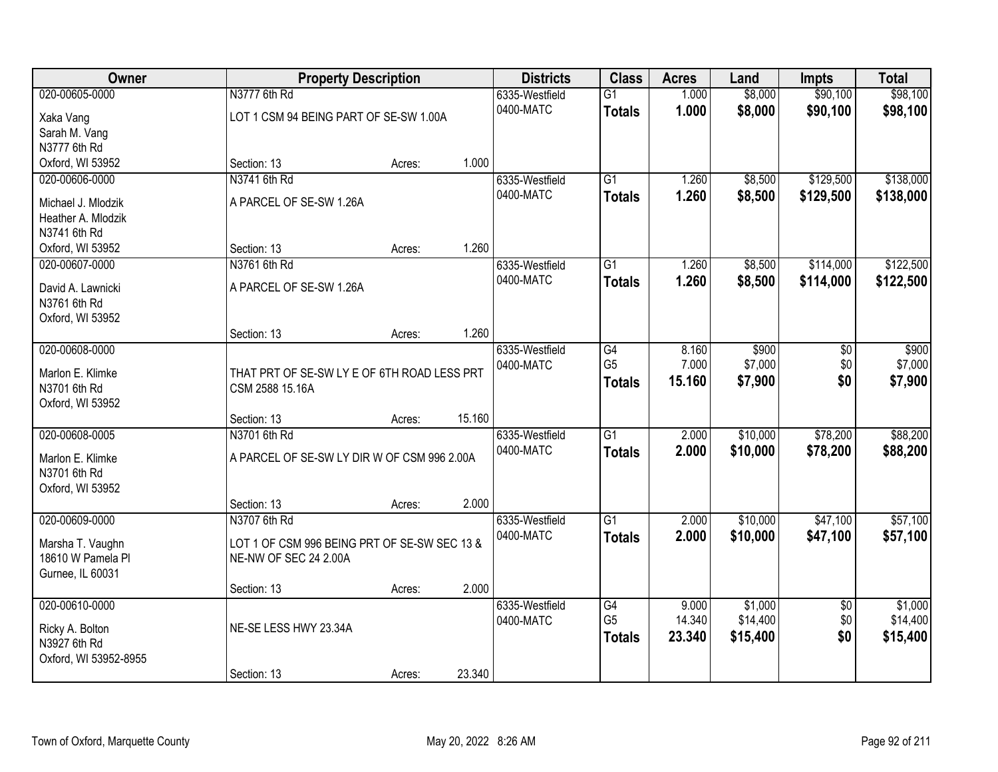| Owner                 |                                              | <b>Property Description</b> |        |                             | <b>Class</b>    | <b>Acres</b>   | Land     | <b>Impts</b>    | <b>Total</b> |
|-----------------------|----------------------------------------------|-----------------------------|--------|-----------------------------|-----------------|----------------|----------|-----------------|--------------|
| 020-00605-0000        | N3777 6th Rd                                 |                             |        | 6335-Westfield<br>0400-MATC | $\overline{G1}$ | 1.000<br>1.000 | \$8,000  | \$90,100        | \$98,100     |
| Xaka Vang             | LOT 1 CSM 94 BEING PART OF SE-SW 1.00A       |                             |        |                             | <b>Totals</b>   |                | \$8,000  | \$90,100        | \$98,100     |
| Sarah M. Vang         |                                              |                             |        |                             |                 |                |          |                 |              |
| N3777 6th Rd          |                                              |                             |        |                             |                 |                |          |                 |              |
| Oxford, WI 53952      | Section: 13                                  | Acres:                      | 1.000  |                             |                 |                |          |                 |              |
| 020-00606-0000        | N3741 6th Rd                                 |                             |        | 6335-Westfield              | $\overline{G1}$ | 1.260          | \$8,500  | \$129,500       | \$138,000    |
| Michael J. Mlodzik    | A PARCEL OF SE-SW 1.26A                      |                             |        | 0400-MATC                   | <b>Totals</b>   | 1.260          | \$8,500  | \$129,500       | \$138,000    |
| Heather A. Mlodzik    |                                              |                             |        |                             |                 |                |          |                 |              |
| N3741 6th Rd          |                                              |                             |        |                             |                 |                |          |                 |              |
| Oxford, WI 53952      | Section: 13                                  | Acres:                      | 1.260  |                             |                 |                |          |                 |              |
| 020-00607-0000        | N3761 6th Rd                                 |                             |        | 6335-Westfield              | G1              | 1.260          | \$8,500  | \$114,000       | \$122,500    |
| David A. Lawnicki     | A PARCEL OF SE-SW 1.26A                      |                             |        | 0400-MATC                   | <b>Totals</b>   | 1.260          | \$8,500  | \$114,000       | \$122,500    |
| N3761 6th Rd          |                                              |                             |        |                             |                 |                |          |                 |              |
| Oxford, WI 53952      |                                              |                             |        |                             |                 |                |          |                 |              |
|                       | Section: 13                                  | Acres:                      | 1.260  |                             |                 |                |          |                 |              |
| 020-00608-0000        |                                              |                             |        | 6335-Westfield              | G4              | 8.160          | \$900    | \$0             | \$900        |
| Marlon E. Klimke      | THAT PRT OF SE-SW LY E OF 6TH ROAD LESS PRT  |                             |        | 0400-MATC                   | G <sub>5</sub>  | 7.000          | \$7,000  | \$0             | \$7,000      |
| N3701 6th Rd          | CSM 2588 15.16A                              |                             |        |                             | <b>Totals</b>   | 15.160         | \$7,900  | \$0             | \$7,900      |
| Oxford, WI 53952      |                                              |                             |        |                             |                 |                |          |                 |              |
|                       | Section: 13                                  | Acres:                      | 15.160 |                             |                 |                |          |                 |              |
| 020-00608-0005        | N3701 6th Rd                                 |                             |        | 6335-Westfield              | $\overline{G1}$ | 2.000          | \$10,000 | \$78,200        | \$88,200     |
|                       |                                              |                             |        | 0400-MATC                   | <b>Totals</b>   | 2.000          | \$10,000 | \$78,200        | \$88,200     |
| Marlon E. Klimke      | A PARCEL OF SE-SW LY DIR W OF CSM 996 2.00A  |                             |        |                             |                 |                |          |                 |              |
| N3701 6th Rd          |                                              |                             |        |                             |                 |                |          |                 |              |
| Oxford, WI 53952      | Section: 13                                  |                             | 2.000  |                             |                 |                |          |                 |              |
| 020-00609-0000        | N3707 6th Rd                                 | Acres:                      |        | 6335-Westfield              | $\overline{G1}$ | 2.000          | \$10,000 | \$47,100        | \$57,100     |
|                       |                                              |                             |        | 0400-MATC                   |                 | 2.000          | \$10,000 | \$47,100        |              |
| Marsha T. Vaughn      | LOT 1 OF CSM 996 BEING PRT OF SE-SW SEC 13 & |                             |        |                             | <b>Totals</b>   |                |          |                 | \$57,100     |
| 18610 W Pamela Pl     | NE-NW OF SEC 24 2.00A                        |                             |        |                             |                 |                |          |                 |              |
| Gurnee, IL 60031      |                                              |                             |        |                             |                 |                |          |                 |              |
|                       | Section: 13                                  | Acres:                      | 2.000  |                             |                 |                |          |                 |              |
| 020-00610-0000        |                                              |                             |        | 6335-Westfield              | G4              | 9.000          | \$1,000  | $\overline{50}$ | \$1,000      |
| Ricky A. Bolton       | NE-SE LESS HWY 23.34A                        |                             |        | 0400-MATC                   | G <sub>5</sub>  | 14.340         | \$14,400 | \$0             | \$14,400     |
| N3927 6th Rd          |                                              |                             |        |                             | <b>Totals</b>   | 23.340         | \$15,400 | \$0             | \$15,400     |
| Oxford, WI 53952-8955 |                                              |                             |        |                             |                 |                |          |                 |              |
|                       | Section: 13                                  | Acres:                      | 23.340 |                             |                 |                |          |                 |              |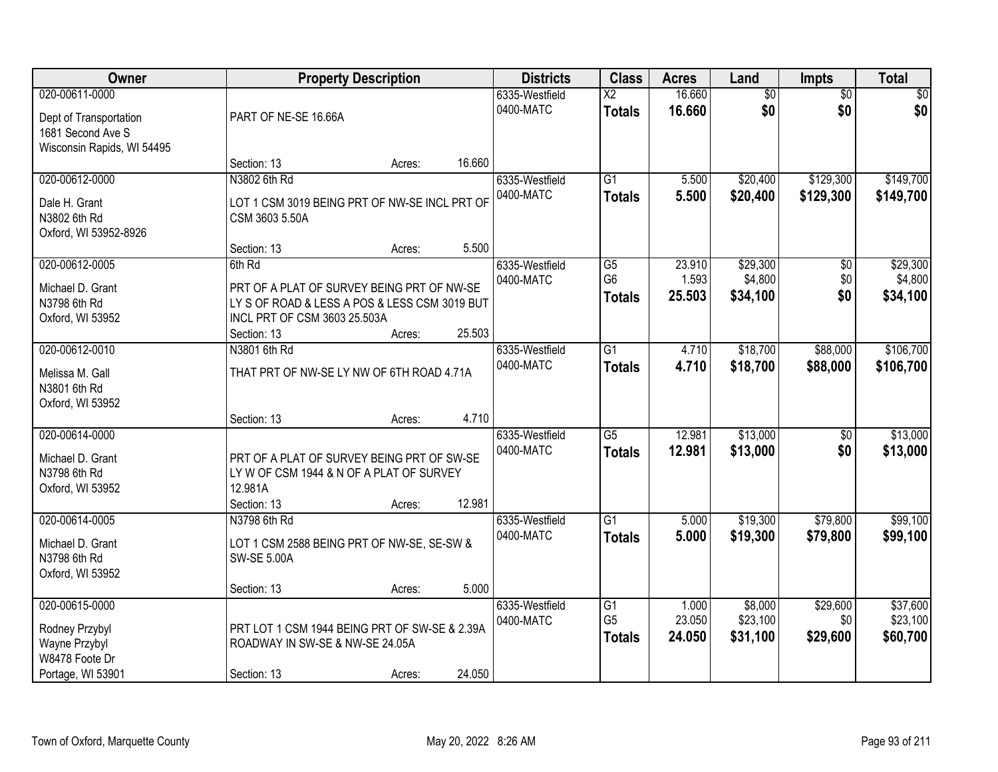| Owner                                                                                       | <b>Property Description</b>                                                                                                                          |        |        | <b>Districts</b>            | <b>Class</b>                                       | <b>Acres</b>              | Land                            | <b>Impts</b>                  | <b>Total</b>                     |
|---------------------------------------------------------------------------------------------|------------------------------------------------------------------------------------------------------------------------------------------------------|--------|--------|-----------------------------|----------------------------------------------------|---------------------------|---------------------------------|-------------------------------|----------------------------------|
| 020-00611-0000<br>Dept of Transportation<br>1681 Second Ave S<br>Wisconsin Rapids, WI 54495 | PART OF NE-SE 16.66A                                                                                                                                 |        |        | 6335-Westfield<br>0400-MATC | $\overline{X2}$<br><b>Totals</b>                   | 16.660<br>16.660          | $\overline{50}$<br>\$0          | $\overline{50}$<br>\$0        | $\sqrt{50}$<br>\$0               |
|                                                                                             | Section: 13                                                                                                                                          | Acres: | 16.660 |                             |                                                    |                           |                                 |                               |                                  |
| 020-00612-0000<br>Dale H. Grant<br>N3802 6th Rd<br>Oxford, WI 53952-8926                    | N3802 6th Rd<br>LOT 1 CSM 3019 BEING PRT OF NW-SE INCL PRT OF<br>CSM 3603 5.50A                                                                      |        |        | 6335-Westfield<br>0400-MATC | $\overline{G1}$<br><b>Totals</b>                   | 5.500<br>5.500            | \$20,400<br>\$20,400            | \$129,300<br>\$129,300        | \$149,700<br>\$149,700           |
|                                                                                             | Section: 13                                                                                                                                          | Acres: | 5.500  |                             |                                                    |                           |                                 |                               |                                  |
| 020-00612-0005<br>Michael D. Grant<br>N3798 6th Rd<br>Oxford, WI 53952                      | 6th Rd<br>PRT OF A PLAT OF SURVEY BEING PRT OF NW-SE<br>LY S OF ROAD & LESS A POS & LESS CSM 3019 BUT<br>INCL PRT OF CSM 3603 25.503A<br>Section: 13 | Acres: | 25.503 | 6335-Westfield<br>0400-MATC | $\overline{G5}$<br>G <sub>6</sub><br><b>Totals</b> | 23.910<br>1.593<br>25.503 | \$29,300<br>\$4,800<br>\$34,100 | $\overline{50}$<br>\$0<br>\$0 | \$29,300<br>\$4,800<br>\$34,100  |
| 020-00612-0010<br>Melissa M. Gall<br>N3801 6th Rd<br>Oxford, WI 53952                       | N3801 6th Rd<br>THAT PRT OF NW-SE LY NW OF 6TH ROAD 4.71A                                                                                            |        |        | 6335-Westfield<br>0400-MATC | $\overline{G1}$<br><b>Totals</b>                   | 4.710<br>4.710            | \$18,700<br>\$18,700            | \$88,000<br>\$88,000          | \$106,700<br>\$106,700           |
|                                                                                             | Section: 13                                                                                                                                          | Acres: | 4.710  |                             |                                                    |                           |                                 |                               |                                  |
| 020-00614-0000<br>Michael D. Grant<br>N3798 6th Rd<br>Oxford, WI 53952                      | PRT OF A PLAT OF SURVEY BEING PRT OF SW-SE<br>LY W OF CSM 1944 & N OF A PLAT OF SURVEY<br>12.981A<br>Section: 13                                     | Acres: | 12.981 | 6335-Westfield<br>0400-MATC | $\overline{G5}$<br><b>Totals</b>                   | 12.981<br>12.981          | \$13,000<br>\$13,000            | $\overline{50}$<br>\$0        | \$13,000<br>\$13,000             |
| 020-00614-0005                                                                              | N3798 6th Rd                                                                                                                                         |        |        | 6335-Westfield              | $\overline{G1}$                                    | 5.000                     | \$19,300                        | \$79,800                      | \$99,100                         |
| Michael D. Grant<br>N3798 6th Rd<br>Oxford, WI 53952                                        | LOT 1 CSM 2588 BEING PRT OF NW-SE, SE-SW &<br><b>SW-SE 5.00A</b>                                                                                     |        |        | 0400-MATC                   | <b>Totals</b>                                      | 5.000                     | \$19,300                        | \$79,800                      | \$99,100                         |
|                                                                                             | Section: 13                                                                                                                                          | Acres: | 5.000  |                             |                                                    |                           |                                 |                               |                                  |
| 020-00615-0000<br>Rodney Przybyl<br>Wayne Przybyl<br>W8478 Foote Dr<br>Portage, WI 53901    | PRT LOT 1 CSM 1944 BEING PRT OF SW-SE & 2.39A<br>ROADWAY IN SW-SE & NW-SE 24.05A<br>Section: 13                                                      | Acres: | 24.050 | 6335-Westfield<br>0400-MATC | $\overline{G1}$<br>G <sub>5</sub><br><b>Totals</b> | 1.000<br>23.050<br>24.050 | \$8,000<br>\$23,100<br>\$31,100 | \$29,600<br>\$0<br>\$29,600   | \$37,600<br>\$23,100<br>\$60,700 |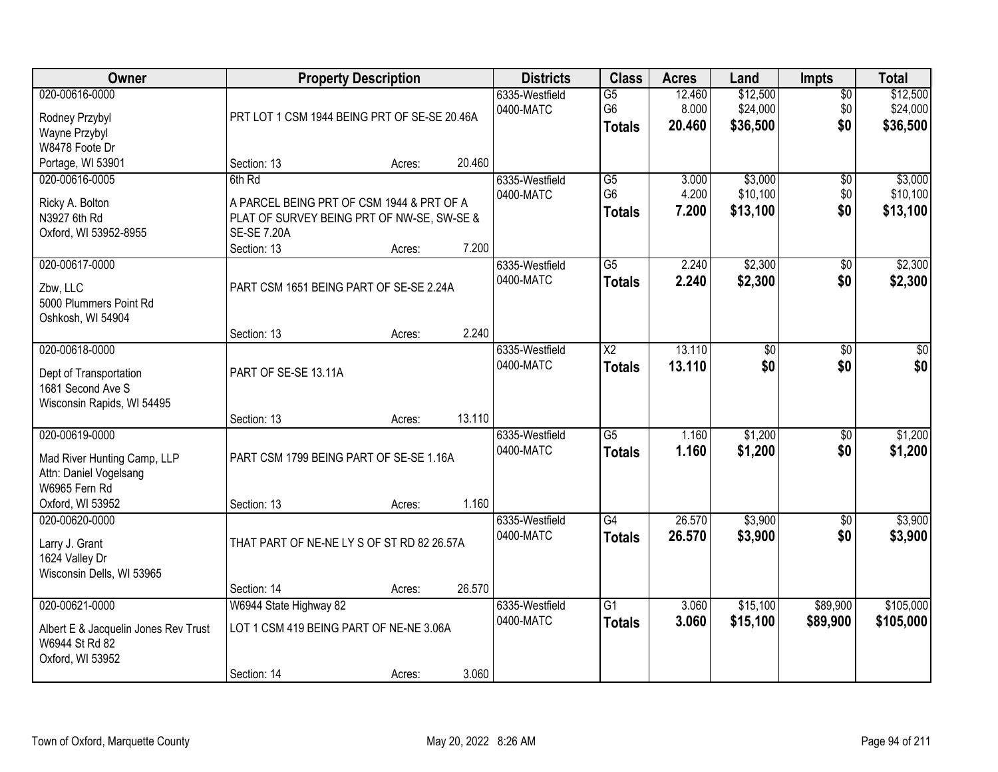| <b>Owner</b>                                                                                                 | <b>Property Description</b>                                                                                                            |        |        | <b>Districts</b>            | <b>Class</b>                                       | <b>Acres</b>              | Land                             | <b>Impts</b>                  | <b>Total</b>                     |
|--------------------------------------------------------------------------------------------------------------|----------------------------------------------------------------------------------------------------------------------------------------|--------|--------|-----------------------------|----------------------------------------------------|---------------------------|----------------------------------|-------------------------------|----------------------------------|
| 020-00616-0000<br>Rodney Przybyl<br>Wayne Przybyl<br>W8478 Foote Dr                                          | PRT LOT 1 CSM 1944 BEING PRT OF SE-SE 20.46A                                                                                           |        |        | 6335-Westfield<br>0400-MATC | $\overline{G5}$<br>G <sub>6</sub><br><b>Totals</b> | 12.460<br>8.000<br>20.460 | \$12,500<br>\$24,000<br>\$36,500 | $\overline{50}$<br>\$0<br>\$0 | \$12,500<br>\$24,000<br>\$36,500 |
| Portage, WI 53901                                                                                            | Section: 13                                                                                                                            | Acres: | 20.460 |                             |                                                    |                           |                                  |                               |                                  |
| 020-00616-0005<br>Ricky A. Bolton<br>N3927 6th Rd<br>Oxford, WI 53952-8955                                   | 6th Rd<br>A PARCEL BEING PRT OF CSM 1944 & PRT OF A<br>PLAT OF SURVEY BEING PRT OF NW-SE, SW-SE &<br><b>SE-SE 7.20A</b><br>Section: 13 | Acres: | 7.200  | 6335-Westfield<br>0400-MATC | $\overline{G5}$<br>G <sub>6</sub><br><b>Totals</b> | 3.000<br>4.200<br>7.200   | \$3,000<br>\$10,100<br>\$13,100  | $\overline{50}$<br>\$0<br>\$0 | \$3,000<br>\$10,100<br>\$13,100  |
| 020-00617-0000<br>Zbw, LLC<br>5000 Plummers Point Rd<br>Oshkosh, WI 54904                                    | PART CSM 1651 BEING PART OF SE-SE 2.24A<br>Section: 13                                                                                 | Acres: | 2.240  | 6335-Westfield<br>0400-MATC | G5<br><b>Totals</b>                                | 2.240<br>2.240            | \$2,300<br>\$2,300               | $\sqrt[6]{30}$<br>\$0         | \$2,300<br>\$2,300               |
| 020-00618-0000<br>Dept of Transportation<br>1681 Second Ave S<br>Wisconsin Rapids, WI 54495                  | PART OF SE-SE 13.11A<br>Section: 13                                                                                                    | Acres: | 13.110 | 6335-Westfield<br>0400-MATC | X <sub>2</sub><br><b>Totals</b>                    | 13.110<br>13.110          | \$0<br>\$0                       | \$0<br>\$0                    | \$0<br>\$0                       |
| 020-00619-0000<br>Mad River Hunting Camp, LLP<br>Attn: Daniel Vogelsang<br>W6965 Fern Rd<br>Oxford, WI 53952 | PART CSM 1799 BEING PART OF SE-SE 1.16A<br>Section: 13                                                                                 | Acres: | 1.160  | 6335-Westfield<br>0400-MATC | $\overline{G5}$<br><b>Totals</b>                   | 1.160<br>1.160            | \$1,200<br>\$1,200               | $\overline{30}$<br>\$0        | \$1,200<br>\$1,200               |
| 020-00620-0000<br>Larry J. Grant<br>1624 Valley Dr<br>Wisconsin Dells, WI 53965                              | THAT PART OF NE-NE LY S OF ST RD 82 26.57A<br>Section: 14                                                                              | Acres: | 26.570 | 6335-Westfield<br>0400-MATC | $\overline{G4}$<br><b>Totals</b>                   | 26.570<br>26.570          | \$3,900<br>\$3,900               | $\sqrt{6}$<br>\$0             | \$3,900<br>\$3,900               |
| 020-00621-0000<br>Albert E & Jacquelin Jones Rev Trust<br>W6944 St Rd 82<br>Oxford, WI 53952                 | W6944 State Highway 82<br>LOT 1 CSM 419 BEING PART OF NE-NE 3.06A<br>Section: 14                                                       | Acres: | 3.060  | 6335-Westfield<br>0400-MATC | $\overline{G1}$<br><b>Totals</b>                   | 3.060<br>3.060            | \$15,100<br>\$15,100             | \$89,900<br>\$89,900          | \$105,000<br>\$105,000           |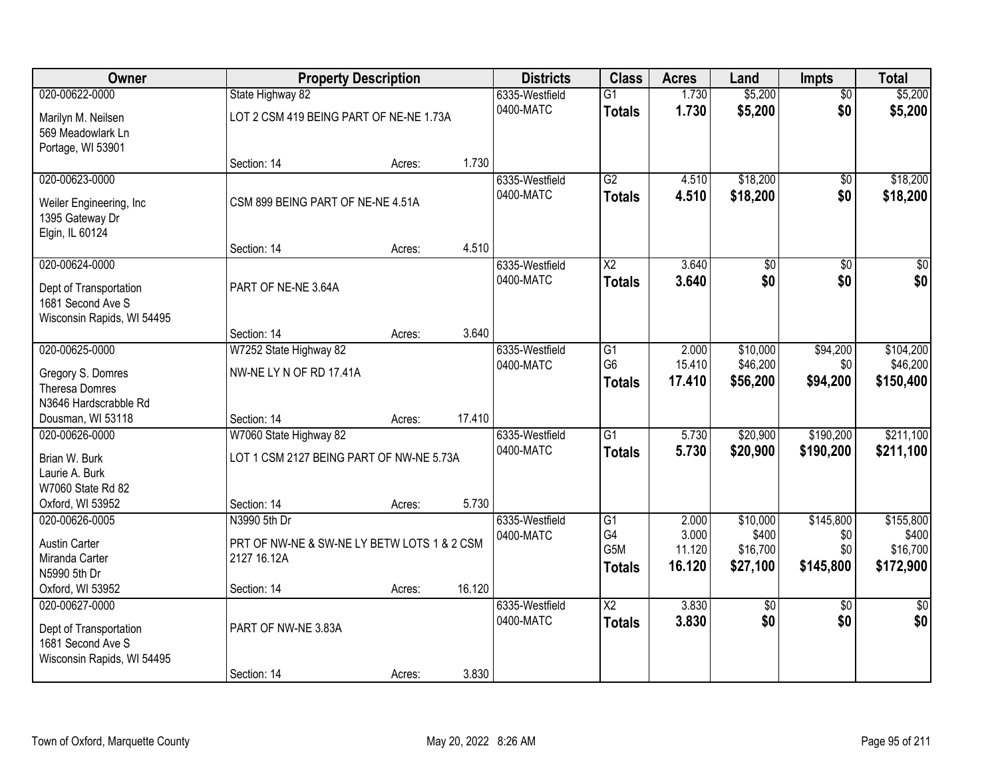| Owner                                                                                       |                                                                                   | <b>Property Description</b> |        |                             | <b>Class</b>                            | <b>Acres</b>              | Land                             | Impts                       | <b>Total</b>                       |
|---------------------------------------------------------------------------------------------|-----------------------------------------------------------------------------------|-----------------------------|--------|-----------------------------|-----------------------------------------|---------------------------|----------------------------------|-----------------------------|------------------------------------|
| 020-00622-0000                                                                              | State Highway 82                                                                  |                             |        | 6335-Westfield              | $\overline{G1}$                         | 1.730                     | \$5,200                          | $\overline{50}$             | \$5,200                            |
| Marilyn M. Neilsen<br>569 Meadowlark Ln<br>Portage, WI 53901                                | LOT 2 CSM 419 BEING PART OF NE-NE 1.73A                                           |                             |        | 0400-MATC                   | <b>Totals</b>                           | 1.730                     | \$5,200                          | \$0                         | \$5,200                            |
|                                                                                             | Section: 14                                                                       | Acres:                      | 1.730  |                             |                                         |                           |                                  |                             |                                    |
| 020-00623-0000<br>Weiler Engineering, Inc.<br>1395 Gateway Dr<br>Elgin, IL 60124            | CSM 899 BEING PART OF NE-NE 4.51A                                                 |                             |        | 6335-Westfield<br>0400-MATC | G2<br><b>Totals</b>                     | 4.510<br>4.510            | \$18,200<br>\$18,200             | \$0<br>\$0                  | \$18,200<br>\$18,200               |
|                                                                                             | Section: 14                                                                       | Acres:                      | 4.510  |                             |                                         |                           |                                  |                             |                                    |
| 020-00624-0000<br>Dept of Transportation<br>1681 Second Ave S<br>Wisconsin Rapids, WI 54495 | PART OF NE-NE 3.64A                                                               |                             |        | 6335-Westfield<br>0400-MATC | $\overline{\text{X2}}$<br><b>Totals</b> | 3.640<br>3.640            | \$0<br>\$0                       | $\overline{50}$<br>\$0      | \$0<br>\$0                         |
|                                                                                             | Section: 14                                                                       | Acres:                      | 3.640  |                             |                                         |                           |                                  |                             |                                    |
| 020-00625-0000<br>Gregory S. Domres<br><b>Theresa Domres</b><br>N3646 Hardscrabble Rd       | W7252 State Highway 82<br>NW-NE LY N OF RD 17.41A                                 |                             |        | 6335-Westfield<br>0400-MATC | G1<br>G <sub>6</sub><br><b>Totals</b>   | 2.000<br>15.410<br>17.410 | \$10,000<br>\$46,200<br>\$56,200 | \$94,200<br>\$0<br>\$94,200 | \$104,200<br>\$46,200<br>\$150,400 |
| Dousman, WI 53118                                                                           | Section: 14                                                                       | Acres:                      | 17.410 |                             |                                         |                           |                                  |                             |                                    |
| 020-00626-0000<br>Brian W. Burk<br>Laurie A. Burk<br>W7060 State Rd 82<br>Oxford, WI 53952  | W7060 State Highway 82<br>LOT 1 CSM 2127 BEING PART OF NW-NE 5.73A<br>Section: 14 | Acres:                      | 5.730  | 6335-Westfield<br>0400-MATC | $\overline{G1}$<br><b>Totals</b>        | 5.730<br>5.730            | \$20,900<br>\$20,900             | \$190,200<br>\$190,200      | \$211,100<br>\$211,100             |
| 020-00626-0005                                                                              | N3990 5th Dr                                                                      |                             |        | 6335-Westfield              | $\overline{G1}$                         | 2.000                     | \$10,000                         | \$145,800                   | \$155,800                          |
| <b>Austin Carter</b><br>Miranda Carter<br>N5990 5th Dr                                      | PRT OF NW-NE & SW-NE LY BETW LOTS 1 & 2 CSM<br>2127 16.12A                        |                             |        | 0400-MATC                   | G4<br>G5M<br><b>Totals</b>              | 3.000<br>11.120<br>16.120 | \$400<br>\$16,700<br>\$27,100    | \$0<br>\$0<br>\$145,800     | \$400<br>\$16,700<br>\$172,900     |
| Oxford, WI 53952                                                                            | Section: 14                                                                       | Acres:                      | 16.120 |                             |                                         |                           |                                  |                             |                                    |
| 020-00627-0000<br>Dept of Transportation<br>1681 Second Ave S<br>Wisconsin Rapids, WI 54495 | PART OF NW-NE 3.83A<br>Section: 14                                                | Acres:                      | 3.830  | 6335-Westfield<br>0400-MATC | $\overline{\text{X2}}$<br><b>Totals</b> | 3.830<br>3.830            | \$0<br>\$0                       | $\overline{50}$<br>\$0      | $\overline{50}$<br>\$0             |
|                                                                                             |                                                                                   |                             |        |                             |                                         |                           |                                  |                             |                                    |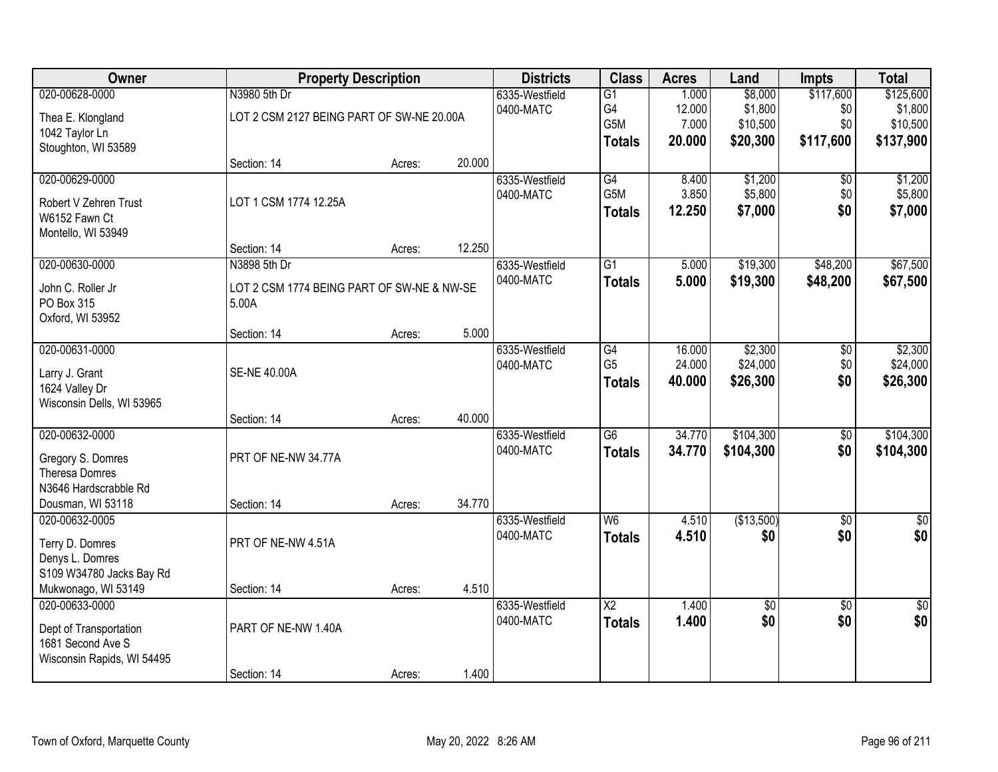| Owner                      |                                            | <b>Property Description</b> |        |                | <b>Class</b>           | <b>Acres</b> | Land        | <b>Impts</b>    | <b>Total</b>    |
|----------------------------|--------------------------------------------|-----------------------------|--------|----------------|------------------------|--------------|-------------|-----------------|-----------------|
| 020-00628-0000             | N3980 5th Dr                               |                             |        | 6335-Westfield | $\overline{G1}$        | 1.000        | \$8,000     | \$117,600       | \$125,600       |
| Thea E. Klongland          | LOT 2 CSM 2127 BEING PART OF SW-NE 20.00A  |                             |        | 0400-MATC      | G4                     | 12.000       | \$1,800     | \$0             | \$1,800         |
| 1042 Taylor Ln             |                                            |                             |        |                | G5M                    | 7.000        | \$10,500    | \$0             | \$10,500        |
| Stoughton, WI 53589        |                                            |                             |        |                | <b>Totals</b>          | 20.000       | \$20,300    | \$117,600       | \$137,900       |
|                            | Section: 14                                | Acres:                      | 20.000 |                |                        |              |             |                 |                 |
| 020-00629-0000             |                                            |                             |        | 6335-Westfield | G4                     | 8.400        | \$1,200     | \$0             | \$1,200         |
| Robert V Zehren Trust      | LOT 1 CSM 1774 12.25A                      |                             |        | 0400-MATC      | G5M                    | 3.850        | \$5,800     | \$0             | \$5,800         |
| W6152 Fawn Ct              |                                            |                             |        |                | <b>Totals</b>          | 12.250       | \$7,000     | \$0             | \$7,000         |
| Montello, WI 53949         |                                            |                             |        |                |                        |              |             |                 |                 |
|                            | Section: 14                                | Acres:                      | 12.250 |                |                        |              |             |                 |                 |
| 020-00630-0000             | N3898 5th Dr                               |                             |        | 6335-Westfield | $\overline{G1}$        | 5.000        | \$19,300    | \$48,200        | \$67,500        |
| John C. Roller Jr          | LOT 2 CSM 1774 BEING PART OF SW-NE & NW-SE |                             |        | 0400-MATC      | <b>Totals</b>          | 5.000        | \$19,300    | \$48,200        | \$67,500        |
| PO Box 315                 | 5.00A                                      |                             |        |                |                        |              |             |                 |                 |
| Oxford, WI 53952           |                                            |                             |        |                |                        |              |             |                 |                 |
|                            | Section: 14                                | Acres:                      | 5.000  |                |                        |              |             |                 |                 |
| 020-00631-0000             |                                            |                             |        | 6335-Westfield | G4                     | 16.000       | \$2,300     | \$0             | \$2,300         |
| Larry J. Grant             | <b>SE-NE 40.00A</b>                        |                             |        | 0400-MATC      | G <sub>5</sub>         | 24.000       | \$24,000    | \$0             | \$24,000        |
| 1624 Valley Dr             |                                            |                             |        |                | <b>Totals</b>          | 40.000       | \$26,300    | \$0             | \$26,300        |
| Wisconsin Dells, WI 53965  |                                            |                             |        |                |                        |              |             |                 |                 |
|                            | Section: 14                                | Acres:                      | 40.000 |                |                        |              |             |                 |                 |
| 020-00632-0000             |                                            |                             |        | 6335-Westfield | $\overline{G6}$        | 34.770       | \$104,300   | $\overline{50}$ | \$104,300       |
| Gregory S. Domres          | PRT OF NE-NW 34.77A                        |                             |        | 0400-MATC      | <b>Totals</b>          | 34.770       | \$104,300   | \$0             | \$104,300       |
| Theresa Domres             |                                            |                             |        |                |                        |              |             |                 |                 |
| N3646 Hardscrabble Rd      |                                            |                             |        |                |                        |              |             |                 |                 |
| Dousman, WI 53118          | Section: 14                                | Acres:                      | 34.770 |                |                        |              |             |                 |                 |
| 020-00632-0005             |                                            |                             |        | 6335-Westfield | W6                     | 4.510        | (\$13,500)  | $\overline{50}$ | \$0             |
| Terry D. Domres            | PRT OF NE-NW 4.51A                         |                             |        | 0400-MATC      | <b>Totals</b>          | 4.510        | \$0         | \$0             | \$0             |
| Denys L. Domres            |                                            |                             |        |                |                        |              |             |                 |                 |
| S109 W34780 Jacks Bay Rd   |                                            |                             |        |                |                        |              |             |                 |                 |
| Mukwonago, WI 53149        | Section: 14                                | Acres:                      | 4.510  |                |                        |              |             |                 |                 |
| 020-00633-0000             |                                            |                             |        | 6335-Westfield | $\overline{\text{X2}}$ | 1.400        | $\sqrt{$0}$ | $\overline{30}$ | $\overline{50}$ |
| Dept of Transportation     | PART OF NE-NW 1.40A                        |                             |        | 0400-MATC      | <b>Totals</b>          | 1.400        | \$0         | \$0             | \$0             |
| 1681 Second Ave S          |                                            |                             |        |                |                        |              |             |                 |                 |
| Wisconsin Rapids, WI 54495 |                                            |                             |        |                |                        |              |             |                 |                 |
|                            | Section: 14                                | Acres:                      | 1.400  |                |                        |              |             |                 |                 |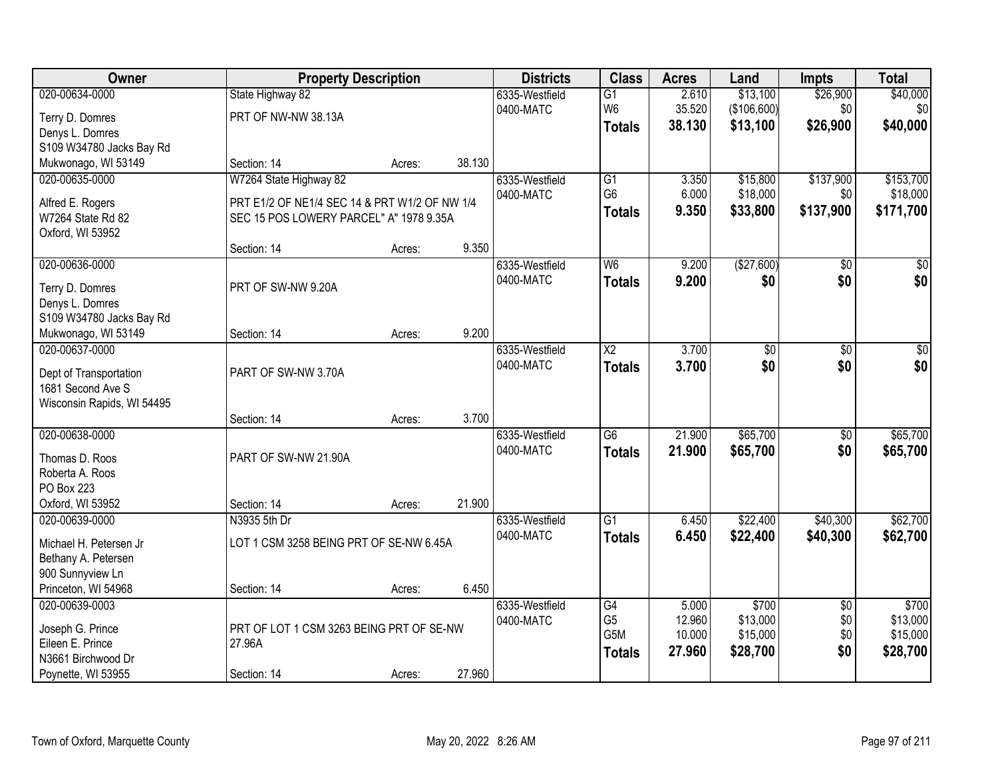| Owner                                       | <b>Property Description</b>                   |        |        | <b>Districts</b> | <b>Class</b>    | <b>Acres</b> | Land            | <b>Impts</b>    | <b>Total</b>    |
|---------------------------------------------|-----------------------------------------------|--------|--------|------------------|-----------------|--------------|-----------------|-----------------|-----------------|
| 020-00634-0000                              | State Highway 82                              |        |        | 6335-Westfield   | $\overline{G1}$ | 2.610        | \$13,100        | \$26,900        | \$40,000        |
| Terry D. Domres                             | PRT OF NW-NW 38.13A                           |        |        | 0400-MATC        | W <sub>6</sub>  | 35.520       | (\$106,600)     | \$0             | \$0             |
| Denys L. Domres                             |                                               |        |        |                  | <b>Totals</b>   | 38.130       | \$13,100        | \$26,900        | \$40,000        |
| S109 W34780 Jacks Bay Rd                    |                                               |        |        |                  |                 |              |                 |                 |                 |
| Mukwonago, WI 53149                         | Section: 14                                   | Acres: | 38.130 |                  |                 |              |                 |                 |                 |
| 020-00635-0000                              | W7264 State Highway 82                        |        |        | 6335-Westfield   | $\overline{G1}$ | 3.350        | \$15,800        | \$137,900       | \$153,700       |
| Alfred E. Rogers                            | PRT E1/2 OF NE1/4 SEC 14 & PRT W1/2 OF NW 1/4 |        |        | 0400-MATC        | G <sub>6</sub>  | 6.000        | \$18,000        | \$0             | \$18,000        |
| W7264 State Rd 82                           | SEC 15 POS LOWERY PARCEL" A" 1978 9.35A       |        |        |                  | <b>Totals</b>   | 9.350        | \$33,800        | \$137,900       | \$171,700       |
| Oxford, WI 53952                            |                                               |        |        |                  |                 |              |                 |                 |                 |
|                                             | Section: 14                                   | Acres: | 9.350  |                  |                 |              |                 |                 |                 |
| 020-00636-0000                              |                                               |        |        | 6335-Westfield   | W <sub>6</sub>  | 9.200        | (\$27,600)      | $\overline{50}$ | $\overline{30}$ |
|                                             |                                               |        |        | 0400-MATC        | <b>Totals</b>   | 9.200        | \$0             | \$0             | \$0             |
| Terry D. Domres                             | PRT OF SW-NW 9.20A                            |        |        |                  |                 |              |                 |                 |                 |
| Denys L. Domres<br>S109 W34780 Jacks Bay Rd |                                               |        |        |                  |                 |              |                 |                 |                 |
| Mukwonago, WI 53149                         | Section: 14                                   | Acres: | 9.200  |                  |                 |              |                 |                 |                 |
| 020-00637-0000                              |                                               |        |        | 6335-Westfield   | $\overline{X2}$ | 3.700        | $\overline{50}$ | \$0             | \$0             |
|                                             |                                               |        |        | 0400-MATC        | <b>Totals</b>   | 3.700        | \$0             | \$0             | \$0             |
| Dept of Transportation                      | PART OF SW-NW 3.70A                           |        |        |                  |                 |              |                 |                 |                 |
| 1681 Second Ave S                           |                                               |        |        |                  |                 |              |                 |                 |                 |
| Wisconsin Rapids, WI 54495                  |                                               |        |        |                  |                 |              |                 |                 |                 |
|                                             | Section: 14                                   | Acres: | 3.700  |                  |                 |              |                 |                 |                 |
| 020-00638-0000                              |                                               |        |        | 6335-Westfield   | $\overline{G6}$ | 21.900       | \$65,700        | $\overline{50}$ | \$65,700        |
| Thomas D. Roos                              | PART OF SW-NW 21.90A                          |        |        | 0400-MATC        | <b>Totals</b>   | 21.900       | \$65,700        | \$0             | \$65,700        |
| Roberta A. Roos                             |                                               |        |        |                  |                 |              |                 |                 |                 |
| PO Box 223                                  |                                               |        |        |                  |                 |              |                 |                 |                 |
| Oxford, WI 53952                            | Section: 14                                   | Acres: | 21.900 |                  |                 |              |                 |                 |                 |
| 020-00639-0000                              | N3935 5th Dr                                  |        |        | 6335-Westfield   | $\overline{G1}$ | 6.450        | \$22,400        | \$40,300        | \$62,700        |
| Michael H. Petersen Jr                      | LOT 1 CSM 3258 BEING PRT OF SE-NW 6.45A       |        |        | 0400-MATC        | <b>Totals</b>   | 6.450        | \$22,400        | \$40,300        | \$62,700        |
| Bethany A. Petersen                         |                                               |        |        |                  |                 |              |                 |                 |                 |
| 900 Sunnyview Ln                            |                                               |        |        |                  |                 |              |                 |                 |                 |
| Princeton, WI 54968                         | Section: 14                                   | Acres: | 6.450  |                  |                 |              |                 |                 |                 |
| 020-00639-0003                              |                                               |        |        | 6335-Westfield   | G4              | 5.000        | \$700           | $\overline{50}$ | \$700           |
|                                             |                                               |        |        | 0400-MATC        | G <sub>5</sub>  | 12.960       | \$13,000        | \$0             | \$13,000        |
| Joseph G. Prince                            | PRT OF LOT 1 CSM 3263 BEING PRT OF SE-NW      |        |        |                  | G5M             | 10.000       | \$15,000        | \$0             | \$15,000        |
| Eileen E. Prince<br>N3661 Birchwood Dr      | 27.96A                                        |        |        |                  | <b>Totals</b>   | 27.960       | \$28,700        | \$0             | \$28,700        |
| Poynette, WI 53955                          | Section: 14                                   |        | 27.960 |                  |                 |              |                 |                 |                 |
|                                             |                                               | Acres: |        |                  |                 |              |                 |                 |                 |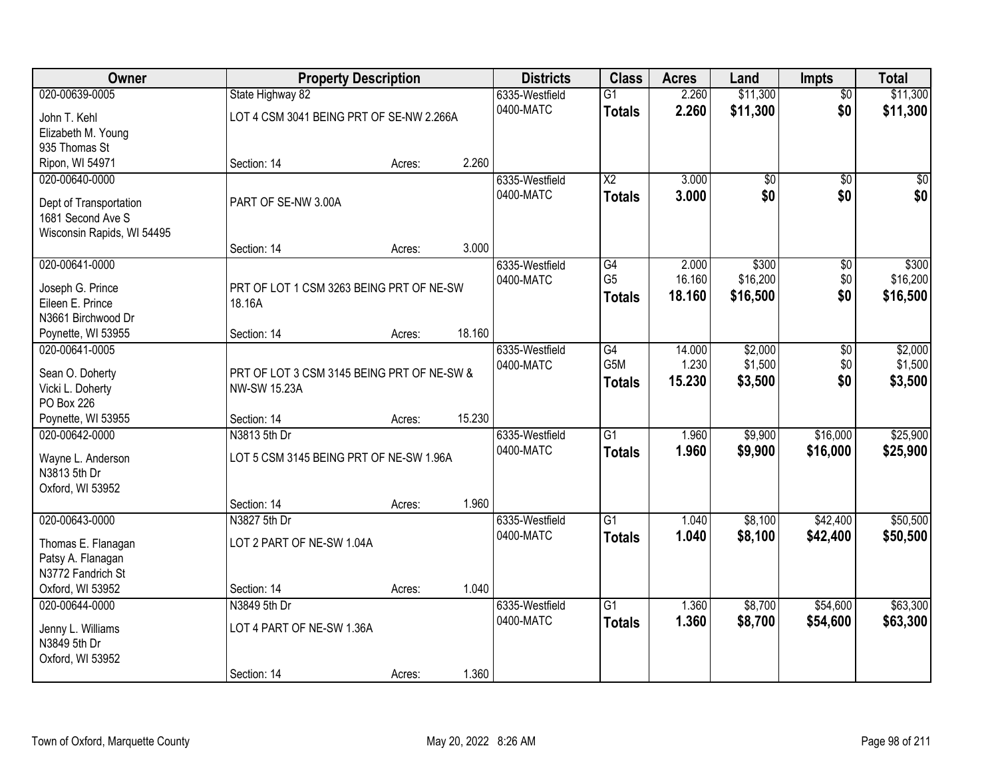| Owner                               |                                                                   | <b>Property Description</b> |        | <b>Districts</b>            | <b>Class</b>           | <b>Acres</b> | Land     | <b>Impts</b>    | <b>Total</b> |
|-------------------------------------|-------------------------------------------------------------------|-----------------------------|--------|-----------------------------|------------------------|--------------|----------|-----------------|--------------|
| 020-00639-0005                      | State Highway 82                                                  |                             |        | 6335-Westfield              | $\overline{G1}$        | 2.260        | \$11,300 | $\overline{50}$ | \$11,300     |
| John T. Kehl                        | LOT 4 CSM 3041 BEING PRT OF SE-NW 2.266A                          |                             |        | 0400-MATC                   | <b>Totals</b>          | 2.260        | \$11,300 | \$0             | \$11,300     |
| Elizabeth M. Young                  |                                                                   |                             |        |                             |                        |              |          |                 |              |
| 935 Thomas St                       |                                                                   |                             |        |                             |                        |              |          |                 |              |
| Ripon, WI 54971                     | Section: 14                                                       | Acres:                      | 2.260  |                             |                        |              |          |                 |              |
| 020-00640-0000                      |                                                                   |                             |        | 6335-Westfield              | $\overline{\text{X2}}$ | 3.000        | \$0      | $\overline{50}$ | \$0          |
| Dept of Transportation              | PART OF SE-NW 3.00A                                               |                             |        | 0400-MATC                   | <b>Totals</b>          | 3.000        | \$0      | \$0             | \$0          |
| 1681 Second Ave S                   |                                                                   |                             |        |                             |                        |              |          |                 |              |
| Wisconsin Rapids, WI 54495          |                                                                   |                             |        |                             |                        |              |          |                 |              |
|                                     | Section: 14                                                       | Acres:                      | 3.000  |                             |                        |              |          |                 |              |
| 020-00641-0000                      |                                                                   |                             |        | 6335-Westfield              | $\overline{G4}$        | 2.000        | \$300    | \$0             | \$300        |
| Joseph G. Prince                    | PRT OF LOT 1 CSM 3263 BEING PRT OF NE-SW                          |                             |        | 0400-MATC                   | G <sub>5</sub>         | 16.160       | \$16,200 | \$0             | \$16,200     |
| Eileen E. Prince                    | 18.16A                                                            |                             |        |                             | <b>Totals</b>          | 18.160       | \$16,500 | \$0             | \$16,500     |
| N3661 Birchwood Dr                  |                                                                   |                             |        |                             |                        |              |          |                 |              |
| Poynette, WI 53955                  | Section: 14                                                       | Acres:                      | 18.160 |                             |                        |              |          |                 |              |
| 020-00641-0005                      |                                                                   |                             |        | 6335-Westfield              | $\overline{G4}$        | 14.000       | \$2,000  | \$0             | \$2,000      |
|                                     |                                                                   |                             |        | 0400-MATC                   | G <sub>5</sub> M       | 1.230        | \$1,500  | \$0             | \$1,500      |
| Sean O. Doherty<br>Vicki L. Doherty | PRT OF LOT 3 CSM 3145 BEING PRT OF NE-SW &<br><b>NW-SW 15.23A</b> |                             |        |                             | <b>Totals</b>          | 15.230       | \$3,500  | \$0             | \$3,500      |
| PO Box 226                          |                                                                   |                             |        |                             |                        |              |          |                 |              |
| Poynette, WI 53955                  | Section: 14                                                       | Acres:                      | 15.230 |                             |                        |              |          |                 |              |
| 020-00642-0000                      | N3813 5th Dr                                                      |                             |        | 6335-Westfield              | $\overline{G1}$        | 1.960        | \$9,900  | \$16,000        | \$25,900     |
|                                     |                                                                   |                             |        | 0400-MATC                   | <b>Totals</b>          | 1.960        | \$9,900  | \$16,000        | \$25,900     |
| Wayne L. Anderson                   | LOT 5 CSM 3145 BEING PRT OF NE-SW 1.96A                           |                             |        |                             |                        |              |          |                 |              |
| N3813 5th Dr                        |                                                                   |                             |        |                             |                        |              |          |                 |              |
| Oxford, WI 53952                    | Section: 14                                                       |                             | 1.960  |                             |                        |              |          |                 |              |
| 020-00643-0000                      | N3827 5th Dr                                                      | Acres:                      |        | 6335-Westfield              | $\overline{G1}$        | 1.040        | \$8,100  | \$42,400        | \$50,500     |
|                                     |                                                                   |                             |        | 0400-MATC                   | <b>Totals</b>          | 1.040        | \$8,100  | \$42,400        | \$50,500     |
| Thomas E. Flanagan                  | LOT 2 PART OF NE-SW 1.04A                                         |                             |        |                             |                        |              |          |                 |              |
| Patsy A. Flanagan                   |                                                                   |                             |        |                             |                        |              |          |                 |              |
| N3772 Fandrich St                   |                                                                   |                             |        |                             |                        |              |          |                 |              |
| Oxford, WI 53952                    | Section: 14                                                       | Acres:                      | 1.040  |                             |                        |              |          |                 |              |
| 020-00644-0000                      | N3849 5th Dr                                                      |                             |        | 6335-Westfield<br>0400-MATC | $\overline{G1}$        | 1.360        | \$8,700  | \$54,600        | \$63,300     |
| Jenny L. Williams                   | LOT 4 PART OF NE-SW 1.36A                                         |                             |        |                             | <b>Totals</b>          | 1.360        | \$8,700  | \$54,600        | \$63,300     |
| N3849 5th Dr                        |                                                                   |                             |        |                             |                        |              |          |                 |              |
| Oxford, WI 53952                    |                                                                   |                             |        |                             |                        |              |          |                 |              |
|                                     | Section: 14                                                       | Acres:                      | 1.360  |                             |                        |              |          |                 |              |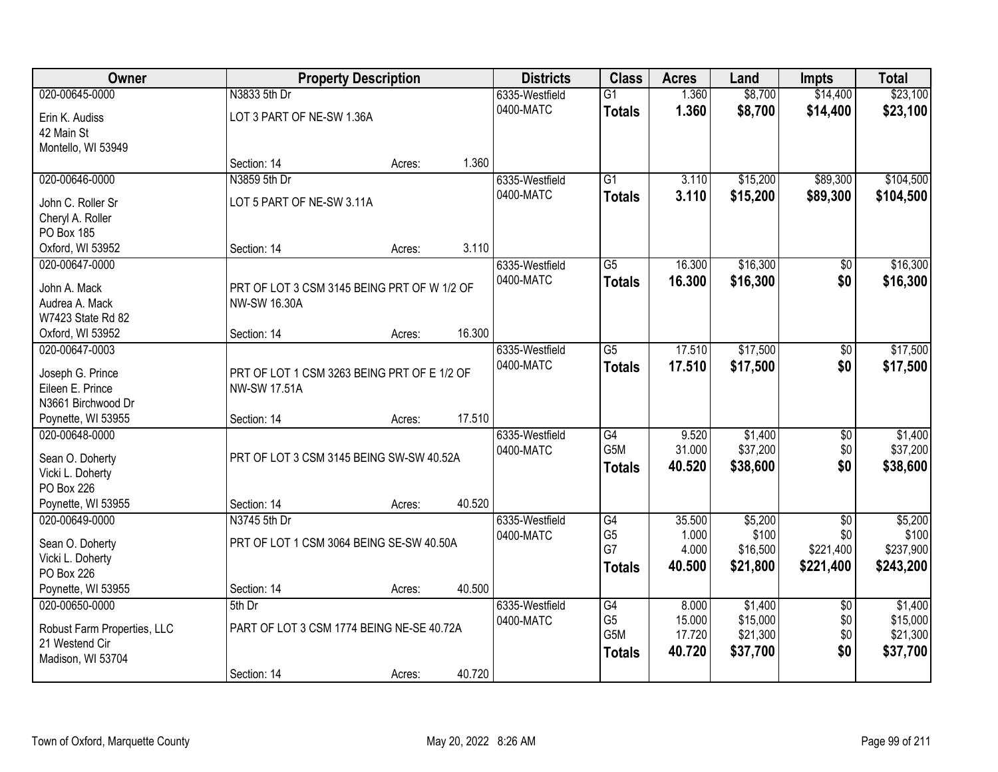| Owner                                  |                                             | <b>Property Description</b> |        | <b>Districts</b> | <b>Class</b>         | <b>Acres</b>   | Land              | <b>Impts</b>     | <b>Total</b>       |
|----------------------------------------|---------------------------------------------|-----------------------------|--------|------------------|----------------------|----------------|-------------------|------------------|--------------------|
| 020-00645-0000                         | N3833 5th Dr                                |                             |        | 6335-Westfield   | $\overline{G1}$      | 1.360          | \$8,700           | \$14,400         | \$23,100           |
| Erin K. Audiss                         | LOT 3 PART OF NE-SW 1.36A                   |                             |        | 0400-MATC        | <b>Totals</b>        | 1.360          | \$8,700           | \$14,400         | \$23,100           |
| 42 Main St                             |                                             |                             |        |                  |                      |                |                   |                  |                    |
| Montello, WI 53949                     |                                             |                             |        |                  |                      |                |                   |                  |                    |
|                                        | Section: 14                                 | Acres:                      | 1.360  |                  |                      |                |                   |                  |                    |
| 020-00646-0000                         | N3859 5th Dr                                |                             |        | 6335-Westfield   | $\overline{G1}$      | 3.110          | \$15,200          | \$89,300         | \$104,500          |
| John C. Roller Sr                      | LOT 5 PART OF NE-SW 3.11A                   |                             |        | 0400-MATC        | <b>Totals</b>        | 3.110          | \$15,200          | \$89,300         | \$104,500          |
| Cheryl A. Roller                       |                                             |                             |        |                  |                      |                |                   |                  |                    |
| PO Box 185                             |                                             |                             |        |                  |                      |                |                   |                  |                    |
| Oxford, WI 53952                       | Section: 14                                 | Acres:                      | 3.110  |                  |                      |                |                   |                  |                    |
| 020-00647-0000                         |                                             |                             |        | 6335-Westfield   | $\overline{G5}$      | 16.300         | \$16,300          | \$0              | \$16,300           |
| John A. Mack                           | PRT OF LOT 3 CSM 3145 BEING PRT OF W 1/2 OF |                             |        | 0400-MATC        | <b>Totals</b>        | 16.300         | \$16,300          | \$0              | \$16,300           |
| Audrea A. Mack                         | <b>NW-SW 16.30A</b>                         |                             |        |                  |                      |                |                   |                  |                    |
| W7423 State Rd 82                      |                                             |                             |        |                  |                      |                |                   |                  |                    |
| Oxford, WI 53952                       | Section: 14                                 | Acres:                      | 16.300 |                  |                      |                |                   |                  |                    |
| 020-00647-0003                         |                                             |                             |        | 6335-Westfield   | $\overline{G5}$      | 17.510         | \$17,500          | $\sqrt[6]{3}$    | \$17,500           |
|                                        |                                             |                             |        | 0400-MATC        | <b>Totals</b>        | 17.510         | \$17,500          | \$0              | \$17,500           |
| Joseph G. Prince                       | PRT OF LOT 1 CSM 3263 BEING PRT OF E 1/2 OF |                             |        |                  |                      |                |                   |                  |                    |
| Eileen E. Prince<br>N3661 Birchwood Dr | <b>NW-SW 17.51A</b>                         |                             |        |                  |                      |                |                   |                  |                    |
| Poynette, WI 53955                     | Section: 14                                 | Acres:                      | 17.510 |                  |                      |                |                   |                  |                    |
| 020-00648-0000                         |                                             |                             |        | 6335-Westfield   | $\overline{G4}$      | 9.520          | \$1,400           | $\overline{50}$  | \$1,400            |
|                                        |                                             |                             |        | 0400-MATC        | G <sub>5</sub> M     | 31.000         | \$37,200          | \$0              | \$37,200           |
| Sean O. Doherty                        | PRT OF LOT 3 CSM 3145 BEING SW-SW 40.52A    |                             |        |                  | <b>Totals</b>        | 40.520         | \$38,600          | \$0              | \$38,600           |
| Vicki L. Doherty                       |                                             |                             |        |                  |                      |                |                   |                  |                    |
| PO Box 226                             |                                             |                             |        |                  |                      |                |                   |                  |                    |
| Poynette, WI 53955                     | Section: 14                                 | Acres:                      | 40.520 |                  |                      |                |                   |                  |                    |
| 020-00649-0000                         | N3745 5th Dr                                |                             |        | 6335-Westfield   | G4                   | 35.500         | \$5,200           | $\sqrt{$0}$      | \$5,200            |
| Sean O. Doherty                        | PRT OF LOT 1 CSM 3064 BEING SE-SW 40.50A    |                             |        | 0400-MATC        | G <sub>5</sub><br>G7 | 1.000<br>4.000 | \$100<br>\$16,500 | \$0<br>\$221,400 | \$100<br>\$237,900 |
| Vicki L. Doherty                       |                                             |                             |        |                  |                      | 40,500         | \$21,800          | \$221,400        | \$243,200          |
| PO Box 226                             |                                             |                             |        |                  | <b>Totals</b>        |                |                   |                  |                    |
| Poynette, WI 53955                     | Section: 14                                 | Acres:                      | 40.500 |                  |                      |                |                   |                  |                    |
| 020-00650-0000                         | 5th Dr                                      |                             |        | 6335-Westfield   | G4                   | 8.000          | \$1,400           | $\overline{60}$  | \$1,400            |
| Robust Farm Properties, LLC            | PART OF LOT 3 CSM 1774 BEING NE-SE 40.72A   |                             |        | 0400-MATC        | G <sub>5</sub>       | 15.000         | \$15,000          | \$0              | \$15,000           |
| 21 Westend Cir                         |                                             |                             |        |                  | G5M                  | 17.720         | \$21,300          | \$0              | \$21,300           |
| Madison, WI 53704                      |                                             |                             |        |                  | <b>Totals</b>        | 40.720         | \$37,700          | \$0              | \$37,700           |
|                                        | Section: 14                                 | Acres:                      | 40.720 |                  |                      |                |                   |                  |                    |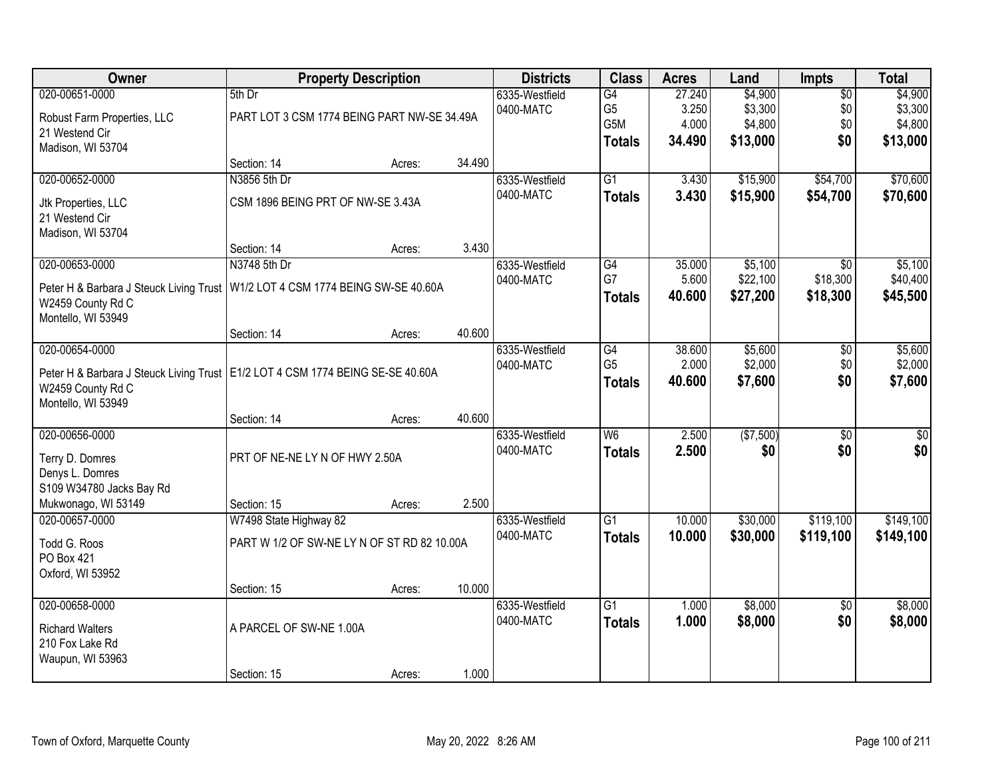| Owner                                                                                                                                         | <b>Property Description</b>                            |        |        | <b>Districts</b>            | <b>Class</b>                                 | <b>Acres</b>                       | Land                                      | Impts                                | <b>Total</b>                              |
|-----------------------------------------------------------------------------------------------------------------------------------------------|--------------------------------------------------------|--------|--------|-----------------------------|----------------------------------------------|------------------------------------|-------------------------------------------|--------------------------------------|-------------------------------------------|
| 020-00651-0000<br>Robust Farm Properties, LLC<br>21 Westend Cir<br>Madison, WI 53704                                                          | 5th Dr<br>PART LOT 3 CSM 1774 BEING PART NW-SE 34.49A  |        |        | 6335-Westfield<br>0400-MATC | G4<br>G <sub>5</sub><br>G5M<br><b>Totals</b> | 27.240<br>3.250<br>4.000<br>34.490 | \$4,900<br>\$3,300<br>\$4,800<br>\$13,000 | $\overline{50}$<br>\$0<br>\$0<br>\$0 | \$4,900<br>\$3,300<br>\$4,800<br>\$13,000 |
|                                                                                                                                               | Section: 14                                            | Acres: | 34.490 |                             |                                              |                                    |                                           |                                      |                                           |
| 020-00652-0000<br>Jtk Properties, LLC<br>21 Westend Cir<br>Madison, WI 53704                                                                  | N3856 5th Dr<br>CSM 1896 BEING PRT OF NW-SE 3.43A      |        |        | 6335-Westfield<br>0400-MATC | $\overline{G1}$<br><b>Totals</b>             | 3.430<br>3.430                     | \$15,900<br>\$15,900                      | \$54,700<br>\$54,700                 | \$70,600<br>\$70,600                      |
|                                                                                                                                               | Section: 14                                            | Acres: | 3.430  |                             |                                              |                                    |                                           |                                      |                                           |
| 020-00653-0000<br>Peter H & Barbara J Steuck Living Trust<br>W2459 County Rd C<br>Montello, WI 53949                                          | N3748 5th Dr<br>W1/2 LOT 4 CSM 1774 BEING SW-SE 40.60A |        |        | 6335-Westfield<br>0400-MATC | G4<br>G7<br><b>Totals</b>                    | 35.000<br>5.600<br>40.600          | \$5,100<br>\$22,100<br>\$27,200           | \$0<br>\$18,300<br>\$18,300          | \$5,100<br>\$40,400<br>\$45,500           |
|                                                                                                                                               | Section: 14                                            | Acres: | 40.600 |                             |                                              |                                    |                                           |                                      |                                           |
| 020-00654-0000<br>Peter H & Barbara J Steuck Living Trust   E1/2 LOT 4 CSM 1774 BEING SE-SE 40.60A<br>W2459 County Rd C<br>Montello, WI 53949 |                                                        |        |        | 6335-Westfield<br>0400-MATC | G4<br>G <sub>5</sub><br><b>Totals</b>        | 38.600<br>2.000<br>40.600          | \$5,600<br>\$2,000<br>\$7,600             | \$0<br>\$0<br>\$0                    | \$5,600<br>\$2,000<br>\$7,600             |
|                                                                                                                                               | Section: 14                                            | Acres: | 40.600 |                             |                                              |                                    |                                           |                                      |                                           |
| 020-00656-0000<br>Terry D. Domres<br>Denys L. Domres<br>S109 W34780 Jacks Bay Rd<br>Mukwonago, WI 53149                                       | PRT OF NE-NE LY N OF HWY 2.50A<br>Section: 15          | Acres: | 2.500  | 6335-Westfield<br>0400-MATC | $\overline{W6}$<br><b>Totals</b>             | 2.500<br>2.500                     | (\$7,500)<br>\$0                          | $\overline{50}$<br>\$0               | $\overline{50}$<br>\$0                    |
| 020-00657-0000                                                                                                                                | W7498 State Highway 82                                 |        |        | 6335-Westfield              | $\overline{G1}$                              | 10.000                             | \$30,000                                  | \$119,100                            | \$149,100                                 |
| Todd G. Roos<br>PO Box 421<br>Oxford, WI 53952                                                                                                | PART W 1/2 OF SW-NE LY N OF ST RD 82 10.00A            |        |        | 0400-MATC                   | <b>Totals</b>                                | 10.000                             | \$30,000                                  | \$119,100                            | \$149,100                                 |
|                                                                                                                                               | Section: 15                                            | Acres: | 10.000 |                             |                                              |                                    |                                           |                                      |                                           |
| 020-00658-0000<br><b>Richard Walters</b><br>210 Fox Lake Rd<br>Waupun, WI 53963                                                               | A PARCEL OF SW-NE 1.00A                                |        |        | 6335-Westfield<br>0400-MATC | $\overline{G1}$<br><b>Totals</b>             | 1.000<br>1.000                     | \$8,000<br>\$8,000                        | $\overline{50}$<br>\$0               | \$8,000<br>\$8,000                        |
|                                                                                                                                               | Section: 15                                            | Acres: | 1.000  |                             |                                              |                                    |                                           |                                      |                                           |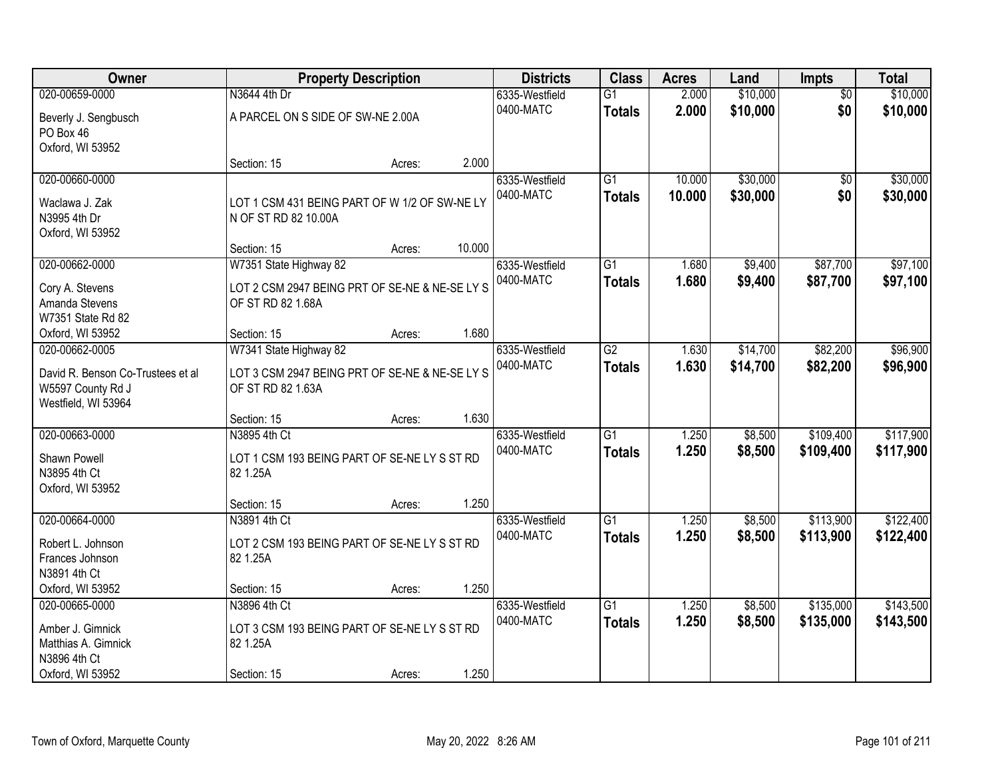| Owner                             |                                                | <b>Property Description</b> |        | <b>Districts</b> | <b>Class</b>    | <b>Acres</b> | Land     | Impts           | <b>Total</b> |
|-----------------------------------|------------------------------------------------|-----------------------------|--------|------------------|-----------------|--------------|----------|-----------------|--------------|
| 020-00659-0000                    | N3644 4th Dr                                   |                             |        | 6335-Westfield   | $\overline{G1}$ | 2.000        | \$10,000 | $\overline{50}$ | \$10,000     |
| Beverly J. Sengbusch              | A PARCEL ON S SIDE OF SW-NE 2.00A              |                             |        | 0400-MATC        | <b>Totals</b>   | 2.000        | \$10,000 | \$0             | \$10,000     |
| PO Box 46                         |                                                |                             |        |                  |                 |              |          |                 |              |
| Oxford, WI 53952                  |                                                |                             |        |                  |                 |              |          |                 |              |
|                                   | Section: 15                                    | Acres:                      | 2.000  |                  |                 |              |          |                 |              |
| 020-00660-0000                    |                                                |                             |        | 6335-Westfield   | $\overline{G1}$ | 10.000       | \$30,000 | $\overline{50}$ | \$30,000     |
| Waclawa J. Zak                    | LOT 1 CSM 431 BEING PART OF W 1/2 OF SW-NE LY  |                             |        | 0400-MATC        | <b>Totals</b>   | 10.000       | \$30,000 | \$0             | \$30,000     |
| N3995 4th Dr                      | N OF ST RD 82 10.00A                           |                             |        |                  |                 |              |          |                 |              |
| Oxford, WI 53952                  |                                                |                             |        |                  |                 |              |          |                 |              |
|                                   | Section: 15                                    | Acres:                      | 10.000 |                  |                 |              |          |                 |              |
| 020-00662-0000                    | W7351 State Highway 82                         |                             |        | 6335-Westfield   | $\overline{G1}$ | 1.680        | \$9,400  | \$87,700        | \$97,100     |
| Cory A. Stevens                   | LOT 2 CSM 2947 BEING PRT OF SE-NE & NE-SE LY S |                             |        | 0400-MATC        | <b>Totals</b>   | 1.680        | \$9,400  | \$87,700        | \$97,100     |
| Amanda Stevens                    | OF ST RD 82 1.68A                              |                             |        |                  |                 |              |          |                 |              |
| W7351 State Rd 82                 |                                                |                             |        |                  |                 |              |          |                 |              |
| Oxford, WI 53952                  | Section: 15                                    | Acres:                      | 1.680  |                  |                 |              |          |                 |              |
| 020-00662-0005                    | W7341 State Highway 82                         |                             |        | 6335-Westfield   | $\overline{G2}$ | 1.630        | \$14,700 | \$82,200        | \$96,900     |
| David R. Benson Co-Trustees et al | LOT 3 CSM 2947 BEING PRT OF SE-NE & NE-SE LY S |                             |        | 0400-MATC        | <b>Totals</b>   | 1.630        | \$14,700 | \$82,200        | \$96,900     |
| W5597 County Rd J                 | OF ST RD 82 1.63A                              |                             |        |                  |                 |              |          |                 |              |
| Westfield, WI 53964               |                                                |                             |        |                  |                 |              |          |                 |              |
|                                   | Section: 15                                    | Acres:                      | 1.630  |                  |                 |              |          |                 |              |
| 020-00663-0000                    | N3895 4th Ct                                   |                             |        | 6335-Westfield   | $\overline{G1}$ | 1.250        | \$8,500  | \$109,400       | \$117,900    |
| Shawn Powell                      | LOT 1 CSM 193 BEING PART OF SE-NE LY S ST RD   |                             |        | 0400-MATC        | <b>Totals</b>   | 1.250        | \$8,500  | \$109,400       | \$117,900    |
| N3895 4th Ct                      | 82 1.25A                                       |                             |        |                  |                 |              |          |                 |              |
| Oxford, WI 53952                  |                                                |                             |        |                  |                 |              |          |                 |              |
|                                   | Section: 15                                    | Acres:                      | 1.250  |                  |                 |              |          |                 |              |
| 020-00664-0000                    | N3891 4th Ct                                   |                             |        | 6335-Westfield   | G1              | 1.250        | \$8,500  | \$113,900       | \$122,400    |
| Robert L. Johnson                 | LOT 2 CSM 193 BEING PART OF SE-NE LY S ST RD   |                             |        | 0400-MATC        | <b>Totals</b>   | 1.250        | \$8,500  | \$113,900       | \$122,400    |
| Frances Johnson                   | 82 1.25A                                       |                             |        |                  |                 |              |          |                 |              |
| N3891 4th Ct                      |                                                |                             |        |                  |                 |              |          |                 |              |
| Oxford, WI 53952                  | Section: 15                                    | Acres:                      | 1.250  |                  |                 |              |          |                 |              |
| 020-00665-0000                    | N3896 4th Ct                                   |                             |        | 6335-Westfield   | $\overline{G1}$ | 1.250        | \$8,500  | \$135,000       | \$143,500    |
| Amber J. Gimnick                  | LOT 3 CSM 193 BEING PART OF SE-NE LY S ST RD   |                             |        | 0400-MATC        | <b>Totals</b>   | 1.250        | \$8,500  | \$135,000       | \$143,500    |
| Matthias A. Gimnick               | 82 1.25A                                       |                             |        |                  |                 |              |          |                 |              |
| N3896 4th Ct                      |                                                |                             |        |                  |                 |              |          |                 |              |
| Oxford, WI 53952                  | Section: 15                                    | Acres:                      | 1.250  |                  |                 |              |          |                 |              |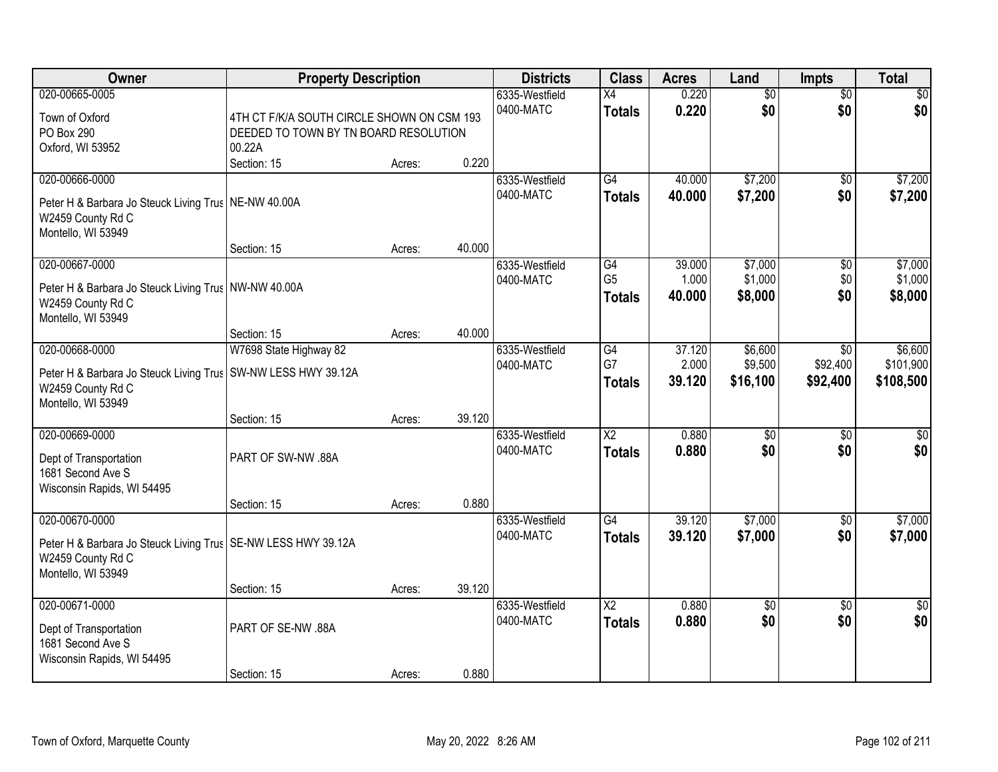| Owner                                                           | <b>Property Description</b>                |        |        | <b>Districts</b> | <b>Class</b>           | <b>Acres</b> | Land            | Impts           | <b>Total</b>    |
|-----------------------------------------------------------------|--------------------------------------------|--------|--------|------------------|------------------------|--------------|-----------------|-----------------|-----------------|
| 020-00665-0005                                                  |                                            |        |        | 6335-Westfield   | X4                     | 0.220        | $\overline{60}$ | $\overline{50}$ | \$0             |
| Town of Oxford                                                  | 4TH CT F/K/A SOUTH CIRCLE SHOWN ON CSM 193 |        |        | 0400-MATC        | <b>Totals</b>          | 0.220        | \$0             | \$0             | \$0             |
| PO Box 290                                                      | DEEDED TO TOWN BY TN BOARD RESOLUTION      |        |        |                  |                        |              |                 |                 |                 |
| Oxford, WI 53952                                                | 00.22A                                     |        |        |                  |                        |              |                 |                 |                 |
|                                                                 | Section: 15                                | Acres: | 0.220  |                  |                        |              |                 |                 |                 |
| 020-00666-0000                                                  |                                            |        |        | 6335-Westfield   | G4                     | 40.000       | \$7,200         | $\overline{50}$ | \$7,200         |
| Peter H & Barbara Jo Steuck Living Trus   NE-NW 40.00A          |                                            |        |        | 0400-MATC        | <b>Totals</b>          | 40.000       | \$7,200         | \$0             | \$7,200         |
| W2459 County Rd C                                               |                                            |        |        |                  |                        |              |                 |                 |                 |
| Montello, WI 53949                                              |                                            |        |        |                  |                        |              |                 |                 |                 |
|                                                                 | Section: 15                                | Acres: | 40.000 |                  |                        |              |                 |                 |                 |
| 020-00667-0000                                                  |                                            |        |        | 6335-Westfield   | G4                     | 39.000       | \$7,000         | \$0             | \$7,000         |
|                                                                 |                                            |        |        | 0400-MATC        | G <sub>5</sub>         | 1.000        | \$1,000         | \$0             | \$1,000         |
| Peter H & Barbara Jo Steuck Living Trus   NW-NW 40.00A          |                                            |        |        |                  | <b>Totals</b>          | 40.000       | \$8,000         | \$0             | \$8,000         |
| W2459 County Rd C                                               |                                            |        |        |                  |                        |              |                 |                 |                 |
| Montello, WI 53949                                              | Section: 15                                |        | 40.000 |                  |                        |              |                 |                 |                 |
| 020-00668-0000                                                  | W7698 State Highway 82                     | Acres: |        | 6335-Westfield   | G4                     | 37.120       | \$6,600         | $\sqrt{6}$      | \$6,600         |
|                                                                 |                                            |        |        | 0400-MATC        | G7                     | 2.000        | \$9,500         | \$92,400        | \$101,900       |
| Peter H & Barbara Jo Steuck Living Trus   SW-NW LESS HWY 39.12A |                                            |        |        |                  | <b>Totals</b>          | 39.120       | \$16,100        | \$92,400        | \$108,500       |
| W2459 County Rd C                                               |                                            |        |        |                  |                        |              |                 |                 |                 |
| Montello, WI 53949                                              |                                            |        |        |                  |                        |              |                 |                 |                 |
|                                                                 | Section: 15                                | Acres: | 39.120 |                  |                        |              |                 |                 |                 |
| 020-00669-0000                                                  |                                            |        |        | 6335-Westfield   | $\overline{\text{X2}}$ | 0.880        | $\overline{50}$ | $\overline{50}$ | $\overline{50}$ |
| Dept of Transportation                                          | PART OF SW-NW .88A                         |        |        | 0400-MATC        | <b>Totals</b>          | 0.880        | \$0             | \$0             | \$0             |
| 1681 Second Ave S                                               |                                            |        |        |                  |                        |              |                 |                 |                 |
| Wisconsin Rapids, WI 54495                                      |                                            |        |        |                  |                        |              |                 |                 |                 |
|                                                                 | Section: 15                                | Acres: | 0.880  |                  |                        |              |                 |                 |                 |
| 020-00670-0000                                                  |                                            |        |        | 6335-Westfield   | $\overline{G4}$        | 39.120       | \$7,000         | $\overline{50}$ | \$7,000         |
| Peter H & Barbara Jo Steuck Living Trus   SE-NW LESS HWY 39.12A |                                            |        |        | 0400-MATC        | <b>Totals</b>          | 39.120       | \$7,000         | \$0             | \$7,000         |
| W2459 County Rd C                                               |                                            |        |        |                  |                        |              |                 |                 |                 |
| Montello, WI 53949                                              |                                            |        |        |                  |                        |              |                 |                 |                 |
|                                                                 | Section: 15                                | Acres: | 39.120 |                  |                        |              |                 |                 |                 |
| 020-00671-0000                                                  |                                            |        |        | 6335-Westfield   | $\overline{\text{X2}}$ | 0.880        | \$0             | $\overline{50}$ | $\overline{50}$ |
|                                                                 | PART OF SE-NW .88A                         |        |        | 0400-MATC        | <b>Totals</b>          | 0.880        | \$0             | \$0             | \$0             |
| Dept of Transportation<br>1681 Second Ave S                     |                                            |        |        |                  |                        |              |                 |                 |                 |
| Wisconsin Rapids, WI 54495                                      |                                            |        |        |                  |                        |              |                 |                 |                 |
|                                                                 | Section: 15                                | Acres: | 0.880  |                  |                        |              |                 |                 |                 |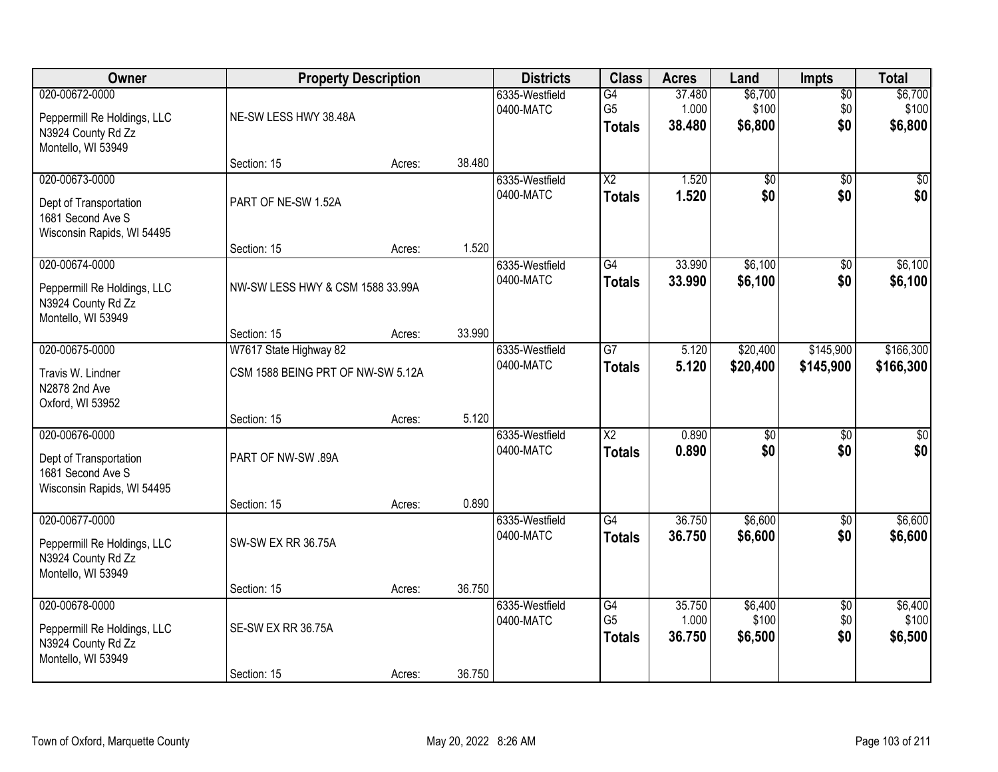| Owner                                                                                       | <b>Property Description</b>                                 |        |        | <b>Districts</b>            | <b>Class</b>                          | <b>Acres</b>              | Land                        | Impts                         | <b>Total</b>                |
|---------------------------------------------------------------------------------------------|-------------------------------------------------------------|--------|--------|-----------------------------|---------------------------------------|---------------------------|-----------------------------|-------------------------------|-----------------------------|
| 020-00672-0000<br>Peppermill Re Holdings, LLC<br>N3924 County Rd Zz<br>Montello, WI 53949   | NE-SW LESS HWY 38.48A                                       |        |        | 6335-Westfield<br>0400-MATC | G4<br>G <sub>5</sub><br><b>Totals</b> | 37.480<br>1.000<br>38.480 | \$6,700<br>\$100<br>\$6,800 | $\overline{50}$<br>\$0<br>\$0 | \$6,700<br>\$100<br>\$6,800 |
|                                                                                             | Section: 15                                                 | Acres: | 38.480 |                             |                                       |                           |                             |                               |                             |
| 020-00673-0000<br>Dept of Transportation<br>1681 Second Ave S<br>Wisconsin Rapids, WI 54495 | PART OF NE-SW 1.52A                                         |        |        | 6335-Westfield<br>0400-MATC | $\overline{X2}$<br><b>Totals</b>      | 1.520<br>1.520            | $\overline{60}$<br>\$0      | $\overline{50}$<br>\$0        | \$0<br>\$0                  |
|                                                                                             | Section: 15                                                 | Acres: | 1.520  |                             |                                       |                           |                             |                               |                             |
| 020-00674-0000<br>Peppermill Re Holdings, LLC<br>N3924 County Rd Zz<br>Montello, WI 53949   | NW-SW LESS HWY & CSM 1588 33.99A                            |        |        | 6335-Westfield<br>0400-MATC | $\overline{G4}$<br><b>Totals</b>      | 33.990<br>33.990          | \$6,100<br>\$6,100          | $\overline{50}$<br>\$0        | \$6,100<br>\$6,100          |
|                                                                                             | Section: 15                                                 | Acres: | 33.990 |                             |                                       |                           |                             |                               |                             |
| 020-00675-0000<br>Travis W. Lindner<br>N2878 2nd Ave<br>Oxford, WI 53952                    | W7617 State Highway 82<br>CSM 1588 BEING PRT OF NW-SW 5.12A |        |        | 6335-Westfield<br>0400-MATC | $\overline{G}$<br><b>Totals</b>       | 5.120<br>5.120            | \$20,400<br>\$20,400        | \$145,900<br>\$145,900        | \$166,300<br>\$166,300      |
|                                                                                             | Section: 15                                                 | Acres: | 5.120  |                             |                                       |                           |                             |                               |                             |
| 020-00676-0000<br>Dept of Transportation<br>1681 Second Ave S<br>Wisconsin Rapids, WI 54495 | PART OF NW-SW .89A                                          |        |        | 6335-Westfield<br>0400-MATC | $\overline{X2}$<br><b>Totals</b>      | 0.890<br>0.890            | $\overline{50}$<br>\$0      | $\overline{50}$<br>\$0        | $\overline{\$0}$<br>\$0     |
| 020-00677-0000                                                                              | Section: 15                                                 | Acres: | 0.890  | 6335-Westfield              | G4                                    | 36.750                    | \$6,600                     | $\sqrt{6}$                    | \$6,600                     |
| Peppermill Re Holdings, LLC<br>N3924 County Rd Zz<br>Montello, WI 53949                     | <b>SW-SW EX RR 36.75A</b>                                   |        |        | 0400-MATC                   | <b>Totals</b>                         | 36.750                    | \$6,600                     | \$0                           | \$6,600                     |
|                                                                                             | Section: 15                                                 | Acres: | 36.750 |                             |                                       |                           |                             |                               |                             |
| 020-00678-0000<br>Peppermill Re Holdings, LLC<br>N3924 County Rd Zz<br>Montello, WI 53949   | SE-SW EX RR 36.75A                                          |        |        | 6335-Westfield<br>0400-MATC | G4<br>G <sub>5</sub><br><b>Totals</b> | 35.750<br>1.000<br>36.750 | \$6,400<br>\$100<br>\$6,500 | $\overline{50}$<br>\$0<br>\$0 | \$6,400<br>\$100<br>\$6,500 |
|                                                                                             | Section: 15                                                 | Acres: | 36.750 |                             |                                       |                           |                             |                               |                             |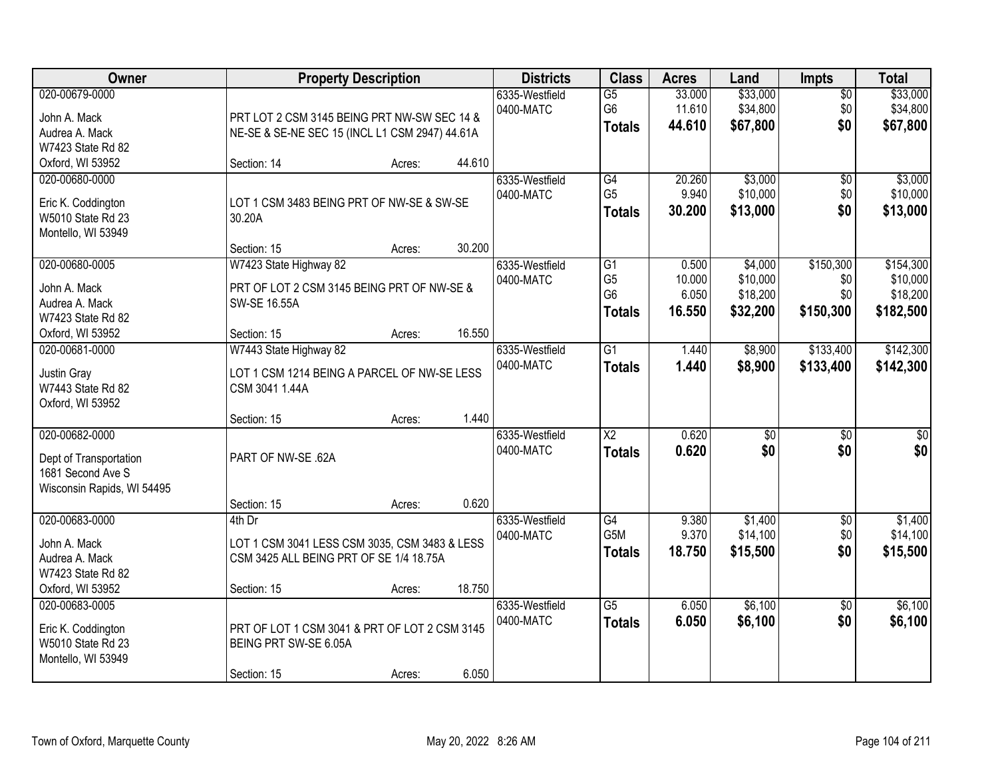| 020-00679-0000                                                                              |                                                                                                    |        |        |                             |                                                    |                            |                                  | <b>Impts</b>                  | <b>Total</b>                      |
|---------------------------------------------------------------------------------------------|----------------------------------------------------------------------------------------------------|--------|--------|-----------------------------|----------------------------------------------------|----------------------------|----------------------------------|-------------------------------|-----------------------------------|
| John A. Mack<br>Audrea A. Mack<br>W7423 State Rd 82                                         | PRT LOT 2 CSM 3145 BEING PRT NW-SW SEC 14 &<br>NE-SE & SE-NE SEC 15 (INCL L1 CSM 2947) 44.61A      |        |        | 6335-Westfield<br>0400-MATC | $\overline{G5}$<br>G <sub>6</sub><br><b>Totals</b> | 33.000<br>11.610<br>44.610 | \$33,000<br>\$34,800<br>\$67,800 | $\overline{50}$<br>\$0<br>\$0 | \$33,000<br>\$34,800<br>\$67,800  |
| Oxford, WI 53952                                                                            | Section: 14                                                                                        | Acres: | 44.610 |                             |                                                    |                            |                                  |                               |                                   |
| 020-00680-0000<br>Eric K. Coddington<br>W5010 State Rd 23<br>Montello, WI 53949             | LOT 1 CSM 3483 BEING PRT OF NW-SE & SW-SE<br>30.20A                                                |        | 30.200 | 6335-Westfield<br>0400-MATC | G4<br>G <sub>5</sub><br><b>Totals</b>              | 20.260<br>9.940<br>30.200  | \$3,000<br>\$10,000<br>\$13,000  | \$0<br>\$0<br>\$0             | \$3,000<br>\$10,000<br>\$13,000   |
| 020-00680-0005                                                                              | Section: 15<br>W7423 State Highway 82                                                              | Acres: |        | 6335-Westfield              | $\overline{G1}$                                    | 0.500                      | \$4,000                          | \$150,300                     | \$154,300                         |
| John A. Mack<br>Audrea A. Mack<br>W7423 State Rd 82                                         | PRT OF LOT 2 CSM 3145 BEING PRT OF NW-SE &<br>SW-SE 16.55A                                         |        |        | 0400-MATC                   | G <sub>5</sub><br>G <sub>6</sub><br><b>Totals</b>  | 10.000<br>6.050<br>16.550  | \$10,000<br>\$18,200<br>\$32,200 | \$0<br>\$0<br>\$150,300       | \$10,000<br>\$18,200<br>\$182,500 |
| Oxford, WI 53952                                                                            | Section: 15                                                                                        | Acres: | 16.550 |                             |                                                    |                            |                                  |                               |                                   |
| 020-00681-0000<br>Justin Gray<br>W7443 State Rd 82<br>Oxford, WI 53952                      | W7443 State Highway 82<br>LOT 1 CSM 1214 BEING A PARCEL OF NW-SE LESS<br>CSM 3041 1.44A            |        |        | 6335-Westfield<br>0400-MATC | $\overline{G1}$<br><b>Totals</b>                   | 1.440<br>1.440             | \$8,900<br>\$8,900               | \$133,400<br>\$133,400        | \$142,300<br>\$142,300            |
|                                                                                             | Section: 15                                                                                        | Acres: | 1.440  |                             |                                                    |                            |                                  |                               |                                   |
| 020-00682-0000<br>Dept of Transportation<br>1681 Second Ave S<br>Wisconsin Rapids, WI 54495 | PART OF NW-SE .62A                                                                                 |        |        | 6335-Westfield<br>0400-MATC | $\overline{\text{X2}}$<br><b>Totals</b>            | 0.620<br>0.620             | $\overline{50}$<br>\$0           | $\overline{30}$<br>\$0        | $\overline{\$0}$<br>\$0           |
|                                                                                             | Section: 15                                                                                        | Acres: | 0.620  |                             |                                                    |                            |                                  |                               |                                   |
| 020-00683-0000<br>John A. Mack<br>Audrea A. Mack<br>W7423 State Rd 82                       | 4th Dr<br>LOT 1 CSM 3041 LESS CSM 3035, CSM 3483 & LESS<br>CSM 3425 ALL BEING PRT OF SE 1/4 18.75A |        |        | 6335-Westfield<br>0400-MATC | $\overline{G4}$<br>G5M<br><b>Totals</b>            | 9.380<br>9.370<br>18.750   | \$1,400<br>\$14,100<br>\$15,500  | $\sqrt{$0}$<br>\$0<br>\$0     | \$1,400<br>\$14,100<br>\$15,500   |
| Oxford, WI 53952                                                                            | Section: 15                                                                                        | Acres: | 18.750 |                             |                                                    |                            |                                  |                               |                                   |
| 020-00683-0005<br>Eric K. Coddington<br>W5010 State Rd 23<br>Montello, WI 53949             | PRT OF LOT 1 CSM 3041 & PRT OF LOT 2 CSM 3145<br>BEING PRT SW-SE 6.05A<br>Section: 15              | Acres: | 6.050  | 6335-Westfield<br>0400-MATC | $\overline{G5}$<br><b>Totals</b>                   | 6.050<br>6.050             | \$6,100<br>\$6,100               | $\overline{30}$<br>\$0        | \$6,100<br>\$6,100                |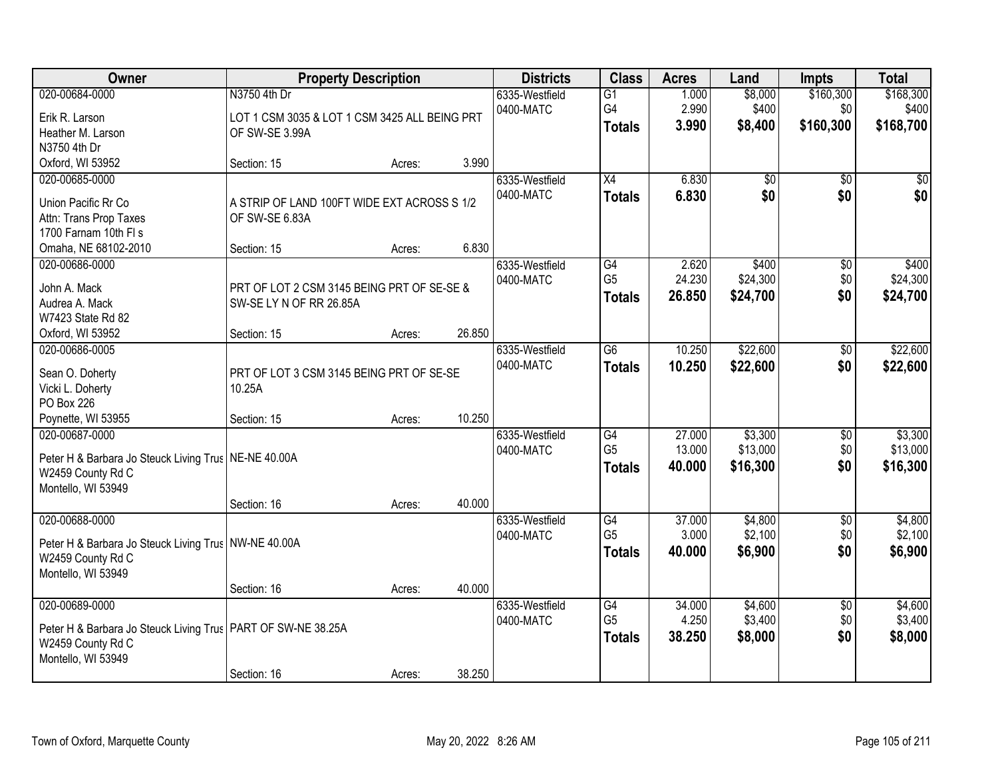| Owner                                                                                                                                     | <b>Property Description</b>                                                          |                  |                  | <b>Districts</b>            | <b>Class</b>                                       | <b>Acres</b>               | Land                            | <b>Impts</b>                  | <b>Total</b>                    |
|-------------------------------------------------------------------------------------------------------------------------------------------|--------------------------------------------------------------------------------------|------------------|------------------|-----------------------------|----------------------------------------------------|----------------------------|---------------------------------|-------------------------------|---------------------------------|
| 020-00684-0000<br>Erik R. Larson<br>Heather M. Larson                                                                                     | N3750 4th Dr<br>LOT 1 CSM 3035 & LOT 1 CSM 3425 ALL BEING PRT<br>OF SW-SE 3.99A      |                  |                  | 6335-Westfield<br>0400-MATC | $\overline{G1}$<br>G4<br><b>Totals</b>             | 1.000<br>2.990<br>3.990    | \$8,000<br>\$400<br>\$8,400     | \$160,300<br>\$0<br>\$160,300 | \$168,300<br>\$400<br>\$168,700 |
| N3750 4th Dr<br>Oxford, WI 53952                                                                                                          | Section: 15                                                                          | Acres:           | 3.990            |                             |                                                    |                            |                                 |                               |                                 |
| 020-00685-0000<br>Union Pacific Rr Co<br>Attn: Trans Prop Taxes<br>1700 Farnam 10th FI s<br>Omaha, NE 68102-2010                          | A STRIP OF LAND 100FT WIDE EXT ACROSS S 1/2<br>OF SW-SE 6.83A<br>Section: 15         | Acres:           | 6.830            | 6335-Westfield<br>0400-MATC | $\overline{X4}$<br><b>Totals</b>                   | 6.830<br>6.830             | $\overline{50}$<br>\$0          | $\overline{50}$<br>\$0        | $\sqrt{50}$<br>\$0              |
| 020-00686-0000<br>John A. Mack<br>Audrea A. Mack<br>W7423 State Rd 82<br>Oxford, WI 53952                                                 | PRT OF LOT 2 CSM 3145 BEING PRT OF SE-SE &<br>SW-SE LY N OF RR 26.85A<br>Section: 15 | Acres:           | 26.850           | 6335-Westfield<br>0400-MATC | G4<br>G <sub>5</sub><br><b>Totals</b>              | 2.620<br>24.230<br>26.850  | \$400<br>\$24,300<br>\$24,700   | \$0<br>\$0<br>\$0             | \$400<br>\$24,300<br>\$24,700   |
| 020-00686-0005<br>Sean O. Doherty<br>Vicki L. Doherty<br>PO Box 226                                                                       | PRT OF LOT 3 CSM 3145 BEING PRT OF SE-SE<br>10.25A                                   |                  | 10.250           | 6335-Westfield<br>0400-MATC | G6<br><b>Totals</b>                                | 10.250<br>10.250           | \$22,600<br>\$22,600            | \$0<br>\$0                    | \$22,600<br>\$22,600            |
| Poynette, WI 53955<br>020-00687-0000<br>Peter H & Barbara Jo Steuck Living Trus   NE-NE 40.00A<br>W2459 County Rd C<br>Montello, WI 53949 | Section: 15<br>Section: 16                                                           | Acres:<br>Acres: | 40.000           | 6335-Westfield<br>0400-MATC | G4<br>G <sub>5</sub><br><b>Totals</b>              | 27.000<br>13.000<br>40.000 | \$3,300<br>\$13,000<br>\$16,300 | $\overline{50}$<br>\$0<br>\$0 | \$3,300<br>\$13,000<br>\$16,300 |
| 020-00688-0000<br>Peter H & Barbara Jo Steuck Living Trus   NW-NE 40.00A<br>W2459 County Rd C<br>Montello, WI 53949                       |                                                                                      |                  |                  | 6335-Westfield<br>0400-MATC | G4<br>G <sub>5</sub><br><b>Totals</b>              | 37.000<br>3.000<br>40.000  | \$4,800<br>\$2,100<br>\$6,900   | $\overline{50}$<br>\$0<br>\$0 | \$4,800<br>\$2,100<br>\$6,900   |
| 020-00689-0000<br>Peter H & Barbara Jo Steuck Living Trus   PART OF SW-NE 38.25A<br>W2459 County Rd C<br>Montello, WI 53949               | Section: 16<br>Section: 16                                                           | Acres:<br>Acres: | 40.000<br>38.250 | 6335-Westfield<br>0400-MATC | $\overline{G4}$<br>G <sub>5</sub><br><b>Totals</b> | 34.000<br>4.250<br>38.250  | \$4,600<br>\$3,400<br>\$8,000   | $\overline{50}$<br>\$0<br>\$0 | \$4,600<br>\$3,400<br>\$8,000   |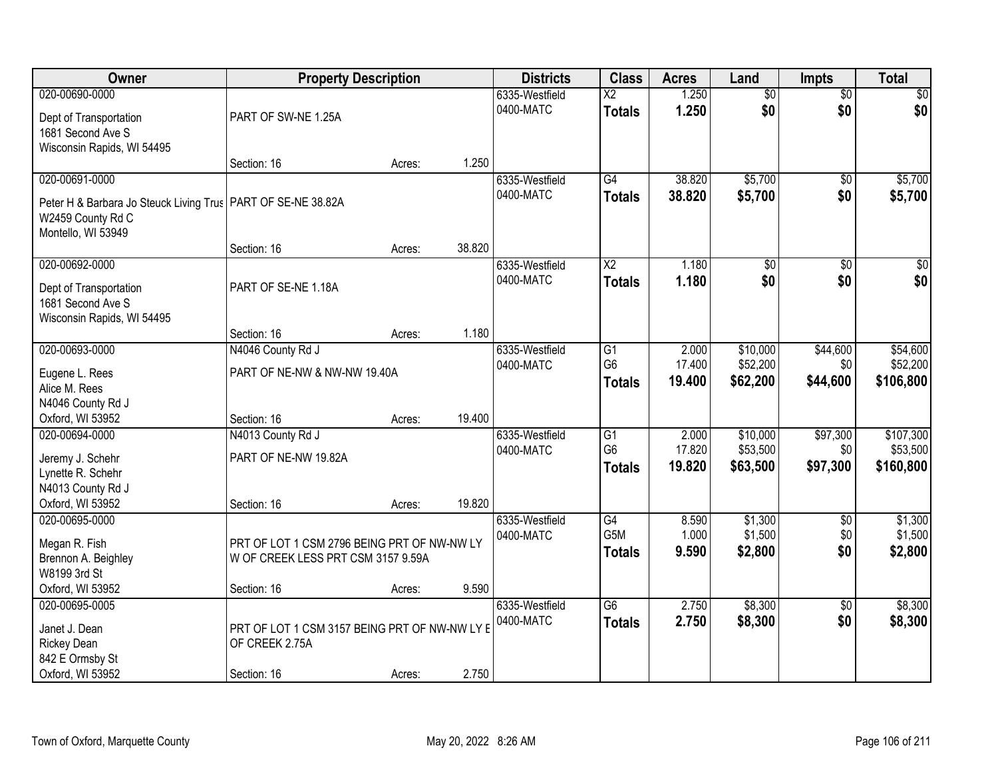| Owner                                                                                                                       | <b>Property Description</b>                                                       |        |        | <b>Districts</b>            | <b>Class</b>                            | <b>Acres</b>              | Land                             | <b>Impts</b>                | <b>Total</b>                      |
|-----------------------------------------------------------------------------------------------------------------------------|-----------------------------------------------------------------------------------|--------|--------|-----------------------------|-----------------------------------------|---------------------------|----------------------------------|-----------------------------|-----------------------------------|
| 020-00690-0000<br>Dept of Transportation<br>1681 Second Ave S                                                               | PART OF SW-NE 1.25A                                                               |        |        | 6335-Westfield<br>0400-MATC | $\overline{\text{X2}}$<br><b>Totals</b> | 1.250<br>1.250            | $\overline{50}$<br>\$0           | $\overline{50}$<br>\$0      | $\sqrt{50}$<br>\$0                |
| Wisconsin Rapids, WI 54495                                                                                                  | Section: 16                                                                       | Acres: | 1.250  |                             |                                         |                           |                                  |                             |                                   |
| 020-00691-0000<br>Peter H & Barbara Jo Steuck Living Trus   PART OF SE-NE 38.82A<br>W2459 County Rd C<br>Montello, WI 53949 |                                                                                   |        |        | 6335-Westfield<br>0400-MATC | $\overline{G4}$<br><b>Totals</b>        | 38.820<br>38.820          | \$5,700<br>\$5,700               | \$0<br>\$0                  | \$5,700<br>\$5,700                |
|                                                                                                                             | Section: 16                                                                       | Acres: | 38.820 |                             |                                         |                           |                                  |                             |                                   |
| 020-00692-0000<br>Dept of Transportation<br>1681 Second Ave S<br>Wisconsin Rapids, WI 54495                                 | PART OF SE-NE 1.18A                                                               |        |        | 6335-Westfield<br>0400-MATC | $\overline{\text{X2}}$<br><b>Totals</b> | 1.180<br>1.180            | $\overline{50}$<br>\$0           | $\overline{50}$<br>\$0      | $\overline{30}$<br>\$0            |
|                                                                                                                             | Section: 16                                                                       | Acres: | 1.180  |                             |                                         |                           |                                  |                             |                                   |
| 020-00693-0000<br>Eugene L. Rees<br>Alice M. Rees<br>N4046 County Rd J                                                      | N4046 County Rd J<br>PART OF NE-NW & NW-NW 19.40A                                 |        |        | 6335-Westfield<br>0400-MATC | G1<br>G <sub>6</sub><br><b>Totals</b>   | 2.000<br>17.400<br>19.400 | \$10,000<br>\$52,200<br>\$62,200 | \$44,600<br>\$0<br>\$44,600 | \$54,600<br>\$52,200<br>\$106,800 |
| Oxford, WI 53952<br>020-00694-0000                                                                                          | Section: 16<br>N4013 County Rd J                                                  | Acres: | 19.400 | 6335-Westfield              | $\overline{G1}$                         | 2.000                     | \$10,000                         | \$97,300                    | \$107,300                         |
| Jeremy J. Schehr<br>Lynette R. Schehr<br>N4013 County Rd J<br>Oxford, WI 53952                                              | PART OF NE-NW 19.82A<br>Section: 16                                               | Acres: | 19.820 | 0400-MATC                   | G <sub>6</sub><br><b>Totals</b>         | 17.820<br>19.820          | \$53,500<br>\$63,500             | \$0<br>\$97,300             | \$53,500<br>\$160,800             |
| 020-00695-0000<br>Megan R. Fish<br>Brennon A. Beighley<br>W8199 3rd St                                                      | PRT OF LOT 1 CSM 2796 BEING PRT OF NW-NW LY<br>W OF CREEK LESS PRT CSM 3157 9.59A |        |        | 6335-Westfield<br>0400-MATC | G4<br>G5M<br><b>Totals</b>              | 8.590<br>1.000<br>9.590   | \$1,300<br>\$1,500<br>\$2,800    | $\sqrt{$0}$<br>\$0<br>\$0   | \$1,300<br>\$1,500<br>\$2,800     |
| Oxford, WI 53952                                                                                                            | Section: 16                                                                       | Acres: | 9.590  |                             |                                         |                           |                                  |                             |                                   |
| 020-00695-0005<br>Janet J. Dean<br><b>Rickey Dean</b><br>842 E Ormsby St<br>Oxford, WI 53952                                | PRT OF LOT 1 CSM 3157 BEING PRT OF NW-NW LY E<br>OF CREEK 2.75A<br>Section: 16    | Acres: | 2.750  | 6335-Westfield<br>0400-MATC | $\overline{G6}$<br><b>Totals</b>        | 2.750<br>2.750            | \$8,300<br>\$8,300               | $\overline{30}$<br>\$0      | \$8,300<br>\$8,300                |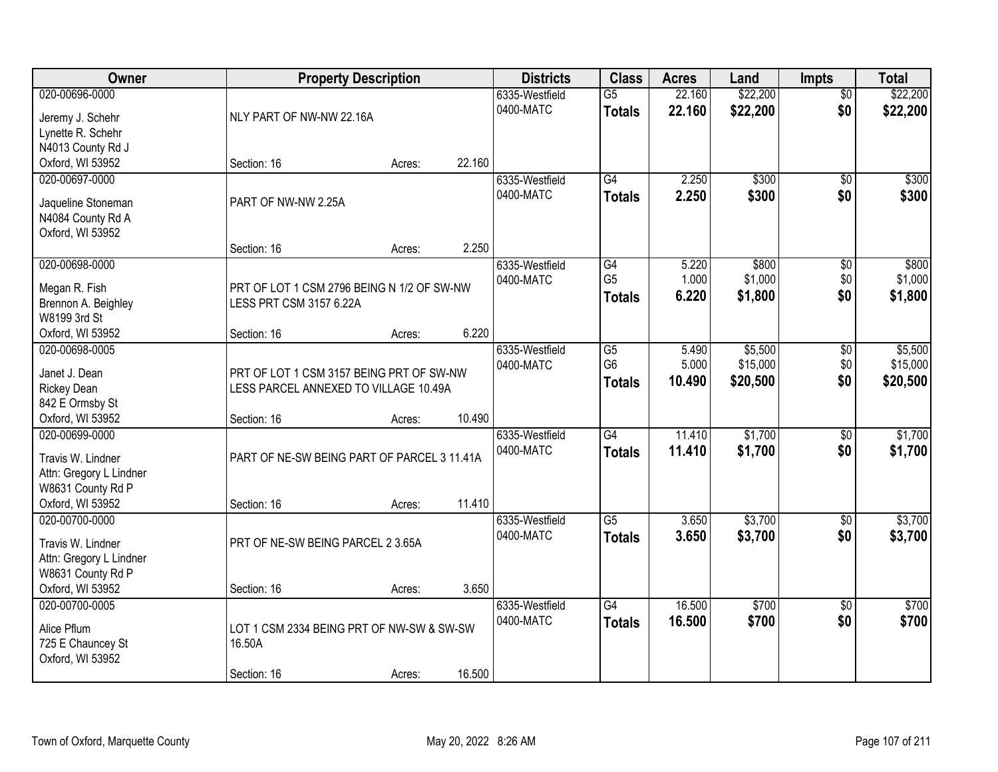| Owner                                        | <b>Property Description</b>                 |        |        | <b>Districts</b> | <b>Class</b>    | <b>Acres</b> | Land     | <b>Impts</b>    | <b>Total</b> |
|----------------------------------------------|---------------------------------------------|--------|--------|------------------|-----------------|--------------|----------|-----------------|--------------|
| 020-00696-0000                               |                                             |        |        | 6335-Westfield   | $\overline{G5}$ | 22.160       | \$22,200 | $\overline{50}$ | \$22,200     |
| Jeremy J. Schehr                             | NLY PART OF NW-NW 22.16A                    |        |        | 0400-MATC        | <b>Totals</b>   | 22.160       | \$22,200 | \$0             | \$22,200     |
| Lynette R. Schehr                            |                                             |        |        |                  |                 |              |          |                 |              |
| N4013 County Rd J                            |                                             |        |        |                  |                 |              |          |                 |              |
| Oxford, WI 53952                             | Section: 16                                 | Acres: | 22.160 |                  |                 |              |          |                 |              |
| 020-00697-0000                               |                                             |        |        | 6335-Westfield   | G4              | 2.250        | \$300    | $\overline{50}$ | \$300        |
|                                              |                                             |        |        | 0400-MATC        | <b>Totals</b>   | 2.250        | \$300    | \$0             | \$300        |
| Jaqueline Stoneman                           | PART OF NW-NW 2.25A                         |        |        |                  |                 |              |          |                 |              |
| N4084 County Rd A                            |                                             |        |        |                  |                 |              |          |                 |              |
| Oxford, WI 53952                             |                                             |        |        |                  |                 |              |          |                 |              |
|                                              | Section: 16                                 | Acres: | 2.250  |                  |                 |              |          |                 |              |
| 020-00698-0000                               |                                             |        |        | 6335-Westfield   | G4              | 5.220        | \$800    | \$0             | \$800        |
| Megan R. Fish                                | PRT OF LOT 1 CSM 2796 BEING N 1/2 OF SW-NW  |        |        | 0400-MATC        | G <sub>5</sub>  | 1.000        | \$1,000  | \$0             | \$1,000      |
| Brennon A. Beighley                          | LESS PRT CSM 3157 6.22A                     |        |        |                  | <b>Totals</b>   | 6.220        | \$1,800  | \$0             | \$1,800      |
| W8199 3rd St                                 |                                             |        |        |                  |                 |              |          |                 |              |
| Oxford, WI 53952                             | Section: 16                                 | Acres: | 6.220  |                  |                 |              |          |                 |              |
| 020-00698-0005                               |                                             |        |        | 6335-Westfield   | $\overline{G5}$ | 5.490        | \$5,500  | \$0             | \$5,500      |
|                                              |                                             |        |        | 0400-MATC        | G <sub>6</sub>  | 5.000        | \$15,000 | \$0             | \$15,000     |
| Janet J. Dean                                | PRT OF LOT 1 CSM 3157 BEING PRT OF SW-NW    |        |        |                  |                 | 10.490       |          | \$0             |              |
| <b>Rickey Dean</b>                           | LESS PARCEL ANNEXED TO VILLAGE 10.49A       |        |        |                  | <b>Totals</b>   |              | \$20,500 |                 | \$20,500     |
| 842 E Ormsby St                              |                                             |        |        |                  |                 |              |          |                 |              |
| Oxford, WI 53952                             | Section: 16                                 | Acres: | 10.490 |                  |                 |              |          |                 |              |
| 020-00699-0000                               |                                             |        |        | 6335-Westfield   | $\overline{G4}$ | 11.410       | \$1,700  | \$0             | \$1,700      |
| Travis W. Lindner                            | PART OF NE-SW BEING PART OF PARCEL 3 11.41A |        |        | 0400-MATC        | <b>Totals</b>   | 11.410       | \$1,700  | \$0             | \$1,700      |
|                                              |                                             |        |        |                  |                 |              |          |                 |              |
| Attn: Gregory L Lindner<br>W8631 County Rd P |                                             |        |        |                  |                 |              |          |                 |              |
| Oxford, WI 53952                             | Section: 16                                 |        | 11.410 |                  |                 |              |          |                 |              |
| 020-00700-0000                               |                                             | Acres: |        |                  | $\overline{G5}$ |              | \$3,700  |                 | \$3,700      |
|                                              |                                             |        |        | 6335-Westfield   |                 | 3.650        |          | $\sqrt{6}$      |              |
| Travis W. Lindner                            | PRT OF NE-SW BEING PARCEL 2 3.65A           |        |        | 0400-MATC        | <b>Totals</b>   | 3.650        | \$3,700  | \$0             | \$3,700      |
| Attn: Gregory L Lindner                      |                                             |        |        |                  |                 |              |          |                 |              |
| W8631 County Rd P                            |                                             |        |        |                  |                 |              |          |                 |              |
| Oxford, WI 53952                             | Section: 16                                 | Acres: | 3.650  |                  |                 |              |          |                 |              |
| 020-00700-0005                               |                                             |        |        | 6335-Westfield   | $\overline{G4}$ | 16.500       | \$700    | $\overline{50}$ | \$700        |
|                                              |                                             |        |        | 0400-MATC        | <b>Totals</b>   | 16.500       | \$700    | \$0             | \$700        |
| Alice Pflum                                  | LOT 1 CSM 2334 BEING PRT OF NW-SW & SW-SW   |        |        |                  |                 |              |          |                 |              |
| 725 E Chauncey St                            | 16.50A                                      |        |        |                  |                 |              |          |                 |              |
| Oxford, WI 53952                             |                                             |        |        |                  |                 |              |          |                 |              |
|                                              | Section: 16                                 | Acres: | 16.500 |                  |                 |              |          |                 |              |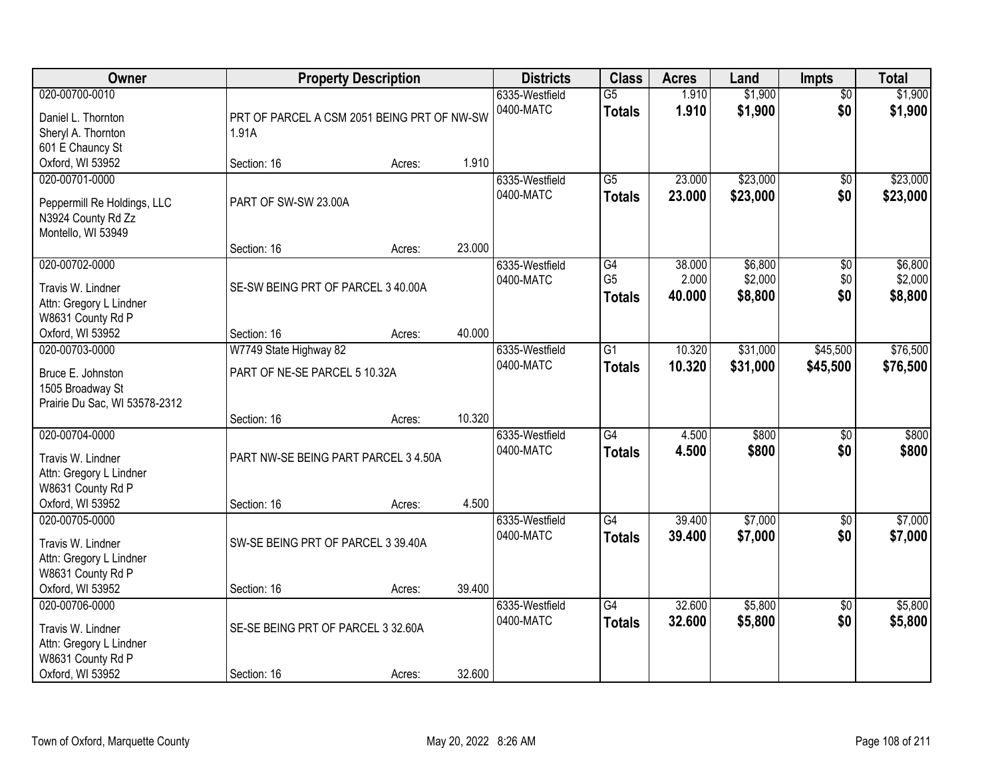| Owner                                                                                                   |                                                                    | <b>Property Description</b> |                  | <b>Districts</b>            | <b>Class</b>                                       | <b>Acres</b>              | Land                          | <b>Impts</b>                  | <b>Total</b>                  |
|---------------------------------------------------------------------------------------------------------|--------------------------------------------------------------------|-----------------------------|------------------|-----------------------------|----------------------------------------------------|---------------------------|-------------------------------|-------------------------------|-------------------------------|
| 020-00700-0010<br>Daniel L. Thornton<br>Sheryl A. Thornton<br>601 E Chauncy St                          | PRT OF PARCEL A CSM 2051 BEING PRT OF NW-SW<br>1.91A               |                             |                  | 6335-Westfield<br>0400-MATC | $\overline{G5}$<br><b>Totals</b>                   | 1.910<br>1.910            | \$1,900<br>\$1,900            | $\overline{50}$<br>\$0        | \$1,900<br>\$1,900            |
| Oxford, WI 53952                                                                                        | Section: 16                                                        | Acres:                      | 1.910            |                             |                                                    |                           |                               |                               |                               |
| 020-00701-0000<br>Peppermill Re Holdings, LLC<br>N3924 County Rd Zz<br>Montello, WI 53949               | PART OF SW-SW 23.00A                                               |                             |                  | 6335-Westfield<br>0400-MATC | $\overline{G5}$<br><b>Totals</b>                   | 23.000<br>23,000          | \$23,000<br>\$23,000          | \$0<br>\$0                    | \$23,000<br>\$23,000          |
| 020-00702-0000<br>Travis W. Lindner<br>Attn: Gregory L Lindner<br>W8631 County Rd P<br>Oxford, WI 53952 | Section: 16<br>SE-SW BEING PRT OF PARCEL 3 40.00A<br>Section: 16   | Acres:<br>Acres:            | 23.000<br>40.000 | 6335-Westfield<br>0400-MATC | $\overline{G4}$<br>G <sub>5</sub><br><b>Totals</b> | 38.000<br>2.000<br>40.000 | \$6,800<br>\$2,000<br>\$8,800 | $\overline{50}$<br>\$0<br>\$0 | \$6,800<br>\$2,000<br>\$8,800 |
| 020-00703-0000<br>Bruce E. Johnston<br>1505 Broadway St<br>Prairie Du Sac, WI 53578-2312                | W7749 State Highway 82<br>PART OF NE-SE PARCEL 5 10.32A            |                             |                  | 6335-Westfield<br>0400-MATC | G1<br><b>Totals</b>                                | 10.320<br>10.320          | \$31,000<br>\$31,000          | \$45,500<br>\$45,500          | \$76,500<br>\$76,500          |
| 020-00704-0000<br>Travis W. Lindner<br>Attn: Gregory L Lindner<br>W8631 County Rd P<br>Oxford, WI 53952 | Section: 16<br>PART NW-SE BEING PART PARCEL 3 4.50A<br>Section: 16 | Acres:<br>Acres:            | 10.320<br>4.500  | 6335-Westfield<br>0400-MATC | $\overline{G4}$<br><b>Totals</b>                   | 4.500<br>4.500            | \$800<br>\$800                | $\overline{50}$<br>\$0        | \$800<br>\$800                |
| 020-00705-0000<br>Travis W. Lindner<br>Attn: Gregory L Lindner<br>W8631 County Rd P<br>Oxford, WI 53952 | SW-SE BEING PRT OF PARCEL 3 39.40A<br>Section: 16                  | Acres:                      | 39.400           | 6335-Westfield<br>0400-MATC | $\overline{G4}$<br><b>Totals</b>                   | 39.400<br>39,400          | \$7,000<br>\$7,000            | $\overline{50}$<br>\$0        | \$7,000<br>\$7,000            |
| 020-00706-0000<br>Travis W. Lindner<br>Attn: Gregory L Lindner<br>W8631 County Rd P<br>Oxford, WI 53952 | SE-SE BEING PRT OF PARCEL 3 32.60A<br>Section: 16                  | Acres:                      | 32.600           | 6335-Westfield<br>0400-MATC | $\overline{G4}$<br><b>Totals</b>                   | 32.600<br>32.600          | \$5,800<br>\$5,800            | $\overline{50}$<br>\$0        | \$5,800<br>\$5,800            |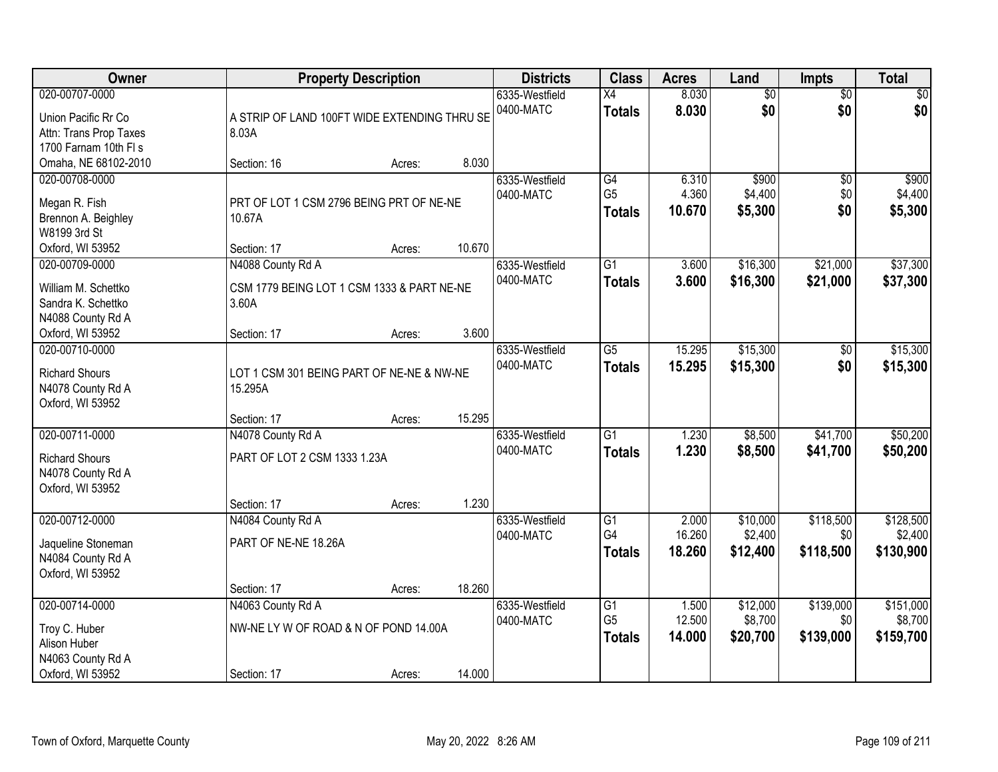| Owner                                                                                    |                                                                           | <b>Property Description</b> |        | <b>Districts</b>            | <b>Class</b>                                       | <b>Acres</b>              | Land                            | Impts                         | <b>Total</b>                      |
|------------------------------------------------------------------------------------------|---------------------------------------------------------------------------|-----------------------------|--------|-----------------------------|----------------------------------------------------|---------------------------|---------------------------------|-------------------------------|-----------------------------------|
| 020-00707-0000<br>Union Pacific Rr Co<br>Attn: Trans Prop Taxes<br>1700 Farnam 10th FI s | A STRIP OF LAND 100FT WIDE EXTENDING THRU SE<br>8.03A                     |                             |        | 6335-Westfield<br>0400-MATC | X4<br><b>Totals</b>                                | 8.030<br>8.030            | $\overline{60}$<br>\$0          | $\overline{50}$<br>\$0        | \$0<br>\$0                        |
| Omaha, NE 68102-2010                                                                     | Section: 16                                                               | Acres:                      | 8.030  |                             |                                                    |                           |                                 |                               |                                   |
| 020-00708-0000<br>Megan R. Fish<br>Brennon A. Beighley<br>W8199 3rd St                   | PRT OF LOT 1 CSM 2796 BEING PRT OF NE-NE<br>10.67A                        |                             | 10.670 | 6335-Westfield<br>0400-MATC | G4<br>G <sub>5</sub><br><b>Totals</b>              | 6.310<br>4.360<br>10.670  | \$900<br>\$4,400<br>\$5,300     | $\overline{50}$<br>\$0<br>\$0 | \$900<br>\$4,400<br>\$5,300       |
| Oxford, WI 53952<br>020-00709-0000                                                       | Section: 17<br>N4088 County Rd A                                          | Acres:                      |        | 6335-Westfield              | G1                                                 | 3.600                     | \$16,300                        | \$21,000                      | \$37,300                          |
| William M. Schettko<br>Sandra K. Schettko<br>N4088 County Rd A                           | CSM 1779 BEING LOT 1 CSM 1333 & PART NE-NE<br>3.60A                       |                             |        | 0400-MATC                   | <b>Totals</b>                                      | 3.600                     | \$16,300                        | \$21,000                      | \$37,300                          |
| Oxford, WI 53952                                                                         | Section: 17                                                               | Acres:                      | 3.600  |                             |                                                    |                           |                                 |                               |                                   |
| 020-00710-0000<br><b>Richard Shours</b><br>N4078 County Rd A<br>Oxford, WI 53952         | LOT 1 CSM 301 BEING PART OF NE-NE & NW-NE<br>15.295A                      |                             |        | 6335-Westfield<br>0400-MATC | G5<br><b>Totals</b>                                | 15.295<br>15.295          | \$15,300<br>\$15,300            | \$0<br>\$0                    | \$15,300<br>\$15,300              |
|                                                                                          | Section: 17                                                               | Acres:                      | 15.295 |                             |                                                    |                           |                                 |                               |                                   |
| 020-00711-0000<br><b>Richard Shours</b><br>N4078 County Rd A<br>Oxford, WI 53952         | N4078 County Rd A<br>PART OF LOT 2 CSM 1333 1.23A<br>Section: 17          | Acres:                      | 1.230  | 6335-Westfield<br>0400-MATC | $\overline{G1}$<br><b>Totals</b>                   | 1.230<br>1.230            | \$8,500<br>\$8,500              | \$41,700<br>\$41,700          | \$50,200<br>\$50,200              |
| 020-00712-0000<br>Jaqueline Stoneman<br>N4084 County Rd A<br>Oxford, WI 53952            | N4084 County Rd A<br>PART OF NE-NE 18.26A                                 |                             |        | 6335-Westfield<br>0400-MATC | G1<br>G4<br><b>Totals</b>                          | 2.000<br>16.260<br>18.260 | \$10,000<br>\$2,400<br>\$12,400 | \$118,500<br>\$0<br>\$118,500 | \$128,500<br>\$2,400<br>\$130,900 |
|                                                                                          | Section: 17                                                               | Acres:                      | 18.260 |                             |                                                    |                           |                                 |                               |                                   |
| 020-00714-0000<br>Troy C. Huber<br>Alison Huber<br>N4063 County Rd A<br>Oxford, WI 53952 | N4063 County Rd A<br>NW-NE LY W OF ROAD & N OF POND 14.00A<br>Section: 17 | Acres:                      | 14.000 | 6335-Westfield<br>0400-MATC | $\overline{G1}$<br>G <sub>5</sub><br><b>Totals</b> | 1.500<br>12.500<br>14.000 | \$12,000<br>\$8,700<br>\$20,700 | \$139,000<br>\$0<br>\$139,000 | \$151,000<br>\$8,700<br>\$159,700 |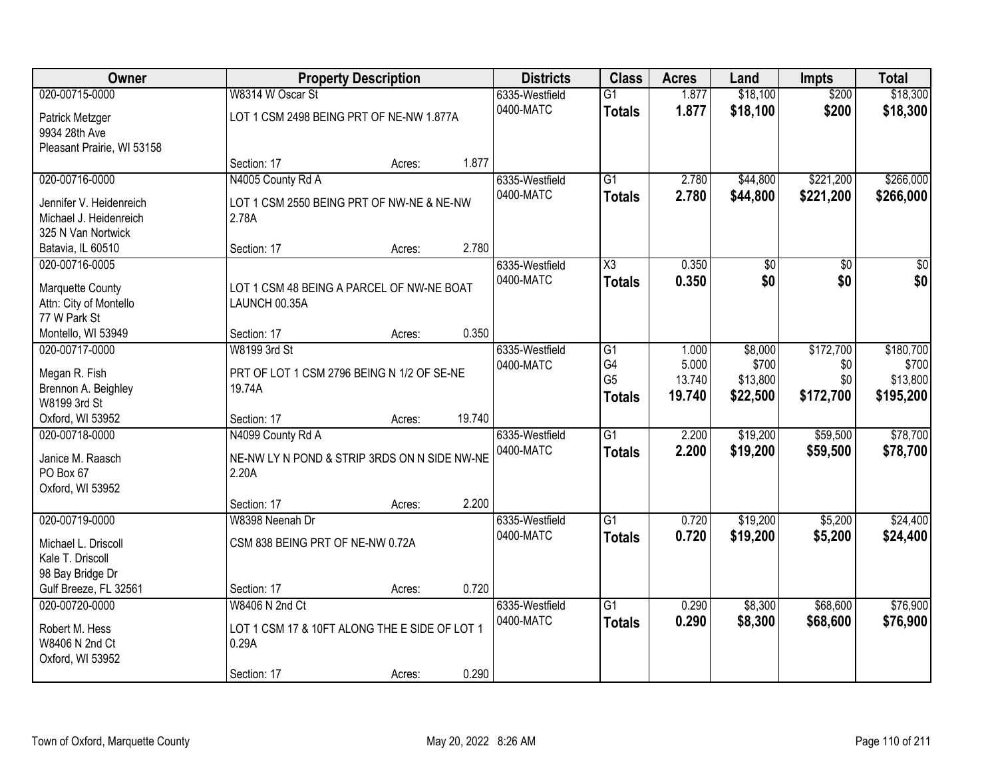| Owner                                      |                                               | <b>Property Description</b> |        | <b>Districts</b> | <b>Class</b>        | <b>Acres</b> | Land            | <b>Impts</b>    | <b>Total</b>    |
|--------------------------------------------|-----------------------------------------------|-----------------------------|--------|------------------|---------------------|--------------|-----------------|-----------------|-----------------|
| 020-00715-0000                             | W8314 W Oscar St                              |                             |        | 6335-Westfield   | $\overline{G1}$     | 1.877        | \$18,100        | \$200           | \$18,300        |
| Patrick Metzger                            | LOT 1 CSM 2498 BEING PRT OF NE-NW 1.877A      |                             |        | 0400-MATC        | <b>Totals</b>       | 1.877        | \$18,100        | \$200           | \$18,300        |
| 9934 28th Ave                              |                                               |                             |        |                  |                     |              |                 |                 |                 |
| Pleasant Prairie, WI 53158                 |                                               |                             |        |                  |                     |              |                 |                 |                 |
|                                            | Section: 17                                   | Acres:                      | 1.877  |                  |                     |              |                 |                 |                 |
| 020-00716-0000                             | N4005 County Rd A                             |                             |        | 6335-Westfield   | $\overline{G1}$     | 2.780        | \$44,800        | \$221,200       | \$266,000       |
| Jennifer V. Heidenreich                    | LOT 1 CSM 2550 BEING PRT OF NW-NE & NE-NW     |                             |        | 0400-MATC        | <b>Totals</b>       | 2.780        | \$44,800        | \$221,200       | \$266,000       |
| Michael J. Heidenreich                     | 2.78A                                         |                             |        |                  |                     |              |                 |                 |                 |
| 325 N Van Nortwick                         |                                               |                             |        |                  |                     |              |                 |                 |                 |
| Batavia, IL 60510                          | Section: 17                                   | Acres:                      | 2.780  |                  |                     |              |                 |                 |                 |
| 020-00716-0005                             |                                               |                             |        | 6335-Westfield   | $\overline{\chi_3}$ | 0.350        | $\overline{50}$ | $\overline{50}$ | $\overline{30}$ |
|                                            | LOT 1 CSM 48 BEING A PARCEL OF NW-NE BOAT     |                             |        | 0400-MATC        | <b>Totals</b>       | 0.350        | \$0             | \$0             | \$0             |
| Marquette County<br>Attn: City of Montello | LAUNCH 00.35A                                 |                             |        |                  |                     |              |                 |                 |                 |
| 77 W Park St                               |                                               |                             |        |                  |                     |              |                 |                 |                 |
| Montello, WI 53949                         | Section: 17                                   | Acres:                      | 0.350  |                  |                     |              |                 |                 |                 |
| 020-00717-0000                             | W8199 3rd St                                  |                             |        | 6335-Westfield   | G1                  | 1.000        | \$8,000         | \$172,700       | \$180,700       |
|                                            |                                               |                             |        | 0400-MATC        | G4                  | 5.000        | \$700           | \$0             | \$700           |
| Megan R. Fish                              | PRT OF LOT 1 CSM 2796 BEING N 1/2 OF SE-NE    |                             |        |                  | G <sub>5</sub>      | 13.740       | \$13,800        | \$0             | \$13,800        |
| Brennon A. Beighley                        | 19.74A                                        |                             |        |                  | <b>Totals</b>       | 19.740       | \$22,500        | \$172,700       | \$195,200       |
| W8199 3rd St                               |                                               |                             |        |                  |                     |              |                 |                 |                 |
| Oxford, WI 53952                           | Section: 17                                   | Acres:                      | 19.740 |                  |                     |              |                 |                 |                 |
| 020-00718-0000                             | N4099 County Rd A                             |                             |        | 6335-Westfield   | $\overline{G1}$     | 2.200        | \$19,200        | \$59,500        | \$78,700        |
| Janice M. Raasch                           | NE-NW LY N POND & STRIP 3RDS ON N SIDE NW-NE  |                             |        | 0400-MATC        | <b>Totals</b>       | 2.200        | \$19,200        | \$59,500        | \$78,700        |
| PO Box 67                                  | 2.20A                                         |                             |        |                  |                     |              |                 |                 |                 |
| Oxford, WI 53952                           |                                               |                             |        |                  |                     |              |                 |                 |                 |
|                                            | Section: 17                                   | Acres:                      | 2.200  |                  |                     |              |                 |                 |                 |
| 020-00719-0000                             | W8398 Neenah Dr                               |                             |        | 6335-Westfield   | $\overline{G1}$     | 0.720        | \$19,200        | \$5,200         | \$24,400        |
| Michael L. Driscoll                        | CSM 838 BEING PRT OF NE-NW 0.72A              |                             |        | 0400-MATC        | <b>Totals</b>       | 0.720        | \$19,200        | \$5,200         | \$24,400        |
| Kale T. Driscoll                           |                                               |                             |        |                  |                     |              |                 |                 |                 |
| 98 Bay Bridge Dr                           |                                               |                             |        |                  |                     |              |                 |                 |                 |
| Gulf Breeze, FL 32561                      | Section: 17                                   | Acres:                      | 0.720  |                  |                     |              |                 |                 |                 |
| 020-00720-0000                             | W8406 N 2nd Ct                                |                             |        | 6335-Westfield   | $\overline{G1}$     | 0.290        | \$8,300         | \$68,600        | \$76,900        |
| Robert M. Hess                             | LOT 1 CSM 17 & 10FT ALONG THE E SIDE OF LOT 1 |                             |        | 0400-MATC        | <b>Totals</b>       | 0.290        | \$8,300         | \$68,600        | \$76,900        |
| W8406 N 2nd Ct                             | 0.29A                                         |                             |        |                  |                     |              |                 |                 |                 |
| Oxford, WI 53952                           |                                               |                             |        |                  |                     |              |                 |                 |                 |
|                                            | Section: 17                                   | Acres:                      | 0.290  |                  |                     |              |                 |                 |                 |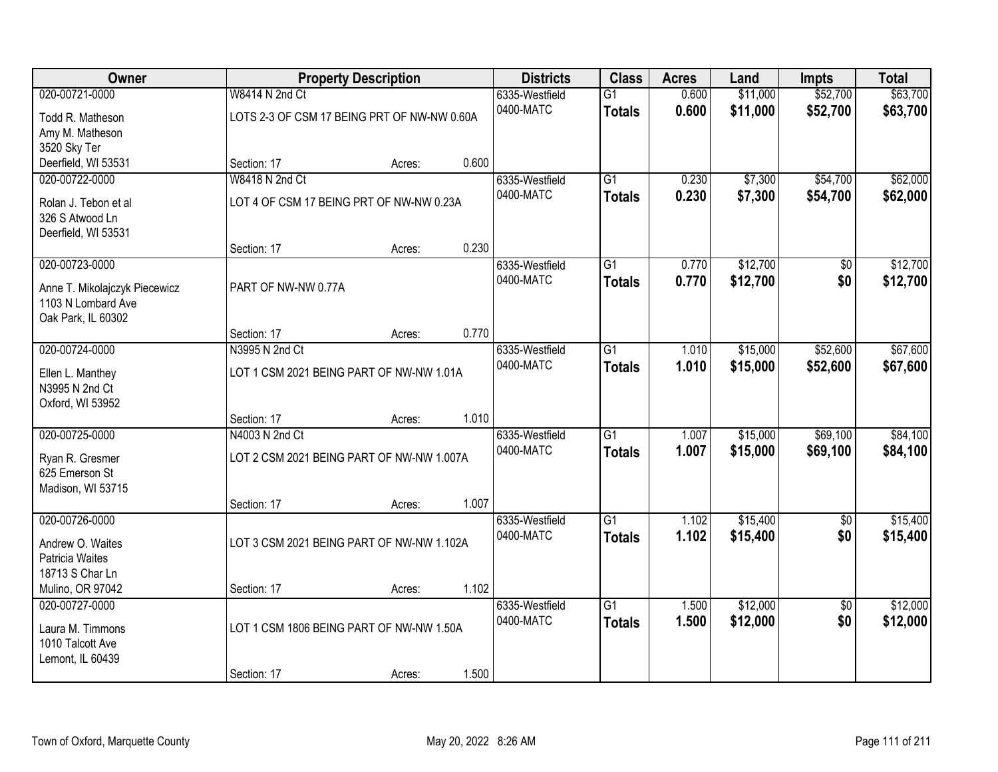| Owner                                                                     |                                                               | <b>Property Description</b> |       | <b>Districts</b>            | <b>Class</b>                     | <b>Acres</b>   | Land                 | <b>Impts</b>         | <b>Total</b>         |
|---------------------------------------------------------------------------|---------------------------------------------------------------|-----------------------------|-------|-----------------------------|----------------------------------|----------------|----------------------|----------------------|----------------------|
| 020-00721-0000<br>Todd R. Matheson                                        | W8414 N 2nd Ct<br>LOTS 2-3 OF CSM 17 BEING PRT OF NW-NW 0.60A |                             |       | 6335-Westfield<br>0400-MATC | $\overline{G1}$<br><b>Totals</b> | 0.600<br>0.600 | \$11,000<br>\$11,000 | \$52,700<br>\$52,700 | \$63,700<br>\$63,700 |
| Amy M. Matheson<br>3520 Sky Ter                                           |                                                               |                             |       |                             |                                  |                |                      |                      |                      |
| Deerfield, WI 53531                                                       | Section: 17                                                   | Acres:                      | 0.600 |                             |                                  |                |                      |                      |                      |
| 020-00722-0000                                                            | W8418 N 2nd Ct                                                |                             |       | 6335-Westfield              | $\overline{G1}$                  | 0.230          | \$7,300              | \$54,700             | \$62,000             |
| Rolan J. Tebon et al<br>326 S Atwood Ln<br>Deerfield, WI 53531            | LOT 4 OF CSM 17 BEING PRT OF NW-NW 0.23A                      |                             |       | 0400-MATC                   | <b>Totals</b>                    | 0.230          | \$7,300              | \$54,700             | \$62,000             |
|                                                                           | Section: 17                                                   | Acres:                      | 0.230 |                             |                                  |                |                      |                      |                      |
| 020-00723-0000                                                            |                                                               |                             |       | 6335-Westfield              | G1                               | 0.770          | \$12,700             | \$0                  | \$12,700             |
| Anne T. Mikolajczyk Piecewicz<br>1103 N Lombard Ave<br>Oak Park, IL 60302 | PART OF NW-NW 0.77A                                           |                             |       | 0400-MATC                   | <b>Totals</b>                    | 0.770          | \$12,700             | \$0                  | \$12,700             |
|                                                                           | Section: 17                                                   | Acres:                      | 0.770 |                             |                                  |                |                      |                      |                      |
| 020-00724-0000                                                            | N3995 N 2nd Ct                                                |                             |       | 6335-Westfield              | G1                               | 1.010          | \$15,000             | \$52,600             | \$67,600             |
| Ellen L. Manthey<br>N3995 N 2nd Ct<br>Oxford, WI 53952                    | LOT 1 CSM 2021 BEING PART OF NW-NW 1.01A                      |                             |       | 0400-MATC                   | <b>Totals</b>                    | 1.010          | \$15,000             | \$52,600             | \$67,600             |
|                                                                           | Section: 17                                                   | Acres:                      | 1.010 |                             |                                  |                |                      |                      |                      |
| 020-00725-0000                                                            | N4003 N 2nd Ct                                                |                             |       | 6335-Westfield              | $\overline{G1}$                  | 1.007          | \$15,000             | \$69,100             | \$84,100             |
| Ryan R. Gresmer<br>625 Emerson St<br>Madison, WI 53715                    | LOT 2 CSM 2021 BEING PART OF NW-NW 1.007A                     |                             |       | 0400-MATC                   | <b>Totals</b>                    | 1.007          | \$15,000             | \$69,100             | \$84,100             |
|                                                                           | Section: 17                                                   | Acres:                      | 1.007 |                             |                                  |                |                      |                      |                      |
| 020-00726-0000                                                            |                                                               |                             |       | 6335-Westfield              | $\overline{G1}$                  | 1.102          | \$15,400             | \$0                  | \$15,400             |
| Andrew O. Waites<br>Patricia Waites<br>18713 S Char Ln                    | LOT 3 CSM 2021 BEING PART OF NW-NW 1.102A                     |                             |       | 0400-MATC                   | <b>Totals</b>                    | 1.102          | \$15,400             | \$0                  | \$15,400             |
| Mulino, OR 97042                                                          | Section: 17                                                   | Acres:                      | 1.102 |                             |                                  |                |                      |                      |                      |
| 020-00727-0000                                                            |                                                               |                             |       | 6335-Westfield              | $\overline{G1}$                  | 1.500          | \$12,000             | $\overline{50}$      | \$12,000             |
| Laura M. Timmons<br>1010 Talcott Ave<br>Lemont, IL 60439                  | LOT 1 CSM 1806 BEING PART OF NW-NW 1.50A                      |                             |       | 0400-MATC                   | <b>Totals</b>                    | 1.500          | \$12,000             | \$0                  | \$12,000             |
|                                                                           | Section: 17                                                   | Acres:                      | 1.500 |                             |                                  |                |                      |                      |                      |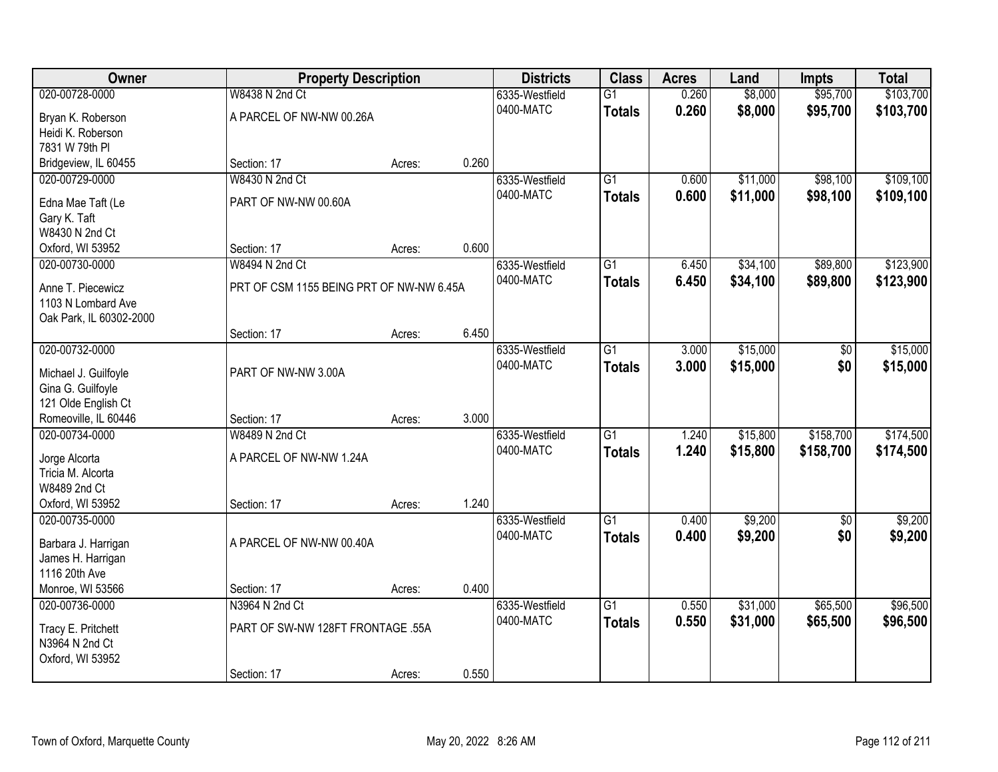| Owner                                     | <b>Property Description</b>              |        |       | <b>Districts</b> | <b>Class</b>    | <b>Acres</b> | Land     | <b>Impts</b>    | <b>Total</b> |
|-------------------------------------------|------------------------------------------|--------|-------|------------------|-----------------|--------------|----------|-----------------|--------------|
| 020-00728-0000                            | W8438 N 2nd Ct                           |        |       | 6335-Westfield   | $\overline{G1}$ | 0.260        | \$8,000  | \$95,700        | \$103,700    |
| Bryan K. Roberson                         | A PARCEL OF NW-NW 00.26A                 |        |       | 0400-MATC        | <b>Totals</b>   | 0.260        | \$8,000  | \$95,700        | \$103,700    |
| Heidi K. Roberson                         |                                          |        |       |                  |                 |              |          |                 |              |
| 7831 W 79th PI                            |                                          |        |       |                  |                 |              |          |                 |              |
| Bridgeview, IL 60455                      | Section: 17                              | Acres: | 0.260 |                  |                 |              |          |                 |              |
| 020-00729-0000                            | W8430 N 2nd Ct                           |        |       | 6335-Westfield   | $\overline{G1}$ | 0.600        | \$11,000 | \$98,100        | \$109,100    |
| Edna Mae Taft (Le                         | PART OF NW-NW 00.60A                     |        |       | 0400-MATC        | <b>Totals</b>   | 0.600        | \$11,000 | \$98,100        | \$109,100    |
| Gary K. Taft                              |                                          |        |       |                  |                 |              |          |                 |              |
| W8430 N 2nd Ct                            |                                          |        |       |                  |                 |              |          |                 |              |
| Oxford, WI 53952                          | Section: 17                              | Acres: | 0.600 |                  |                 |              |          |                 |              |
| 020-00730-0000                            | W8494 N 2nd Ct                           |        |       | 6335-Westfield   | G1              | 6.450        | \$34,100 | \$89,800        | \$123,900    |
| Anne T. Piecewicz                         | PRT OF CSM 1155 BEING PRT OF NW-NW 6.45A |        |       | 0400-MATC        | <b>Totals</b>   | 6.450        | \$34,100 | \$89,800        | \$123,900    |
| 1103 N Lombard Ave                        |                                          |        |       |                  |                 |              |          |                 |              |
| Oak Park, IL 60302-2000                   |                                          |        |       |                  |                 |              |          |                 |              |
|                                           | Section: 17                              | Acres: | 6.450 |                  |                 |              |          |                 |              |
| 020-00732-0000                            |                                          |        |       | 6335-Westfield   | G1              | 3.000        | \$15,000 | \$0             | \$15,000     |
|                                           |                                          |        |       | 0400-MATC        | <b>Totals</b>   | 3.000        | \$15,000 | \$0             | \$15,000     |
| Michael J. Guilfoyle<br>Gina G. Guilfoyle | PART OF NW-NW 3.00A                      |        |       |                  |                 |              |          |                 |              |
| 121 Olde English Ct                       |                                          |        |       |                  |                 |              |          |                 |              |
| Romeoville, IL 60446                      | Section: 17                              | Acres: | 3.000 |                  |                 |              |          |                 |              |
| 020-00734-0000                            | W8489 N 2nd Ct                           |        |       | 6335-Westfield   | $\overline{G1}$ | 1.240        | \$15,800 | \$158,700       | \$174,500    |
|                                           |                                          |        |       | 0400-MATC        | <b>Totals</b>   | 1.240        | \$15,800 | \$158,700       | \$174,500    |
| Jorge Alcorta                             | A PARCEL OF NW-NW 1.24A                  |        |       |                  |                 |              |          |                 |              |
| Tricia M. Alcorta                         |                                          |        |       |                  |                 |              |          |                 |              |
| W8489 2nd Ct<br>Oxford, WI 53952          | Section: 17                              |        | 1.240 |                  |                 |              |          |                 |              |
| 020-00735-0000                            |                                          | Acres: |       | 6335-Westfield   | $\overline{G1}$ | 0.400        | \$9,200  | $\overline{50}$ | \$9,200      |
|                                           |                                          |        |       | 0400-MATC        | <b>Totals</b>   | 0.400        | \$9,200  | \$0             | \$9,200      |
| Barbara J. Harrigan                       | A PARCEL OF NW-NW 00.40A                 |        |       |                  |                 |              |          |                 |              |
| James H. Harrigan                         |                                          |        |       |                  |                 |              |          |                 |              |
| 1116 20th Ave                             |                                          |        |       |                  |                 |              |          |                 |              |
| Monroe, WI 53566                          | Section: 17                              | Acres: | 0.400 |                  |                 |              |          |                 |              |
| 020-00736-0000                            | N3964 N 2nd Ct                           |        |       | 6335-Westfield   | $\overline{G1}$ | 0.550        | \$31,000 | \$65,500        | \$96,500     |
| Tracy E. Pritchett                        | PART OF SW-NW 128FT FRONTAGE .55A        |        |       | 0400-MATC        | <b>Totals</b>   | 0.550        | \$31,000 | \$65,500        | \$96,500     |
| N3964 N 2nd Ct                            |                                          |        |       |                  |                 |              |          |                 |              |
| Oxford, WI 53952                          |                                          |        |       |                  |                 |              |          |                 |              |
|                                           | Section: 17                              | Acres: | 0.550 |                  |                 |              |          |                 |              |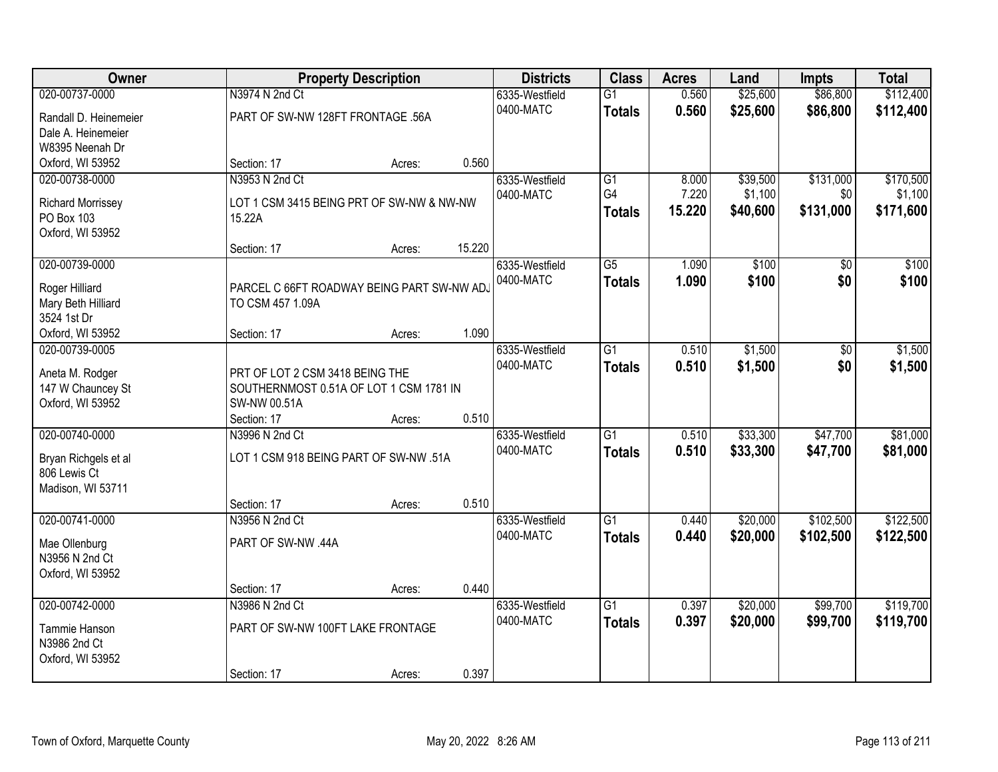| Owner                    |                                            | <b>Property Description</b> |        | <b>Districts</b> | <b>Class</b>    | <b>Acres</b> | Land     | Impts     | <b>Total</b> |
|--------------------------|--------------------------------------------|-----------------------------|--------|------------------|-----------------|--------------|----------|-----------|--------------|
| 020-00737-0000           | N3974 N 2nd Ct                             |                             |        | 6335-Westfield   | $\overline{G1}$ | 0.560        | \$25,600 | \$86,800  | \$112,400    |
| Randall D. Heinemeier    | PART OF SW-NW 128FT FRONTAGE .56A          |                             |        | 0400-MATC        | <b>Totals</b>   | 0.560        | \$25,600 | \$86,800  | \$112,400    |
| Dale A. Heinemeier       |                                            |                             |        |                  |                 |              |          |           |              |
| W8395 Neenah Dr          |                                            |                             |        |                  |                 |              |          |           |              |
| Oxford, WI 53952         | Section: 17                                | Acres:                      | 0.560  |                  |                 |              |          |           |              |
| 020-00738-0000           | N3953 N 2nd Ct                             |                             |        | 6335-Westfield   | $\overline{G1}$ | 8.000        | \$39,500 | \$131,000 | \$170,500    |
|                          |                                            |                             |        | 0400-MATC        | G <sub>4</sub>  | 7.220        | \$1,100  | \$0       | \$1,100      |
| <b>Richard Morrissey</b> | LOT 1 CSM 3415 BEING PRT OF SW-NW & NW-NW  |                             |        |                  | <b>Totals</b>   | 15.220       | \$40,600 | \$131,000 | \$171,600    |
| <b>PO Box 103</b>        | 15.22A                                     |                             |        |                  |                 |              |          |           |              |
| Oxford, WI 53952         |                                            |                             |        |                  |                 |              |          |           |              |
|                          | Section: 17                                | Acres:                      | 15.220 |                  |                 |              |          |           |              |
| 020-00739-0000           |                                            |                             |        | 6335-Westfield   | $\overline{G5}$ | 1.090        | \$100    | \$0       | \$100        |
| Roger Hilliard           | PARCEL C 66FT ROADWAY BEING PART SW-NW AD, |                             |        | 0400-MATC        | <b>Totals</b>   | 1.090        | \$100    | \$0       | \$100        |
| Mary Beth Hilliard       | TO CSM 457 1.09A                           |                             |        |                  |                 |              |          |           |              |
| 3524 1st Dr              |                                            |                             |        |                  |                 |              |          |           |              |
| Oxford, WI 53952         | Section: 17                                | Acres:                      | 1.090  |                  |                 |              |          |           |              |
| 020-00739-0005           |                                            |                             |        | 6335-Westfield   | $\overline{G1}$ | 0.510        | \$1,500  | \$0       | \$1,500      |
|                          |                                            |                             |        | 0400-MATC        | <b>Totals</b>   | 0.510        | \$1,500  | \$0       | \$1,500      |
| Aneta M. Rodger          | PRT OF LOT 2 CSM 3418 BEING THE            |                             |        |                  |                 |              |          |           |              |
| 147 W Chauncey St        | SOUTHERNMOST 0.51A OF LOT 1 CSM 1781 IN    |                             |        |                  |                 |              |          |           |              |
| Oxford, WI 53952         | SW-NW 00.51A                               |                             |        |                  |                 |              |          |           |              |
|                          | Section: 17                                | Acres:                      | 0.510  |                  | $\overline{G1}$ |              |          |           |              |
| 020-00740-0000           | N3996 N 2nd Ct                             |                             |        | 6335-Westfield   |                 | 0.510        | \$33,300 | \$47,700  | \$81,000     |
| Bryan Richgels et al     | LOT 1 CSM 918 BEING PART OF SW-NW .51A     |                             |        | 0400-MATC        | <b>Totals</b>   | 0.510        | \$33,300 | \$47,700  | \$81,000     |
| 806 Lewis Ct             |                                            |                             |        |                  |                 |              |          |           |              |
| Madison, WI 53711        |                                            |                             |        |                  |                 |              |          |           |              |
|                          | Section: 17                                | Acres:                      | 0.510  |                  |                 |              |          |           |              |
| 020-00741-0000           | N3956 N 2nd Ct                             |                             |        | 6335-Westfield   | $\overline{G1}$ | 0.440        | \$20,000 | \$102,500 | \$122,500    |
| Mae Ollenburg            | PART OF SW-NW .44A                         |                             |        | 0400-MATC        | <b>Totals</b>   | 0.440        | \$20,000 | \$102,500 | \$122,500    |
| N3956 N 2nd Ct           |                                            |                             |        |                  |                 |              |          |           |              |
| Oxford, WI 53952         |                                            |                             |        |                  |                 |              |          |           |              |
|                          | Section: 17                                | Acres:                      | 0.440  |                  |                 |              |          |           |              |
| 020-00742-0000           | N3986 N 2nd Ct                             |                             |        | 6335-Westfield   | $\overline{G1}$ | 0.397        | \$20,000 | \$99,700  | \$119,700    |
|                          |                                            |                             |        | 0400-MATC        |                 | 0.397        | \$20,000 | \$99,700  |              |
| Tammie Hanson            | PART OF SW-NW 100FT LAKE FRONTAGE          |                             |        |                  | <b>Totals</b>   |              |          |           | \$119,700    |
| N3986 2nd Ct             |                                            |                             |        |                  |                 |              |          |           |              |
| Oxford, WI 53952         |                                            |                             |        |                  |                 |              |          |           |              |
|                          | Section: 17                                | Acres:                      | 0.397  |                  |                 |              |          |           |              |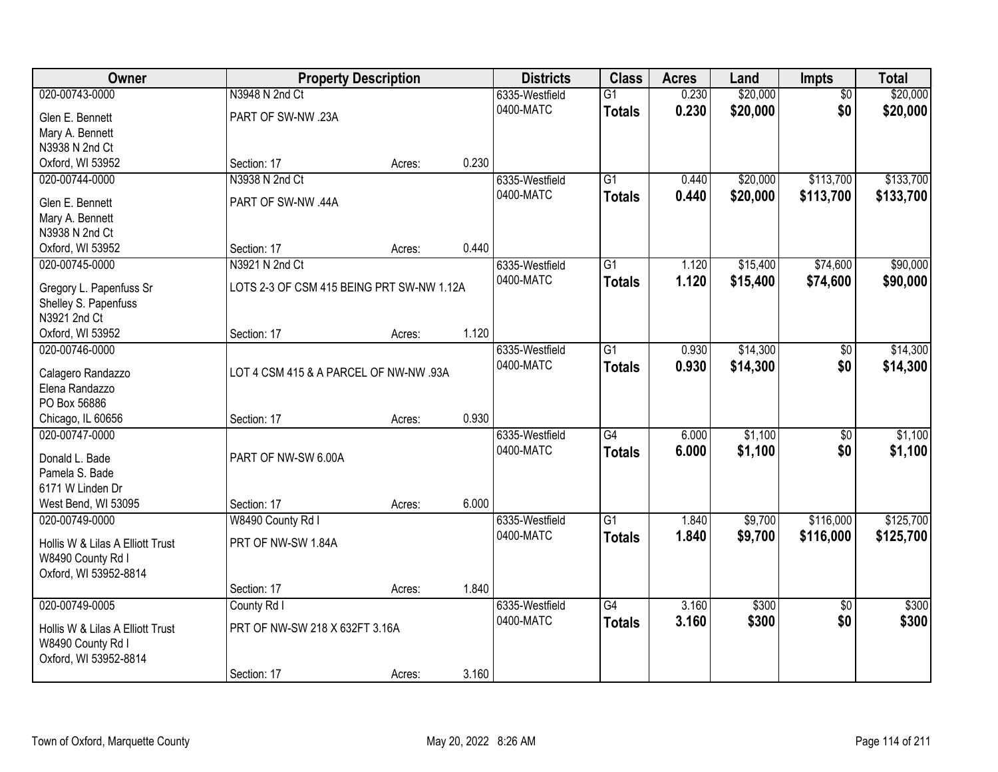| Owner                            | <b>Property Description</b>               |        |       | <b>Districts</b> | <b>Class</b>    | <b>Acres</b> | Land     | Impts           | <b>Total</b> |
|----------------------------------|-------------------------------------------|--------|-------|------------------|-----------------|--------------|----------|-----------------|--------------|
| 020-00743-0000                   | N3948 N 2nd Ct                            |        |       | 6335-Westfield   | $\overline{G1}$ | 0.230        | \$20,000 | $\overline{50}$ | \$20,000     |
| Glen E. Bennett                  | PART OF SW-NW .23A                        |        |       | 0400-MATC        | <b>Totals</b>   | 0.230        | \$20,000 | \$0             | \$20,000     |
| Mary A. Bennett                  |                                           |        |       |                  |                 |              |          |                 |              |
| N3938 N 2nd Ct                   |                                           |        |       |                  |                 |              |          |                 |              |
| Oxford, WI 53952                 | Section: 17                               | Acres: | 0.230 |                  |                 |              |          |                 |              |
| 020-00744-0000                   | N3938 N 2nd Ct                            |        |       | 6335-Westfield   | $\overline{G1}$ | 0.440        | \$20,000 | \$113,700       | \$133,700    |
|                                  |                                           |        |       | 0400-MATC        | <b>Totals</b>   | 0.440        | \$20,000 | \$113,700       | \$133,700    |
| Glen E. Bennett                  | PART OF SW-NW .44A                        |        |       |                  |                 |              |          |                 |              |
| Mary A. Bennett                  |                                           |        |       |                  |                 |              |          |                 |              |
| N3938 N 2nd Ct                   |                                           |        |       |                  |                 |              |          |                 |              |
| Oxford, WI 53952                 | Section: 17                               | Acres: | 0.440 |                  |                 |              |          |                 |              |
| 020-00745-0000                   | N3921 N 2nd Ct                            |        |       | 6335-Westfield   | $\overline{G1}$ | 1.120        | \$15,400 | \$74,600        | \$90,000     |
| Gregory L. Papenfuss Sr          | LOTS 2-3 OF CSM 415 BEING PRT SW-NW 1.12A |        |       | 0400-MATC        | <b>Totals</b>   | 1.120        | \$15,400 | \$74,600        | \$90,000     |
| Shelley S. Papenfuss             |                                           |        |       |                  |                 |              |          |                 |              |
| N3921 2nd Ct                     |                                           |        |       |                  |                 |              |          |                 |              |
| Oxford, WI 53952                 | Section: 17                               | Acres: | 1.120 |                  |                 |              |          |                 |              |
| 020-00746-0000                   |                                           |        |       | 6335-Westfield   | $\overline{G1}$ | 0.930        | \$14,300 | $\overline{50}$ | \$14,300     |
|                                  |                                           |        |       | 0400-MATC        | <b>Totals</b>   | 0.930        | \$14,300 | \$0             | \$14,300     |
| Calagero Randazzo                | LOT 4 CSM 415 & A PARCEL OF NW-NW .93A    |        |       |                  |                 |              |          |                 |              |
| Elena Randazzo                   |                                           |        |       |                  |                 |              |          |                 |              |
| PO Box 56886                     |                                           |        |       |                  |                 |              |          |                 |              |
| Chicago, IL 60656                | Section: 17                               | Acres: | 0.930 |                  |                 |              |          |                 |              |
| 020-00747-0000                   |                                           |        |       | 6335-Westfield   | $\overline{G4}$ | 6.000        | \$1,100  | $\overline{50}$ | \$1,100      |
| Donald L. Bade                   | PART OF NW-SW 6.00A                       |        |       | 0400-MATC        | <b>Totals</b>   | 6.000        | \$1,100  | \$0             | \$1,100      |
| Pamela S. Bade                   |                                           |        |       |                  |                 |              |          |                 |              |
| 6171 W Linden Dr                 |                                           |        |       |                  |                 |              |          |                 |              |
| West Bend, WI 53095              | Section: 17                               | Acres: | 6.000 |                  |                 |              |          |                 |              |
| 020-00749-0000                   | W8490 County Rd I                         |        |       | 6335-Westfield   | $\overline{G1}$ | 1.840        | \$9,700  | \$116,000       | \$125,700    |
|                                  |                                           |        |       | 0400-MATC        | <b>Totals</b>   | 1.840        | \$9,700  | \$116,000       | \$125,700    |
| Hollis W & Lilas A Elliott Trust | PRT OF NW-SW 1.84A                        |        |       |                  |                 |              |          |                 |              |
| W8490 County Rd I                |                                           |        |       |                  |                 |              |          |                 |              |
| Oxford, WI 53952-8814            |                                           |        |       |                  |                 |              |          |                 |              |
|                                  | Section: 17                               | Acres: | 1.840 |                  |                 |              |          |                 |              |
| 020-00749-0005                   | County Rd I                               |        |       | 6335-Westfield   | $\overline{G4}$ | 3.160        | \$300    | $\overline{50}$ | \$300        |
| Hollis W & Lilas A Elliott Trust | PRT OF NW-SW 218 X 632FT 3.16A            |        |       | 0400-MATC        | <b>Totals</b>   | 3.160        | \$300    | \$0             | \$300        |
| W8490 County Rd I                |                                           |        |       |                  |                 |              |          |                 |              |
| Oxford, WI 53952-8814            |                                           |        |       |                  |                 |              |          |                 |              |
|                                  | Section: 17                               | Acres: | 3.160 |                  |                 |              |          |                 |              |
|                                  |                                           |        |       |                  |                 |              |          |                 |              |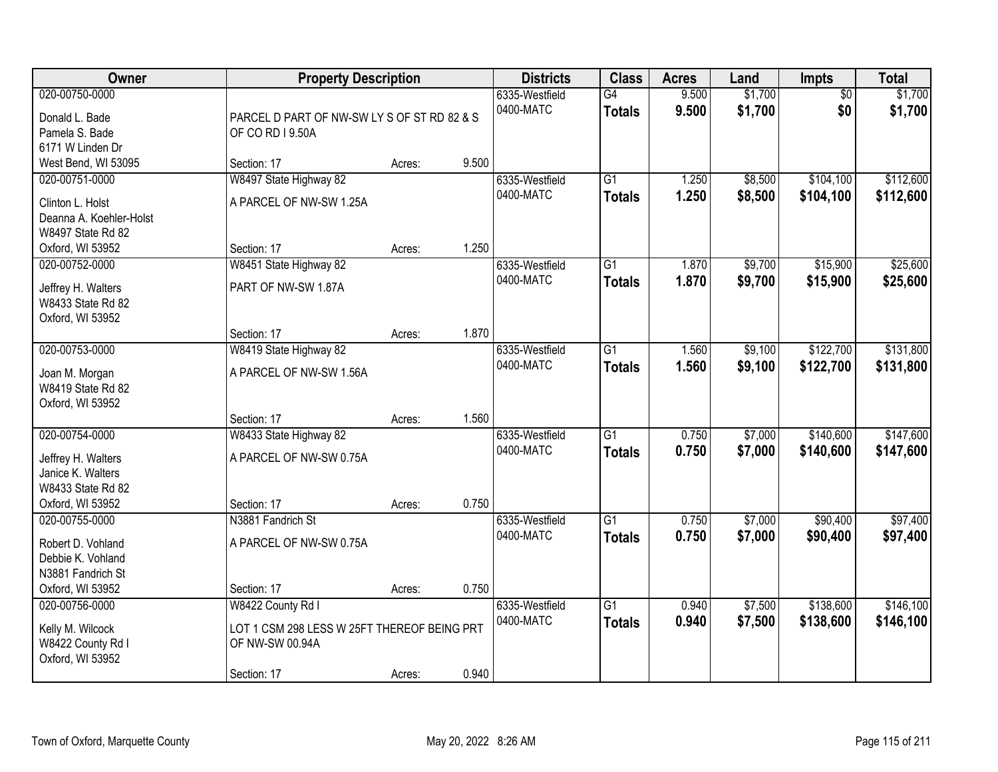| Owner                                                                                                  | <b>Property Description</b>                                                                        |        |       | <b>Districts</b>            | <b>Class</b>                     | <b>Acres</b>   | Land               | <b>Impts</b>           | <b>Total</b>           |
|--------------------------------------------------------------------------------------------------------|----------------------------------------------------------------------------------------------------|--------|-------|-----------------------------|----------------------------------|----------------|--------------------|------------------------|------------------------|
| 020-00750-0000<br>Donald L. Bade<br>Pamela S. Bade<br>6171 W Linden Dr                                 | PARCEL D PART OF NW-SW LY S OF ST RD 82 & S<br>OF CO RD I 9.50A                                    |        |       | 6335-Westfield<br>0400-MATC | G4<br><b>Totals</b>              | 9.500<br>9.500 | \$1,700<br>\$1,700 | $\overline{50}$<br>\$0 | \$1,700<br>\$1,700     |
| West Bend, WI 53095                                                                                    | Section: 17                                                                                        | Acres: | 9.500 |                             |                                  |                |                    |                        |                        |
| 020-00751-0000<br>Clinton L. Holst<br>Deanna A. Koehler-Holst<br>W8497 State Rd 82<br>Oxford, WI 53952 | W8497 State Highway 82<br>A PARCEL OF NW-SW 1.25A<br>Section: 17                                   | Acres: | 1.250 | 6335-Westfield<br>0400-MATC | $\overline{G1}$<br><b>Totals</b> | 1.250<br>1.250 | \$8,500<br>\$8,500 | \$104,100<br>\$104,100 | \$112,600<br>\$112,600 |
| 020-00752-0000                                                                                         | W8451 State Highway 82                                                                             |        |       | 6335-Westfield              | $\overline{G1}$                  | 1.870          | \$9,700            | \$15,900               | \$25,600               |
| Jeffrey H. Walters<br>W8433 State Rd 82<br>Oxford, WI 53952                                            | PART OF NW-SW 1.87A                                                                                |        |       | 0400-MATC                   | <b>Totals</b>                    | 1.870          | \$9,700            | \$15,900               | \$25,600               |
|                                                                                                        | Section: 17                                                                                        | Acres: | 1.870 |                             |                                  |                |                    |                        |                        |
| 020-00753-0000<br>Joan M. Morgan<br>W8419 State Rd 82<br>Oxford, WI 53952                              | W8419 State Highway 82<br>A PARCEL OF NW-SW 1.56A                                                  |        |       | 6335-Westfield<br>0400-MATC | $\overline{G1}$<br><b>Totals</b> | 1.560<br>1.560 | \$9,100<br>\$9,100 | \$122,700<br>\$122,700 | \$131,800<br>\$131,800 |
|                                                                                                        | Section: 17                                                                                        | Acres: | 1.560 |                             |                                  |                |                    |                        |                        |
| 020-00754-0000<br>Jeffrey H. Walters<br>Janice K. Walters<br>W8433 State Rd 82<br>Oxford, WI 53952     | W8433 State Highway 82<br>A PARCEL OF NW-SW 0.75A<br>Section: 17                                   | Acres: | 0.750 | 6335-Westfield<br>0400-MATC | $\overline{G1}$<br><b>Totals</b> | 0.750<br>0.750 | \$7,000<br>\$7,000 | \$140,600<br>\$140,600 | \$147,600<br>\$147,600 |
| 020-00755-0000                                                                                         | N3881 Fandrich St                                                                                  |        |       | 6335-Westfield              | $\overline{G1}$                  | 0.750          | \$7,000            | \$90,400               | \$97,400               |
| Robert D. Vohland<br>Debbie K. Vohland<br>N3881 Fandrich St                                            | A PARCEL OF NW-SW 0.75A                                                                            |        |       | 0400-MATC                   | <b>Totals</b>                    | 0.750          | \$7,000            | \$90,400               | \$97,400               |
| Oxford, WI 53952                                                                                       | Section: 17                                                                                        | Acres: | 0.750 |                             |                                  |                |                    |                        |                        |
| 020-00756-0000<br>Kelly M. Wilcock<br>W8422 County Rd I<br>Oxford, WI 53952                            | W8422 County Rd I<br>LOT 1 CSM 298 LESS W 25FT THEREOF BEING PRT<br>OF NW-SW 00.94A<br>Section: 17 | Acres: | 0.940 | 6335-Westfield<br>0400-MATC | $\overline{G1}$<br><b>Totals</b> | 0.940<br>0.940 | \$7,500<br>\$7,500 | \$138,600<br>\$138,600 | \$146,100<br>\$146,100 |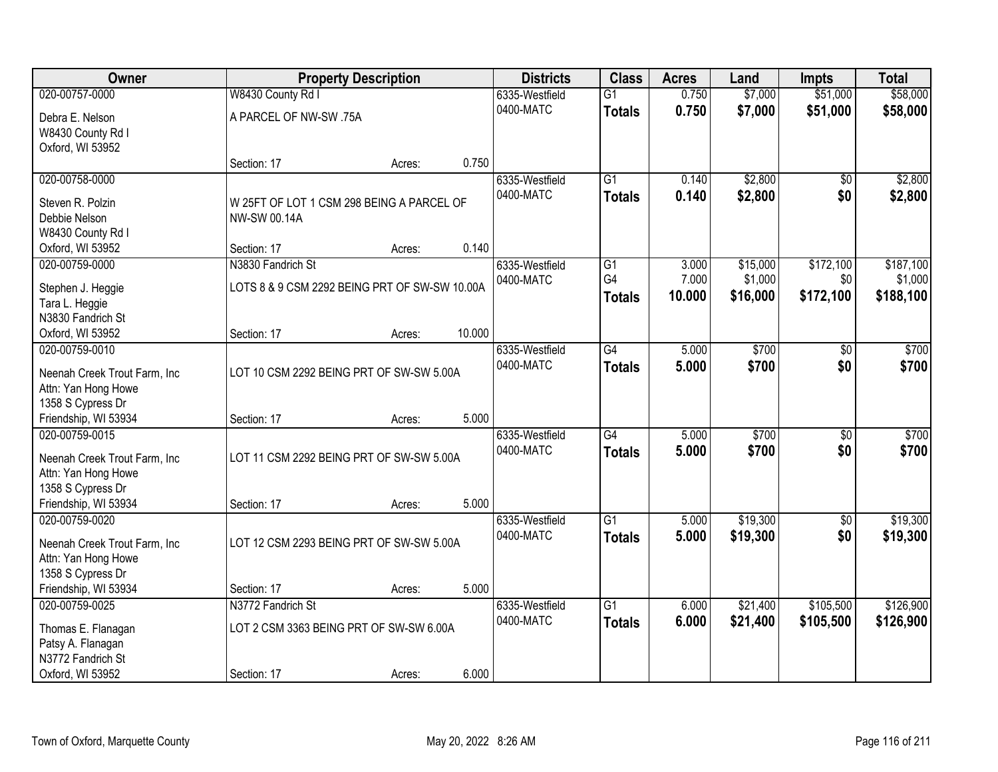| Owner                                                |                                               | <b>Property Description</b> |        | <b>Districts</b> | <b>Class</b>    | <b>Acres</b> | Land     | Impts           | <b>Total</b> |
|------------------------------------------------------|-----------------------------------------------|-----------------------------|--------|------------------|-----------------|--------------|----------|-----------------|--------------|
| 020-00757-0000                                       | W8430 County Rd I                             |                             |        | 6335-Westfield   | $\overline{G1}$ | 0.750        | \$7,000  | \$51,000        | \$58,000     |
| Debra E. Nelson                                      | A PARCEL OF NW-SW .75A                        |                             |        | 0400-MATC        | <b>Totals</b>   | 0.750        | \$7,000  | \$51,000        | \$58,000     |
| W8430 County Rd I                                    |                                               |                             |        |                  |                 |              |          |                 |              |
| Oxford, WI 53952                                     |                                               |                             |        |                  |                 |              |          |                 |              |
|                                                      | Section: 17                                   | Acres:                      | 0.750  |                  |                 |              |          |                 |              |
| 020-00758-0000                                       |                                               |                             |        | 6335-Westfield   | $\overline{G1}$ | 0.140        | \$2,800  | $\overline{50}$ | \$2,800      |
| Steven R. Polzin                                     | W 25FT OF LOT 1 CSM 298 BEING A PARCEL OF     |                             |        | 0400-MATC        | <b>Totals</b>   | 0.140        | \$2,800  | \$0             | \$2,800      |
| Debbie Nelson                                        | NW-SW 00.14A                                  |                             |        |                  |                 |              |          |                 |              |
| W8430 County Rd I                                    |                                               |                             |        |                  |                 |              |          |                 |              |
| Oxford, WI 53952                                     | Section: 17                                   | Acres:                      | 0.140  |                  |                 |              |          |                 |              |
| 020-00759-0000                                       | N3830 Fandrich St                             |                             |        | 6335-Westfield   | G1              | 3.000        | \$15,000 | \$172,100       | \$187,100    |
| Stephen J. Heggie                                    | LOTS 8 & 9 CSM 2292 BEING PRT OF SW-SW 10.00A |                             |        | 0400-MATC        | G4              | 7.000        | \$1,000  | \$0             | \$1,000      |
| Tara L. Heggie                                       |                                               |                             |        |                  | <b>Totals</b>   | 10.000       | \$16,000 | \$172,100       | \$188,100    |
| N3830 Fandrich St                                    |                                               |                             |        |                  |                 |              |          |                 |              |
| Oxford, WI 53952                                     | Section: 17                                   | Acres:                      | 10.000 |                  |                 |              |          |                 |              |
| 020-00759-0010                                       |                                               |                             |        | 6335-Westfield   | $\overline{G4}$ | 5.000        | \$700    | \$0             | \$700        |
| Neenah Creek Trout Farm, Inc                         | LOT 10 CSM 2292 BEING PRT OF SW-SW 5.00A      |                             |        | 0400-MATC        | <b>Totals</b>   | 5.000        | \$700    | \$0             | \$700        |
| Attn: Yan Hong Howe                                  |                                               |                             |        |                  |                 |              |          |                 |              |
| 1358 S Cypress Dr                                    |                                               |                             |        |                  |                 |              |          |                 |              |
| Friendship, WI 53934                                 | Section: 17                                   | Acres:                      | 5.000  |                  |                 |              |          |                 |              |
| 020-00759-0015                                       |                                               |                             |        | 6335-Westfield   | $\overline{G4}$ | 5.000        | \$700    | $\overline{50}$ | \$700        |
| Neenah Creek Trout Farm, Inc.                        | LOT 11 CSM 2292 BEING PRT OF SW-SW 5.00A      |                             |        | 0400-MATC        | <b>Totals</b>   | 5.000        | \$700    | \$0             | \$700        |
| Attn: Yan Hong Howe                                  |                                               |                             |        |                  |                 |              |          |                 |              |
| 1358 S Cypress Dr                                    |                                               |                             |        |                  |                 |              |          |                 |              |
| Friendship, WI 53934                                 | Section: 17                                   | Acres:                      | 5.000  |                  |                 |              |          |                 |              |
| 020-00759-0020                                       |                                               |                             |        | 6335-Westfield   | $\overline{G1}$ | 5.000        | \$19,300 | $\sqrt{$0}$     | \$19,300     |
|                                                      | LOT 12 CSM 2293 BEING PRT OF SW-SW 5.00A      |                             |        | 0400-MATC        | <b>Totals</b>   | 5.000        | \$19,300 | \$0             | \$19,300     |
| Neenah Creek Trout Farm, Inc.<br>Attn: Yan Hong Howe |                                               |                             |        |                  |                 |              |          |                 |              |
| 1358 S Cypress Dr                                    |                                               |                             |        |                  |                 |              |          |                 |              |
| Friendship, WI 53934                                 | Section: 17                                   | Acres:                      | 5.000  |                  |                 |              |          |                 |              |
| 020-00759-0025                                       | N3772 Fandrich St                             |                             |        | 6335-Westfield   | $\overline{G1}$ | 6.000        | \$21,400 | \$105,500       | \$126,900    |
|                                                      |                                               |                             |        | 0400-MATC        | <b>Totals</b>   | 6.000        | \$21,400 | \$105,500       | \$126,900    |
| Thomas E. Flanagan                                   | LOT 2 CSM 3363 BEING PRT OF SW-SW 6.00A       |                             |        |                  |                 |              |          |                 |              |
| Patsy A. Flanagan<br>N3772 Fandrich St               |                                               |                             |        |                  |                 |              |          |                 |              |
| Oxford, WI 53952                                     | Section: 17                                   | Acres:                      | 6.000  |                  |                 |              |          |                 |              |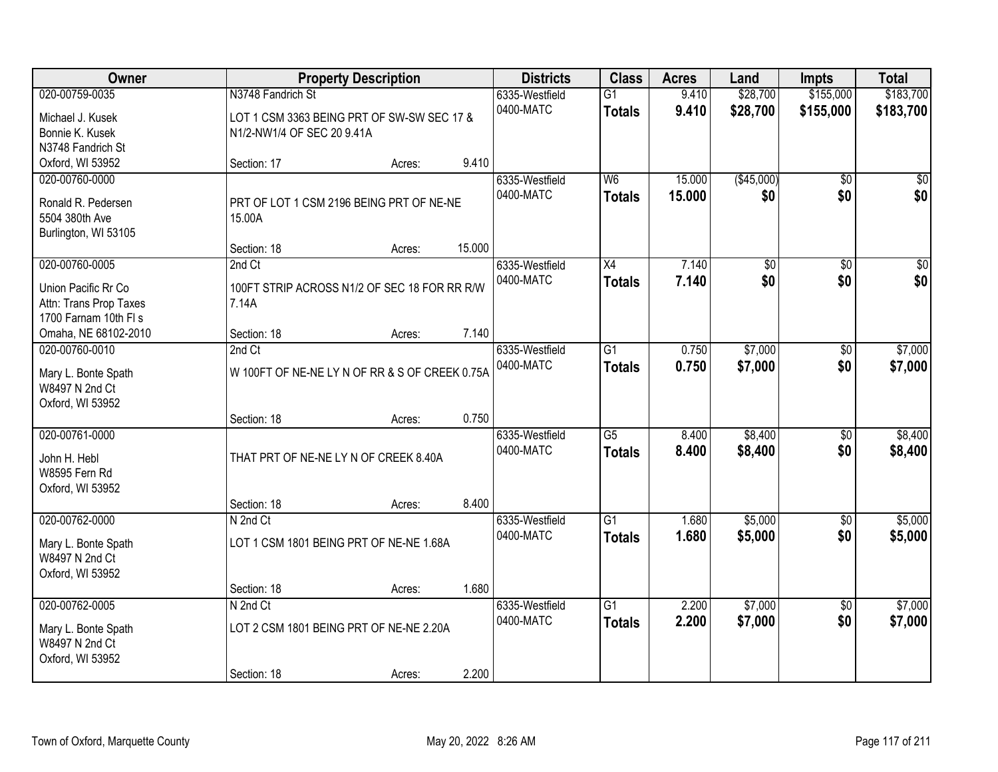| <b>Owner</b>                                              |                                                                 | <b>Property Description</b> |        | <b>Districts</b>            | <b>Class</b>                     | <b>Acres</b>   | Land                 | <b>Impts</b>           | <b>Total</b>           |
|-----------------------------------------------------------|-----------------------------------------------------------------|-----------------------------|--------|-----------------------------|----------------------------------|----------------|----------------------|------------------------|------------------------|
| 020-00759-0035<br>Michael J. Kusek                        | N3748 Fandrich St<br>LOT 1 CSM 3363 BEING PRT OF SW-SW SEC 17 & |                             |        | 6335-Westfield<br>0400-MATC | $\overline{G1}$<br><b>Totals</b> | 9.410<br>9.410 | \$28,700<br>\$28,700 | \$155,000<br>\$155,000 | \$183,700<br>\$183,700 |
| Bonnie K. Kusek                                           | N1/2-NW1/4 OF SEC 20 9.41A                                      |                             |        |                             |                                  |                |                      |                        |                        |
| N3748 Fandrich St                                         |                                                                 |                             |        |                             |                                  |                |                      |                        |                        |
| Oxford, WI 53952                                          | Section: 17                                                     | Acres:                      | 9.410  |                             |                                  |                |                      |                        |                        |
| 020-00760-0000                                            |                                                                 |                             |        | 6335-Westfield              | W6                               | 15.000         | (\$45,000)           | $\overline{50}$        | $\sqrt{50}$            |
| Ronald R. Pedersen                                        | PRT OF LOT 1 CSM 2196 BEING PRT OF NE-NE                        |                             |        | 0400-MATC                   | <b>Totals</b>                    | 15.000         | \$0                  | \$0                    | \$0                    |
| 5504 380th Ave                                            | 15.00A                                                          |                             |        |                             |                                  |                |                      |                        |                        |
| Burlington, WI 53105                                      |                                                                 |                             |        |                             |                                  |                |                      |                        |                        |
|                                                           | Section: 18                                                     | Acres:                      | 15.000 |                             |                                  |                |                      |                        |                        |
| 020-00760-0005                                            | 2nd Ct                                                          |                             |        | 6335-Westfield              | $\overline{X4}$                  | 7.140          | \$0                  | $\overline{50}$        | $\overline{30}$        |
| Union Pacific Rr Co                                       | 100FT STRIP ACROSS N1/2 OF SEC 18 FOR RR R/W                    |                             |        | 0400-MATC                   | <b>Totals</b>                    | 7.140          | \$0                  | \$0                    | \$0                    |
| Attn: Trans Prop Taxes                                    | 7.14A                                                           |                             |        |                             |                                  |                |                      |                        |                        |
| 1700 Farnam 10th FI s                                     |                                                                 |                             |        |                             |                                  |                |                      |                        |                        |
| Omaha, NE 68102-2010                                      | Section: 18                                                     | Acres:                      | 7.140  |                             |                                  |                |                      |                        |                        |
| 020-00760-0010                                            | 2nd Ct                                                          |                             |        | 6335-Westfield              | $\overline{G1}$                  | 0.750          | \$7,000              | \$0                    | \$7,000                |
| Mary L. Bonte Spath<br>W8497 N 2nd Ct<br>Oxford, WI 53952 | W 100FT OF NE-NE LY N OF RR & S OF CREEK 0.75A                  |                             |        | 0400-MATC                   | <b>Totals</b>                    | 0.750          | \$7,000              | \$0                    | \$7,000                |
|                                                           | Section: 18                                                     | Acres:                      | 0.750  |                             |                                  |                |                      |                        |                        |
| 020-00761-0000                                            |                                                                 |                             |        | 6335-Westfield              | $\overline{G5}$                  | 8.400          | \$8,400              | $\overline{50}$        | \$8,400                |
|                                                           | THAT PRT OF NE-NE LY N OF CREEK 8.40A                           |                             |        | 0400-MATC                   | <b>Totals</b>                    | 8.400          | \$8,400              | \$0                    | \$8,400                |
| John H. Hebl<br>W8595 Fern Rd                             |                                                                 |                             |        |                             |                                  |                |                      |                        |                        |
| Oxford, WI 53952                                          | Section: 18                                                     |                             | 8.400  |                             |                                  |                |                      |                        |                        |
| 020-00762-0000                                            | N 2nd Ct                                                        | Acres:                      |        | 6335-Westfield              | $\overline{G1}$                  | 1.680          | \$5,000              | \$0                    | \$5,000                |
|                                                           |                                                                 |                             |        | 0400-MATC                   | <b>Totals</b>                    | 1.680          | \$5,000              | \$0                    | \$5,000                |
| Mary L. Bonte Spath                                       | LOT 1 CSM 1801 BEING PRT OF NE-NE 1.68A                         |                             |        |                             |                                  |                |                      |                        |                        |
| W8497 N 2nd Ct                                            |                                                                 |                             |        |                             |                                  |                |                      |                        |                        |
| Oxford, WI 53952                                          |                                                                 |                             |        |                             |                                  |                |                      |                        |                        |
| 020-00762-0005                                            | Section: 18                                                     | Acres:                      | 1.680  |                             | $\overline{G1}$                  |                |                      |                        | \$7,000                |
|                                                           | N 2nd Ct                                                        |                             |        | 6335-Westfield<br>0400-MATC |                                  | 2.200<br>2.200 | \$7,000<br>\$7,000   | $\overline{50}$<br>\$0 | \$7,000                |
| Mary L. Bonte Spath<br>W8497 N 2nd Ct                     | LOT 2 CSM 1801 BEING PRT OF NE-NE 2.20A                         |                             |        |                             | <b>Totals</b>                    |                |                      |                        |                        |
| Oxford, WI 53952                                          | Section: 18                                                     | Acres:                      | 2.200  |                             |                                  |                |                      |                        |                        |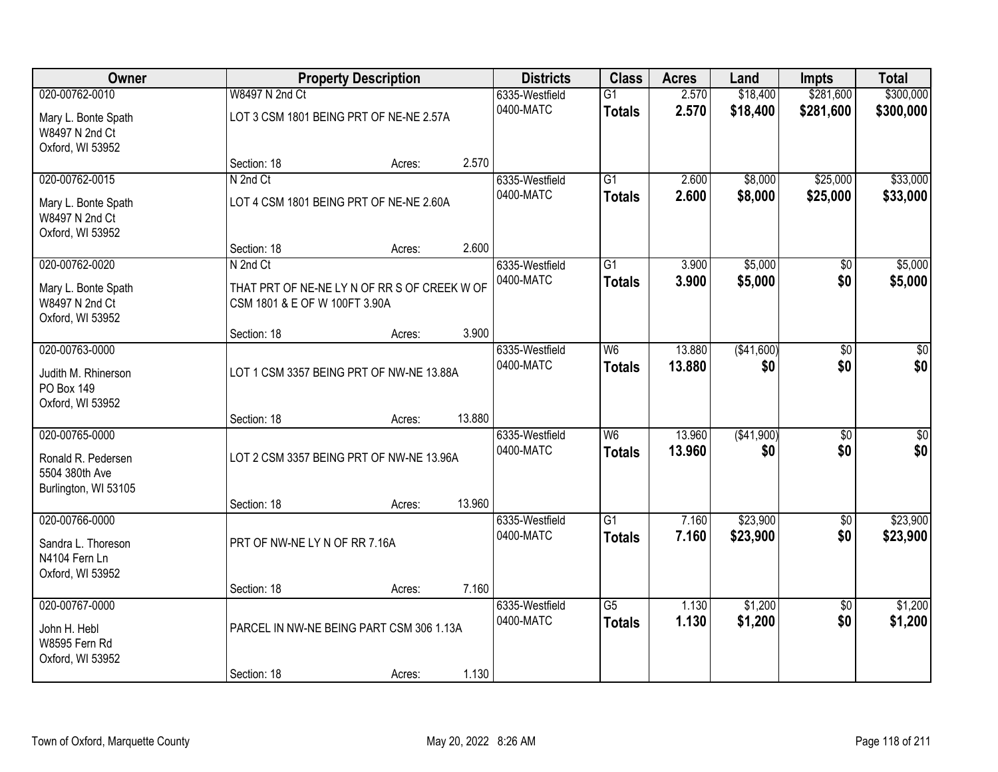| Owner                                                     |                                                                               | <b>Property Description</b> | <b>Districts</b> | <b>Class</b>   | <b>Acres</b>             | Land   | <b>Impts</b> | <b>Total</b>    |                 |
|-----------------------------------------------------------|-------------------------------------------------------------------------------|-----------------------------|------------------|----------------|--------------------------|--------|--------------|-----------------|-----------------|
| 020-00762-0010                                            | W8497 N 2nd Ct                                                                |                             |                  | 6335-Westfield | $\overline{G1}$          | 2.570  | \$18,400     | \$281,600       | \$300,000       |
| Mary L. Bonte Spath<br>W8497 N 2nd Ct<br>Oxford, WI 53952 | LOT 3 CSM 1801 BEING PRT OF NE-NE 2.57A                                       |                             |                  | 0400-MATC      | <b>Totals</b>            | 2.570  | \$18,400     | \$281,600       | \$300,000       |
|                                                           | Section: 18                                                                   | Acres:                      | 2.570            |                |                          |        |              |                 |                 |
| 020-00762-0015                                            | N 2nd Ct                                                                      |                             |                  | 6335-Westfield | $\overline{G1}$          | 2.600  | \$8,000      | \$25,000        | \$33,000        |
| Mary L. Bonte Spath<br>W8497 N 2nd Ct<br>Oxford, WI 53952 | LOT 4 CSM 1801 BEING PRT OF NE-NE 2.60A                                       |                             |                  | 0400-MATC      | <b>Totals</b>            | 2.600  | \$8,000      | \$25,000        | \$33,000        |
|                                                           | Section: 18                                                                   | Acres:                      | 2.600            |                |                          |        |              |                 |                 |
| 020-00762-0020                                            | N 2nd Ct                                                                      |                             |                  | 6335-Westfield | G1                       | 3.900  | \$5,000      | $\overline{50}$ | \$5,000         |
| Mary L. Bonte Spath<br>W8497 N 2nd Ct<br>Oxford, WI 53952 | THAT PRT OF NE-NE LY N OF RR S OF CREEK W OF<br>CSM 1801 & E OF W 100FT 3.90A |                             |                  | 0400-MATC      | <b>Totals</b>            | 3.900  | \$5,000      | \$0             | \$5,000         |
|                                                           | Section: 18                                                                   | Acres:                      | 3.900            |                |                          |        |              |                 |                 |
| 020-00763-0000                                            |                                                                               |                             |                  | 6335-Westfield | $\overline{\mathsf{W6}}$ | 13.880 | (\$41,600)   | $\overline{30}$ | $\overline{50}$ |
| Judith M. Rhinerson<br>PO Box 149                         | LOT 1 CSM 3357 BEING PRT OF NW-NE 13.88A                                      |                             |                  | 0400-MATC      | <b>Totals</b>            | 13.880 | \$0          | \$0             | \$0             |
| Oxford, WI 53952                                          | Section: 18                                                                   | Acres:                      | 13.880           |                |                          |        |              |                 |                 |
| 020-00765-0000                                            |                                                                               |                             |                  | 6335-Westfield | $\overline{\mathsf{W6}}$ | 13.960 | ( \$41,900)  | $\overline{50}$ | \$0             |
|                                                           |                                                                               |                             |                  | 0400-MATC      | <b>Totals</b>            | 13.960 | \$0          | \$0             | \$0             |
| Ronald R. Pedersen<br>5504 380th Ave                      | LOT 2 CSM 3357 BEING PRT OF NW-NE 13.96A                                      |                             |                  |                |                          |        |              |                 |                 |
| Burlington, WI 53105                                      |                                                                               |                             |                  |                |                          |        |              |                 |                 |
| 020-00766-0000                                            | Section: 18                                                                   | Acres:                      | 13.960           | 6335-Westfield | $\overline{G1}$          | 7.160  | \$23,900     | $\sqrt{6}$      | \$23,900        |
|                                                           |                                                                               |                             |                  | 0400-MATC      | <b>Totals</b>            | 7.160  | \$23,900     | \$0             | \$23,900        |
| Sandra L. Thoreson                                        | PRT OF NW-NE LY N OF RR 7.16A                                                 |                             |                  |                |                          |        |              |                 |                 |
| N4104 Fern Ln                                             |                                                                               |                             |                  |                |                          |        |              |                 |                 |
| Oxford, WI 53952                                          | Section: 18                                                                   | Acres:                      | 7.160            |                |                          |        |              |                 |                 |
| 020-00767-0000                                            |                                                                               |                             |                  | 6335-Westfield | $\overline{G5}$          | 1.130  | \$1,200      | $\overline{50}$ | \$1,200         |
| John H. Hebl<br>W8595 Fern Rd<br>Oxford, WI 53952         | PARCEL IN NW-NE BEING PART CSM 306 1.13A                                      |                             |                  | 0400-MATC      | <b>Totals</b>            | 1.130  | \$1,200      | \$0             | \$1,200         |
|                                                           | Section: 18                                                                   | Acres:                      | 1.130            |                |                          |        |              |                 |                 |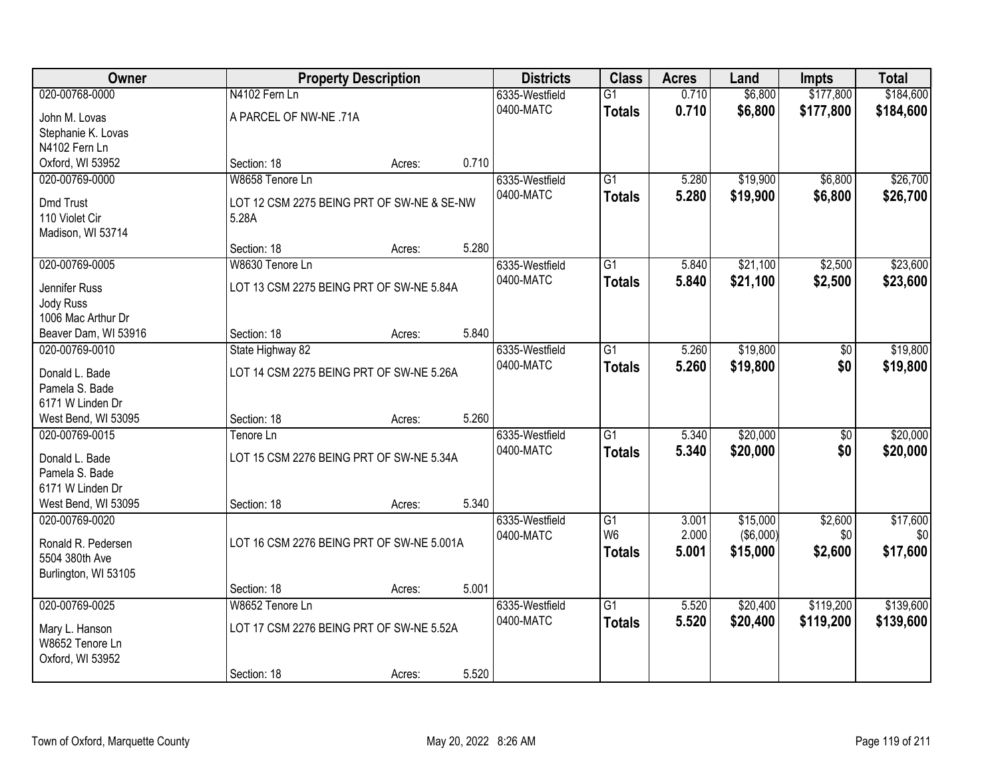| Owner                           |                                            | <b>Property Description</b> |       | <b>Districts</b> | <b>Class</b>    | <b>Acres</b> | Land       | <b>Impts</b>    | <b>Total</b> |
|---------------------------------|--------------------------------------------|-----------------------------|-------|------------------|-----------------|--------------|------------|-----------------|--------------|
| 020-00768-0000                  | N4102 Fern Ln                              |                             |       | 6335-Westfield   | $\overline{G1}$ | 0.710        | \$6,800    | \$177,800       | \$184,600    |
| John M. Lovas                   | A PARCEL OF NW-NE .71A                     |                             |       | 0400-MATC        | <b>Totals</b>   | 0.710        | \$6,800    | \$177,800       | \$184,600    |
| Stephanie K. Lovas              |                                            |                             |       |                  |                 |              |            |                 |              |
| N4102 Fern Ln                   |                                            |                             |       |                  |                 |              |            |                 |              |
| Oxford, WI 53952                | Section: 18                                | Acres:                      | 0.710 |                  |                 |              |            |                 |              |
| 020-00769-0000                  | W8658 Tenore Ln                            |                             |       | 6335-Westfield   | $\overline{G1}$ | 5.280        | \$19,900   | \$6,800         | \$26,700     |
| <b>Dmd Trust</b>                | LOT 12 CSM 2275 BEING PRT OF SW-NE & SE-NW |                             |       | 0400-MATC        | <b>Totals</b>   | 5.280        | \$19,900   | \$6,800         | \$26,700     |
| 110 Violet Cir                  | 5.28A                                      |                             |       |                  |                 |              |            |                 |              |
| Madison, WI 53714               |                                            |                             |       |                  |                 |              |            |                 |              |
|                                 | Section: 18                                | Acres:                      | 5.280 |                  |                 |              |            |                 |              |
| 020-00769-0005                  | W8630 Tenore Ln                            |                             |       | 6335-Westfield   | $\overline{G1}$ | 5.840        | \$21,100   | \$2,500         | \$23,600     |
|                                 |                                            |                             |       | 0400-MATC        | <b>Totals</b>   | 5.840        | \$21,100   | \$2,500         | \$23,600     |
| Jennifer Russ                   | LOT 13 CSM 2275 BEING PRT OF SW-NE 5.84A   |                             |       |                  |                 |              |            |                 |              |
| Jody Russ<br>1006 Mac Arthur Dr |                                            |                             |       |                  |                 |              |            |                 |              |
| Beaver Dam, WI 53916            | Section: 18                                | Acres:                      | 5.840 |                  |                 |              |            |                 |              |
| 020-00769-0010                  | State Highway 82                           |                             |       | 6335-Westfield   | $\overline{G1}$ | 5.260        | \$19,800   | \$0             | \$19,800     |
|                                 |                                            |                             |       | 0400-MATC        | <b>Totals</b>   | 5.260        | \$19,800   | \$0             | \$19,800     |
| Donald L. Bade                  | LOT 14 CSM 2275 BEING PRT OF SW-NE 5.26A   |                             |       |                  |                 |              |            |                 |              |
| Pamela S. Bade                  |                                            |                             |       |                  |                 |              |            |                 |              |
| 6171 W Linden Dr                |                                            |                             |       |                  |                 |              |            |                 |              |
| West Bend, WI 53095             | Section: 18                                | Acres:                      | 5.260 |                  |                 |              |            |                 |              |
| 020-00769-0015                  | Tenore Ln                                  |                             |       | 6335-Westfield   | $\overline{G1}$ | 5.340        | \$20,000   | $\overline{60}$ | \$20,000     |
| Donald L. Bade                  | LOT 15 CSM 2276 BEING PRT OF SW-NE 5.34A   |                             |       | 0400-MATC        | <b>Totals</b>   | 5.340        | \$20,000   | \$0             | \$20,000     |
| Pamela S. Bade                  |                                            |                             |       |                  |                 |              |            |                 |              |
| 6171 W Linden Dr                |                                            |                             |       |                  |                 |              |            |                 |              |
| West Bend, WI 53095             | Section: 18                                | Acres:                      | 5.340 |                  |                 |              |            |                 |              |
| 020-00769-0020                  |                                            |                             |       | 6335-Westfield   | $\overline{G1}$ | 3.001        | \$15,000   | \$2,600         | \$17,600     |
| Ronald R. Pedersen              | LOT 16 CSM 2276 BEING PRT OF SW-NE 5.001A  |                             |       | 0400-MATC        | W <sub>6</sub>  | 2.000        | ( \$6,000) | \$0             | \$0          |
| 5504 380th Ave                  |                                            |                             |       |                  | <b>Totals</b>   | 5.001        | \$15,000   | \$2,600         | \$17,600     |
| Burlington, WI 53105            |                                            |                             |       |                  |                 |              |            |                 |              |
|                                 | Section: 18                                | Acres:                      | 5.001 |                  |                 |              |            |                 |              |
| 020-00769-0025                  | W8652 Tenore Ln                            |                             |       | 6335-Westfield   | $\overline{G1}$ | 5.520        | \$20,400   | \$119,200       | \$139,600    |
| Mary L. Hanson                  | LOT 17 CSM 2276 BEING PRT OF SW-NE 5.52A   |                             |       | 0400-MATC        | <b>Totals</b>   | 5.520        | \$20,400   | \$119,200       | \$139,600    |
| W8652 Tenore Ln                 |                                            |                             |       |                  |                 |              |            |                 |              |
| Oxford, WI 53952                |                                            |                             |       |                  |                 |              |            |                 |              |
|                                 | Section: 18                                | Acres:                      | 5.520 |                  |                 |              |            |                 |              |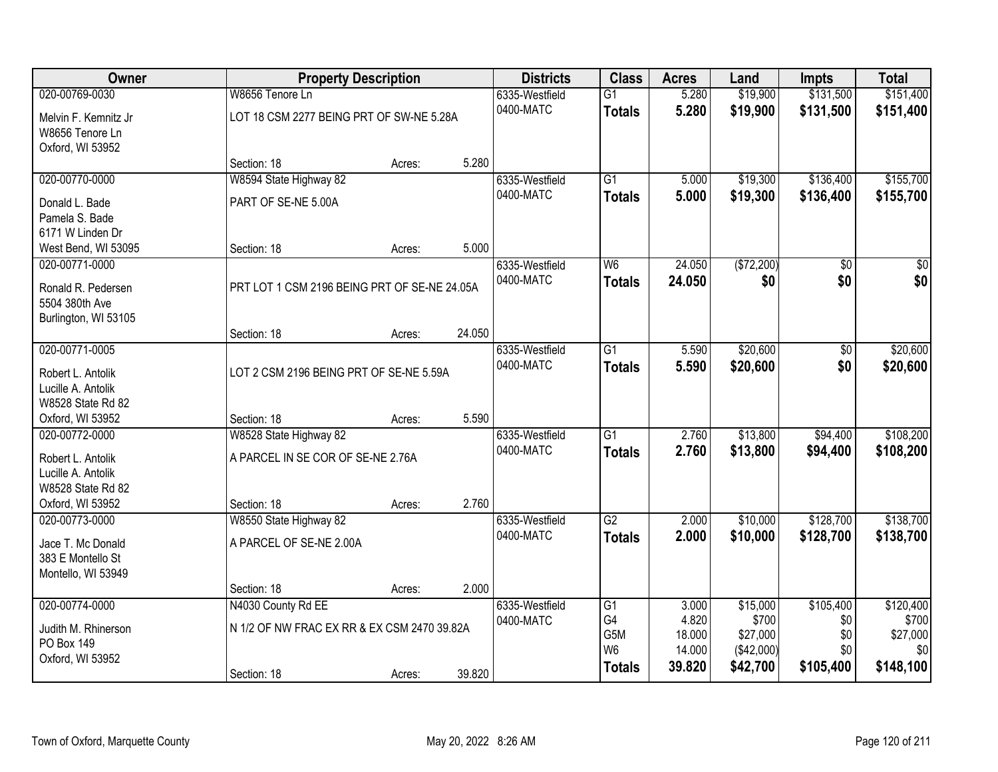| Owner                |                                              | <b>Property Description</b> |        | <b>Districts</b> | <b>Class</b>          | <b>Acres</b>   | Land              | <b>Impts</b>     | <b>Total</b>       |
|----------------------|----------------------------------------------|-----------------------------|--------|------------------|-----------------------|----------------|-------------------|------------------|--------------------|
| 020-00769-0030       | W8656 Tenore Ln                              |                             |        | 6335-Westfield   | $\overline{G1}$       | 5.280          | \$19,900          | \$131,500        | \$151,400          |
| Melvin F. Kemnitz Jr | LOT 18 CSM 2277 BEING PRT OF SW-NE 5.28A     |                             |        | 0400-MATC        | <b>Totals</b>         | 5.280          | \$19,900          | \$131,500        | \$151,400          |
| W8656 Tenore Ln      |                                              |                             |        |                  |                       |                |                   |                  |                    |
| Oxford, WI 53952     |                                              |                             |        |                  |                       |                |                   |                  |                    |
|                      | Section: 18                                  | Acres:                      | 5.280  |                  |                       |                |                   |                  |                    |
| 020-00770-0000       | W8594 State Highway 82                       |                             |        | 6335-Westfield   | $\overline{G1}$       | 5.000          | \$19,300          | \$136,400        | \$155,700          |
| Donald L. Bade       | PART OF SE-NE 5.00A                          |                             |        | 0400-MATC        | <b>Totals</b>         | 5.000          | \$19,300          | \$136,400        | \$155,700          |
| Pamela S. Bade       |                                              |                             |        |                  |                       |                |                   |                  |                    |
| 6171 W Linden Dr     |                                              |                             |        |                  |                       |                |                   |                  |                    |
| West Bend, WI 53095  | Section: 18                                  | Acres:                      | 5.000  |                  |                       |                |                   |                  |                    |
| 020-00771-0000       |                                              |                             |        | 6335-Westfield   | W6                    | 24.050         | (\$72,200)        | $\overline{50}$  | $\overline{30}$    |
| Ronald R. Pedersen   | PRT LOT 1 CSM 2196 BEING PRT OF SE-NE 24.05A |                             |        | 0400-MATC        | <b>Totals</b>         | 24.050         | \$0               | \$0              | \$0                |
| 5504 380th Ave       |                                              |                             |        |                  |                       |                |                   |                  |                    |
| Burlington, WI 53105 |                                              |                             |        |                  |                       |                |                   |                  |                    |
|                      | Section: 18                                  | Acres:                      | 24.050 |                  |                       |                |                   |                  |                    |
| 020-00771-0005       |                                              |                             |        | 6335-Westfield   | G1                    | 5.590          | \$20,600          | \$0              | \$20,600           |
| Robert L. Antolik    | LOT 2 CSM 2196 BEING PRT OF SE-NE 5.59A      |                             |        | 0400-MATC        | <b>Totals</b>         | 5.590          | \$20,600          | \$0              | \$20,600           |
| Lucille A. Antolik   |                                              |                             |        |                  |                       |                |                   |                  |                    |
| W8528 State Rd 82    |                                              |                             |        |                  |                       |                |                   |                  |                    |
| Oxford, WI 53952     | Section: 18                                  | Acres:                      | 5.590  |                  |                       |                |                   |                  |                    |
| 020-00772-0000       | W8528 State Highway 82                       |                             |        | 6335-Westfield   | $\overline{G1}$       | 2.760          | \$13,800          | \$94,400         | \$108,200          |
| Robert L. Antolik    | A PARCEL IN SE COR OF SE-NE 2.76A            |                             |        | 0400-MATC        | <b>Totals</b>         | 2.760          | \$13,800          | \$94,400         | \$108,200          |
| Lucille A. Antolik   |                                              |                             |        |                  |                       |                |                   |                  |                    |
| W8528 State Rd 82    |                                              |                             |        |                  |                       |                |                   |                  |                    |
| Oxford, WI 53952     | Section: 18                                  | Acres:                      | 2.760  |                  |                       |                |                   |                  |                    |
| 020-00773-0000       | W8550 State Highway 82                       |                             |        | 6335-Westfield   | $\overline{G2}$       | 2.000          | \$10,000          | \$128,700        | \$138,700          |
| Jace T. Mc Donald    | A PARCEL OF SE-NE 2.00A                      |                             |        | 0400-MATC        | <b>Totals</b>         | 2.000          | \$10,000          | \$128,700        | \$138,700          |
| 383 E Montello St    |                                              |                             |        |                  |                       |                |                   |                  |                    |
| Montello, WI 53949   |                                              |                             |        |                  |                       |                |                   |                  |                    |
|                      | Section: 18                                  | Acres:                      | 2.000  |                  |                       |                |                   |                  |                    |
| 020-00774-0000       | N4030 County Rd EE                           |                             |        | 6335-Westfield   | $\overline{G1}$<br>G4 | 3.000<br>4.820 | \$15,000<br>\$700 | \$105,400<br>\$0 | \$120,400<br>\$700 |
| Judith M. Rhinerson  | N 1/2 OF NW FRAC EX RR & EX CSM 2470 39.82A  |                             |        | 0400-MATC        | G5M                   | 18.000         | \$27,000          | \$0              | \$27,000           |
| PO Box 149           |                                              |                             |        |                  | W <sub>6</sub>        | 14.000         | (\$42,000)        | \$0              | \$0                |
| Oxford, WI 53952     |                                              |                             |        |                  | <b>Totals</b>         | 39.820         | \$42,700          | \$105,400        | \$148,100          |
|                      | Section: 18                                  | Acres:                      | 39.820 |                  |                       |                |                   |                  |                    |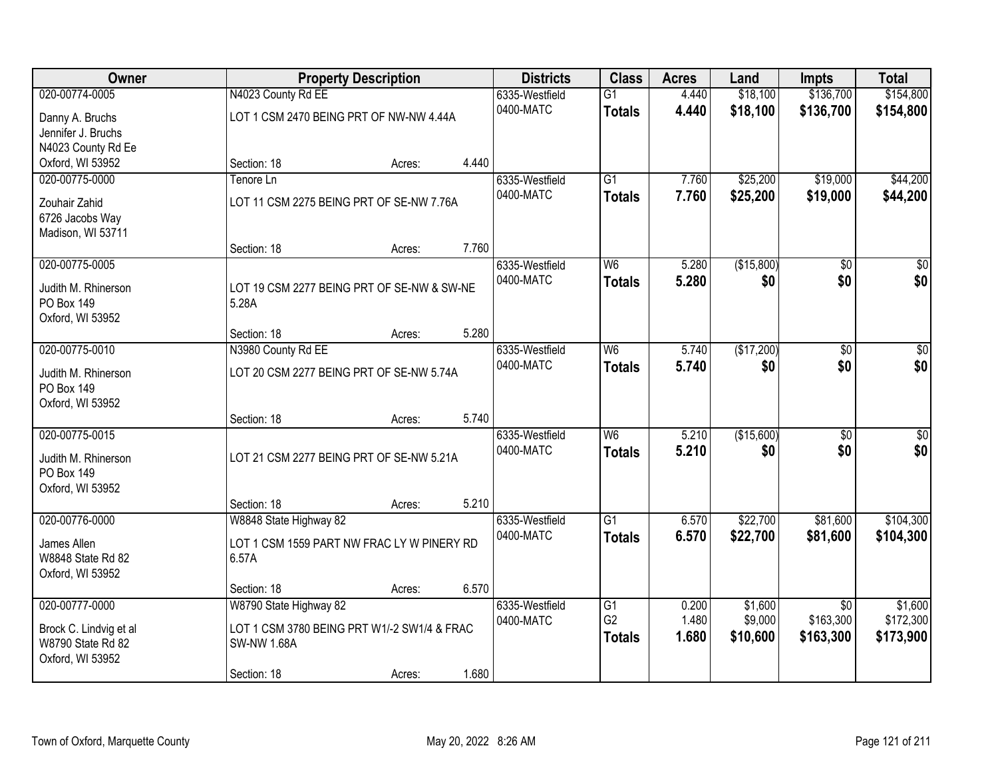| Owner                                    |                                                     | <b>Property Description</b> |       |                | <b>Class</b>    | <b>Acres</b> | Land       | <b>Impts</b>    | <b>Total</b>     |
|------------------------------------------|-----------------------------------------------------|-----------------------------|-------|----------------|-----------------|--------------|------------|-----------------|------------------|
| 020-00774-0005                           | N4023 County Rd EE                                  |                             |       | 6335-Westfield | $\overline{G1}$ | 4.440        | \$18,100   | \$136,700       | \$154,800        |
| Danny A. Bruchs                          | LOT 1 CSM 2470 BEING PRT OF NW-NW 4.44A             |                             |       | 0400-MATC      | <b>Totals</b>   | 4.440        | \$18,100   | \$136,700       | \$154,800        |
| Jennifer J. Bruchs                       |                                                     |                             |       |                |                 |              |            |                 |                  |
| N4023 County Rd Ee                       |                                                     |                             |       |                |                 |              |            |                 |                  |
| Oxford, WI 53952                         | Section: 18                                         | Acres:                      | 4.440 |                |                 |              |            |                 |                  |
| 020-00775-0000                           | Tenore Ln                                           |                             |       | 6335-Westfield | $\overline{G1}$ | 7.760        | \$25,200   | \$19,000        | \$44,200         |
| Zouhair Zahid                            | LOT 11 CSM 2275 BEING PRT OF SE-NW 7.76A            |                             |       | 0400-MATC      | <b>Totals</b>   | 7.760        | \$25,200   | \$19,000        | \$44,200         |
| 6726 Jacobs Way                          |                                                     |                             |       |                |                 |              |            |                 |                  |
| Madison, WI 53711                        |                                                     |                             |       |                |                 |              |            |                 |                  |
|                                          | Section: 18                                         | Acres:                      | 7.760 |                |                 |              |            |                 |                  |
| 020-00775-0005                           |                                                     |                             |       | 6335-Westfield | W <sub>6</sub>  | 5.280        | (\$15,800) | \$0             | $\overline{\$0}$ |
|                                          |                                                     |                             |       | 0400-MATC      | <b>Totals</b>   | 5.280        | \$0        | \$0             | \$0              |
| Judith M. Rhinerson<br><b>PO Box 149</b> | LOT 19 CSM 2277 BEING PRT OF SE-NW & SW-NE<br>5.28A |                             |       |                |                 |              |            |                 |                  |
| Oxford, WI 53952                         |                                                     |                             |       |                |                 |              |            |                 |                  |
|                                          | Section: 18                                         | Acres:                      | 5.280 |                |                 |              |            |                 |                  |
| 020-00775-0010                           | N3980 County Rd EE                                  |                             |       | 6335-Westfield | W6              | 5.740        | (\$17,200) | \$0             | $\overline{50}$  |
|                                          |                                                     |                             |       | 0400-MATC      | <b>Totals</b>   | 5.740        | \$0        | \$0             | \$0              |
| Judith M. Rhinerson                      | LOT 20 CSM 2277 BEING PRT OF SE-NW 5.74A            |                             |       |                |                 |              |            |                 |                  |
| PO Box 149<br>Oxford, WI 53952           |                                                     |                             |       |                |                 |              |            |                 |                  |
|                                          | Section: 18                                         | Acres:                      | 5.740 |                |                 |              |            |                 |                  |
| 020-00775-0015                           |                                                     |                             |       | 6335-Westfield | W <sub>6</sub>  | 5.210        | (\$15,600) | $\overline{50}$ | $\sqrt{50}$      |
|                                          |                                                     |                             |       | 0400-MATC      | <b>Totals</b>   | 5.210        | \$0        | \$0             | \$0              |
| Judith M. Rhinerson                      | LOT 21 CSM 2277 BEING PRT OF SE-NW 5.21A            |                             |       |                |                 |              |            |                 |                  |
| <b>PO Box 149</b>                        |                                                     |                             |       |                |                 |              |            |                 |                  |
| Oxford, WI 53952                         | Section: 18                                         | Acres:                      | 5.210 |                |                 |              |            |                 |                  |
| 020-00776-0000                           | W8848 State Highway 82                              |                             |       | 6335-Westfield | $\overline{G1}$ | 6.570        | \$22,700   | \$81,600        | \$104,300        |
|                                          |                                                     |                             |       | 0400-MATC      | <b>Totals</b>   | 6.570        | \$22,700   | \$81,600        | \$104,300        |
| James Allen                              | LOT 1 CSM 1559 PART NW FRAC LY W PINERY RD          |                             |       |                |                 |              |            |                 |                  |
| W8848 State Rd 82                        | 6.57A                                               |                             |       |                |                 |              |            |                 |                  |
| Oxford, WI 53952                         |                                                     |                             | 6.570 |                |                 |              |            |                 |                  |
| 020-00777-0000                           | Section: 18<br>W8790 State Highway 82               | Acres:                      |       | 6335-Westfield | $\overline{G1}$ | 0.200        | \$1,600    | $\overline{30}$ | \$1,600          |
|                                          |                                                     |                             |       | 0400-MATC      | G <sub>2</sub>  | 1.480        | \$9,000    | \$163,300       | \$172,300        |
| Brock C. Lindvig et al                   | LOT 1 CSM 3780 BEING PRT W1/-2 SW1/4 & FRAC         |                             |       |                | <b>Totals</b>   | 1.680        | \$10,600   | \$163,300       | \$173,900        |
| W8790 State Rd 82                        | <b>SW-NW 1.68A</b>                                  |                             |       |                |                 |              |            |                 |                  |
| Oxford, WI 53952                         |                                                     |                             |       |                |                 |              |            |                 |                  |
|                                          | Section: 18                                         | Acres:                      | 1.680 |                |                 |              |            |                 |                  |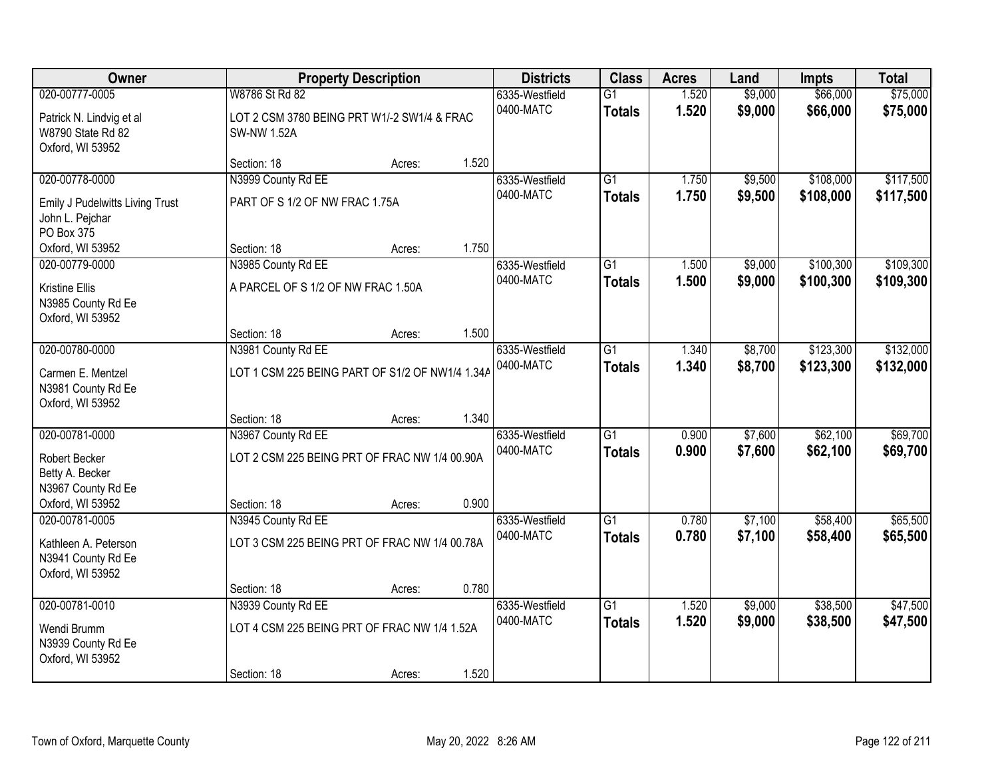| <b>Owner</b>                                                                                 |                                                                                     | <b>Property Description</b> |       |                             | <b>Class</b>                     | <b>Acres</b>   | Land               | <b>Impts</b>           | <b>Total</b>           |
|----------------------------------------------------------------------------------------------|-------------------------------------------------------------------------------------|-----------------------------|-------|-----------------------------|----------------------------------|----------------|--------------------|------------------------|------------------------|
| 020-00777-0005<br>Patrick N. Lindvig et al<br>W8790 State Rd 82                              | W8786 St Rd 82<br>LOT 2 CSM 3780 BEING PRT W1/-2 SW1/4 & FRAC<br><b>SW-NW 1.52A</b> |                             |       | 6335-Westfield<br>0400-MATC | $\overline{G1}$<br><b>Totals</b> | 1.520<br>1.520 | \$9,000<br>\$9,000 | \$66,000<br>\$66,000   | \$75,000<br>\$75,000   |
| Oxford, WI 53952                                                                             | Section: 18                                                                         | Acres:                      | 1.520 |                             |                                  |                |                    |                        |                        |
| 020-00778-0000<br>Emily J Pudelwitts Living Trust<br>John L. Pejchar<br>PO Box 375           | N3999 County Rd EE<br>PART OF S 1/2 OF NW FRAC 1.75A                                |                             |       | 6335-Westfield<br>0400-MATC | $\overline{G1}$<br><b>Totals</b> | 1.750<br>1.750 | \$9,500<br>\$9,500 | \$108,000<br>\$108,000 | \$117,500<br>\$117,500 |
| Oxford, WI 53952                                                                             | Section: 18                                                                         | Acres:                      | 1.750 |                             |                                  |                |                    |                        |                        |
| 020-00779-0000<br>Kristine Ellis<br>N3985 County Rd Ee<br>Oxford, WI 53952                   | N3985 County Rd EE<br>A PARCEL OF S 1/2 OF NW FRAC 1.50A                            |                             |       | 6335-Westfield<br>0400-MATC | $\overline{G1}$<br><b>Totals</b> | 1.500<br>1.500 | \$9,000<br>\$9,000 | \$100,300<br>\$100,300 | \$109,300<br>\$109,300 |
|                                                                                              | Section: 18                                                                         | Acres:                      | 1.500 |                             |                                  |                |                    |                        |                        |
| 020-00780-0000<br>Carmen E. Mentzel<br>N3981 County Rd Ee<br>Oxford, WI 53952                | N3981 County Rd EE<br>LOT 1 CSM 225 BEING PART OF S1/2 OF NW1/4 1.34A               |                             |       | 6335-Westfield<br>0400-MATC | $\overline{G1}$<br><b>Totals</b> | 1.340<br>1.340 | \$8,700<br>\$8,700 | \$123,300<br>\$123,300 | \$132,000<br>\$132,000 |
|                                                                                              | Section: 18                                                                         | Acres:                      | 1.340 |                             |                                  |                |                    |                        |                        |
| 020-00781-0000<br>Robert Becker<br>Betty A. Becker<br>N3967 County Rd Ee<br>Oxford, WI 53952 | N3967 County Rd EE<br>LOT 2 CSM 225 BEING PRT OF FRAC NW 1/4 00.90A<br>Section: 18  | Acres:                      | 0.900 | 6335-Westfield<br>0400-MATC | $\overline{G1}$<br><b>Totals</b> | 0.900<br>0.900 | \$7,600<br>\$7,600 | \$62,100<br>\$62,100   | \$69,700<br>\$69,700   |
| 020-00781-0005<br>Kathleen A. Peterson<br>N3941 County Rd Ee<br>Oxford, WI 53952             | N3945 County Rd EE<br>LOT 3 CSM 225 BEING PRT OF FRAC NW 1/4 00.78A                 |                             |       | 6335-Westfield<br>0400-MATC | $\overline{G1}$<br><b>Totals</b> | 0.780<br>0.780 | \$7,100<br>\$7,100 | \$58,400<br>\$58,400   | \$65,500<br>\$65,500   |
| 020-00781-0010                                                                               | Section: 18                                                                         | Acres:                      | 0.780 |                             | $\overline{G1}$                  | 1.520          | \$9,000            | \$38,500               | \$47,500               |
| Wendi Brumm<br>N3939 County Rd Ee<br>Oxford, WI 53952                                        | N3939 County Rd EE<br>LOT 4 CSM 225 BEING PRT OF FRAC NW 1/4 1.52A<br>Section: 18   | Acres:                      | 1.520 | 6335-Westfield<br>0400-MATC | <b>Totals</b>                    | 1.520          | \$9,000            | \$38,500               | \$47,500               |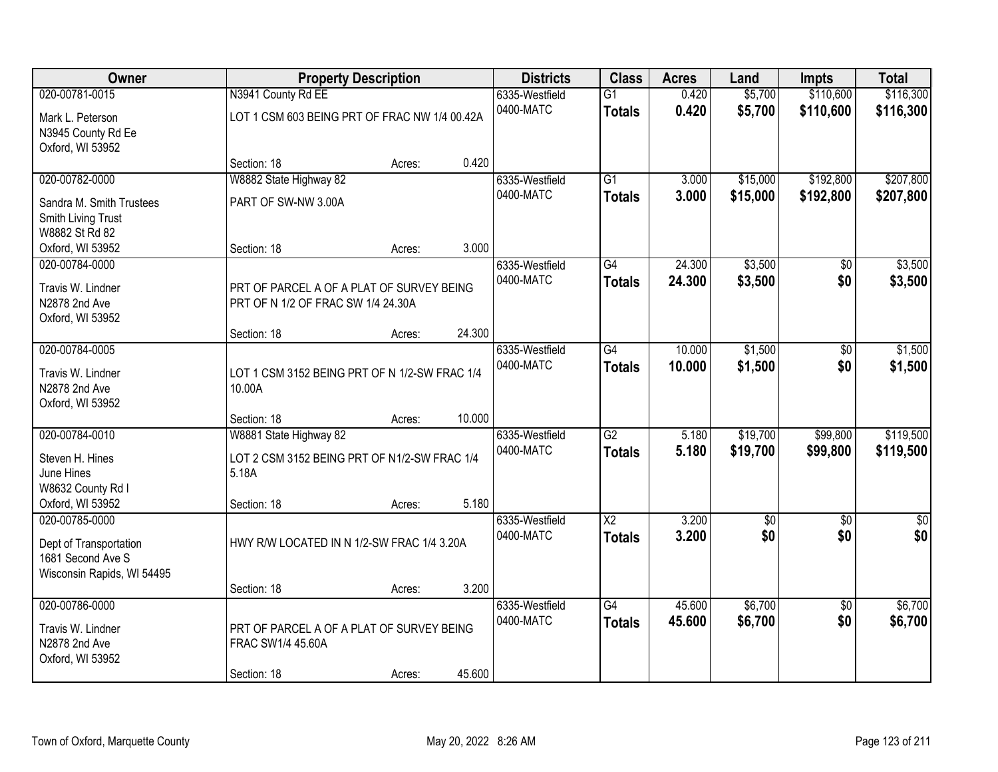| Owner                              |                                                         | <b>Property Description</b> |        |                             | <b>Class</b>           | <b>Acres</b> | Land            | <b>Impts</b>    | <b>Total</b> |
|------------------------------------|---------------------------------------------------------|-----------------------------|--------|-----------------------------|------------------------|--------------|-----------------|-----------------|--------------|
| 020-00781-0015                     | N3941 County Rd EE                                      |                             |        | 6335-Westfield              | $\overline{G1}$        | 0.420        | \$5,700         | \$110,600       | \$116,300    |
| Mark L. Peterson                   | LOT 1 CSM 603 BEING PRT OF FRAC NW 1/4 00.42A           |                             |        | 0400-MATC                   | <b>Totals</b>          | 0.420        | \$5,700         | \$110,600       | \$116,300    |
| N3945 County Rd Ee                 |                                                         |                             |        |                             |                        |              |                 |                 |              |
| Oxford, WI 53952                   |                                                         |                             |        |                             |                        |              |                 |                 |              |
|                                    | Section: 18                                             | Acres:                      | 0.420  |                             |                        |              |                 |                 |              |
| 020-00782-0000                     | W8882 State Highway 82                                  |                             |        | 6335-Westfield              | G1                     | 3.000        | \$15,000        | \$192,800       | \$207,800    |
| Sandra M. Smith Trustees           | PART OF SW-NW 3.00A                                     |                             |        | 0400-MATC                   | <b>Totals</b>          | 3.000        | \$15,000        | \$192,800       | \$207,800    |
| Smith Living Trust                 |                                                         |                             |        |                             |                        |              |                 |                 |              |
| W8882 St Rd 82                     |                                                         |                             |        |                             |                        |              |                 |                 |              |
| Oxford, WI 53952<br>020-00784-0000 | Section: 18                                             | Acres:                      | 3.000  | 6335-Westfield              | G4                     | 24.300       | \$3,500         | \$0             | \$3,500      |
|                                    |                                                         |                             |        | 0400-MATC                   | <b>Totals</b>          | 24.300       | \$3,500         | \$0             | \$3,500      |
| Travis W. Lindner                  | PRT OF PARCEL A OF A PLAT OF SURVEY BEING               |                             |        |                             |                        |              |                 |                 |              |
| N2878 2nd Ave                      | PRT OF N 1/2 OF FRAC SW 1/4 24.30A                      |                             |        |                             |                        |              |                 |                 |              |
| Oxford, WI 53952                   | Section: 18                                             | Acres:                      | 24.300 |                             |                        |              |                 |                 |              |
| 020-00784-0005                     |                                                         |                             |        | 6335-Westfield              | $\overline{G4}$        | 10.000       | \$1,500         | \$0             | \$1,500      |
|                                    |                                                         |                             |        | 0400-MATC                   | <b>Totals</b>          | 10.000       | \$1,500         | \$0             | \$1,500      |
| Travis W. Lindner<br>N2878 2nd Ave | LOT 1 CSM 3152 BEING PRT OF N 1/2-SW FRAC 1/4<br>10.00A |                             |        |                             |                        |              |                 |                 |              |
| Oxford, WI 53952                   |                                                         |                             |        |                             |                        |              |                 |                 |              |
|                                    | Section: 18                                             | Acres:                      | 10.000 |                             |                        |              |                 |                 |              |
| 020-00784-0010                     | W8881 State Highway 82                                  |                             |        | 6335-Westfield              | $\overline{G2}$        | 5.180        | \$19,700        | \$99,800        | \$119,500    |
| Steven H. Hines                    | LOT 2 CSM 3152 BEING PRT OF N1/2-SW FRAC 1/4            |                             |        | 0400-MATC                   | <b>Totals</b>          | 5.180        | \$19,700        | \$99,800        | \$119,500    |
| June Hines                         | 5.18A                                                   |                             |        |                             |                        |              |                 |                 |              |
| W8632 County Rd I                  |                                                         |                             |        |                             |                        |              |                 |                 |              |
| Oxford, WI 53952                   | Section: 18                                             | Acres:                      | 5.180  |                             |                        |              |                 |                 |              |
| 020-00785-0000                     |                                                         |                             |        | 6335-Westfield              | $\overline{\text{X2}}$ | 3.200        | $\overline{50}$ | $\overline{50}$ | \$0          |
| Dept of Transportation             | HWY R/W LOCATED IN N 1/2-SW FRAC 1/4 3.20A              |                             |        | 0400-MATC                   | <b>Totals</b>          | 3.200        | \$0             | \$0             | \$0          |
| 1681 Second Ave S                  |                                                         |                             |        |                             |                        |              |                 |                 |              |
| Wisconsin Rapids, WI 54495         |                                                         |                             |        |                             |                        |              |                 |                 |              |
|                                    | Section: 18                                             | Acres:                      | 3.200  |                             |                        |              |                 |                 |              |
| 020-00786-0000                     |                                                         |                             |        | 6335-Westfield<br>0400-MATC | $\overline{G4}$        | 45.600       | \$6,700         | $\overline{50}$ | \$6,700      |
| Travis W. Lindner                  | PRT OF PARCEL A OF A PLAT OF SURVEY BEING               |                             |        |                             | <b>Totals</b>          | 45.600       | \$6,700         | \$0             | \$6,700      |
| N2878 2nd Ave                      | FRAC SW1/4 45.60A                                       |                             |        |                             |                        |              |                 |                 |              |
| Oxford, WI 53952                   |                                                         |                             | 45.600 |                             |                        |              |                 |                 |              |
|                                    | Section: 18                                             | Acres:                      |        |                             |                        |              |                 |                 |              |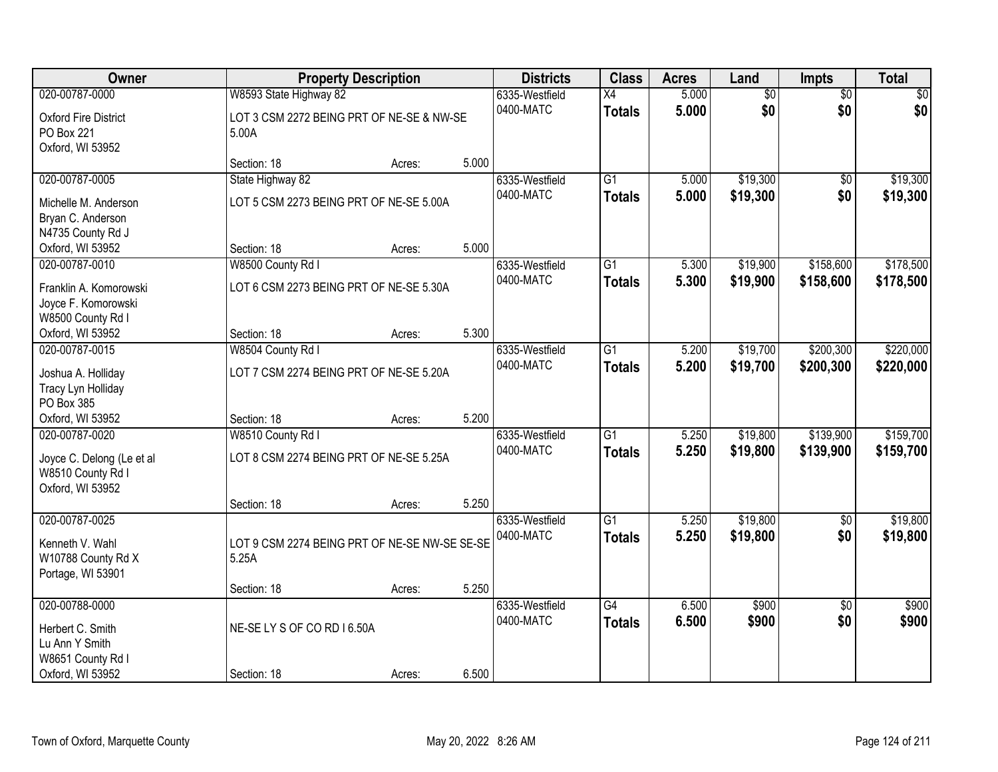| Owner                       |                                               | <b>Property Description</b> |       |                | <b>Class</b>    | <b>Acres</b> | Land            | Impts           | <b>Total</b> |
|-----------------------------|-----------------------------------------------|-----------------------------|-------|----------------|-----------------|--------------|-----------------|-----------------|--------------|
| 020-00787-0000              | W8593 State Highway 82                        |                             |       | 6335-Westfield | X4              | 5.000        | $\overline{50}$ | $\overline{50}$ | \$0          |
| <b>Oxford Fire District</b> | LOT 3 CSM 2272 BEING PRT OF NE-SE & NW-SE     |                             |       | 0400-MATC      | <b>Totals</b>   | 5.000        | \$0             | \$0             | \$0          |
| PO Box 221                  | 5.00A                                         |                             |       |                |                 |              |                 |                 |              |
| Oxford, WI 53952            |                                               |                             |       |                |                 |              |                 |                 |              |
|                             | Section: 18                                   | Acres:                      | 5.000 |                |                 |              |                 |                 |              |
| 020-00787-0005              | State Highway 82                              |                             |       | 6335-Westfield | $\overline{G1}$ | 5.000        | \$19,300        | $\overline{50}$ | \$19,300     |
| Michelle M. Anderson        | LOT 5 CSM 2273 BEING PRT OF NE-SE 5.00A       |                             |       | 0400-MATC      | <b>Totals</b>   | 5.000        | \$19,300        | \$0             | \$19,300     |
| Bryan C. Anderson           |                                               |                             |       |                |                 |              |                 |                 |              |
| N4735 County Rd J           |                                               |                             |       |                |                 |              |                 |                 |              |
| Oxford, WI 53952            | Section: 18                                   | Acres:                      | 5.000 |                |                 |              |                 |                 |              |
| 020-00787-0010              | W8500 County Rd I                             |                             |       | 6335-Westfield | G1              | 5.300        | \$19,900        | \$158,600       | \$178,500    |
| Franklin A. Komorowski      | LOT 6 CSM 2273 BEING PRT OF NE-SE 5.30A       |                             |       | 0400-MATC      | <b>Totals</b>   | 5.300        | \$19,900        | \$158,600       | \$178,500    |
| Joyce F. Komorowski         |                                               |                             |       |                |                 |              |                 |                 |              |
| W8500 County Rd I           |                                               |                             |       |                |                 |              |                 |                 |              |
| Oxford, WI 53952            | Section: 18                                   | Acres:                      | 5.300 |                |                 |              |                 |                 |              |
| 020-00787-0015              | W8504 County Rd I                             |                             |       | 6335-Westfield | $\overline{G1}$ | 5.200        | \$19,700        | \$200,300       | \$220,000    |
|                             |                                               |                             |       | 0400-MATC      | <b>Totals</b>   | 5.200        | \$19,700        | \$200,300       | \$220,000    |
| Joshua A. Holliday          | LOT 7 CSM 2274 BEING PRT OF NE-SE 5.20A       |                             |       |                |                 |              |                 |                 |              |
| Tracy Lyn Holliday          |                                               |                             |       |                |                 |              |                 |                 |              |
| PO Box 385                  |                                               |                             |       |                |                 |              |                 |                 |              |
| Oxford, WI 53952            | Section: 18                                   | Acres:                      | 5.200 |                |                 |              |                 |                 |              |
| 020-00787-0020              | W8510 County Rd I                             |                             |       | 6335-Westfield | $\overline{G1}$ | 5.250        | \$19,800        | \$139,900       | \$159,700    |
| Joyce C. Delong (Le et al   | LOT 8 CSM 2274 BEING PRT OF NE-SE 5.25A       |                             |       | 0400-MATC      | <b>Totals</b>   | 5.250        | \$19,800        | \$139,900       | \$159,700    |
| W8510 County Rd I           |                                               |                             |       |                |                 |              |                 |                 |              |
| Oxford, WI 53952            |                                               |                             |       |                |                 |              |                 |                 |              |
|                             | Section: 18                                   | Acres:                      | 5.250 |                |                 |              |                 |                 |              |
| 020-00787-0025              |                                               |                             |       | 6335-Westfield | $\overline{G1}$ | 5.250        | \$19,800        | $\overline{50}$ | \$19,800     |
| Kenneth V. Wahl             | LOT 9 CSM 2274 BEING PRT OF NE-SE NW-SE SE-SE |                             |       | 0400-MATC      | <b>Totals</b>   | 5.250        | \$19,800        | \$0             | \$19,800     |
| W10788 County Rd X          | 5.25A                                         |                             |       |                |                 |              |                 |                 |              |
| Portage, WI 53901           |                                               |                             |       |                |                 |              |                 |                 |              |
|                             | Section: 18                                   | Acres:                      | 5.250 |                |                 |              |                 |                 |              |
| 020-00788-0000              |                                               |                             |       | 6335-Westfield | $\overline{G4}$ | 6.500        | \$900           | $\overline{50}$ | \$900        |
| Herbert C. Smith            | NE-SELYS OF CORD 16.50A                       |                             |       | 0400-MATC      | <b>Totals</b>   | 6.500        | \$900           | \$0             | \$900        |
| Lu Ann Y Smith              |                                               |                             |       |                |                 |              |                 |                 |              |
| W8651 County Rd I           |                                               |                             |       |                |                 |              |                 |                 |              |
| Oxford, WI 53952            | Section: 18                                   | Acres:                      | 6.500 |                |                 |              |                 |                 |              |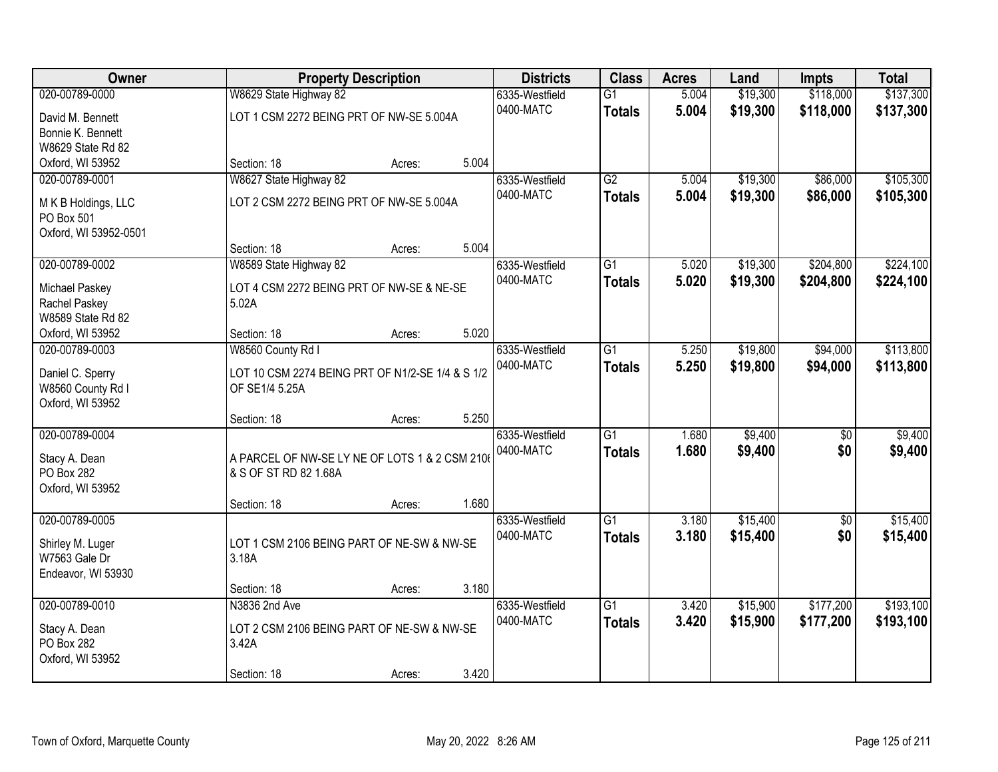| Owner                                  |                                                  | <b>Property Description</b> |       |                | <b>Class</b>    | <b>Acres</b> | Land     | <b>Impts</b>    | <b>Total</b> |
|----------------------------------------|--------------------------------------------------|-----------------------------|-------|----------------|-----------------|--------------|----------|-----------------|--------------|
| 020-00789-0000                         | W8629 State Highway 82                           |                             |       | 6335-Westfield | $\overline{G1}$ | 5.004        | \$19,300 | \$118,000       | \$137,300    |
| David M. Bennett                       | LOT 1 CSM 2272 BEING PRT OF NW-SE 5.004A         |                             |       | 0400-MATC      | <b>Totals</b>   | 5.004        | \$19,300 | \$118,000       | \$137,300    |
| Bonnie K. Bennett                      |                                                  |                             |       |                |                 |              |          |                 |              |
| W8629 State Rd 82                      |                                                  |                             |       |                |                 |              |          |                 |              |
| Oxford, WI 53952                       | Section: 18                                      | Acres:                      | 5.004 |                |                 |              |          |                 |              |
| 020-00789-0001                         | W8627 State Highway 82                           |                             |       | 6335-Westfield | G2              | 5.004        | \$19,300 | \$86,000        | \$105,300    |
| M K B Holdings, LLC                    | LOT 2 CSM 2272 BEING PRT OF NW-SE 5.004A         |                             |       | 0400-MATC      | <b>Totals</b>   | 5.004        | \$19,300 | \$86,000        | \$105,300    |
| PO Box 501                             |                                                  |                             |       |                |                 |              |          |                 |              |
| Oxford, WI 53952-0501                  |                                                  |                             |       |                |                 |              |          |                 |              |
|                                        | Section: 18                                      | Acres:                      | 5.004 |                |                 |              |          |                 |              |
| 020-00789-0002                         | W8589 State Highway 82                           |                             |       | 6335-Westfield | G1              | 5.020        | \$19,300 | \$204,800       | \$224,100    |
|                                        | LOT 4 CSM 2272 BEING PRT OF NW-SE & NE-SE        |                             |       | 0400-MATC      | <b>Totals</b>   | 5.020        | \$19,300 | \$204,800       | \$224,100    |
| <b>Michael Paskey</b><br>Rachel Paskey | 5.02A                                            |                             |       |                |                 |              |          |                 |              |
| W8589 State Rd 82                      |                                                  |                             |       |                |                 |              |          |                 |              |
| Oxford, WI 53952                       | Section: 18                                      | Acres:                      | 5.020 |                |                 |              |          |                 |              |
| 020-00789-0003                         | W8560 County Rd I                                |                             |       | 6335-Westfield | G1              | 5.250        | \$19,800 | \$94,000        | \$113,800    |
|                                        |                                                  |                             |       | 0400-MATC      | <b>Totals</b>   | 5.250        | \$19,800 | \$94,000        | \$113,800    |
| Daniel C. Sperry                       | LOT 10 CSM 2274 BEING PRT OF N1/2-SE 1/4 & S 1/2 |                             |       |                |                 |              |          |                 |              |
| W8560 County Rd I<br>Oxford, WI 53952  | OF SE1/4 5.25A                                   |                             |       |                |                 |              |          |                 |              |
|                                        | Section: 18                                      | Acres:                      | 5.250 |                |                 |              |          |                 |              |
| 020-00789-0004                         |                                                  |                             |       | 6335-Westfield | $\overline{G1}$ | 1.680        | \$9,400  | $\overline{50}$ | \$9,400      |
|                                        |                                                  |                             |       | 0400-MATC      | <b>Totals</b>   | 1.680        | \$9,400  | \$0             | \$9,400      |
| Stacy A. Dean                          | A PARCEL OF NW-SE LY NE OF LOTS 1 & 2 CSM 2106   |                             |       |                |                 |              |          |                 |              |
| PO Box 282                             | & S OF ST RD 82 1.68A                            |                             |       |                |                 |              |          |                 |              |
| Oxford, WI 53952                       |                                                  |                             |       |                |                 |              |          |                 |              |
| 020-00789-0005                         | Section: 18                                      | Acres:                      | 1.680 | 6335-Westfield | $\overline{G1}$ | 3.180        | \$15,400 | $\overline{50}$ | \$15,400     |
|                                        |                                                  |                             |       | 0400-MATC      |                 | 3.180        | \$15,400 | \$0             |              |
| Shirley M. Luger                       | LOT 1 CSM 2106 BEING PART OF NE-SW & NW-SE       |                             |       |                | <b>Totals</b>   |              |          |                 | \$15,400     |
| W7563 Gale Dr                          | 3.18A                                            |                             |       |                |                 |              |          |                 |              |
| Endeavor, WI 53930                     |                                                  |                             |       |                |                 |              |          |                 |              |
|                                        | Section: 18                                      | Acres:                      | 3.180 |                |                 |              |          |                 |              |
| 020-00789-0010                         | N3836 2nd Ave                                    |                             |       | 6335-Westfield | $\overline{G1}$ | 3.420        | \$15,900 | \$177,200       | \$193,100    |
| Stacy A. Dean                          | LOT 2 CSM 2106 BEING PART OF NE-SW & NW-SE       |                             |       | 0400-MATC      | <b>Totals</b>   | 3.420        | \$15,900 | \$177,200       | \$193,100    |
| PO Box 282                             | 3.42A                                            |                             |       |                |                 |              |          |                 |              |
| Oxford, WI 53952                       |                                                  |                             |       |                |                 |              |          |                 |              |
|                                        | Section: 18                                      | Acres:                      | 3.420 |                |                 |              |          |                 |              |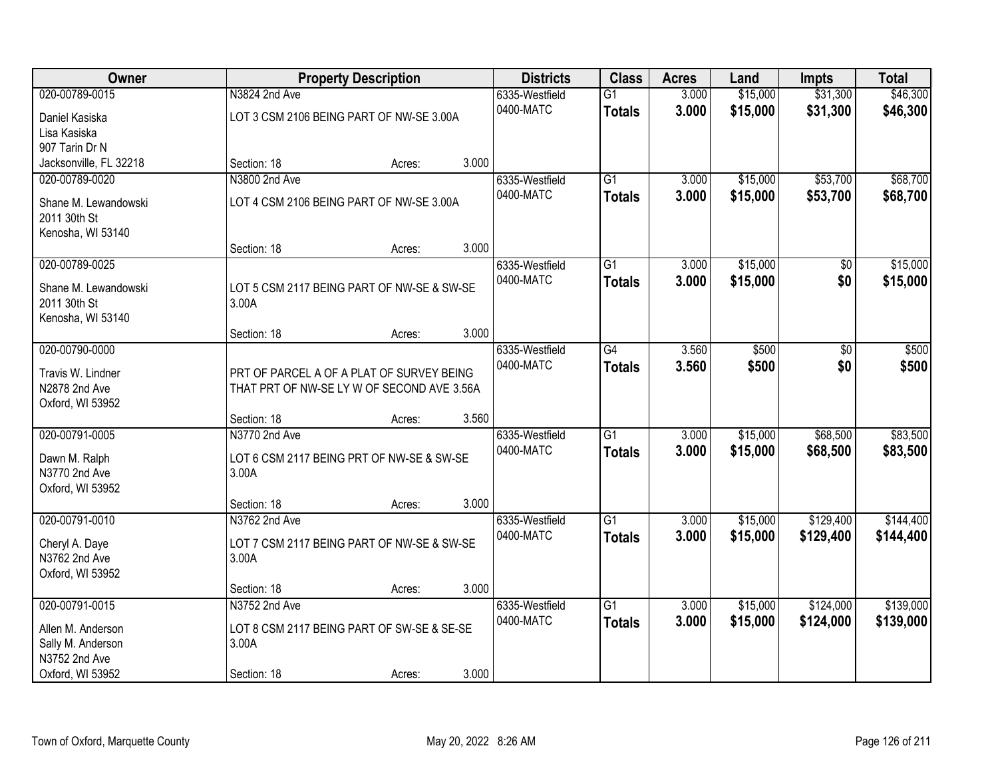| Owner                              |                                                                                         | <b>Property Description</b> |       |                | <b>Class</b>    | <b>Acres</b> | Land     | <b>Impts</b>    | <b>Total</b> |
|------------------------------------|-----------------------------------------------------------------------------------------|-----------------------------|-------|----------------|-----------------|--------------|----------|-----------------|--------------|
| 020-00789-0015                     | N3824 2nd Ave                                                                           |                             |       | 6335-Westfield | $\overline{G1}$ | 3.000        | \$15,000 | \$31,300        | \$46,300     |
| Daniel Kasiska                     | LOT 3 CSM 2106 BEING PART OF NW-SE 3.00A                                                |                             |       | 0400-MATC      | <b>Totals</b>   | 3.000        | \$15,000 | \$31,300        | \$46,300     |
| Lisa Kasiska                       |                                                                                         |                             |       |                |                 |              |          |                 |              |
| 907 Tarin Dr N                     |                                                                                         |                             |       |                |                 |              |          |                 |              |
| Jacksonville, FL 32218             | Section: 18                                                                             | Acres:                      | 3.000 |                |                 |              |          |                 |              |
| 020-00789-0020                     | N3800 2nd Ave                                                                           |                             |       | 6335-Westfield | $\overline{G1}$ | 3.000        | \$15,000 | \$53,700        | \$68,700     |
| Shane M. Lewandowski               | LOT 4 CSM 2106 BEING PART OF NW-SE 3.00A                                                |                             |       | 0400-MATC      | <b>Totals</b>   | 3.000        | \$15,000 | \$53,700        | \$68,700     |
| 2011 30th St                       |                                                                                         |                             |       |                |                 |              |          |                 |              |
| Kenosha, WI 53140                  |                                                                                         |                             |       |                |                 |              |          |                 |              |
|                                    | Section: 18                                                                             | Acres:                      | 3.000 |                |                 |              |          |                 |              |
| 020-00789-0025                     |                                                                                         |                             |       | 6335-Westfield | $\overline{G1}$ | 3.000        | \$15,000 | $\overline{50}$ | \$15,000     |
| Shane M. Lewandowski               | LOT 5 CSM 2117 BEING PART OF NW-SE & SW-SE                                              |                             |       | 0400-MATC      | <b>Totals</b>   | 3.000        | \$15,000 | \$0             | \$15,000     |
| 2011 30th St                       | 3.00A                                                                                   |                             |       |                |                 |              |          |                 |              |
| Kenosha, WI 53140                  |                                                                                         |                             |       |                |                 |              |          |                 |              |
|                                    | Section: 18                                                                             | Acres:                      | 3.000 |                |                 |              |          |                 |              |
| 020-00790-0000                     |                                                                                         |                             |       | 6335-Westfield | G4              | 3.560        | \$500    | \$0             | \$500        |
|                                    |                                                                                         |                             |       | 0400-MATC      | <b>Totals</b>   | 3.560        | \$500    | \$0             | \$500        |
| Travis W. Lindner<br>N2878 2nd Ave | PRT OF PARCEL A OF A PLAT OF SURVEY BEING<br>THAT PRT OF NW-SE LY W OF SECOND AVE 3.56A |                             |       |                |                 |              |          |                 |              |
| Oxford, WI 53952                   |                                                                                         |                             |       |                |                 |              |          |                 |              |
|                                    | Section: 18                                                                             | Acres:                      | 3.560 |                |                 |              |          |                 |              |
| 020-00791-0005                     | N3770 2nd Ave                                                                           |                             |       | 6335-Westfield | $\overline{G1}$ | 3.000        | \$15,000 | \$68,500        | \$83,500     |
|                                    |                                                                                         |                             |       | 0400-MATC      | <b>Totals</b>   | 3.000        | \$15,000 | \$68,500        | \$83,500     |
| Dawn M. Ralph                      | LOT 6 CSM 2117 BEING PRT OF NW-SE & SW-SE                                               |                             |       |                |                 |              |          |                 |              |
| N3770 2nd Ave<br>Oxford, WI 53952  | 3.00A                                                                                   |                             |       |                |                 |              |          |                 |              |
|                                    | Section: 18                                                                             | Acres:                      | 3.000 |                |                 |              |          |                 |              |
| 020-00791-0010                     | N3762 2nd Ave                                                                           |                             |       | 6335-Westfield | G1              | 3.000        | \$15,000 | \$129,400       | \$144,400    |
|                                    |                                                                                         |                             |       | 0400-MATC      | <b>Totals</b>   | 3.000        | \$15,000 | \$129,400       | \$144,400    |
| Cheryl A. Daye                     | LOT 7 CSM 2117 BEING PART OF NW-SE & SW-SE                                              |                             |       |                |                 |              |          |                 |              |
| N3762 2nd Ave                      | 3.00A                                                                                   |                             |       |                |                 |              |          |                 |              |
| Oxford, WI 53952                   | Section: 18                                                                             | Acres:                      | 3.000 |                |                 |              |          |                 |              |
| 020-00791-0015                     | N3752 2nd Ave                                                                           |                             |       | 6335-Westfield | $\overline{G1}$ | 3.000        | \$15,000 | \$124,000       | \$139,000    |
|                                    |                                                                                         |                             |       | 0400-MATC      | <b>Totals</b>   | 3.000        | \$15,000 | \$124,000       | \$139,000    |
| Allen M. Anderson                  | LOT 8 CSM 2117 BEING PART OF SW-SE & SE-SE                                              |                             |       |                |                 |              |          |                 |              |
| Sally M. Anderson                  | 3.00A                                                                                   |                             |       |                |                 |              |          |                 |              |
| N3752 2nd Ave                      |                                                                                         |                             |       |                |                 |              |          |                 |              |
| Oxford, WI 53952                   | Section: 18                                                                             | Acres:                      | 3.000 |                |                 |              |          |                 |              |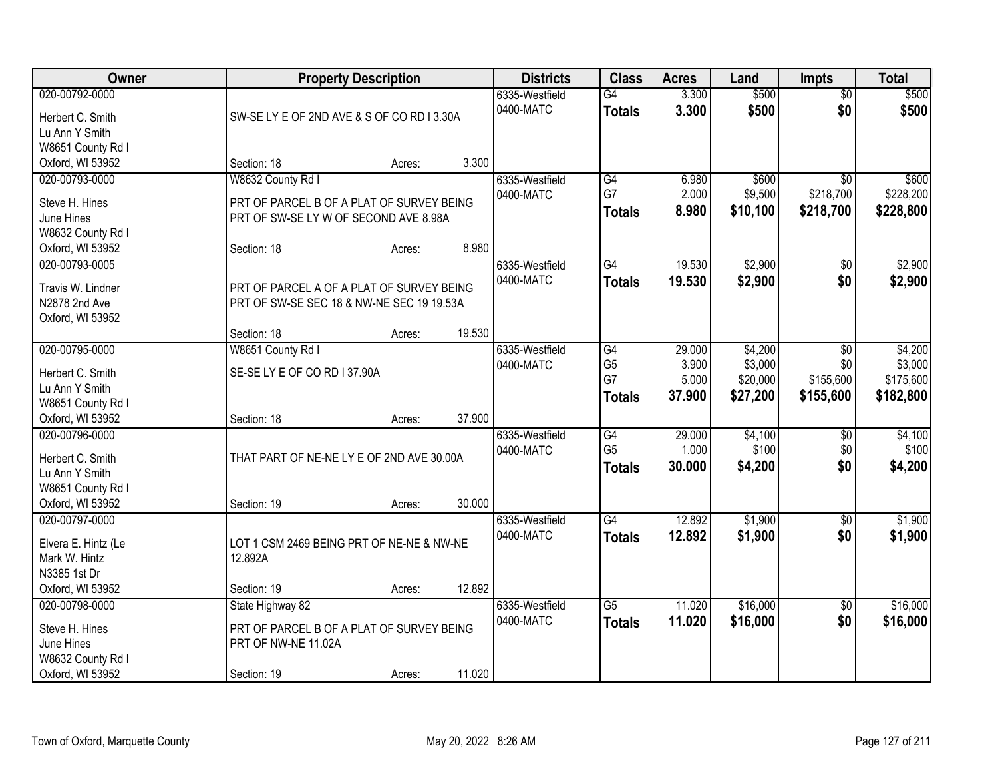| <b>Owner</b>                       | <b>Property Description</b>                | <b>Districts</b> | <b>Class</b> | <b>Acres</b>                | Land                             | <b>Impts</b>   | <b>Total</b>     |                        |                    |
|------------------------------------|--------------------------------------------|------------------|--------------|-----------------------------|----------------------------------|----------------|------------------|------------------------|--------------------|
| 020-00792-0000<br>Herbert C. Smith | SW-SE LY E OF 2ND AVE & S OF CO RD I 3.30A |                  |              | 6335-Westfield<br>0400-MATC | $\overline{G4}$<br><b>Totals</b> | 3.300<br>3.300 | \$500<br>\$500   | $\overline{50}$<br>\$0 | \$500<br>\$500     |
| Lu Ann Y Smith                     |                                            |                  |              |                             |                                  |                |                  |                        |                    |
| W8651 County Rd I                  |                                            |                  |              |                             |                                  |                |                  |                        |                    |
| Oxford, WI 53952                   | Section: 18                                | Acres:           | 3.300        |                             |                                  |                |                  |                        |                    |
| 020-00793-0000                     | W8632 County Rd I                          |                  |              | 6335-Westfield<br>0400-MATC | G4<br>G7                         | 6.980<br>2.000 | \$600<br>\$9,500 | \$0<br>\$218,700       | \$600<br>\$228,200 |
| Steve H. Hines                     | PRT OF PARCEL B OF A PLAT OF SURVEY BEING  |                  |              |                             |                                  | 8.980          | \$10,100         | \$218,700              | \$228,800          |
| June Hines                         | PRT OF SW-SE LY W OF SECOND AVE 8.98A      |                  |              |                             | <b>Totals</b>                    |                |                  |                        |                    |
| W8632 County Rd I                  |                                            |                  |              |                             |                                  |                |                  |                        |                    |
| Oxford, WI 53952                   | Section: 18                                | Acres:           | 8.980        |                             |                                  |                |                  |                        |                    |
| 020-00793-0005                     |                                            |                  |              | 6335-Westfield              | G4                               | 19.530         | \$2,900          | \$0                    | \$2,900            |
| Travis W. Lindner                  | PRT OF PARCEL A OF A PLAT OF SURVEY BEING  |                  |              | 0400-MATC                   | <b>Totals</b>                    | 19.530         | \$2,900          | \$0                    | \$2,900            |
| N2878 2nd Ave                      | PRT OF SW-SE SEC 18 & NW-NE SEC 19 19.53A  |                  |              |                             |                                  |                |                  |                        |                    |
| Oxford, WI 53952                   |                                            |                  |              |                             |                                  |                |                  |                        |                    |
|                                    | Section: 18                                | Acres:           | 19.530       |                             |                                  |                |                  |                        |                    |
| 020-00795-0000                     | W8651 County Rd I                          |                  |              | 6335-Westfield              | G4                               | 29.000         | \$4,200          | $\sqrt[6]{3}$          | \$4,200            |
| Herbert C. Smith                   | SE-SELY E OF CO RD I 37.90A                |                  |              | 0400-MATC                   | G <sub>5</sub>                   | 3.900          | \$3,000          | \$0                    | \$3,000            |
| Lu Ann Y Smith                     |                                            |                  |              |                             | G7                               | 5.000          | \$20,000         | \$155,600              | \$175,600          |
| W8651 County Rd I                  |                                            |                  |              |                             | <b>Totals</b>                    | 37.900         | \$27,200         | \$155,600              | \$182,800          |
| Oxford, WI 53952                   | Section: 18                                | Acres:           | 37.900       |                             |                                  |                |                  |                        |                    |
| 020-00796-0000                     |                                            |                  |              | 6335-Westfield              | G4                               | 29.000         | \$4,100          | \$0                    | \$4,100            |
|                                    |                                            |                  |              | 0400-MATC                   | G <sub>5</sub>                   | 1.000          | \$100            | \$0                    | \$100              |
| Herbert C. Smith                   | THAT PART OF NE-NE LY E OF 2ND AVE 30.00A  |                  |              |                             | <b>Totals</b>                    | 30.000         | \$4,200          | \$0                    | \$4,200            |
| Lu Ann Y Smith                     |                                            |                  |              |                             |                                  |                |                  |                        |                    |
| W8651 County Rd I                  |                                            |                  |              |                             |                                  |                |                  |                        |                    |
| Oxford, WI 53952                   | Section: 19                                | Acres:           | 30.000       |                             |                                  |                |                  |                        |                    |
| 020-00797-0000                     |                                            |                  |              | 6335-Westfield              | G4                               | 12.892         | \$1,900          | \$0                    | \$1,900            |
| Elvera E. Hintz (Le                | LOT 1 CSM 2469 BEING PRT OF NE-NE & NW-NE  |                  |              | 0400-MATC                   | <b>Totals</b>                    | 12.892         | \$1,900          | \$0                    | \$1,900            |
| Mark W. Hintz                      | 12.892A                                    |                  |              |                             |                                  |                |                  |                        |                    |
| N3385 1st Dr                       |                                            |                  |              |                             |                                  |                |                  |                        |                    |
| Oxford, WI 53952                   | Section: 19                                | Acres:           | 12.892       |                             |                                  |                |                  |                        |                    |
| 020-00798-0000                     | State Highway 82                           |                  |              | 6335-Westfield              | $\overline{G5}$                  | 11.020         | \$16,000         | $\overline{30}$        | \$16,000           |
| Steve H. Hines                     | PRT OF PARCEL B OF A PLAT OF SURVEY BEING  |                  |              | 0400-MATC                   | <b>Totals</b>                    | 11.020         | \$16,000         | \$0                    | \$16,000           |
| June Hines                         | PRT OF NW-NE 11.02A                        |                  |              |                             |                                  |                |                  |                        |                    |
| W8632 County Rd I                  |                                            |                  |              |                             |                                  |                |                  |                        |                    |
| Oxford, WI 53952                   | Section: 19                                | Acres:           | 11.020       |                             |                                  |                |                  |                        |                    |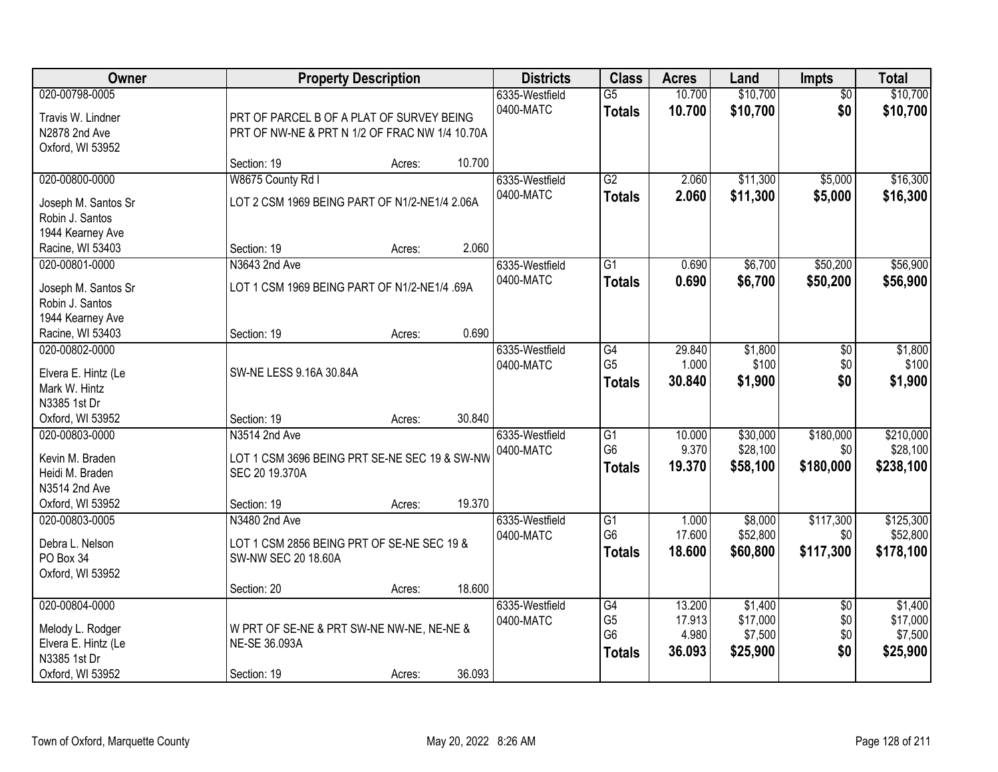| Owner                                                                                         |                                                                                                   | <b>Property Description</b> |        |                             |                                                         | <b>Acres</b>                        | Land                                       | <b>Impts</b>                         | <b>Total</b>                               |
|-----------------------------------------------------------------------------------------------|---------------------------------------------------------------------------------------------------|-----------------------------|--------|-----------------------------|---------------------------------------------------------|-------------------------------------|--------------------------------------------|--------------------------------------|--------------------------------------------|
| 020-00798-0005<br>Travis W. Lindner<br>N2878 2nd Ave<br>Oxford, WI 53952                      | PRT OF PARCEL B OF A PLAT OF SURVEY BEING<br>PRT OF NW-NE & PRT N 1/2 OF FRAC NW 1/4 10.70A       |                             |        | 6335-Westfield<br>0400-MATC | $\overline{G5}$<br><b>Totals</b>                        | 10.700<br>10.700                    | \$10,700<br>\$10,700                       | $\overline{50}$<br>\$0               | \$10,700<br>\$10,700                       |
|                                                                                               | Section: 19                                                                                       | Acres:                      | 10.700 |                             |                                                         |                                     |                                            |                                      |                                            |
| 020-00800-0000<br>Joseph M. Santos Sr<br>Robin J. Santos<br>1944 Kearney Ave                  | W8675 County Rd I<br>LOT 2 CSM 1969 BEING PART OF N1/2-NE1/4 2.06A                                |                             |        | 6335-Westfield<br>0400-MATC | G2<br><b>Totals</b>                                     | 2.060<br>2.060                      | \$11,300<br>\$11,300                       | \$5,000<br>\$5,000                   | \$16,300<br>\$16,300                       |
| Racine, WI 53403                                                                              | Section: 19                                                                                       | Acres:                      | 2.060  |                             |                                                         |                                     |                                            |                                      |                                            |
| 020-00801-0000<br>Joseph M. Santos Sr<br>Robin J. Santos<br>1944 Kearney Ave                  | N3643 2nd Ave<br>LOT 1 CSM 1969 BEING PART OF N1/2-NE1/4 .69A                                     |                             |        | 6335-Westfield<br>0400-MATC | $\overline{G1}$<br><b>Totals</b>                        | 0.690<br>0.690                      | \$6,700<br>\$6,700                         | \$50,200<br>\$50,200                 | \$56,900<br>\$56,900                       |
| Racine, WI 53403                                                                              | Section: 19                                                                                       | Acres:                      | 0.690  |                             |                                                         |                                     |                                            |                                      |                                            |
| 020-00802-0000<br>Elvera E. Hintz (Le<br>Mark W. Hintz<br>N3385 1st Dr                        | SW-NE LESS 9.16A 30.84A                                                                           |                             |        | 6335-Westfield<br>0400-MATC | G4<br>G <sub>5</sub><br><b>Totals</b>                   | 29.840<br>1.000<br>30.840           | \$1,800<br>\$100<br>\$1,900                | \$0<br>\$0<br>\$0                    | \$1,800<br>\$100<br>\$1,900                |
| Oxford, WI 53952                                                                              | Section: 19                                                                                       | Acres:                      | 30.840 |                             |                                                         |                                     |                                            |                                      |                                            |
| 020-00803-0000<br>Kevin M. Braden<br>Heidi M. Braden<br>N3514 2nd Ave<br>Oxford, WI 53952     | N3514 2nd Ave<br>LOT 1 CSM 3696 BEING PRT SE-NE SEC 19 & SW-NW<br>SEC 20 19.370A<br>Section: 19   | Acres:                      | 19.370 | 6335-Westfield<br>0400-MATC | $\overline{G1}$<br>G <sub>6</sub><br><b>Totals</b>      | 10.000<br>9.370<br>19.370           | \$30,000<br>\$28,100<br>\$58,100           | \$180,000<br>\$0<br>\$180,000        | \$210,000<br>\$28,100<br>\$238,100         |
| 020-00803-0005<br>Debra L. Nelson<br>PO Box 34<br>Oxford, WI 53952                            | N3480 2nd Ave<br>LOT 1 CSM 2856 BEING PRT OF SE-NE SEC 19 &<br>SW-NW SEC 20 18.60A<br>Section: 20 | Acres:                      | 18.600 | 6335-Westfield<br>0400-MATC | $\overline{G1}$<br>G <sub>6</sub><br><b>Totals</b>      | 1.000<br>17.600<br>18.600           | \$8,000<br>\$52,800<br>\$60,800            | \$117,300<br>\$0<br>\$117,300        | \$125,300<br>\$52,800<br>\$178,100         |
| 020-00804-0000<br>Melody L. Rodger<br>Elvera E. Hintz (Le<br>N3385 1st Dr<br>Oxford, WI 53952 | W PRT OF SE-NE & PRT SW-NE NW-NE, NE-NE &<br>NE-SE 36.093A<br>Section: 19                         | Acres:                      | 36.093 | 6335-Westfield<br>0400-MATC | G4<br>G <sub>5</sub><br>G <sub>6</sub><br><b>Totals</b> | 13.200<br>17.913<br>4.980<br>36.093 | \$1,400<br>\$17,000<br>\$7,500<br>\$25,900 | $\overline{50}$<br>\$0<br>\$0<br>\$0 | \$1,400<br>\$17,000<br>\$7,500<br>\$25,900 |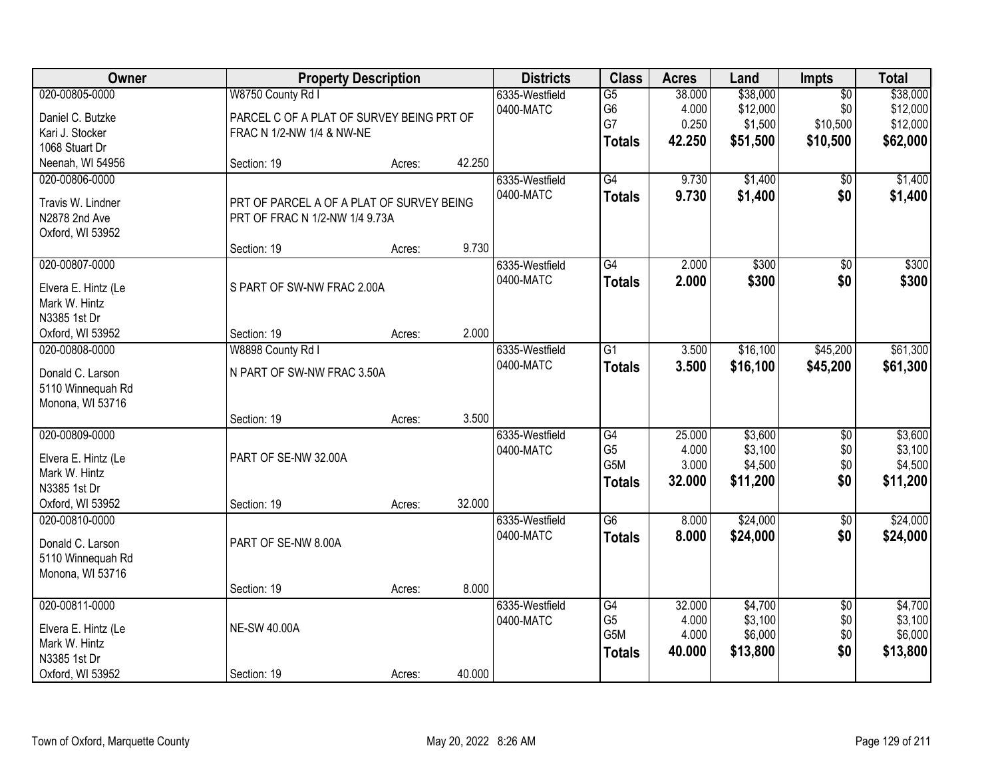| Owner                                                                                      |                                                                                             | <b>Property Description</b> |        |                             | <b>Class</b>                                                           | <b>Acres</b>                       | Land                                        | <b>Impts</b>                                   | <b>Total</b>                                 |
|--------------------------------------------------------------------------------------------|---------------------------------------------------------------------------------------------|-----------------------------|--------|-----------------------------|------------------------------------------------------------------------|------------------------------------|---------------------------------------------|------------------------------------------------|----------------------------------------------|
| 020-00805-0000<br>Daniel C. Butzke<br>Kari J. Stocker<br>1068 Stuart Dr                    | W8750 County Rd I<br>PARCEL C OF A PLAT OF SURVEY BEING PRT OF<br>FRAC N 1/2-NW 1/4 & NW-NE |                             |        | 6335-Westfield<br>0400-MATC | $\overline{G5}$<br>G6<br>G7<br><b>Totals</b>                           | 38.000<br>4.000<br>0.250<br>42.250 | \$38,000<br>\$12,000<br>\$1,500<br>\$51,500 | $\overline{50}$<br>\$0<br>\$10,500<br>\$10,500 | \$38,000<br>\$12,000<br>\$12,000<br>\$62,000 |
| Neenah, WI 54956                                                                           | Section: 19                                                                                 | Acres:                      | 42.250 |                             |                                                                        |                                    |                                             |                                                |                                              |
| 020-00806-0000<br>Travis W. Lindner<br>N2878 2nd Ave<br>Oxford, WI 53952                   | PRT OF PARCEL A OF A PLAT OF SURVEY BEING<br>PRT OF FRAC N 1/2-NW 1/4 9.73A                 |                             | 9.730  | 6335-Westfield<br>0400-MATC | G4<br><b>Totals</b>                                                    | 9.730<br>9.730                     | \$1,400<br>\$1,400                          | \$0<br>\$0                                     | \$1,400<br>\$1,400                           |
| 020-00807-0000                                                                             | Section: 19                                                                                 | Acres:                      |        | 6335-Westfield              | $\overline{G4}$                                                        | 2.000                              | \$300                                       | $\overline{50}$                                | \$300                                        |
| Elvera E. Hintz (Le<br>Mark W. Hintz<br>N3385 1st Dr                                       | S PART OF SW-NW FRAC 2.00A                                                                  |                             |        | 0400-MATC                   | <b>Totals</b>                                                          | 2.000                              | \$300                                       | \$0                                            | \$300                                        |
| Oxford, WI 53952                                                                           | Section: 19                                                                                 | Acres:                      | 2.000  |                             |                                                                        |                                    | \$16,100                                    |                                                |                                              |
| 020-00808-0000<br>Donald C. Larson<br>5110 Winnequah Rd<br>Monona, WI 53716                | W8898 County Rd I<br>N PART OF SW-NW FRAC 3.50A                                             |                             |        | 6335-Westfield<br>0400-MATC | G1<br><b>Totals</b>                                                    | 3.500<br>3.500                     | \$16,100                                    | \$45,200<br>\$45,200                           | \$61,300<br>\$61,300                         |
|                                                                                            | Section: 19                                                                                 | Acres:                      | 3.500  |                             |                                                                        |                                    |                                             |                                                |                                              |
| 020-00809-0000<br>Elvera E. Hintz (Le<br>Mark W. Hintz<br>N3385 1st Dr<br>Oxford, WI 53952 | PART OF SE-NW 32.00A<br>Section: 19                                                         | Acres:                      | 32.000 | 6335-Westfield<br>0400-MATC | $\overline{G4}$<br>G <sub>5</sub><br>G <sub>5</sub> M<br><b>Totals</b> | 25.000<br>4.000<br>3.000<br>32.000 | \$3,600<br>\$3,100<br>\$4,500<br>\$11,200   | $\overline{50}$<br>\$0<br>\$0\$<br>\$0         | \$3,600<br>\$3,100<br>\$4,500<br>\$11,200    |
| 020-00810-0000<br>Donald C. Larson<br>5110 Winnequah Rd<br>Monona, WI 53716                | PART OF SE-NW 8.00A                                                                         |                             |        | 6335-Westfield<br>0400-MATC | $\overline{G6}$<br><b>Totals</b>                                       | 8.000<br>8.000                     | \$24,000<br>\$24,000                        | $\sqrt{6}$<br>\$0                              | \$24,000<br>\$24,000                         |
|                                                                                            | Section: 19                                                                                 | Acres:                      | 8.000  |                             |                                                                        |                                    |                                             |                                                |                                              |
| 020-00811-0000<br>Elvera E. Hintz (Le<br>Mark W. Hintz<br>N3385 1st Dr                     | <b>NE-SW 40.00A</b>                                                                         |                             |        | 6335-Westfield<br>0400-MATC | G4<br>G <sub>5</sub><br>G <sub>5</sub> M<br><b>Totals</b>              | 32.000<br>4.000<br>4.000<br>40.000 | \$4,700<br>\$3,100<br>\$6,000<br>\$13,800   | $\overline{50}$<br>\$0<br>\$0<br>\$0           | \$4,700<br>\$3,100<br>\$6,000<br>\$13,800    |
| Oxford, WI 53952                                                                           | Section: 19                                                                                 | Acres:                      | 40.000 |                             |                                                                        |                                    |                                             |                                                |                                              |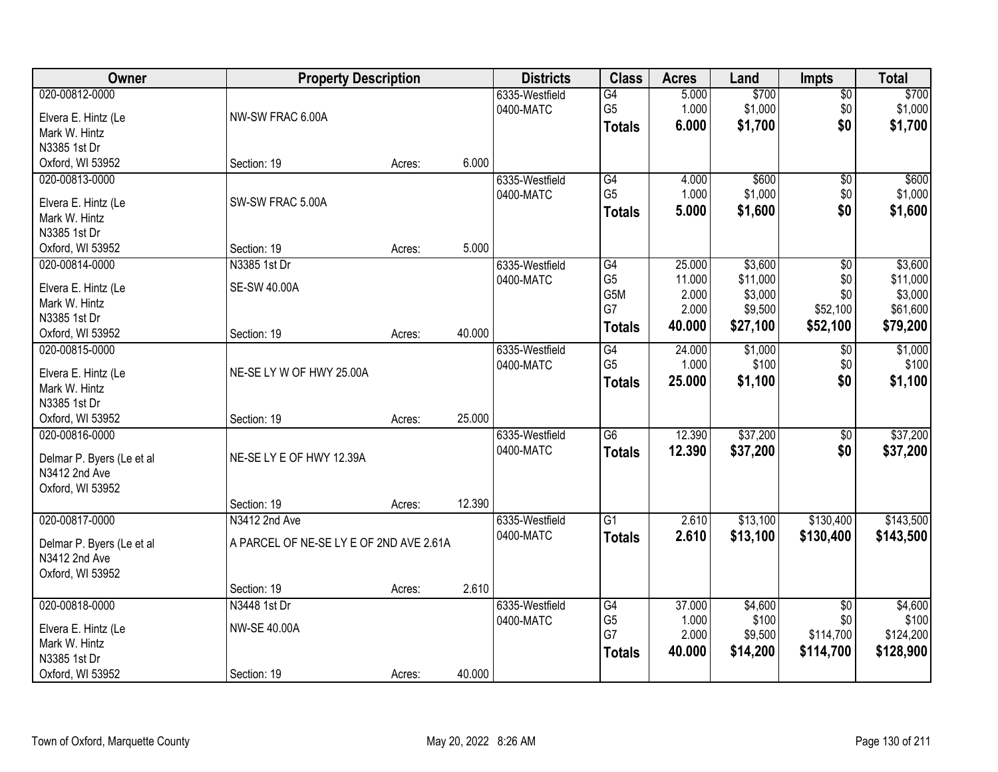| Owner                     | <b>Property Description</b>             |        |        | <b>Districts</b> | <b>Class</b>    | <b>Acres</b> | Land     | <b>Impts</b>    | <b>Total</b> |
|---------------------------|-----------------------------------------|--------|--------|------------------|-----------------|--------------|----------|-----------------|--------------|
| 020-00812-0000            |                                         |        |        | 6335-Westfield   | G4              | 5.000        | \$700    | $\overline{50}$ | \$700        |
| Elvera E. Hintz (Le       | NW-SW FRAC 6.00A                        |        |        | 0400-MATC        | G <sub>5</sub>  | 1.000        | \$1,000  | \$0             | \$1,000      |
| Mark W. Hintz             |                                         |        |        |                  | <b>Totals</b>   | 6.000        | \$1,700  | \$0             | \$1,700      |
| N3385 1st Dr              |                                         |        |        |                  |                 |              |          |                 |              |
| Oxford, WI 53952          | Section: 19                             | Acres: | 6.000  |                  |                 |              |          |                 |              |
| 020-00813-0000            |                                         |        |        | 6335-Westfield   | G4              | 4.000        | \$600    | $\overline{50}$ | \$600        |
|                           |                                         |        |        | 0400-MATC        | G <sub>5</sub>  | 1.000        | \$1,000  | \$0             | \$1,000      |
| Elvera E. Hintz (Le       | SW-SW FRAC 5.00A                        |        |        |                  | <b>Totals</b>   | 5.000        | \$1,600  | \$0             | \$1,600      |
| Mark W. Hintz             |                                         |        |        |                  |                 |              |          |                 |              |
| N3385 1st Dr              |                                         |        |        |                  |                 |              |          |                 |              |
| Oxford, WI 53952          | Section: 19                             | Acres: | 5.000  |                  |                 |              |          |                 |              |
| 020-00814-0000            | N3385 1st Dr                            |        |        | 6335-Westfield   | G4              | 25.000       | \$3,600  | \$0             | \$3,600      |
| Elvera E. Hintz (Le       | <b>SE-SW 40.00A</b>                     |        |        | 0400-MATC        | G <sub>5</sub>  | 11.000       | \$11,000 | \$0             | \$11,000     |
| Mark W. Hintz             |                                         |        |        |                  | G5M             | 2.000        | \$3,000  | \$0             | \$3,000      |
| N3385 1st Dr              |                                         |        |        |                  | G7              | 2.000        | \$9,500  | \$52,100        | \$61,600     |
| Oxford, WI 53952          | Section: 19                             | Acres: | 40.000 |                  | <b>Totals</b>   | 40.000       | \$27,100 | \$52,100        | \$79,200     |
| 020-00815-0000            |                                         |        |        | 6335-Westfield   | G4              | 24.000       | \$1,000  | \$0             | \$1,000      |
|                           |                                         |        |        | 0400-MATC        | G <sub>5</sub>  | 1.000        | \$100    | \$0             | \$100        |
| Elvera E. Hintz (Le       | NE-SE LY W OF HWY 25.00A                |        |        |                  | <b>Totals</b>   | 25.000       | \$1,100  | \$0             | \$1,100      |
| Mark W. Hintz             |                                         |        |        |                  |                 |              |          |                 |              |
| N3385 1st Dr              |                                         |        |        |                  |                 |              |          |                 |              |
| Oxford, WI 53952          | Section: 19                             | Acres: | 25.000 |                  |                 |              |          |                 |              |
| 020-00816-0000            |                                         |        |        | 6335-Westfield   | $\overline{G6}$ | 12.390       | \$37,200 | $\overline{50}$ | \$37,200     |
| Delmar P. Byers (Le et al | NE-SE LY E OF HWY 12.39A                |        |        | 0400-MATC        | <b>Totals</b>   | 12.390       | \$37,200 | \$0             | \$37,200     |
| N3412 2nd Ave             |                                         |        |        |                  |                 |              |          |                 |              |
| Oxford, WI 53952          |                                         |        |        |                  |                 |              |          |                 |              |
|                           | Section: 19                             | Acres: | 12.390 |                  |                 |              |          |                 |              |
| 020-00817-0000            | N3412 2nd Ave                           |        |        | 6335-Westfield   | $\overline{G1}$ | 2.610        | \$13,100 | \$130,400       | \$143,500    |
|                           |                                         |        |        | 0400-MATC        | <b>Totals</b>   | 2.610        | \$13,100 | \$130,400       | \$143,500    |
| Delmar P. Byers (Le et al | A PARCEL OF NE-SE LY E OF 2ND AVE 2.61A |        |        |                  |                 |              |          |                 |              |
| N3412 2nd Ave             |                                         |        |        |                  |                 |              |          |                 |              |
| Oxford, WI 53952          |                                         |        |        |                  |                 |              |          |                 |              |
|                           | Section: 19                             | Acres: | 2.610  |                  |                 |              |          |                 |              |
| 020-00818-0000            | N3448 1st Dr                            |        |        | 6335-Westfield   | G4              | 37.000       | \$4,600  | $\overline{30}$ | \$4,600      |
| Elvera E. Hintz (Le       | NW-SE 40.00A                            |        |        | 0400-MATC        | G <sub>5</sub>  | 1.000        | \$100    | \$0             | \$100        |
| Mark W. Hintz             |                                         |        |        |                  | G7              | 2.000        | \$9,500  | \$114,700       | \$124,200    |
| N3385 1st Dr              |                                         |        |        |                  | <b>Totals</b>   | 40.000       | \$14,200 | \$114,700       | \$128,900    |
| Oxford, WI 53952          | Section: 19                             | Acres: | 40.000 |                  |                 |              |          |                 |              |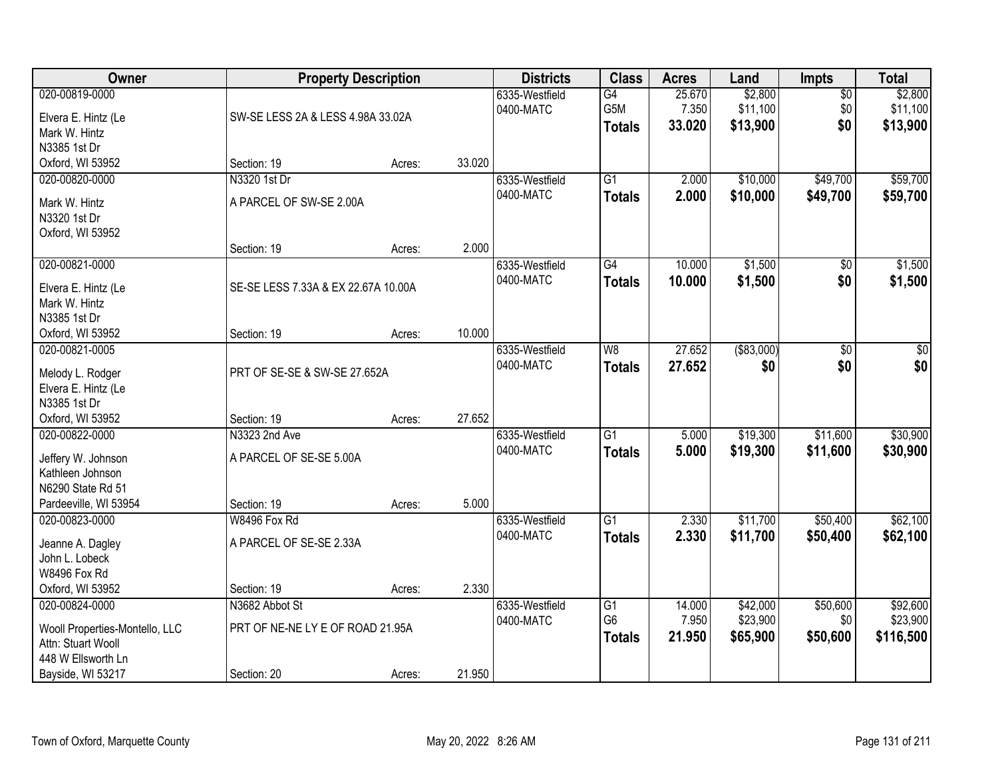| 020-00819-0000<br>\$2,800<br>6335-Westfield<br>G4<br>25.670<br>$\overline{50}$                                              | \$2,800   |
|-----------------------------------------------------------------------------------------------------------------------------|-----------|
| \$11,100<br>G5M<br>7.350<br>\$0<br>0400-MATC<br>Elvera E. Hintz (Le<br>SW-SE LESS 2A & LESS 4.98A 33.02A<br>\$13,900<br>\$0 | \$11,100  |
| 33.020<br><b>Totals</b><br>Mark W. Hintz                                                                                    | \$13,900  |
| N3385 1st Dr                                                                                                                |           |
| Oxford, WI 53952<br>Section: 19<br>33.020<br>Acres:                                                                         |           |
| N3320 1st Dr<br>$\overline{G1}$<br>2.000<br>\$10,000<br>\$49,700<br>020-00820-0000<br>6335-Westfield                        | \$59,700  |
| 0400-MATC<br>2.000<br>\$10,000<br>\$49,700<br><b>Totals</b><br>A PARCEL OF SW-SE 2.00A<br>Mark W. Hintz                     | \$59,700  |
| N3320 1st Dr                                                                                                                |           |
| Oxford, WI 53952                                                                                                            |           |
| 2.000<br>Section: 19<br>Acres:                                                                                              |           |
| \$1,500<br>020-00821-0000<br>G4<br>10.000<br>6335-Westfield<br>\$0                                                          | \$1,500   |
| \$0<br>0400-MATC<br>10.000<br>\$1,500<br><b>Totals</b><br>SE-SE LESS 7.33A & EX 22.67A 10.00A<br>Elvera E. Hintz (Le        | \$1,500   |
| Mark W. Hintz                                                                                                               |           |
| N3385 1st Dr                                                                                                                |           |
| 10.000<br>Oxford, WI 53952<br>Section: 19<br>Acres:                                                                         |           |
| ( \$83,000)<br>27.652<br>020-00821-0005<br>6335-Westfield<br>W <sub>8</sub><br>\$0                                          | \$0       |
| \$0<br>0400-MATC<br>27.652<br>\$0<br><b>Totals</b><br>PRT OF SE-SE & SW-SE 27.652A<br>Melody L. Rodger                      | \$0       |
| Elvera E. Hintz (Le                                                                                                         |           |
| N3385 1st Dr                                                                                                                |           |
| 27.652<br>Oxford, WI 53952<br>Section: 19<br>Acres:                                                                         |           |
| \$19,300<br>\$11,600<br>020-00822-0000<br>N3323 2nd Ave<br>$\overline{G1}$<br>5.000<br>6335-Westfield                       | \$30,900  |
| 0400-MATC<br>5.000<br>\$19,300<br>\$11,600<br><b>Totals</b><br>A PARCEL OF SE-SE 5.00A<br>Jeffery W. Johnson                | \$30,900  |
| Kathleen Johnson                                                                                                            |           |
| N6290 State Rd 51                                                                                                           |           |
| 5.000<br>Pardeeville, WI 53954<br>Section: 19<br>Acres:                                                                     |           |
| $\overline{G1}$<br>\$11,700<br>\$50,400<br>020-00823-0000<br>2.330<br>W8496 Fox Rd<br>6335-Westfield                        | \$62,100  |
| \$11,700<br>0400-MATC<br>2.330<br>\$50,400<br><b>Totals</b><br>A PARCEL OF SE-SE 2.33A<br>Jeanne A. Dagley                  | \$62,100  |
| John L. Lobeck                                                                                                              |           |
| W8496 Fox Rd                                                                                                                |           |
| 2.330<br>Oxford, WI 53952<br>Section: 19<br>Acres:                                                                          |           |
| \$42,000<br>\$50,600<br>020-00824-0000<br>N3682 Abbot St<br>6335-Westfield<br>$\overline{G1}$<br>14.000                     | \$92,600  |
| G <sub>6</sub><br>7.950<br>\$23,900<br>\$0<br>0400-MATC                                                                     | \$23,900  |
| PRT OF NE-NE LY E OF ROAD 21.95A<br>Wooll Properties-Montello, LLC<br>21.950<br>\$65,900<br>\$50,600<br><b>Totals</b>       | \$116,500 |
| Attn: Stuart Wooll<br>448 W Ellsworth Ln                                                                                    |           |
| 21.950<br>Bayside, WI 53217<br>Section: 20<br>Acres:                                                                        |           |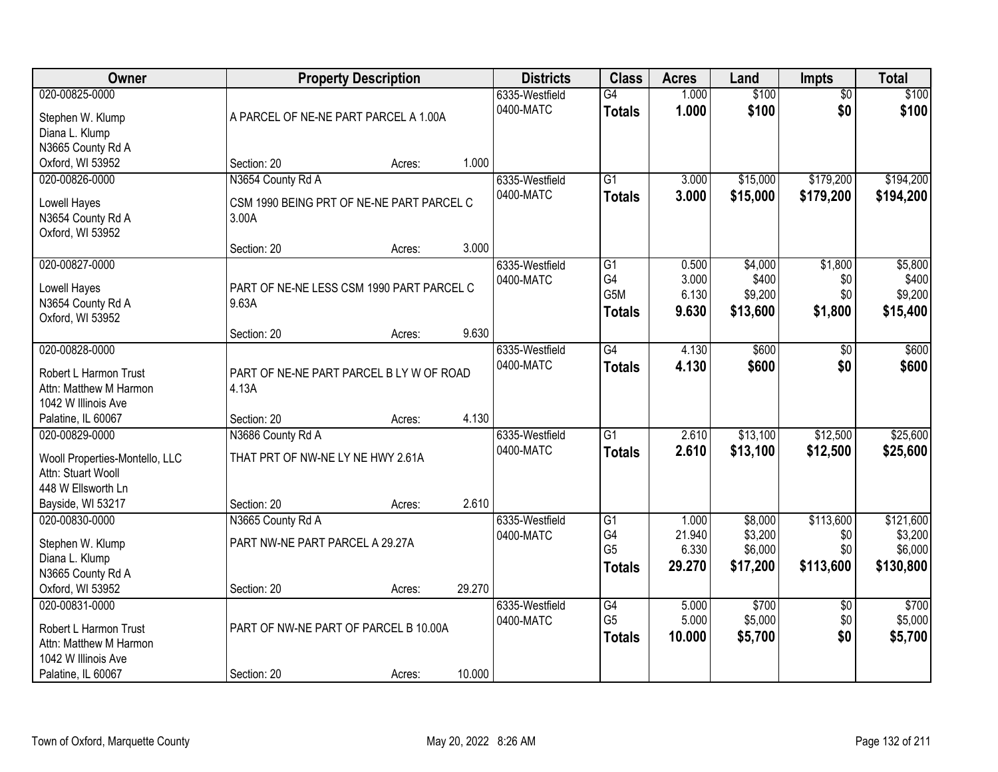| Owner                                         | <b>Property Description</b>               | <b>Districts</b> | <b>Class</b> | <b>Acres</b>   | Land                 | <b>Impts</b>    | <b>Total</b>       |                 |           |
|-----------------------------------------------|-------------------------------------------|------------------|--------------|----------------|----------------------|-----------------|--------------------|-----------------|-----------|
| 020-00825-0000                                |                                           |                  |              | 6335-Westfield | $\overline{G4}$      | 1.000           | \$100              | $\overline{50}$ | \$100     |
| Stephen W. Klump                              | A PARCEL OF NE-NE PART PARCEL A 1.00A     |                  |              | 0400-MATC      | <b>Totals</b>        | 1.000           | \$100              | \$0             | \$100     |
| Diana L. Klump                                |                                           |                  |              |                |                      |                 |                    |                 |           |
| N3665 County Rd A                             |                                           |                  |              |                |                      |                 |                    |                 |           |
| Oxford, WI 53952                              | Section: 20                               | Acres:           | 1.000        |                |                      |                 |                    |                 |           |
| 020-00826-0000                                | N3654 County Rd A                         |                  |              | 6335-Westfield | $\overline{G1}$      | 3.000           | \$15,000           | \$179,200       | \$194,200 |
| Lowell Hayes                                  | CSM 1990 BEING PRT OF NE-NE PART PARCEL C |                  |              | 0400-MATC      | <b>Totals</b>        | 3.000           | \$15,000           | \$179,200       | \$194,200 |
| N3654 County Rd A                             | 3.00A                                     |                  |              |                |                      |                 |                    |                 |           |
| Oxford, WI 53952                              |                                           |                  |              |                |                      |                 |                    |                 |           |
|                                               | Section: 20                               | Acres:           | 3.000        |                |                      |                 |                    |                 |           |
| 020-00827-0000                                |                                           |                  |              | 6335-Westfield | G1                   | 0.500           | \$4,000            | \$1,800         | \$5,800   |
| Lowell Hayes                                  | PART OF NE-NE LESS CSM 1990 PART PARCEL C |                  |              | 0400-MATC      | G4                   | 3.000           | \$400              | \$0             | \$400     |
| N3654 County Rd A                             | 9.63A                                     |                  |              |                | G5M                  | 6.130           | \$9,200            | \$0             | \$9,200   |
| Oxford, WI 53952                              |                                           |                  |              |                | <b>Totals</b>        | 9.630           | \$13,600           | \$1,800         | \$15,400  |
|                                               | Section: 20                               | Acres:           | 9.630        |                |                      |                 |                    |                 |           |
| 020-00828-0000                                |                                           |                  |              | 6335-Westfield | $\overline{G4}$      | 4.130           | \$600              | \$0             | \$600     |
|                                               |                                           |                  |              | 0400-MATC      | <b>Totals</b>        | 4.130           | \$600              | \$0             | \$600     |
| Robert L Harmon Trust                         | PART OF NE-NE PART PARCEL B LY W OF ROAD  |                  |              |                |                      |                 |                    |                 |           |
| Attn: Matthew M Harmon<br>1042 W Illinois Ave | 4.13A                                     |                  |              |                |                      |                 |                    |                 |           |
| Palatine, IL 60067                            | Section: 20                               | Acres:           | 4.130        |                |                      |                 |                    |                 |           |
| 020-00829-0000                                | N3686 County Rd A                         |                  |              | 6335-Westfield | $\overline{G1}$      | 2.610           | \$13,100           | \$12,500        | \$25,600  |
|                                               |                                           |                  |              | 0400-MATC      | <b>Totals</b>        | 2.610           | \$13,100           | \$12,500        | \$25,600  |
| Wooll Properties-Montello, LLC                | THAT PRT OF NW-NE LY NE HWY 2.61A         |                  |              |                |                      |                 |                    |                 |           |
| Attn: Stuart Wooll                            |                                           |                  |              |                |                      |                 |                    |                 |           |
| 448 W Ellsworth Ln                            |                                           |                  |              |                |                      |                 |                    |                 |           |
| Bayside, WI 53217                             | Section: 20                               | Acres:           | 2.610        |                |                      |                 |                    |                 |           |
| 020-00830-0000                                | N3665 County Rd A                         |                  |              | 6335-Westfield | $\overline{G1}$      | 1.000           | \$8,000            | \$113,600       | \$121,600 |
| Stephen W. Klump                              | PART NW-NE PART PARCEL A 29.27A           |                  |              | 0400-MATC      | G4<br>G <sub>5</sub> | 21.940<br>6.330 | \$3,200<br>\$6,000 | \$0<br>\$0      | \$3,200   |
| Diana L. Klump                                |                                           |                  |              |                |                      |                 |                    |                 | \$6,000   |
| N3665 County Rd A                             |                                           |                  |              |                | Totals               | 29.270          | \$17,200           | \$113,600       | \$130,800 |
| Oxford, WI 53952                              | Section: 20                               | Acres:           | 29.270       |                |                      |                 |                    |                 |           |
| 020-00831-0000                                |                                           |                  |              | 6335-Westfield | G4                   | 5.000           | \$700              | $\overline{50}$ | \$700     |
| Robert L Harmon Trust                         | PART OF NW-NE PART OF PARCEL B 10.00A     |                  |              | 0400-MATC      | G <sub>5</sub>       | 5.000           | \$5,000            | \$0             | \$5,000   |
| Attn: Matthew M Harmon                        |                                           |                  |              |                | <b>Totals</b>        | 10.000          | \$5,700            | \$0             | \$5,700   |
| 1042 W Illinois Ave                           |                                           |                  |              |                |                      |                 |                    |                 |           |
| Palatine, IL 60067                            | Section: 20                               | Acres:           | 10.000       |                |                      |                 |                    |                 |           |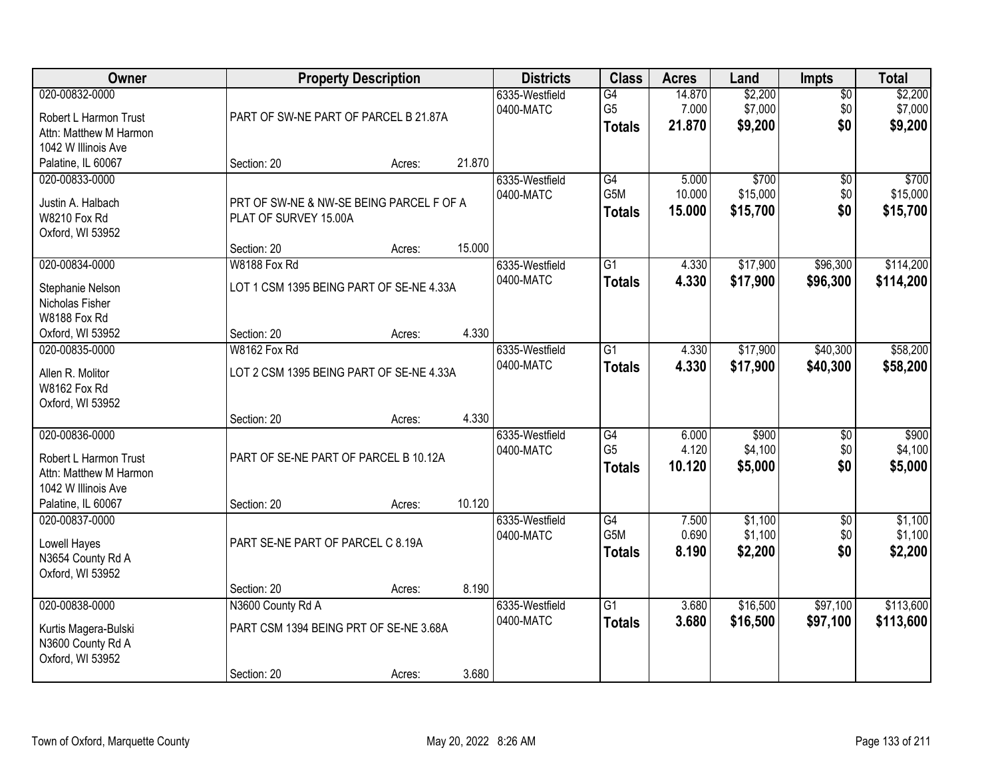| Owner                                                                                                          |                                                                            | <b>Property Description</b> |        | <b>Districts</b>            | <b>Class</b>                                       | <b>Acres</b>              | Land                          | <b>Impts</b>                  | <b>Total</b>                  |
|----------------------------------------------------------------------------------------------------------------|----------------------------------------------------------------------------|-----------------------------|--------|-----------------------------|----------------------------------------------------|---------------------------|-------------------------------|-------------------------------|-------------------------------|
| 020-00832-0000<br>Robert L Harmon Trust<br>Attn: Matthew M Harmon<br>1042 W Illinois Ave                       | PART OF SW-NE PART OF PARCEL B 21.87A                                      |                             |        | 6335-Westfield<br>0400-MATC | $\overline{G4}$<br>G <sub>5</sub><br><b>Totals</b> | 14.870<br>7.000<br>21.870 | \$2,200<br>\$7,000<br>\$9,200 | $\overline{50}$<br>\$0<br>\$0 | \$2,200<br>\$7,000<br>\$9,200 |
| Palatine, IL 60067                                                                                             | Section: 20                                                                | Acres:                      | 21.870 |                             |                                                    |                           |                               |                               |                               |
| 020-00833-0000<br>Justin A. Halbach<br><b>W8210 Fox Rd</b><br>Oxford, WI 53952                                 | PRT OF SW-NE & NW-SE BEING PARCEL F OF A<br>PLAT OF SURVEY 15.00A          |                             | 15.000 | 6335-Westfield<br>0400-MATC | G4<br>G <sub>5</sub> M<br>Totals                   | 5.000<br>10.000<br>15.000 | \$700<br>\$15,000<br>\$15,700 | $\overline{50}$<br>\$0<br>\$0 | \$700<br>\$15,000<br>\$15,700 |
| 020-00834-0000                                                                                                 | Section: 20<br>W8188 Fox Rd                                                | Acres:                      |        | 6335-Westfield              | $\overline{G1}$                                    | 4.330                     | \$17,900                      | \$96,300                      | \$114,200                     |
| Stephanie Nelson<br>Nicholas Fisher<br>W8188 Fox Rd                                                            | LOT 1 CSM 1395 BEING PART OF SE-NE 4.33A                                   |                             |        | 0400-MATC                   | <b>Totals</b>                                      | 4.330                     | \$17,900                      | \$96,300                      | \$114,200                     |
| Oxford, WI 53952                                                                                               | Section: 20                                                                | Acres:                      | 4.330  |                             |                                                    |                           |                               |                               |                               |
| 020-00835-0000<br>Allen R. Molitor<br>W8162 Fox Rd<br>Oxford, WI 53952                                         | W8162 Fox Rd<br>LOT 2 CSM 1395 BEING PART OF SE-NE 4.33A                   |                             |        | 6335-Westfield<br>0400-MATC | $\overline{G1}$<br><b>Totals</b>                   | 4.330<br>4.330            | \$17,900<br>\$17,900          | \$40,300<br>\$40,300          | \$58,200<br>\$58,200          |
|                                                                                                                | Section: 20                                                                | Acres:                      | 4.330  |                             |                                                    |                           |                               |                               |                               |
| 020-00836-0000<br>Robert L Harmon Trust<br>Attn: Matthew M Harmon<br>1042 W Illinois Ave<br>Palatine, IL 60067 | PART OF SE-NE PART OF PARCEL B 10.12A<br>Section: 20                       | Acres:                      | 10.120 | 6335-Westfield<br>0400-MATC | G4<br>G <sub>5</sub><br><b>Totals</b>              | 6.000<br>4.120<br>10.120  | \$900<br>\$4,100<br>\$5,000   | $\overline{50}$<br>\$0<br>\$0 | \$900<br>\$4,100<br>\$5,000   |
| 020-00837-0000<br>Lowell Hayes<br>N3654 County Rd A<br>Oxford, WI 53952                                        | PART SE-NE PART OF PARCEL C 8.19A                                          |                             |        | 6335-Westfield<br>0400-MATC | G4<br>G5M<br><b>Totals</b>                         | 7.500<br>0.690<br>8.190   | \$1,100<br>\$1,100<br>\$2,200 | $\sqrt{6}$<br>\$0<br>\$0      | \$1,100<br>\$1,100<br>\$2,200 |
|                                                                                                                | Section: 20                                                                | Acres:                      | 8.190  |                             |                                                    |                           |                               |                               |                               |
| 020-00838-0000<br>Kurtis Magera-Bulski<br>N3600 County Rd A<br>Oxford, WI 53952                                | N3600 County Rd A<br>PART CSM 1394 BEING PRT OF SE-NE 3.68A<br>Section: 20 | Acres:                      | 3.680  | 6335-Westfield<br>0400-MATC | $\overline{G1}$<br><b>Totals</b>                   | 3.680<br>3.680            | \$16,500<br>\$16,500          | \$97,100<br>\$97,100          | \$113,600<br>\$113,600        |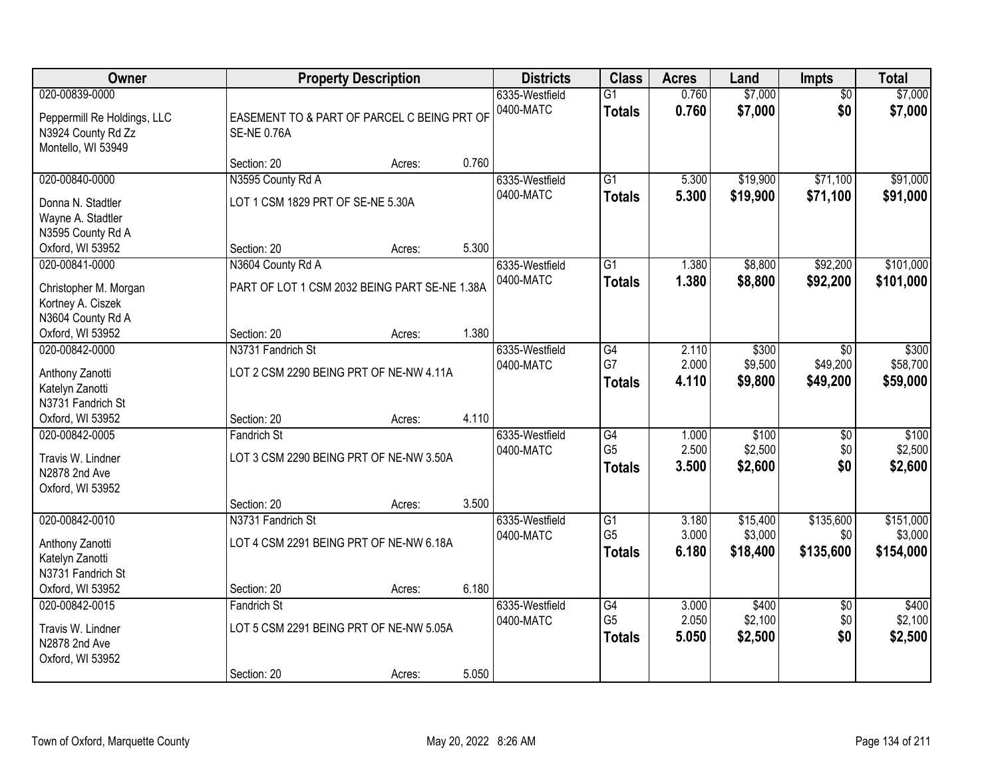| Owner                                                                             | <b>Property Description</b>                                                             |        |                             | <b>Districts</b>                 | <b>Class</b>                                       | <b>Acres</b>            | Land                            | Impts                              | <b>Total</b>                      |
|-----------------------------------------------------------------------------------|-----------------------------------------------------------------------------------------|--------|-----------------------------|----------------------------------|----------------------------------------------------|-------------------------|---------------------------------|------------------------------------|-----------------------------------|
| 020-00839-0000<br>Peppermill Re Holdings, LLC<br>N3924 County Rd Zz               | EASEMENT TO & PART OF PARCEL C BEING PRT OF<br><b>SE-NE 0.76A</b><br>Montello, WI 53949 |        | 6335-Westfield<br>0400-MATC | $\overline{G1}$<br><b>Totals</b> | 0.760<br>0.760                                     | \$7,000<br>\$7,000      | $\overline{50}$<br>\$0          | \$7,000<br>\$7,000                 |                                   |
|                                                                                   | Section: 20                                                                             | Acres: | 0.760                       |                                  |                                                    |                         |                                 |                                    |                                   |
| 020-00840-0000<br>Donna N. Stadtler<br>Wayne A. Stadtler<br>N3595 County Rd A     | N3595 County Rd A<br>LOT 1 CSM 1829 PRT OF SE-NE 5.30A                                  |        |                             | 6335-Westfield<br>0400-MATC      | $\overline{G1}$<br><b>Totals</b>                   | 5.300<br>5.300          | \$19,900<br>\$19,900            | \$71,100<br>\$71,100               | \$91,000<br>\$91,000              |
| Oxford, WI 53952                                                                  | Section: 20                                                                             | Acres: | 5.300                       |                                  |                                                    |                         |                                 |                                    |                                   |
| 020-00841-0000<br>Christopher M. Morgan<br>Kortney A. Ciszek<br>N3604 County Rd A | N3604 County Rd A<br>PART OF LOT 1 CSM 2032 BEING PART SE-NE 1.38A                      |        |                             | 6335-Westfield<br>0400-MATC      | G1<br><b>Totals</b>                                | 1.380<br>1.380          | \$8,800<br>\$8,800              | \$92,200<br>\$92,200               | \$101,000<br>\$101,000            |
| Oxford, WI 53952                                                                  | Section: 20                                                                             | Acres: | 1.380                       |                                  |                                                    |                         |                                 |                                    |                                   |
| 020-00842-0000<br>Anthony Zanotti<br>Katelyn Zanotti<br>N3731 Fandrich St         | N3731 Fandrich St<br>LOT 2 CSM 2290 BEING PRT OF NE-NW 4.11A                            |        |                             | 6335-Westfield<br>0400-MATC      | G4<br>G7<br><b>Totals</b>                          | 2.110<br>2.000<br>4.110 | \$300<br>\$9,500<br>\$9,800     | $\sqrt{6}$<br>\$49,200<br>\$49,200 | \$300<br>\$58,700<br>\$59,000     |
| Oxford, WI 53952                                                                  | Section: 20                                                                             | Acres: | 4.110                       |                                  |                                                    |                         |                                 |                                    |                                   |
| 020-00842-0005<br>Travis W. Lindner<br>N2878 2nd Ave<br>Oxford, WI 53952          | <b>Fandrich St</b><br>LOT 3 CSM 2290 BEING PRT OF NE-NW 3.50A                           |        |                             | 6335-Westfield<br>0400-MATC      | $\overline{G4}$<br>G <sub>5</sub><br><b>Totals</b> | 1.000<br>2.500<br>3.500 | \$100<br>\$2,500<br>\$2,600     | $\overline{50}$<br>\$0<br>\$0      | \$100<br>\$2,500<br>\$2,600       |
|                                                                                   | Section: 20                                                                             | Acres: | 3.500                       |                                  |                                                    |                         |                                 |                                    |                                   |
| 020-00842-0010<br>Anthony Zanotti<br>Katelyn Zanotti<br>N3731 Fandrich St         | N3731 Fandrich St<br>LOT 4 CSM 2291 BEING PRT OF NE-NW 6.18A                            |        |                             | 6335-Westfield<br>0400-MATC      | G1<br>G <sub>5</sub><br><b>Totals</b>              | 3.180<br>3.000<br>6.180 | \$15,400<br>\$3,000<br>\$18,400 | \$135,600<br>\$0<br>\$135,600      | \$151,000<br>\$3,000<br>\$154,000 |
| Oxford, WI 53952                                                                  | Section: 20                                                                             | Acres: | 6.180                       |                                  |                                                    |                         |                                 |                                    |                                   |
| 020-00842-0015<br>Travis W. Lindner<br>N2878 2nd Ave<br>Oxford, WI 53952          | <b>Fandrich St</b><br>LOT 5 CSM 2291 BEING PRT OF NE-NW 5.05A<br>Section: 20            | Acres: | 5.050                       | 6335-Westfield<br>0400-MATC      | G4<br>G <sub>5</sub><br><b>Totals</b>              | 3.000<br>2.050<br>5.050 | \$400<br>\$2,100<br>\$2,500     | $\overline{50}$<br>\$0<br>\$0      | \$400<br>\$2,100<br>\$2,500       |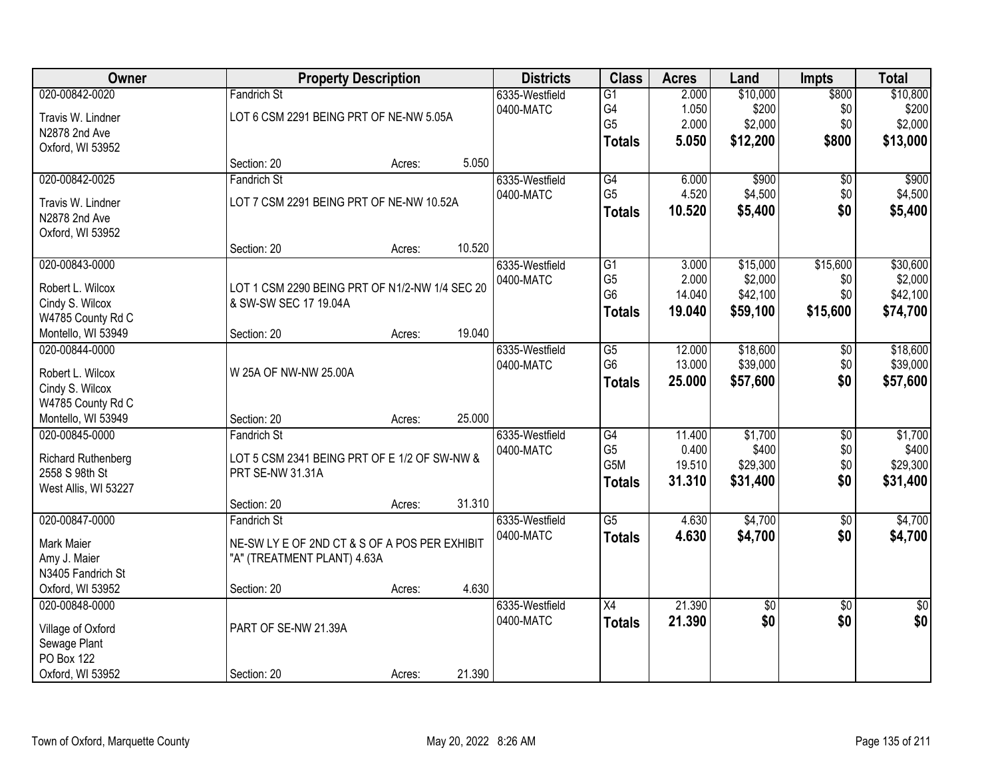| Owner                | <b>Property Description</b>                    |        |        | <b>Districts</b> | <b>Class</b>         | <b>Acres</b>     | Land                 | <b>Impts</b>    | <b>Total</b>         |
|----------------------|------------------------------------------------|--------|--------|------------------|----------------------|------------------|----------------------|-----------------|----------------------|
| 020-00842-0020       | <b>Fandrich St</b>                             |        |        | 6335-Westfield   | $\overline{G1}$      | 2.000            | \$10,000             | \$800           | \$10,800             |
| Travis W. Lindner    | LOT 6 CSM 2291 BEING PRT OF NE-NW 5.05A        |        |        | 0400-MATC        | G4                   | 1.050            | \$200                | \$0             | \$200                |
| N2878 2nd Ave        |                                                |        |        |                  | G <sub>5</sub>       | 2.000            | \$2,000              | \$0             | \$2,000              |
| Oxford, WI 53952     |                                                |        |        |                  | <b>Totals</b>        | 5.050            | \$12,200             | \$800           | \$13,000             |
|                      | Section: 20                                    | Acres: | 5.050  |                  |                      |                  |                      |                 |                      |
| 020-00842-0025       | Fandrich St                                    |        |        | 6335-Westfield   | G4                   | 6.000            | \$900                | $\overline{50}$ | \$900                |
| Travis W. Lindner    | LOT 7 CSM 2291 BEING PRT OF NE-NW 10.52A       |        |        | 0400-MATC        | G <sub>5</sub>       | 4.520            | \$4,500              | \$0             | \$4,500              |
| N2878 2nd Ave        |                                                |        |        |                  | <b>Totals</b>        | 10.520           | \$5,400              | \$0             | \$5,400              |
| Oxford, WI 53952     |                                                |        |        |                  |                      |                  |                      |                 |                      |
|                      | Section: 20                                    | Acres: | 10.520 |                  |                      |                  |                      |                 |                      |
| 020-00843-0000       |                                                |        |        | 6335-Westfield   | G1                   | 3.000            | \$15,000             | \$15,600        | \$30,600             |
|                      |                                                |        |        | 0400-MATC        | G <sub>5</sub>       | 2.000            | \$2,000              | \$0             | \$2,000              |
| Robert L. Wilcox     | LOT 1 CSM 2290 BEING PRT OF N1/2-NW 1/4 SEC 20 |        |        |                  | G <sub>6</sub>       | 14.040           | \$42,100             | \$0             | \$42,100             |
| Cindy S. Wilcox      | & SW-SW SEC 17 19.04A                          |        |        |                  | <b>Totals</b>        | 19.040           | \$59,100             | \$15,600        | \$74,700             |
| W4785 County Rd C    |                                                |        | 19.040 |                  |                      |                  |                      |                 |                      |
| Montello, WI 53949   | Section: 20                                    | Acres: |        |                  |                      |                  |                      |                 |                      |
| 020-00844-0000       |                                                |        |        | 6335-Westfield   | G5<br>G <sub>6</sub> | 12.000<br>13.000 | \$18,600<br>\$39,000 | \$0<br>\$0      | \$18,600<br>\$39,000 |
| Robert L. Wilcox     | W 25A OF NW-NW 25.00A                          |        |        | 0400-MATC        |                      |                  |                      |                 |                      |
| Cindy S. Wilcox      |                                                |        |        |                  | <b>Totals</b>        | 25.000           | \$57,600             | \$0             | \$57,600             |
| W4785 County Rd C    |                                                |        |        |                  |                      |                  |                      |                 |                      |
| Montello, WI 53949   | Section: 20                                    | Acres: | 25.000 |                  |                      |                  |                      |                 |                      |
| 020-00845-0000       | Fandrich St                                    |        |        | 6335-Westfield   | G4                   | 11.400           | \$1,700              | $\overline{30}$ | \$1,700              |
| Richard Ruthenberg   | LOT 5 CSM 2341 BEING PRT OF E 1/2 OF SW-NW &   |        |        | 0400-MATC        | G <sub>5</sub>       | 0.400            | \$400                | \$0             | \$400                |
| 2558 S 98th St       | PRT SE-NW 31.31A                               |        |        |                  | G5M                  | 19.510           | \$29,300             | \$0             | \$29,300             |
| West Allis, WI 53227 |                                                |        |        |                  | <b>Totals</b>        | 31.310           | \$31,400             | \$0             | \$31,400             |
|                      | Section: 20                                    | Acres: | 31.310 |                  |                      |                  |                      |                 |                      |
| 020-00847-0000       | Fandrich St                                    |        |        | 6335-Westfield   | $\overline{G5}$      | 4.630            | \$4,700              | $\overline{50}$ | \$4,700              |
|                      |                                                |        |        | 0400-MATC        | <b>Totals</b>        | 4.630            | \$4,700              | \$0             | \$4,700              |
| Mark Maier           | NE-SW LY E OF 2ND CT & S OF A POS PER EXHIBIT  |        |        |                  |                      |                  |                      |                 |                      |
| Amy J. Maier         | "A" (TREATMENT PLANT) 4.63A                    |        |        |                  |                      |                  |                      |                 |                      |
| N3405 Fandrich St    |                                                |        | 4.630  |                  |                      |                  |                      |                 |                      |
| Oxford, WI 53952     | Section: 20                                    | Acres: |        |                  |                      |                  |                      |                 |                      |
| 020-00848-0000       |                                                |        |        | 6335-Westfield   | X4                   | 21.390           | $\overline{50}$      | $\overline{50}$ | $\frac{1}{2}$        |
| Village of Oxford    | PART OF SE-NW 21.39A                           |        |        | 0400-MATC        | <b>Totals</b>        | 21.390           | \$0                  | \$0             | \$0                  |
| Sewage Plant         |                                                |        |        |                  |                      |                  |                      |                 |                      |
| PO Box 122           |                                                |        |        |                  |                      |                  |                      |                 |                      |
| Oxford, WI 53952     | Section: 20                                    | Acres: | 21.390 |                  |                      |                  |                      |                 |                      |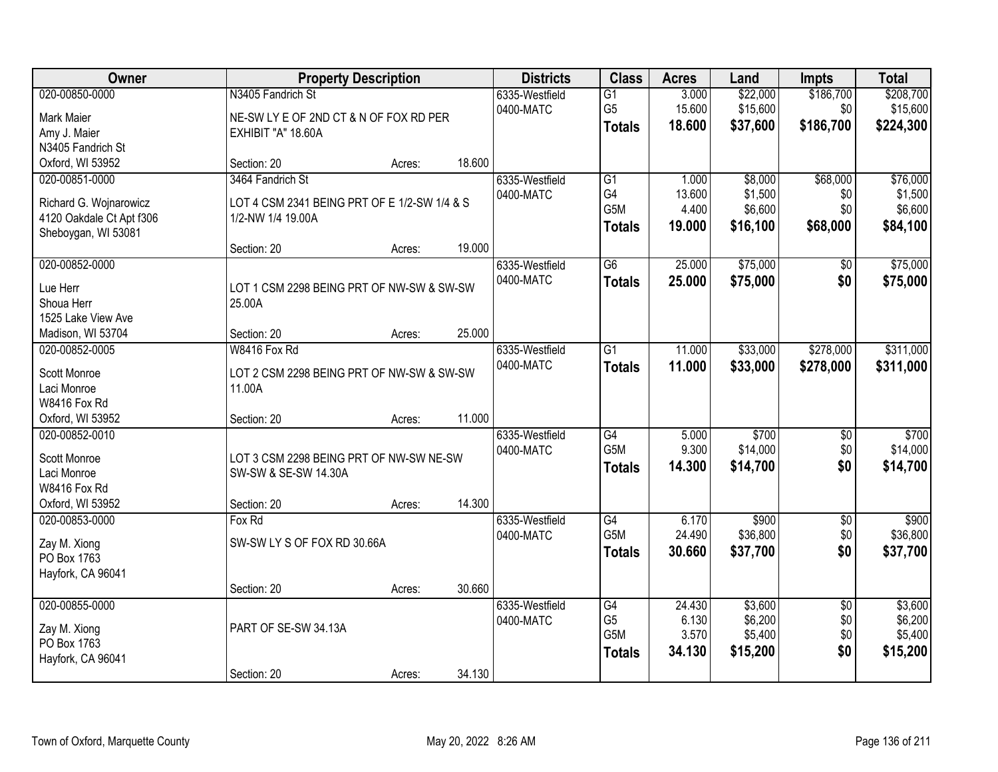| Owner                                                                                       |                                                                                                      | <b>Property Description</b> | <b>Districts</b> | <b>Class</b>                | <b>Acres</b>                                               | Land                               | <b>Impts</b>                              | <b>Total</b>                         |                                            |
|---------------------------------------------------------------------------------------------|------------------------------------------------------------------------------------------------------|-----------------------------|------------------|-----------------------------|------------------------------------------------------------|------------------------------------|-------------------------------------------|--------------------------------------|--------------------------------------------|
| 020-00850-0000<br>Mark Maier<br>Amy J. Maier                                                | N3405 Fandrich St<br>NE-SW LY E OF 2ND CT & N OF FOX RD PER<br>EXHIBIT "A" 18.60A                    |                             |                  | 6335-Westfield<br>0400-MATC | $\overline{G1}$<br>G <sub>5</sub><br><b>Totals</b>         | 3.000<br>15.600<br>18.600          | \$22,000<br>\$15,600<br>\$37,600          | \$186,700<br>\$0<br>\$186,700        | \$208,700<br>\$15,600<br>\$224,300         |
| N3405 Fandrich St<br>Oxford, WI 53952                                                       | Section: 20                                                                                          | Acres:                      | 18.600           |                             |                                                            |                                    |                                           |                                      |                                            |
| 020-00851-0000<br>Richard G. Wojnarowicz<br>4120 Oakdale Ct Apt f306<br>Sheboygan, WI 53081 | 3464 Fandrich St<br>LOT 4 CSM 2341 BEING PRT OF E 1/2-SW 1/4 & S<br>1/2-NW 1/4 19.00A<br>Section: 20 | Acres:                      | 19.000           | 6335-Westfield<br>0400-MATC | $\overline{G1}$<br>G4<br>G <sub>5</sub> M<br><b>Totals</b> | 1.000<br>13.600<br>4.400<br>19.000 | \$8,000<br>\$1,500<br>\$6,600<br>\$16,100 | \$68,000<br>\$0<br>\$0<br>\$68,000   | \$76,000<br>\$1,500<br>\$6,600<br>\$84,100 |
| 020-00852-0000<br>Lue Herr<br>Shoua Herr<br>1525 Lake View Ave                              | LOT 1 CSM 2298 BEING PRT OF NW-SW & SW-SW<br>25.00A                                                  |                             |                  | 6335-Westfield<br>0400-MATC | $\overline{G6}$<br><b>Totals</b>                           | 25.000<br>25.000                   | \$75,000<br>\$75,000                      | $\overline{50}$<br>\$0               | \$75,000<br>\$75,000                       |
| Madison, WI 53704                                                                           | Section: 20                                                                                          | Acres:                      | 25.000           |                             |                                                            |                                    |                                           |                                      |                                            |
| 020-00852-0005<br>Scott Monroe<br>Laci Monroe<br>W8416 Fox Rd                               | W8416 Fox Rd<br>LOT 2 CSM 2298 BEING PRT OF NW-SW & SW-SW<br>11.00A                                  |                             |                  | 6335-Westfield<br>0400-MATC | $\overline{G1}$<br><b>Totals</b>                           | 11.000<br>11.000                   | \$33,000<br>\$33,000                      | \$278,000<br>\$278,000               | \$311,000<br>\$311,000                     |
| Oxford, WI 53952                                                                            | Section: 20                                                                                          | Acres:                      | 11.000           |                             |                                                            |                                    |                                           |                                      |                                            |
| 020-00852-0010<br>Scott Monroe<br>Laci Monroe<br>W8416 Fox Rd<br>Oxford, WI 53952           | LOT 3 CSM 2298 BEING PRT OF NW-SW NE-SW<br>SW-SW & SE-SW 14.30A<br>Section: 20                       | Acres:                      | 14.300           | 6335-Westfield<br>0400-MATC | $\overline{G4}$<br>G <sub>5</sub> M<br><b>Totals</b>       | 5.000<br>9.300<br>14.300           | \$700<br>\$14,000<br>\$14,700             | $\overline{50}$<br>\$0<br>\$0        | \$700<br>\$14,000<br>\$14,700              |
| 020-00853-0000<br>Zay M. Xiong<br>PO Box 1763<br>Hayfork, CA 96041                          | Fox Rd<br>SW-SW LY S OF FOX RD 30.66A                                                                |                             |                  | 6335-Westfield<br>0400-MATC | G4<br>G5M<br><b>Totals</b>                                 | 6.170<br>24.490<br>30.660          | \$900<br>\$36,800<br>\$37,700             | $\overline{50}$<br>\$0<br>\$0        | \$900<br>\$36,800<br>\$37,700              |
| 020-00855-0000<br>Zay M. Xiong<br>PO Box 1763<br>Hayfork, CA 96041                          | Section: 20<br>PART OF SE-SW 34.13A<br>Section: 20                                                   | Acres:<br>Acres:            | 30.660<br>34.130 | 6335-Westfield<br>0400-MATC | $\overline{G4}$<br>G <sub>5</sub><br>G5M<br><b>Totals</b>  | 24.430<br>6.130<br>3.570<br>34.130 | \$3,600<br>\$6,200<br>\$5,400<br>\$15,200 | $\overline{50}$<br>\$0<br>\$0<br>\$0 | \$3,600<br>\$6,200<br>\$5,400<br>\$15,200  |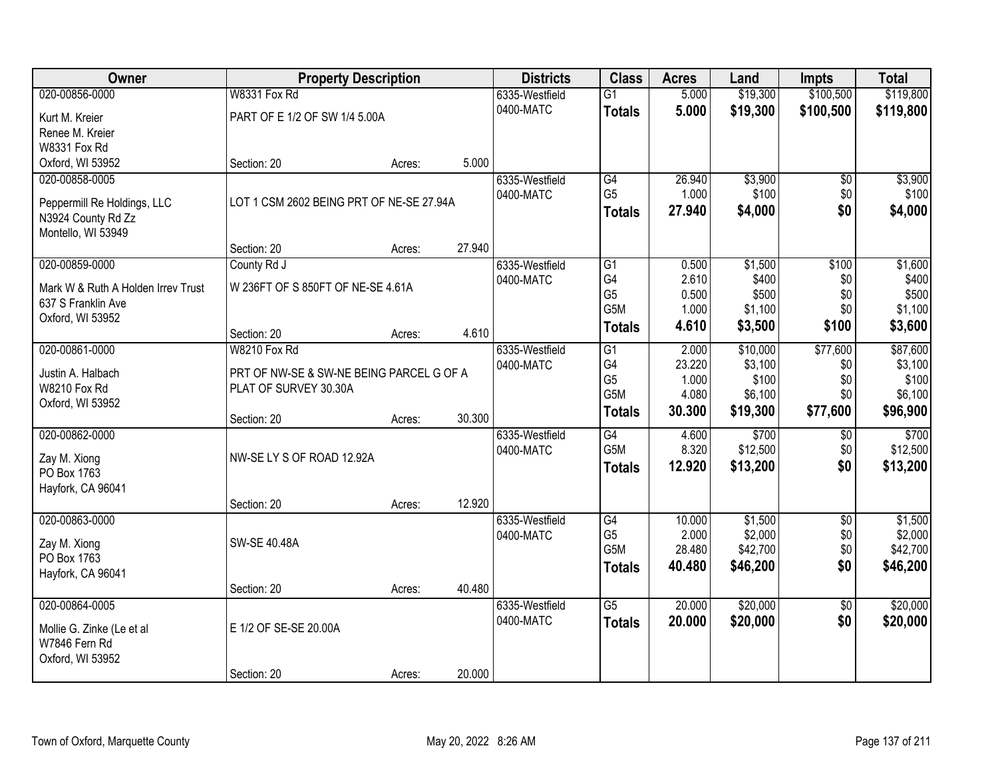| Owner                                      |                                          | <b>Property Description</b> |        | <b>Districts</b> | <b>Class</b>     | <b>Acres</b> | Land     | <b>Impts</b>    | <b>Total</b> |
|--------------------------------------------|------------------------------------------|-----------------------------|--------|------------------|------------------|--------------|----------|-----------------|--------------|
| 020-00856-0000                             | W8331 Fox Rd                             |                             |        | 6335-Westfield   | $\overline{G1}$  | 5.000        | \$19,300 | \$100,500       | \$119,800    |
| Kurt M. Kreier                             | PART OF E 1/2 OF SW 1/4 5.00A            |                             |        | 0400-MATC        | <b>Totals</b>    | 5.000        | \$19,300 | \$100,500       | \$119,800    |
| Renee M. Kreier                            |                                          |                             |        |                  |                  |              |          |                 |              |
| W8331 Fox Rd                               |                                          |                             |        |                  |                  |              |          |                 |              |
| Oxford, WI 53952                           | Section: 20                              | Acres:                      | 5.000  |                  |                  |              |          |                 |              |
| 020-00858-0005                             |                                          |                             |        | 6335-Westfield   | G4               | 26.940       | \$3,900  | $\overline{50}$ | \$3,900      |
| Peppermill Re Holdings, LLC                | LOT 1 CSM 2602 BEING PRT OF NE-SE 27.94A |                             |        | 0400-MATC        | G <sub>5</sub>   | 1.000        | \$100    | \$0             | \$100        |
| N3924 County Rd Zz                         |                                          |                             |        |                  | <b>Totals</b>    | 27.940       | \$4,000  | \$0             | \$4,000      |
| Montello, WI 53949                         |                                          |                             |        |                  |                  |              |          |                 |              |
|                                            | Section: 20                              | Acres:                      | 27.940 |                  |                  |              |          |                 |              |
| 020-00859-0000                             | County Rd J                              |                             |        | 6335-Westfield   | G1               | 0.500        | \$1,500  | \$100           | \$1,600      |
| Mark W & Ruth A Holden Irrev Trust         | W 236FT OF S 850FT OF NE-SE 4.61A        |                             |        | 0400-MATC        | G4               | 2.610        | \$400    | \$0             | \$400        |
| 637 S Franklin Ave                         |                                          |                             |        |                  | G <sub>5</sub>   | 0.500        | \$500    | \$0             | \$500        |
| Oxford, WI 53952                           |                                          |                             |        |                  | G5M              | 1.000        | \$1,100  | \$0             | \$1,100      |
|                                            | Section: 20                              | Acres:                      | 4.610  |                  | <b>Totals</b>    | 4.610        | \$3,500  | \$100           | \$3,600      |
| 020-00861-0000                             | W8210 Fox Rd                             |                             |        | 6335-Westfield   | G1               | 2.000        | \$10,000 | \$77,600        | \$87,600     |
| Justin A. Halbach                          | PRT OF NW-SE & SW-NE BEING PARCEL G OF A |                             |        | 0400-MATC        | G4               | 23.220       | \$3,100  | \$0             | \$3,100      |
| W8210 Fox Rd                               | PLAT OF SURVEY 30.30A                    |                             |        |                  | G <sub>5</sub>   | 1.000        | \$100    | \$0             | \$100        |
| Oxford, WI 53952                           |                                          |                             |        |                  | G5M              | 4.080        | \$6,100  | \$0             | \$6,100      |
|                                            | Section: 20                              | Acres:                      | 30.300 |                  | <b>Totals</b>    | 30.300       | \$19,300 | \$77,600        | \$96,900     |
| 020-00862-0000                             |                                          |                             |        | 6335-Westfield   | $\overline{G4}$  | 4.600        | \$700    | $\overline{50}$ | \$700        |
|                                            | NW-SE LY S OF ROAD 12.92A                |                             |        | 0400-MATC        | G <sub>5</sub> M | 8.320        | \$12,500 | \$0             | \$12,500     |
| Zay M. Xiong<br>PO Box 1763                |                                          |                             |        |                  | <b>Totals</b>    | 12.920       | \$13,200 | \$0             | \$13,200     |
| Hayfork, CA 96041                          |                                          |                             |        |                  |                  |              |          |                 |              |
|                                            | Section: 20                              | Acres:                      | 12.920 |                  |                  |              |          |                 |              |
| 020-00863-0000                             |                                          |                             |        | 6335-Westfield   | $\overline{G4}$  | 10.000       | \$1,500  | $\overline{60}$ | \$1,500      |
|                                            |                                          |                             |        | 0400-MATC        | G <sub>5</sub>   | 2.000        | \$2,000  | \$0             | \$2,000      |
| Zay M. Xiong<br>PO Box 1763                | SW-SE 40.48A                             |                             |        |                  | G <sub>5</sub> M | 28.480       | \$42,700 | \$0             | \$42,700     |
| Hayfork, CA 96041                          |                                          |                             |        |                  | <b>Totals</b>    | 40.480       | \$46,200 | \$0             | \$46,200     |
|                                            | Section: 20                              | Acres:                      | 40.480 |                  |                  |              |          |                 |              |
| 020-00864-0005                             |                                          |                             |        | 6335-Westfield   | $\overline{G5}$  | 20.000       | \$20,000 | $\overline{50}$ | \$20,000     |
|                                            | E 1/2 OF SE-SE 20.00A                    |                             |        | 0400-MATC        | <b>Totals</b>    | 20.000       | \$20,000 | \$0             | \$20,000     |
| Mollie G. Zinke (Le et al<br>W7846 Fern Rd |                                          |                             |        |                  |                  |              |          |                 |              |
| Oxford, WI 53952                           |                                          |                             |        |                  |                  |              |          |                 |              |
|                                            | Section: 20                              | Acres:                      | 20.000 |                  |                  |              |          |                 |              |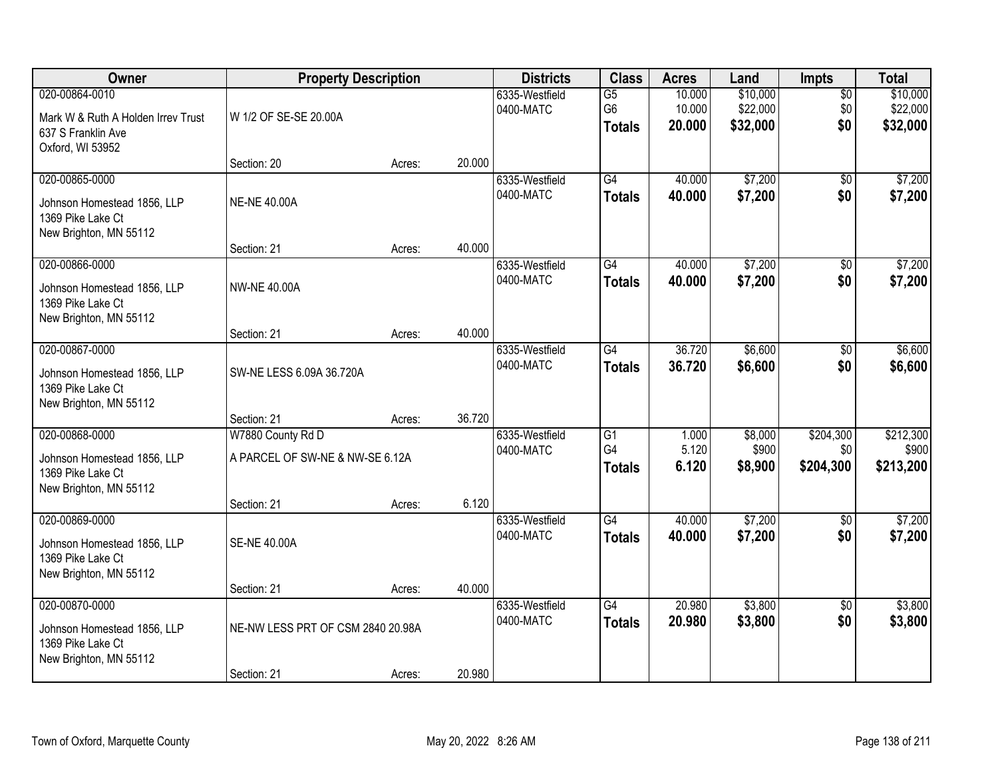| Owner                                                                                          | <b>Property Description</b>                                         |        |        | <b>Districts</b>            | <b>Class</b>                           | <b>Acres</b>               | Land                             | Impts                         | <b>Total</b>                     |
|------------------------------------------------------------------------------------------------|---------------------------------------------------------------------|--------|--------|-----------------------------|----------------------------------------|----------------------------|----------------------------------|-------------------------------|----------------------------------|
| 020-00864-0010<br>Mark W & Ruth A Holden Irrev Trust<br>637 S Franklin Ave<br>Oxford, WI 53952 | W 1/2 OF SE-SE 20.00A                                               |        |        | 6335-Westfield<br>0400-MATC | $\overline{G5}$<br>G6<br><b>Totals</b> | 10.000<br>10.000<br>20.000 | \$10,000<br>\$22,000<br>\$32,000 | $\overline{50}$<br>\$0<br>\$0 | \$10,000<br>\$22,000<br>\$32,000 |
|                                                                                                | Section: 20                                                         | Acres: | 20.000 |                             |                                        |                            |                                  |                               |                                  |
| 020-00865-0000<br>Johnson Homestead 1856, LLP<br>1369 Pike Lake Ct<br>New Brighton, MN 55112   | <b>NE-NE 40.00A</b>                                                 |        |        | 6335-Westfield<br>0400-MATC | $\overline{G4}$<br><b>Totals</b>       | 40.000<br>40.000           | \$7,200<br>\$7,200               | \$0<br>\$0                    | \$7,200<br>\$7,200               |
|                                                                                                | Section: 21                                                         | Acres: | 40.000 |                             |                                        |                            |                                  |                               |                                  |
| 020-00866-0000<br>Johnson Homestead 1856, LLP<br>1369 Pike Lake Ct<br>New Brighton, MN 55112   | <b>NW-NE 40.00A</b>                                                 |        |        | 6335-Westfield<br>0400-MATC | $\overline{G4}$<br><b>Totals</b>       | 40.000<br>40.000           | \$7,200<br>\$7,200               | $\overline{50}$<br>\$0        | \$7,200<br>\$7,200               |
|                                                                                                | Section: 21                                                         | Acres: | 40.000 |                             |                                        |                            |                                  |                               |                                  |
| 020-00867-0000<br>Johnson Homestead 1856, LLP<br>1369 Pike Lake Ct<br>New Brighton, MN 55112   | SW-NE LESS 6.09A 36.720A                                            |        |        | 6335-Westfield<br>0400-MATC | G4<br><b>Totals</b>                    | 36.720<br>36.720           | \$6,600<br>\$6,600               | \$0<br>\$0                    | \$6,600<br>\$6,600               |
|                                                                                                | Section: 21                                                         | Acres: | 36.720 |                             |                                        |                            |                                  |                               |                                  |
| 020-00868-0000<br>Johnson Homestead 1856, LLP<br>1369 Pike Lake Ct<br>New Brighton, MN 55112   | W7880 County Rd D<br>A PARCEL OF SW-NE & NW-SE 6.12A<br>Section: 21 | Acres: | 6.120  | 6335-Westfield<br>0400-MATC | $\overline{G1}$<br>G4<br><b>Totals</b> | 1.000<br>5.120<br>6.120    | \$8,000<br>\$900<br>\$8,900      | \$204,300<br>\$0<br>\$204,300 | \$212,300<br>\$900<br>\$213,200  |
| 020-00869-0000                                                                                 |                                                                     |        |        | 6335-Westfield              | G4                                     | 40.000                     | \$7,200                          | $\overline{50}$               | \$7,200                          |
| Johnson Homestead 1856, LLP<br>1369 Pike Lake Ct<br>New Brighton, MN 55112                     | <b>SE-NE 40.00A</b>                                                 |        |        | 0400-MATC                   | <b>Totals</b>                          | 40.000                     | \$7,200                          | \$0                           | \$7,200                          |
|                                                                                                | Section: 21                                                         | Acres: | 40.000 |                             |                                        |                            |                                  |                               |                                  |
| 020-00870-0000<br>Johnson Homestead 1856, LLP<br>1369 Pike Lake Ct<br>New Brighton, MN 55112   | NE-NW LESS PRT OF CSM 2840 20.98A                                   |        |        | 6335-Westfield<br>0400-MATC | $\overline{G4}$<br><b>Totals</b>       | 20.980<br>20.980           | \$3,800<br>\$3,800               | $\overline{50}$<br>\$0        | \$3,800<br>\$3,800               |
|                                                                                                | Section: 21                                                         | Acres: | 20.980 |                             |                                        |                            |                                  |                               |                                  |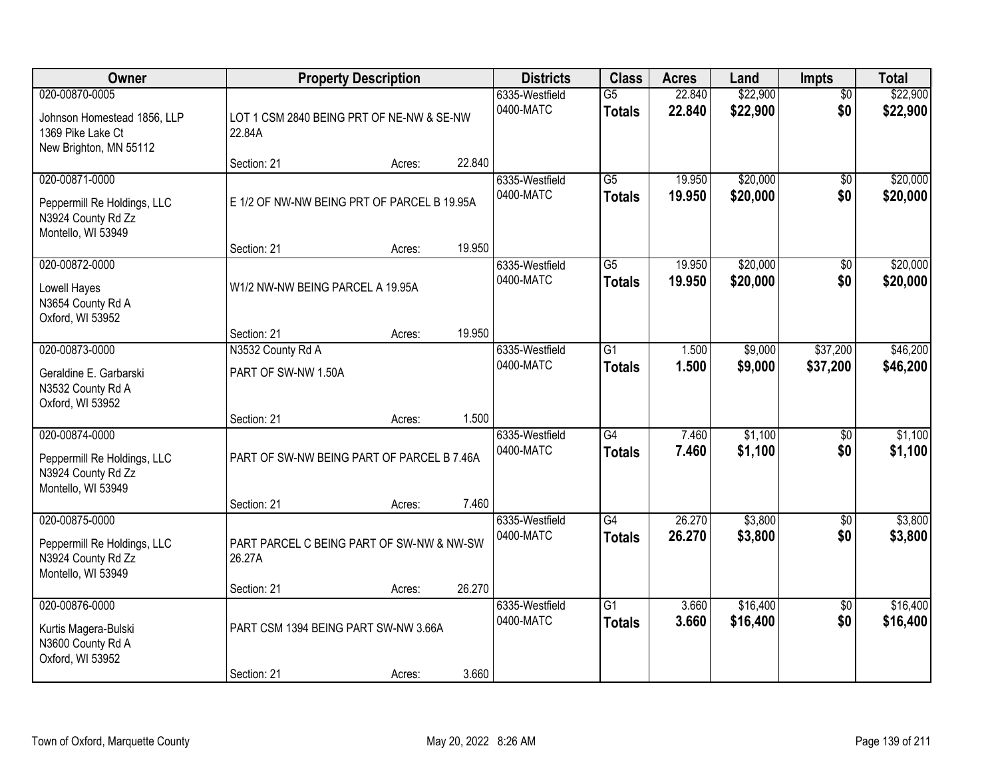| <b>Owner</b><br><b>Property Description</b>                                                  | <b>Districts</b>                                    | <b>Class</b> | <b>Acres</b> | Land                        | <b>Impts</b>                     | <b>Total</b>     |                      |                        |                      |
|----------------------------------------------------------------------------------------------|-----------------------------------------------------|--------------|--------------|-----------------------------|----------------------------------|------------------|----------------------|------------------------|----------------------|
| 020-00870-0005<br>Johnson Homestead 1856, LLP<br>1369 Pike Lake Ct<br>New Brighton, MN 55112 | LOT 1 CSM 2840 BEING PRT OF NE-NW & SE-NW<br>22.84A |              |              | 6335-Westfield<br>0400-MATC | $\overline{G5}$<br><b>Totals</b> | 22.840<br>22.840 | \$22,900<br>\$22,900 | $\overline{50}$<br>\$0 | \$22,900<br>\$22,900 |
|                                                                                              | Section: 21                                         | Acres:       | 22.840       |                             |                                  |                  |                      |                        |                      |
| 020-00871-0000<br>Peppermill Re Holdings, LLC<br>N3924 County Rd Zz<br>Montello, WI 53949    | E 1/2 OF NW-NW BEING PRT OF PARCEL B 19.95A         |              |              | 6335-Westfield<br>0400-MATC | $\overline{G5}$<br><b>Totals</b> | 19.950<br>19.950 | \$20,000<br>\$20,000 | \$0<br>\$0             | \$20,000<br>\$20,000 |
|                                                                                              | Section: 21                                         | Acres:       | 19.950       |                             |                                  |                  |                      |                        |                      |
| 020-00872-0000<br>Lowell Hayes<br>N3654 County Rd A<br>Oxford, WI 53952                      | W1/2 NW-NW BEING PARCEL A 19.95A                    |              |              | 6335-Westfield<br>0400-MATC | $\overline{G5}$<br><b>Totals</b> | 19.950<br>19.950 | \$20,000<br>\$20,000 | $\overline{50}$<br>\$0 | \$20,000<br>\$20,000 |
|                                                                                              | Section: 21                                         | Acres:       | 19.950       |                             |                                  |                  |                      |                        |                      |
| 020-00873-0000<br>Geraldine E. Garbarski<br>N3532 County Rd A<br>Oxford, WI 53952            | N3532 County Rd A<br>PART OF SW-NW 1.50A            |              |              | 6335-Westfield<br>0400-MATC | $\overline{G1}$<br><b>Totals</b> | 1.500<br>1.500   | \$9,000<br>\$9,000   | \$37,200<br>\$37,200   | \$46,200<br>\$46,200 |
|                                                                                              | Section: 21                                         | Acres:       | 1.500        |                             |                                  |                  |                      |                        |                      |
| 020-00874-0000<br>Peppermill Re Holdings, LLC<br>N3924 County Rd Zz<br>Montello, WI 53949    | PART OF SW-NW BEING PART OF PARCEL B 7.46A          |              |              | 6335-Westfield<br>0400-MATC | $\overline{G4}$<br><b>Totals</b> | 7.460<br>7.460   | \$1,100<br>\$1,100   | \$0<br>\$0             | \$1,100<br>\$1,100   |
|                                                                                              | Section: 21                                         | Acres:       | 7.460        |                             |                                  |                  |                      |                        |                      |
| 020-00875-0000<br>Peppermill Re Holdings, LLC<br>N3924 County Rd Zz<br>Montello, WI 53949    | PART PARCEL C BEING PART OF SW-NW & NW-SW<br>26.27A |              |              | 6335-Westfield<br>0400-MATC | $\overline{G4}$<br><b>Totals</b> | 26.270<br>26.270 | \$3,800<br>\$3,800   | $\sqrt{6}$<br>\$0      | \$3,800<br>\$3,800   |
|                                                                                              | Section: 21                                         | Acres:       | 26.270       |                             |                                  |                  |                      |                        |                      |
| 020-00876-0000<br>Kurtis Magera-Bulski<br>N3600 County Rd A<br>Oxford, WI 53952              | PART CSM 1394 BEING PART SW-NW 3.66A                |              |              | 6335-Westfield<br>0400-MATC | $\overline{G1}$<br><b>Totals</b> | 3.660<br>3.660   | \$16,400<br>\$16,400 | $\overline{50}$<br>\$0 | \$16,400<br>\$16,400 |
|                                                                                              | Section: 21                                         | Acres:       | 3.660        |                             |                                  |                  |                      |                        |                      |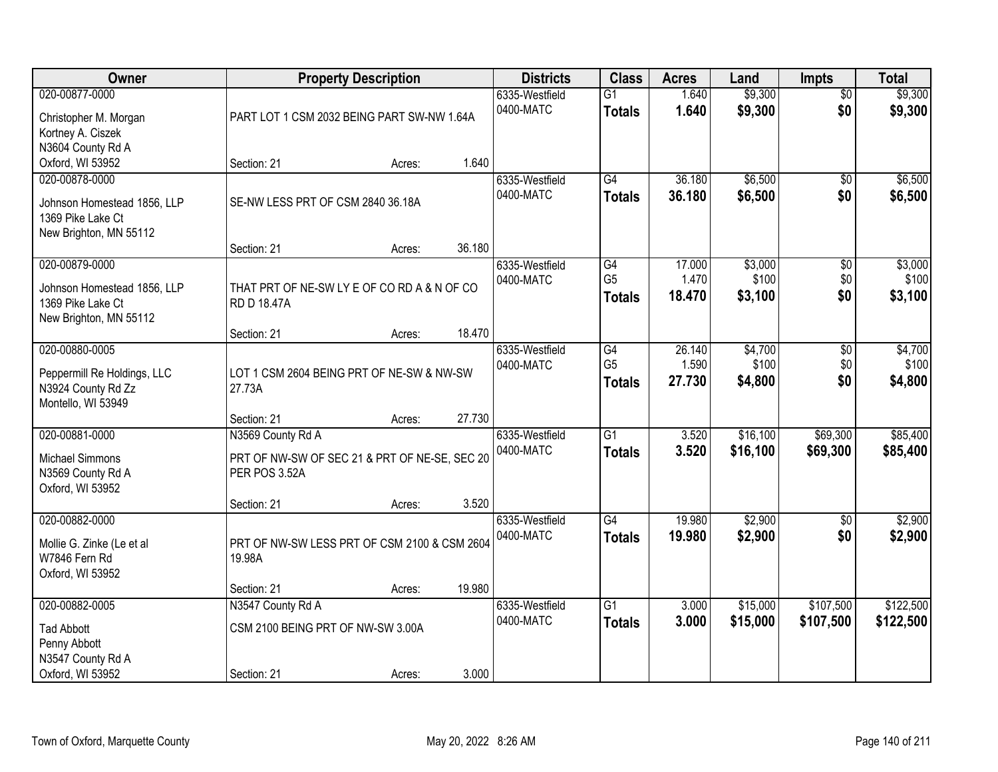| Owner                       |                                               | <b>Property Description</b> |        | <b>Districts</b> | <b>Class</b>    | <b>Acres</b> | Land     | <b>Impts</b>    | <b>Total</b> |
|-----------------------------|-----------------------------------------------|-----------------------------|--------|------------------|-----------------|--------------|----------|-----------------|--------------|
| 020-00877-0000              |                                               |                             |        | 6335-Westfield   | $\overline{G1}$ | 1.640        | \$9,300  | $\overline{50}$ | \$9,300      |
| Christopher M. Morgan       | PART LOT 1 CSM 2032 BEING PART SW-NW 1.64A    |                             |        | 0400-MATC        | <b>Totals</b>   | 1.640        | \$9,300  | \$0             | \$9,300      |
| Kortney A. Ciszek           |                                               |                             |        |                  |                 |              |          |                 |              |
| N3604 County Rd A           |                                               |                             |        |                  |                 |              |          |                 |              |
| Oxford, WI 53952            | Section: 21                                   | Acres:                      | 1.640  |                  |                 |              |          |                 |              |
| 020-00878-0000              |                                               |                             |        | 6335-Westfield   | $\overline{G4}$ | 36.180       | \$6,500  | $\overline{50}$ | \$6,500      |
| Johnson Homestead 1856, LLP | SE-NW LESS PRT OF CSM 2840 36.18A             |                             |        | 0400-MATC        | <b>Totals</b>   | 36.180       | \$6,500  | \$0             | \$6,500      |
| 1369 Pike Lake Ct           |                                               |                             |        |                  |                 |              |          |                 |              |
| New Brighton, MN 55112      |                                               |                             |        |                  |                 |              |          |                 |              |
|                             | Section: 21                                   | Acres:                      | 36.180 |                  |                 |              |          |                 |              |
| 020-00879-0000              |                                               |                             |        | 6335-Westfield   | G4              | 17.000       | \$3,000  | \$0             | \$3,000      |
| Johnson Homestead 1856, LLP | THAT PRT OF NE-SW LY E OF CO RD A & N OF CO   |                             |        | 0400-MATC        | G <sub>5</sub>  | 1.470        | \$100    | \$0             | \$100        |
| 1369 Pike Lake Ct           | <b>RD D 18.47A</b>                            |                             |        |                  | <b>Totals</b>   | 18.470       | \$3,100  | \$0             | \$3,100      |
| New Brighton, MN 55112      |                                               |                             |        |                  |                 |              |          |                 |              |
|                             | Section: 21                                   | Acres:                      | 18.470 |                  |                 |              |          |                 |              |
| 020-00880-0005              |                                               |                             |        | 6335-Westfield   | G4              | 26.140       | \$4,700  | \$0             | \$4,700      |
| Peppermill Re Holdings, LLC | LOT 1 CSM 2604 BEING PRT OF NE-SW & NW-SW     |                             |        | 0400-MATC        | G <sub>5</sub>  | 1.590        | \$100    | \$0             | \$100        |
| N3924 County Rd Zz          | 27.73A                                        |                             |        |                  | <b>Totals</b>   | 27.730       | \$4,800  | \$0             | \$4,800      |
| Montello, WI 53949          |                                               |                             |        |                  |                 |              |          |                 |              |
|                             | Section: 21                                   | Acres:                      | 27.730 |                  |                 |              |          |                 |              |
| 020-00881-0000              | N3569 County Rd A                             |                             |        | 6335-Westfield   | $\overline{G1}$ | 3.520        | \$16,100 | \$69,300        | \$85,400     |
| <b>Michael Simmons</b>      | PRT OF NW-SW OF SEC 21 & PRT OF NE-SE, SEC 20 |                             |        | 0400-MATC        | <b>Totals</b>   | 3.520        | \$16,100 | \$69,300        | \$85,400     |
| N3569 County Rd A           | PER POS 3.52A                                 |                             |        |                  |                 |              |          |                 |              |
| Oxford, WI 53952            |                                               |                             |        |                  |                 |              |          |                 |              |
|                             | Section: 21                                   | Acres:                      | 3.520  |                  |                 |              |          |                 |              |
| 020-00882-0000              |                                               |                             |        | 6335-Westfield   | $\overline{G4}$ | 19.980       | \$2,900  | \$0             | \$2,900      |
| Mollie G. Zinke (Le et al   | PRT OF NW-SW LESS PRT OF CSM 2100 & CSM 2604  |                             |        | 0400-MATC        | <b>Totals</b>   | 19.980       | \$2,900  | \$0             | \$2,900      |
| W7846 Fern Rd               | 19.98A                                        |                             |        |                  |                 |              |          |                 |              |
| Oxford, WI 53952            |                                               |                             |        |                  |                 |              |          |                 |              |
|                             | Section: 21                                   | Acres:                      | 19.980 |                  |                 |              |          |                 |              |
| 020-00882-0005              | N3547 County Rd A                             |                             |        | 6335-Westfield   | $\overline{G1}$ | 3.000        | \$15,000 | \$107,500       | \$122,500    |
| <b>Tad Abbott</b>           | CSM 2100 BEING PRT OF NW-SW 3.00A             |                             |        | 0400-MATC        | <b>Totals</b>   | 3.000        | \$15,000 | \$107,500       | \$122,500    |
| Penny Abbott                |                                               |                             |        |                  |                 |              |          |                 |              |
| N3547 County Rd A           |                                               |                             |        |                  |                 |              |          |                 |              |
| Oxford, WI 53952            | Section: 21                                   | Acres:                      | 3.000  |                  |                 |              |          |                 |              |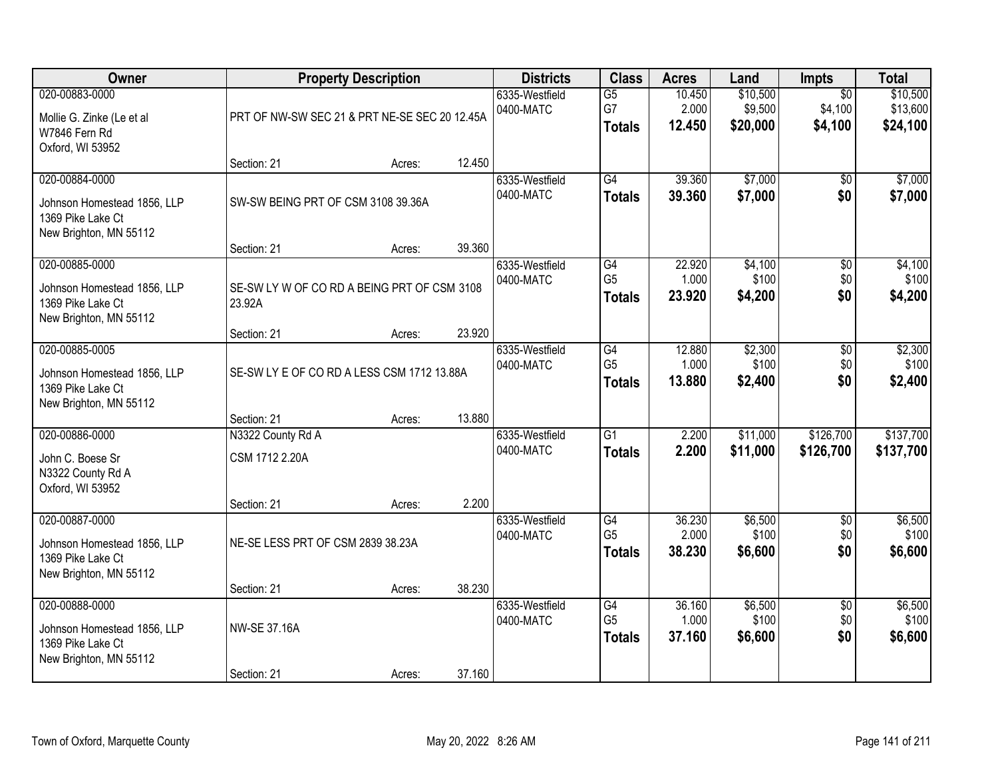| Owner                                                                                        |                                                       | <b>Property Description</b> |                             | <b>Districts</b>                       | <b>Class</b>                          | <b>Acres</b>                    | Land                                  | Impts                            | <b>Total</b>                |
|----------------------------------------------------------------------------------------------|-------------------------------------------------------|-----------------------------|-----------------------------|----------------------------------------|---------------------------------------|---------------------------------|---------------------------------------|----------------------------------|-----------------------------|
| 020-00883-0000<br>Mollie G. Zinke (Le et al<br>W7846 Fern Rd<br>Oxford, WI 53952             | PRT OF NW-SW SEC 21 & PRT NE-SE SEC 20 12.45A         |                             | 6335-Westfield<br>0400-MATC | $\overline{G5}$<br>G7<br><b>Totals</b> | 10.450<br>2.000<br>12.450             | \$10,500<br>\$9,500<br>\$20,000 | $\overline{50}$<br>\$4,100<br>\$4,100 | \$10,500<br>\$13,600<br>\$24,100 |                             |
|                                                                                              | Section: 21                                           | Acres:                      | 12.450                      |                                        |                                       |                                 |                                       |                                  |                             |
| 020-00884-0000<br>Johnson Homestead 1856, LLP<br>1369 Pike Lake Ct<br>New Brighton, MN 55112 | SW-SW BEING PRT OF CSM 3108 39.36A                    |                             |                             | 6335-Westfield<br>0400-MATC            | G4<br><b>Totals</b>                   | 39.360<br>39.360                | \$7,000<br>\$7,000                    | \$0<br>\$0                       | \$7,000<br>\$7,000          |
| 020-00885-0000                                                                               | Section: 21                                           | Acres:                      | 39.360                      | 6335-Westfield                         | G4                                    | 22.920                          | \$4,100                               | \$0                              | \$4,100                     |
| Johnson Homestead 1856, LLP<br>1369 Pike Lake Ct<br>New Brighton, MN 55112                   | SE-SW LY W OF CO RD A BEING PRT OF CSM 3108<br>23.92A |                             |                             | 0400-MATC                              | G <sub>5</sub><br><b>Totals</b>       | 1.000<br>23.920                 | \$100<br>\$4,200                      | \$0<br>\$0                       | \$100<br>\$4,200            |
|                                                                                              | Section: 21                                           | Acres:                      | 23.920                      |                                        |                                       |                                 |                                       |                                  |                             |
| 020-00885-0005<br>Johnson Homestead 1856, LLP<br>1369 Pike Lake Ct<br>New Brighton, MN 55112 | SE-SW LY E OF CO RD A LESS CSM 1712 13.88A            |                             |                             | 6335-Westfield<br>0400-MATC            | G4<br>G <sub>5</sub><br><b>Totals</b> | 12.880<br>1.000<br>13.880       | \$2,300<br>\$100<br>\$2,400           | \$0<br>\$0<br>\$0                | \$2,300<br>\$100<br>\$2,400 |
|                                                                                              | Section: 21                                           | Acres:                      | 13.880                      |                                        |                                       |                                 |                                       |                                  |                             |
| 020-00886-0000<br>John C. Boese Sr<br>N3322 County Rd A<br>Oxford, WI 53952                  | N3322 County Rd A<br>CSM 1712 2.20A                   |                             | 2.200                       | 6335-Westfield<br>0400-MATC            | $\overline{G1}$<br><b>Totals</b>      | 2.200<br>2.200                  | \$11,000<br>\$11,000                  | \$126,700<br>\$126,700           | \$137,700<br>\$137,700      |
| 020-00887-0000                                                                               | Section: 21                                           | Acres:                      |                             | 6335-Westfield                         | G4                                    | 36.230                          | \$6,500                               | $\overline{50}$                  | \$6,500                     |
| Johnson Homestead 1856, LLP<br>1369 Pike Lake Ct<br>New Brighton, MN 55112                   | NE-SE LESS PRT OF CSM 2839 38.23A                     |                             |                             | 0400-MATC                              | G <sub>5</sub><br><b>Totals</b>       | 2.000<br>38.230                 | \$100<br>\$6,600                      | \$0<br>\$0                       | \$100<br>\$6,600            |
|                                                                                              | Section: 21                                           | Acres:                      | 38.230                      |                                        |                                       |                                 |                                       |                                  |                             |
| 020-00888-0000<br>Johnson Homestead 1856, LLP<br>1369 Pike Lake Ct<br>New Brighton, MN 55112 | <b>NW-SE 37.16A</b><br>Section: 21                    |                             | 37.160                      | 6335-Westfield<br>0400-MATC            | G4<br>G <sub>5</sub><br><b>Totals</b> | 36.160<br>1.000<br>37.160       | \$6,500<br>\$100<br>\$6,600           | $\overline{50}$<br>\$0<br>\$0    | \$6,500<br>\$100<br>\$6,600 |
|                                                                                              |                                                       | Acres:                      |                             |                                        |                                       |                                 |                                       |                                  |                             |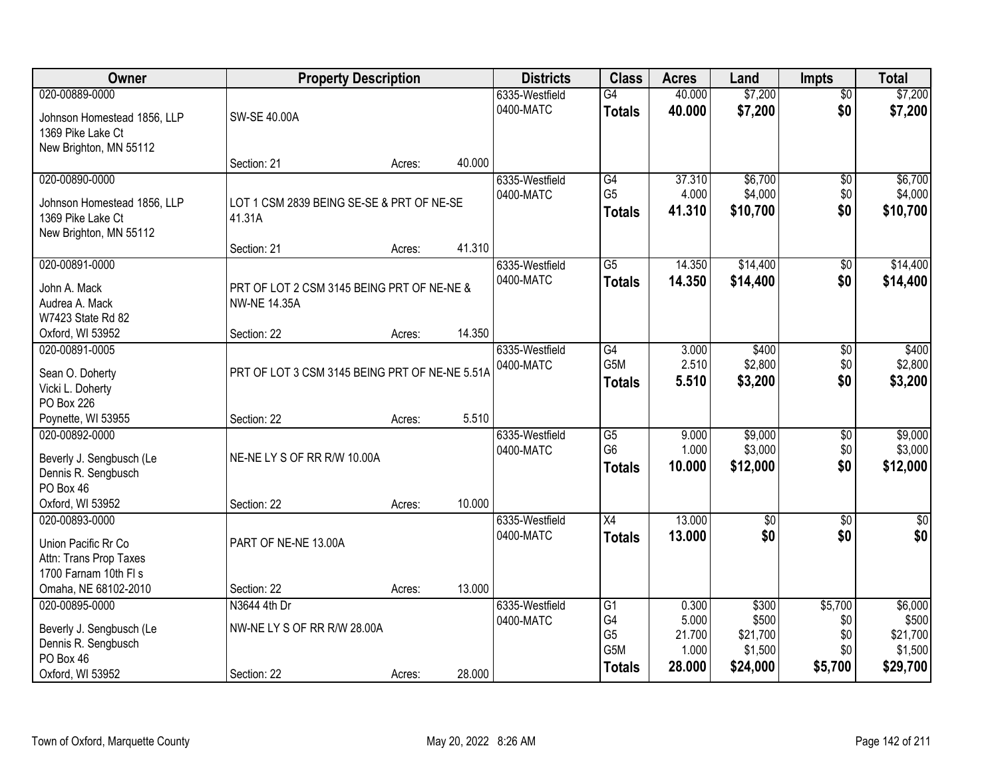| Owner                       | <b>Property Description</b>                    |        |        | <b>Districts</b> | <b>Class</b>    | <b>Acres</b> | Land        | <b>Impts</b>    | <b>Total</b> |
|-----------------------------|------------------------------------------------|--------|--------|------------------|-----------------|--------------|-------------|-----------------|--------------|
| 020-00889-0000              |                                                |        |        | 6335-Westfield   | $\overline{G4}$ | 40.000       | \$7,200     | $\overline{50}$ | \$7,200      |
| Johnson Homestead 1856, LLP | SW-SE 40.00A                                   |        |        | 0400-MATC        | <b>Totals</b>   | 40.000       | \$7,200     | \$0             | \$7,200      |
| 1369 Pike Lake Ct           |                                                |        |        |                  |                 |              |             |                 |              |
| New Brighton, MN 55112      |                                                | Acres: | 40.000 |                  |                 |              |             |                 |              |
| 020-00890-0000              | Section: 21                                    |        |        | 6335-Westfield   | G4              | 37.310       | \$6,700     | \$0             | \$6,700      |
|                             |                                                |        |        | 0400-MATC        | G <sub>5</sub>  | 4.000        | \$4,000     | \$0             | \$4,000      |
| Johnson Homestead 1856, LLP | LOT 1 CSM 2839 BEING SE-SE & PRT OF NE-SE      |        |        |                  | <b>Totals</b>   | 41.310       | \$10,700    | \$0             | \$10,700     |
| 1369 Pike Lake Ct           | 41.31A                                         |        |        |                  |                 |              |             |                 |              |
| New Brighton, MN 55112      |                                                |        | 41.310 |                  |                 |              |             |                 |              |
| 020-00891-0000              | Section: 21                                    | Acres: |        | 6335-Westfield   | $\overline{G5}$ | 14.350       | \$14,400    |                 | \$14,400     |
|                             |                                                |        |        | 0400-MATC        |                 |              | \$14,400    | \$0<br>\$0      |              |
| John A. Mack                | PRT OF LOT 2 CSM 3145 BEING PRT OF NE-NE &     |        |        |                  | <b>Totals</b>   | 14.350       |             |                 | \$14,400     |
| Audrea A. Mack              | <b>NW-NE 14.35A</b>                            |        |        |                  |                 |              |             |                 |              |
| W7423 State Rd 82           |                                                |        |        |                  |                 |              |             |                 |              |
| Oxford, WI 53952            | Section: 22                                    | Acres: | 14.350 |                  |                 |              |             |                 |              |
| 020-00891-0005              |                                                |        |        | 6335-Westfield   | G4              | 3.000        | \$400       | $\sqrt[6]{3}$   | \$400        |
| Sean O. Doherty             | PRT OF LOT 3 CSM 3145 BEING PRT OF NE-NE 5.51A |        |        | 0400-MATC        | G5M             | 2.510        | \$2,800     | \$0             | \$2,800      |
| Vicki L. Doherty            |                                                |        |        |                  | <b>Totals</b>   | 5.510        | \$3,200     | \$0             | \$3,200      |
| <b>PO Box 226</b>           |                                                |        |        |                  |                 |              |             |                 |              |
| Poynette, WI 53955          | Section: 22                                    | Acres: | 5.510  |                  |                 |              |             |                 |              |
| 020-00892-0000              |                                                |        |        | 6335-Westfield   | $\overline{G5}$ | 9.000        | \$9,000     | $\overline{50}$ | \$9,000      |
| Beverly J. Sengbusch (Le    | NE-NE LY S OF RR R/W 10.00A                    |        |        | 0400-MATC        | G <sub>6</sub>  | 1.000        | \$3,000     | \$0             | \$3,000      |
| Dennis R. Sengbusch         |                                                |        |        |                  | <b>Totals</b>   | 10.000       | \$12,000    | \$0             | \$12,000     |
| PO Box 46                   |                                                |        |        |                  |                 |              |             |                 |              |
| Oxford, WI 53952            | Section: 22                                    | Acres: | 10.000 |                  |                 |              |             |                 |              |
| 020-00893-0000              |                                                |        |        | 6335-Westfield   | X4              | 13.000       | $\sqrt{$0}$ | \$0             | \$0          |
| Union Pacific Rr Co         | PART OF NE-NE 13.00A                           |        |        | 0400-MATC        | <b>Totals</b>   | 13.000       | \$0         | \$0             | \$0          |
| Attn: Trans Prop Taxes      |                                                |        |        |                  |                 |              |             |                 |              |
| 1700 Farnam 10th FI s       |                                                |        |        |                  |                 |              |             |                 |              |
| Omaha, NE 68102-2010        | Section: 22                                    | Acres: | 13.000 |                  |                 |              |             |                 |              |
| 020-00895-0000              | N3644 4th Dr                                   |        |        | 6335-Westfield   | G1              | 0.300        | \$300       | \$5,700         | \$6,000      |
| Beverly J. Sengbusch (Le    | NW-NE LY S OF RR R/W 28.00A                    |        |        | 0400-MATC        | G4              | 5.000        | \$500       | \$0             | \$500        |
| Dennis R. Sengbusch         |                                                |        |        |                  | G <sub>5</sub>  | 21.700       | \$21,700    | \$0             | \$21,700     |
| PO Box 46                   |                                                |        |        |                  | G5M             | 1.000        | \$1,500     | \$0             | \$1,500      |
| Oxford, WI 53952            | Section: 22                                    | Acres: | 28.000 |                  | <b>Totals</b>   | 28.000       | \$24,000    | \$5,700         | \$29,700     |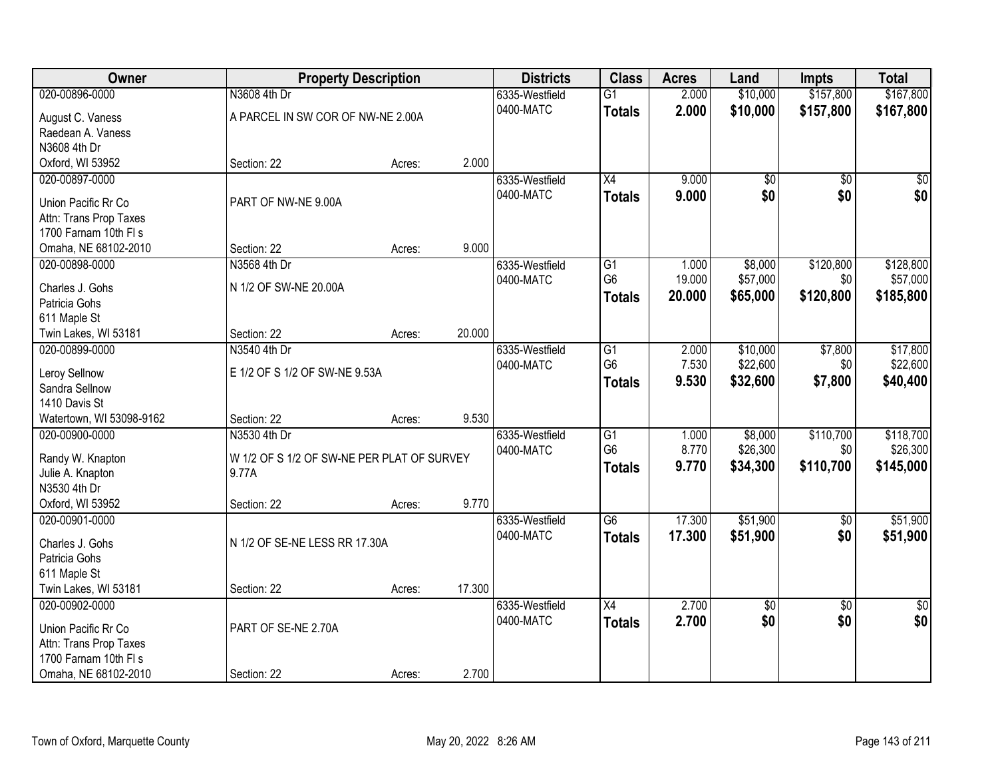| Owner                            | <b>Property Description</b>                |        |        | <b>Districts</b> | <b>Class</b>    | <b>Acres</b> | Land       | <b>Impts</b>    | <b>Total</b>    |
|----------------------------------|--------------------------------------------|--------|--------|------------------|-----------------|--------------|------------|-----------------|-----------------|
| 020-00896-0000                   | N3608 4th Dr                               |        |        | 6335-Westfield   | $\overline{G1}$ | 2.000        | \$10,000   | \$157,800       | \$167,800       |
| August C. Vaness                 | A PARCEL IN SW COR OF NW-NE 2.00A          |        |        | 0400-MATC        | <b>Totals</b>   | 2.000        | \$10,000   | \$157,800       | \$167,800       |
| Raedean A. Vaness                |                                            |        |        |                  |                 |              |            |                 |                 |
| N3608 4th Dr                     |                                            |        |        |                  |                 |              |            |                 |                 |
| Oxford, WI 53952                 | Section: 22                                | Acres: | 2.000  |                  |                 |              |            |                 |                 |
| 020-00897-0000                   |                                            |        |        | 6335-Westfield   | $\overline{X4}$ | 9.000        | \$0        | \$0             | \$0             |
| Union Pacific Rr Co              | PART OF NW-NE 9.00A                        |        |        | 0400-MATC        | <b>Totals</b>   | 9.000        | \$0        | \$0             | \$0             |
| Attn: Trans Prop Taxes           |                                            |        |        |                  |                 |              |            |                 |                 |
| 1700 Farnam 10th FI s            |                                            |        |        |                  |                 |              |            |                 |                 |
| Omaha, NE 68102-2010             | Section: 22                                | Acres: | 9.000  |                  |                 |              |            |                 |                 |
| 020-00898-0000                   | N3568 4th Dr                               |        |        | 6335-Westfield   | G1              | 1.000        | \$8,000    | \$120,800       | \$128,800       |
| Charles J. Gohs                  | N 1/2 OF SW-NE 20.00A                      |        |        | 0400-MATC        | G6              | 19.000       | \$57,000   | \$0             | \$57,000        |
| Patricia Gohs                    |                                            |        |        |                  | <b>Totals</b>   | 20.000       | \$65,000   | \$120,800       | \$185,800       |
| 611 Maple St                     |                                            |        |        |                  |                 |              |            |                 |                 |
| Twin Lakes, WI 53181             | Section: 22                                | Acres: | 20.000 |                  |                 |              |            |                 |                 |
| 020-00899-0000                   | N3540 4th Dr                               |        |        | 6335-Westfield   | G1              | 2.000        | \$10,000   | \$7,800         | \$17,800        |
|                                  |                                            |        |        | 0400-MATC        | G <sub>6</sub>  | 7.530        | \$22,600   | \$0             | \$22,600        |
| Leroy Sellnow                    | E 1/2 OF S 1/2 OF SW-NE 9.53A              |        |        |                  | <b>Totals</b>   | 9.530        | \$32,600   | \$7,800         | \$40,400        |
| Sandra Sellnow<br>1410 Davis St  |                                            |        |        |                  |                 |              |            |                 |                 |
| Watertown, WI 53098-9162         | Section: 22                                | Acres: | 9.530  |                  |                 |              |            |                 |                 |
| 020-00900-0000                   | N3530 4th Dr                               |        |        | 6335-Westfield   | $\overline{G1}$ | 1.000        | \$8,000    | \$110,700       | \$118,700       |
|                                  |                                            |        |        | 0400-MATC        | G <sub>6</sub>  | 8.770        | \$26,300   | \$0             | \$26,300        |
| Randy W. Knapton                 | W 1/2 OF S 1/2 OF SW-NE PER PLAT OF SURVEY |        |        |                  | <b>Totals</b>   | 9.770        | \$34,300   | \$110,700       | \$145,000       |
| Julie A. Knapton                 | 9.77A                                      |        |        |                  |                 |              |            |                 |                 |
| N3530 4th Dr<br>Oxford, WI 53952 |                                            |        | 9.770  |                  |                 |              |            |                 |                 |
| 020-00901-0000                   | Section: 22                                | Acres: |        | 6335-Westfield   | G6              | 17.300       | \$51,900   | $\overline{50}$ | \$51,900        |
|                                  |                                            |        |        | 0400-MATC        | <b>Totals</b>   | 17.300       | \$51,900   | \$0             | \$51,900        |
| Charles J. Gohs                  | N 1/2 OF SE-NE LESS RR 17.30A              |        |        |                  |                 |              |            |                 |                 |
| Patricia Gohs                    |                                            |        |        |                  |                 |              |            |                 |                 |
| 611 Maple St                     |                                            |        |        |                  |                 |              |            |                 |                 |
| Twin Lakes, WI 53181             | Section: 22                                | Acres: | 17.300 |                  |                 |              |            |                 |                 |
| 020-00902-0000                   |                                            |        |        | 6335-Westfield   | $\overline{X4}$ | 2.700        | $\sqrt{6}$ | $\overline{30}$ | $\overline{50}$ |
| Union Pacific Rr Co              | PART OF SE-NE 2.70A                        |        |        | 0400-MATC        | <b>Totals</b>   | 2.700        | \$0        | \$0             | \$0             |
| Attn: Trans Prop Taxes           |                                            |        |        |                  |                 |              |            |                 |                 |
| 1700 Farnam 10th FI s            |                                            |        |        |                  |                 |              |            |                 |                 |
| Omaha, NE 68102-2010             | Section: 22                                | Acres: | 2.700  |                  |                 |              |            |                 |                 |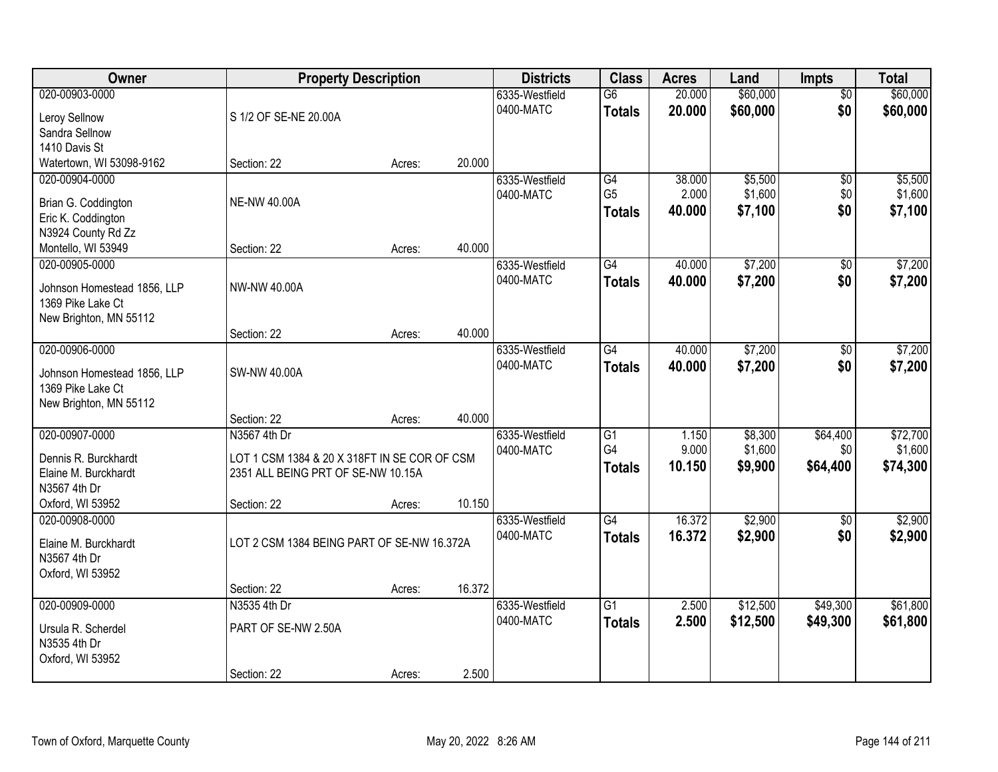| \$60,000<br>\$60,000<br>020-00903-0000<br>20.000<br>6335-Westfield<br>$\overline{G6}$<br>$\overline{50}$<br>\$60,000<br>\$0<br>0400-MATC<br>20.000<br>\$60,000<br><b>Totals</b><br>S 1/2 OF SE-NE 20.00A<br>Leroy Sellnow<br>Sandra Sellnow<br>1410 Davis St<br>Watertown, WI 53098-9162<br>20.000<br>Section: 22<br>Acres:<br>\$5,500<br>\$5,500<br>020-00904-0000<br>G4<br>38,000<br>$\overline{50}$<br>6335-Westfield<br>G <sub>5</sub><br>2.000<br>\$1,600<br>\$1,600<br>\$0<br>0400-MATC<br><b>NE-NW 40.00A</b><br>Brian G. Coddington<br>\$0<br>40.000<br>\$7,100<br>\$7,100<br><b>Totals</b><br>Eric K. Coddington<br>N3924 County Rd Zz<br>40.000<br>Montello, WI 53949<br>Section: 22<br>Acres:<br>$\overline{G4}$<br>\$7,200<br>\$7,200<br>020-00905-0000<br>40.000<br>\$0<br>6335-Westfield<br>0400-MATC<br>\$7,200<br>\$0<br>40.000<br>\$7,200<br><b>Totals</b><br>NW-NW 40.00A<br>Johnson Homestead 1856, LLP<br>1369 Pike Lake Ct<br>New Brighton, MN 55112<br>40.000<br>Section: 22<br>Acres:<br>\$7,200<br>\$7,200<br>020-00906-0000<br>6335-Westfield<br>G4<br>40.000<br>$\sqrt{6}$<br>0400-MATC<br>\$0<br>40.000<br>\$7,200<br>\$7,200<br><b>Totals</b><br><b>SW-NW 40.00A</b><br>Johnson Homestead 1856, LLP<br>1369 Pike Lake Ct<br>New Brighton, MN 55112<br>40.000<br>Section: 22<br>Acres:<br>020-00907-0000<br>\$72,700<br>N3567 4th Dr<br>$\overline{G1}$<br>1.150<br>\$8,300<br>\$64,400<br>6335-Westfield<br>G4<br>9.000<br>\$1,600<br>\$1,600<br>\$0<br>0400-MATC<br>LOT 1 CSM 1384 & 20 X 318FT IN SE COR OF CSM<br>Dennis R. Burckhardt<br>10.150<br>\$9,900<br>\$64,400<br>\$74,300<br><b>Totals</b><br>2351 ALL BEING PRT OF SE-NW 10.15A<br>Elaine M. Burckhardt<br>N3567 4th Dr<br>10.150<br>Oxford, WI 53952<br>Section: 22<br>Acres:<br>$\overline{G4}$<br>16.372<br>\$2,900<br>\$2,900<br>020-00908-0000<br>6335-Westfield<br>\$0<br>0400-MATC<br>16.372<br>\$2,900<br>\$0<br>\$2,900<br><b>Totals</b><br>LOT 2 CSM 1384 BEING PART OF SE-NW 16.372A<br>Elaine M. Burckhardt<br>N3567 4th Dr<br>Oxford, WI 53952<br>16.372<br>Section: 22<br>Acres:<br>$\overline{G1}$<br>\$12,500<br>\$49,300<br>\$61,800<br>020-00909-0000<br>N3535 4th Dr<br>2.500<br>6335-Westfield<br>0400-MATC<br>2.500<br>\$12,500<br>\$49,300<br>\$61,800<br><b>Totals</b><br>Ursula R. Scherdel<br>PART OF SE-NW 2.50A<br>N3535 4th Dr<br>Oxford, WI 53952 | Owner | <b>Property Description</b> |       | <b>Districts</b> | <b>Class</b> | <b>Acres</b> | Land | <b>Impts</b> | <b>Total</b> |
|--------------------------------------------------------------------------------------------------------------------------------------------------------------------------------------------------------------------------------------------------------------------------------------------------------------------------------------------------------------------------------------------------------------------------------------------------------------------------------------------------------------------------------------------------------------------------------------------------------------------------------------------------------------------------------------------------------------------------------------------------------------------------------------------------------------------------------------------------------------------------------------------------------------------------------------------------------------------------------------------------------------------------------------------------------------------------------------------------------------------------------------------------------------------------------------------------------------------------------------------------------------------------------------------------------------------------------------------------------------------------------------------------------------------------------------------------------------------------------------------------------------------------------------------------------------------------------------------------------------------------------------------------------------------------------------------------------------------------------------------------------------------------------------------------------------------------------------------------------------------------------------------------------------------------------------------------------------------------------------------------------------------------------------------------------------------------------------------------------------------------------------------------------------------------------------------------------------------------------------------------------------------------------------------------------------------------------------------------------------------------|-------|-----------------------------|-------|------------------|--------------|--------------|------|--------------|--------------|
|                                                                                                                                                                                                                                                                                                                                                                                                                                                                                                                                                                                                                                                                                                                                                                                                                                                                                                                                                                                                                                                                                                                                                                                                                                                                                                                                                                                                                                                                                                                                                                                                                                                                                                                                                                                                                                                                                                                                                                                                                                                                                                                                                                                                                                                                                                                                                                          |       |                             |       |                  |              |              |      |              |              |
|                                                                                                                                                                                                                                                                                                                                                                                                                                                                                                                                                                                                                                                                                                                                                                                                                                                                                                                                                                                                                                                                                                                                                                                                                                                                                                                                                                                                                                                                                                                                                                                                                                                                                                                                                                                                                                                                                                                                                                                                                                                                                                                                                                                                                                                                                                                                                                          |       |                             |       |                  |              |              |      |              |              |
|                                                                                                                                                                                                                                                                                                                                                                                                                                                                                                                                                                                                                                                                                                                                                                                                                                                                                                                                                                                                                                                                                                                                                                                                                                                                                                                                                                                                                                                                                                                                                                                                                                                                                                                                                                                                                                                                                                                                                                                                                                                                                                                                                                                                                                                                                                                                                                          |       |                             |       |                  |              |              |      |              |              |
|                                                                                                                                                                                                                                                                                                                                                                                                                                                                                                                                                                                                                                                                                                                                                                                                                                                                                                                                                                                                                                                                                                                                                                                                                                                                                                                                                                                                                                                                                                                                                                                                                                                                                                                                                                                                                                                                                                                                                                                                                                                                                                                                                                                                                                                                                                                                                                          |       |                             |       |                  |              |              |      |              |              |
|                                                                                                                                                                                                                                                                                                                                                                                                                                                                                                                                                                                                                                                                                                                                                                                                                                                                                                                                                                                                                                                                                                                                                                                                                                                                                                                                                                                                                                                                                                                                                                                                                                                                                                                                                                                                                                                                                                                                                                                                                                                                                                                                                                                                                                                                                                                                                                          |       |                             |       |                  |              |              |      |              |              |
|                                                                                                                                                                                                                                                                                                                                                                                                                                                                                                                                                                                                                                                                                                                                                                                                                                                                                                                                                                                                                                                                                                                                                                                                                                                                                                                                                                                                                                                                                                                                                                                                                                                                                                                                                                                                                                                                                                                                                                                                                                                                                                                                                                                                                                                                                                                                                                          |       |                             |       |                  |              |              |      |              |              |
|                                                                                                                                                                                                                                                                                                                                                                                                                                                                                                                                                                                                                                                                                                                                                                                                                                                                                                                                                                                                                                                                                                                                                                                                                                                                                                                                                                                                                                                                                                                                                                                                                                                                                                                                                                                                                                                                                                                                                                                                                                                                                                                                                                                                                                                                                                                                                                          |       |                             |       |                  |              |              |      |              |              |
|                                                                                                                                                                                                                                                                                                                                                                                                                                                                                                                                                                                                                                                                                                                                                                                                                                                                                                                                                                                                                                                                                                                                                                                                                                                                                                                                                                                                                                                                                                                                                                                                                                                                                                                                                                                                                                                                                                                                                                                                                                                                                                                                                                                                                                                                                                                                                                          |       |                             |       |                  |              |              |      |              |              |
|                                                                                                                                                                                                                                                                                                                                                                                                                                                                                                                                                                                                                                                                                                                                                                                                                                                                                                                                                                                                                                                                                                                                                                                                                                                                                                                                                                                                                                                                                                                                                                                                                                                                                                                                                                                                                                                                                                                                                                                                                                                                                                                                                                                                                                                                                                                                                                          |       |                             |       |                  |              |              |      |              |              |
|                                                                                                                                                                                                                                                                                                                                                                                                                                                                                                                                                                                                                                                                                                                                                                                                                                                                                                                                                                                                                                                                                                                                                                                                                                                                                                                                                                                                                                                                                                                                                                                                                                                                                                                                                                                                                                                                                                                                                                                                                                                                                                                                                                                                                                                                                                                                                                          |       |                             |       |                  |              |              |      |              |              |
|                                                                                                                                                                                                                                                                                                                                                                                                                                                                                                                                                                                                                                                                                                                                                                                                                                                                                                                                                                                                                                                                                                                                                                                                                                                                                                                                                                                                                                                                                                                                                                                                                                                                                                                                                                                                                                                                                                                                                                                                                                                                                                                                                                                                                                                                                                                                                                          |       |                             |       |                  |              |              |      |              |              |
|                                                                                                                                                                                                                                                                                                                                                                                                                                                                                                                                                                                                                                                                                                                                                                                                                                                                                                                                                                                                                                                                                                                                                                                                                                                                                                                                                                                                                                                                                                                                                                                                                                                                                                                                                                                                                                                                                                                                                                                                                                                                                                                                                                                                                                                                                                                                                                          |       |                             |       |                  |              |              |      |              |              |
|                                                                                                                                                                                                                                                                                                                                                                                                                                                                                                                                                                                                                                                                                                                                                                                                                                                                                                                                                                                                                                                                                                                                                                                                                                                                                                                                                                                                                                                                                                                                                                                                                                                                                                                                                                                                                                                                                                                                                                                                                                                                                                                                                                                                                                                                                                                                                                          |       |                             |       |                  |              |              |      |              |              |
|                                                                                                                                                                                                                                                                                                                                                                                                                                                                                                                                                                                                                                                                                                                                                                                                                                                                                                                                                                                                                                                                                                                                                                                                                                                                                                                                                                                                                                                                                                                                                                                                                                                                                                                                                                                                                                                                                                                                                                                                                                                                                                                                                                                                                                                                                                                                                                          |       |                             |       |                  |              |              |      |              |              |
|                                                                                                                                                                                                                                                                                                                                                                                                                                                                                                                                                                                                                                                                                                                                                                                                                                                                                                                                                                                                                                                                                                                                                                                                                                                                                                                                                                                                                                                                                                                                                                                                                                                                                                                                                                                                                                                                                                                                                                                                                                                                                                                                                                                                                                                                                                                                                                          |       |                             |       |                  |              |              |      |              |              |
|                                                                                                                                                                                                                                                                                                                                                                                                                                                                                                                                                                                                                                                                                                                                                                                                                                                                                                                                                                                                                                                                                                                                                                                                                                                                                                                                                                                                                                                                                                                                                                                                                                                                                                                                                                                                                                                                                                                                                                                                                                                                                                                                                                                                                                                                                                                                                                          |       |                             |       |                  |              |              |      |              |              |
|                                                                                                                                                                                                                                                                                                                                                                                                                                                                                                                                                                                                                                                                                                                                                                                                                                                                                                                                                                                                                                                                                                                                                                                                                                                                                                                                                                                                                                                                                                                                                                                                                                                                                                                                                                                                                                                                                                                                                                                                                                                                                                                                                                                                                                                                                                                                                                          |       |                             |       |                  |              |              |      |              |              |
|                                                                                                                                                                                                                                                                                                                                                                                                                                                                                                                                                                                                                                                                                                                                                                                                                                                                                                                                                                                                                                                                                                                                                                                                                                                                                                                                                                                                                                                                                                                                                                                                                                                                                                                                                                                                                                                                                                                                                                                                                                                                                                                                                                                                                                                                                                                                                                          |       |                             |       |                  |              |              |      |              |              |
|                                                                                                                                                                                                                                                                                                                                                                                                                                                                                                                                                                                                                                                                                                                                                                                                                                                                                                                                                                                                                                                                                                                                                                                                                                                                                                                                                                                                                                                                                                                                                                                                                                                                                                                                                                                                                                                                                                                                                                                                                                                                                                                                                                                                                                                                                                                                                                          |       |                             |       |                  |              |              |      |              |              |
|                                                                                                                                                                                                                                                                                                                                                                                                                                                                                                                                                                                                                                                                                                                                                                                                                                                                                                                                                                                                                                                                                                                                                                                                                                                                                                                                                                                                                                                                                                                                                                                                                                                                                                                                                                                                                                                                                                                                                                                                                                                                                                                                                                                                                                                                                                                                                                          |       |                             |       |                  |              |              |      |              |              |
|                                                                                                                                                                                                                                                                                                                                                                                                                                                                                                                                                                                                                                                                                                                                                                                                                                                                                                                                                                                                                                                                                                                                                                                                                                                                                                                                                                                                                                                                                                                                                                                                                                                                                                                                                                                                                                                                                                                                                                                                                                                                                                                                                                                                                                                                                                                                                                          |       |                             |       |                  |              |              |      |              |              |
|                                                                                                                                                                                                                                                                                                                                                                                                                                                                                                                                                                                                                                                                                                                                                                                                                                                                                                                                                                                                                                                                                                                                                                                                                                                                                                                                                                                                                                                                                                                                                                                                                                                                                                                                                                                                                                                                                                                                                                                                                                                                                                                                                                                                                                                                                                                                                                          |       |                             |       |                  |              |              |      |              |              |
|                                                                                                                                                                                                                                                                                                                                                                                                                                                                                                                                                                                                                                                                                                                                                                                                                                                                                                                                                                                                                                                                                                                                                                                                                                                                                                                                                                                                                                                                                                                                                                                                                                                                                                                                                                                                                                                                                                                                                                                                                                                                                                                                                                                                                                                                                                                                                                          |       |                             |       |                  |              |              |      |              |              |
|                                                                                                                                                                                                                                                                                                                                                                                                                                                                                                                                                                                                                                                                                                                                                                                                                                                                                                                                                                                                                                                                                                                                                                                                                                                                                                                                                                                                                                                                                                                                                                                                                                                                                                                                                                                                                                                                                                                                                                                                                                                                                                                                                                                                                                                                                                                                                                          |       |                             |       |                  |              |              |      |              |              |
|                                                                                                                                                                                                                                                                                                                                                                                                                                                                                                                                                                                                                                                                                                                                                                                                                                                                                                                                                                                                                                                                                                                                                                                                                                                                                                                                                                                                                                                                                                                                                                                                                                                                                                                                                                                                                                                                                                                                                                                                                                                                                                                                                                                                                                                                                                                                                                          |       |                             |       |                  |              |              |      |              |              |
|                                                                                                                                                                                                                                                                                                                                                                                                                                                                                                                                                                                                                                                                                                                                                                                                                                                                                                                                                                                                                                                                                                                                                                                                                                                                                                                                                                                                                                                                                                                                                                                                                                                                                                                                                                                                                                                                                                                                                                                                                                                                                                                                                                                                                                                                                                                                                                          |       |                             |       |                  |              |              |      |              |              |
|                                                                                                                                                                                                                                                                                                                                                                                                                                                                                                                                                                                                                                                                                                                                                                                                                                                                                                                                                                                                                                                                                                                                                                                                                                                                                                                                                                                                                                                                                                                                                                                                                                                                                                                                                                                                                                                                                                                                                                                                                                                                                                                                                                                                                                                                                                                                                                          |       |                             |       |                  |              |              |      |              |              |
|                                                                                                                                                                                                                                                                                                                                                                                                                                                                                                                                                                                                                                                                                                                                                                                                                                                                                                                                                                                                                                                                                                                                                                                                                                                                                                                                                                                                                                                                                                                                                                                                                                                                                                                                                                                                                                                                                                                                                                                                                                                                                                                                                                                                                                                                                                                                                                          |       |                             |       |                  |              |              |      |              |              |
|                                                                                                                                                                                                                                                                                                                                                                                                                                                                                                                                                                                                                                                                                                                                                                                                                                                                                                                                                                                                                                                                                                                                                                                                                                                                                                                                                                                                                                                                                                                                                                                                                                                                                                                                                                                                                                                                                                                                                                                                                                                                                                                                                                                                                                                                                                                                                                          |       |                             |       |                  |              |              |      |              |              |
|                                                                                                                                                                                                                                                                                                                                                                                                                                                                                                                                                                                                                                                                                                                                                                                                                                                                                                                                                                                                                                                                                                                                                                                                                                                                                                                                                                                                                                                                                                                                                                                                                                                                                                                                                                                                                                                                                                                                                                                                                                                                                                                                                                                                                                                                                                                                                                          |       |                             |       |                  |              |              |      |              |              |
|                                                                                                                                                                                                                                                                                                                                                                                                                                                                                                                                                                                                                                                                                                                                                                                                                                                                                                                                                                                                                                                                                                                                                                                                                                                                                                                                                                                                                                                                                                                                                                                                                                                                                                                                                                                                                                                                                                                                                                                                                                                                                                                                                                                                                                                                                                                                                                          |       |                             |       |                  |              |              |      |              |              |
|                                                                                                                                                                                                                                                                                                                                                                                                                                                                                                                                                                                                                                                                                                                                                                                                                                                                                                                                                                                                                                                                                                                                                                                                                                                                                                                                                                                                                                                                                                                                                                                                                                                                                                                                                                                                                                                                                                                                                                                                                                                                                                                                                                                                                                                                                                                                                                          |       |                             |       |                  |              |              |      |              |              |
| Section: 22<br>Acres:                                                                                                                                                                                                                                                                                                                                                                                                                                                                                                                                                                                                                                                                                                                                                                                                                                                                                                                                                                                                                                                                                                                                                                                                                                                                                                                                                                                                                                                                                                                                                                                                                                                                                                                                                                                                                                                                                                                                                                                                                                                                                                                                                                                                                                                                                                                                                    |       |                             | 2.500 |                  |              |              |      |              |              |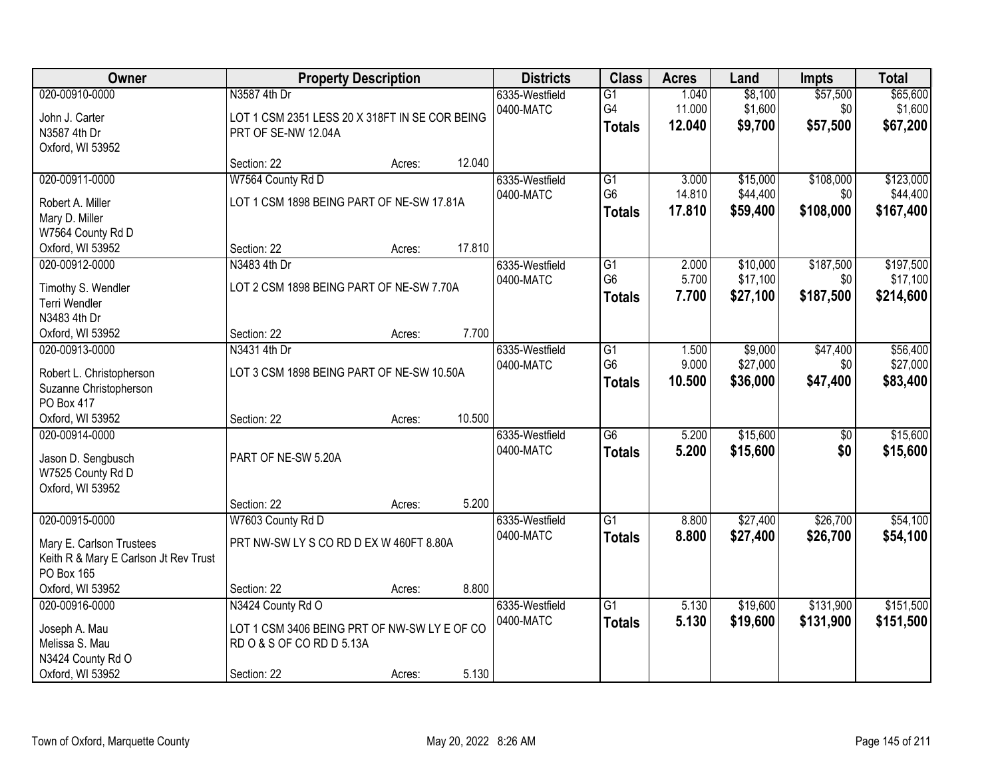| <b>Owner</b>                                                                                      | <b>Property Description</b>                                                                                   |        |        | <b>Districts</b>            | <b>Class</b>                                       | <b>Acres</b>              | Land                             | Impts                         | <b>Total</b>                       |
|---------------------------------------------------------------------------------------------------|---------------------------------------------------------------------------------------------------------------|--------|--------|-----------------------------|----------------------------------------------------|---------------------------|----------------------------------|-------------------------------|------------------------------------|
| 020-00910-0000<br>John J. Carter<br>N3587 4th Dr<br>Oxford, WI 53952                              | N3587 4th Dr<br>LOT 1 CSM 2351 LESS 20 X 318FT IN SE COR BEING<br>PRT OF SE-NW 12.04A                         |        |        | 6335-Westfield<br>0400-MATC | $\overline{G1}$<br>G4<br><b>Totals</b>             | 1.040<br>11.000<br>12.040 | \$8,100<br>\$1,600<br>\$9,700    | \$57,500<br>\$0<br>\$57,500   | \$65,600<br>\$1,600<br>\$67,200    |
|                                                                                                   | Section: 22                                                                                                   | Acres: | 12.040 |                             |                                                    |                           |                                  |                               |                                    |
| 020-00911-0000<br>Robert A. Miller<br>Mary D. Miller                                              | W7564 County Rd D<br>LOT 1 CSM 1898 BEING PART OF NE-SW 17.81A                                                |        |        | 6335-Westfield<br>0400-MATC | $\overline{G1}$<br>G <sub>6</sub><br><b>Totals</b> | 3.000<br>14.810<br>17.810 | \$15,000<br>\$44,400<br>\$59,400 | \$108,000<br>\$0<br>\$108,000 | \$123,000<br>\$44,400<br>\$167,400 |
| W7564 County Rd D<br>Oxford, WI 53952                                                             | Section: 22                                                                                                   | Acres: | 17.810 |                             |                                                    |                           |                                  |                               |                                    |
| 020-00912-0000<br>Timothy S. Wendler<br>Terri Wendler<br>N3483 4th Dr                             | N3483 4th Dr<br>LOT 2 CSM 1898 BEING PART OF NE-SW 7.70A                                                      |        |        | 6335-Westfield<br>0400-MATC | G1<br>G <sub>6</sub><br><b>Totals</b>              | 2.000<br>5.700<br>7.700   | \$10,000<br>\$17,100<br>\$27,100 | \$187,500<br>\$0<br>\$187,500 | \$197,500<br>\$17,100<br>\$214,600 |
| Oxford, WI 53952                                                                                  | Section: 22                                                                                                   | Acres: | 7.700  |                             |                                                    |                           |                                  |                               |                                    |
| 020-00913-0000<br>Robert L. Christopherson<br>Suzanne Christopherson<br>PO Box 417                | N3431 4th Dr<br>LOT 3 CSM 1898 BEING PART OF NE-SW 10.50A                                                     |        |        | 6335-Westfield<br>0400-MATC | G1<br>G <sub>6</sub><br><b>Totals</b>              | 1.500<br>9.000<br>10.500  | \$9,000<br>\$27,000<br>\$36,000  | \$47,400<br>\$0<br>\$47,400   | \$56,400<br>\$27,000<br>\$83,400   |
| Oxford, WI 53952                                                                                  | Section: 22                                                                                                   | Acres: | 10.500 |                             |                                                    |                           |                                  |                               |                                    |
| 020-00914-0000<br>Jason D. Sengbusch<br>W7525 County Rd D<br>Oxford, WI 53952                     | PART OF NE-SW 5.20A                                                                                           |        |        | 6335-Westfield<br>0400-MATC | $\overline{G6}$<br><b>Totals</b>                   | 5.200<br>5.200            | \$15,600<br>\$15,600             | $\overline{50}$<br>\$0        | \$15,600<br>\$15,600               |
|                                                                                                   | Section: 22                                                                                                   | Acres: | 5.200  |                             |                                                    |                           |                                  |                               |                                    |
| 020-00915-0000<br>Mary E. Carlson Trustees<br>Keith R & Mary E Carlson Jt Rev Trust<br>PO Box 165 | W7603 County Rd D<br>PRT NW-SW LY S CO RD D EX W 460FT 8.80A                                                  |        |        | 6335-Westfield<br>0400-MATC | $\overline{G1}$<br><b>Totals</b>                   | 8.800<br>8.800            | \$27,400<br>\$27,400             | \$26,700<br>\$26,700          | \$54,100<br>\$54,100               |
| Oxford, WI 53952                                                                                  | Section: 22                                                                                                   | Acres: | 8.800  |                             |                                                    |                           |                                  |                               |                                    |
| 020-00916-0000<br>Joseph A. Mau<br>Melissa S. Mau<br>N3424 County Rd O<br>Oxford, WI 53952        | N3424 County Rd O<br>LOT 1 CSM 3406 BEING PRT OF NW-SW LY E OF CO<br>RD O & S OF CO RD D 5.13A<br>Section: 22 | Acres: | 5.130  | 6335-Westfield<br>0400-MATC | $\overline{G1}$<br><b>Totals</b>                   | 5.130<br>5.130            | \$19,600<br>\$19,600             | \$131,900<br>\$131,900        | \$151,500<br>\$151,500             |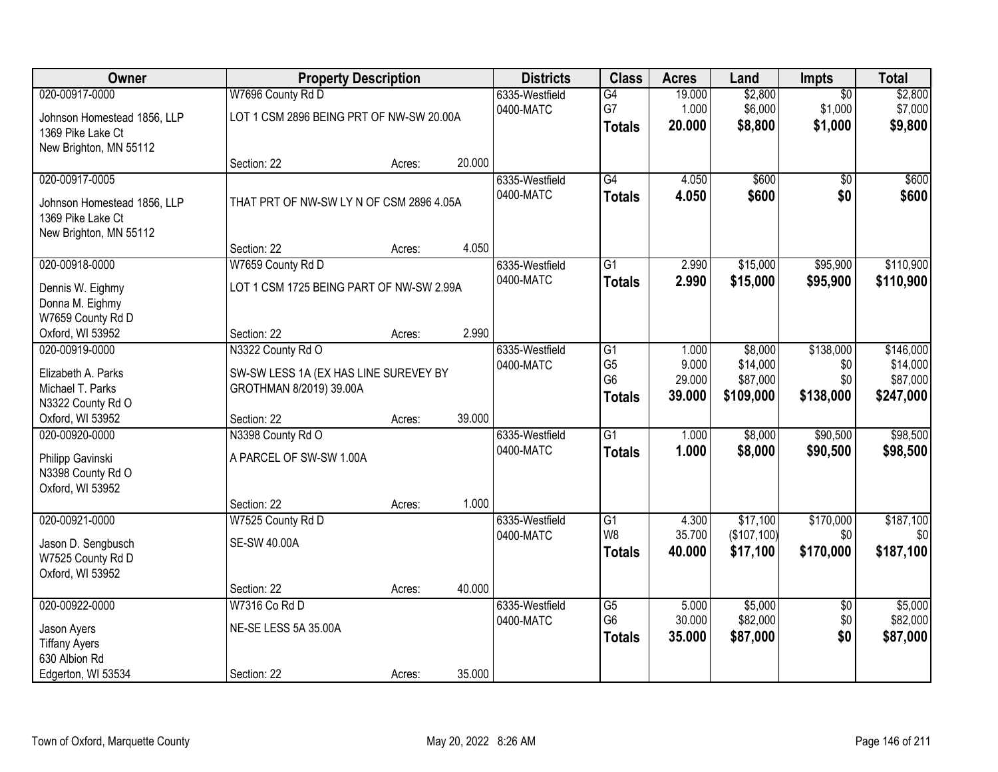| Owner                                 |                                          | <b>Property Description</b> |        | <b>Districts</b> | <b>Class</b>    | <b>Acres</b>    | Land        | Impts           | <b>Total</b>     |
|---------------------------------------|------------------------------------------|-----------------------------|--------|------------------|-----------------|-----------------|-------------|-----------------|------------------|
| 020-00917-0000                        | W7696 County Rd D                        |                             |        | 6335-Westfield   | G4              | 19.000          | \$2,800     | $\overline{50}$ | \$2,800          |
| Johnson Homestead 1856, LLP           | LOT 1 CSM 2896 BEING PRT OF NW-SW 20.00A |                             |        | 0400-MATC        | G7              | 1.000<br>20.000 | \$6,000     | \$1,000         | \$7,000          |
| 1369 Pike Lake Ct                     |                                          |                             |        |                  | <b>Totals</b>   |                 | \$8,800     | \$1,000         | \$9,800          |
| New Brighton, MN 55112                |                                          |                             |        |                  |                 |                 |             |                 |                  |
|                                       | Section: 22                              | Acres:                      | 20.000 |                  |                 |                 |             |                 |                  |
| 020-00917-0005                        |                                          |                             |        | 6335-Westfield   | G4              | 4.050           | \$600       | $\overline{50}$ | \$600            |
| Johnson Homestead 1856, LLP           | THAT PRT OF NW-SW LY N OF CSM 2896 4.05A |                             |        | 0400-MATC        | <b>Totals</b>   | 4.050           | \$600       | \$0             | \$600            |
| 1369 Pike Lake Ct                     |                                          |                             |        |                  |                 |                 |             |                 |                  |
| New Brighton, MN 55112                |                                          |                             |        |                  |                 |                 |             |                 |                  |
|                                       | Section: 22                              | Acres:                      | 4.050  |                  |                 |                 |             |                 |                  |
| 020-00918-0000                        | W7659 County Rd D                        |                             |        | 6335-Westfield   | $\overline{G1}$ | 2.990           | \$15,000    | \$95,900        | \$110,900        |
| Dennis W. Eighmy                      | LOT 1 CSM 1725 BEING PART OF NW-SW 2.99A |                             |        | 0400-MATC        | <b>Totals</b>   | 2.990           | \$15,000    | \$95,900        | \$110,900        |
| Donna M. Eighmy                       |                                          |                             |        |                  |                 |                 |             |                 |                  |
| W7659 County Rd D                     |                                          |                             |        |                  |                 |                 |             |                 |                  |
| Oxford, WI 53952                      | Section: 22                              | Acres:                      | 2.990  |                  |                 |                 |             |                 |                  |
| 020-00919-0000                        | N3322 County Rd O                        |                             |        | 6335-Westfield   | $\overline{G1}$ | 1.000           | \$8,000     | \$138,000       | \$146,000        |
|                                       |                                          |                             |        | 0400-MATC        | G <sub>5</sub>  | 9.000           | \$14,000    | \$0             | \$14,000         |
| Elizabeth A. Parks                    | SW-SW LESS 1A (EX HAS LINE SUREVEY BY    |                             |        |                  | G <sub>6</sub>  | 29.000          | \$87,000    | \$0             | \$87,000         |
| Michael T. Parks<br>N3322 County Rd O | GROTHMAN 8/2019) 39.00A                  |                             |        |                  | <b>Totals</b>   | 39.000          | \$109,000   | \$138,000       | \$247,000        |
| Oxford, WI 53952                      | Section: 22                              | Acres:                      | 39.000 |                  |                 |                 |             |                 |                  |
| 020-00920-0000                        | N3398 County Rd O                        |                             |        | 6335-Westfield   | $\overline{G1}$ | 1.000           | \$8,000     | \$90,500        | \$98,500         |
|                                       |                                          |                             |        | 0400-MATC        | <b>Totals</b>   | 1.000           | \$8,000     | \$90,500        | \$98,500         |
| Philipp Gavinski                      | A PARCEL OF SW-SW 1.00A                  |                             |        |                  |                 |                 |             |                 |                  |
| N3398 County Rd O                     |                                          |                             |        |                  |                 |                 |             |                 |                  |
| Oxford, WI 53952                      |                                          |                             |        |                  |                 |                 |             |                 |                  |
|                                       | Section: 22                              | Acres:                      | 1.000  |                  |                 |                 |             |                 |                  |
| 020-00921-0000                        | W7525 County Rd D                        |                             |        | 6335-Westfield   | $\overline{G1}$ | 4.300           | \$17,100    | \$170,000       | \$187,100        |
| Jason D. Sengbusch                    | <b>SE-SW 40.00A</b>                      |                             |        | 0400-MATC        | W <sub>8</sub>  | 35.700          | (\$107,100) | \$0             | \$0 <sub>1</sub> |
| W7525 County Rd D                     |                                          |                             |        |                  | <b>Totals</b>   | 40.000          | \$17,100    | \$170,000       | \$187,100        |
| Oxford, WI 53952                      |                                          |                             |        |                  |                 |                 |             |                 |                  |
|                                       | Section: 22                              | Acres:                      | 40.000 |                  |                 |                 |             |                 |                  |
| 020-00922-0000                        | W7316 Co Rd D                            |                             |        | 6335-Westfield   | $\overline{G5}$ | 5.000           | \$5,000     | $\overline{50}$ | \$5,000          |
| Jason Ayers                           | NE-SE LESS 5A 35.00A                     |                             |        | 0400-MATC        | G <sub>6</sub>  | 30.000          | \$82,000    | \$0             | \$82,000         |
| <b>Tiffany Ayers</b>                  |                                          |                             |        |                  | <b>Totals</b>   | 35.000          | \$87,000    | \$0             | \$87,000         |
| 630 Albion Rd                         |                                          |                             |        |                  |                 |                 |             |                 |                  |
| Edgerton, WI 53534                    | Section: 22                              | Acres:                      | 35.000 |                  |                 |                 |             |                 |                  |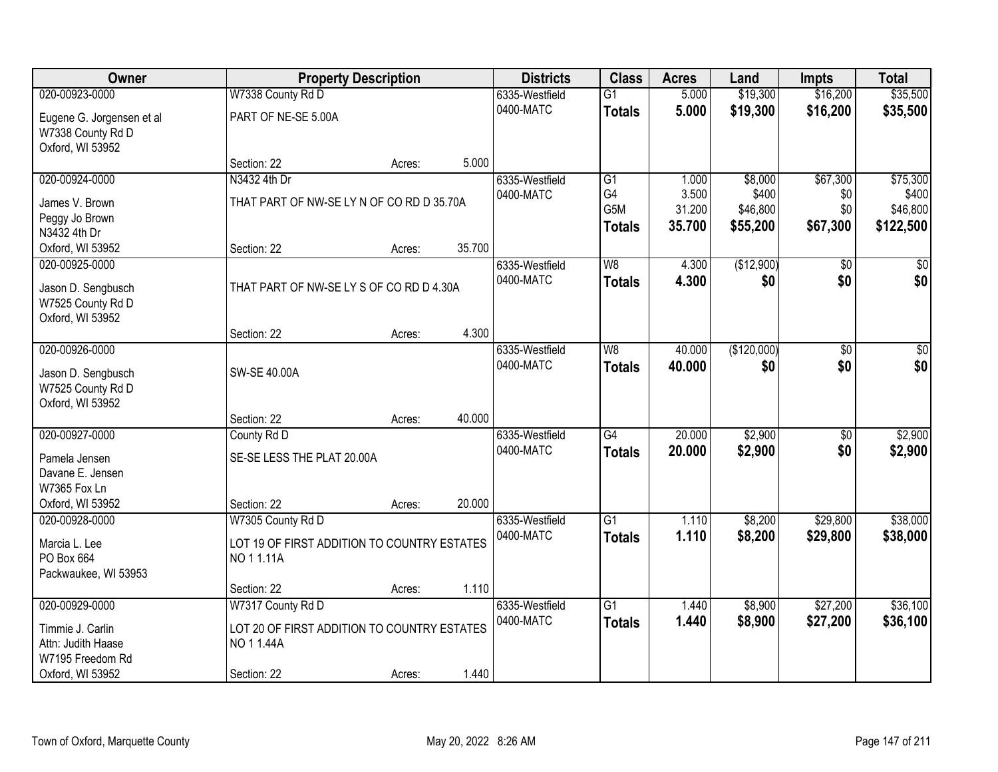| Owner                     |                                             | <b>Property Description</b> |        | <b>Districts</b> | <b>Class</b>    | <b>Acres</b>    | Land              | <b>Impts</b>    | <b>Total</b>      |
|---------------------------|---------------------------------------------|-----------------------------|--------|------------------|-----------------|-----------------|-------------------|-----------------|-------------------|
| 020-00923-0000            | W7338 County Rd D                           |                             |        | 6335-Westfield   | $\overline{G1}$ | 5.000           | \$19,300          | \$16,200        | \$35,500          |
| Eugene G. Jorgensen et al | PART OF NE-SE 5.00A                         |                             |        | 0400-MATC        | <b>Totals</b>   | 5.000           | \$19,300          | \$16,200        | \$35,500          |
| W7338 County Rd D         |                                             |                             |        |                  |                 |                 |                   |                 |                   |
| Oxford, WI 53952          |                                             |                             |        |                  |                 |                 |                   |                 |                   |
|                           | Section: 22                                 | Acres:                      | 5.000  |                  |                 |                 |                   |                 |                   |
| 020-00924-0000            | N3432 4th Dr                                |                             |        | 6335-Westfield   | $\overline{G1}$ | 1.000           | \$8,000           | \$67,300        | \$75,300          |
| James V. Brown            | THAT PART OF NW-SE LY N OF CO RD D 35.70A   |                             |        | 0400-MATC        | G4<br>G5M       | 3.500<br>31.200 | \$400<br>\$46,800 | \$0<br>\$0      | \$400<br>\$46,800 |
| Peggy Jo Brown            |                                             |                             |        |                  | <b>Totals</b>   | 35.700          | \$55,200          | \$67,300        | \$122,500         |
| N3432 4th Dr              |                                             |                             |        |                  |                 |                 |                   |                 |                   |
| Oxford, WI 53952          | Section: 22                                 | Acres:                      | 35.700 |                  |                 |                 |                   |                 |                   |
| 020-00925-0000            |                                             |                             |        | 6335-Westfield   | W8              | 4.300           | (\$12,900)        | \$0             | $\overline{50}$   |
| Jason D. Sengbusch        | THAT PART OF NW-SE LY S OF CO RD D 4.30A    |                             |        | 0400-MATC        | <b>Totals</b>   | 4.300           | \$0               | \$0             | \$0               |
| W7525 County Rd D         |                                             |                             |        |                  |                 |                 |                   |                 |                   |
| Oxford, WI 53952          |                                             |                             |        |                  |                 |                 |                   |                 |                   |
|                           | Section: 22                                 | Acres:                      | 4.300  |                  |                 |                 |                   |                 |                   |
| 020-00926-0000            |                                             |                             |        | 6335-Westfield   | W8              | 40.000          | (\$120,000)       | $\sqrt[6]{}$    | $\sqrt{50}$       |
| Jason D. Sengbusch        | SW-SE 40.00A                                |                             |        | 0400-MATC        | <b>Totals</b>   | 40.000          | \$0               | \$0             | \$0               |
| W7525 County Rd D         |                                             |                             |        |                  |                 |                 |                   |                 |                   |
| Oxford, WI 53952          |                                             |                             |        |                  |                 |                 |                   |                 |                   |
|                           | Section: 22                                 | Acres:                      | 40.000 |                  |                 |                 |                   |                 |                   |
| 020-00927-0000            | County Rd D                                 |                             |        | 6335-Westfield   | $\overline{G4}$ | 20.000          | \$2,900           | $\overline{50}$ | \$2,900           |
| Pamela Jensen             | SE-SE LESS THE PLAT 20.00A                  |                             |        | 0400-MATC        | <b>Totals</b>   | 20.000          | \$2,900           | \$0             | \$2,900           |
| Davane E. Jensen          |                                             |                             |        |                  |                 |                 |                   |                 |                   |
| W7365 Fox Ln              |                                             |                             |        |                  |                 |                 |                   |                 |                   |
| Oxford, WI 53952          | Section: 22                                 | Acres:                      | 20.000 |                  |                 |                 |                   |                 |                   |
| 020-00928-0000            | W7305 County Rd D                           |                             |        | 6335-Westfield   | $\overline{G1}$ | 1.110           | \$8,200           | \$29,800        | \$38,000          |
| Marcia L. Lee             | LOT 19 OF FIRST ADDITION TO COUNTRY ESTATES |                             |        | 0400-MATC        | <b>Totals</b>   | 1.110           | \$8,200           | \$29,800        | \$38,000          |
| PO Box 664                | NO 11.11A                                   |                             |        |                  |                 |                 |                   |                 |                   |
| Packwaukee, WI 53953      |                                             |                             |        |                  |                 |                 |                   |                 |                   |
|                           | Section: 22                                 | Acres:                      | 1.110  |                  |                 |                 |                   |                 |                   |
| 020-00929-0000            | W7317 County Rd D                           |                             |        | 6335-Westfield   | $\overline{G1}$ | 1.440           | \$8,900           | \$27,200        | \$36,100          |
| Timmie J. Carlin          | LOT 20 OF FIRST ADDITION TO COUNTRY ESTATES |                             |        | 0400-MATC        | <b>Totals</b>   | 1.440           | \$8,900           | \$27,200        | \$36,100          |
| Attn: Judith Haase        | NO 11.44A                                   |                             |        |                  |                 |                 |                   |                 |                   |
| W7195 Freedom Rd          |                                             |                             |        |                  |                 |                 |                   |                 |                   |
| Oxford, WI 53952          | Section: 22                                 | Acres:                      | 1.440  |                  |                 |                 |                   |                 |                   |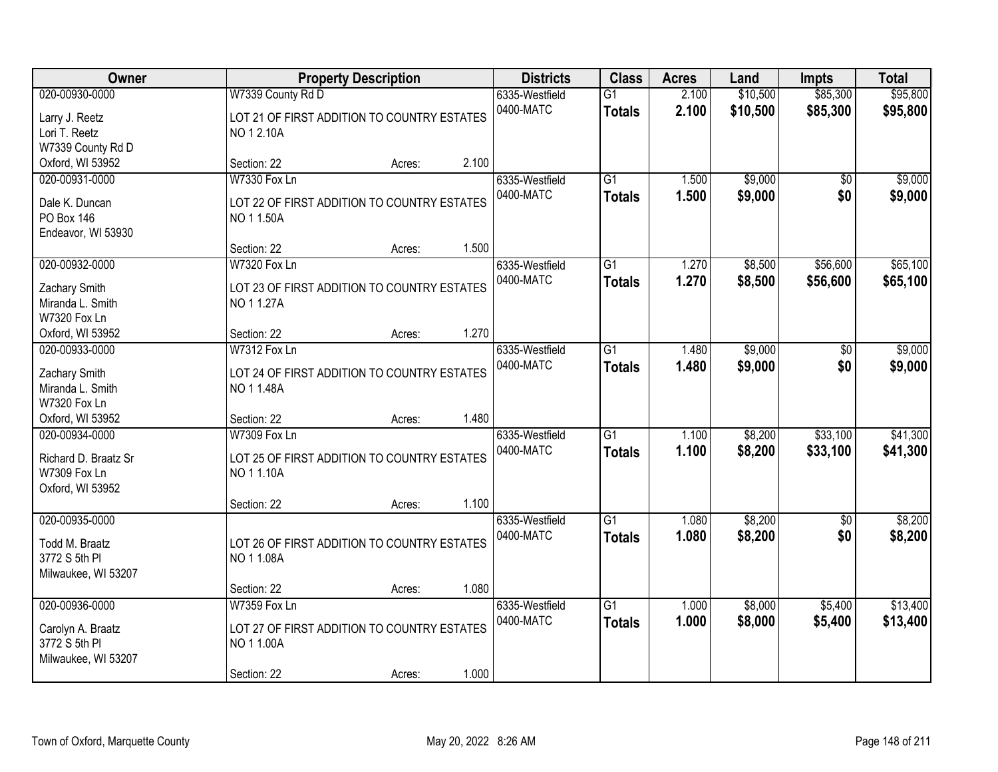| Owner                                                                       |                                                                                 | <b>Property Description</b> |       | <b>Districts</b>            | <b>Class</b>                     | <b>Acres</b>   | Land                 | <b>Impts</b>           | <b>Total</b>         |
|-----------------------------------------------------------------------------|---------------------------------------------------------------------------------|-----------------------------|-------|-----------------------------|----------------------------------|----------------|----------------------|------------------------|----------------------|
| 020-00930-0000<br>Larry J. Reetz<br>Lori T. Reetz                           | W7339 County Rd D<br>LOT 21 OF FIRST ADDITION TO COUNTRY ESTATES<br>NO 1 2.10A  |                             |       | 6335-Westfield<br>0400-MATC | $\overline{G1}$<br><b>Totals</b> | 2.100<br>2.100 | \$10,500<br>\$10,500 | \$85,300<br>\$85,300   | \$95,800<br>\$95,800 |
| W7339 County Rd D<br>Oxford, WI 53952                                       | Section: 22                                                                     | Acres:                      | 2.100 |                             |                                  |                |                      |                        |                      |
| 020-00931-0000<br>Dale K. Duncan<br><b>PO Box 146</b><br>Endeavor, WI 53930 | <b>W7330 Fox Ln</b><br>LOT 22 OF FIRST ADDITION TO COUNTRY ESTATES<br>NO 11.50A |                             |       | 6335-Westfield<br>0400-MATC | $\overline{G1}$<br><b>Totals</b> | 1.500<br>1.500 | \$9,000<br>\$9,000   | $\overline{50}$<br>\$0 | \$9,000<br>\$9,000   |
| 020-00932-0000<br>Zachary Smith                                             | Section: 22<br>W7320 Fox Ln<br>LOT 23 OF FIRST ADDITION TO COUNTRY ESTATES      | Acres:                      | 1.500 | 6335-Westfield<br>0400-MATC | G1<br><b>Totals</b>              | 1.270<br>1.270 | \$8,500<br>\$8,500   | \$56,600<br>\$56,600   | \$65,100<br>\$65,100 |
| Miranda L. Smith<br><b>W7320 Fox Ln</b><br>Oxford, WI 53952                 | NO 11.27A<br>Section: 22                                                        | Acres:                      | 1.270 |                             |                                  |                |                      |                        |                      |
| 020-00933-0000<br>Zachary Smith<br>Miranda L. Smith<br>W7320 Fox Ln         | W7312 Fox Ln<br>LOT 24 OF FIRST ADDITION TO COUNTRY ESTATES<br>NO 11.48A        |                             |       | 6335-Westfield<br>0400-MATC | G1<br><b>Totals</b>              | 1.480<br>1.480 | \$9,000<br>\$9,000   | \$0<br>\$0             | \$9,000<br>\$9,000   |
| Oxford, WI 53952<br>020-00934-0000                                          | Section: 22<br>W7309 Fox Ln                                                     | Acres:                      | 1.480 | 6335-Westfield<br>0400-MATC | $\overline{G1}$<br><b>Totals</b> | 1.100<br>1.100 | \$8,200<br>\$8,200   | \$33,100<br>\$33,100   | \$41,300<br>\$41,300 |
| Richard D. Braatz Sr<br>W7309 Fox Ln<br>Oxford, WI 53952                    | LOT 25 OF FIRST ADDITION TO COUNTRY ESTATES<br>NO 11.10A                        |                             | 1.100 |                             |                                  |                |                      |                        |                      |
| 020-00935-0000<br>Todd M. Braatz<br>3772 S 5th PI<br>Milwaukee, WI 53207    | Section: 22<br>LOT 26 OF FIRST ADDITION TO COUNTRY ESTATES<br>NO 11.08A         | Acres:                      |       | 6335-Westfield<br>0400-MATC | $\overline{G1}$<br><b>Totals</b> | 1.080<br>1.080 | \$8,200<br>\$8,200   | $\sqrt{6}$<br>\$0      | \$8,200<br>\$8,200   |
| 020-00936-0000                                                              | Section: 22<br><b>W7359 Fox Ln</b>                                              | Acres:                      | 1.080 | 6335-Westfield              | G1                               | 1.000          | \$8,000              | \$5,400                | \$13,400             |
| Carolyn A. Braatz<br>3772 S 5th PI<br>Milwaukee, WI 53207                   | LOT 27 OF FIRST ADDITION TO COUNTRY ESTATES<br>NO 11.00A                        |                             |       | 0400-MATC                   | <b>Totals</b>                    | 1.000          | \$8,000              | \$5,400                | \$13,400             |
|                                                                             | Section: 22                                                                     | Acres:                      | 1.000 |                             |                                  |                |                      |                        |                      |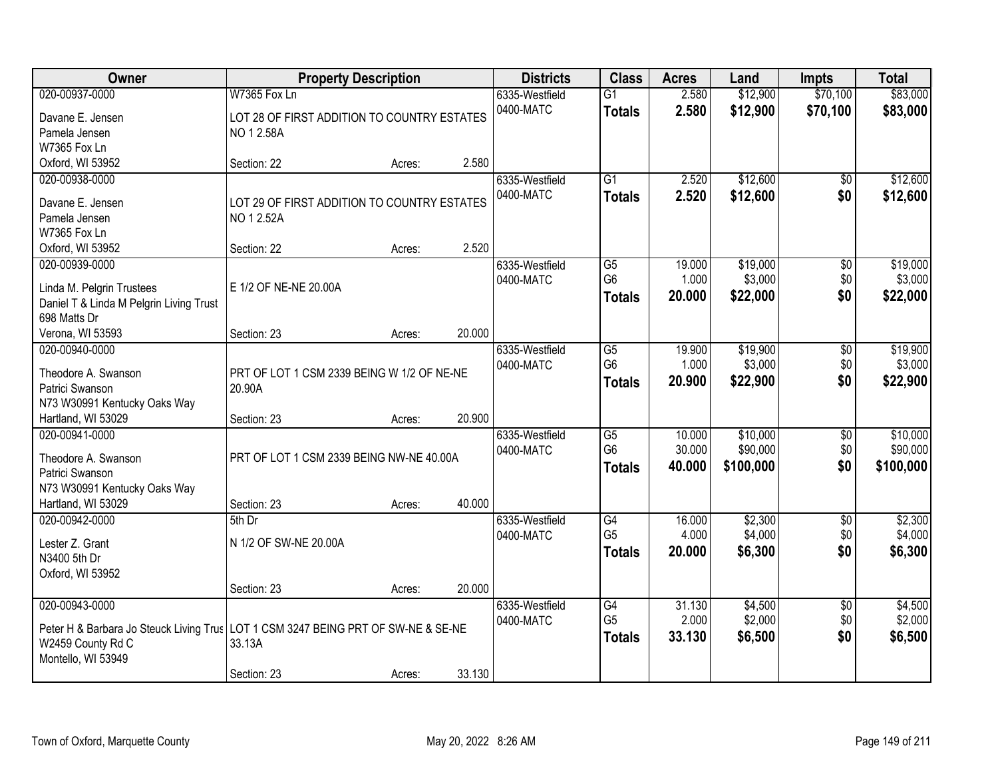| Owner                                                                               | <b>Property Description</b>                 |        |        | <b>Districts</b> | <b>Class</b>    | <b>Acres</b> | Land      | <b>Impts</b>    | <b>Total</b> |
|-------------------------------------------------------------------------------------|---------------------------------------------|--------|--------|------------------|-----------------|--------------|-----------|-----------------|--------------|
| 020-00937-0000                                                                      | <b>W7365 Fox Ln</b>                         |        |        | 6335-Westfield   | $\overline{G1}$ | 2.580        | \$12,900  | \$70,100        | \$83,000     |
| Davane E. Jensen                                                                    | LOT 28 OF FIRST ADDITION TO COUNTRY ESTATES |        |        | 0400-MATC        | <b>Totals</b>   | 2.580        | \$12,900  | \$70,100        | \$83,000     |
| Pamela Jensen                                                                       | NO 12.58A                                   |        |        |                  |                 |              |           |                 |              |
| W7365 Fox Ln                                                                        |                                             |        |        |                  |                 |              |           |                 |              |
| Oxford, WI 53952                                                                    | Section: 22                                 | Acres: | 2.580  |                  |                 |              |           |                 |              |
| 020-00938-0000                                                                      |                                             |        |        | 6335-Westfield   | $\overline{G1}$ | 2.520        | \$12,600  | \$0             | \$12,600     |
|                                                                                     |                                             |        |        | 0400-MATC        | <b>Totals</b>   | 2.520        | \$12,600  | \$0             | \$12,600     |
| Davane E. Jensen                                                                    | LOT 29 OF FIRST ADDITION TO COUNTRY ESTATES |        |        |                  |                 |              |           |                 |              |
| Pamela Jensen                                                                       | NO 1 2.52A                                  |        |        |                  |                 |              |           |                 |              |
| W7365 Fox Ln                                                                        |                                             |        | 2.520  |                  |                 |              |           |                 |              |
| Oxford, WI 53952                                                                    | Section: 22                                 | Acres: |        |                  |                 |              |           |                 |              |
| 020-00939-0000                                                                      |                                             |        |        | 6335-Westfield   | G5              | 19.000       | \$19,000  | $\overline{50}$ | \$19,000     |
| Linda M. Pelgrin Trustees                                                           | E 1/2 OF NE-NE 20.00A                       |        |        | 0400-MATC        | G <sub>6</sub>  | 1.000        | \$3,000   | \$0             | \$3,000      |
| Daniel T & Linda M Pelgrin Living Trust                                             |                                             |        |        |                  | <b>Totals</b>   | 20.000       | \$22,000  | \$0             | \$22,000     |
| 698 Matts Dr                                                                        |                                             |        |        |                  |                 |              |           |                 |              |
| Verona, WI 53593                                                                    | Section: 23                                 | Acres: | 20.000 |                  |                 |              |           |                 |              |
| 020-00940-0000                                                                      |                                             |        |        | 6335-Westfield   | G5              | 19.900       | \$19,900  | \$0             | \$19,900     |
| Theodore A. Swanson                                                                 | PRT OF LOT 1 CSM 2339 BEING W 1/2 OF NE-NE  |        |        | 0400-MATC        | G <sub>6</sub>  | 1.000        | \$3,000   | \$0             | \$3,000      |
| Patrici Swanson                                                                     | 20.90A                                      |        |        |                  | <b>Totals</b>   | 20.900       | \$22,900  | \$0             | \$22,900     |
| N73 W30991 Kentucky Oaks Way                                                        |                                             |        |        |                  |                 |              |           |                 |              |
| Hartland, WI 53029                                                                  | Section: 23                                 | Acres: | 20.900 |                  |                 |              |           |                 |              |
| 020-00941-0000                                                                      |                                             |        |        | 6335-Westfield   | $\overline{G5}$ | 10.000       | \$10,000  | $\overline{50}$ | \$10,000     |
|                                                                                     |                                             |        |        | 0400-MATC        | G <sub>6</sub>  | 30.000       | \$90,000  | \$0             | \$90,000     |
| Theodore A. Swanson                                                                 | PRT OF LOT 1 CSM 2339 BEING NW-NE 40.00A    |        |        |                  | <b>Totals</b>   | 40.000       | \$100,000 | \$0             | \$100,000    |
| Patrici Swanson                                                                     |                                             |        |        |                  |                 |              |           |                 |              |
| N73 W30991 Kentucky Oaks Way                                                        |                                             |        |        |                  |                 |              |           |                 |              |
| Hartland, WI 53029                                                                  | Section: 23                                 | Acres: | 40.000 |                  |                 |              |           |                 |              |
| 020-00942-0000                                                                      | 5th Dr                                      |        |        | 6335-Westfield   | G4              | 16.000       | \$2,300   | $\overline{50}$ | \$2,300      |
| Lester Z. Grant                                                                     | N 1/2 OF SW-NE 20.00A                       |        |        | 0400-MATC        | G <sub>5</sub>  | 4.000        | \$4,000   | \$0             | \$4,000      |
| N3400 5th Dr                                                                        |                                             |        |        |                  | <b>Totals</b>   | 20.000       | \$6,300   | \$0             | \$6,300      |
| Oxford, WI 53952                                                                    |                                             |        |        |                  |                 |              |           |                 |              |
|                                                                                     | Section: 23                                 | Acres: | 20.000 |                  |                 |              |           |                 |              |
| 020-00943-0000                                                                      |                                             |        |        | 6335-Westfield   | G4              | 31.130       | \$4,500   | $\overline{50}$ | \$4,500      |
|                                                                                     |                                             |        |        | 0400-MATC        | G <sub>5</sub>  | 2.000        | \$2,000   | \$0             | \$2,000      |
| Peter H & Barbara Jo Steuck Living Trus   LOT 1 CSM 3247 BEING PRT OF SW-NE & SE-NE |                                             |        |        |                  | <b>Totals</b>   | 33.130       | \$6,500   | \$0             | \$6,500      |
| W2459 County Rd C                                                                   | 33.13A                                      |        |        |                  |                 |              |           |                 |              |
| Montello, WI 53949                                                                  |                                             |        |        |                  |                 |              |           |                 |              |
|                                                                                     | Section: 23                                 | Acres: | 33.130 |                  |                 |              |           |                 |              |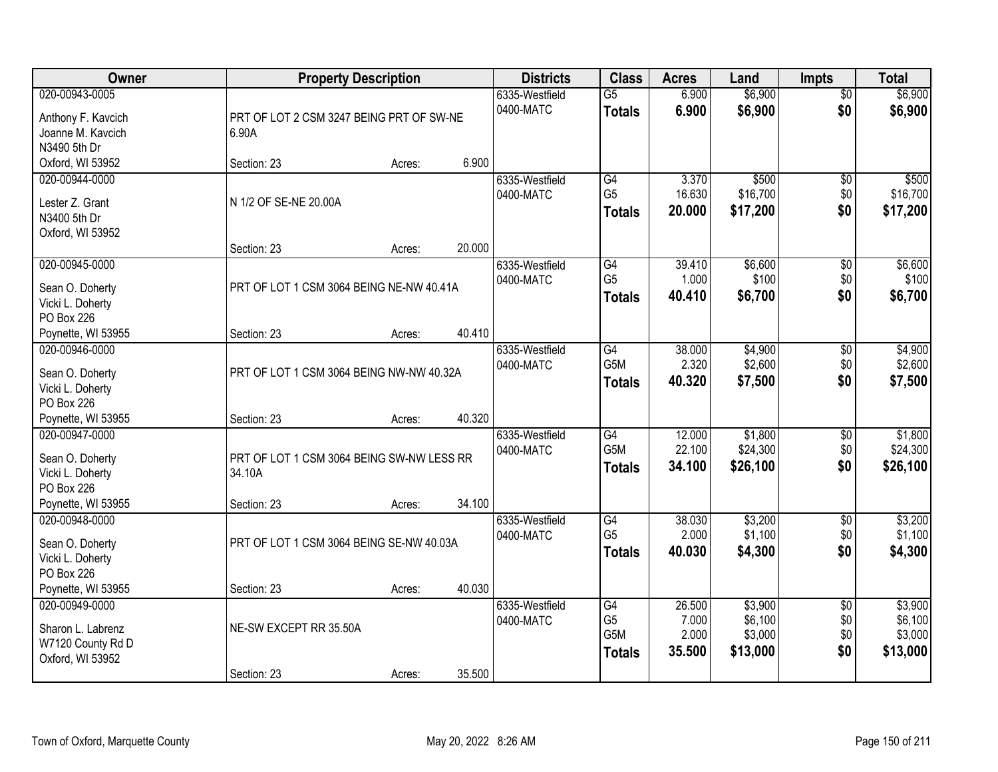| <b>Owner</b>                        | <b>Property Description</b>                         |                  | <b>Districts</b> | <b>Class</b>     | <b>Acres</b> | Land     | <b>Impts</b>    | <b>Total</b> |
|-------------------------------------|-----------------------------------------------------|------------------|------------------|------------------|--------------|----------|-----------------|--------------|
| 020-00943-0005                      |                                                     |                  | 6335-Westfield   | $\overline{G5}$  | 6.900        | \$6,900  | $\overline{50}$ | \$6,900      |
| Anthony F. Kavcich                  | PRT OF LOT 2 CSM 3247 BEING PRT OF SW-NE            |                  | 0400-MATC        | <b>Totals</b>    | 6.900        | \$6,900  | \$0             | \$6,900      |
| Joanne M. Kavcich                   | 6.90A                                               |                  |                  |                  |              |          |                 |              |
| N3490 5th Dr                        |                                                     |                  |                  |                  |              |          |                 |              |
| Oxford, WI 53952                    | Section: 23                                         | 6.900<br>Acres:  |                  |                  |              |          |                 |              |
| 020-00944-0000                      |                                                     |                  | 6335-Westfield   | G4               | 3.370        | \$500    | \$0             | \$500        |
| Lester Z. Grant                     | N 1/2 OF SE-NE 20.00A                               |                  | 0400-MATC        | G <sub>5</sub>   | 16.630       | \$16,700 | \$0             | \$16,700     |
| N3400 5th Dr                        |                                                     |                  |                  | <b>Totals</b>    | 20.000       | \$17,200 | \$0             | \$17,200     |
| Oxford, WI 53952                    |                                                     |                  |                  |                  |              |          |                 |              |
|                                     | Section: 23                                         | 20.000<br>Acres: |                  |                  |              |          |                 |              |
| 020-00945-0000                      |                                                     |                  | 6335-Westfield   | G4               | 39.410       | \$6,600  | \$0             | \$6,600      |
| Sean O. Doherty                     | PRT OF LOT 1 CSM 3064 BEING NE-NW 40.41A            |                  | 0400-MATC        | G <sub>5</sub>   | 1.000        | \$100    | \$0             | \$100        |
| Vicki L. Doherty                    |                                                     |                  |                  | <b>Totals</b>    | 40.410       | \$6,700  | \$0             | \$6,700      |
| PO Box 226                          |                                                     |                  |                  |                  |              |          |                 |              |
| Poynette, WI 53955                  | Section: 23                                         | 40.410<br>Acres: |                  |                  |              |          |                 |              |
| 020-00946-0000                      |                                                     |                  | 6335-Westfield   | G4               | 38.000       | \$4,900  | \$0             | \$4,900      |
|                                     | PRT OF LOT 1 CSM 3064 BEING NW-NW 40.32A            |                  | 0400-MATC        | G5M              | 2.320        | \$2,600  | \$0             | \$2,600      |
| Sean O. Doherty<br>Vicki L. Doherty |                                                     |                  |                  | <b>Totals</b>    | 40.320       | \$7,500  | \$0             | \$7,500      |
| PO Box 226                          |                                                     |                  |                  |                  |              |          |                 |              |
| Poynette, WI 53955                  | Section: 23                                         | 40.320<br>Acres: |                  |                  |              |          |                 |              |
| 020-00947-0000                      |                                                     |                  | 6335-Westfield   | $\overline{G4}$  | 12.000       | \$1,800  | $\overline{50}$ | \$1,800      |
|                                     |                                                     |                  | 0400-MATC        | G <sub>5</sub> M | 22.100       | \$24,300 | \$0             | \$24,300     |
| Sean O. Doherty                     | PRT OF LOT 1 CSM 3064 BEING SW-NW LESS RR<br>34.10A |                  |                  | <b>Totals</b>    | 34.100       | \$26,100 | \$0             | \$26,100     |
| Vicki L. Doherty<br>PO Box 226      |                                                     |                  |                  |                  |              |          |                 |              |
| Poynette, WI 53955                  | Section: 23                                         | 34.100<br>Acres: |                  |                  |              |          |                 |              |
| 020-00948-0000                      |                                                     |                  | 6335-Westfield   | G4               | 38.030       | \$3,200  | $\overline{50}$ | \$3,200      |
|                                     |                                                     |                  | 0400-MATC        | G <sub>5</sub>   | 2.000        | \$1,100  | \$0             | \$1,100      |
| Sean O. Doherty                     | PRT OF LOT 1 CSM 3064 BEING SE-NW 40.03A            |                  |                  | <b>Totals</b>    | 40.030       | \$4,300  | \$0             | \$4,300      |
| Vicki L. Doherty<br>PO Box 226      |                                                     |                  |                  |                  |              |          |                 |              |
| Poynette, WI 53955                  | Section: 23                                         | 40.030<br>Acres: |                  |                  |              |          |                 |              |
| 020-00949-0000                      |                                                     |                  | 6335-Westfield   | G4               | 26.500       | \$3,900  | $\overline{50}$ | \$3,900      |
|                                     |                                                     |                  | 0400-MATC        | G <sub>5</sub>   | 7.000        | \$6,100  | \$0             | \$6,100      |
| Sharon L. Labrenz                   | NE-SW EXCEPT RR 35.50A                              |                  |                  | G5M              | 2.000        | \$3,000  | \$0             | \$3,000      |
| W7120 County Rd D                   |                                                     |                  |                  | <b>Totals</b>    | 35.500       | \$13,000 | \$0             | \$13,000     |
| Oxford, WI 53952                    |                                                     |                  |                  |                  |              |          |                 |              |
|                                     | Section: 23                                         | 35.500<br>Acres: |                  |                  |              |          |                 |              |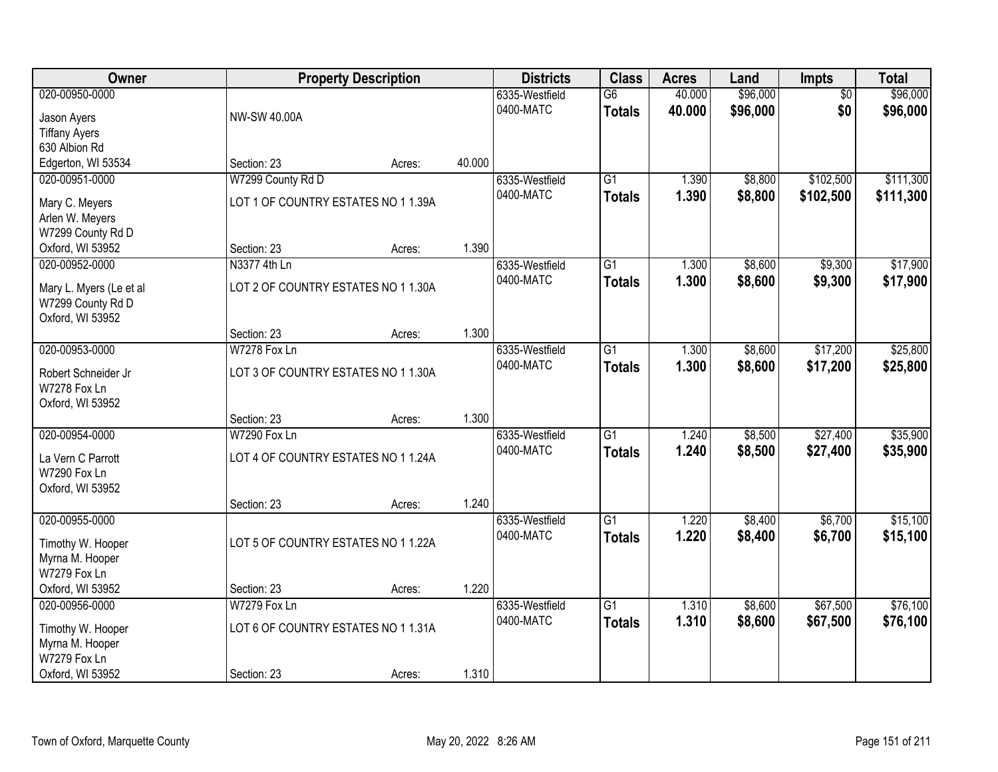| Owner                                                                                      |                                                                    | <b>Property Description</b> |        | <b>Districts</b>            | <b>Class</b>                     | <b>Acres</b>     | Land                 | Impts                  | <b>Total</b>           |
|--------------------------------------------------------------------------------------------|--------------------------------------------------------------------|-----------------------------|--------|-----------------------------|----------------------------------|------------------|----------------------|------------------------|------------------------|
| 020-00950-0000<br>Jason Ayers<br><b>Tiffany Ayers</b>                                      | NW-SW 40.00A                                                       |                             |        | 6335-Westfield<br>0400-MATC | G6<br><b>Totals</b>              | 40.000<br>40.000 | \$96,000<br>\$96,000 | $\overline{50}$<br>\$0 | \$96,000<br>\$96,000   |
| 630 Albion Rd<br>Edgerton, WI 53534                                                        | Section: 23                                                        | Acres:                      | 40.000 |                             |                                  |                  |                      |                        |                        |
| 020-00951-0000<br>Mary C. Meyers<br>Arlen W. Meyers<br>W7299 County Rd D                   | W7299 County Rd D<br>LOT 1 OF COUNTRY ESTATES NO 1 1.39A           |                             |        | 6335-Westfield<br>0400-MATC | $\overline{G1}$<br><b>Totals</b> | 1.390<br>1.390   | \$8,800<br>\$8,800   | \$102,500<br>\$102,500 | \$111,300<br>\$111,300 |
| Oxford, WI 53952                                                                           | Section: 23                                                        | Acres:                      | 1.390  |                             |                                  |                  |                      |                        |                        |
| 020-00952-0000<br>Mary L. Myers (Le et al<br>W7299 County Rd D<br>Oxford, WI 53952         | N3377 4th Ln<br>LOT 2 OF COUNTRY ESTATES NO 1 1.30A                |                             |        | 6335-Westfield<br>0400-MATC | G1<br><b>Totals</b>              | 1.300<br>1.300   | \$8,600<br>\$8,600   | \$9,300<br>\$9,300     | \$17,900<br>\$17,900   |
|                                                                                            | Section: 23                                                        | Acres:                      | 1.300  |                             |                                  |                  |                      |                        |                        |
| 020-00953-0000<br>Robert Schneider Jr<br>W7278 Fox Ln<br>Oxford, WI 53952                  | W7278 Fox Ln<br>LOT 3 OF COUNTRY ESTATES NO 1 1.30A                |                             |        | 6335-Westfield<br>0400-MATC | $\overline{G1}$<br><b>Totals</b> | 1.300<br>1.300   | \$8,600<br>\$8,600   | \$17,200<br>\$17,200   | \$25,800<br>\$25,800   |
|                                                                                            | Section: 23                                                        | Acres:                      | 1.300  |                             |                                  |                  |                      |                        |                        |
| 020-00954-0000<br>La Vern C Parrott<br>W7290 Fox Ln<br>Oxford, WI 53952                    | W7290 Fox Ln<br>LOT 4 OF COUNTRY ESTATES NO 1 1.24A                |                             |        | 6335-Westfield<br>0400-MATC | $\overline{G1}$<br><b>Totals</b> | 1.240<br>1.240   | \$8,500<br>\$8,500   | \$27,400<br>\$27,400   | \$35,900<br>\$35,900   |
| 020-00955-0000                                                                             | Section: 23                                                        | Acres:                      | 1.240  | 6335-Westfield              | $\overline{G1}$                  | 1.220            | \$8,400              | \$6,700                | \$15,100               |
| Timothy W. Hooper<br>Myrna M. Hooper<br>W7279 Fox Ln                                       | LOT 5 OF COUNTRY ESTATES NO 1 1.22A                                |                             |        | 0400-MATC                   | <b>Totals</b>                    | 1.220            | \$8,400              | \$6,700                | \$15,100               |
| Oxford, WI 53952                                                                           | Section: 23                                                        | Acres:                      | 1.220  |                             |                                  |                  |                      |                        |                        |
| 020-00956-0000<br>Timothy W. Hooper<br>Myrna M. Hooper<br>W7279 Fox Ln<br>Oxford, WI 53952 | W7279 Fox Ln<br>LOT 6 OF COUNTRY ESTATES NO 1 1.31A<br>Section: 23 | Acres:                      | 1.310  | 6335-Westfield<br>0400-MATC | $\overline{G1}$<br><b>Totals</b> | 1.310<br>1.310   | \$8,600<br>\$8,600   | \$67,500<br>\$67,500   | \$76,100<br>\$76,100   |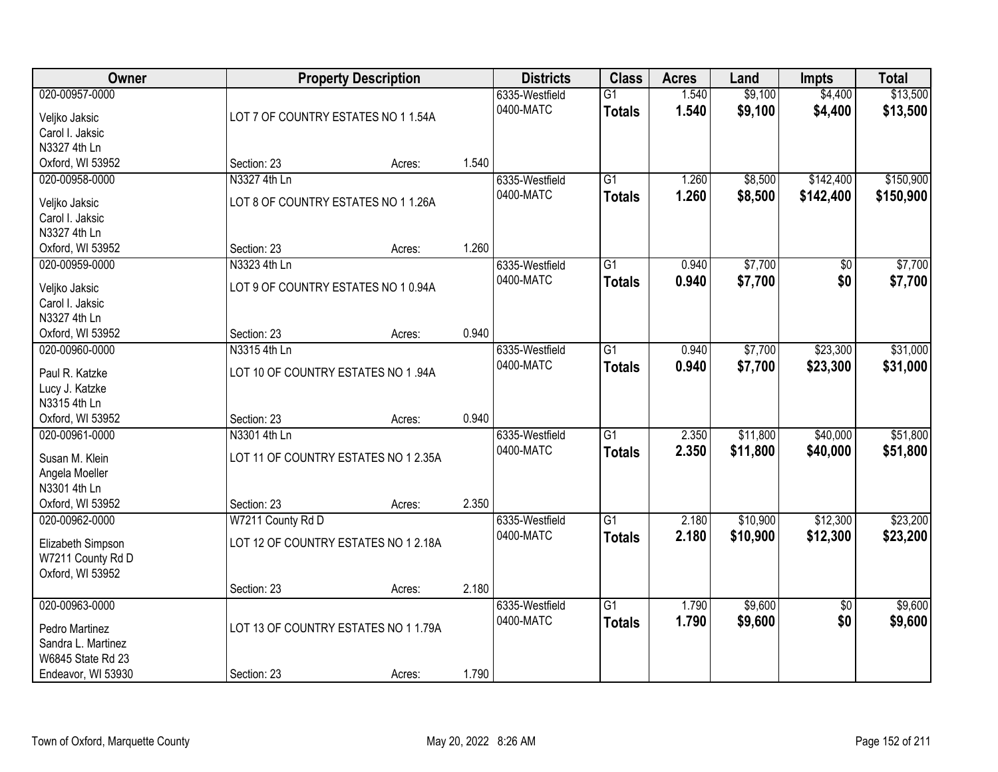| Owner                                              |                                      | <b>Property Description</b> |       | <b>Districts</b>            | <b>Class</b>                     | <b>Acres</b>   | Land               | <b>Impts</b>       | <b>Total</b>         |
|----------------------------------------------------|--------------------------------------|-----------------------------|-------|-----------------------------|----------------------------------|----------------|--------------------|--------------------|----------------------|
| 020-00957-0000<br>Veljko Jaksic<br>Carol I. Jaksic | LOT 7 OF COUNTRY ESTATES NO 1 1.54A  |                             |       | 6335-Westfield<br>0400-MATC | $\overline{G1}$<br><b>Totals</b> | 1.540<br>1.540 | \$9,100<br>\$9,100 | \$4,400<br>\$4,400 | \$13,500<br>\$13,500 |
| N3327 4th Ln                                       |                                      |                             |       |                             |                                  |                |                    |                    |                      |
| Oxford, WI 53952                                   | Section: 23                          | Acres:                      | 1.540 |                             |                                  |                |                    |                    |                      |
| 020-00958-0000                                     | N3327 4th Ln                         |                             |       | 6335-Westfield              | $\overline{G1}$                  | 1.260          | \$8,500            | \$142,400          | \$150,900            |
|                                                    |                                      |                             |       | 0400-MATC                   | <b>Totals</b>                    | 1.260          | \$8,500            | \$142,400          | \$150,900            |
| Veljko Jaksic                                      | LOT 8 OF COUNTRY ESTATES NO 1 1.26A  |                             |       |                             |                                  |                |                    |                    |                      |
| Carol I. Jaksic                                    |                                      |                             |       |                             |                                  |                |                    |                    |                      |
| N3327 4th Ln                                       | Section: 23                          |                             | 1.260 |                             |                                  |                |                    |                    |                      |
| Oxford, WI 53952                                   |                                      | Acres:                      |       |                             |                                  |                |                    |                    |                      |
| 020-00959-0000                                     | N3323 4th Ln                         |                             |       | 6335-Westfield              | G1                               | 0.940          | \$7,700            | \$0                | \$7,700              |
| Veljko Jaksic                                      | LOT 9 OF COUNTRY ESTATES NO 10.94A   |                             |       | 0400-MATC                   | <b>Totals</b>                    | 0.940          | \$7,700            | \$0                | \$7,700              |
| Carol I. Jaksic                                    |                                      |                             |       |                             |                                  |                |                    |                    |                      |
| N3327 4th Ln                                       |                                      |                             |       |                             |                                  |                |                    |                    |                      |
| Oxford, WI 53952                                   | Section: 23                          | Acres:                      | 0.940 |                             |                                  |                |                    |                    |                      |
| 020-00960-0000                                     | N3315 4th Ln                         |                             |       | 6335-Westfield              | G1                               | 0.940          | \$7,700            | \$23,300           | \$31,000             |
| Paul R. Katzke                                     | LOT 10 OF COUNTRY ESTATES NO 1 .94A  |                             |       | 0400-MATC                   | <b>Totals</b>                    | 0.940          | \$7,700            | \$23,300           | \$31,000             |
| Lucy J. Katzke                                     |                                      |                             |       |                             |                                  |                |                    |                    |                      |
| N3315 4th Ln                                       |                                      |                             |       |                             |                                  |                |                    |                    |                      |
| Oxford, WI 53952                                   | Section: 23                          | Acres:                      | 0.940 |                             |                                  |                |                    |                    |                      |
| 020-00961-0000                                     | N3301 4th Ln                         |                             |       | 6335-Westfield              | $\overline{G1}$                  | 2.350          | \$11,800           | \$40,000           | \$51,800             |
| Susan M. Klein                                     | LOT 11 OF COUNTRY ESTATES NO 1 2.35A |                             |       | 0400-MATC                   | <b>Totals</b>                    | 2.350          | \$11,800           | \$40,000           | \$51,800             |
| Angela Moeller                                     |                                      |                             |       |                             |                                  |                |                    |                    |                      |
| N3301 4th Ln                                       |                                      |                             |       |                             |                                  |                |                    |                    |                      |
| Oxford, WI 53952                                   | Section: 23                          | Acres:                      | 2.350 |                             |                                  |                |                    |                    |                      |
| 020-00962-0000                                     | W7211 County Rd D                    |                             |       | 6335-Westfield              | $\overline{G1}$                  | 2.180          | \$10,900           | \$12,300           | \$23,200             |
|                                                    |                                      |                             |       | 0400-MATC                   | <b>Totals</b>                    | 2.180          | \$10,900           | \$12,300           | \$23,200             |
| Elizabeth Simpson                                  | LOT 12 OF COUNTRY ESTATES NO 1 2.18A |                             |       |                             |                                  |                |                    |                    |                      |
| W7211 County Rd D                                  |                                      |                             |       |                             |                                  |                |                    |                    |                      |
| Oxford, WI 53952                                   |                                      |                             |       |                             |                                  |                |                    |                    |                      |
|                                                    | Section: 23                          | Acres:                      | 2.180 |                             |                                  |                |                    |                    |                      |
| 020-00963-0000                                     |                                      |                             |       | 6335-Westfield              | $\overline{G1}$                  | 1.790          | \$9,600            | $\overline{50}$    | \$9,600              |
| Pedro Martinez                                     | LOT 13 OF COUNTRY ESTATES NO 1 1.79A |                             |       | 0400-MATC                   | <b>Totals</b>                    | 1.790          | \$9,600            | \$0                | \$9,600              |
| Sandra L. Martinez                                 |                                      |                             |       |                             |                                  |                |                    |                    |                      |
| W6845 State Rd 23                                  |                                      |                             |       |                             |                                  |                |                    |                    |                      |
| Endeavor, WI 53930                                 | Section: 23                          | Acres:                      | 1.790 |                             |                                  |                |                    |                    |                      |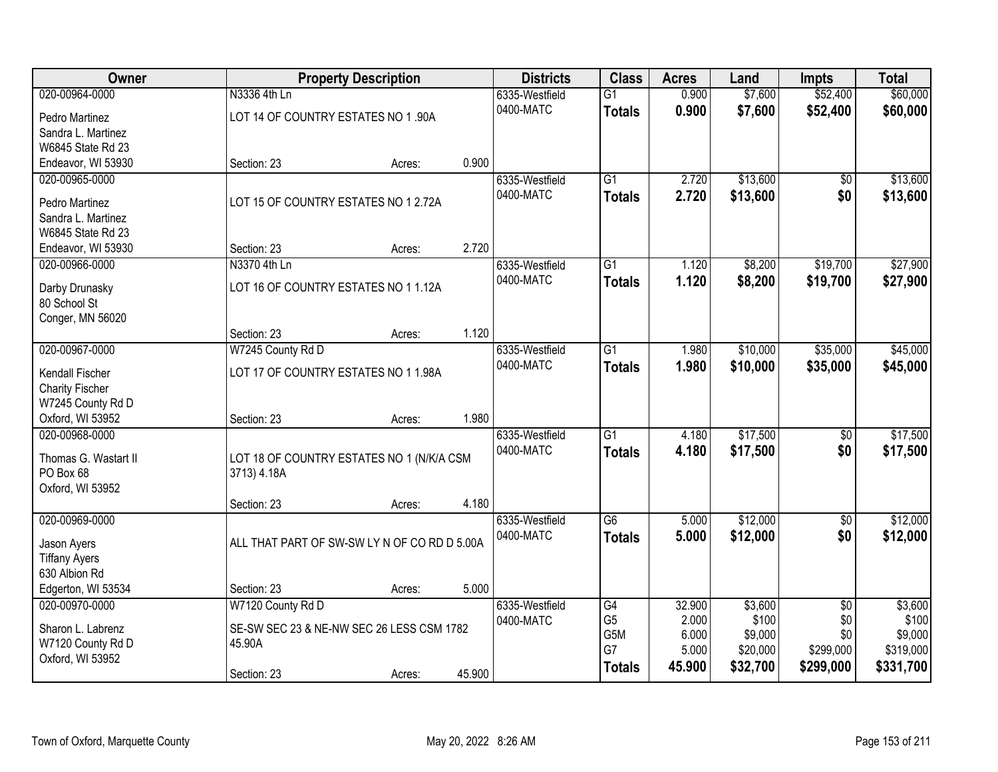| <b>Owner</b>                           |                                                          | <b>Property Description</b> |        | <b>Districts</b> | <b>Class</b>     | <b>Acres</b> | Land     | <b>Impts</b>    | <b>Total</b> |
|----------------------------------------|----------------------------------------------------------|-----------------------------|--------|------------------|------------------|--------------|----------|-----------------|--------------|
| 020-00964-0000                         | N3336 4th Ln                                             |                             |        | 6335-Westfield   | $\overline{G1}$  | 0.900        | \$7,600  | \$52,400        | \$60,000     |
| Pedro Martinez                         | LOT 14 OF COUNTRY ESTATES NO 1 .90A                      |                             |        | 0400-MATC        | <b>Totals</b>    | 0.900        | \$7,600  | \$52,400        | \$60,000     |
| Sandra L. Martinez                     |                                                          |                             |        |                  |                  |              |          |                 |              |
| W6845 State Rd 23                      |                                                          |                             |        |                  |                  |              |          |                 |              |
| Endeavor, WI 53930                     | Section: 23                                              | Acres:                      | 0.900  |                  |                  |              |          |                 |              |
| 020-00965-0000                         |                                                          |                             |        | 6335-Westfield   | $\overline{G1}$  | 2.720        | \$13,600 | $\overline{50}$ | \$13,600     |
| Pedro Martinez                         | LOT 15 OF COUNTRY ESTATES NO 1 2.72A                     |                             |        | 0400-MATC        | <b>Totals</b>    | 2.720        | \$13,600 | \$0             | \$13,600     |
| Sandra L. Martinez                     |                                                          |                             |        |                  |                  |              |          |                 |              |
| W6845 State Rd 23                      |                                                          |                             |        |                  |                  |              |          |                 |              |
| Endeavor, WI 53930                     | Section: 23                                              | Acres:                      | 2.720  |                  |                  |              |          |                 |              |
| 020-00966-0000                         | N3370 4th Ln                                             |                             |        | 6335-Westfield   | $\overline{G1}$  | 1.120        | \$8,200  | \$19,700        | \$27,900     |
| Darby Drunasky                         | LOT 16 OF COUNTRY ESTATES NO 1 1.12A                     |                             |        | 0400-MATC        | <b>Totals</b>    | 1.120        | \$8,200  | \$19,700        | \$27,900     |
| 80 School St                           |                                                          |                             |        |                  |                  |              |          |                 |              |
| Conger, MN 56020                       |                                                          |                             |        |                  |                  |              |          |                 |              |
|                                        | Section: 23                                              | Acres:                      | 1.120  |                  |                  |              |          |                 |              |
| 020-00967-0000                         | W7245 County Rd D                                        |                             |        | 6335-Westfield   | $\overline{G1}$  | 1.980        | \$10,000 | \$35,000        | \$45,000     |
| Kendall Fischer                        | LOT 17 OF COUNTRY ESTATES NO 1 1.98A                     |                             |        | 0400-MATC        | <b>Totals</b>    | 1.980        | \$10,000 | \$35,000        | \$45,000     |
| <b>Charity Fischer</b>                 |                                                          |                             |        |                  |                  |              |          |                 |              |
| W7245 County Rd D                      |                                                          |                             |        |                  |                  |              |          |                 |              |
| Oxford, WI 53952                       | Section: 23                                              | Acres:                      | 1.980  |                  |                  |              |          |                 |              |
| 020-00968-0000                         |                                                          |                             |        | 6335-Westfield   | $\overline{G1}$  | 4.180        | \$17,500 | \$0             | \$17,500     |
| Thomas G. Wastart II                   |                                                          |                             |        | 0400-MATC        | <b>Totals</b>    | 4.180        | \$17,500 | \$0             | \$17,500     |
| PO Box 68                              | LOT 18 OF COUNTRY ESTATES NO 1 (N/K/A CSM<br>3713) 4.18A |                             |        |                  |                  |              |          |                 |              |
| Oxford, WI 53952                       |                                                          |                             |        |                  |                  |              |          |                 |              |
|                                        | Section: 23                                              | Acres:                      | 4.180  |                  |                  |              |          |                 |              |
| 020-00969-0000                         |                                                          |                             |        | 6335-Westfield   | $\overline{G6}$  | 5.000        | \$12,000 | $\overline{60}$ | \$12,000     |
|                                        | ALL THAT PART OF SW-SW LY N OF CO RD D 5.00A             |                             |        | 0400-MATC        | <b>Totals</b>    | 5.000        | \$12,000 | \$0             | \$12,000     |
| Jason Ayers<br><b>Tiffany Ayers</b>    |                                                          |                             |        |                  |                  |              |          |                 |              |
| 630 Albion Rd                          |                                                          |                             |        |                  |                  |              |          |                 |              |
| Edgerton, WI 53534                     | Section: 23                                              | Acres:                      | 5.000  |                  |                  |              |          |                 |              |
| 020-00970-0000                         | W7120 County Rd D                                        |                             |        | 6335-Westfield   | $\overline{G4}$  | 32.900       | \$3,600  | $\overline{50}$ | \$3,600      |
|                                        |                                                          |                             |        | 0400-MATC        | G <sub>5</sub>   | 2.000        | \$100    | \$0             | \$100        |
| Sharon L. Labrenz<br>W7120 County Rd D | SE-SW SEC 23 & NE-NW SEC 26 LESS CSM 1782<br>45.90A      |                             |        |                  | G <sub>5</sub> M | 6.000        | \$9,000  | \$0             | \$9,000      |
| Oxford, WI 53952                       |                                                          |                             |        |                  | G7               | 5.000        | \$20,000 | \$299,000       | \$319,000    |
|                                        | Section: 23                                              | Acres:                      | 45.900 |                  | <b>Totals</b>    | 45.900       | \$32,700 | \$299,000       | \$331,700    |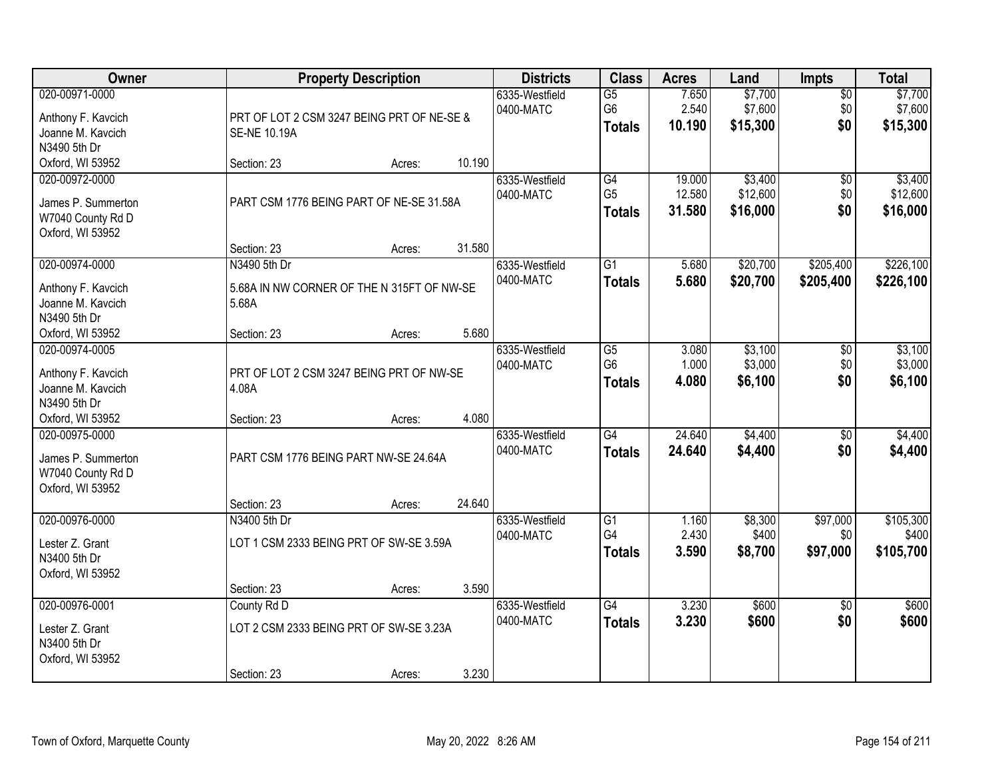| Owner                                                                         |                                                                       | <b>Property Description</b> |        | <b>Districts</b>            | <b>Class</b>                                       | <b>Acres</b>               | Land                            | <b>Impts</b>                  | <b>Total</b>                    |
|-------------------------------------------------------------------------------|-----------------------------------------------------------------------|-----------------------------|--------|-----------------------------|----------------------------------------------------|----------------------------|---------------------------------|-------------------------------|---------------------------------|
| 020-00971-0000<br>Anthony F. Kavcich<br>Joanne M. Kavcich<br>N3490 5th Dr     | PRT OF LOT 2 CSM 3247 BEING PRT OF NE-SE &<br><b>SE-NE 10.19A</b>     |                             |        | 6335-Westfield<br>0400-MATC | $\overline{G5}$<br>G <sub>6</sub><br><b>Totals</b> | 7.650<br>2.540<br>10.190   | \$7,700<br>\$7,600<br>\$15,300  | $\overline{50}$<br>\$0<br>\$0 | \$7,700<br>\$7,600<br>\$15,300  |
| Oxford, WI 53952                                                              | Section: 23                                                           | Acres:                      | 10.190 |                             |                                                    |                            |                                 |                               |                                 |
| 020-00972-0000<br>James P. Summerton<br>W7040 County Rd D<br>Oxford, WI 53952 | PART CSM 1776 BEING PART OF NE-SE 31.58A<br>Section: 23               | Acres:                      | 31.580 | 6335-Westfield<br>0400-MATC | G4<br>G <sub>5</sub><br><b>Totals</b>              | 19.000<br>12.580<br>31.580 | \$3,400<br>\$12,600<br>\$16,000 | \$0<br>\$0<br>\$0             | \$3,400<br>\$12,600<br>\$16,000 |
| 020-00974-0000                                                                | N3490 5th Dr                                                          |                             |        | 6335-Westfield              | $\overline{G1}$                                    | 5.680                      | \$20,700                        | \$205,400                     | \$226,100                       |
| Anthony F. Kavcich<br>Joanne M. Kavcich<br>N3490 5th Dr                       | 5.68A IN NW CORNER OF THE N 315FT OF NW-SE<br>5.68A                   |                             |        | 0400-MATC                   | <b>Totals</b>                                      | 5.680                      | \$20,700                        | \$205,400                     | \$226,100                       |
| Oxford, WI 53952                                                              | Section: 23                                                           | Acres:                      | 5.680  |                             |                                                    |                            |                                 |                               |                                 |
| 020-00974-0005<br>Anthony F. Kavcich<br>Joanne M. Kavcich<br>N3490 5th Dr     | PRT OF LOT 2 CSM 3247 BEING PRT OF NW-SE<br>4.08A                     |                             |        | 6335-Westfield<br>0400-MATC | $\overline{G5}$<br>G <sub>6</sub><br><b>Totals</b> | 3.080<br>1.000<br>4.080    | \$3,100<br>\$3,000<br>\$6,100   | \$0<br>\$0<br>\$0             | \$3,100<br>\$3,000<br>\$6,100   |
| Oxford, WI 53952                                                              | Section: 23                                                           | Acres:                      | 4.080  |                             |                                                    |                            |                                 |                               |                                 |
| 020-00975-0000<br>James P. Summerton<br>W7040 County Rd D<br>Oxford, WI 53952 | PART CSM 1776 BEING PART NW-SE 24.64A<br>Section: 23                  | Acres:                      | 24.640 | 6335-Westfield<br>0400-MATC | $\overline{G4}$<br><b>Totals</b>                   | 24.640<br>24.640           | \$4,400<br>\$4,400              | $\overline{50}$<br>\$0        | \$4,400<br>\$4,400              |
| 020-00976-0000                                                                | N3400 5th Dr                                                          |                             |        | 6335-Westfield              | $\overline{G1}$                                    | 1.160                      | \$8,300                         | \$97,000                      | \$105,300                       |
| Lester Z. Grant<br>N3400 5th Dr<br>Oxford, WI 53952                           | LOT 1 CSM 2333 BEING PRT OF SW-SE 3.59A                               |                             |        | 0400-MATC                   | G4<br><b>Totals</b>                                | 2.430<br>3.590             | \$400<br>\$8,700                | \$0<br>\$97,000               | \$400<br>\$105,700              |
|                                                                               | Section: 23                                                           | Acres:                      | 3.590  |                             |                                                    |                            |                                 |                               |                                 |
| 020-00976-0001<br>Lester Z. Grant<br>N3400 5th Dr<br>Oxford, WI 53952         | County Rd D<br>LOT 2 CSM 2333 BEING PRT OF SW-SE 3.23A<br>Section: 23 | Acres:                      | 3.230  | 6335-Westfield<br>0400-MATC | $\overline{G4}$<br><b>Totals</b>                   | 3.230<br>3.230             | \$600<br>\$600                  | $\overline{50}$<br>\$0        | \$600<br>\$600                  |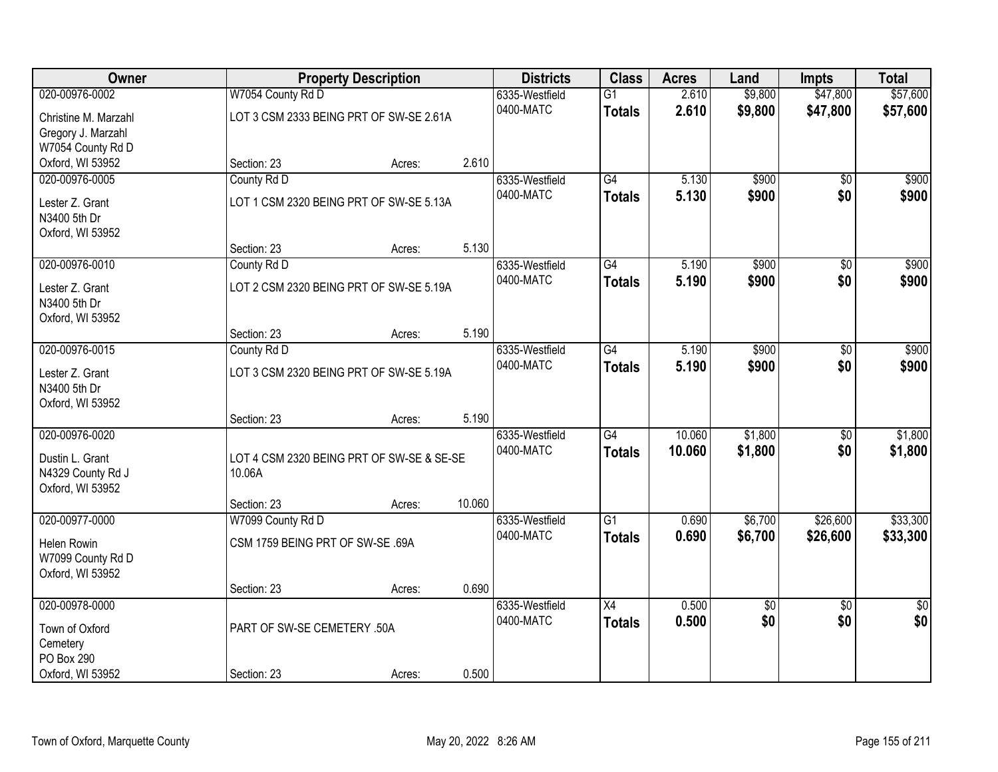| Owner                |                                           | <b>Property Description</b> |        | <b>Districts</b> | <b>Class</b>    | <b>Acres</b> | Land            | <b>Impts</b>    | <b>Total</b>   |
|----------------------|-------------------------------------------|-----------------------------|--------|------------------|-----------------|--------------|-----------------|-----------------|----------------|
| 020-00976-0002       | W7054 County Rd D                         |                             |        | 6335-Westfield   | $\overline{G1}$ | 2.610        | \$9,800         | \$47,800        | \$57,600       |
| Christine M. Marzahl | LOT 3 CSM 2333 BEING PRT OF SW-SE 2.61A   |                             |        | 0400-MATC        | <b>Totals</b>   | 2.610        | \$9,800         | \$47,800        | \$57,600       |
| Gregory J. Marzahl   |                                           |                             |        |                  |                 |              |                 |                 |                |
| W7054 County Rd D    |                                           |                             |        |                  |                 |              |                 |                 |                |
| Oxford, WI 53952     | Section: 23                               | Acres:                      | 2.610  |                  |                 |              |                 |                 |                |
| 020-00976-0005       | County Rd D                               |                             |        | 6335-Westfield   | G4              | 5.130        | \$900           | $\overline{30}$ | \$900          |
| Lester Z. Grant      | LOT 1 CSM 2320 BEING PRT OF SW-SE 5.13A   |                             |        | 0400-MATC        | <b>Totals</b>   | 5.130        | \$900           | \$0             | \$900          |
| N3400 5th Dr         |                                           |                             |        |                  |                 |              |                 |                 |                |
| Oxford, WI 53952     |                                           |                             |        |                  |                 |              |                 |                 |                |
|                      | Section: 23                               | Acres:                      | 5.130  |                  |                 |              |                 |                 |                |
| 020-00976-0010       | County Rd D                               |                             |        | 6335-Westfield   | G4              | 5.190        | \$900           | \$0             | \$900          |
| Lester Z. Grant      | LOT 2 CSM 2320 BEING PRT OF SW-SE 5.19A   |                             |        | 0400-MATC        | <b>Totals</b>   | 5.190        | \$900           | \$0             | \$900          |
| N3400 5th Dr         |                                           |                             |        |                  |                 |              |                 |                 |                |
| Oxford, WI 53952     |                                           |                             |        |                  |                 |              |                 |                 |                |
|                      | Section: 23                               | Acres:                      | 5.190  |                  |                 |              |                 |                 |                |
| 020-00976-0015       | County Rd D                               |                             |        | 6335-Westfield   | $\overline{G4}$ | 5.190        | \$900           | \$0             | \$900          |
| Lester Z. Grant      | LOT 3 CSM 2320 BEING PRT OF SW-SE 5.19A   |                             |        | 0400-MATC        | <b>Totals</b>   | 5.190        | \$900           | \$0             | \$900          |
| N3400 5th Dr         |                                           |                             |        |                  |                 |              |                 |                 |                |
| Oxford, WI 53952     |                                           |                             |        |                  |                 |              |                 |                 |                |
|                      | Section: 23                               | Acres:                      | 5.190  |                  |                 |              |                 |                 |                |
| 020-00976-0020       |                                           |                             |        | 6335-Westfield   | $\overline{G4}$ | 10.060       | \$1,800         | \$0             | \$1,800        |
| Dustin L. Grant      | LOT 4 CSM 2320 BEING PRT OF SW-SE & SE-SE |                             |        | 0400-MATC        | <b>Totals</b>   | 10.060       | \$1,800         | \$0             | \$1,800        |
| N4329 County Rd J    | 10.06A                                    |                             |        |                  |                 |              |                 |                 |                |
| Oxford, WI 53952     |                                           |                             |        |                  |                 |              |                 |                 |                |
|                      | Section: 23                               | Acres:                      | 10.060 |                  |                 |              |                 |                 |                |
| 020-00977-0000       | W7099 County Rd D                         |                             |        | 6335-Westfield   | $\overline{G1}$ | 0.690        | \$6,700         | \$26,600        | \$33,300       |
| Helen Rowin          | CSM 1759 BEING PRT OF SW-SE .69A          |                             |        | 0400-MATC        | <b>Totals</b>   | 0.690        | \$6,700         | \$26,600        | \$33,300       |
| W7099 County Rd D    |                                           |                             |        |                  |                 |              |                 |                 |                |
| Oxford, WI 53952     |                                           |                             |        |                  |                 |              |                 |                 |                |
|                      | Section: 23                               | Acres:                      | 0.690  |                  |                 |              |                 |                 |                |
| 020-00978-0000       |                                           |                             |        | 6335-Westfield   | $\overline{X4}$ | 0.500        | $\overline{50}$ | $\overline{50}$ | $\frac{1}{30}$ |
| Town of Oxford       | PART OF SW-SE CEMETERY .50A               |                             |        | 0400-MATC        | <b>Totals</b>   | 0.500        | \$0             | \$0             | \$0            |
| Cemetery             |                                           |                             |        |                  |                 |              |                 |                 |                |
| PO Box 290           |                                           |                             |        |                  |                 |              |                 |                 |                |
| Oxford, WI 53952     | Section: 23                               | Acres:                      | 0.500  |                  |                 |              |                 |                 |                |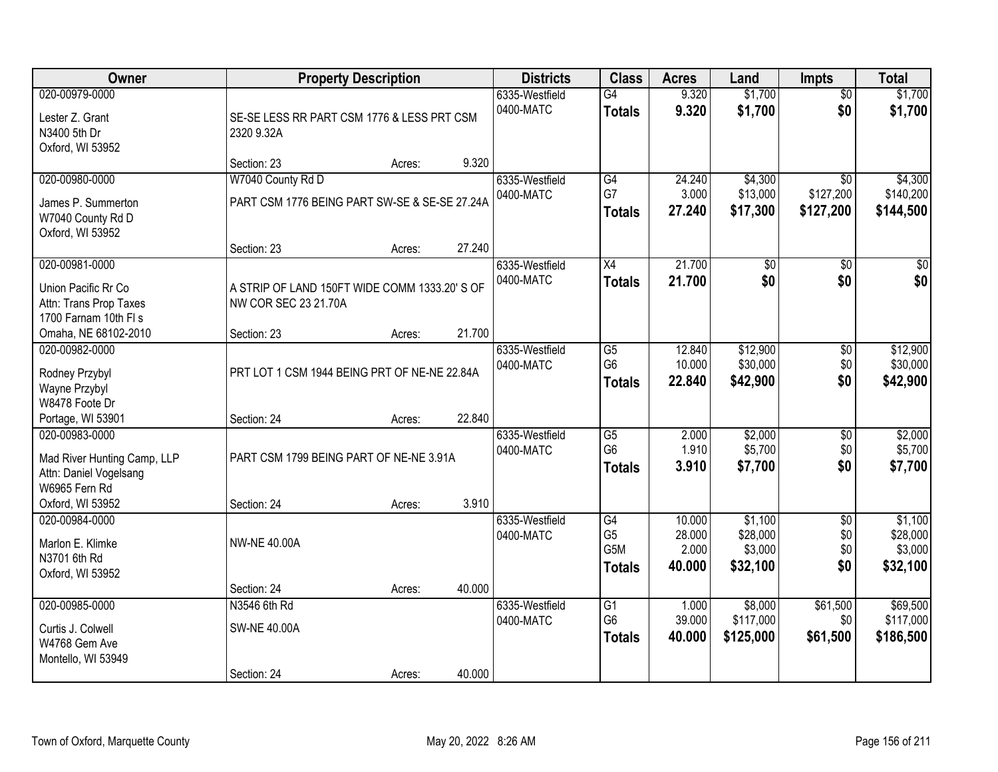| Owner                                                                                                        |                                                                       | <b>Property Description</b> |        | <b>Districts</b>            | <b>Class</b>                                       | <b>Acres</b>               | Land                              | <b>Impts</b>                              | <b>Total</b>                       |
|--------------------------------------------------------------------------------------------------------------|-----------------------------------------------------------------------|-----------------------------|--------|-----------------------------|----------------------------------------------------|----------------------------|-----------------------------------|-------------------------------------------|------------------------------------|
| 020-00979-0000<br>Lester Z. Grant<br>N3400 5th Dr<br>Oxford, WI 53952                                        | SE-SE LESS RR PART CSM 1776 & LESS PRT CSM<br>2320 9.32A              |                             |        | 6335-Westfield<br>0400-MATC | $\overline{G4}$<br><b>Totals</b>                   | 9.320<br>9.320             | \$1,700<br>\$1,700                | $\overline{50}$<br>\$0                    | \$1,700<br>\$1,700                 |
|                                                                                                              | Section: 23                                                           | Acres:                      | 9.320  |                             |                                                    |                            |                                   |                                           |                                    |
| 020-00980-0000<br>James P. Summerton<br>W7040 County Rd D<br>Oxford, WI 53952                                | W7040 County Rd D<br>PART CSM 1776 BEING PART SW-SE & SE-SE 27.24A    |                             | 27.240 | 6335-Westfield<br>0400-MATC | G4<br>G7<br><b>Totals</b>                          | 24.240<br>3.000<br>27.240  | \$4,300<br>\$13,000<br>\$17,300   | $\overline{50}$<br>\$127,200<br>\$127,200 | \$4,300<br>\$140,200<br>\$144,500  |
| 020-00981-0000                                                                                               | Section: 23                                                           | Acres:                      |        | 6335-Westfield              | X4                                                 | 21.700                     | $\overline{50}$                   | \$0                                       | $\overline{50}$                    |
| Union Pacific Rr Co<br>Attn: Trans Prop Taxes<br>1700 Farnam 10th FI s                                       | A STRIP OF LAND 150FT WIDE COMM 1333.20' S OF<br>NW COR SEC 23 21.70A |                             |        | 0400-MATC                   | <b>Totals</b>                                      | 21.700                     | \$0                               | \$0                                       | \$0                                |
| Omaha, NE 68102-2010                                                                                         | Section: 23                                                           | Acres:                      | 21.700 |                             |                                                    |                            |                                   |                                           |                                    |
| 020-00982-0000<br>Rodney Przybyl<br>Wayne Przybyl<br>W8478 Foote Dr                                          | PRT LOT 1 CSM 1944 BEING PRT OF NE-NE 22.84A                          |                             |        | 6335-Westfield<br>0400-MATC | $\overline{G5}$<br>G <sub>6</sub><br><b>Totals</b> | 12.840<br>10.000<br>22,840 | \$12,900<br>\$30,000<br>\$42,900  | \$0<br>\$0<br>\$0                         | \$12,900<br>\$30,000<br>\$42,900   |
| Portage, WI 53901                                                                                            | Section: 24                                                           | Acres:                      | 22.840 |                             |                                                    |                            |                                   |                                           |                                    |
| 020-00983-0000<br>Mad River Hunting Camp, LLP<br>Attn: Daniel Vogelsang<br>W6965 Fern Rd<br>Oxford, WI 53952 | PART CSM 1799 BEING PART OF NE-NE 3.91A                               |                             | 3.910  | 6335-Westfield<br>0400-MATC | $\overline{G5}$<br>G <sub>6</sub><br><b>Totals</b> | 2.000<br>1.910<br>3.910    | \$2,000<br>\$5,700<br>\$7,700     | \$0<br>\$0<br>\$0                         | \$2,000<br>\$5,700<br>\$7,700      |
| 020-00984-0000                                                                                               | Section: 24                                                           | Acres:                      |        | 6335-Westfield              | G4                                                 | 10.000                     | \$1,100                           | $\overline{50}$                           | \$1,100                            |
| Marlon E. Klimke<br>N3701 6th Rd<br>Oxford, WI 53952                                                         | <b>NW-NE 40.00A</b>                                                   |                             |        | 0400-MATC                   | G <sub>5</sub><br>G5M<br><b>Totals</b>             | 28.000<br>2.000<br>40.000  | \$28,000<br>\$3,000<br>\$32,100   | \$0<br>\$0<br>\$0                         | \$28,000<br>\$3,000<br>\$32,100    |
|                                                                                                              | Section: 24                                                           | Acres:                      | 40.000 |                             |                                                    |                            |                                   |                                           |                                    |
| 020-00985-0000<br>Curtis J. Colwell<br>W4768 Gem Ave<br>Montello, WI 53949                                   | N3546 6th Rd<br><b>SW-NE 40.00A</b><br>Section: 24                    | Acres:                      | 40.000 | 6335-Westfield<br>0400-MATC | G1<br>G <sub>6</sub><br><b>Totals</b>              | 1.000<br>39.000<br>40.000  | \$8,000<br>\$117,000<br>\$125,000 | \$61,500<br>\$0<br>\$61,500               | \$69,500<br>\$117,000<br>\$186,500 |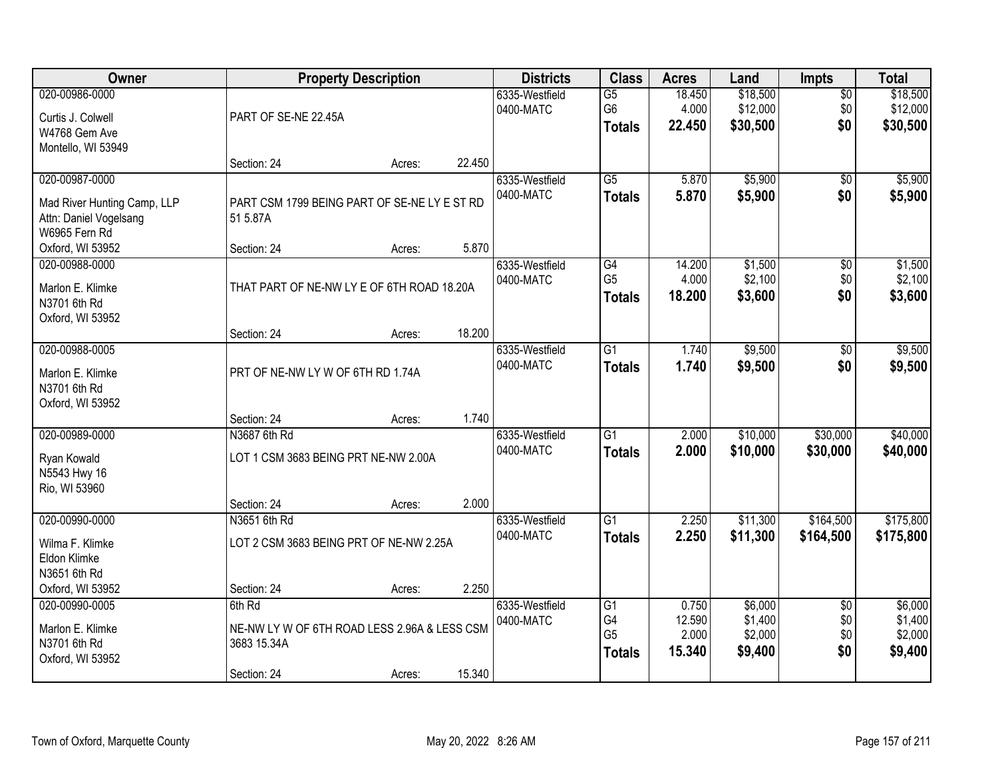| Owner                                                                                    |                                                                                      | <b>Property Description</b> |        | <b>Districts</b>            | <b>Class</b>                                             | <b>Acres</b>                       | Land                                     | <b>Impts</b>                         | <b>Total</b>                             |
|------------------------------------------------------------------------------------------|--------------------------------------------------------------------------------------|-----------------------------|--------|-----------------------------|----------------------------------------------------------|------------------------------------|------------------------------------------|--------------------------------------|------------------------------------------|
| 020-00986-0000<br>Curtis J. Colwell<br>W4768 Gem Ave<br>Montello, WI 53949               | PART OF SE-NE 22.45A                                                                 |                             |        | 6335-Westfield<br>0400-MATC | $\overline{G5}$<br>G6<br><b>Totals</b>                   | 18.450<br>4.000<br>22.450          | \$18,500<br>\$12,000<br>\$30,500         | $\overline{50}$<br>\$0<br>\$0        | \$18,500<br>\$12,000<br>\$30,500         |
|                                                                                          | Section: 24                                                                          | Acres:                      | 22.450 |                             |                                                          |                                    |                                          |                                      |                                          |
| 020-00987-0000<br>Mad River Hunting Camp, LLP<br>Attn: Daniel Vogelsang<br>W6965 Fern Rd | PART CSM 1799 BEING PART OF SE-NE LY E ST RD<br>51 5.87A                             |                             |        | 6335-Westfield<br>0400-MATC | $\overline{G5}$<br><b>Totals</b>                         | 5.870<br>5.870                     | \$5,900<br>\$5,900                       | $\overline{50}$<br>\$0               | \$5,900<br>\$5,900                       |
| Oxford, WI 53952<br>020-00988-0000                                                       | Section: 24                                                                          | Acres:                      | 5.870  | 6335-Westfield              | G4                                                       | 14.200                             | \$1,500                                  | \$0                                  | \$1,500                                  |
| Marlon E. Klimke<br>N3701 6th Rd<br>Oxford, WI 53952                                     | THAT PART OF NE-NW LY E OF 6TH ROAD 18.20A                                           |                             |        | 0400-MATC                   | G <sub>5</sub><br><b>Totals</b>                          | 4.000<br>18.200                    | \$2,100<br>\$3,600                       | \$0<br>\$0                           | \$2,100<br>\$3,600                       |
|                                                                                          | Section: 24                                                                          | Acres:                      | 18.200 |                             |                                                          |                                    |                                          |                                      |                                          |
| 020-00988-0005<br>Marlon E. Klimke<br>N3701 6th Rd<br>Oxford, WI 53952                   | PRT OF NE-NW LY W OF 6TH RD 1.74A                                                    |                             |        | 6335-Westfield<br>0400-MATC | $\overline{G1}$<br><b>Totals</b>                         | 1.740<br>1.740                     | \$9,500<br>\$9,500                       | \$0<br>\$0                           | \$9,500<br>\$9,500                       |
|                                                                                          | Section: 24                                                                          | Acres:                      | 1.740  |                             |                                                          |                                    |                                          |                                      |                                          |
| 020-00989-0000<br>Ryan Kowald<br>N5543 Hwy 16<br>Rio, WI 53960                           | N3687 6th Rd<br>LOT 1 CSM 3683 BEING PRT NE-NW 2.00A<br>Section: 24                  | Acres:                      | 2.000  | 6335-Westfield<br>0400-MATC | $\overline{G1}$<br><b>Totals</b>                         | 2.000<br>2.000                     | \$10,000<br>\$10,000                     | \$30,000<br>\$30,000                 | \$40,000<br>\$40,000                     |
| 020-00990-0000                                                                           | N3651 6th Rd                                                                         |                             |        | 6335-Westfield              | $\overline{G1}$                                          | 2.250                              | \$11,300                                 | \$164,500                            | \$175,800                                |
| Wilma F. Klimke<br>Eldon Klimke<br>N3651 6th Rd                                          | LOT 2 CSM 3683 BEING PRT OF NE-NW 2.25A                                              |                             |        | 0400-MATC                   | <b>Totals</b>                                            | 2.250                              | \$11,300                                 | \$164,500                            | \$175,800                                |
| Oxford, WI 53952                                                                         | Section: 24                                                                          | Acres:                      | 2.250  |                             |                                                          |                                    |                                          |                                      |                                          |
| 020-00990-0005<br>Marlon E. Klimke<br>N3701 6th Rd<br>Oxford, WI 53952                   | 6th Rd<br>NE-NW LY W OF 6TH ROAD LESS 2.96A & LESS CSM<br>3683 15.34A<br>Section: 24 | Acres:                      | 15.340 | 6335-Westfield<br>0400-MATC | $\overline{G1}$<br>G4<br>G <sub>5</sub><br><b>Totals</b> | 0.750<br>12.590<br>2.000<br>15.340 | \$6,000<br>\$1,400<br>\$2,000<br>\$9,400 | $\overline{50}$<br>\$0<br>\$0<br>\$0 | \$6,000<br>\$1,400<br>\$2,000<br>\$9,400 |
|                                                                                          |                                                                                      |                             |        |                             |                                                          |                                    |                                          |                                      |                                          |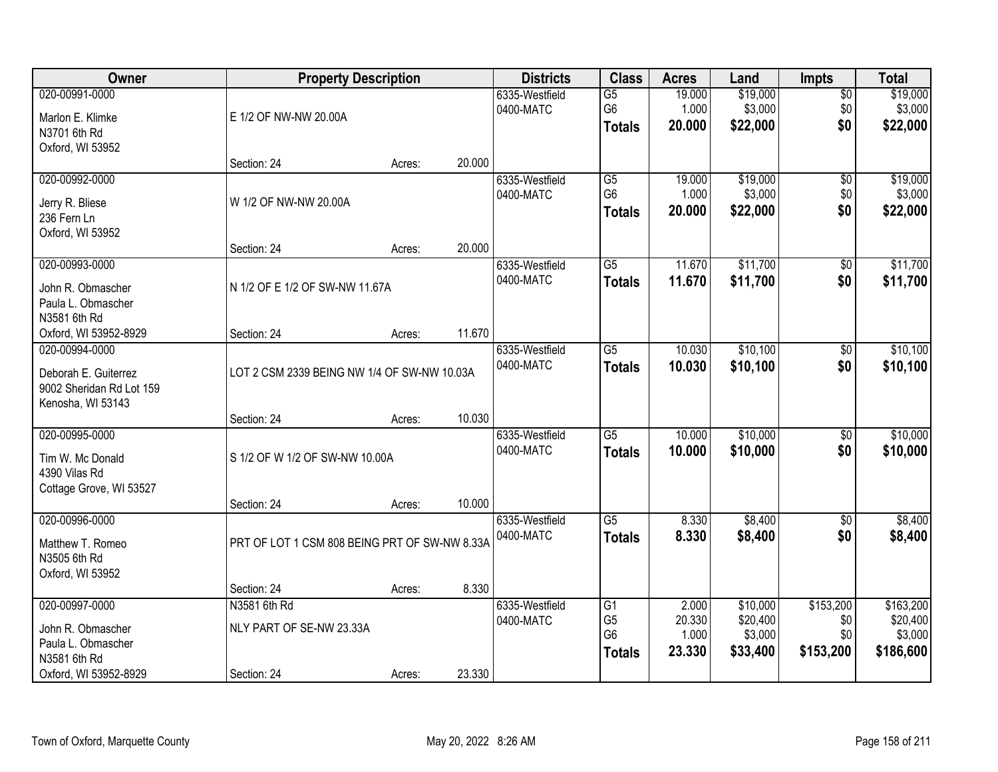| Owner                                                                                              | <b>Property Description</b>                             |        |        | <b>Districts</b>            | <b>Class</b>                                            | <b>Acres</b>                       | Land                                        | Impts                                | <b>Total</b>                                  |
|----------------------------------------------------------------------------------------------------|---------------------------------------------------------|--------|--------|-----------------------------|---------------------------------------------------------|------------------------------------|---------------------------------------------|--------------------------------------|-----------------------------------------------|
| 020-00991-0000<br>Marlon E. Klimke<br>N3701 6th Rd                                                 | E 1/2 OF NW-NW 20.00A                                   |        |        | 6335-Westfield<br>0400-MATC | G5<br>G <sub>6</sub><br><b>Totals</b>                   | 19.000<br>1.000<br>20.000          | \$19,000<br>\$3,000<br>\$22,000             | $\overline{50}$<br>\$0<br>\$0        | \$19,000<br>\$3,000<br>\$22,000               |
| Oxford, WI 53952                                                                                   | Section: 24                                             | Acres: | 20.000 |                             |                                                         |                                    |                                             |                                      |                                               |
| 020-00992-0000<br>Jerry R. Bliese<br>236 Fern Ln<br>Oxford, WI 53952                               | W 1/2 OF NW-NW 20.00A                                   |        |        | 6335-Westfield<br>0400-MATC | $\overline{G5}$<br>G <sub>6</sub><br><b>Totals</b>      | 19.000<br>1.000<br>20.000          | \$19,000<br>\$3,000<br>\$22,000             | $\overline{50}$<br>\$0<br>\$0        | \$19,000<br>\$3,000<br>\$22,000               |
|                                                                                                    | Section: 24                                             | Acres: | 20.000 |                             |                                                         |                                    |                                             |                                      |                                               |
| 020-00993-0000<br>John R. Obmascher<br>Paula L. Obmascher<br>N3581 6th Rd                          | N 1/2 OF E 1/2 OF SW-NW 11.67A                          |        |        | 6335-Westfield<br>0400-MATC | G5<br><b>Totals</b>                                     | 11.670<br>11.670                   | \$11,700<br>\$11,700                        | \$0<br>\$0                           | \$11,700<br>\$11,700                          |
| Oxford, WI 53952-8929                                                                              | Section: 24                                             | Acres: | 11.670 |                             |                                                         |                                    |                                             |                                      |                                               |
| 020-00994-0000<br>Deborah E. Guiterrez<br>9002 Sheridan Rd Lot 159<br>Kenosha, WI 53143            | LOT 2 CSM 2339 BEING NW 1/4 OF SW-NW 10.03A             |        |        | 6335-Westfield<br>0400-MATC | G5<br><b>Totals</b>                                     | 10.030<br>10.030                   | \$10,100<br>\$10,100                        | \$0<br>\$0                           | \$10,100<br>\$10,100                          |
|                                                                                                    | Section: 24                                             | Acres: | 10.030 |                             |                                                         |                                    |                                             |                                      |                                               |
| 020-00995-0000<br>Tim W. Mc Donald<br>4390 Vilas Rd<br>Cottage Grove, WI 53527                     | S 1/2 OF W 1/2 OF SW-NW 10.00A<br>Section: 24           | Acres: | 10.000 | 6335-Westfield<br>0400-MATC | $\overline{G5}$<br><b>Totals</b>                        | 10.000<br>10.000                   | \$10,000<br>\$10,000                        | $\overline{50}$<br>\$0               | \$10,000<br>\$10,000                          |
| 020-00996-0000                                                                                     |                                                         |        |        | 6335-Westfield              | G5                                                      | 8.330                              | \$8,400                                     | $\overline{50}$                      | \$8,400                                       |
| Matthew T. Romeo<br>N3505 6th Rd<br>Oxford, WI 53952                                               | PRT OF LOT 1 CSM 808 BEING PRT OF SW-NW 8.33A           |        |        | 0400-MATC                   | <b>Totals</b>                                           | 8.330                              | \$8,400                                     | \$0                                  | \$8,400                                       |
|                                                                                                    | Section: 24                                             | Acres: | 8.330  |                             |                                                         |                                    |                                             |                                      |                                               |
| 020-00997-0000<br>John R. Obmascher<br>Paula L. Obmascher<br>N3581 6th Rd<br>Oxford, WI 53952-8929 | N3581 6th Rd<br>NLY PART OF SE-NW 23.33A<br>Section: 24 | Acres: | 23.330 | 6335-Westfield<br>0400-MATC | G1<br>G <sub>5</sub><br>G <sub>6</sub><br><b>Totals</b> | 2.000<br>20.330<br>1.000<br>23.330 | \$10,000<br>\$20,400<br>\$3,000<br>\$33,400 | \$153,200<br>\$0<br>\$0<br>\$153,200 | \$163,200<br>\$20,400<br>\$3,000<br>\$186,600 |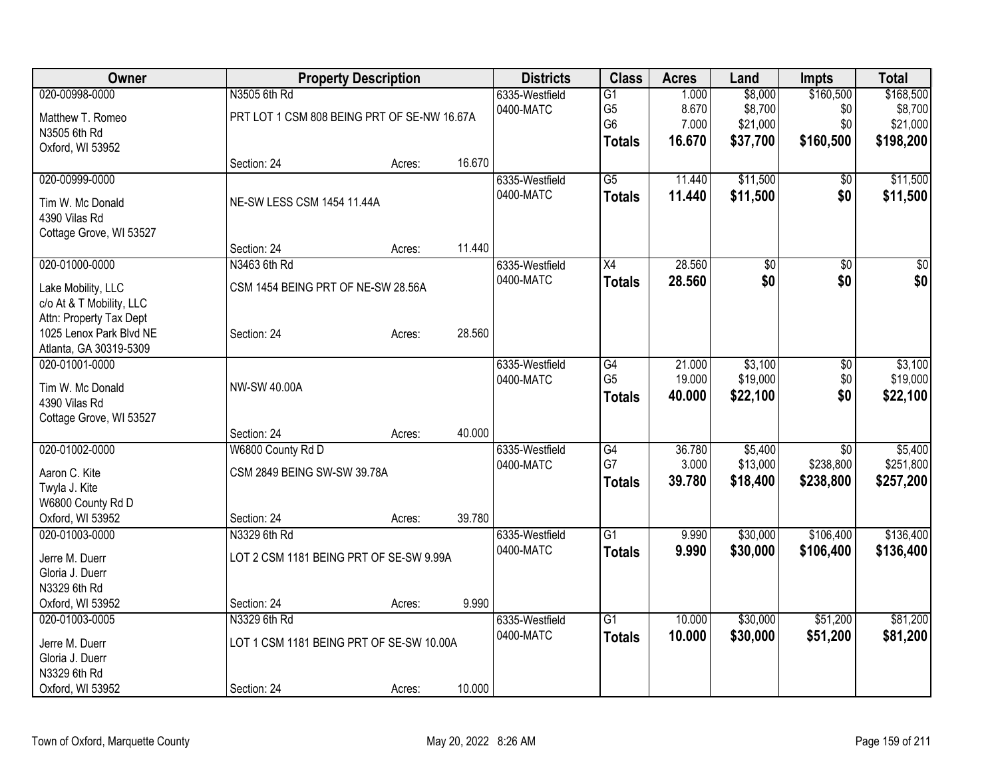| Owner                                              |                                             | <b>Property Description</b> |        | <b>Districts</b> | <b>Class</b>    | <b>Acres</b> | Land            | <b>Impts</b>    | <b>Total</b>    |
|----------------------------------------------------|---------------------------------------------|-----------------------------|--------|------------------|-----------------|--------------|-----------------|-----------------|-----------------|
| 020-00998-0000                                     | N3505 6th Rd                                |                             |        | 6335-Westfield   | $\overline{G1}$ | 1.000        | \$8,000         | \$160,500       | \$168,500       |
| Matthew T. Romeo                                   | PRT LOT 1 CSM 808 BEING PRT OF SE-NW 16.67A |                             |        | 0400-MATC        | G <sub>5</sub>  | 8.670        | \$8,700         | \$0             | \$8,700         |
| N3505 6th Rd                                       |                                             |                             |        |                  | G <sub>6</sub>  | 7.000        | \$21,000        | \$0             | \$21,000        |
| Oxford, WI 53952                                   |                                             |                             |        |                  | <b>Totals</b>   | 16.670       | \$37,700        | \$160,500       | \$198,200       |
|                                                    | Section: 24                                 | Acres:                      | 16.670 |                  |                 |              |                 |                 |                 |
| 020-00999-0000                                     |                                             |                             |        | 6335-Westfield   | $\overline{G5}$ | 11.440       | \$11,500        | $\overline{50}$ | \$11,500        |
| Tim W. Mc Donald                                   | NE-SW LESS CSM 1454 11.44A                  |                             |        | 0400-MATC        | <b>Totals</b>   | 11.440       | \$11,500        | \$0             | \$11,500        |
| 4390 Vilas Rd                                      |                                             |                             |        |                  |                 |              |                 |                 |                 |
| Cottage Grove, WI 53527                            |                                             |                             |        |                  |                 |              |                 |                 |                 |
|                                                    | Section: 24                                 | Acres:                      | 11.440 |                  |                 |              |                 |                 |                 |
| 020-01000-0000                                     | N3463 6th Rd                                |                             |        | 6335-Westfield   | $\overline{X4}$ | 28.560       | $\overline{50}$ | $\overline{50}$ | $\overline{50}$ |
|                                                    |                                             |                             |        | 0400-MATC        | <b>Totals</b>   | 28.560       | \$0             | \$0             | \$0             |
| Lake Mobility, LLC                                 | CSM 1454 BEING PRT OF NE-SW 28.56A          |                             |        |                  |                 |              |                 |                 |                 |
| c/o At & T Mobility, LLC                           |                                             |                             |        |                  |                 |              |                 |                 |                 |
| Attn: Property Tax Dept<br>1025 Lenox Park Blvd NE | Section: 24                                 | Acres:                      | 28.560 |                  |                 |              |                 |                 |                 |
| Atlanta, GA 30319-5309                             |                                             |                             |        |                  |                 |              |                 |                 |                 |
| 020-01001-0000                                     |                                             |                             |        | 6335-Westfield   | G4              | 21.000       | \$3,100         | \$0             | \$3,100         |
|                                                    |                                             |                             |        | 0400-MATC        | G <sub>5</sub>  | 19.000       | \$19,000        | \$0             | \$19,000        |
| Tim W. Mc Donald                                   | NW-SW 40.00A                                |                             |        |                  | <b>Totals</b>   | 40.000       | \$22,100        | \$0             | \$22,100        |
| 4390 Vilas Rd                                      |                                             |                             |        |                  |                 |              |                 |                 |                 |
| Cottage Grove, WI 53527                            |                                             |                             |        |                  |                 |              |                 |                 |                 |
|                                                    | Section: 24                                 | Acres:                      | 40.000 |                  |                 |              |                 |                 |                 |
| 020-01002-0000                                     | W6800 County Rd D                           |                             |        | 6335-Westfield   | $\overline{G4}$ | 36.780       | \$5,400         | \$0             | \$5,400         |
| Aaron C. Kite                                      | CSM 2849 BEING SW-SW 39.78A                 |                             |        | 0400-MATC        | G7              | 3.000        | \$13,000        | \$238,800       | \$251,800       |
| Twyla J. Kite                                      |                                             |                             |        |                  | <b>Totals</b>   | 39.780       | \$18,400        | \$238,800       | \$257,200       |
| W6800 County Rd D                                  |                                             |                             |        |                  |                 |              |                 |                 |                 |
| Oxford, WI 53952                                   | Section: 24                                 | Acres:                      | 39.780 |                  |                 |              |                 |                 |                 |
| 020-01003-0000                                     | N3329 6th Rd                                |                             |        | 6335-Westfield   | $\overline{G1}$ | 9.990        | \$30,000        | \$106,400       | \$136,400       |
| Jerre M. Duerr                                     | LOT 2 CSM 1181 BEING PRT OF SE-SW 9.99A     |                             |        | 0400-MATC        | <b>Totals</b>   | 9.990        | \$30,000        | \$106,400       | \$136,400       |
| Gloria J. Duerr                                    |                                             |                             |        |                  |                 |              |                 |                 |                 |
| N3329 6th Rd                                       |                                             |                             |        |                  |                 |              |                 |                 |                 |
| Oxford, WI 53952                                   | Section: 24                                 | Acres:                      | 9.990  |                  |                 |              |                 |                 |                 |
| 020-01003-0005                                     | N3329 6th Rd                                |                             |        | 6335-Westfield   | $\overline{G1}$ | 10.000       | \$30,000        | \$51,200        | \$81,200        |
| Jerre M. Duerr                                     | LOT 1 CSM 1181 BEING PRT OF SE-SW 10.00A    |                             |        | 0400-MATC        | <b>Totals</b>   | 10.000       | \$30,000        | \$51,200        | \$81,200        |
| Gloria J. Duerr                                    |                                             |                             |        |                  |                 |              |                 |                 |                 |
| N3329 6th Rd                                       |                                             |                             |        |                  |                 |              |                 |                 |                 |
| Oxford, WI 53952                                   | Section: 24                                 | Acres:                      | 10.000 |                  |                 |              |                 |                 |                 |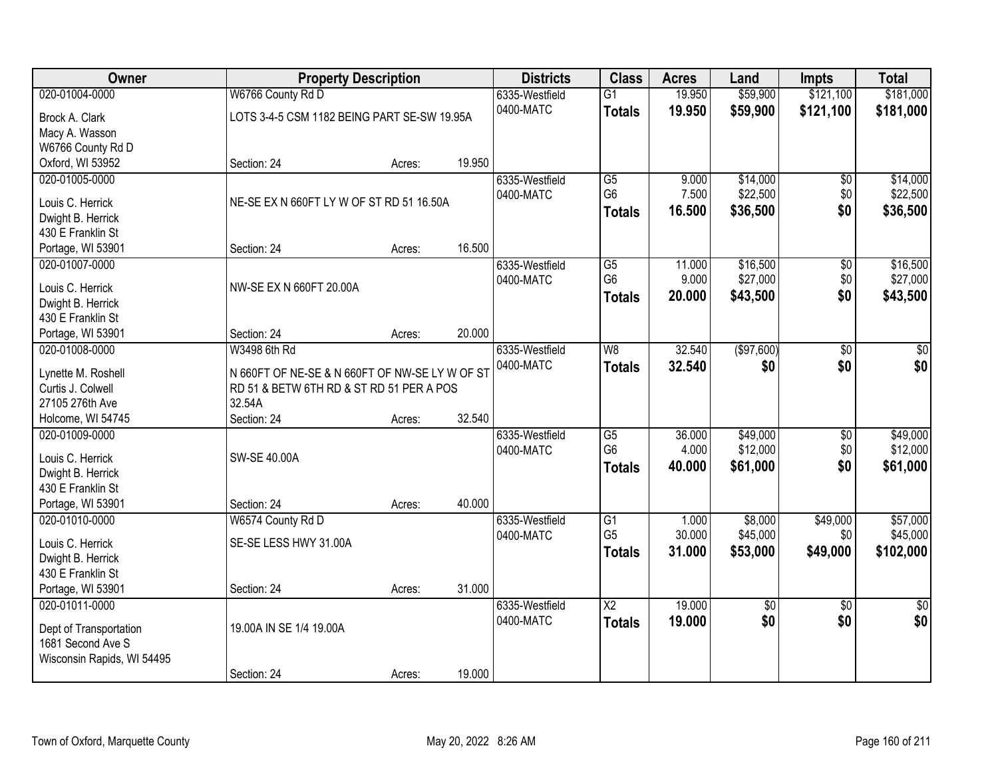| Owner                                   | <b>Property Description</b>                    |        |        | <b>Districts</b> | <b>Class</b>             | <b>Acres</b> | Land       | <b>Impts</b>    | <b>Total</b>    |
|-----------------------------------------|------------------------------------------------|--------|--------|------------------|--------------------------|--------------|------------|-----------------|-----------------|
| 020-01004-0000                          | W6766 County Rd D                              |        |        | 6335-Westfield   | $\overline{G1}$          | 19.950       | \$59,900   | \$121,100       | \$181,000       |
| Brock A. Clark                          | LOTS 3-4-5 CSM 1182 BEING PART SE-SW 19.95A    |        |        | 0400-MATC        | <b>Totals</b>            | 19.950       | \$59,900   | \$121,100       | \$181,000       |
| Macy A. Wasson                          |                                                |        |        |                  |                          |              |            |                 |                 |
| W6766 County Rd D                       |                                                |        |        |                  |                          |              |            |                 |                 |
| Oxford, WI 53952                        | Section: 24                                    | Acres: | 19.950 |                  |                          |              |            |                 |                 |
| 020-01005-0000                          |                                                |        |        | 6335-Westfield   | G5                       | 9.000        | \$14,000   | \$0             | \$14,000        |
|                                         |                                                |        |        | 0400-MATC        | G <sub>6</sub>           | 7.500        | \$22,500   | \$0             | \$22,500        |
| Louis C. Herrick                        | NE-SE EX N 660FT LY W OF ST RD 51 16.50A       |        |        |                  | <b>Totals</b>            | 16.500       | \$36,500   | \$0             | \$36,500        |
| Dwight B. Herrick                       |                                                |        |        |                  |                          |              |            |                 |                 |
| 430 E Franklin St                       |                                                |        | 16.500 |                  |                          |              |            |                 |                 |
| Portage, WI 53901                       | Section: 24                                    | Acres: |        |                  |                          |              |            |                 |                 |
| 020-01007-0000                          |                                                |        |        | 6335-Westfield   | $\overline{G5}$          | 11.000       | \$16,500   | \$0             | \$16,500        |
| Louis C. Herrick                        | NW-SE EX N 660FT 20.00A                        |        |        | 0400-MATC        | G <sub>6</sub>           | 9.000        | \$27,000   | \$0             | \$27,000        |
| Dwight B. Herrick                       |                                                |        |        |                  | <b>Totals</b>            | 20.000       | \$43,500   | \$0             | \$43,500        |
| 430 E Franklin St                       |                                                |        |        |                  |                          |              |            |                 |                 |
| Portage, WI 53901                       | Section: 24                                    | Acres: | 20.000 |                  |                          |              |            |                 |                 |
| 020-01008-0000                          | W3498 6th Rd                                   |        |        | 6335-Westfield   | $\overline{\mathsf{W}8}$ | 32.540       | (\$97,600) | $\overline{50}$ | \$0             |
|                                         | N 660FT OF NE-SE & N 660FT OF NW-SE LY W OF ST |        |        | 0400-MATC        | <b>Totals</b>            | 32.540       | \$0        | \$0             | \$0             |
| Lynette M. Roshell<br>Curtis J. Colwell | RD 51 & BETW 6TH RD & ST RD 51 PER A POS       |        |        |                  |                          |              |            |                 |                 |
| 27105 276th Ave                         | 32.54A                                         |        |        |                  |                          |              |            |                 |                 |
| Holcome, WI 54745                       | Section: 24                                    | Acres: | 32.540 |                  |                          |              |            |                 |                 |
| 020-01009-0000                          |                                                |        |        | 6335-Westfield   | G5                       | 36.000       | \$49,000   | \$0             | \$49,000        |
|                                         |                                                |        |        | 0400-MATC        | G <sub>6</sub>           | 4.000        | \$12,000   | \$0             | \$12,000        |
| Louis C. Herrick                        | SW-SE 40.00A                                   |        |        |                  |                          | 40.000       |            | \$0             |                 |
| Dwight B. Herrick                       |                                                |        |        |                  | <b>Totals</b>            |              | \$61,000   |                 | \$61,000        |
| 430 E Franklin St                       |                                                |        |        |                  |                          |              |            |                 |                 |
| Portage, WI 53901                       | Section: 24                                    | Acres: | 40.000 |                  |                          |              |            |                 |                 |
| 020-01010-0000                          | W6574 County Rd D                              |        |        | 6335-Westfield   | G1                       | 1.000        | \$8,000    | \$49,000        | \$57,000        |
| Louis C. Herrick                        | SE-SE LESS HWY 31.00A                          |        |        | 0400-MATC        | G <sub>5</sub>           | 30.000       | \$45,000   | \$0             | \$45,000        |
| Dwight B. Herrick                       |                                                |        |        |                  | <b>Totals</b>            | 31.000       | \$53,000   | \$49,000        | \$102,000       |
| 430 E Franklin St                       |                                                |        |        |                  |                          |              |            |                 |                 |
| Portage, WI 53901                       | Section: 24                                    | Acres: | 31.000 |                  |                          |              |            |                 |                 |
| 020-01011-0000                          |                                                |        |        | 6335-Westfield   | $\overline{\text{X2}}$   | 19.000       | \$0        | $\overline{50}$ | $\overline{50}$ |
|                                         |                                                |        |        | 0400-MATC        | <b>Totals</b>            | 19.000       | \$0        | \$0             | \$0             |
| Dept of Transportation                  | 19.00A IN SE 1/4 19.00A                        |        |        |                  |                          |              |            |                 |                 |
| 1681 Second Ave S                       |                                                |        |        |                  |                          |              |            |                 |                 |
| Wisconsin Rapids, WI 54495              |                                                |        |        |                  |                          |              |            |                 |                 |
|                                         | Section: 24                                    | Acres: | 19.000 |                  |                          |              |            |                 |                 |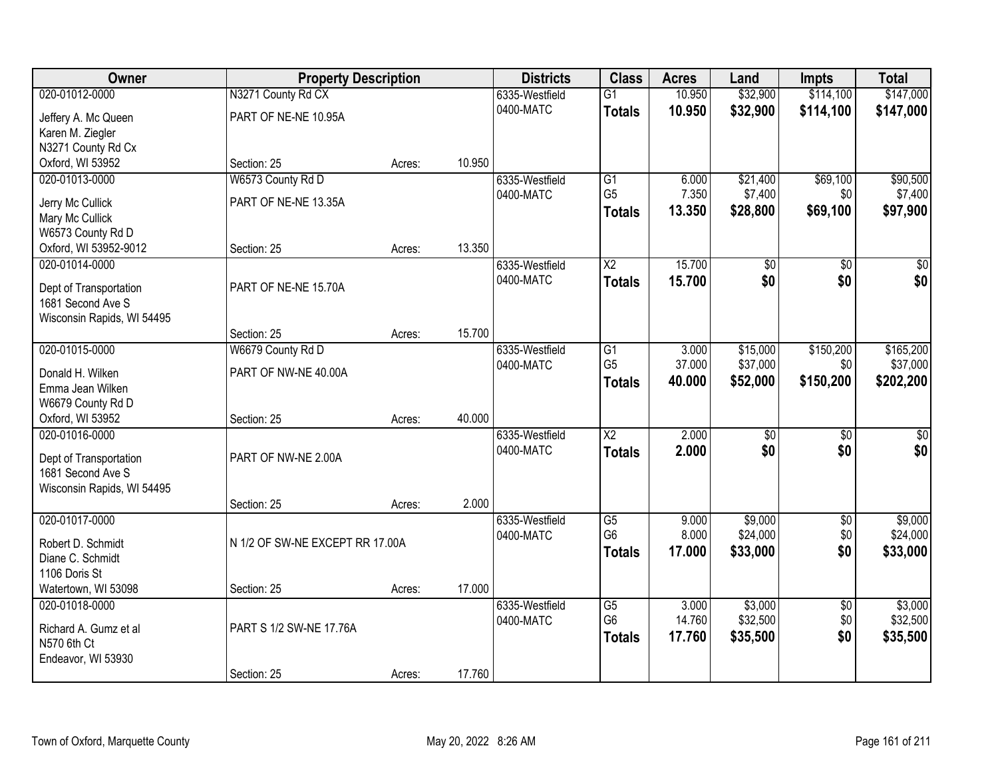| Owner                                       | <b>Property Description</b>     |        |        | <b>Districts</b> | <b>Class</b>           | <b>Acres</b> | Land            | <b>Impts</b>    | <b>Total</b>    |
|---------------------------------------------|---------------------------------|--------|--------|------------------|------------------------|--------------|-----------------|-----------------|-----------------|
| 020-01012-0000                              | N3271 County Rd CX              |        |        | 6335-Westfield   | $\overline{G1}$        | 10.950       | \$32,900        | \$114,100       | \$147,000       |
| Jeffery A. Mc Queen                         | PART OF NE-NE 10.95A            |        |        | 0400-MATC        | <b>Totals</b>          | 10.950       | \$32,900        | \$114,100       | \$147,000       |
| Karen M. Ziegler                            |                                 |        |        |                  |                        |              |                 |                 |                 |
| N3271 County Rd Cx                          |                                 |        |        |                  |                        |              |                 |                 |                 |
| Oxford, WI 53952                            | Section: 25                     | Acres: | 10.950 |                  |                        |              |                 |                 |                 |
| 020-01013-0000                              | W6573 County Rd D               |        |        | 6335-Westfield   | $\overline{G1}$        | 6.000        | \$21,400        | \$69,100        | \$90,500        |
| Jerry Mc Cullick                            | PART OF NE-NE 13.35A            |        |        | 0400-MATC        | G <sub>5</sub>         | 7.350        | \$7,400         | \$0             | \$7,400         |
| Mary Mc Cullick                             |                                 |        |        |                  | <b>Totals</b>          | 13.350       | \$28,800        | \$69,100        | \$97,900        |
| W6573 County Rd D                           |                                 |        |        |                  |                        |              |                 |                 |                 |
| Oxford, WI 53952-9012                       | Section: 25                     | Acres: | 13.350 |                  |                        |              |                 |                 |                 |
| 020-01014-0000                              |                                 |        |        | 6335-Westfield   | X2                     | 15.700       | \$0             | \$0             | \$0             |
|                                             |                                 |        |        | 0400-MATC        | <b>Totals</b>          | 15.700       | \$0             | \$0             | \$0             |
| Dept of Transportation<br>1681 Second Ave S | PART OF NE-NE 15.70A            |        |        |                  |                        |              |                 |                 |                 |
| Wisconsin Rapids, WI 54495                  |                                 |        |        |                  |                        |              |                 |                 |                 |
|                                             | Section: 25                     | Acres: | 15.700 |                  |                        |              |                 |                 |                 |
| 020-01015-0000                              | W6679 County Rd D               |        |        | 6335-Westfield   | G1                     | 3.000        | \$15,000        | \$150,200       | \$165,200       |
|                                             |                                 |        |        | 0400-MATC        | G <sub>5</sub>         | 37.000       | \$37,000        | \$0             | \$37,000        |
| Donald H. Wilken                            | PART OF NW-NE 40.00A            |        |        |                  | <b>Totals</b>          | 40.000       | \$52,000        | \$150,200       | \$202,200       |
| Emma Jean Wilken                            |                                 |        |        |                  |                        |              |                 |                 |                 |
| W6679 County Rd D<br>Oxford, WI 53952       |                                 |        | 40.000 |                  |                        |              |                 |                 |                 |
| 020-01016-0000                              | Section: 25                     | Acres: |        | 6335-Westfield   | $\overline{\text{X2}}$ | 2.000        | $\overline{30}$ | $\overline{30}$ | $\overline{30}$ |
|                                             |                                 |        |        | 0400-MATC        |                        | 2.000        | \$0             | \$0             | \$0             |
| Dept of Transportation                      | PART OF NW-NE 2.00A             |        |        |                  | <b>Totals</b>          |              |                 |                 |                 |
| 1681 Second Ave S                           |                                 |        |        |                  |                        |              |                 |                 |                 |
| Wisconsin Rapids, WI 54495                  |                                 |        |        |                  |                        |              |                 |                 |                 |
|                                             | Section: 25                     | Acres: | 2.000  |                  |                        |              |                 |                 |                 |
| 020-01017-0000                              |                                 |        |        | 6335-Westfield   | $\overline{G5}$        | 9.000        | \$9,000         | $\overline{60}$ | \$9,000         |
| Robert D. Schmidt                           | N 1/2 OF SW-NE EXCEPT RR 17.00A |        |        | 0400-MATC        | G <sub>6</sub>         | 8.000        | \$24,000        | \$0             | \$24,000        |
| Diane C. Schmidt                            |                                 |        |        |                  | <b>Totals</b>          | 17.000       | \$33,000        | \$0             | \$33,000        |
| 1106 Doris St                               |                                 |        |        |                  |                        |              |                 |                 |                 |
| Watertown, WI 53098                         | Section: 25                     | Acres: | 17.000 |                  |                        |              |                 |                 |                 |
| 020-01018-0000                              |                                 |        |        | 6335-Westfield   | $\overline{G5}$        | 3.000        | \$3,000         | $\overline{50}$ | \$3,000         |
| Richard A. Gumz et al                       | PART S 1/2 SW-NE 17.76A         |        |        | 0400-MATC        | G <sub>6</sub>         | 14.760       | \$32,500        | \$0             | \$32,500        |
| N570 6th Ct                                 |                                 |        |        |                  | <b>Totals</b>          | 17.760       | \$35,500        | \$0             | \$35,500        |
| Endeavor, WI 53930                          |                                 |        |        |                  |                        |              |                 |                 |                 |
|                                             | Section: 25                     | Acres: | 17.760 |                  |                        |              |                 |                 |                 |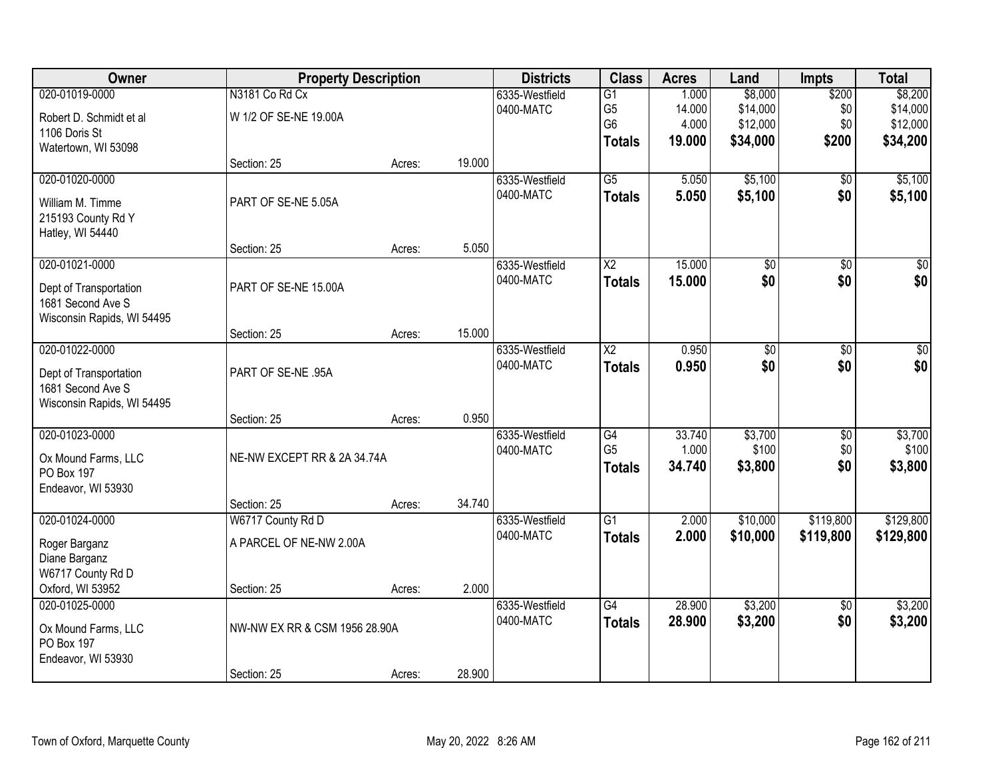| Owner                      | <b>Property Description</b>   |        |        | <b>Districts</b>            | <b>Class</b>           | <b>Acres</b>    | Land             | <b>Impts</b>           | <b>Total</b>     |
|----------------------------|-------------------------------|--------|--------|-----------------------------|------------------------|-----------------|------------------|------------------------|------------------|
| 020-01019-0000             | N3181 Co Rd Cx                |        |        | 6335-Westfield              | $\overline{G1}$        | 1.000           | \$8,000          | \$200                  | \$8,200          |
| Robert D. Schmidt et al    | W 1/2 OF SE-NE 19.00A         |        |        | 0400-MATC                   | G <sub>5</sub>         | 14.000          | \$14,000         | \$0                    | \$14,000         |
| 1106 Doris St              |                               |        |        |                             | G <sub>6</sub>         | 4.000           | \$12,000         | \$0                    | \$12,000         |
| Watertown, WI 53098        |                               |        |        |                             | <b>Totals</b>          | 19.000          | \$34,000         | \$200                  | \$34,200         |
|                            | Section: 25                   | Acres: | 19.000 |                             |                        |                 |                  |                        |                  |
| 020-01020-0000             |                               |        |        | 6335-Westfield              | $\overline{G5}$        | 5.050           | \$5,100          | \$0                    | \$5,100          |
| William M. Timme           | PART OF SE-NE 5.05A           |        |        | 0400-MATC                   | <b>Totals</b>          | 5.050           | \$5,100          | \$0                    | \$5,100          |
| 215193 County Rd Y         |                               |        |        |                             |                        |                 |                  |                        |                  |
| Hatley, WI 54440           |                               |        |        |                             |                        |                 |                  |                        |                  |
|                            | Section: 25                   | Acres: | 5.050  |                             |                        |                 |                  |                        |                  |
| 020-01021-0000             |                               |        |        | 6335-Westfield              | X <sub>2</sub>         | 15.000          | \$0              | \$0                    | $\overline{\$0}$ |
| Dept of Transportation     | PART OF SE-NE 15.00A          |        |        | 0400-MATC                   | <b>Totals</b>          | 15.000          | \$0              | \$0                    | \$0              |
| 1681 Second Ave S          |                               |        |        |                             |                        |                 |                  |                        |                  |
| Wisconsin Rapids, WI 54495 |                               |        |        |                             |                        |                 |                  |                        |                  |
|                            | Section: 25                   | Acres: | 15.000 |                             |                        |                 |                  |                        |                  |
| 020-01022-0000             |                               |        |        | 6335-Westfield              | $\overline{\text{X2}}$ | 0.950           | $\overline{60}$  | $\overline{50}$        | $\overline{50}$  |
| Dept of Transportation     | PART OF SE-NE .95A            |        |        | 0400-MATC                   | <b>Totals</b>          | 0.950           | \$0              | \$0                    | \$0              |
| 1681 Second Ave S          |                               |        |        |                             |                        |                 |                  |                        |                  |
| Wisconsin Rapids, WI 54495 |                               |        |        |                             |                        |                 |                  |                        |                  |
|                            | Section: 25                   | Acres: | 0.950  |                             |                        |                 |                  |                        |                  |
| 020-01023-0000             |                               |        |        | 6335-Westfield              | G4<br>G <sub>5</sub>   | 33.740<br>1.000 | \$3,700<br>\$100 | $\overline{50}$<br>\$0 | \$3,700<br>\$100 |
| Ox Mound Farms, LLC        | NE-NW EXCEPT RR & 2A 34.74A   |        |        | 0400-MATC                   | <b>Totals</b>          | 34.740          | \$3,800          | \$0                    | \$3,800          |
| PO Box 197                 |                               |        |        |                             |                        |                 |                  |                        |                  |
| Endeavor, WI 53930         |                               |        |        |                             |                        |                 |                  |                        |                  |
|                            | Section: 25                   | Acres: | 34.740 |                             |                        |                 |                  |                        |                  |
| 020-01024-0000             | W6717 County Rd D             |        |        | 6335-Westfield<br>0400-MATC | $\overline{G1}$        | 2.000           | \$10,000         | \$119,800              | \$129,800        |
| Roger Barganz              | A PARCEL OF NE-NW 2.00A       |        |        |                             | <b>Totals</b>          | 2.000           | \$10,000         | \$119,800              | \$129,800        |
| Diane Barganz              |                               |        |        |                             |                        |                 |                  |                        |                  |
| W6717 County Rd D          |                               |        |        |                             |                        |                 |                  |                        |                  |
| Oxford, WI 53952           | Section: 25                   | Acres: | 2.000  |                             |                        |                 |                  |                        |                  |
| 020-01025-0000             |                               |        |        | 6335-Westfield<br>0400-MATC | G4                     | 28.900          | \$3,200          | $\overline{50}$        | \$3,200          |
| Ox Mound Farms, LLC        | NW-NW EX RR & CSM 1956 28.90A |        |        |                             | <b>Totals</b>          | 28.900          | \$3,200          | \$0                    | \$3,200          |
| PO Box 197                 |                               |        |        |                             |                        |                 |                  |                        |                  |
| Endeavor, WI 53930         |                               |        |        |                             |                        |                 |                  |                        |                  |
|                            | Section: 25                   | Acres: | 28.900 |                             |                        |                 |                  |                        |                  |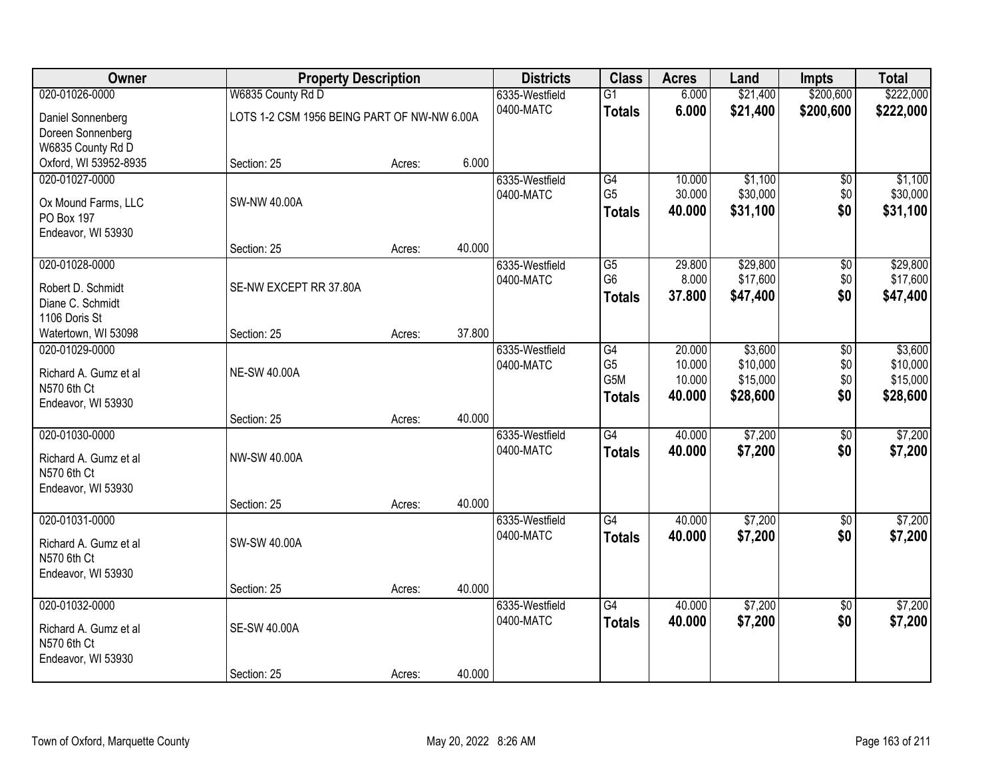| Owner                 |                                             | <b>Property Description</b> |        | <b>Districts</b> | <b>Class</b>     | <b>Acres</b> | Land     | <b>Impts</b>    | <b>Total</b> |
|-----------------------|---------------------------------------------|-----------------------------|--------|------------------|------------------|--------------|----------|-----------------|--------------|
| 020-01026-0000        | W6835 County Rd D                           |                             |        | 6335-Westfield   | $\overline{G1}$  | 6.000        | \$21,400 | \$200,600       | \$222,000    |
| Daniel Sonnenberg     | LOTS 1-2 CSM 1956 BEING PART OF NW-NW 6.00A |                             |        | 0400-MATC        | <b>Totals</b>    | 6.000        | \$21,400 | \$200,600       | \$222,000    |
| Doreen Sonnenberg     |                                             |                             |        |                  |                  |              |          |                 |              |
| W6835 County Rd D     |                                             |                             |        |                  |                  |              |          |                 |              |
| Oxford, WI 53952-8935 | Section: 25                                 | Acres:                      | 6.000  |                  |                  |              |          |                 |              |
| 020-01027-0000        |                                             |                             |        | 6335-Westfield   | G4               | 10.000       | \$1,100  | \$0             | \$1,100      |
| Ox Mound Farms, LLC   | SW-NW 40.00A                                |                             |        | 0400-MATC        | G <sub>5</sub>   | 30.000       | \$30,000 | \$0             | \$30,000     |
| <b>PO Box 197</b>     |                                             |                             |        |                  | <b>Totals</b>    | 40.000       | \$31,100 | \$0             | \$31,100     |
| Endeavor, WI 53930    |                                             |                             |        |                  |                  |              |          |                 |              |
|                       | Section: 25                                 | Acres:                      | 40.000 |                  |                  |              |          |                 |              |
| 020-01028-0000        |                                             |                             |        | 6335-Westfield   | G5               | 29.800       | \$29,800 | \$0             | \$29,800     |
| Robert D. Schmidt     | SE-NW EXCEPT RR 37.80A                      |                             |        | 0400-MATC        | G <sub>6</sub>   | 8.000        | \$17,600 | \$0\$           | \$17,600     |
| Diane C. Schmidt      |                                             |                             |        |                  | <b>Totals</b>    | 37.800       | \$47,400 | \$0             | \$47,400     |
| 1106 Doris St         |                                             |                             |        |                  |                  |              |          |                 |              |
| Watertown, WI 53098   | Section: 25                                 | Acres:                      | 37.800 |                  |                  |              |          |                 |              |
| 020-01029-0000        |                                             |                             |        | 6335-Westfield   | $\overline{G4}$  | 20.000       | \$3,600  | \$0             | \$3,600      |
| Richard A. Gumz et al | <b>NE-SW 40.00A</b>                         |                             |        | 0400-MATC        | G <sub>5</sub>   | 10.000       | \$10,000 | \$0             | \$10,000     |
| N570 6th Ct           |                                             |                             |        |                  | G <sub>5</sub> M | 10.000       | \$15,000 | \$0             | \$15,000     |
| Endeavor, WI 53930    |                                             |                             |        |                  | <b>Totals</b>    | 40.000       | \$28,600 | \$0             | \$28,600     |
|                       | Section: 25                                 | Acres:                      | 40.000 |                  |                  |              |          |                 |              |
| 020-01030-0000        |                                             |                             |        | 6335-Westfield   | $\overline{G4}$  | 40.000       | \$7,200  | \$0             | \$7,200      |
| Richard A. Gumz et al | NW-SW 40.00A                                |                             |        | 0400-MATC        | <b>Totals</b>    | 40.000       | \$7,200  | \$0             | \$7,200      |
| N570 6th Ct           |                                             |                             |        |                  |                  |              |          |                 |              |
| Endeavor, WI 53930    |                                             |                             |        |                  |                  |              |          |                 |              |
|                       | Section: 25                                 | Acres:                      | 40.000 |                  |                  |              |          |                 |              |
| 020-01031-0000        |                                             |                             |        | 6335-Westfield   | $\overline{G4}$  | 40.000       | \$7,200  | $\overline{50}$ | \$7,200      |
| Richard A. Gumz et al | SW-SW 40.00A                                |                             |        | 0400-MATC        | <b>Totals</b>    | 40.000       | \$7,200  | \$0             | \$7,200      |
| N570 6th Ct           |                                             |                             |        |                  |                  |              |          |                 |              |
| Endeavor, WI 53930    |                                             |                             |        |                  |                  |              |          |                 |              |
|                       | Section: 25                                 | Acres:                      | 40.000 |                  |                  |              |          |                 |              |
| 020-01032-0000        |                                             |                             |        | 6335-Westfield   | $\overline{G4}$  | 40.000       | \$7,200  | $\overline{50}$ | \$7,200      |
| Richard A. Gumz et al | <b>SE-SW 40.00A</b>                         |                             |        | 0400-MATC        | <b>Totals</b>    | 40.000       | \$7,200  | \$0             | \$7,200      |
| N570 6th Ct           |                                             |                             |        |                  |                  |              |          |                 |              |
| Endeavor, WI 53930    |                                             |                             |        |                  |                  |              |          |                 |              |
|                       | Section: 25                                 | Acres:                      | 40.000 |                  |                  |              |          |                 |              |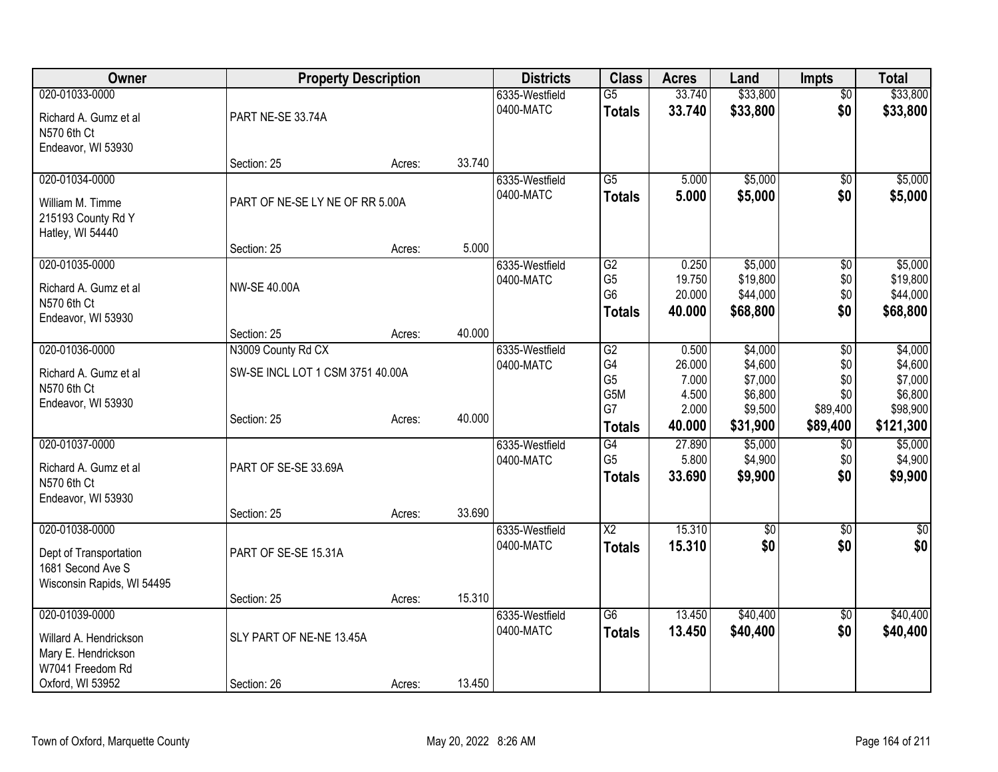| Owner                                         | <b>Property Description</b>      |        |        | <b>Districts</b> | <b>Class</b>                     | <b>Acres</b>     | Land                 | <b>Impts</b>         | <b>Total</b>          |
|-----------------------------------------------|----------------------------------|--------|--------|------------------|----------------------------------|------------------|----------------------|----------------------|-----------------------|
| 020-01033-0000                                |                                  |        |        | 6335-Westfield   | $\overline{G5}$                  | 33.740           | \$33,800             | $\overline{50}$      | \$33,800              |
| Richard A. Gumz et al                         | PART NE-SE 33.74A                |        |        | 0400-MATC        | <b>Totals</b>                    | 33.740           | \$33,800             | \$0                  | \$33,800              |
| N570 6th Ct                                   |                                  |        |        |                  |                                  |                  |                      |                      |                       |
| Endeavor, WI 53930                            | Section: 25                      | Acres: | 33.740 |                  |                                  |                  |                      |                      |                       |
| 020-01034-0000                                |                                  |        |        | 6335-Westfield   | $\overline{G5}$                  | 5.000            | \$5,000              | $\overline{30}$      | \$5,000               |
| William M. Timme                              | PART OF NE-SE LY NE OF RR 5.00A  |        |        | 0400-MATC        | <b>Totals</b>                    | 5.000            | \$5,000              | \$0                  | \$5,000               |
| 215193 County Rd Y                            |                                  |        |        |                  |                                  |                  |                      |                      |                       |
| Hatley, WI 54440                              |                                  |        |        |                  |                                  |                  |                      |                      |                       |
|                                               | Section: 25                      | Acres: | 5.000  |                  |                                  |                  |                      |                      |                       |
| 020-01035-0000                                |                                  |        |        | 6335-Westfield   | $\overline{G2}$                  | 0.250            | \$5,000              | $\overline{50}$      | \$5,000               |
| Richard A. Gumz et al                         | <b>NW-SE 40.00A</b>              |        |        | 0400-MATC        | G <sub>5</sub><br>G <sub>6</sub> | 19.750<br>20.000 | \$19,800<br>\$44,000 | \$0<br>\$0           | \$19,800<br>\$44,000  |
| N570 6th Ct                                   |                                  |        |        |                  | <b>Totals</b>                    | 40.000           | \$68,800             | \$0                  | \$68,800              |
| Endeavor, WI 53930                            | Section: 25                      | Acres: | 40.000 |                  |                                  |                  |                      |                      |                       |
| 020-01036-0000                                | N3009 County Rd CX               |        |        | 6335-Westfield   | $\overline{G2}$                  | 0.500            | \$4,000              | \$0                  | \$4,000               |
|                                               |                                  |        |        | 0400-MATC        | G4                               | 26.000           | \$4,600              | \$0                  | \$4,600               |
| Richard A. Gumz et al<br>N570 6th Ct          | SW-SE INCL LOT 1 CSM 3751 40.00A |        |        |                  | G <sub>5</sub>                   | 7.000            | \$7,000              | \$0                  | \$7,000               |
| Endeavor, WI 53930                            |                                  |        |        |                  | G5M                              | 4.500            | \$6,800              | \$0                  | \$6,800               |
|                                               | Section: 25                      | Acres: | 40.000 |                  | G7<br><b>Totals</b>              | 2.000<br>40.000  | \$9,500<br>\$31,900  | \$89,400<br>\$89,400 | \$98,900<br>\$121,300 |
| 020-01037-0000                                |                                  |        |        | 6335-Westfield   | G4                               | 27.890           | \$5,000              | $\overline{60}$      | \$5,000               |
|                                               |                                  |        |        | 0400-MATC        | G <sub>5</sub>                   | 5.800            | \$4,900              | \$0                  | \$4,900               |
| Richard A. Gumz et al<br>N570 6th Ct          | PART OF SE-SE 33.69A             |        |        |                  | <b>Totals</b>                    | 33.690           | \$9,900              | \$0                  | \$9,900               |
| Endeavor, WI 53930                            |                                  |        |        |                  |                                  |                  |                      |                      |                       |
|                                               | Section: 25                      | Acres: | 33.690 |                  |                                  |                  |                      |                      |                       |
| 020-01038-0000                                |                                  |        |        | 6335-Westfield   | $\overline{\text{X2}}$           | 15.310           | \$0                  | $\sqrt{6}$           | \$0                   |
| Dept of Transportation                        | PART OF SE-SE 15.31A             |        |        | 0400-MATC        | <b>Totals</b>                    | 15.310           | \$0                  | \$0                  | \$0                   |
| 1681 Second Ave S                             |                                  |        |        |                  |                                  |                  |                      |                      |                       |
| Wisconsin Rapids, WI 54495                    |                                  |        |        |                  |                                  |                  |                      |                      |                       |
| 020-01039-0000                                | Section: 25                      | Acres: | 15.310 | 6335-Westfield   | $\overline{G6}$                  | 13.450           | \$40,400             | \$0                  | \$40,400              |
|                                               |                                  |        |        | 0400-MATC        | <b>Totals</b>                    | 13.450           | \$40,400             | \$0                  | \$40,400              |
| Willard A. Hendrickson<br>Mary E. Hendrickson | SLY PART OF NE-NE 13.45A         |        |        |                  |                                  |                  |                      |                      |                       |
| W7041 Freedom Rd                              |                                  |        |        |                  |                                  |                  |                      |                      |                       |
| Oxford, WI 53952                              | Section: 26                      | Acres: | 13.450 |                  |                                  |                  |                      |                      |                       |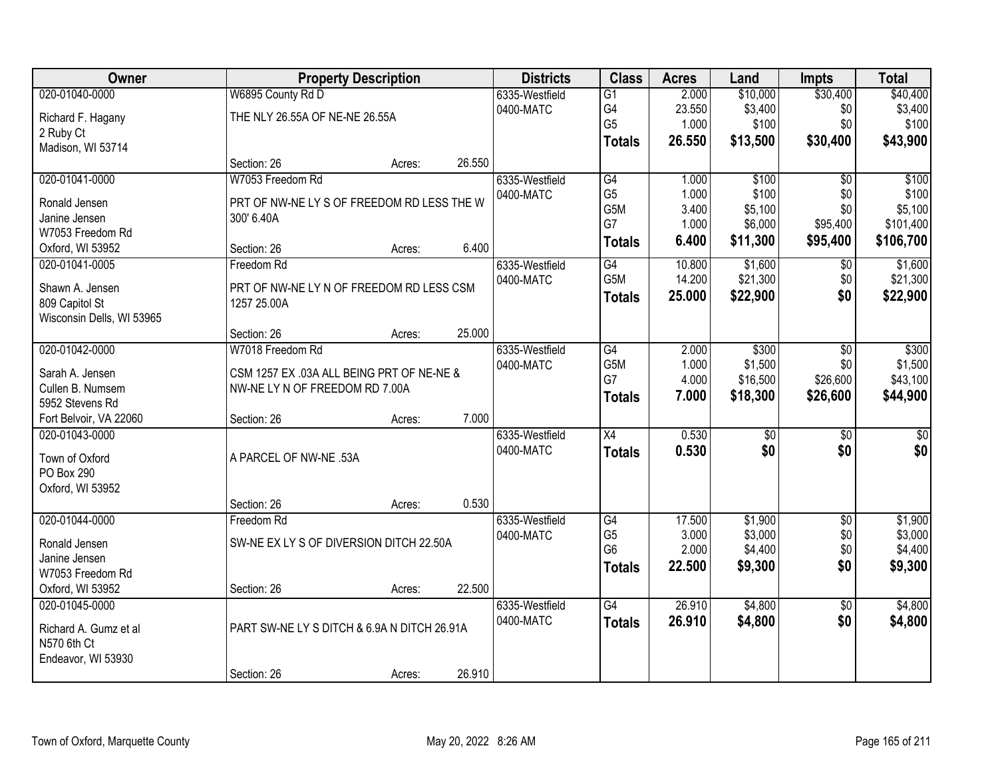| Owner                             |                                             | <b>Property Description</b> |        | <b>Districts</b> | <b>Class</b>    | <b>Acres</b> | Land            | <b>Impts</b>    | <b>Total</b>    |
|-----------------------------------|---------------------------------------------|-----------------------------|--------|------------------|-----------------|--------------|-----------------|-----------------|-----------------|
| 020-01040-0000                    | W6895 County Rd D                           |                             |        | 6335-Westfield   | $\overline{G1}$ | 2.000        | \$10,000        | \$30,400        | \$40,400        |
| Richard F. Hagany                 | THE NLY 26.55A OF NE-NE 26.55A              |                             |        | 0400-MATC        | G4              | 23.550       | \$3,400         | \$0             | \$3,400         |
| 2 Ruby Ct                         |                                             |                             |        |                  | G <sub>5</sub>  | 1.000        | \$100           | \$0             | \$100           |
| Madison, WI 53714                 |                                             |                             |        |                  | <b>Totals</b>   | 26.550       | \$13,500        | \$30,400        | \$43,900        |
|                                   | Section: 26                                 | Acres:                      | 26.550 |                  |                 |              |                 |                 |                 |
| 020-01041-0000                    | W7053 Freedom Rd                            |                             |        | 6335-Westfield   | G4              | 1.000        | \$100           | $\overline{50}$ | \$100           |
| Ronald Jensen                     | PRT OF NW-NE LY S OF FREEDOM RD LESS THE W  |                             |        | 0400-MATC        | G <sub>5</sub>  | 1.000        | \$100           | \$0             | \$100           |
| Janine Jensen                     | 300' 6.40A                                  |                             |        |                  | G5M             | 3.400        | \$5,100         | \$0             | \$5,100         |
| W7053 Freedom Rd                  |                                             |                             |        |                  | G7              | 1.000        | \$6,000         | \$95,400        | \$101,400       |
| Oxford, WI 53952                  | Section: 26                                 | Acres:                      | 6.400  |                  | <b>Totals</b>   | 6.400        | \$11,300        | \$95,400        | \$106,700       |
| 020-01041-0005                    | Freedom Rd                                  |                             |        | 6335-Westfield   | G4              | 10.800       | \$1,600         | \$0             | \$1,600         |
|                                   | PRT OF NW-NE LY N OF FREEDOM RD LESS CSM    |                             |        | 0400-MATC        | G5M             | 14.200       | \$21,300        | \$0             | \$21,300        |
| Shawn A. Jensen<br>809 Capitol St | 1257 25.00A                                 |                             |        |                  | <b>Totals</b>   | 25.000       | \$22,900        | \$0             | \$22,900        |
| Wisconsin Dells, WI 53965         |                                             |                             |        |                  |                 |              |                 |                 |                 |
|                                   | Section: 26                                 | Acres:                      | 25.000 |                  |                 |              |                 |                 |                 |
| 020-01042-0000                    | W7018 Freedom Rd                            |                             |        | 6335-Westfield   | $\overline{G4}$ | 2.000        | \$300           | $\sqrt{6}$      | \$300           |
|                                   |                                             |                             |        | 0400-MATC        | G5M             | 1.000        | \$1,500         | \$0             | \$1,500         |
| Sarah A. Jensen                   | CSM 1257 EX .03A ALL BEING PRT OF NE-NE &   |                             |        |                  | G7              | 4.000        | \$16,500        | \$26,600        | \$43,100        |
| Cullen B. Numsem                  | NW-NE LY N OF FREEDOM RD 7.00A              |                             |        |                  | <b>Totals</b>   | 7.000        | \$18,300        | \$26,600        | \$44,900        |
| 5952 Stevens Rd                   |                                             |                             |        |                  |                 |              |                 |                 |                 |
| Fort Belvoir, VA 22060            | Section: 26                                 | Acres:                      | 7.000  |                  |                 |              |                 |                 |                 |
| 020-01043-0000                    |                                             |                             |        | 6335-Westfield   | $\overline{X4}$ | 0.530        | $\overline{50}$ | $\overline{50}$ | $\overline{50}$ |
| Town of Oxford                    | A PARCEL OF NW-NE .53A                      |                             |        | 0400-MATC        | <b>Totals</b>   | 0.530        | \$0             | \$0             | \$0             |
| PO Box 290                        |                                             |                             |        |                  |                 |              |                 |                 |                 |
| Oxford, WI 53952                  |                                             |                             |        |                  |                 |              |                 |                 |                 |
|                                   | Section: 26                                 | Acres:                      | 0.530  |                  |                 |              |                 |                 |                 |
| 020-01044-0000                    | Freedom Rd                                  |                             |        | 6335-Westfield   | G4              | 17.500       | \$1,900         | $\overline{50}$ | \$1,900         |
| Ronald Jensen                     | SW-NE EX LY S OF DIVERSION DITCH 22.50A     |                             |        | 0400-MATC        | G <sub>5</sub>  | 3.000        | \$3,000         | \$0             | \$3,000         |
| Janine Jensen                     |                                             |                             |        |                  | G <sub>6</sub>  | 2.000        | \$4,400         | \$0             | \$4,400         |
| W7053 Freedom Rd                  |                                             |                             |        |                  | <b>Totals</b>   | 22.500       | \$9,300         | \$0             | \$9,300         |
| Oxford, WI 53952                  | Section: 26                                 | Acres:                      | 22.500 |                  |                 |              |                 |                 |                 |
| 020-01045-0000                    |                                             |                             |        | 6335-Westfield   | $\overline{G4}$ | 26.910       | \$4,800         | $\overline{50}$ | \$4,800         |
| Richard A. Gumz et al             | PART SW-NE LY S DITCH & 6.9A N DITCH 26.91A |                             |        | 0400-MATC        | <b>Totals</b>   | 26.910       | \$4,800         | \$0             | \$4,800         |
| N570 6th Ct                       |                                             |                             |        |                  |                 |              |                 |                 |                 |
| Endeavor, WI 53930                |                                             |                             |        |                  |                 |              |                 |                 |                 |
|                                   | Section: 26                                 | Acres:                      | 26.910 |                  |                 |              |                 |                 |                 |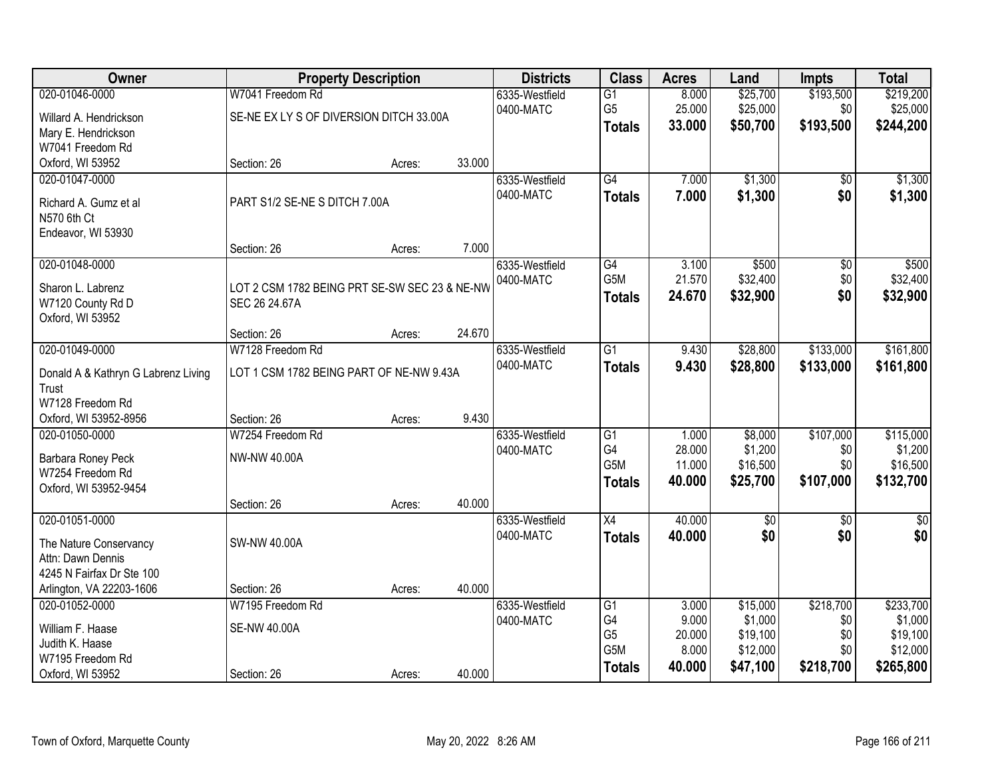| Owner                               |                                               | <b>Property Description</b> |        | <b>Districts</b>            | <b>Class</b>     | <b>Acres</b> | Land        | <b>Impts</b>    | <b>Total</b>    |
|-------------------------------------|-----------------------------------------------|-----------------------------|--------|-----------------------------|------------------|--------------|-------------|-----------------|-----------------|
| 020-01046-0000                      | W7041 Freedom Rd                              |                             |        | 6335-Westfield              | $\overline{G1}$  | 8.000        | \$25,700    | \$193,500       | \$219,200       |
| Willard A. Hendrickson              | SE-NE EX LY S OF DIVERSION DITCH 33.00A       |                             |        | 0400-MATC                   | G <sub>5</sub>   | 25.000       | \$25,000    | \$0             | \$25,000        |
| Mary E. Hendrickson                 |                                               |                             |        |                             | <b>Totals</b>    | 33.000       | \$50,700    | \$193,500       | \$244,200       |
| W7041 Freedom Rd                    |                                               |                             |        |                             |                  |              |             |                 |                 |
| Oxford, WI 53952                    | Section: 26                                   | Acres:                      | 33.000 |                             |                  |              |             |                 |                 |
| 020-01047-0000                      |                                               |                             |        | 6335-Westfield              | G4               | 7.000        | \$1,300     | \$0             | \$1,300         |
| Richard A. Gumz et al               | PART S1/2 SE-NE S DITCH 7.00A                 |                             |        | 0400-MATC                   | <b>Totals</b>    | 7.000        | \$1,300     | \$0             | \$1,300         |
| N570 6th Ct                         |                                               |                             |        |                             |                  |              |             |                 |                 |
| Endeavor, WI 53930                  |                                               |                             |        |                             |                  |              |             |                 |                 |
|                                     | Section: 26                                   | Acres:                      | 7.000  |                             |                  |              |             |                 |                 |
| 020-01048-0000                      |                                               |                             |        | 6335-Westfield              | $\overline{G4}$  | 3.100        | \$500       | $\overline{50}$ | \$500           |
|                                     |                                               |                             |        | 0400-MATC                   | G <sub>5</sub> M | 21.570       | \$32,400    | \$0             | \$32,400        |
| Sharon L. Labrenz                   | LOT 2 CSM 1782 BEING PRT SE-SW SEC 23 & NE-NW |                             |        |                             | <b>Totals</b>    | 24.670       | \$32,900    | \$0             | \$32,900        |
| W7120 County Rd D                   | SEC 26 24.67A                                 |                             |        |                             |                  |              |             |                 |                 |
| Oxford, WI 53952                    |                                               |                             | 24.670 |                             |                  |              |             |                 |                 |
| 020-01049-0000                      | Section: 26<br>W7128 Freedom Rd               | Acres:                      |        |                             | $\overline{G1}$  | 9.430        | \$28,800    | \$133,000       | \$161,800       |
|                                     |                                               |                             |        | 6335-Westfield<br>0400-MATC |                  |              |             |                 |                 |
| Donald A & Kathryn G Labrenz Living | LOT 1 CSM 1782 BEING PART OF NE-NW 9.43A      |                             |        |                             | <b>Totals</b>    | 9.430        | \$28,800    | \$133,000       | \$161,800       |
| Trust                               |                                               |                             |        |                             |                  |              |             |                 |                 |
| W7128 Freedom Rd                    |                                               |                             |        |                             |                  |              |             |                 |                 |
| Oxford, WI 53952-8956               | Section: 26                                   | Acres:                      | 9.430  |                             |                  |              |             |                 |                 |
| 020-01050-0000                      | W7254 Freedom Rd                              |                             |        | 6335-Westfield              | $\overline{G1}$  | 1.000        | \$8,000     | \$107,000       | \$115,000       |
| Barbara Roney Peck                  | NW-NW 40.00A                                  |                             |        | 0400-MATC                   | G4               | 28.000       | \$1,200     | \$0             | \$1,200         |
| W7254 Freedom Rd                    |                                               |                             |        |                             | G <sub>5</sub> M | 11.000       | \$16,500    | \$0             | \$16,500        |
| Oxford, WI 53952-9454               |                                               |                             |        |                             | <b>Totals</b>    | 40.000       | \$25,700    | \$107,000       | \$132,700       |
|                                     | Section: 26                                   | Acres:                      | 40.000 |                             |                  |              |             |                 |                 |
| 020-01051-0000                      |                                               |                             |        | 6335-Westfield              | $\overline{X4}$  | 40.000       | $\sqrt{50}$ | $\overline{50}$ | $\overline{30}$ |
| The Nature Conservancy              | <b>SW-NW 40.00A</b>                           |                             |        | 0400-MATC                   | <b>Totals</b>    | 40.000       | \$0         | \$0             | \$0             |
| Attn: Dawn Dennis                   |                                               |                             |        |                             |                  |              |             |                 |                 |
| 4245 N Fairfax Dr Ste 100           |                                               |                             |        |                             |                  |              |             |                 |                 |
| Arlington, VA 22203-1606            | Section: 26                                   | Acres:                      | 40.000 |                             |                  |              |             |                 |                 |
| 020-01052-0000                      | W7195 Freedom Rd                              |                             |        | 6335-Westfield              | $\overline{G1}$  | 3.000        | \$15,000    | \$218,700       | \$233,700       |
|                                     |                                               |                             |        | 0400-MATC                   | G4               | 9.000        | \$1,000     | \$0             | \$1,000         |
| William F. Haase                    | <b>SE-NW 40.00A</b>                           |                             |        |                             | G <sub>5</sub>   | 20.000       | \$19,100    | \$0             | \$19,100        |
| Judith K. Haase                     |                                               |                             |        |                             | G5M              | 8.000        | \$12,000    | \$0             | \$12,000        |
| W7195 Freedom Rd                    |                                               |                             |        |                             | <b>Totals</b>    | 40.000       | \$47,100    | \$218,700       | \$265,800       |
| Oxford, WI 53952                    | Section: 26                                   | Acres:                      | 40.000 |                             |                  |              |             |                 |                 |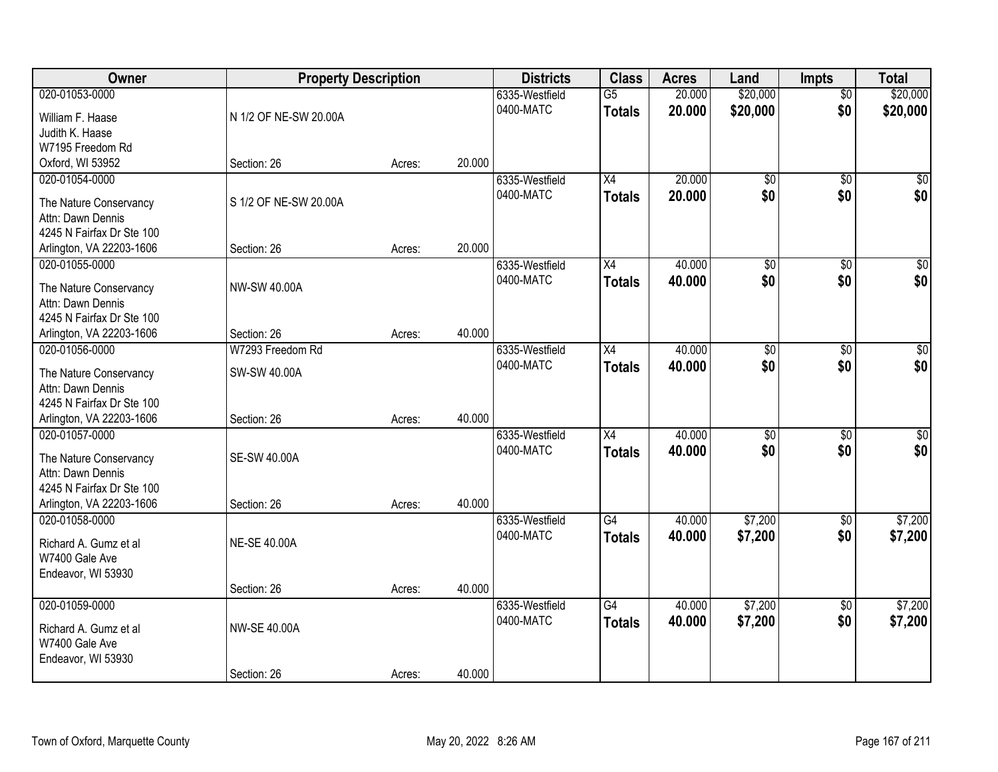| Owner                     | <b>Property Description</b> |        |        | <b>Districts</b> | <b>Class</b>    | <b>Acres</b> | Land            | <b>Impts</b>    | <b>Total</b>    |
|---------------------------|-----------------------------|--------|--------|------------------|-----------------|--------------|-----------------|-----------------|-----------------|
| 020-01053-0000            |                             |        |        | 6335-Westfield   | $\overline{G5}$ | 20.000       | \$20,000        | $\overline{50}$ | \$20,000        |
| William F. Haase          | N 1/2 OF NE-SW 20.00A       |        |        | 0400-MATC        | <b>Totals</b>   | 20.000       | \$20,000        | \$0             | \$20,000        |
| Judith K. Haase           |                             |        |        |                  |                 |              |                 |                 |                 |
| W7195 Freedom Rd          |                             |        |        |                  |                 |              |                 |                 |                 |
| Oxford, WI 53952          | Section: 26                 | Acres: | 20.000 |                  |                 |              |                 |                 |                 |
| 020-01054-0000            |                             |        |        | 6335-Westfield   | $\overline{X4}$ | 20.000       | $\overline{50}$ | $\overline{50}$ | \$0             |
| The Nature Conservancy    | S 1/2 OF NE-SW 20.00A       |        |        | 0400-MATC        | <b>Totals</b>   | 20.000       | \$0             | \$0             | \$0             |
| Attn: Dawn Dennis         |                             |        |        |                  |                 |              |                 |                 |                 |
| 4245 N Fairfax Dr Ste 100 |                             |        |        |                  |                 |              |                 |                 |                 |
| Arlington, VA 22203-1606  | Section: 26                 | Acres: | 20.000 |                  |                 |              |                 |                 |                 |
| 020-01055-0000            |                             |        |        | 6335-Westfield   | X4              | 40.000       | \$0             | \$0             | $\overline{50}$ |
|                           |                             |        |        | 0400-MATC        | <b>Totals</b>   | 40.000       | \$0             | \$0             | \$0             |
| The Nature Conservancy    | <b>NW-SW 40.00A</b>         |        |        |                  |                 |              |                 |                 |                 |
| Attn: Dawn Dennis         |                             |        |        |                  |                 |              |                 |                 |                 |
| 4245 N Fairfax Dr Ste 100 |                             |        |        |                  |                 |              |                 |                 |                 |
| Arlington, VA 22203-1606  | Section: 26                 | Acres: | 40.000 |                  |                 |              |                 |                 |                 |
| 020-01056-0000            | W7293 Freedom Rd            |        |        | 6335-Westfield   | X4              | 40.000       | \$0             | $\sqrt[6]{}$    | $\sqrt{50}$     |
| The Nature Conservancy    | SW-SW 40.00A                |        |        | 0400-MATC        | <b>Totals</b>   | 40.000       | \$0             | \$0             | \$0             |
| Attn: Dawn Dennis         |                             |        |        |                  |                 |              |                 |                 |                 |
| 4245 N Fairfax Dr Ste 100 |                             |        |        |                  |                 |              |                 |                 |                 |
| Arlington, VA 22203-1606  | Section: 26                 | Acres: | 40.000 |                  |                 |              |                 |                 |                 |
| 020-01057-0000            |                             |        |        | 6335-Westfield   | $\overline{X4}$ | 40.000       | $\overline{50}$ | $\overline{50}$ | $\overline{50}$ |
| The Nature Conservancy    | <b>SE-SW 40.00A</b>         |        |        | 0400-MATC        | <b>Totals</b>   | 40.000       | \$0             | \$0             | \$0             |
| Attn: Dawn Dennis         |                             |        |        |                  |                 |              |                 |                 |                 |
| 4245 N Fairfax Dr Ste 100 |                             |        |        |                  |                 |              |                 |                 |                 |
| Arlington, VA 22203-1606  | Section: 26                 | Acres: | 40.000 |                  |                 |              |                 |                 |                 |
| 020-01058-0000            |                             |        |        | 6335-Westfield   | G4              | 40.000       | \$7,200         | $\overline{30}$ | \$7,200         |
|                           |                             |        |        | 0400-MATC        | <b>Totals</b>   | 40.000       | \$7,200         | \$0             | \$7,200         |
| Richard A. Gumz et al     | <b>NE-SE 40.00A</b>         |        |        |                  |                 |              |                 |                 |                 |
| W7400 Gale Ave            |                             |        |        |                  |                 |              |                 |                 |                 |
| Endeavor, WI 53930        |                             |        | 40.000 |                  |                 |              |                 |                 |                 |
| 020-01059-0000            | Section: 26                 | Acres: |        | 6335-Westfield   | $\overline{G4}$ | 40.000       | \$7,200         | $\overline{60}$ | \$7,200         |
|                           |                             |        |        | 0400-MATC        |                 |              |                 | \$0             |                 |
| Richard A. Gumz et al     | <b>NW-SE 40.00A</b>         |        |        |                  | <b>Totals</b>   | 40.000       | \$7,200         |                 | \$7,200         |
| W7400 Gale Ave            |                             |        |        |                  |                 |              |                 |                 |                 |
| Endeavor, WI 53930        |                             |        |        |                  |                 |              |                 |                 |                 |
|                           | Section: 26                 | Acres: | 40.000 |                  |                 |              |                 |                 |                 |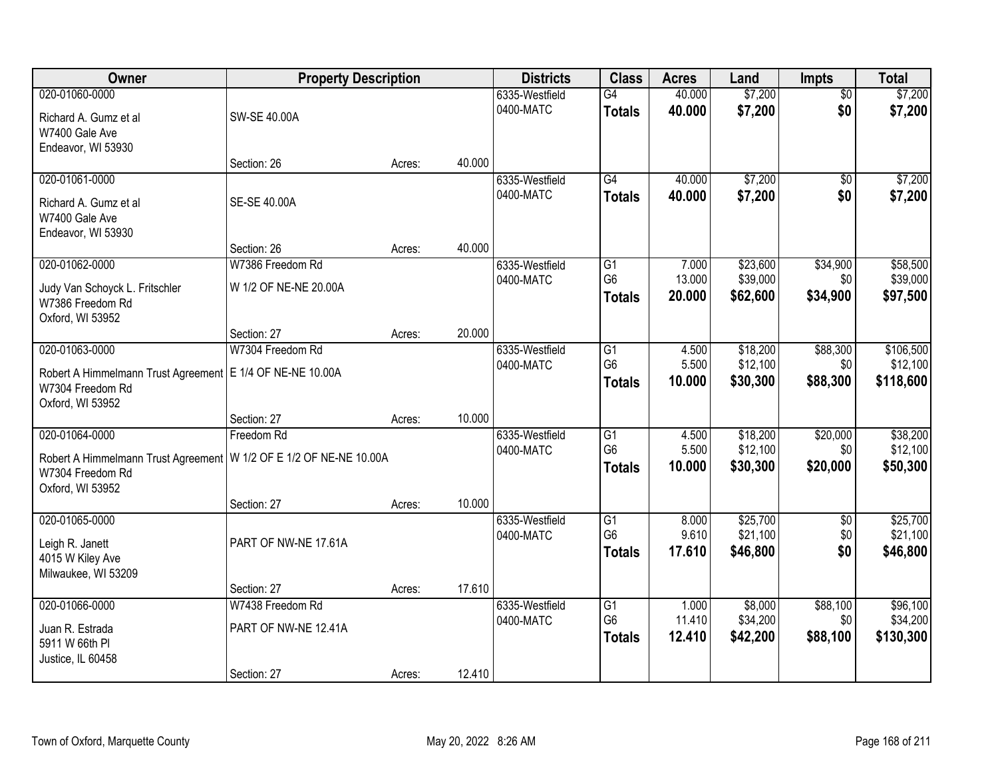| Owner                                                                                                                          | <b>Property Description</b>                             |        |        | <b>Districts</b>            | <b>Class</b>                          | <b>Acres</b>              | Land                             | Impts                       | <b>Total</b>                       |
|--------------------------------------------------------------------------------------------------------------------------------|---------------------------------------------------------|--------|--------|-----------------------------|---------------------------------------|---------------------------|----------------------------------|-----------------------------|------------------------------------|
| 020-01060-0000<br>Richard A. Gumz et al<br>W7400 Gale Ave                                                                      | SW-SE 40.00A                                            |        |        | 6335-Westfield<br>0400-MATC | G4<br><b>Totals</b>                   | 40.000<br>40.000          | \$7,200<br>\$7,200               | $\overline{50}$<br>\$0      | \$7,200<br>\$7,200                 |
| Endeavor, WI 53930                                                                                                             | Section: 26                                             | Acres: | 40.000 |                             |                                       |                           |                                  |                             |                                    |
| 020-01061-0000<br>Richard A. Gumz et al<br>W7400 Gale Ave<br>Endeavor, WI 53930                                                | SE-SE 40.00A                                            |        |        | 6335-Westfield<br>0400-MATC | G4<br><b>Totals</b>                   | 40.000<br>40.000          | \$7,200<br>\$7,200               | $\overline{50}$<br>\$0      | \$7,200<br>\$7,200                 |
|                                                                                                                                | Section: 26                                             | Acres: | 40.000 |                             |                                       |                           |                                  |                             |                                    |
| 020-01062-0000<br>Judy Van Schoyck L. Fritschler<br>W7386 Freedom Rd<br>Oxford, WI 53952                                       | W7386 Freedom Rd<br>W 1/2 OF NE-NE 20.00A               |        |        | 6335-Westfield<br>0400-MATC | G1<br>G <sub>6</sub><br><b>Totals</b> | 7.000<br>13.000<br>20.000 | \$23,600<br>\$39,000<br>\$62,600 | \$34,900<br>\$0<br>\$34,900 | \$58,500<br>\$39,000<br>\$97,500   |
|                                                                                                                                | Section: 27                                             | Acres: | 20.000 |                             |                                       |                           |                                  |                             |                                    |
| 020-01063-0000<br>Robert A Himmelmann Trust Agreement<br>W7304 Freedom Rd<br>Oxford, WI 53952                                  | W7304 Freedom Rd<br>E 1/4 OF NE-NE 10.00A               |        |        | 6335-Westfield<br>0400-MATC | G1<br>G <sub>6</sub><br><b>Totals</b> | 4.500<br>5.500<br>10.000  | \$18,200<br>\$12,100<br>\$30,300 | \$88,300<br>\$0<br>\$88,300 | \$106,500<br>\$12,100<br>\$118,600 |
|                                                                                                                                | Section: 27                                             | Acres: | 10.000 |                             |                                       |                           |                                  |                             |                                    |
| 020-01064-0000<br>Robert A Himmelmann Trust Agreement   W 1/2 OF E 1/2 OF NE-NE 10.00A<br>W7304 Freedom Rd<br>Oxford, WI 53952 | Freedom Rd                                              |        |        | 6335-Westfield<br>0400-MATC | G1<br>G <sub>6</sub><br><b>Totals</b> | 4.500<br>5.500<br>10.000  | \$18,200<br>\$12,100<br>\$30,300 | \$20,000<br>\$0<br>\$20,000 | \$38,200<br>\$12,100<br>\$50,300   |
|                                                                                                                                | Section: 27                                             | Acres: | 10.000 |                             |                                       |                           |                                  |                             |                                    |
| 020-01065-0000<br>Leigh R. Janett<br>4015 W Kiley Ave<br>Milwaukee, WI 53209                                                   | PART OF NW-NE 17.61A                                    |        |        | 6335-Westfield<br>0400-MATC | G1<br>G <sub>6</sub><br><b>Totals</b> | 8.000<br>9.610<br>17.610  | \$25,700<br>\$21,100<br>\$46,800 | $\sqrt{6}$<br>\$0<br>\$0    | \$25,700<br>\$21,100<br>\$46,800   |
|                                                                                                                                | Section: 27                                             | Acres: | 17.610 |                             |                                       |                           |                                  |                             |                                    |
| 020-01066-0000<br>Juan R. Estrada<br>5911 W 66th PI<br>Justice, IL 60458                                                       | W7438 Freedom Rd<br>PART OF NW-NE 12.41A<br>Section: 27 | Acres: | 12.410 | 6335-Westfield<br>0400-MATC | G1<br>G <sub>6</sub><br><b>Totals</b> | 1.000<br>11.410<br>12.410 | \$8,000<br>\$34,200<br>\$42,200  | \$88,100<br>\$0<br>\$88,100 | \$96,100<br>\$34,200<br>\$130,300  |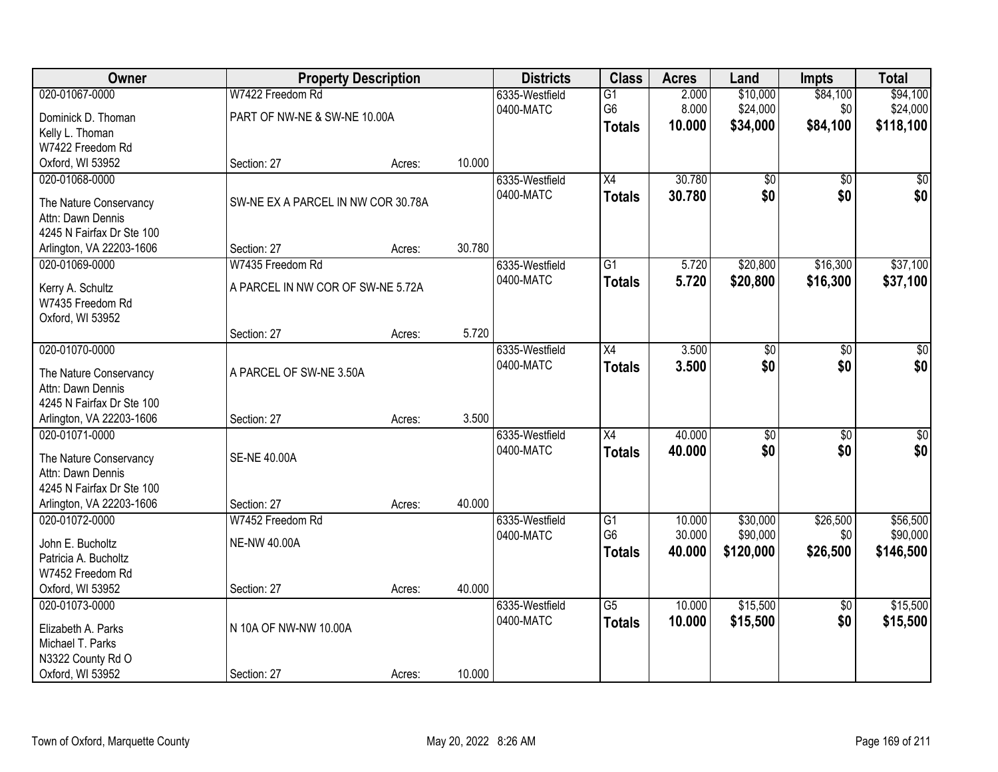| Owner                                          |                                    | <b>Property Description</b> |        | <b>Districts</b> | <b>Class</b>         | <b>Acres</b>     | Land                 | <b>Impts</b>    | <b>Total</b>     |
|------------------------------------------------|------------------------------------|-----------------------------|--------|------------------|----------------------|------------------|----------------------|-----------------|------------------|
| 020-01067-0000                                 | W7422 Freedom Rd                   |                             |        | 6335-Westfield   | $\overline{G1}$      | 2.000            | \$10,000             | \$84,100        | \$94,100         |
| Dominick D. Thoman                             | PART OF NW-NE & SW-NE 10.00A       |                             |        | 0400-MATC        | G6                   | 8.000            | \$24,000             | \$0             | \$24,000         |
| Kelly L. Thoman                                |                                    |                             |        |                  | <b>Totals</b>        | 10.000           | \$34,000             | \$84,100        | \$118,100        |
| W7422 Freedom Rd                               |                                    |                             |        |                  |                      |                  |                      |                 |                  |
| Oxford, WI 53952                               | Section: 27                        | Acres:                      | 10.000 |                  |                      |                  |                      |                 |                  |
| 020-01068-0000                                 |                                    |                             |        | 6335-Westfield   | $\overline{X4}$      | 30.780           | \$0                  | $\overline{50}$ | \$0              |
|                                                |                                    |                             |        | 0400-MATC        | <b>Totals</b>        | 30.780           | \$0                  | \$0             | \$0              |
| The Nature Conservancy                         | SW-NE EX A PARCEL IN NW COR 30.78A |                             |        |                  |                      |                  |                      |                 |                  |
| Attn: Dawn Dennis<br>4245 N Fairfax Dr Ste 100 |                                    |                             |        |                  |                      |                  |                      |                 |                  |
| Arlington, VA 22203-1606                       | Section: 27                        | Acres:                      | 30.780 |                  |                      |                  |                      |                 |                  |
| 020-01069-0000                                 | W7435 Freedom Rd                   |                             |        | 6335-Westfield   | $\overline{G1}$      | 5.720            | \$20,800             | \$16,300        | \$37,100         |
|                                                |                                    |                             |        | 0400-MATC        |                      |                  |                      |                 |                  |
| Kerry A. Schultz                               | A PARCEL IN NW COR OF SW-NE 5.72A  |                             |        |                  | <b>Totals</b>        | 5.720            | \$20,800             | \$16,300        | \$37,100         |
| W7435 Freedom Rd                               |                                    |                             |        |                  |                      |                  |                      |                 |                  |
| Oxford, WI 53952                               |                                    |                             |        |                  |                      |                  |                      |                 |                  |
|                                                | Section: 27                        | Acres:                      | 5.720  |                  |                      |                  |                      |                 |                  |
| 020-01070-0000                                 |                                    |                             |        | 6335-Westfield   | X4                   | 3.500            | \$0                  | \$0             | \$0              |
| The Nature Conservancy                         | A PARCEL OF SW-NE 3.50A            |                             |        | 0400-MATC        | <b>Totals</b>        | 3.500            | \$0                  | \$0             | \$0              |
| Attn: Dawn Dennis                              |                                    |                             |        |                  |                      |                  |                      |                 |                  |
| 4245 N Fairfax Dr Ste 100                      |                                    |                             |        |                  |                      |                  |                      |                 |                  |
| Arlington, VA 22203-1606                       | Section: 27                        | Acres:                      | 3.500  |                  |                      |                  |                      |                 |                  |
| 020-01071-0000                                 |                                    |                             |        | 6335-Westfield   | $\overline{X4}$      | 40.000           | $\overline{50}$      | $\overline{50}$ | $\overline{\$0}$ |
|                                                |                                    |                             |        | 0400-MATC        | <b>Totals</b>        | 40.000           | \$0                  | \$0             | \$0              |
| The Nature Conservancy                         | <b>SE-NE 40.00A</b>                |                             |        |                  |                      |                  |                      |                 |                  |
| Attn: Dawn Dennis                              |                                    |                             |        |                  |                      |                  |                      |                 |                  |
| 4245 N Fairfax Dr Ste 100                      |                                    |                             |        |                  |                      |                  |                      |                 |                  |
| Arlington, VA 22203-1606                       | Section: 27                        | Acres:                      | 40.000 |                  |                      |                  |                      |                 |                  |
| 020-01072-0000                                 | W7452 Freedom Rd                   |                             |        | 6335-Westfield   | G1<br>G <sub>6</sub> | 10.000<br>30.000 | \$30,000<br>\$90,000 | \$26,500        | \$56,500         |
| John E. Bucholtz                               | <b>NE-NW 40.00A</b>                |                             |        | 0400-MATC        |                      |                  |                      | \$0             | \$90,000         |
| Patricia A. Bucholtz                           |                                    |                             |        |                  | <b>Totals</b>        | 40.000           | \$120,000            | \$26,500        | \$146,500        |
| W7452 Freedom Rd                               |                                    |                             |        |                  |                      |                  |                      |                 |                  |
| Oxford, WI 53952                               | Section: 27                        | Acres:                      | 40.000 |                  |                      |                  |                      |                 |                  |
| 020-01073-0000                                 |                                    |                             |        | 6335-Westfield   | $\overline{G5}$      | 10.000           | \$15,500             | $\overline{50}$ | \$15,500         |
| Elizabeth A. Parks                             | N 10A OF NW-NW 10.00A              |                             |        | 0400-MATC        | <b>Totals</b>        | 10.000           | \$15,500             | \$0             | \$15,500         |
| Michael T. Parks                               |                                    |                             |        |                  |                      |                  |                      |                 |                  |
| N3322 County Rd O                              |                                    |                             |        |                  |                      |                  |                      |                 |                  |
| Oxford, WI 53952                               | Section: 27                        | Acres:                      | 10.000 |                  |                      |                  |                      |                 |                  |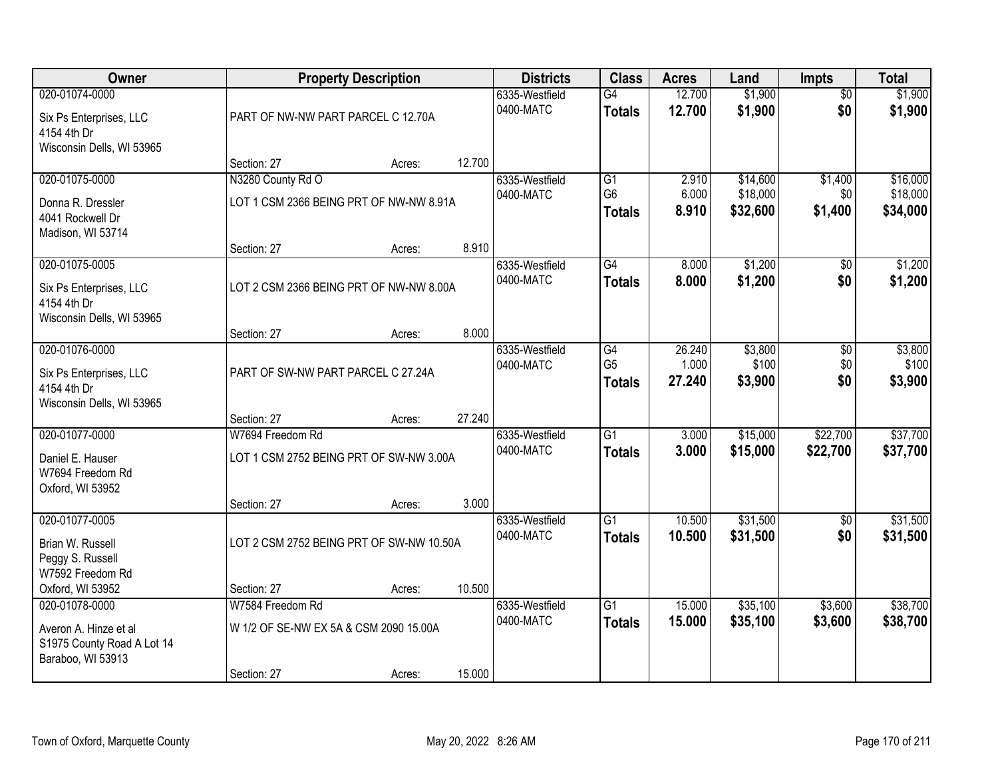| Owner                                                                    |                                          | <b>Property Description</b> |        | <b>Districts</b>            | <b>Class</b>                          | <b>Acres</b>              | Land                        | Impts                  | <b>Total</b>                |
|--------------------------------------------------------------------------|------------------------------------------|-----------------------------|--------|-----------------------------|---------------------------------------|---------------------------|-----------------------------|------------------------|-----------------------------|
| 020-01074-0000<br>Six Ps Enterprises, LLC<br>4154 4th Dr                 | PART OF NW-NW PART PARCEL C 12.70A       |                             |        | 6335-Westfield<br>0400-MATC | G4<br><b>Totals</b>                   | 12.700<br>12.700          | \$1,900<br>\$1,900          | $\overline{50}$<br>\$0 | \$1,900<br>\$1,900          |
| Wisconsin Dells, WI 53965                                                | Section: 27                              | Acres:                      | 12.700 |                             |                                       |                           |                             |                        |                             |
| 020-01075-0000                                                           | N3280 County Rd O                        |                             |        | 6335-Westfield              | $\overline{G1}$                       | 2.910                     | \$14,600                    | \$1,400                | \$16,000                    |
| Donna R. Dressler<br>4041 Rockwell Dr<br>Madison, WI 53714               | LOT 1 CSM 2366 BEING PRT OF NW-NW 8.91A  |                             |        | 0400-MATC                   | G <sub>6</sub><br><b>Totals</b>       | 6.000<br>8.910            | \$18,000<br>\$32,600        | \$0<br>\$1,400         | \$18,000<br>\$34,000        |
|                                                                          | Section: 27                              | Acres:                      | 8.910  |                             |                                       |                           |                             |                        |                             |
| 020-01075-0005                                                           |                                          |                             |        | 6335-Westfield              | G4                                    | 8.000                     | \$1,200                     | \$0                    | \$1,200                     |
| Six Ps Enterprises, LLC<br>4154 4th Dr<br>Wisconsin Dells, WI 53965      | LOT 2 CSM 2366 BEING PRT OF NW-NW 8.00A  |                             |        | 0400-MATC                   | <b>Totals</b>                         | 8.000                     | \$1,200                     | \$0                    | \$1,200                     |
|                                                                          | Section: 27                              | Acres:                      | 8.000  |                             |                                       |                           |                             |                        |                             |
| 020-01076-0000<br>Six Ps Enterprises, LLC                                | PART OF SW-NW PART PARCEL C 27.24A       |                             |        | 6335-Westfield<br>0400-MATC | G4<br>G <sub>5</sub><br><b>Totals</b> | 26.240<br>1.000<br>27.240 | \$3,800<br>\$100<br>\$3,900 | \$0<br>\$0<br>\$0      | \$3,800<br>\$100<br>\$3,900 |
| 4154 4th Dr<br>Wisconsin Dells, WI 53965                                 | Section: 27                              | Acres:                      | 27.240 |                             |                                       |                           |                             |                        |                             |
| 020-01077-0000                                                           | W7694 Freedom Rd                         |                             |        | 6335-Westfield              | $\overline{G1}$                       | 3.000                     | \$15,000                    | \$22,700               | \$37,700                    |
| Daniel E. Hauser<br>W7694 Freedom Rd<br>Oxford, WI 53952                 | LOT 1 CSM 2752 BEING PRT OF SW-NW 3.00A  |                             |        | 0400-MATC                   | <b>Totals</b>                         | 3.000                     | \$15,000                    | \$22,700               | \$37,700                    |
|                                                                          | Section: 27                              | Acres:                      | 3.000  |                             |                                       |                           |                             |                        |                             |
| 020-01077-0005<br>Brian W. Russell<br>Peggy S. Russell                   | LOT 2 CSM 2752 BEING PRT OF SW-NW 10.50A |                             |        | 6335-Westfield<br>0400-MATC | $\overline{G1}$<br><b>Totals</b>      | 10.500<br>10.500          | \$31,500<br>\$31,500        | $\overline{50}$<br>\$0 | \$31,500<br>\$31,500        |
| W7592 Freedom Rd                                                         |                                          |                             |        |                             |                                       |                           |                             |                        |                             |
| Oxford, WI 53952<br>020-01078-0000                                       | Section: 27<br>W7584 Freedom Rd          | Acres:                      | 10.500 | 6335-Westfield              | G1                                    | 15.000                    | \$35,100                    | \$3,600                | \$38,700                    |
| Averon A. Hinze et al<br>S1975 County Road A Lot 14<br>Baraboo, WI 53913 | W 1/2 OF SE-NW EX 5A & CSM 2090 15.00A   |                             |        | 0400-MATC                   | <b>Totals</b>                         | 15.000                    | \$35,100                    | \$3,600                | \$38,700                    |
|                                                                          | Section: 27                              | Acres:                      | 15.000 |                             |                                       |                           |                             |                        |                             |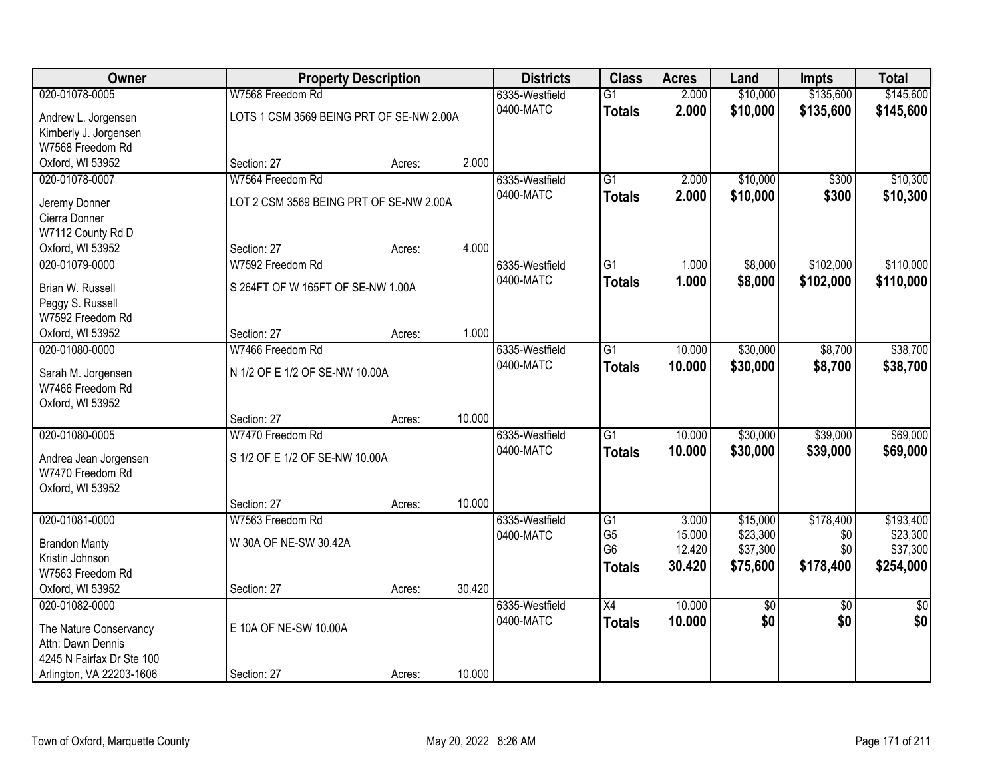| Owner                     |                                          | <b>Property Description</b> |        | <b>Districts</b> | <b>Class</b>    | <b>Acres</b> | Land     | <b>Impts</b>    | <b>Total</b>    |
|---------------------------|------------------------------------------|-----------------------------|--------|------------------|-----------------|--------------|----------|-----------------|-----------------|
| 020-01078-0005            | W7568 Freedom Rd                         |                             |        | 6335-Westfield   | $\overline{G1}$ | 2.000        | \$10,000 | \$135,600       | \$145,600       |
| Andrew L. Jorgensen       | LOTS 1 CSM 3569 BEING PRT OF SE-NW 2.00A |                             |        | 0400-MATC        | <b>Totals</b>   | 2.000        | \$10,000 | \$135,600       | \$145,600       |
| Kimberly J. Jorgensen     |                                          |                             |        |                  |                 |              |          |                 |                 |
| W7568 Freedom Rd          |                                          |                             |        |                  |                 |              |          |                 |                 |
| Oxford, WI 53952          | Section: 27                              | Acres:                      | 2.000  |                  |                 |              |          |                 |                 |
| 020-01078-0007            | W7564 Freedom Rd                         |                             |        | 6335-Westfield   | $\overline{G1}$ | 2.000        | \$10,000 | \$300           | \$10,300        |
| Jeremy Donner             | LOT 2 CSM 3569 BEING PRT OF SE-NW 2.00A  |                             |        | 0400-MATC        | <b>Totals</b>   | 2.000        | \$10,000 | \$300           | \$10,300        |
| Cierra Donner             |                                          |                             |        |                  |                 |              |          |                 |                 |
| W7112 County Rd D         |                                          |                             |        |                  |                 |              |          |                 |                 |
| Oxford, WI 53952          | Section: 27                              | Acres:                      | 4.000  |                  |                 |              |          |                 |                 |
| 020-01079-0000            | W7592 Freedom Rd                         |                             |        | 6335-Westfield   | $\overline{G1}$ | 1.000        | \$8,000  | \$102,000       | \$110,000       |
| Brian W. Russell          | S 264FT OF W 165FT OF SE-NW 1.00A        |                             |        | 0400-MATC        | <b>Totals</b>   | 1.000        | \$8,000  | \$102,000       | \$110,000       |
| Peggy S. Russell          |                                          |                             |        |                  |                 |              |          |                 |                 |
| W7592 Freedom Rd          |                                          |                             |        |                  |                 |              |          |                 |                 |
| Oxford, WI 53952          | Section: 27                              | Acres:                      | 1.000  |                  |                 |              |          |                 |                 |
| 020-01080-0000            | W7466 Freedom Rd                         |                             |        | 6335-Westfield   | G1              | 10.000       | \$30,000 | \$8,700         | \$38,700        |
| Sarah M. Jorgensen        | N 1/2 OF E 1/2 OF SE-NW 10.00A           |                             |        | 0400-MATC        | <b>Totals</b>   | 10.000       | \$30,000 | \$8,700         | \$38,700        |
| W7466 Freedom Rd          |                                          |                             |        |                  |                 |              |          |                 |                 |
| Oxford, WI 53952          |                                          |                             |        |                  |                 |              |          |                 |                 |
|                           | Section: 27                              | Acres:                      | 10.000 |                  |                 |              |          |                 |                 |
| 020-01080-0005            | W7470 Freedom Rd                         |                             |        | 6335-Westfield   | $\overline{G1}$ | 10.000       | \$30,000 | \$39,000        | \$69,000        |
| Andrea Jean Jorgensen     | S 1/2 OF E 1/2 OF SE-NW 10.00A           |                             |        | 0400-MATC        | <b>Totals</b>   | 10.000       | \$30,000 | \$39,000        | \$69,000        |
| W7470 Freedom Rd          |                                          |                             |        |                  |                 |              |          |                 |                 |
| Oxford, WI 53952          |                                          |                             |        |                  |                 |              |          |                 |                 |
|                           | Section: 27                              | Acres:                      | 10.000 |                  |                 |              |          |                 |                 |
| 020-01081-0000            | W7563 Freedom Rd                         |                             |        | 6335-Westfield   | G1              | 3.000        | \$15,000 | \$178,400       | \$193,400       |
| <b>Brandon Manty</b>      | W 30A OF NE-SW 30.42A                    |                             |        | 0400-MATC        | G <sub>5</sub>  | 15.000       | \$23,300 | \$0             | \$23,300        |
| Kristin Johnson           |                                          |                             |        |                  | G <sub>6</sub>  | 12.420       | \$37,300 | \$0             | \$37,300        |
| W7563 Freedom Rd          |                                          |                             |        |                  | <b>Totals</b>   | 30.420       | \$75,600 | \$178,400       | \$254,000       |
| Oxford, WI 53952          | Section: 27                              | Acres:                      | 30.420 |                  |                 |              |          |                 |                 |
| 020-01082-0000            |                                          |                             |        | 6335-Westfield   | $\overline{X4}$ | 10.000       | \$0      | $\overline{30}$ | $\overline{50}$ |
| The Nature Conservancy    | E 10A OF NE-SW 10.00A                    |                             |        | 0400-MATC        | <b>Totals</b>   | 10.000       | \$0      | \$0             | \$0             |
| Attn: Dawn Dennis         |                                          |                             |        |                  |                 |              |          |                 |                 |
| 4245 N Fairfax Dr Ste 100 |                                          |                             |        |                  |                 |              |          |                 |                 |
| Arlington, VA 22203-1606  | Section: 27                              | Acres:                      | 10.000 |                  |                 |              |          |                 |                 |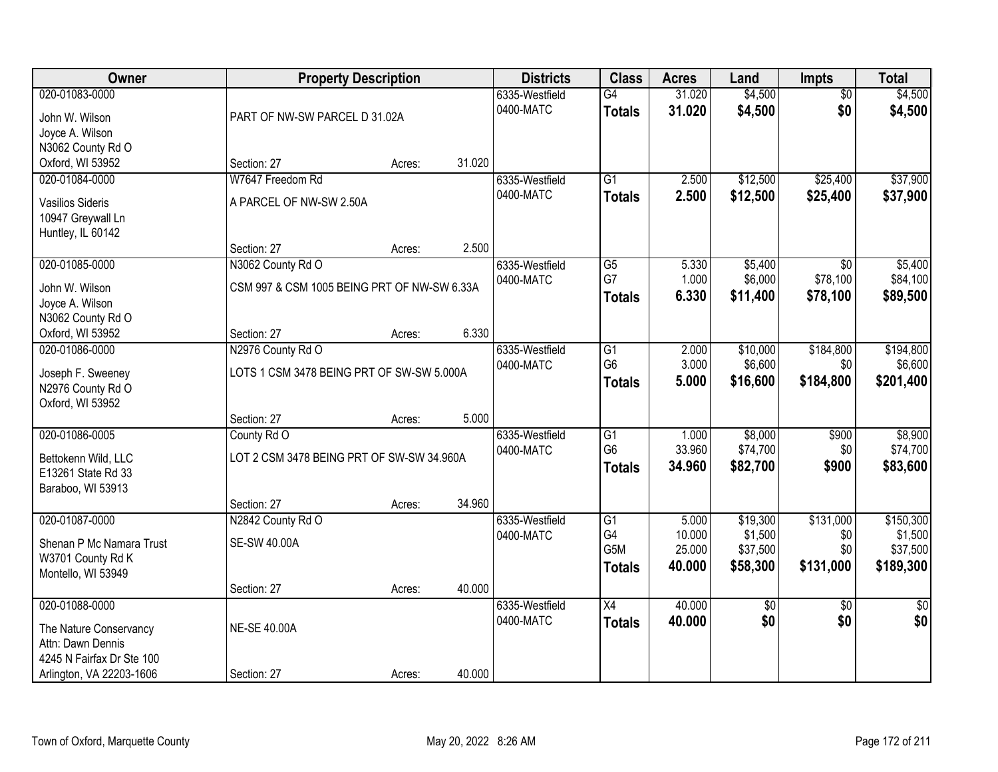| Owner                            |                                             | <b>Property Description</b> |        | <b>Districts</b>            | <b>Class</b>        | <b>Acres</b>     | Land               | Impts                  | <b>Total</b>       |
|----------------------------------|---------------------------------------------|-----------------------------|--------|-----------------------------|---------------------|------------------|--------------------|------------------------|--------------------|
| 020-01083-0000<br>John W. Wilson | PART OF NW-SW PARCEL D 31.02A               |                             |        | 6335-Westfield<br>0400-MATC | G4<br><b>Totals</b> | 31.020<br>31.020 | \$4,500<br>\$4,500 | $\overline{50}$<br>\$0 | \$4,500<br>\$4,500 |
| Joyce A. Wilson                  |                                             |                             |        |                             |                     |                  |                    |                        |                    |
| N3062 County Rd O                |                                             |                             |        |                             |                     |                  |                    |                        |                    |
| Oxford, WI 53952                 | Section: 27                                 | Acres:                      | 31.020 |                             |                     |                  |                    |                        |                    |
| 020-01084-0000                   | W7647 Freedom Rd                            |                             |        | 6335-Westfield              | $\overline{G1}$     | 2.500            | \$12,500           | \$25,400               | \$37,900           |
|                                  |                                             |                             |        | 0400-MATC                   |                     | 2.500            | \$12,500           | \$25,400               | \$37,900           |
| <b>Vasilios Sideris</b>          | A PARCEL OF NW-SW 2.50A                     |                             |        |                             | <b>Totals</b>       |                  |                    |                        |                    |
| 10947 Greywall Ln                |                                             |                             |        |                             |                     |                  |                    |                        |                    |
| Huntley, IL 60142                |                                             |                             |        |                             |                     |                  |                    |                        |                    |
|                                  | Section: 27                                 | Acres:                      | 2.500  |                             |                     |                  |                    |                        |                    |
| 020-01085-0000                   | N3062 County Rd O                           |                             |        | 6335-Westfield              | G5                  | 5.330            | \$5,400            | \$0                    | \$5,400            |
| John W. Wilson                   | CSM 997 & CSM 1005 BEING PRT OF NW-SW 6.33A |                             |        | 0400-MATC                   | G7                  | 1.000            | \$6,000            | \$78,100               | \$84,100           |
| Joyce A. Wilson                  |                                             |                             |        |                             | <b>Totals</b>       | 6.330            | \$11,400           | \$78,100               | \$89,500           |
| N3062 County Rd O                |                                             |                             |        |                             |                     |                  |                    |                        |                    |
| Oxford, WI 53952                 | Section: 27                                 | Acres:                      | 6.330  |                             |                     |                  |                    |                        |                    |
| 020-01086-0000                   | N2976 County Rd O                           |                             |        | 6335-Westfield              | G1                  | 2.000            | \$10,000           | \$184,800              | \$194,800          |
|                                  |                                             |                             |        | 0400-MATC                   | G <sub>6</sub>      | 3.000            | \$6,600            | \$0                    | \$6,600            |
| Joseph F. Sweeney                | LOTS 1 CSM 3478 BEING PRT OF SW-SW 5.000A   |                             |        |                             | <b>Totals</b>       | 5.000            | \$16,600           | \$184,800              | \$201,400          |
| N2976 County Rd O                |                                             |                             |        |                             |                     |                  |                    |                        |                    |
| Oxford, WI 53952                 |                                             |                             |        |                             |                     |                  |                    |                        |                    |
|                                  | Section: 27                                 | Acres:                      | 5.000  |                             |                     |                  |                    |                        |                    |
| 020-01086-0005                   | County Rd O                                 |                             |        | 6335-Westfield              | $\overline{G1}$     | 1.000            | \$8,000            | \$900                  | \$8,900            |
| Bettokenn Wild, LLC              | LOT 2 CSM 3478 BEING PRT OF SW-SW 34.960A   |                             |        | 0400-MATC                   | G <sub>6</sub>      | 33.960           | \$74,700           | \$0                    | \$74,700           |
| E13261 State Rd 33               |                                             |                             |        |                             | <b>Totals</b>       | 34.960           | \$82,700           | \$900                  | \$83,600           |
| Baraboo, WI 53913                |                                             |                             |        |                             |                     |                  |                    |                        |                    |
|                                  | Section: 27                                 | Acres:                      | 34.960 |                             |                     |                  |                    |                        |                    |
| 020-01087-0000                   | N2842 County Rd O                           |                             |        | 6335-Westfield              | $\overline{G1}$     | 5.000            | \$19,300           | \$131,000              | \$150,300          |
| Shenan P Mc Namara Trust         | <b>SE-SW 40.00A</b>                         |                             |        | 0400-MATC                   | G4                  | 10.000           | \$1,500            | \$0                    | \$1,500            |
|                                  |                                             |                             |        |                             | G5M                 | 25.000           | \$37,500           | \$0                    | \$37,500           |
| W3701 County Rd K                |                                             |                             |        |                             | <b>Totals</b>       | 40.000           | \$58,300           | \$131,000              | \$189,300          |
| Montello, WI 53949               | Section: 27                                 | Acres:                      | 40.000 |                             |                     |                  |                    |                        |                    |
| 020-01088-0000                   |                                             |                             |        | 6335-Westfield              | $\overline{X4}$     | 40.000           |                    | $\overline{50}$        | $\overline{50}$    |
|                                  |                                             |                             |        | 0400-MATC                   |                     |                  | \$0<br>\$0         |                        | \$0                |
| The Nature Conservancy           | <b>NE-SE 40.00A</b>                         |                             |        |                             | <b>Totals</b>       | 40.000           |                    | \$0                    |                    |
| Attn: Dawn Dennis                |                                             |                             |        |                             |                     |                  |                    |                        |                    |
| 4245 N Fairfax Dr Ste 100        |                                             |                             |        |                             |                     |                  |                    |                        |                    |
| Arlington, VA 22203-1606         | Section: 27                                 | Acres:                      | 40.000 |                             |                     |                  |                    |                        |                    |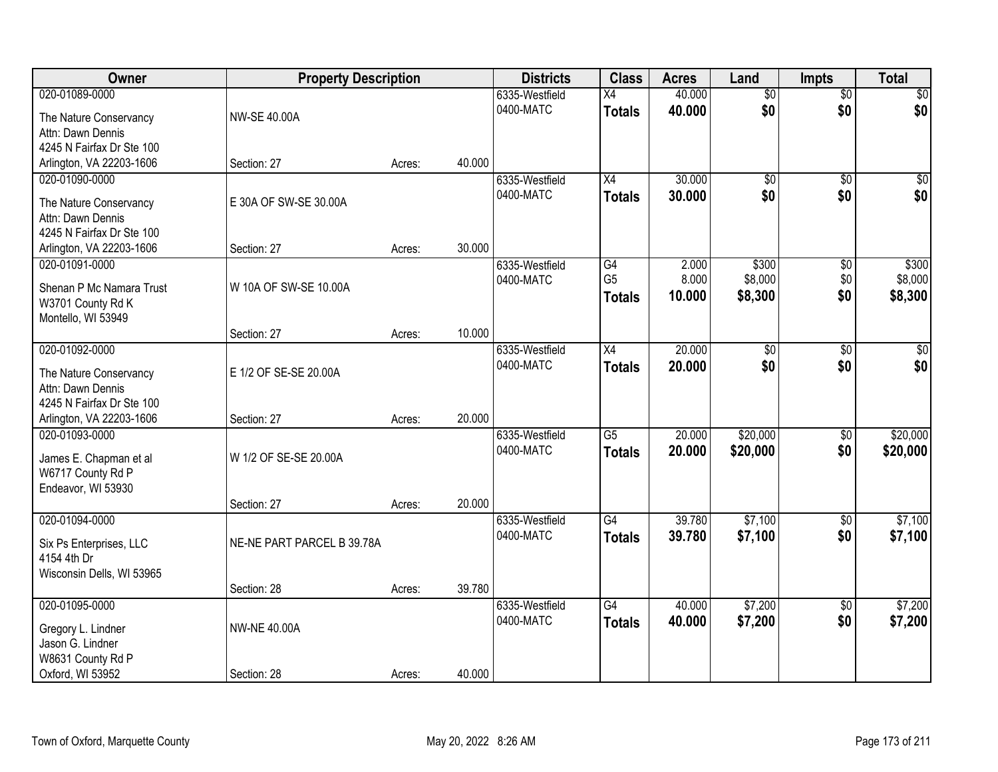| Owner                                      | <b>Property Description</b> |        |        | <b>Districts</b>            | <b>Class</b>         | <b>Acres</b>     | Land                   | <b>Impts</b>    | <b>Total</b>     |
|--------------------------------------------|-----------------------------|--------|--------|-----------------------------|----------------------|------------------|------------------------|-----------------|------------------|
| 020-01089-0000                             |                             |        |        | 6335-Westfield              | $\overline{X4}$      | 40.000           | $\overline{50}$        | $\overline{50}$ | $\sqrt{30}$      |
| The Nature Conservancy                     | NW-SE 40.00A                |        |        | 0400-MATC                   | <b>Totals</b>        | 40.000           | \$0                    | \$0             | \$0              |
| Attn: Dawn Dennis                          |                             |        |        |                             |                      |                  |                        |                 |                  |
| 4245 N Fairfax Dr Ste 100                  |                             |        |        |                             |                      |                  |                        |                 |                  |
| Arlington, VA 22203-1606                   | Section: 27                 | Acres: | 40.000 |                             |                      |                  |                        |                 |                  |
| 020-01090-0000                             |                             |        |        | 6335-Westfield<br>0400-MATC | X4                   | 30.000<br>30.000 | $\overline{50}$<br>\$0 | $\overline{50}$ | $\sqrt{50}$      |
| The Nature Conservancy                     | E 30A OF SW-SE 30.00A       |        |        |                             | <b>Totals</b>        |                  |                        | \$0             | \$0              |
| Attn: Dawn Dennis                          |                             |        |        |                             |                      |                  |                        |                 |                  |
| 4245 N Fairfax Dr Ste 100                  |                             |        |        |                             |                      |                  |                        |                 |                  |
| Arlington, VA 22203-1606                   | Section: 27                 | Acres: | 30.000 |                             |                      |                  |                        |                 |                  |
| 020-01091-0000                             |                             |        |        | 6335-Westfield<br>0400-MATC | G4<br>G <sub>5</sub> | 2.000<br>8.000   | \$300<br>\$8,000       | \$0<br>\$0      | \$300<br>\$8,000 |
| Shenan P Mc Namara Trust                   | W 10A OF SW-SE 10.00A       |        |        |                             | <b>Totals</b>        | 10.000           | \$8,300                | \$0             | \$8,300          |
| W3701 County Rd K                          |                             |        |        |                             |                      |                  |                        |                 |                  |
| Montello, WI 53949                         |                             |        |        |                             |                      |                  |                        |                 |                  |
|                                            | Section: 27                 | Acres: | 10.000 |                             |                      |                  |                        |                 |                  |
| 020-01092-0000                             |                             |        |        | 6335-Westfield<br>0400-MATC | X4                   | 20.000           | $\overline{60}$<br>\$0 | \$0<br>\$0      | \$0<br>\$0       |
| The Nature Conservancy                     | E 1/2 OF SE-SE 20.00A       |        |        |                             | <b>Totals</b>        | 20.000           |                        |                 |                  |
| Attn: Dawn Dennis                          |                             |        |        |                             |                      |                  |                        |                 |                  |
| 4245 N Fairfax Dr Ste 100                  |                             |        |        |                             |                      |                  |                        |                 |                  |
| Arlington, VA 22203-1606<br>020-01093-0000 | Section: 27                 | Acres: | 20.000 |                             | $\overline{G5}$      | 20.000           | \$20,000               | $\overline{50}$ | \$20,000         |
|                                            |                             |        |        | 6335-Westfield<br>0400-MATC |                      | 20.000           | \$20,000               | \$0             | \$20,000         |
| James E. Chapman et al                     | W 1/2 OF SE-SE 20.00A       |        |        |                             | <b>Totals</b>        |                  |                        |                 |                  |
| W6717 County Rd P                          |                             |        |        |                             |                      |                  |                        |                 |                  |
| Endeavor, WI 53930                         |                             |        |        |                             |                      |                  |                        |                 |                  |
| 020-01094-0000                             | Section: 27                 | Acres: | 20.000 | 6335-Westfield              | $\overline{G4}$      | 39.780           | \$7,100                | $\sqrt{6}$      | \$7,100          |
|                                            |                             |        |        | 0400-MATC                   | <b>Totals</b>        | 39.780           | \$7,100                | \$0             | \$7,100          |
| Six Ps Enterprises, LLC                    | NE-NE PART PARCEL B 39.78A  |        |        |                             |                      |                  |                        |                 |                  |
| 4154 4th Dr                                |                             |        |        |                             |                      |                  |                        |                 |                  |
| Wisconsin Dells, WI 53965                  |                             |        | 39.780 |                             |                      |                  |                        |                 |                  |
| 020-01095-0000                             | Section: 28                 | Acres: |        | 6335-Westfield              | $\overline{G4}$      | 40.000           | \$7,200                | $\overline{50}$ | \$7,200          |
|                                            |                             |        |        | 0400-MATC                   | <b>Totals</b>        | 40.000           | \$7,200                | \$0             | \$7,200          |
| Gregory L. Lindner                         | <b>NW-NE 40.00A</b>         |        |        |                             |                      |                  |                        |                 |                  |
| Jason G. Lindner                           |                             |        |        |                             |                      |                  |                        |                 |                  |
| W8631 County Rd P                          |                             |        |        |                             |                      |                  |                        |                 |                  |
| Oxford, WI 53952                           | Section: 28                 | Acres: | 40.000 |                             |                      |                  |                        |                 |                  |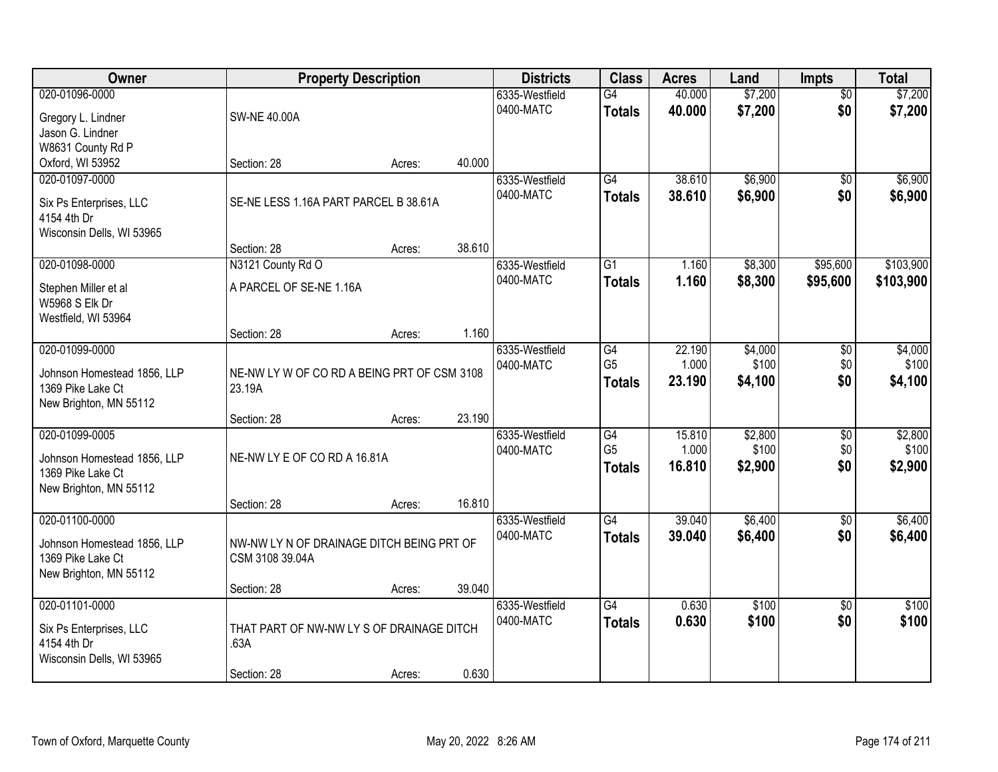| Owner                                                                                        |                                                              | <b>Property Description</b> |        | <b>Districts</b>            | <b>Class</b>                                       | <b>Acres</b>              | Land                        | Impts                         | <b>Total</b>                |
|----------------------------------------------------------------------------------------------|--------------------------------------------------------------|-----------------------------|--------|-----------------------------|----------------------------------------------------|---------------------------|-----------------------------|-------------------------------|-----------------------------|
| 020-01096-0000<br>Gregory L. Lindner<br>Jason G. Lindner                                     | <b>SW-NE 40.00A</b>                                          |                             |        | 6335-Westfield<br>0400-MATC | G4<br><b>Totals</b>                                | 40.000<br>40.000          | \$7,200<br>\$7,200          | $\overline{50}$<br>\$0        | \$7,200<br>\$7,200          |
| W8631 County Rd P<br>Oxford, WI 53952                                                        | Section: 28                                                  | Acres:                      | 40.000 |                             |                                                    |                           |                             |                               |                             |
| 020-01097-0000<br>Six Ps Enterprises, LLC<br>4154 4th Dr<br>Wisconsin Dells, WI 53965        | SE-NE LESS 1.16A PART PARCEL B 38.61A                        |                             |        | 6335-Westfield<br>0400-MATC | $\overline{G4}$<br><b>Totals</b>                   | 38.610<br>38.610          | \$6,900<br>\$6,900          | $\overline{50}$<br>\$0        | \$6,900<br>\$6,900          |
|                                                                                              | Section: 28                                                  | Acres:                      | 38.610 |                             |                                                    |                           |                             |                               |                             |
| 020-01098-0000<br>Stephen Miller et al<br>W5968 S Elk Dr<br>Westfield, WI 53964              | N3121 County Rd O<br>A PARCEL OF SE-NE 1.16A                 |                             |        | 6335-Westfield<br>0400-MATC | $\overline{G1}$<br><b>Totals</b>                   | 1.160<br>1.160            | \$8,300<br>\$8,300          | \$95,600<br>\$95,600          | \$103,900<br>\$103,900      |
|                                                                                              | Section: 28                                                  | Acres:                      | 1.160  |                             |                                                    |                           |                             |                               |                             |
| 020-01099-0000<br>Johnson Homestead 1856, LLP<br>1369 Pike Lake Ct<br>New Brighton, MN 55112 | NE-NW LY W OF CO RD A BEING PRT OF CSM 3108<br>23.19A        |                             |        | 6335-Westfield<br>0400-MATC | G4<br>G <sub>5</sub><br><b>Totals</b>              | 22.190<br>1.000<br>23.190 | \$4,000<br>\$100<br>\$4,100 | \$0<br>\$0<br>\$0             | \$4,000<br>\$100<br>\$4,100 |
|                                                                                              | Section: 28                                                  | Acres:                      | 23.190 |                             |                                                    |                           |                             |                               |                             |
| 020-01099-0005<br>Johnson Homestead 1856, LLP<br>1369 Pike Lake Ct<br>New Brighton, MN 55112 | NE-NW LY E OF CO RD A 16.81A                                 |                             | 16.810 | 6335-Westfield<br>0400-MATC | $\overline{G4}$<br>G <sub>5</sub><br><b>Totals</b> | 15.810<br>1.000<br>16.810 | \$2,800<br>\$100<br>\$2,900 | $\overline{50}$<br>\$0<br>\$0 | \$2,800<br>\$100<br>\$2,900 |
| 020-01100-0000                                                                               | Section: 28                                                  | Acres:                      |        | 6335-Westfield              | G4                                                 | 39.040                    | \$6,400                     | $\sqrt{6}$                    | \$6,400                     |
| Johnson Homestead 1856, LLP<br>1369 Pike Lake Ct<br>New Brighton, MN 55112                   | NW-NW LY N OF DRAINAGE DITCH BEING PRT OF<br>CSM 3108 39.04A |                             |        | 0400-MATC                   | <b>Totals</b>                                      | 39.040                    | \$6,400                     | \$0                           | \$6,400                     |
|                                                                                              | Section: 28                                                  | Acres:                      | 39.040 |                             |                                                    |                           |                             |                               |                             |
| 020-01101-0000<br>Six Ps Enterprises, LLC<br>4154 4th Dr<br>Wisconsin Dells, WI 53965        | THAT PART OF NW-NW LY S OF DRAINAGE DITCH<br>.63A            |                             | 0.630  | 6335-Westfield<br>0400-MATC | $\overline{G4}$<br><b>Totals</b>                   | 0.630<br>0.630            | \$100<br>\$100              | $\overline{50}$<br>\$0        | \$100<br>\$100              |
|                                                                                              | Section: 28                                                  | Acres:                      |        |                             |                                                    |                           |                             |                               |                             |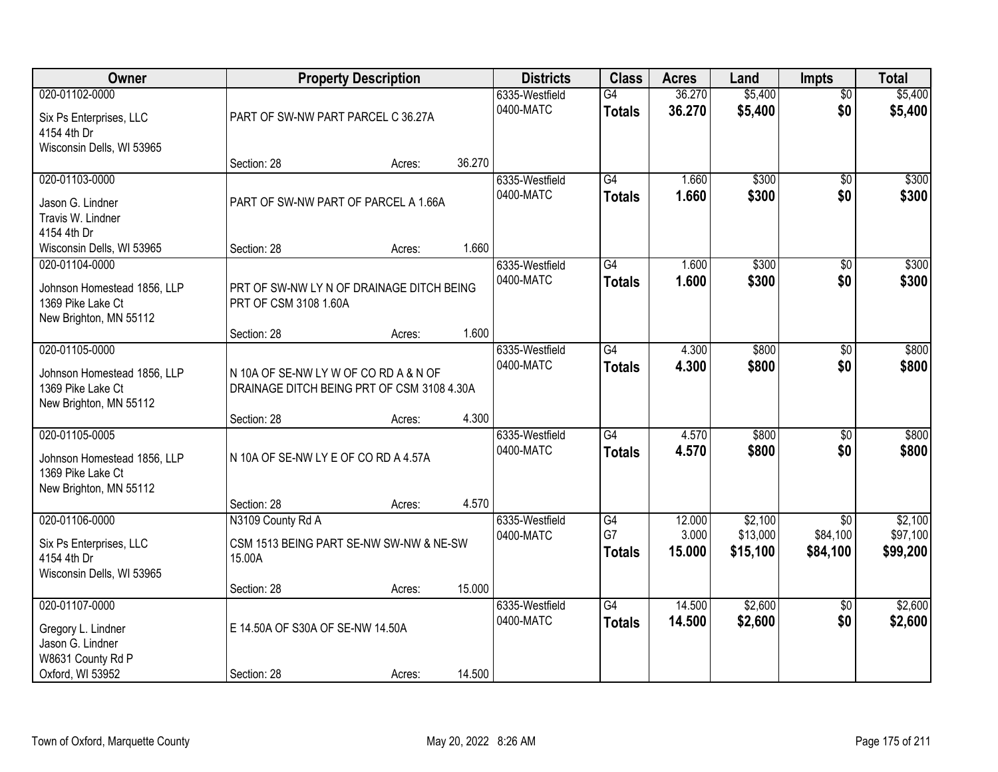| <b>Owner</b>                                                                                 |                                                                                   | <b>Property Description</b> |        | <b>Districts</b>            | <b>Class</b>                     | <b>Acres</b>     | Land                 | <b>Impts</b>           | <b>Total</b>         |
|----------------------------------------------------------------------------------------------|-----------------------------------------------------------------------------------|-----------------------------|--------|-----------------------------|----------------------------------|------------------|----------------------|------------------------|----------------------|
| 020-01102-0000<br>Six Ps Enterprises, LLC<br>4154 4th Dr<br>Wisconsin Dells, WI 53965        | PART OF SW-NW PART PARCEL C 36.27A                                                |                             |        | 6335-Westfield<br>0400-MATC | G4<br><b>Totals</b>              | 36.270<br>36.270 | \$5,400<br>\$5,400   | $\overline{50}$<br>\$0 | \$5,400<br>\$5,400   |
|                                                                                              | Section: 28                                                                       | Acres:                      | 36.270 |                             |                                  |                  |                      |                        |                      |
| 020-01103-0000<br>Jason G. Lindner<br>Travis W. Lindner<br>4154 4th Dr                       | PART OF SW-NW PART OF PARCEL A 1.66A                                              |                             |        | 6335-Westfield<br>0400-MATC | G4<br><b>Totals</b>              | 1.660<br>1.660   | \$300<br>\$300       | $\overline{50}$<br>\$0 | \$300<br>\$300       |
| Wisconsin Dells, WI 53965<br>020-01104-0000                                                  | Section: 28                                                                       | Acres:                      | 1.660  | 6335-Westfield              | G4                               | 1.600            | \$300                | \$0                    | \$300                |
| Johnson Homestead 1856, LLP<br>1369 Pike Lake Ct<br>New Brighton, MN 55112                   | PRT OF SW-NW LY N OF DRAINAGE DITCH BEING<br>PRT OF CSM 3108 1.60A                |                             |        | 0400-MATC                   | <b>Totals</b>                    | 1.600            | \$300                | \$0                    | \$300                |
|                                                                                              | Section: 28                                                                       | Acres:                      | 1.600  |                             |                                  |                  |                      |                        |                      |
| 020-01105-0000<br>Johnson Homestead 1856, LLP<br>1369 Pike Lake Ct<br>New Brighton, MN 55112 | N 10A OF SE-NW LYW OF CORD A & N OF<br>DRAINAGE DITCH BEING PRT OF CSM 3108 4.30A |                             |        | 6335-Westfield<br>0400-MATC | $\overline{G4}$<br><b>Totals</b> | 4.300<br>4.300   | \$800<br>\$800       | \$0<br>\$0             | \$800<br>\$800       |
|                                                                                              | Section: 28                                                                       | Acres:                      | 4.300  |                             |                                  |                  |                      |                        |                      |
| 020-01105-0005<br>Johnson Homestead 1856, LLP<br>1369 Pike Lake Ct<br>New Brighton, MN 55112 | N 10A OF SE-NW LY E OF CO RD A 4.57A                                              |                             |        | 6335-Westfield<br>0400-MATC | $\overline{G4}$<br><b>Totals</b> | 4.570<br>4.570   | \$800<br>\$800       | $\overline{30}$<br>\$0 | \$800<br>\$800       |
| 020-01106-0000                                                                               | Section: 28<br>N3109 County Rd A                                                  | Acres:                      | 4.570  | 6335-Westfield              | G4                               | 12.000           | \$2,100              | $\overline{50}$        | \$2,100              |
| Six Ps Enterprises, LLC<br>4154 4th Dr<br>Wisconsin Dells, WI 53965                          | CSM 1513 BEING PART SE-NW SW-NW & NE-SW<br>15.00A                                 |                             |        | 0400-MATC                   | G7<br><b>Totals</b>              | 3.000<br>15.000  | \$13,000<br>\$15,100 | \$84,100<br>\$84,100   | \$97,100<br>\$99,200 |
|                                                                                              | Section: 28                                                                       | Acres:                      | 15.000 |                             |                                  |                  |                      |                        |                      |
| 020-01107-0000<br>Gregory L. Lindner<br>Jason G. Lindner<br>W8631 County Rd P                | E 14.50A OF S30A OF SE-NW 14.50A                                                  |                             |        | 6335-Westfield<br>0400-MATC | $\overline{G4}$<br><b>Totals</b> | 14.500<br>14.500 | \$2,600<br>\$2,600   | $\overline{50}$<br>\$0 | \$2,600<br>\$2,600   |
| Oxford, WI 53952                                                                             | Section: 28                                                                       | Acres:                      | 14.500 |                             |                                  |                  |                      |                        |                      |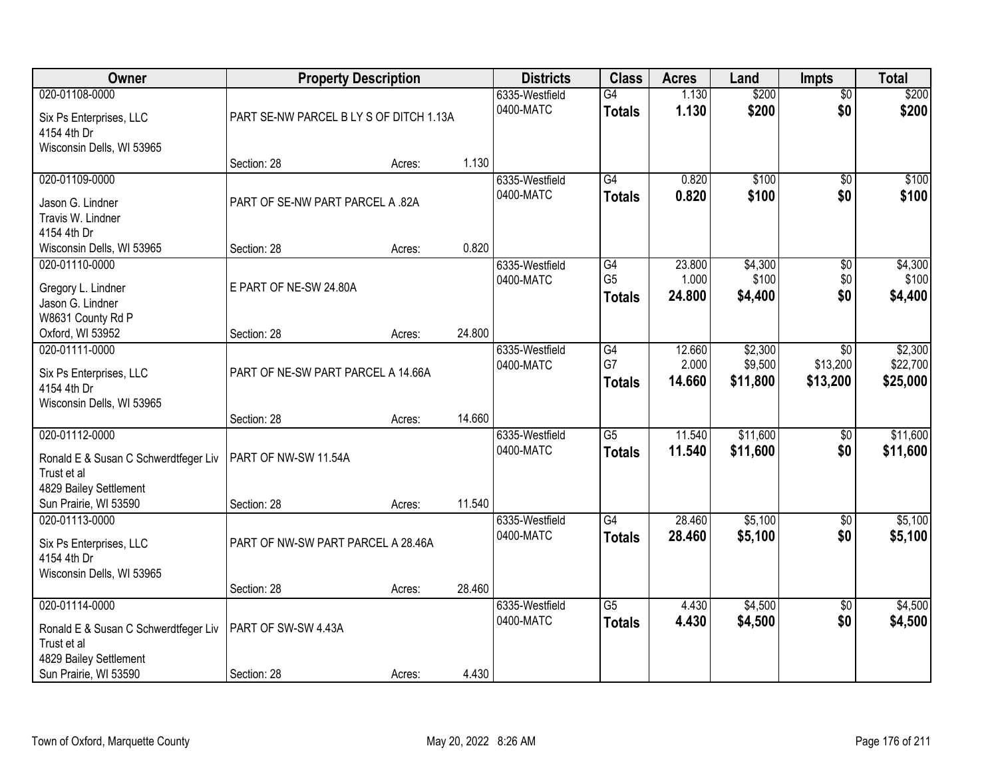| Owner                                                                                                                    |                                         | <b>Property Description</b> |        | <b>Districts</b>            | <b>Class</b>                          | <b>Acres</b>              | Land                           | <b>Impts</b>                            | <b>Total</b>                    |
|--------------------------------------------------------------------------------------------------------------------------|-----------------------------------------|-----------------------------|--------|-----------------------------|---------------------------------------|---------------------------|--------------------------------|-----------------------------------------|---------------------------------|
| 020-01108-0000<br>Six Ps Enterprises, LLC<br>4154 4th Dr                                                                 | PART SE-NW PARCEL B LY S OF DITCH 1.13A |                             |        | 6335-Westfield<br>0400-MATC | G4<br><b>Totals</b>                   | 1.130<br>1.130            | \$200<br>\$200                 | $\overline{50}$<br>\$0                  | \$200<br>\$200                  |
| Wisconsin Dells, WI 53965                                                                                                | Section: 28                             | Acres:                      | 1.130  |                             |                                       |                           |                                |                                         |                                 |
| 020-01109-0000<br>Jason G. Lindner<br>Travis W. Lindner<br>4154 4th Dr                                                   | PART OF SE-NW PART PARCEL A .82A        |                             |        | 6335-Westfield<br>0400-MATC | G4<br><b>Totals</b>                   | 0.820<br>0.820            | \$100<br>\$100                 | $\overline{50}$<br>\$0                  | \$100<br>\$100                  |
| Wisconsin Dells, WI 53965                                                                                                | Section: 28                             | Acres:                      | 0.820  |                             |                                       |                           |                                |                                         |                                 |
| 020-01110-0000<br>Gregory L. Lindner<br>Jason G. Lindner<br>W8631 County Rd P                                            | E PART OF NE-SW 24.80A                  |                             |        | 6335-Westfield<br>0400-MATC | G4<br>G <sub>5</sub><br><b>Totals</b> | 23.800<br>1.000<br>24.800 | \$4,300<br>\$100<br>\$4,400    | \$0<br>\$0<br>\$0                       | \$4,300<br>\$100<br>\$4,400     |
| Oxford, WI 53952                                                                                                         | Section: 28                             | Acres:                      | 24.800 |                             |                                       |                           |                                |                                         |                                 |
| 020-01111-0000<br>Six Ps Enterprises, LLC<br>4154 4th Dr<br>Wisconsin Dells, WI 53965                                    | PART OF NE-SW PART PARCEL A 14.66A      |                             |        | 6335-Westfield<br>0400-MATC | G4<br>G7<br><b>Totals</b>             | 12.660<br>2.000<br>14.660 | \$2,300<br>\$9,500<br>\$11,800 | $\overline{50}$<br>\$13,200<br>\$13,200 | \$2,300<br>\$22,700<br>\$25,000 |
|                                                                                                                          | Section: 28                             | Acres:                      | 14.660 |                             |                                       |                           |                                |                                         |                                 |
| 020-01112-0000<br>Ronald E & Susan C Schwerdtfeger Liv<br>Trust et al<br>4829 Bailey Settlement<br>Sun Prairie, WI 53590 | PART OF NW-SW 11.54A<br>Section: 28     | Acres:                      | 11.540 | 6335-Westfield<br>0400-MATC | $\overline{G5}$<br><b>Totals</b>      | 11.540<br>11.540          | \$11,600<br>\$11,600           | \$0<br>\$0                              | \$11,600<br>\$11,600            |
| 020-01113-0000<br>Six Ps Enterprises, LLC<br>4154 4th Dr<br>Wisconsin Dells, WI 53965                                    | PART OF NW-SW PART PARCEL A 28.46A      |                             |        | 6335-Westfield<br>0400-MATC | $\overline{G4}$<br><b>Totals</b>      | 28.460<br>28.460          | \$5,100<br>\$5,100             | $\sqrt{6}$<br>\$0                       | \$5,100<br>\$5,100              |
|                                                                                                                          | Section: 28                             | Acres:                      | 28.460 |                             |                                       |                           |                                |                                         |                                 |
| 020-01114-0000<br>Ronald E & Susan C Schwerdtfeger Liv<br>Trust et al<br>4829 Bailey Settlement                          | PART OF SW-SW 4.43A                     |                             |        | 6335-Westfield<br>0400-MATC | $\overline{G5}$<br><b>Totals</b>      | 4.430<br>4.430            | \$4,500<br>\$4,500             | $\overline{50}$<br>\$0                  | \$4,500<br>\$4,500              |
| Sun Prairie, WI 53590                                                                                                    | Section: 28                             | Acres:                      | 4.430  |                             |                                       |                           |                                |                                         |                                 |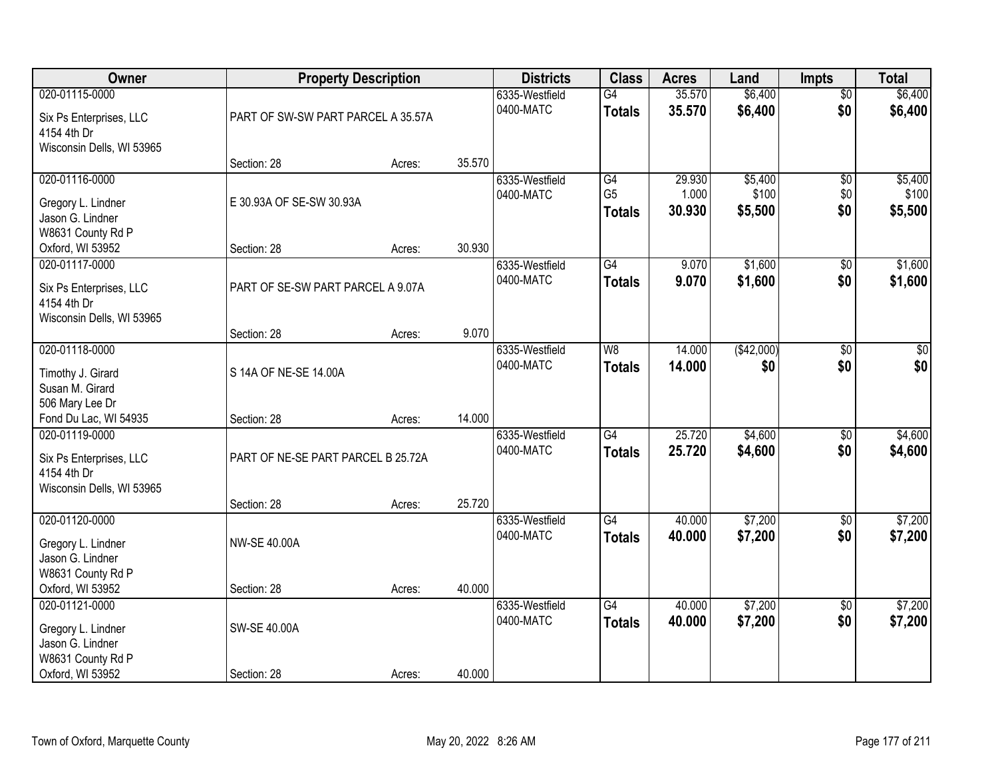| Owner                                  |                                    | <b>Property Description</b> |        | <b>Districts</b>            | <b>Class</b>         | <b>Acres</b>    | Land             | <b>Impts</b>    | <b>Total</b>     |
|----------------------------------------|------------------------------------|-----------------------------|--------|-----------------------------|----------------------|-----------------|------------------|-----------------|------------------|
| 020-01115-0000                         |                                    |                             |        | 6335-Westfield              | G4                   | 35.570          | \$6,400          | $\overline{50}$ | \$6,400          |
| Six Ps Enterprises, LLC                | PART OF SW-SW PART PARCEL A 35.57A |                             |        | 0400-MATC                   | <b>Totals</b>        | 35.570          | \$6,400          | \$0             | \$6,400          |
| 4154 4th Dr                            |                                    |                             |        |                             |                      |                 |                  |                 |                  |
| Wisconsin Dells, WI 53965              |                                    |                             |        |                             |                      |                 |                  |                 |                  |
|                                        | Section: 28                        | Acres:                      | 35.570 |                             |                      |                 |                  |                 |                  |
| 020-01116-0000                         |                                    |                             |        | 6335-Westfield<br>0400-MATC | G4<br>G <sub>5</sub> | 29.930<br>1.000 | \$5,400<br>\$100 | \$0<br>\$0      | \$5,400<br>\$100 |
| Gregory L. Lindner                     | E 30.93A OF SE-SW 30.93A           |                             |        |                             | <b>Totals</b>        | 30.930          | \$5,500          | \$0             | \$5,500          |
| Jason G. Lindner                       |                                    |                             |        |                             |                      |                 |                  |                 |                  |
| W8631 County Rd P                      | Section: 28                        |                             | 30.930 |                             |                      |                 |                  |                 |                  |
| Oxford, WI 53952<br>020-01117-0000     |                                    | Acres:                      |        | 6335-Westfield              | G4                   | 9.070           | \$1,600          | \$0             | \$1,600          |
|                                        |                                    |                             |        | 0400-MATC                   | <b>Totals</b>        | 9.070           | \$1,600          | \$0             | \$1,600          |
| Six Ps Enterprises, LLC                | PART OF SE-SW PART PARCEL A 9.07A  |                             |        |                             |                      |                 |                  |                 |                  |
| 4154 4th Dr                            |                                    |                             |        |                             |                      |                 |                  |                 |                  |
| Wisconsin Dells, WI 53965              | Section: 28                        | Acres:                      | 9.070  |                             |                      |                 |                  |                 |                  |
| 020-01118-0000                         |                                    |                             |        | 6335-Westfield              | W8                   | 14.000          | (\$42,000)       | \$0             | \$0              |
|                                        |                                    |                             |        | 0400-MATC                   | <b>Totals</b>        | 14.000          | \$0              | \$0             | \$0              |
| Timothy J. Girard                      | S 14A OF NE-SE 14.00A              |                             |        |                             |                      |                 |                  |                 |                  |
| Susan M. Girard<br>506 Mary Lee Dr     |                                    |                             |        |                             |                      |                 |                  |                 |                  |
| Fond Du Lac, WI 54935                  | Section: 28                        | Acres:                      | 14.000 |                             |                      |                 |                  |                 |                  |
| 020-01119-0000                         |                                    |                             |        | 6335-Westfield              | $\overline{G4}$      | 25.720          | \$4,600          | $\overline{30}$ | \$4,600          |
|                                        | PART OF NE-SE PART PARCEL B 25.72A |                             |        | 0400-MATC                   | <b>Totals</b>        | 25.720          | \$4,600          | \$0             | \$4,600          |
| Six Ps Enterprises, LLC<br>4154 4th Dr |                                    |                             |        |                             |                      |                 |                  |                 |                  |
| Wisconsin Dells, WI 53965              |                                    |                             |        |                             |                      |                 |                  |                 |                  |
|                                        | Section: 28                        | Acres:                      | 25.720 |                             |                      |                 |                  |                 |                  |
| 020-01120-0000                         |                                    |                             |        | 6335-Westfield              | G4                   | 40.000          | \$7,200          | $\sqrt{$0}$     | \$7,200          |
| Gregory L. Lindner                     | <b>NW-SE 40.00A</b>                |                             |        | 0400-MATC                   | <b>Totals</b>        | 40.000          | \$7,200          | \$0             | \$7,200          |
| Jason G. Lindner                       |                                    |                             |        |                             |                      |                 |                  |                 |                  |
| W8631 County Rd P                      |                                    |                             |        |                             |                      |                 |                  |                 |                  |
| Oxford, WI 53952                       | Section: 28                        | Acres:                      | 40.000 |                             |                      |                 |                  |                 |                  |
| 020-01121-0000                         |                                    |                             |        | 6335-Westfield              | $\overline{G4}$      | 40.000          | \$7,200          | $\overline{50}$ | \$7,200          |
| Gregory L. Lindner                     | SW-SE 40.00A                       |                             |        | 0400-MATC                   | <b>Totals</b>        | 40.000          | \$7,200          | \$0             | \$7,200          |
| Jason G. Lindner                       |                                    |                             |        |                             |                      |                 |                  |                 |                  |
| W8631 County Rd P                      |                                    |                             |        |                             |                      |                 |                  |                 |                  |
| Oxford, WI 53952                       | Section: 28                        | Acres:                      | 40.000 |                             |                      |                 |                  |                 |                  |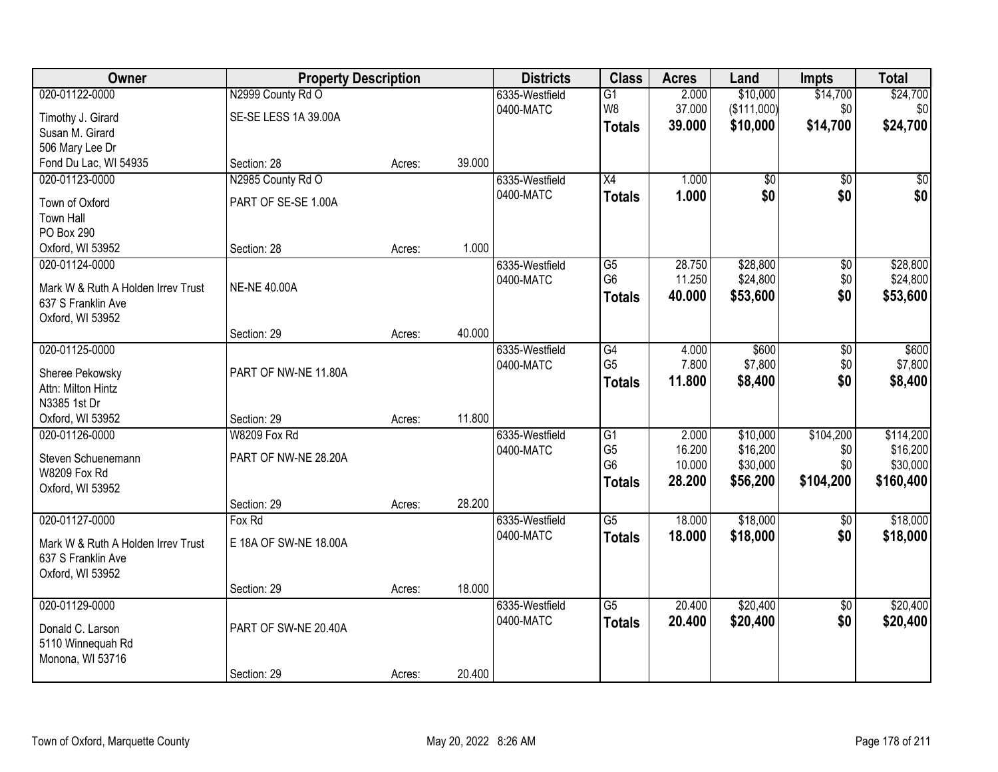| Owner                                                    | <b>Property Description</b> |        |        | <b>Districts</b> | <b>Class</b>    | <b>Acres</b> | Land            | <b>Impts</b>    | <b>Total</b> |
|----------------------------------------------------------|-----------------------------|--------|--------|------------------|-----------------|--------------|-----------------|-----------------|--------------|
| 020-01122-0000                                           | N2999 County Rd O           |        |        | 6335-Westfield   | $\overline{G1}$ | 2.000        | \$10,000        | \$14,700        | \$24,700     |
| Timothy J. Girard                                        | SE-SE LESS 1A 39.00A        |        |        | 0400-MATC        | W8              | 37.000       | (\$111,000)     | \$0             | \$0          |
| Susan M. Girard                                          |                             |        |        |                  | <b>Totals</b>   | 39.000       | \$10,000        | \$14,700        | \$24,700     |
| 506 Mary Lee Dr                                          |                             |        |        |                  |                 |              |                 |                 |              |
| Fond Du Lac, WI 54935                                    | Section: 28                 | Acres: | 39.000 |                  |                 |              |                 |                 |              |
| 020-01123-0000                                           | N2985 County Rd O           |        |        | 6335-Westfield   | $\overline{X4}$ | 1.000        | $\overline{50}$ | $\overline{50}$ | $\sqrt{50}$  |
| Town of Oxford                                           | PART OF SE-SE 1.00A         |        |        | 0400-MATC        | <b>Totals</b>   | 1.000        | \$0             | \$0             | \$0          |
| <b>Town Hall</b>                                         |                             |        |        |                  |                 |              |                 |                 |              |
| PO Box 290                                               |                             |        |        |                  |                 |              |                 |                 |              |
| Oxford, WI 53952                                         | Section: 28                 | Acres: | 1.000  |                  |                 |              |                 |                 |              |
| 020-01124-0000                                           |                             |        |        | 6335-Westfield   | G5              | 28.750       | \$28,800        | \$0             | \$28,800     |
|                                                          | <b>NE-NE 40.00A</b>         |        |        | 0400-MATC        | G <sub>6</sub>  | 11.250       | \$24,800        | \$0             | \$24,800     |
| Mark W & Ruth A Holden Irrev Trust<br>637 S Franklin Ave |                             |        |        |                  | <b>Totals</b>   | 40.000       | \$53,600        | \$0             | \$53,600     |
| Oxford, WI 53952                                         |                             |        |        |                  |                 |              |                 |                 |              |
|                                                          | Section: 29                 | Acres: | 40.000 |                  |                 |              |                 |                 |              |
| 020-01125-0000                                           |                             |        |        | 6335-Westfield   | G4              | 4.000        | \$600           | \$0             | \$600        |
|                                                          |                             |        |        | 0400-MATC        | G <sub>5</sub>  | 7.800        | \$7,800         | \$0             | \$7,800      |
| Sheree Pekowsky                                          | PART OF NW-NE 11.80A        |        |        |                  | <b>Totals</b>   | 11.800       | \$8,400         | \$0             | \$8,400      |
| Attn: Milton Hintz<br>N3385 1st Dr                       |                             |        |        |                  |                 |              |                 |                 |              |
| Oxford, WI 53952                                         | Section: 29                 | Acres: | 11.800 |                  |                 |              |                 |                 |              |
| 020-01126-0000                                           | W8209 Fox Rd                |        |        | 6335-Westfield   | $\overline{G1}$ | 2.000        | \$10,000        | \$104,200       | \$114,200    |
|                                                          |                             |        |        | 0400-MATC        | G <sub>5</sub>  | 16.200       | \$16,200        | \$0             | \$16,200     |
| Steven Schuenemann                                       | PART OF NW-NE 28.20A        |        |        |                  | G <sub>6</sub>  | 10.000       | \$30,000        | \$0             | \$30,000     |
| <b>W8209 Fox Rd</b>                                      |                             |        |        |                  | <b>Totals</b>   | 28.200       | \$56,200        | \$104,200       | \$160,400    |
| Oxford, WI 53952                                         |                             |        |        |                  |                 |              |                 |                 |              |
|                                                          | Section: 29                 | Acres: | 28.200 |                  |                 |              |                 |                 |              |
| 020-01127-0000                                           | Fox Rd                      |        |        | 6335-Westfield   | $\overline{G5}$ | 18.000       | \$18,000        | $\overline{50}$ | \$18,000     |
| Mark W & Ruth A Holden Irrev Trust                       | E 18A OF SW-NE 18.00A       |        |        | 0400-MATC        | <b>Totals</b>   | 18.000       | \$18,000        | \$0             | \$18,000     |
| 637 S Franklin Ave                                       |                             |        |        |                  |                 |              |                 |                 |              |
| Oxford, WI 53952                                         |                             |        |        |                  |                 |              |                 |                 |              |
|                                                          | Section: 29                 | Acres: | 18.000 |                  |                 |              |                 |                 |              |
| 020-01129-0000                                           |                             |        |        | 6335-Westfield   | $\overline{G5}$ | 20.400       | \$20,400        | $\overline{50}$ | \$20,400     |
| Donald C. Larson                                         | PART OF SW-NE 20.40A        |        |        | 0400-MATC        | <b>Totals</b>   | 20.400       | \$20,400        | \$0             | \$20,400     |
| 5110 Winnequah Rd                                        |                             |        |        |                  |                 |              |                 |                 |              |
| Monona, WI 53716                                         |                             |        |        |                  |                 |              |                 |                 |              |
|                                                          | Section: 29                 | Acres: | 20.400 |                  |                 |              |                 |                 |              |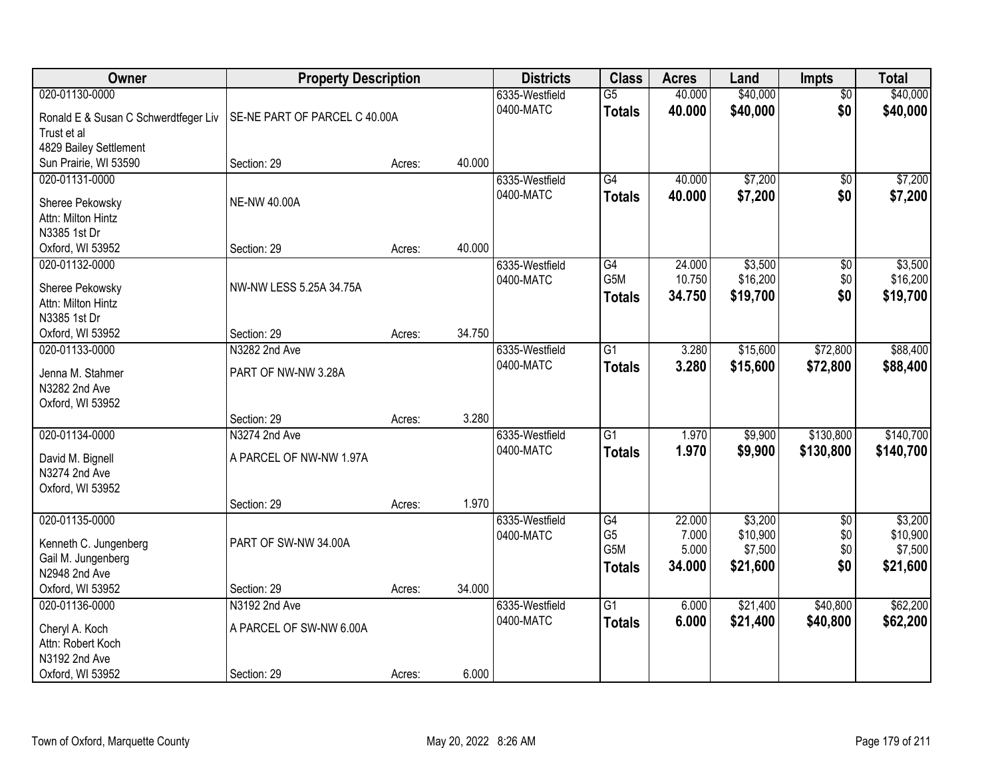| Owner                                | <b>Property Description</b>   |        |        | <b>Districts</b>            | <b>Class</b>     | <b>Acres</b>     | Land               | <b>Impts</b>           | <b>Total</b>       |
|--------------------------------------|-------------------------------|--------|--------|-----------------------------|------------------|------------------|--------------------|------------------------|--------------------|
| 020-01130-0000                       |                               |        |        | 6335-Westfield<br>0400-MATC | $\overline{G5}$  | 40.000           | \$40,000           | $\overline{50}$        | \$40,000           |
| Ronald E & Susan C Schwerdtfeger Liv | SE-NE PART OF PARCEL C 40.00A |        |        |                             | <b>Totals</b>    | 40.000           | \$40,000           | \$0                    | \$40,000           |
| Trust et al                          |                               |        |        |                             |                  |                  |                    |                        |                    |
| 4829 Bailey Settlement               |                               |        |        |                             |                  |                  |                    |                        |                    |
| Sun Prairie, WI 53590                | Section: 29                   | Acres: | 40.000 |                             |                  |                  |                    |                        |                    |
| 020-01131-0000                       |                               |        |        | 6335-Westfield<br>0400-MATC | G4               | 40.000<br>40.000 | \$7,200<br>\$7,200 | $\overline{50}$<br>\$0 | \$7,200<br>\$7,200 |
| Sheree Pekowsky                      | <b>NE-NW 40.00A</b>           |        |        |                             | <b>Totals</b>    |                  |                    |                        |                    |
| Attn: Milton Hintz                   |                               |        |        |                             |                  |                  |                    |                        |                    |
| N3385 1st Dr                         |                               |        |        |                             |                  |                  |                    |                        |                    |
| Oxford, WI 53952                     | Section: 29                   | Acres: | 40.000 |                             |                  |                  |                    |                        |                    |
| 020-01132-0000                       |                               |        |        | 6335-Westfield              | G4               | 24.000           | \$3,500            | \$0                    | \$3,500            |
| Sheree Pekowsky                      | NW-NW LESS 5.25A 34.75A       |        |        | 0400-MATC                   | G5M              | 10.750           | \$16,200           | \$0                    | \$16,200           |
| Attn: Milton Hintz                   |                               |        |        |                             | <b>Totals</b>    | 34.750           | \$19,700           | \$0                    | \$19,700           |
| N3385 1st Dr                         |                               |        |        |                             |                  |                  |                    |                        |                    |
| Oxford, WI 53952                     | Section: 29                   | Acres: | 34.750 |                             |                  |                  |                    |                        |                    |
| 020-01133-0000                       | N3282 2nd Ave                 |        |        | 6335-Westfield              | $\overline{G1}$  | 3.280            | \$15,600           | \$72,800               | \$88,400           |
|                                      |                               |        |        | 0400-MATC                   | <b>Totals</b>    | 3.280            | \$15,600           | \$72,800               | \$88,400           |
| Jenna M. Stahmer                     | PART OF NW-NW 3.28A           |        |        |                             |                  |                  |                    |                        |                    |
| N3282 2nd Ave                        |                               |        |        |                             |                  |                  |                    |                        |                    |
| Oxford, WI 53952                     | Section: 29                   |        | 3.280  |                             |                  |                  |                    |                        |                    |
| 020-01134-0000                       | N3274 2nd Ave                 | Acres: |        |                             | $\overline{G1}$  | 1.970            | \$9,900            | \$130,800              | \$140,700          |
|                                      |                               |        |        | 6335-Westfield              |                  |                  |                    |                        |                    |
| David M. Bignell                     | A PARCEL OF NW-NW 1.97A       |        |        | 0400-MATC                   | <b>Totals</b>    | 1.970            | \$9,900            | \$130,800              | \$140,700          |
| N3274 2nd Ave                        |                               |        |        |                             |                  |                  |                    |                        |                    |
| Oxford, WI 53952                     |                               |        |        |                             |                  |                  |                    |                        |                    |
|                                      | Section: 29                   | Acres: | 1.970  |                             |                  |                  |                    |                        |                    |
| 020-01135-0000                       |                               |        |        | 6335-Westfield              | G4               | 22.000           | \$3,200            | $\overline{50}$        | \$3,200            |
| Kenneth C. Jungenberg                | PART OF SW-NW 34.00A          |        |        | 0400-MATC                   | G <sub>5</sub>   | 7.000            | \$10,900           | \$0                    | \$10,900           |
| Gail M. Jungenberg                   |                               |        |        |                             | G <sub>5</sub> M | 5.000            | \$7,500            | \$0                    | \$7,500            |
| N2948 2nd Ave                        |                               |        |        |                             | <b>Totals</b>    | 34.000           | \$21,600           | \$0                    | \$21,600           |
| Oxford, WI 53952                     | Section: 29                   | Acres: | 34.000 |                             |                  |                  |                    |                        |                    |
| 020-01136-0000                       | N3192 2nd Ave                 |        |        | 6335-Westfield              | $\overline{G1}$  | 6.000            | \$21,400           | \$40,800               | \$62,200           |
|                                      |                               |        |        | 0400-MATC                   | <b>Totals</b>    | 6.000            | \$21,400           | \$40,800               | \$62,200           |
| Cheryl A. Koch                       | A PARCEL OF SW-NW 6.00A       |        |        |                             |                  |                  |                    |                        |                    |
| Attn: Robert Koch<br>N3192 2nd Ave   |                               |        |        |                             |                  |                  |                    |                        |                    |
|                                      |                               |        | 6.000  |                             |                  |                  |                    |                        |                    |
| Oxford, WI 53952                     | Section: 29                   | Acres: |        |                             |                  |                  |                    |                        |                    |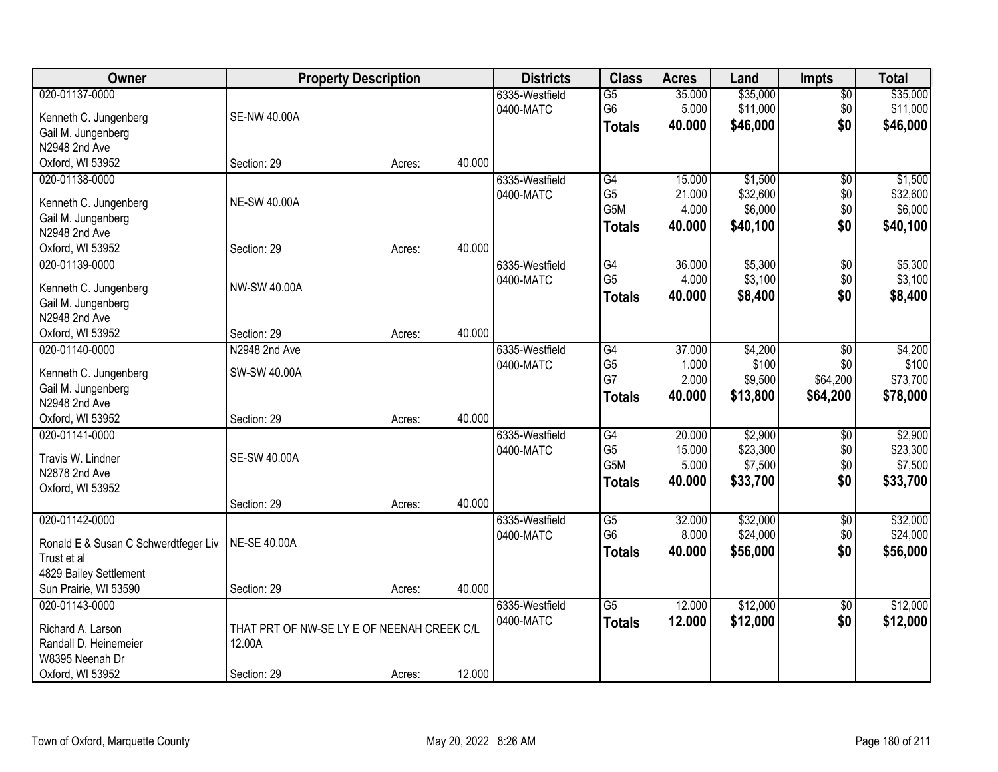| <b>Owner</b>                                        | <b>Property Description</b>                |        |        | <b>Districts</b> | <b>Class</b>    | <b>Acres</b> | Land     | <b>Impts</b>    | <b>Total</b> |
|-----------------------------------------------------|--------------------------------------------|--------|--------|------------------|-----------------|--------------|----------|-----------------|--------------|
| 020-01137-0000                                      |                                            |        |        | 6335-Westfield   | $\overline{G5}$ | 35.000       | \$35,000 | $\sqrt{$0}$     | \$35,000     |
| Kenneth C. Jungenberg                               | <b>SE-NW 40.00A</b>                        |        |        | 0400-MATC        | G <sub>6</sub>  | 5.000        | \$11,000 | \$0             | \$11,000     |
| Gail M. Jungenberg                                  |                                            |        |        |                  | <b>Totals</b>   | 40.000       | \$46,000 | \$0             | \$46,000     |
| N2948 2nd Ave                                       |                                            |        |        |                  |                 |              |          |                 |              |
| Oxford, WI 53952                                    | Section: 29                                | Acres: | 40.000 |                  |                 |              |          |                 |              |
| 020-01138-0000                                      |                                            |        |        | 6335-Westfield   | G4              | 15.000       | \$1,500  | \$0             | \$1,500      |
|                                                     | <b>NE-SW 40.00A</b>                        |        |        | 0400-MATC        | G <sub>5</sub>  | 21.000       | \$32,600 | \$0             | \$32,600     |
| Kenneth C. Jungenberg                               |                                            |        |        |                  | G5M             | 4.000        | \$6,000  | \$0             | \$6,000      |
| Gail M. Jungenberg<br>N2948 2nd Ave                 |                                            |        |        |                  | <b>Totals</b>   | 40.000       | \$40,100 | \$0             | \$40,100     |
| Oxford, WI 53952                                    | Section: 29                                | Acres: | 40.000 |                  |                 |              |          |                 |              |
| 020-01139-0000                                      |                                            |        |        | 6335-Westfield   | G4              | 36.000       | \$5,300  | $\overline{60}$ | \$5,300      |
|                                                     |                                            |        |        | 0400-MATC        | G <sub>5</sub>  | 4.000        | \$3,100  | \$0             | \$3,100      |
| Kenneth C. Jungenberg                               | NW-SW 40.00A                               |        |        |                  | <b>Totals</b>   | 40.000       | \$8,400  | \$0             | \$8,400      |
| Gail M. Jungenberg                                  |                                            |        |        |                  |                 |              |          |                 |              |
| N2948 2nd Ave                                       |                                            |        |        |                  |                 |              |          |                 |              |
| Oxford, WI 53952                                    | Section: 29                                | Acres: | 40.000 |                  |                 |              |          |                 |              |
| 020-01140-0000                                      | N2948 2nd Ave                              |        |        | 6335-Westfield   | G4              | 37.000       | \$4,200  | \$0             | \$4,200      |
| Kenneth C. Jungenberg                               | SW-SW 40.00A                               |        |        | 0400-MATC        | G <sub>5</sub>  | 1.000        | \$100    | \$0             | \$100        |
| Gail M. Jungenberg                                  |                                            |        |        |                  | G7              | 2.000        | \$9,500  | \$64,200        | \$73,700     |
| N2948 2nd Ave                                       |                                            |        |        |                  | <b>Totals</b>   | 40.000       | \$13,800 | \$64,200        | \$78,000     |
| Oxford, WI 53952                                    | Section: 29                                | Acres: | 40.000 |                  |                 |              |          |                 |              |
| 020-01141-0000                                      |                                            |        |        | 6335-Westfield   | $\overline{G4}$ | 20.000       | \$2,900  | \$0             | \$2,900      |
| Travis W. Lindner                                   | <b>SE-SW 40.00A</b>                        |        |        | 0400-MATC        | G <sub>5</sub>  | 15.000       | \$23,300 | \$0             | \$23,300     |
| N2878 2nd Ave                                       |                                            |        |        |                  | G5M             | 5.000        | \$7,500  | \$0             | \$7,500      |
| Oxford, WI 53952                                    |                                            |        |        |                  | <b>Totals</b>   | 40.000       | \$33,700 | \$0             | \$33,700     |
|                                                     | Section: 29                                | Acres: | 40.000 |                  |                 |              |          |                 |              |
| 020-01142-0000                                      |                                            |        |        | 6335-Westfield   | $\overline{G5}$ | 32.000       | \$32,000 | $\overline{$0}$ | \$32,000     |
|                                                     | <b>NE-SE 40.00A</b>                        |        |        | 0400-MATC        | G <sub>6</sub>  | 8.000        | \$24,000 | \$0             | \$24,000     |
| Ronald E & Susan C Schwerdtfeger Liv<br>Trust et al |                                            |        |        |                  | <b>Totals</b>   | 40.000       | \$56,000 | \$0             | \$56,000     |
| 4829 Bailey Settlement                              |                                            |        |        |                  |                 |              |          |                 |              |
| Sun Prairie, WI 53590                               | Section: 29                                | Acres: | 40.000 |                  |                 |              |          |                 |              |
| 020-01143-0000                                      |                                            |        |        | 6335-Westfield   | $\overline{G5}$ | 12.000       | \$12,000 | \$0             | \$12,000     |
|                                                     |                                            |        |        | 0400-MATC        |                 | 12.000       | \$12,000 | \$0             | \$12,000     |
| Richard A. Larson                                   | THAT PRT OF NW-SE LY E OF NEENAH CREEK C/L |        |        |                  | <b>Totals</b>   |              |          |                 |              |
| Randall D. Heinemeier                               | 12.00A                                     |        |        |                  |                 |              |          |                 |              |
| W8395 Neenah Dr                                     |                                            |        |        |                  |                 |              |          |                 |              |
| Oxford, WI 53952                                    | Section: 29                                | Acres: | 12.000 |                  |                 |              |          |                 |              |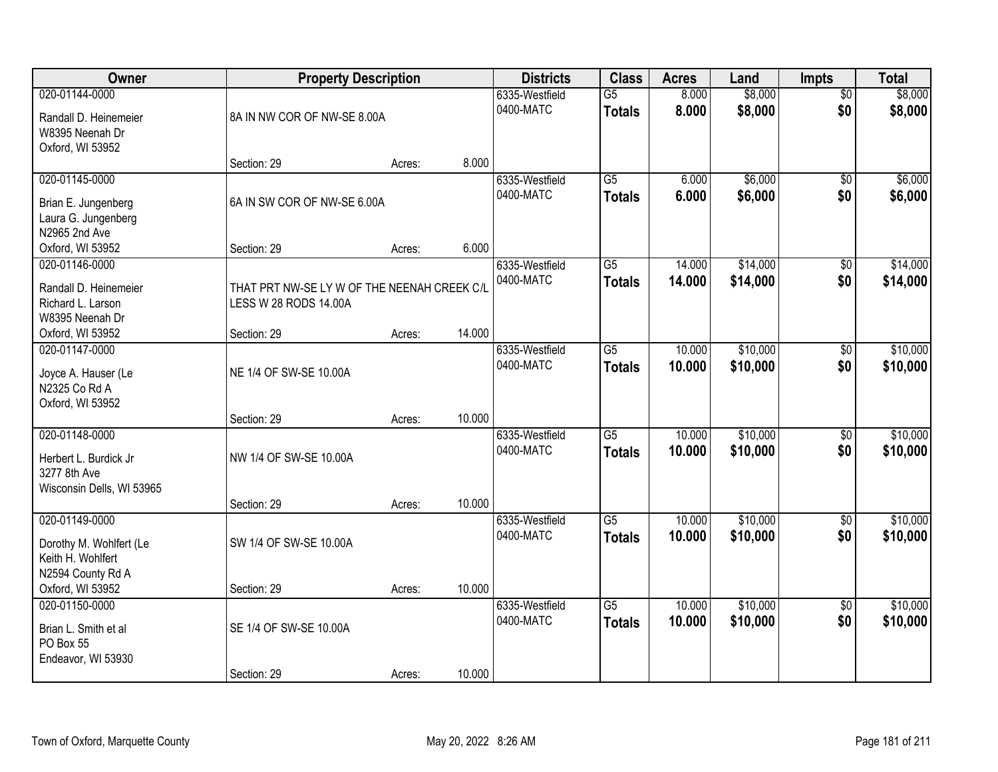| Owner                                                                                | <b>Property Description</b>                                          |        |        | <b>Districts</b>            | <b>Class</b>                     | <b>Acres</b>     | Land                 | Impts                  | <b>Total</b>         |
|--------------------------------------------------------------------------------------|----------------------------------------------------------------------|--------|--------|-----------------------------|----------------------------------|------------------|----------------------|------------------------|----------------------|
| 020-01144-0000<br>Randall D. Heinemeier<br>W8395 Neenah Dr<br>Oxford, WI 53952       | 8A IN NW COR OF NW-SE 8.00A                                          |        |        | 6335-Westfield<br>0400-MATC | $\overline{G5}$<br><b>Totals</b> | 8.000<br>8.000   | \$8,000<br>\$8,000   | $\overline{50}$<br>\$0 | \$8,000<br>\$8,000   |
|                                                                                      | Section: 29                                                          | Acres: | 8.000  |                             |                                  |                  |                      |                        |                      |
| 020-01145-0000<br>Brian E. Jungenberg<br>Laura G. Jungenberg<br>N2965 2nd Ave        | 6A IN SW COR OF NW-SE 6.00A                                          |        |        | 6335-Westfield<br>0400-MATC | $\overline{G5}$<br><b>Totals</b> | 6.000<br>6.000   | \$6,000<br>\$6,000   | $\overline{50}$<br>\$0 | \$6,000<br>\$6,000   |
| Oxford, WI 53952                                                                     | Section: 29                                                          | Acres: | 6.000  |                             |                                  |                  |                      |                        |                      |
| 020-01146-0000<br>Randall D. Heinemeier<br>Richard L. Larson<br>W8395 Neenah Dr      | THAT PRT NW-SE LY W OF THE NEENAH CREEK C/L<br>LESS W 28 RODS 14.00A |        |        | 6335-Westfield<br>0400-MATC | G5<br><b>Totals</b>              | 14.000<br>14.000 | \$14,000<br>\$14,000 | \$0<br>\$0             | \$14,000<br>\$14,000 |
| Oxford, WI 53952                                                                     | Section: 29                                                          | Acres: | 14.000 |                             |                                  |                  |                      |                        |                      |
| 020-01147-0000<br>Joyce A. Hauser (Le<br>N2325 Co Rd A<br>Oxford, WI 53952           | NE 1/4 OF SW-SE 10.00A                                               |        |        | 6335-Westfield<br>0400-MATC | G5<br><b>Totals</b>              | 10.000<br>10.000 | \$10,000<br>\$10,000 | \$0<br>\$0             | \$10,000<br>\$10,000 |
|                                                                                      | Section: 29                                                          | Acres: | 10.000 |                             |                                  |                  |                      |                        |                      |
| 020-01148-0000<br>Herbert L. Burdick Jr<br>3277 8th Ave<br>Wisconsin Dells, WI 53965 | NW 1/4 OF SW-SE 10.00A<br>Section: 29                                | Acres: | 10.000 | 6335-Westfield<br>0400-MATC | $\overline{G5}$<br><b>Totals</b> | 10.000<br>10.000 | \$10,000<br>\$10,000 | $\overline{50}$<br>\$0 | \$10,000<br>\$10,000 |
| 020-01149-0000<br>Dorothy M. Wohlfert (Le<br>Keith H. Wohlfert                       | SW 1/4 OF SW-SE 10.00A                                               |        |        | 6335-Westfield<br>0400-MATC | G <sub>5</sub><br><b>Totals</b>  | 10.000<br>10.000 | \$10,000<br>\$10,000 | $\overline{50}$<br>\$0 | \$10,000<br>\$10,000 |
| N2594 County Rd A<br>Oxford, WI 53952                                                | Section: 29                                                          | Acres: | 10.000 |                             |                                  |                  |                      |                        |                      |
| 020-01150-0000<br>Brian L. Smith et al<br>PO Box 55<br>Endeavor, WI 53930            | SE 1/4 OF SW-SE 10.00A                                               |        |        | 6335-Westfield<br>0400-MATC | G5<br><b>Totals</b>              | 10.000<br>10.000 | \$10,000<br>\$10,000 | $\overline{50}$<br>\$0 | \$10,000<br>\$10,000 |
|                                                                                      | Section: 29                                                          | Acres: | 10.000 |                             |                                  |                  |                      |                        |                      |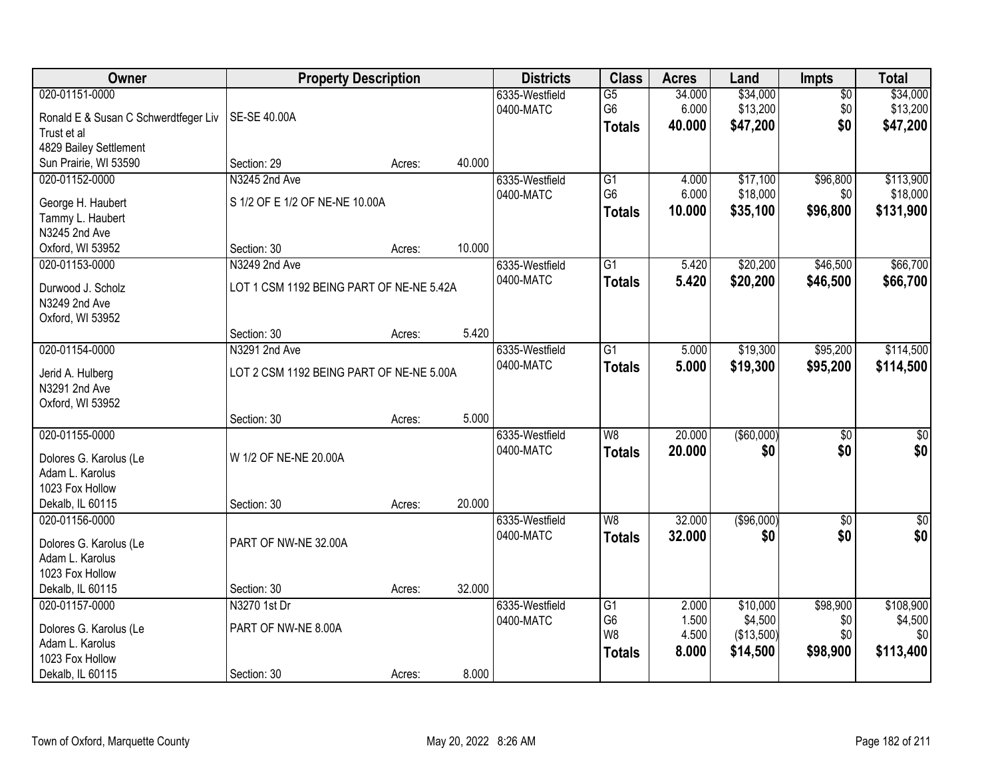| Owner                                 | <b>Property Description</b>              |        |        | <b>Districts</b>            | <b>Class</b>    | <b>Acres</b> | Land          | Impts           | <b>Total</b>     |
|---------------------------------------|------------------------------------------|--------|--------|-----------------------------|-----------------|--------------|---------------|-----------------|------------------|
| 020-01151-0000                        |                                          |        |        | 6335-Westfield              | G5              | 34.000       | \$34,000      | $\overline{50}$ | \$34,000         |
| Ronald E & Susan C Schwerdtfeger Liv  | SE-SE 40.00A                             |        |        | 0400-MATC                   | G <sub>6</sub>  | 6.000        | \$13,200      | \$0             | \$13,200         |
| Trust et al                           |                                          |        |        |                             | <b>Totals</b>   | 40.000       | \$47,200      | \$0             | \$47,200         |
| 4829 Bailey Settlement                |                                          |        |        |                             |                 |              |               |                 |                  |
| Sun Prairie, WI 53590                 | Section: 29                              | Acres: | 40.000 |                             |                 |              |               |                 |                  |
| 020-01152-0000                        | N3245 2nd Ave                            |        |        | 6335-Westfield              | G1              | 4.000        | \$17,100      | \$96,800        | \$113,900        |
|                                       | S 1/2 OF E 1/2 OF NE-NE 10.00A           |        |        | 0400-MATC                   | G <sub>6</sub>  | 6.000        | \$18,000      | \$0             | \$18,000         |
| George H. Haubert<br>Tammy L. Haubert |                                          |        |        |                             | <b>Totals</b>   | 10.000       | \$35,100      | \$96,800        | \$131,900        |
| N3245 2nd Ave                         |                                          |        |        |                             |                 |              |               |                 |                  |
| Oxford, WI 53952                      | Section: 30                              | Acres: | 10.000 |                             |                 |              |               |                 |                  |
| 020-01153-0000                        | N3249 2nd Ave                            |        |        | 6335-Westfield              | $\overline{G1}$ | 5.420        | \$20,200      | \$46,500        | \$66,700         |
|                                       |                                          |        |        | 0400-MATC                   |                 | 5.420        | \$20,200      | \$46,500        | \$66,700         |
| Durwood J. Scholz                     | LOT 1 CSM 1192 BEING PART OF NE-NE 5.42A |        |        |                             | <b>Totals</b>   |              |               |                 |                  |
| N3249 2nd Ave                         |                                          |        |        |                             |                 |              |               |                 |                  |
| Oxford, WI 53952                      |                                          |        |        |                             |                 |              |               |                 |                  |
|                                       | Section: 30                              | Acres: | 5.420  |                             |                 |              |               |                 |                  |
| 020-01154-0000                        | N3291 2nd Ave                            |        |        | 6335-Westfield              | $\overline{G1}$ | 5.000        | \$19,300      | \$95,200        | \$114,500        |
| Jerid A. Hulberg                      | LOT 2 CSM 1192 BEING PART OF NE-NE 5.00A |        |        | 0400-MATC                   | <b>Totals</b>   | 5.000        | \$19,300      | \$95,200        | \$114,500        |
| N3291 2nd Ave                         |                                          |        |        |                             |                 |              |               |                 |                  |
| Oxford, WI 53952                      |                                          |        |        |                             |                 |              |               |                 |                  |
|                                       | Section: 30                              | Acres: | 5.000  |                             |                 |              |               |                 |                  |
| 020-01155-0000                        |                                          |        |        | 6335-Westfield              | $\overline{W8}$ | 20.000       | $($ \$60,000) | $\overline{50}$ | $\overline{\$0}$ |
|                                       |                                          |        |        | 0400-MATC                   | <b>Totals</b>   | 20.000       | \$0           | \$0             | \$0              |
| Dolores G. Karolus (Le                | W 1/2 OF NE-NE 20.00A                    |        |        |                             |                 |              |               |                 |                  |
| Adam L. Karolus                       |                                          |        |        |                             |                 |              |               |                 |                  |
| 1023 Fox Hollow                       |                                          |        | 20.000 |                             |                 |              |               |                 |                  |
| Dekalb, IL 60115                      | Section: 30                              | Acres: |        |                             |                 |              |               |                 |                  |
| 020-01156-0000                        |                                          |        |        | 6335-Westfield<br>0400-MATC | W8              | 32.000       | ( \$96,000)   | $\sqrt{6}$      | $\frac{6}{3}$    |
| Dolores G. Karolus (Le                | PART OF NW-NE 32.00A                     |        |        |                             | <b>Totals</b>   | 32.000       | \$0           | \$0             | \$0              |
| Adam L. Karolus                       |                                          |        |        |                             |                 |              |               |                 |                  |
| 1023 Fox Hollow                       |                                          |        |        |                             |                 |              |               |                 |                  |
| Dekalb, IL 60115                      | Section: 30                              | Acres: | 32.000 |                             |                 |              |               |                 |                  |
| 020-01157-0000                        | N3270 1st Dr                             |        |        | 6335-Westfield              | G1              | 2.000        | \$10,000      | \$98,900        | \$108,900        |
| Dolores G. Karolus (Le                | PART OF NW-NE 8.00A                      |        |        | 0400-MATC                   | G <sub>6</sub>  | 1.500        | \$4,500       | \$0             | \$4,500          |
| Adam L. Karolus                       |                                          |        |        |                             | W <sub>8</sub>  | 4.500        | (\$13,500)    | \$0             | \$0              |
| 1023 Fox Hollow                       |                                          |        |        |                             | <b>Totals</b>   | 8.000        | \$14,500      | \$98,900        | \$113,400        |
| Dekalb, IL 60115                      | Section: 30                              | Acres: | 8.000  |                             |                 |              |               |                 |                  |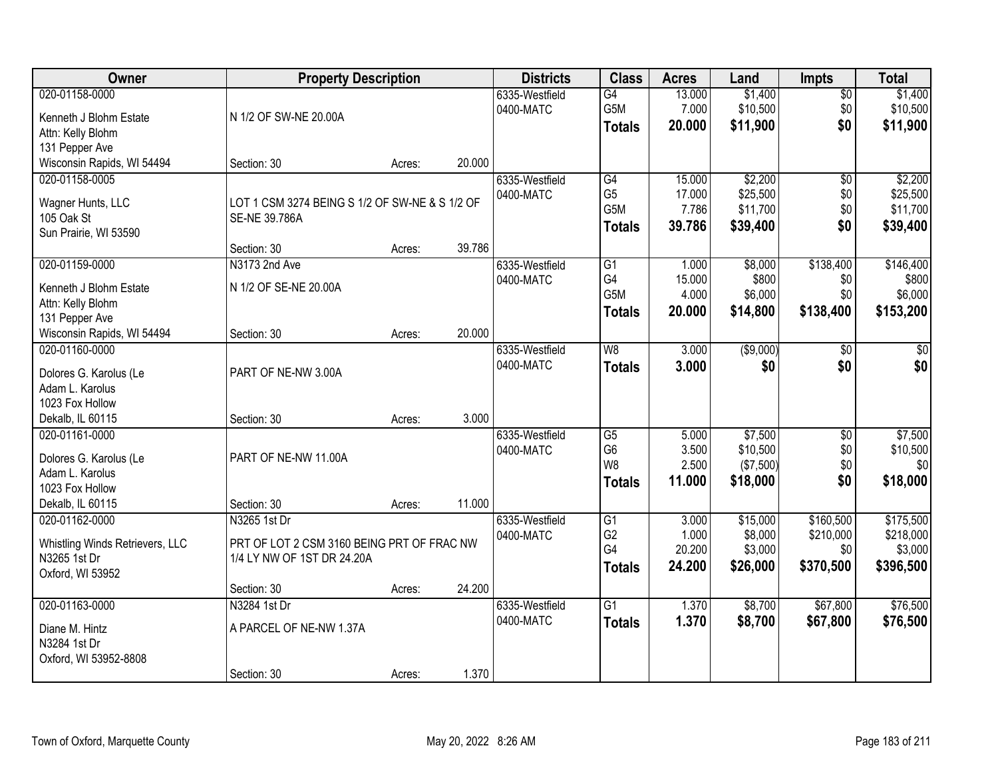| Owner                                                                                                                            |                                                                                          | <b>Property Description</b> |                 | <b>Districts</b>            | <b>Class</b>                                                                | <b>Acres</b>                        | Land                                         | <b>Impts</b>                               | <b>Total</b>                                   |
|----------------------------------------------------------------------------------------------------------------------------------|------------------------------------------------------------------------------------------|-----------------------------|-----------------|-----------------------------|-----------------------------------------------------------------------------|-------------------------------------|----------------------------------------------|--------------------------------------------|------------------------------------------------|
| 020-01158-0000<br>Kenneth J Blohm Estate<br>Attn: Kelly Blohm<br>131 Pepper Ave                                                  | N 1/2 OF SW-NE 20.00A                                                                    |                             |                 | 6335-Westfield<br>0400-MATC | $\overline{G4}$<br>G5M<br><b>Totals</b>                                     | 13.000<br>7.000<br>20.000           | \$1,400<br>\$10,500<br>\$11,900              | \$0<br>\$0<br>\$0                          | \$1,400<br>\$10,500<br>\$11,900                |
| Wisconsin Rapids, WI 54494                                                                                                       | Section: 30                                                                              | Acres:                      | 20.000          |                             |                                                                             |                                     |                                              |                                            |                                                |
| 020-01158-0005<br>Wagner Hunts, LLC<br>105 Oak St<br>Sun Prairie, WI 53590                                                       | LOT 1 CSM 3274 BEING S 1/2 OF SW-NE & S 1/2 OF<br>SE-NE 39.786A                          |                             |                 | 6335-Westfield<br>0400-MATC | G4<br>G <sub>5</sub><br>G5M<br><b>Totals</b>                                | 15.000<br>17.000<br>7.786<br>39.786 | \$2,200<br>\$25,500<br>\$11,700<br>\$39,400  | $\overline{50}$<br>\$0<br>\$0<br>\$0       | \$2,200<br>\$25,500<br>\$11,700<br>\$39,400    |
| 020-01159-0000<br>Kenneth J Blohm Estate<br>Attn: Kelly Blohm<br>131 Pepper Ave                                                  | Section: 30<br>N3173 2nd Ave<br>N 1/2 OF SE-NE 20.00A                                    | Acres:                      | 39.786          | 6335-Westfield<br>0400-MATC | G1<br>G4<br>G5M<br><b>Totals</b>                                            | 1.000<br>15.000<br>4.000<br>20.000  | \$8,000<br>\$800<br>\$6,000<br>\$14,800      | \$138,400<br>\$0<br>\$0<br>\$138,400       | \$146,400<br>\$800<br>\$6,000<br>\$153,200     |
| Wisconsin Rapids, WI 54494<br>020-01160-0000<br>Dolores G. Karolus (Le<br>Adam L. Karolus<br>1023 Fox Hollow<br>Dekalb, IL 60115 | Section: 30<br>PART OF NE-NW 3.00A<br>Section: 30                                        | Acres:<br>Acres:            | 20.000<br>3.000 | 6335-Westfield<br>0400-MATC | W8<br><b>Totals</b>                                                         | 3.000<br>3.000                      | ( \$9,000)<br>\$0                            | $\sqrt[6]{}$<br>\$0                        | \$0<br>\$0                                     |
| 020-01161-0000<br>Dolores G. Karolus (Le<br>Adam L. Karolus<br>1023 Fox Hollow<br>Dekalb, IL 60115                               | PART OF NE-NW 11.00A<br>Section: 30                                                      | Acres:                      | 11.000          | 6335-Westfield<br>0400-MATC | $\overline{\text{G5}}$<br>G <sub>6</sub><br>W <sub>8</sub><br><b>Totals</b> | 5.000<br>3.500<br>2.500<br>11.000   | \$7,500<br>\$10,500<br>(\$7,500)<br>\$18,000 | $\overline{50}$<br>\$0<br>\$0<br>\$0       | \$7,500<br>\$10,500<br>\$0<br>\$18,000         |
| 020-01162-0000<br>Whistling Winds Retrievers, LLC<br>N3265 1st Dr<br>Oxford, WI 53952                                            | N3265 1st Dr<br>PRT OF LOT 2 CSM 3160 BEING PRT OF FRAC NW<br>1/4 LY NW OF 1ST DR 24.20A |                             |                 | 6335-Westfield<br>0400-MATC | $\overline{G1}$<br>G <sub>2</sub><br>G4<br><b>Totals</b>                    | 3.000<br>1.000<br>20.200<br>24.200  | \$15,000<br>\$8,000<br>\$3,000<br>\$26,000   | \$160,500<br>\$210,000<br>\$0<br>\$370,500 | \$175,500<br>\$218,000<br>\$3,000<br>\$396,500 |
| 020-01163-0000<br>Diane M. Hintz<br>N3284 1st Dr<br>Oxford, WI 53952-8808                                                        | Section: 30<br>N3284 1st Dr<br>A PARCEL OF NE-NW 1.37A<br>Section: 30                    | Acres:<br>Acres:            | 24.200<br>1.370 | 6335-Westfield<br>0400-MATC | $\overline{G1}$<br><b>Totals</b>                                            | 1.370<br>1.370                      | \$8,700<br>\$8,700                           | \$67,800<br>\$67,800                       | \$76,500<br>\$76,500                           |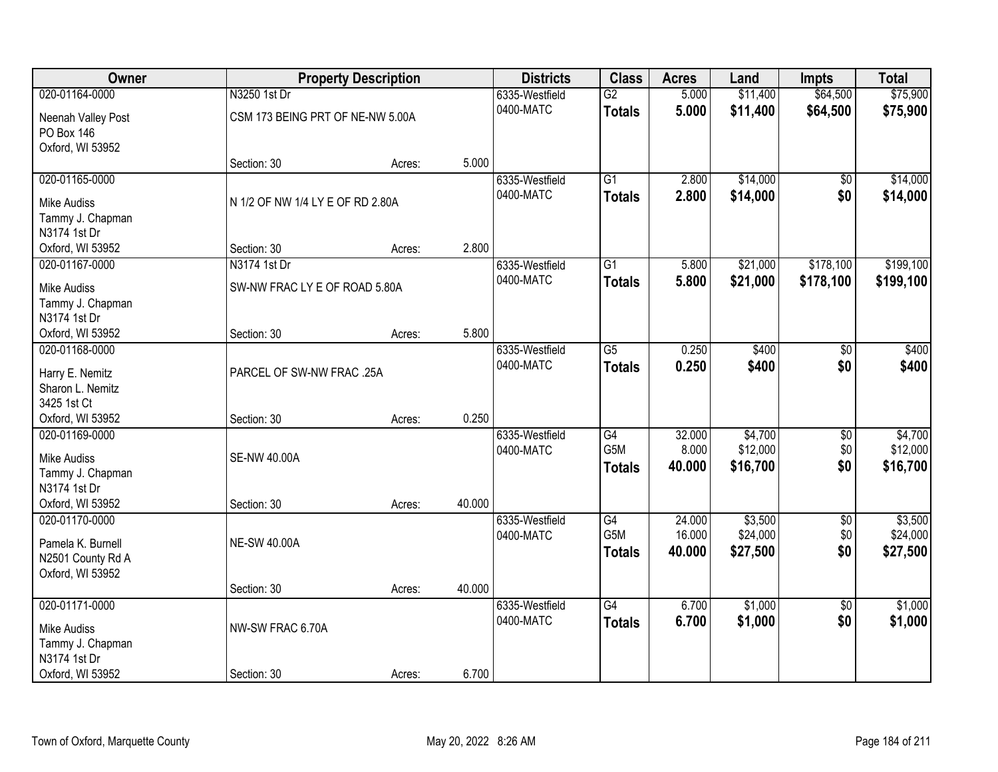| Owner              |                                  | <b>Property Description</b> |        | <b>Districts</b> | <b>Class</b>     | <b>Acres</b> | Land     | <b>Impts</b>    | <b>Total</b> |
|--------------------|----------------------------------|-----------------------------|--------|------------------|------------------|--------------|----------|-----------------|--------------|
| 020-01164-0000     | N3250 1st Dr                     |                             |        | 6335-Westfield   | $\overline{G2}$  | 5.000        | \$11,400 | \$64,500        | \$75,900     |
| Neenah Valley Post | CSM 173 BEING PRT OF NE-NW 5.00A |                             |        | 0400-MATC        | <b>Totals</b>    | 5.000        | \$11,400 | \$64,500        | \$75,900     |
| PO Box 146         |                                  |                             |        |                  |                  |              |          |                 |              |
| Oxford, WI 53952   |                                  |                             |        |                  |                  |              |          |                 |              |
|                    | Section: 30                      | Acres:                      | 5.000  |                  |                  |              |          |                 |              |
| 020-01165-0000     |                                  |                             |        | 6335-Westfield   | G1               | 2.800        | \$14,000 | \$0             | \$14,000     |
| <b>Mike Audiss</b> | N 1/2 OF NW 1/4 LY E OF RD 2.80A |                             |        | 0400-MATC        | <b>Totals</b>    | 2.800        | \$14,000 | \$0             | \$14,000     |
| Tammy J. Chapman   |                                  |                             |        |                  |                  |              |          |                 |              |
| N3174 1st Dr       |                                  |                             |        |                  |                  |              |          |                 |              |
| Oxford, WI 53952   | Section: 30                      | Acres:                      | 2.800  |                  |                  |              |          |                 |              |
| 020-01167-0000     | N3174 1st Dr                     |                             |        | 6335-Westfield   | G1               | 5.800        | \$21,000 | \$178,100       | \$199,100    |
| <b>Mike Audiss</b> | SW-NW FRAC LY E OF ROAD 5.80A    |                             |        | 0400-MATC        | <b>Totals</b>    | 5.800        | \$21,000 | \$178,100       | \$199,100    |
| Tammy J. Chapman   |                                  |                             |        |                  |                  |              |          |                 |              |
| N3174 1st Dr       |                                  |                             |        |                  |                  |              |          |                 |              |
| Oxford, WI 53952   | Section: 30                      | Acres:                      | 5.800  |                  |                  |              |          |                 |              |
| 020-01168-0000     |                                  |                             |        | 6335-Westfield   | $\overline{G5}$  | 0.250        | \$400    | \$0             | \$400        |
| Harry E. Nemitz    | PARCEL OF SW-NW FRAC .25A        |                             |        | 0400-MATC        | <b>Totals</b>    | 0.250        | \$400    | \$0             | \$400        |
| Sharon L. Nemitz   |                                  |                             |        |                  |                  |              |          |                 |              |
| 3425 1st Ct        |                                  |                             |        |                  |                  |              |          |                 |              |
| Oxford, WI 53952   | Section: 30                      | Acres:                      | 0.250  |                  |                  |              |          |                 |              |
| 020-01169-0000     |                                  |                             |        | 6335-Westfield   | G4               | 32.000       | \$4,700  | \$0             | \$4,700      |
| <b>Mike Audiss</b> | <b>SE-NW 40.00A</b>              |                             |        | 0400-MATC        | G <sub>5</sub> M | 8.000        | \$12,000 | \$0             | \$12,000     |
| Tammy J. Chapman   |                                  |                             |        |                  | <b>Totals</b>    | 40.000       | \$16,700 | \$0             | \$16,700     |
| N3174 1st Dr       |                                  |                             |        |                  |                  |              |          |                 |              |
| Oxford, WI 53952   | Section: 30                      | Acres:                      | 40.000 |                  |                  |              |          |                 |              |
| 020-01170-0000     |                                  |                             |        | 6335-Westfield   | G4               | 24.000       | \$3,500  | $\overline{50}$ | \$3,500      |
| Pamela K. Burnell  | <b>NE-SW 40.00A</b>              |                             |        | 0400-MATC        | G5M              | 16.000       | \$24,000 | \$0             | \$24,000     |
| N2501 County Rd A  |                                  |                             |        |                  | <b>Totals</b>    | 40.000       | \$27,500 | \$0             | \$27,500     |
| Oxford, WI 53952   |                                  |                             |        |                  |                  |              |          |                 |              |
|                    | Section: 30                      | Acres:                      | 40.000 |                  |                  |              |          |                 |              |
| 020-01171-0000     |                                  |                             |        | 6335-Westfield   | $\overline{G4}$  | 6.700        | \$1,000  | $\overline{50}$ | \$1,000      |
| <b>Mike Audiss</b> | NW-SW FRAC 6.70A                 |                             |        | 0400-MATC        | <b>Totals</b>    | 6.700        | \$1,000  | \$0             | \$1,000      |
| Tammy J. Chapman   |                                  |                             |        |                  |                  |              |          |                 |              |
| N3174 1st Dr       |                                  |                             |        |                  |                  |              |          |                 |              |
| Oxford, WI 53952   | Section: 30                      | Acres:                      | 6.700  |                  |                  |              |          |                 |              |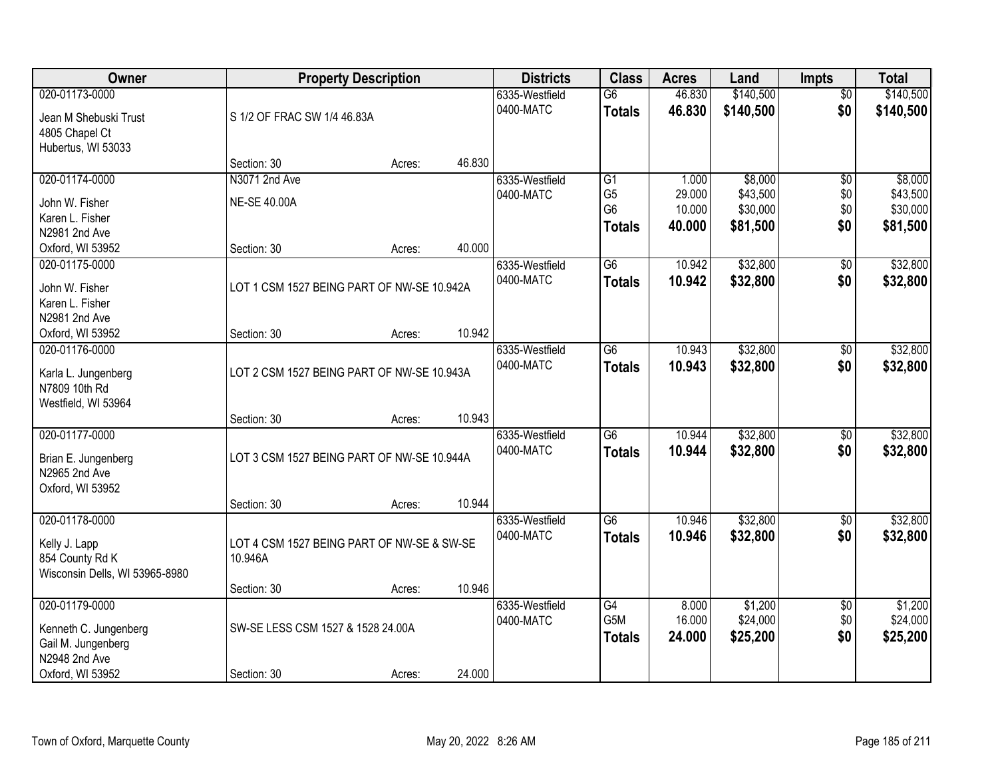| Owner                                       | <b>Property Description</b>                |        | <b>Districts</b> | <b>Class</b>   | <b>Acres</b>    | Land   | <b>Impts</b> | <b>Total</b>    |           |
|---------------------------------------------|--------------------------------------------|--------|------------------|----------------|-----------------|--------|--------------|-----------------|-----------|
| 020-01173-0000                              |                                            |        |                  | 6335-Westfield | $\overline{G6}$ | 46.830 | \$140,500    | $\overline{50}$ | \$140,500 |
| Jean M Shebuski Trust                       | S 1/2 OF FRAC SW 1/4 46.83A                |        |                  | 0400-MATC      | <b>Totals</b>   | 46.830 | \$140,500    | \$0             | \$140,500 |
| 4805 Chapel Ct                              |                                            |        |                  |                |                 |        |              |                 |           |
| Hubertus, WI 53033                          |                                            |        |                  |                |                 |        |              |                 |           |
|                                             | Section: 30                                | Acres: | 46.830           |                |                 |        |              |                 |           |
| 020-01174-0000                              | N3071 2nd Ave                              |        |                  | 6335-Westfield | G1              | 1.000  | \$8,000      | $\overline{50}$ | \$8,000   |
| John W. Fisher                              | <b>NE-SE 40.00A</b>                        |        |                  | 0400-MATC      | G <sub>5</sub>  | 29.000 | \$43,500     | \$0             | \$43,500  |
| Karen L. Fisher                             |                                            |        |                  |                | G <sub>6</sub>  | 10.000 | \$30,000     | \$0             | \$30,000  |
| N2981 2nd Ave                               |                                            |        |                  |                | <b>Totals</b>   | 40.000 | \$81,500     | \$0             | \$81,500  |
| Oxford, WI 53952                            | Section: 30                                | Acres: | 40.000           |                |                 |        |              |                 |           |
| 020-01175-0000                              |                                            |        |                  | 6335-Westfield | $\overline{G6}$ | 10.942 | \$32,800     | $\overline{50}$ | \$32,800  |
| John W. Fisher                              | LOT 1 CSM 1527 BEING PART OF NW-SE 10.942A |        |                  | 0400-MATC      | <b>Totals</b>   | 10.942 | \$32,800     | \$0             | \$32,800  |
| Karen L. Fisher                             |                                            |        |                  |                |                 |        |              |                 |           |
| N2981 2nd Ave                               |                                            |        |                  |                |                 |        |              |                 |           |
| Oxford, WI 53952                            | Section: 30                                | Acres: | 10.942           |                |                 |        |              |                 |           |
| 020-01176-0000                              |                                            |        |                  | 6335-Westfield | $\overline{G6}$ | 10.943 | \$32,800     | \$0             | \$32,800  |
| Karla L. Jungenberg                         | LOT 2 CSM 1527 BEING PART OF NW-SE 10.943A |        |                  | 0400-MATC      | <b>Totals</b>   | 10.943 | \$32,800     | \$0             | \$32,800  |
| N7809 10th Rd                               |                                            |        |                  |                |                 |        |              |                 |           |
| Westfield, WI 53964                         |                                            |        |                  |                |                 |        |              |                 |           |
|                                             | Section: 30                                | Acres: | 10.943           |                |                 |        |              |                 |           |
| 020-01177-0000                              |                                            |        |                  | 6335-Westfield | $\overline{G6}$ | 10.944 | \$32,800     | \$0             | \$32,800  |
| Brian E. Jungenberg                         | LOT 3 CSM 1527 BEING PART OF NW-SE 10.944A |        |                  | 0400-MATC      | <b>Totals</b>   | 10.944 | \$32,800     | \$0             | \$32,800  |
| N2965 2nd Ave                               |                                            |        |                  |                |                 |        |              |                 |           |
| Oxford, WI 53952                            |                                            |        |                  |                |                 |        |              |                 |           |
|                                             | Section: 30                                | Acres: | 10.944           |                |                 |        |              |                 |           |
| 020-01178-0000                              |                                            |        |                  | 6335-Westfield | $\overline{G6}$ | 10.946 | \$32,800     | $\overline{60}$ | \$32,800  |
|                                             | LOT 4 CSM 1527 BEING PART OF NW-SE & SW-SE |        |                  | 0400-MATC      | <b>Totals</b>   | 10.946 | \$32,800     | \$0             | \$32,800  |
| Kelly J. Lapp<br>854 County Rd K            | 10.946A                                    |        |                  |                |                 |        |              |                 |           |
| Wisconsin Dells, WI 53965-8980              |                                            |        |                  |                |                 |        |              |                 |           |
|                                             | Section: 30                                | Acres: | 10.946           |                |                 |        |              |                 |           |
| 020-01179-0000                              |                                            |        |                  | 6335-Westfield | $\overline{G4}$ | 8.000  | \$1,200      | $\overline{50}$ | \$1,200   |
|                                             | SW-SE LESS CSM 1527 & 1528 24.00A          |        |                  | 0400-MATC      | G5M             | 16.000 | \$24,000     | \$0             | \$24,000  |
| Kenneth C. Jungenberg<br>Gail M. Jungenberg |                                            |        |                  |                | <b>Totals</b>   | 24.000 | \$25,200     | \$0             | \$25,200  |
| N2948 2nd Ave                               |                                            |        |                  |                |                 |        |              |                 |           |
| Oxford, WI 53952                            | Section: 30                                | Acres: | 24.000           |                |                 |        |              |                 |           |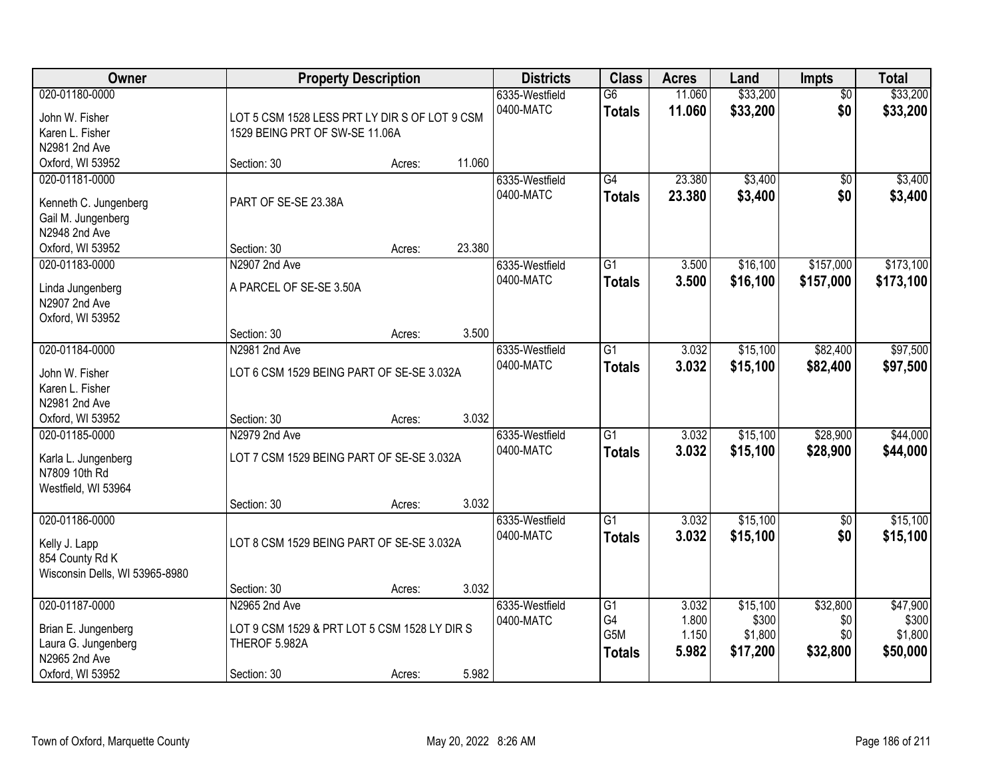| <b>Owner</b>                                                                                       |                                                                                               | <b>Property Description</b> |        | <b>Districts</b>            | <b>Class</b>                                               | <b>Acres</b>                     | Land                                     | Impts                              | <b>Total</b>                             |
|----------------------------------------------------------------------------------------------------|-----------------------------------------------------------------------------------------------|-----------------------------|--------|-----------------------------|------------------------------------------------------------|----------------------------------|------------------------------------------|------------------------------------|------------------------------------------|
| 020-01180-0000<br>John W. Fisher<br>Karen L. Fisher<br>N2981 2nd Ave                               | LOT 5 CSM 1528 LESS PRT LY DIR S OF LOT 9 CSM<br>1529 BEING PRT OF SW-SE 11.06A               |                             |        | 6335-Westfield<br>0400-MATC | $\overline{G6}$<br><b>Totals</b>                           | 11.060<br>11.060                 | \$33,200<br>\$33,200                     | $\overline{50}$<br>\$0             | \$33,200<br>\$33,200                     |
| Oxford, WI 53952                                                                                   | Section: 30                                                                                   | Acres:                      | 11.060 |                             |                                                            |                                  |                                          |                                    |                                          |
| 020-01181-0000<br>Kenneth C. Jungenberg<br>Gail M. Jungenberg<br>N2948 2nd Ave<br>Oxford, WI 53952 | PART OF SE-SE 23.38A<br>Section: 30                                                           | Acres:                      | 23.380 | 6335-Westfield<br>0400-MATC | $\overline{G4}$<br><b>Totals</b>                           | 23.380<br>23.380                 | \$3,400<br>\$3,400                       | $\overline{50}$<br>\$0             | \$3,400<br>\$3,400                       |
| 020-01183-0000                                                                                     | N2907 2nd Ave                                                                                 |                             |        | 6335-Westfield              | $\overline{G1}$                                            | 3.500                            | \$16,100                                 | \$157,000                          | \$173,100                                |
| Linda Jungenberg<br>N2907 2nd Ave<br>Oxford, WI 53952                                              | A PARCEL OF SE-SE 3.50A                                                                       |                             |        | 0400-MATC                   | <b>Totals</b>                                              | 3.500                            | \$16,100                                 | \$157,000                          | \$173,100                                |
|                                                                                                    | Section: 30                                                                                   | Acres:                      | 3.500  |                             |                                                            |                                  |                                          |                                    |                                          |
| 020-01184-0000                                                                                     | N2981 2nd Ave                                                                                 |                             |        | 6335-Westfield              | G1                                                         | 3.032                            | \$15,100                                 | \$82,400                           | \$97,500                                 |
| John W. Fisher<br>Karen L. Fisher<br>N2981 2nd Ave                                                 | LOT 6 CSM 1529 BEING PART OF SE-SE 3.032A                                                     |                             |        | 0400-MATC                   | <b>Totals</b>                                              | 3.032                            | \$15,100                                 | \$82,400                           | \$97,500                                 |
| Oxford, WI 53952                                                                                   | Section: 30                                                                                   | Acres:                      | 3.032  |                             |                                                            |                                  |                                          |                                    |                                          |
| 020-01185-0000<br>Karla L. Jungenberg<br>N7809 10th Rd<br>Westfield, WI 53964                      | N2979 2nd Ave<br>LOT 7 CSM 1529 BEING PART OF SE-SE 3.032A<br>Section: 30                     | Acres:                      | 3.032  | 6335-Westfield<br>0400-MATC | $\overline{G1}$<br><b>Totals</b>                           | 3.032<br>3.032                   | \$15,100<br>\$15,100                     | \$28,900<br>\$28,900               | \$44,000<br>\$44,000                     |
| 020-01186-0000                                                                                     |                                                                                               |                             |        | 6335-Westfield              | G1                                                         | 3.032                            | \$15,100                                 | $\sqrt{6}$                         | \$15,100                                 |
| Kelly J. Lapp<br>854 County Rd K<br>Wisconsin Dells, WI 53965-8980                                 | LOT 8 CSM 1529 BEING PART OF SE-SE 3.032A                                                     |                             |        | 0400-MATC                   | <b>Totals</b>                                              | 3.032                            | \$15,100                                 | \$0                                | \$15,100                                 |
|                                                                                                    | Section: 30                                                                                   | Acres:                      | 3.032  |                             |                                                            |                                  |                                          |                                    |                                          |
| 020-01187-0000<br>Brian E. Jungenberg<br>Laura G. Jungenberg<br>N2965 2nd Ave<br>Oxford, WI 53952  | N2965 2nd Ave<br>LOT 9 CSM 1529 & PRT LOT 5 CSM 1528 LY DIR S<br>THEROF 5.982A<br>Section: 30 | Acres:                      | 5.982  | 6335-Westfield<br>0400-MATC | $\overline{G1}$<br>G4<br>G <sub>5</sub> M<br><b>Totals</b> | 3.032<br>1.800<br>1.150<br>5.982 | \$15,100<br>\$300<br>\$1,800<br>\$17,200 | \$32,800<br>\$0<br>\$0<br>\$32,800 | \$47,900<br>\$300<br>\$1,800<br>\$50,000 |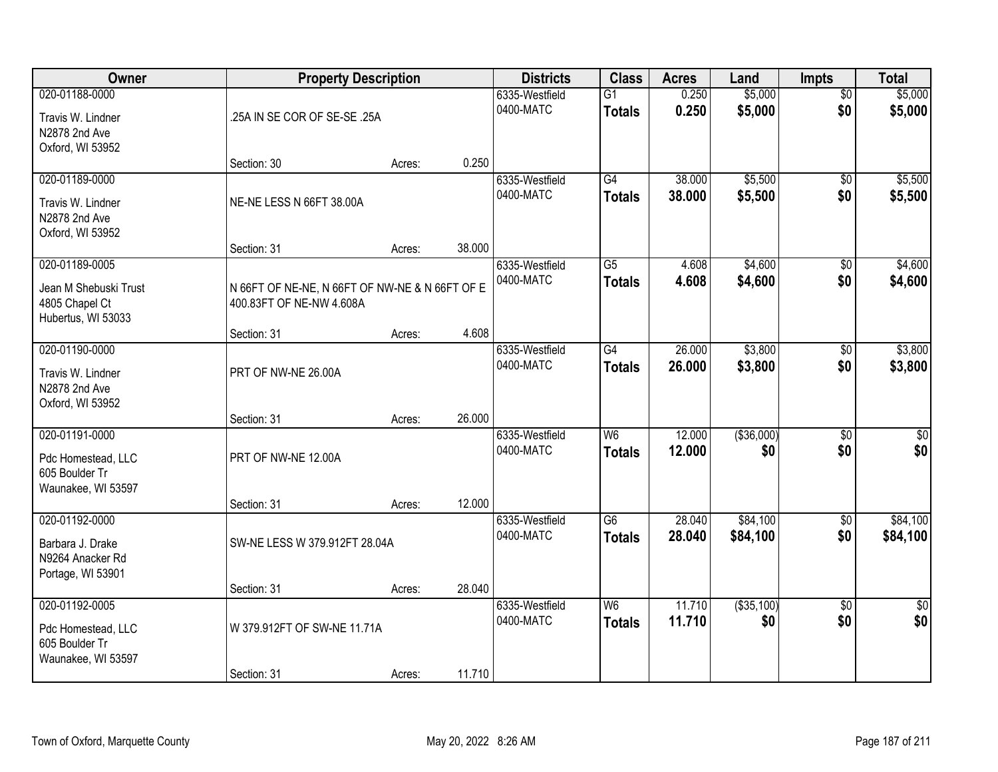| Owner                                                                        |                                                                            | <b>Property Description</b> |        | <b>Districts</b>            | <b>Class</b>                              | <b>Acres</b>     | Land                 | <b>Impts</b>           | <b>Total</b>           |
|------------------------------------------------------------------------------|----------------------------------------------------------------------------|-----------------------------|--------|-----------------------------|-------------------------------------------|------------------|----------------------|------------------------|------------------------|
| 020-01188-0000<br>Travis W. Lindner<br>N2878 2nd Ave<br>Oxford, WI 53952     | .25A IN SE COR OF SE-SE .25A                                               |                             |        | 6335-Westfield<br>0400-MATC | $\overline{G1}$<br><b>Totals</b>          | 0.250<br>0.250   | \$5,000<br>\$5,000   | $\overline{50}$<br>\$0 | \$5,000<br>\$5,000     |
|                                                                              | Section: 30                                                                | Acres:                      | 0.250  |                             |                                           |                  |                      |                        |                        |
| 020-01189-0000<br>Travis W. Lindner<br>N2878 2nd Ave<br>Oxford, WI 53952     | NE-NE LESS N 66FT 38.00A                                                   |                             |        | 6335-Westfield<br>0400-MATC | G4<br><b>Totals</b>                       | 38.000<br>38.000 | \$5,500<br>\$5,500   | $\overline{50}$<br>\$0 | \$5,500<br>\$5,500     |
| 020-01189-0005                                                               | Section: 31                                                                | Acres:                      | 38.000 | 6335-Westfield              | $\overline{G5}$                           | 4.608            | \$4,600              | \$0                    | \$4,600                |
| Jean M Shebuski Trust<br>4805 Chapel Ct<br>Hubertus, WI 53033                | N 66FT OF NE-NE, N 66FT OF NW-NE & N 66FT OF E<br>400.83FT OF NE-NW 4.608A |                             |        | 0400-MATC                   | <b>Totals</b>                             | 4.608            | \$4,600              | \$0                    | \$4,600                |
|                                                                              | Section: 31                                                                | Acres:                      | 4.608  |                             |                                           |                  |                      |                        |                        |
| 020-01190-0000<br>Travis W. Lindner<br>N2878 2nd Ave<br>Oxford, WI 53952     | PRT OF NW-NE 26.00A                                                        |                             |        | 6335-Westfield<br>0400-MATC | $\overline{G4}$<br><b>Totals</b>          | 26.000<br>26.000 | \$3,800<br>\$3,800   | \$0<br>\$0             | \$3,800<br>\$3,800     |
|                                                                              | Section: 31                                                                | Acres:                      | 26.000 |                             |                                           |                  |                      |                        |                        |
| 020-01191-0000<br>Pdc Homestead, LLC<br>605 Boulder Tr<br>Waunakee, WI 53597 | PRT OF NW-NE 12.00A                                                        |                             |        | 6335-Westfield<br>0400-MATC | $\overline{\mathsf{W6}}$<br><b>Totals</b> | 12.000<br>12.000 | ( \$36,000)<br>\$0   | $\overline{50}$<br>\$0 | $\sqrt{50}$<br>\$0     |
|                                                                              | Section: 31                                                                | Acres:                      | 12.000 |                             |                                           |                  |                      |                        |                        |
| 020-01192-0000<br>Barbara J. Drake<br>N9264 Anacker Rd<br>Portage, WI 53901  | SW-NE LESS W 379.912FT 28.04A                                              |                             |        | 6335-Westfield<br>0400-MATC | $\overline{G6}$<br><b>Totals</b>          | 28.040<br>28.040 | \$84,100<br>\$84,100 | $\sqrt{6}$<br>\$0      | \$84,100<br>\$84,100   |
|                                                                              | Section: 31                                                                | Acres:                      | 28.040 |                             |                                           |                  |                      |                        |                        |
| 020-01192-0005<br>Pdc Homestead, LLC<br>605 Boulder Tr<br>Waunakee, WI 53597 | W 379.912FT OF SW-NE 11.71A                                                |                             |        | 6335-Westfield<br>0400-MATC | $\overline{\mathsf{W6}}$<br><b>Totals</b> | 11.710<br>11.710 | ( \$35, 100)<br>\$0  | $\overline{50}$<br>\$0 | $\overline{30}$<br>\$0 |
|                                                                              | Section: 31                                                                | Acres:                      | 11.710 |                             |                                           |                  |                      |                        |                        |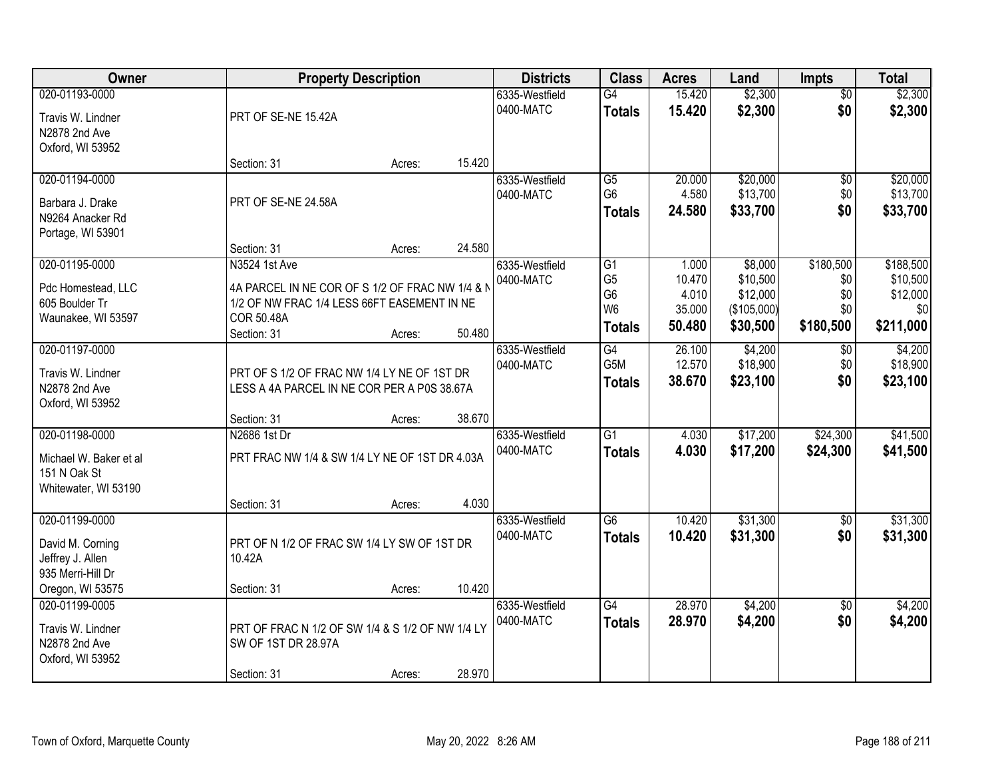| \$2,300<br>\$2,300<br>020-01193-0000<br>G4<br>15.420<br>6335-Westfield<br>$\overline{50}$<br>\$2,300<br>\$0<br>0400-MATC<br>15.420<br>\$2,300<br><b>Totals</b><br>PRT OF SE-NE 15.42A<br>Travis W. Lindner<br>N2878 2nd Ave<br>Oxford, WI 53952<br>15.420<br>Section: 31<br>Acres:<br>020-01194-0000<br>20.000<br>\$20,000<br>6335-Westfield<br>G5<br>\$0<br>G <sub>6</sub><br>4.580<br>\$13,700<br>\$0<br>0400-MATC<br>PRT OF SE-NE 24.58A<br>Barbara J. Drake<br>\$0<br>\$33,700<br>24.580<br><b>Totals</b><br>N9264 Anacker Rd<br>Portage, WI 53901<br>24.580<br>Section: 31<br>Acres:<br>\$8,000<br>\$180,500<br>020-01195-0000<br>N3524 1st Ave<br>$\overline{G1}$<br>6335-Westfield<br>1.000<br>G <sub>5</sub><br>10.470<br>\$10,500<br>\$0<br>0400-MATC<br>4A PARCEL IN NE COR OF S 1/2 OF FRAC NW 1/4 & N<br>Pdc Homestead, LLC<br>G <sub>6</sub><br>4.010<br>\$12,000<br>\$0<br>1/2 OF NW FRAC 1/4 LESS 66FT EASEMENT IN NE<br>605 Boulder Tr<br>W <sub>6</sub><br>35.000<br>(\$105,000)<br>\$0<br>\$0<br>Waunakee, WI 53597<br>COR 50.48A<br>\$211,000<br>\$180,500<br>50.480<br>\$30,500<br><b>Totals</b><br>50.480<br>Section: 31<br>Acres:<br>020-01197-0000<br>$\overline{G4}$<br>\$4,200<br>6335-Westfield<br>26.100<br>$\sqrt[6]{}$<br>G5M<br>12.570<br>\$18,900<br>\$0<br>0400-MATC<br>PRT OF S 1/2 OF FRAC NW 1/4 LY NE OF 1ST DR<br>Travis W. Lindner<br>\$0<br>\$23,100<br>\$23,100<br>38.670<br><b>Totals</b><br>N2878 2nd Ave<br>LESS A 4A PARCEL IN NE COR PER A P0S 38.67A<br>Oxford, WI 53952<br>38.670<br>Section: 31<br>Acres:<br>$\overline{G1}$<br>\$17,200<br>\$24,300<br>020-01198-0000<br>N2686 1st Dr<br>4.030<br>6335-Westfield<br>0400-MATC<br>4.030<br>\$17,200<br>\$24,300<br><b>Totals</b><br>PRT FRAC NW 1/4 & SW 1/4 LY NE OF 1ST DR 4.03A<br>Michael W. Baker et al<br>151 N Oak St<br>Whitewater, WI 53190<br>4.030<br>Section: 31<br>Acres:<br>020-01199-0000<br>$\overline{G6}$<br>\$31,300<br>6335-Westfield<br>10.420<br>$\sqrt{$0}$<br>\$0<br>0400-MATC<br>10.420<br>\$31,300<br><b>Totals</b><br>PRT OF N 1/2 OF FRAC SW 1/4 LY SW OF 1ST DR<br>David M. Corning<br>Jeffrey J. Allen<br>10.42A<br>935 Merri-Hill Dr<br>Oregon, WI 53575<br>10.420<br>Section: 31<br>Acres:<br>$\overline{G4}$<br>28.970<br>\$4,200<br>020-01199-0005<br>6335-Westfield<br>$\overline{30}$<br>0400-MATC<br>28.970<br>\$4,200<br>\$0<br>\$4,200<br><b>Totals</b><br>PRT OF FRAC N 1/2 OF SW 1/4 & S 1/2 OF NW 1/4 LY<br>Travis W. Lindner<br>N2878 2nd Ave<br>SW OF 1ST DR 28.97A<br>Oxford, WI 53952 | Owner |             | <b>Property Description</b> |        | <b>Districts</b> | <b>Class</b> | <b>Acres</b> | Land | <b>Impts</b> | <b>Total</b> |
|-------------------------------------------------------------------------------------------------------------------------------------------------------------------------------------------------------------------------------------------------------------------------------------------------------------------------------------------------------------------------------------------------------------------------------------------------------------------------------------------------------------------------------------------------------------------------------------------------------------------------------------------------------------------------------------------------------------------------------------------------------------------------------------------------------------------------------------------------------------------------------------------------------------------------------------------------------------------------------------------------------------------------------------------------------------------------------------------------------------------------------------------------------------------------------------------------------------------------------------------------------------------------------------------------------------------------------------------------------------------------------------------------------------------------------------------------------------------------------------------------------------------------------------------------------------------------------------------------------------------------------------------------------------------------------------------------------------------------------------------------------------------------------------------------------------------------------------------------------------------------------------------------------------------------------------------------------------------------------------------------------------------------------------------------------------------------------------------------------------------------------------------------------------------------------------------------------------------------------------------------------------------------------------------------------------------------------------------------------------------------------------------------------------------------------------------------------------------------------------------------------------------------------------|-------|-------------|-----------------------------|--------|------------------|--------------|--------------|------|--------------|--------------|
|                                                                                                                                                                                                                                                                                                                                                                                                                                                                                                                                                                                                                                                                                                                                                                                                                                                                                                                                                                                                                                                                                                                                                                                                                                                                                                                                                                                                                                                                                                                                                                                                                                                                                                                                                                                                                                                                                                                                                                                                                                                                                                                                                                                                                                                                                                                                                                                                                                                                                                                                     |       |             |                             |        |                  |              |              |      |              |              |
|                                                                                                                                                                                                                                                                                                                                                                                                                                                                                                                                                                                                                                                                                                                                                                                                                                                                                                                                                                                                                                                                                                                                                                                                                                                                                                                                                                                                                                                                                                                                                                                                                                                                                                                                                                                                                                                                                                                                                                                                                                                                                                                                                                                                                                                                                                                                                                                                                                                                                                                                     |       |             |                             |        |                  |              |              |      |              |              |
|                                                                                                                                                                                                                                                                                                                                                                                                                                                                                                                                                                                                                                                                                                                                                                                                                                                                                                                                                                                                                                                                                                                                                                                                                                                                                                                                                                                                                                                                                                                                                                                                                                                                                                                                                                                                                                                                                                                                                                                                                                                                                                                                                                                                                                                                                                                                                                                                                                                                                                                                     |       |             |                             |        |                  |              |              |      |              |              |
|                                                                                                                                                                                                                                                                                                                                                                                                                                                                                                                                                                                                                                                                                                                                                                                                                                                                                                                                                                                                                                                                                                                                                                                                                                                                                                                                                                                                                                                                                                                                                                                                                                                                                                                                                                                                                                                                                                                                                                                                                                                                                                                                                                                                                                                                                                                                                                                                                                                                                                                                     |       |             |                             |        |                  |              |              |      |              |              |
|                                                                                                                                                                                                                                                                                                                                                                                                                                                                                                                                                                                                                                                                                                                                                                                                                                                                                                                                                                                                                                                                                                                                                                                                                                                                                                                                                                                                                                                                                                                                                                                                                                                                                                                                                                                                                                                                                                                                                                                                                                                                                                                                                                                                                                                                                                                                                                                                                                                                                                                                     |       |             |                             |        |                  |              |              |      |              |              |
| \$13,700<br>\$33,700<br>\$188,500<br>\$10,500<br>\$12,000<br>\$4,200<br>\$18,900<br>\$41,500<br>\$41,500<br>\$31,300<br>\$31,300<br>\$4,200                                                                                                                                                                                                                                                                                                                                                                                                                                                                                                                                                                                                                                                                                                                                                                                                                                                                                                                                                                                                                                                                                                                                                                                                                                                                                                                                                                                                                                                                                                                                                                                                                                                                                                                                                                                                                                                                                                                                                                                                                                                                                                                                                                                                                                                                                                                                                                                         |       |             |                             |        |                  |              |              |      |              | \$20,000     |
|                                                                                                                                                                                                                                                                                                                                                                                                                                                                                                                                                                                                                                                                                                                                                                                                                                                                                                                                                                                                                                                                                                                                                                                                                                                                                                                                                                                                                                                                                                                                                                                                                                                                                                                                                                                                                                                                                                                                                                                                                                                                                                                                                                                                                                                                                                                                                                                                                                                                                                                                     |       |             |                             |        |                  |              |              |      |              |              |
|                                                                                                                                                                                                                                                                                                                                                                                                                                                                                                                                                                                                                                                                                                                                                                                                                                                                                                                                                                                                                                                                                                                                                                                                                                                                                                                                                                                                                                                                                                                                                                                                                                                                                                                                                                                                                                                                                                                                                                                                                                                                                                                                                                                                                                                                                                                                                                                                                                                                                                                                     |       |             |                             |        |                  |              |              |      |              |              |
|                                                                                                                                                                                                                                                                                                                                                                                                                                                                                                                                                                                                                                                                                                                                                                                                                                                                                                                                                                                                                                                                                                                                                                                                                                                                                                                                                                                                                                                                                                                                                                                                                                                                                                                                                                                                                                                                                                                                                                                                                                                                                                                                                                                                                                                                                                                                                                                                                                                                                                                                     |       |             |                             |        |                  |              |              |      |              |              |
|                                                                                                                                                                                                                                                                                                                                                                                                                                                                                                                                                                                                                                                                                                                                                                                                                                                                                                                                                                                                                                                                                                                                                                                                                                                                                                                                                                                                                                                                                                                                                                                                                                                                                                                                                                                                                                                                                                                                                                                                                                                                                                                                                                                                                                                                                                                                                                                                                                                                                                                                     |       |             |                             |        |                  |              |              |      |              |              |
|                                                                                                                                                                                                                                                                                                                                                                                                                                                                                                                                                                                                                                                                                                                                                                                                                                                                                                                                                                                                                                                                                                                                                                                                                                                                                                                                                                                                                                                                                                                                                                                                                                                                                                                                                                                                                                                                                                                                                                                                                                                                                                                                                                                                                                                                                                                                                                                                                                                                                                                                     |       |             |                             |        |                  |              |              |      |              |              |
|                                                                                                                                                                                                                                                                                                                                                                                                                                                                                                                                                                                                                                                                                                                                                                                                                                                                                                                                                                                                                                                                                                                                                                                                                                                                                                                                                                                                                                                                                                                                                                                                                                                                                                                                                                                                                                                                                                                                                                                                                                                                                                                                                                                                                                                                                                                                                                                                                                                                                                                                     |       |             |                             |        |                  |              |              |      |              |              |
|                                                                                                                                                                                                                                                                                                                                                                                                                                                                                                                                                                                                                                                                                                                                                                                                                                                                                                                                                                                                                                                                                                                                                                                                                                                                                                                                                                                                                                                                                                                                                                                                                                                                                                                                                                                                                                                                                                                                                                                                                                                                                                                                                                                                                                                                                                                                                                                                                                                                                                                                     |       |             |                             |        |                  |              |              |      |              |              |
|                                                                                                                                                                                                                                                                                                                                                                                                                                                                                                                                                                                                                                                                                                                                                                                                                                                                                                                                                                                                                                                                                                                                                                                                                                                                                                                                                                                                                                                                                                                                                                                                                                                                                                                                                                                                                                                                                                                                                                                                                                                                                                                                                                                                                                                                                                                                                                                                                                                                                                                                     |       |             |                             |        |                  |              |              |      |              |              |
|                                                                                                                                                                                                                                                                                                                                                                                                                                                                                                                                                                                                                                                                                                                                                                                                                                                                                                                                                                                                                                                                                                                                                                                                                                                                                                                                                                                                                                                                                                                                                                                                                                                                                                                                                                                                                                                                                                                                                                                                                                                                                                                                                                                                                                                                                                                                                                                                                                                                                                                                     |       |             |                             |        |                  |              |              |      |              |              |
|                                                                                                                                                                                                                                                                                                                                                                                                                                                                                                                                                                                                                                                                                                                                                                                                                                                                                                                                                                                                                                                                                                                                                                                                                                                                                                                                                                                                                                                                                                                                                                                                                                                                                                                                                                                                                                                                                                                                                                                                                                                                                                                                                                                                                                                                                                                                                                                                                                                                                                                                     |       |             |                             |        |                  |              |              |      |              |              |
|                                                                                                                                                                                                                                                                                                                                                                                                                                                                                                                                                                                                                                                                                                                                                                                                                                                                                                                                                                                                                                                                                                                                                                                                                                                                                                                                                                                                                                                                                                                                                                                                                                                                                                                                                                                                                                                                                                                                                                                                                                                                                                                                                                                                                                                                                                                                                                                                                                                                                                                                     |       |             |                             |        |                  |              |              |      |              |              |
|                                                                                                                                                                                                                                                                                                                                                                                                                                                                                                                                                                                                                                                                                                                                                                                                                                                                                                                                                                                                                                                                                                                                                                                                                                                                                                                                                                                                                                                                                                                                                                                                                                                                                                                                                                                                                                                                                                                                                                                                                                                                                                                                                                                                                                                                                                                                                                                                                                                                                                                                     |       |             |                             |        |                  |              |              |      |              |              |
|                                                                                                                                                                                                                                                                                                                                                                                                                                                                                                                                                                                                                                                                                                                                                                                                                                                                                                                                                                                                                                                                                                                                                                                                                                                                                                                                                                                                                                                                                                                                                                                                                                                                                                                                                                                                                                                                                                                                                                                                                                                                                                                                                                                                                                                                                                                                                                                                                                                                                                                                     |       |             |                             |        |                  |              |              |      |              |              |
|                                                                                                                                                                                                                                                                                                                                                                                                                                                                                                                                                                                                                                                                                                                                                                                                                                                                                                                                                                                                                                                                                                                                                                                                                                                                                                                                                                                                                                                                                                                                                                                                                                                                                                                                                                                                                                                                                                                                                                                                                                                                                                                                                                                                                                                                                                                                                                                                                                                                                                                                     |       |             |                             |        |                  |              |              |      |              |              |
|                                                                                                                                                                                                                                                                                                                                                                                                                                                                                                                                                                                                                                                                                                                                                                                                                                                                                                                                                                                                                                                                                                                                                                                                                                                                                                                                                                                                                                                                                                                                                                                                                                                                                                                                                                                                                                                                                                                                                                                                                                                                                                                                                                                                                                                                                                                                                                                                                                                                                                                                     |       |             |                             |        |                  |              |              |      |              |              |
|                                                                                                                                                                                                                                                                                                                                                                                                                                                                                                                                                                                                                                                                                                                                                                                                                                                                                                                                                                                                                                                                                                                                                                                                                                                                                                                                                                                                                                                                                                                                                                                                                                                                                                                                                                                                                                                                                                                                                                                                                                                                                                                                                                                                                                                                                                                                                                                                                                                                                                                                     |       |             |                             |        |                  |              |              |      |              |              |
|                                                                                                                                                                                                                                                                                                                                                                                                                                                                                                                                                                                                                                                                                                                                                                                                                                                                                                                                                                                                                                                                                                                                                                                                                                                                                                                                                                                                                                                                                                                                                                                                                                                                                                                                                                                                                                                                                                                                                                                                                                                                                                                                                                                                                                                                                                                                                                                                                                                                                                                                     |       |             |                             |        |                  |              |              |      |              |              |
|                                                                                                                                                                                                                                                                                                                                                                                                                                                                                                                                                                                                                                                                                                                                                                                                                                                                                                                                                                                                                                                                                                                                                                                                                                                                                                                                                                                                                                                                                                                                                                                                                                                                                                                                                                                                                                                                                                                                                                                                                                                                                                                                                                                                                                                                                                                                                                                                                                                                                                                                     |       |             |                             |        |                  |              |              |      |              |              |
|                                                                                                                                                                                                                                                                                                                                                                                                                                                                                                                                                                                                                                                                                                                                                                                                                                                                                                                                                                                                                                                                                                                                                                                                                                                                                                                                                                                                                                                                                                                                                                                                                                                                                                                                                                                                                                                                                                                                                                                                                                                                                                                                                                                                                                                                                                                                                                                                                                                                                                                                     |       |             |                             |        |                  |              |              |      |              |              |
|                                                                                                                                                                                                                                                                                                                                                                                                                                                                                                                                                                                                                                                                                                                                                                                                                                                                                                                                                                                                                                                                                                                                                                                                                                                                                                                                                                                                                                                                                                                                                                                                                                                                                                                                                                                                                                                                                                                                                                                                                                                                                                                                                                                                                                                                                                                                                                                                                                                                                                                                     |       |             |                             |        |                  |              |              |      |              |              |
|                                                                                                                                                                                                                                                                                                                                                                                                                                                                                                                                                                                                                                                                                                                                                                                                                                                                                                                                                                                                                                                                                                                                                                                                                                                                                                                                                                                                                                                                                                                                                                                                                                                                                                                                                                                                                                                                                                                                                                                                                                                                                                                                                                                                                                                                                                                                                                                                                                                                                                                                     |       |             |                             |        |                  |              |              |      |              |              |
|                                                                                                                                                                                                                                                                                                                                                                                                                                                                                                                                                                                                                                                                                                                                                                                                                                                                                                                                                                                                                                                                                                                                                                                                                                                                                                                                                                                                                                                                                                                                                                                                                                                                                                                                                                                                                                                                                                                                                                                                                                                                                                                                                                                                                                                                                                                                                                                                                                                                                                                                     |       |             |                             |        |                  |              |              |      |              |              |
|                                                                                                                                                                                                                                                                                                                                                                                                                                                                                                                                                                                                                                                                                                                                                                                                                                                                                                                                                                                                                                                                                                                                                                                                                                                                                                                                                                                                                                                                                                                                                                                                                                                                                                                                                                                                                                                                                                                                                                                                                                                                                                                                                                                                                                                                                                                                                                                                                                                                                                                                     |       |             |                             |        |                  |              |              |      |              |              |
|                                                                                                                                                                                                                                                                                                                                                                                                                                                                                                                                                                                                                                                                                                                                                                                                                                                                                                                                                                                                                                                                                                                                                                                                                                                                                                                                                                                                                                                                                                                                                                                                                                                                                                                                                                                                                                                                                                                                                                                                                                                                                                                                                                                                                                                                                                                                                                                                                                                                                                                                     |       |             |                             |        |                  |              |              |      |              |              |
|                                                                                                                                                                                                                                                                                                                                                                                                                                                                                                                                                                                                                                                                                                                                                                                                                                                                                                                                                                                                                                                                                                                                                                                                                                                                                                                                                                                                                                                                                                                                                                                                                                                                                                                                                                                                                                                                                                                                                                                                                                                                                                                                                                                                                                                                                                                                                                                                                                                                                                                                     |       |             |                             |        |                  |              |              |      |              |              |
|                                                                                                                                                                                                                                                                                                                                                                                                                                                                                                                                                                                                                                                                                                                                                                                                                                                                                                                                                                                                                                                                                                                                                                                                                                                                                                                                                                                                                                                                                                                                                                                                                                                                                                                                                                                                                                                                                                                                                                                                                                                                                                                                                                                                                                                                                                                                                                                                                                                                                                                                     |       |             |                             |        |                  |              |              |      |              |              |
|                                                                                                                                                                                                                                                                                                                                                                                                                                                                                                                                                                                                                                                                                                                                                                                                                                                                                                                                                                                                                                                                                                                                                                                                                                                                                                                                                                                                                                                                                                                                                                                                                                                                                                                                                                                                                                                                                                                                                                                                                                                                                                                                                                                                                                                                                                                                                                                                                                                                                                                                     |       |             |                             |        |                  |              |              |      |              |              |
|                                                                                                                                                                                                                                                                                                                                                                                                                                                                                                                                                                                                                                                                                                                                                                                                                                                                                                                                                                                                                                                                                                                                                                                                                                                                                                                                                                                                                                                                                                                                                                                                                                                                                                                                                                                                                                                                                                                                                                                                                                                                                                                                                                                                                                                                                                                                                                                                                                                                                                                                     |       |             |                             |        |                  |              |              |      |              |              |
|                                                                                                                                                                                                                                                                                                                                                                                                                                                                                                                                                                                                                                                                                                                                                                                                                                                                                                                                                                                                                                                                                                                                                                                                                                                                                                                                                                                                                                                                                                                                                                                                                                                                                                                                                                                                                                                                                                                                                                                                                                                                                                                                                                                                                                                                                                                                                                                                                                                                                                                                     |       |             |                             |        |                  |              |              |      |              |              |
|                                                                                                                                                                                                                                                                                                                                                                                                                                                                                                                                                                                                                                                                                                                                                                                                                                                                                                                                                                                                                                                                                                                                                                                                                                                                                                                                                                                                                                                                                                                                                                                                                                                                                                                                                                                                                                                                                                                                                                                                                                                                                                                                                                                                                                                                                                                                                                                                                                                                                                                                     |       | Section: 31 | Acres:                      | 28.970 |                  |              |              |      |              |              |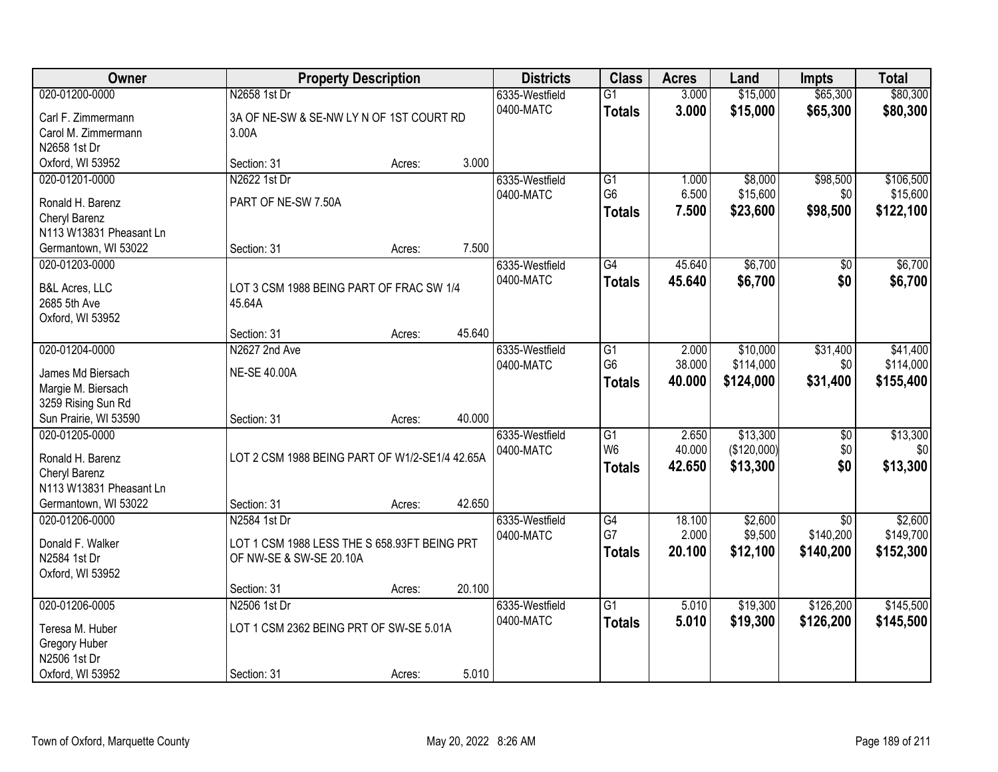| Owner                                     |                                                    | <b>Property Description</b> |        | <b>Districts</b> | <b>Class</b>         | <b>Acres</b>    | Land        | Impts           | <b>Total</b>    |
|-------------------------------------------|----------------------------------------------------|-----------------------------|--------|------------------|----------------------|-----------------|-------------|-----------------|-----------------|
| 020-01200-0000                            | N2658 1st Dr                                       |                             |        | 6335-Westfield   | $\overline{G1}$      | 3.000           | \$15,000    | \$65,300        | \$80,300        |
| Carl F. Zimmermann                        | 3A OF NE-SW & SE-NW LY N OF 1ST COURT RD           |                             |        | 0400-MATC        | <b>Totals</b>        | 3.000           | \$15,000    | \$65,300        | \$80,300        |
| Carol M. Zimmermann                       | 3.00A                                              |                             |        |                  |                      |                 |             |                 |                 |
| N2658 1st Dr                              |                                                    |                             |        |                  |                      |                 |             |                 |                 |
| Oxford, WI 53952                          | Section: 31                                        | Acres:                      | 3.000  |                  |                      |                 |             |                 |                 |
| 020-01201-0000                            | N2622 1st Dr                                       |                             |        | 6335-Westfield   | $\overline{G1}$      | 1.000           | \$8,000     | \$98,500        | \$106,500       |
| Ronald H. Barenz                          | PART OF NE-SW 7.50A                                |                             |        | 0400-MATC        | G <sub>6</sub>       | 6.500           | \$15,600    | \$0             | \$15,600        |
| Cheryl Barenz                             |                                                    |                             |        |                  | <b>Totals</b>        | 7.500           | \$23,600    | \$98,500        | \$122,100       |
| N113 W13831 Pheasant Ln                   |                                                    |                             |        |                  |                      |                 |             |                 |                 |
| Germantown, WI 53022                      | Section: 31                                        | Acres:                      | 7.500  |                  |                      |                 |             |                 |                 |
| 020-01203-0000                            |                                                    |                             |        | 6335-Westfield   | G4                   | 45.640          | \$6,700     | \$0             | \$6,700         |
|                                           |                                                    |                             |        | 0400-MATC        | <b>Totals</b>        | 45.640          | \$6,700     | \$0             | \$6,700         |
| <b>B&amp;L Acres, LLC</b><br>2685 5th Ave | LOT 3 CSM 1988 BEING PART OF FRAC SW 1/4<br>45.64A |                             |        |                  |                      |                 |             |                 |                 |
| Oxford, WI 53952                          |                                                    |                             |        |                  |                      |                 |             |                 |                 |
|                                           | Section: 31                                        | Acres:                      | 45.640 |                  |                      |                 |             |                 |                 |
| 020-01204-0000                            | N2627 2nd Ave                                      |                             |        | 6335-Westfield   | G1                   | 2.000           | \$10,000    | \$31,400        | \$41,400        |
|                                           |                                                    |                             |        | 0400-MATC        | G <sub>6</sub>       | 38.000          | \$114,000   | \$0             | \$114,000       |
| James Md Biersach                         | <b>NE-SE 40.00A</b>                                |                             |        |                  | <b>Totals</b>        | 40.000          | \$124,000   | \$31,400        | \$155,400       |
| Margie M. Biersach                        |                                                    |                             |        |                  |                      |                 |             |                 |                 |
| 3259 Rising Sun Rd                        |                                                    |                             |        |                  |                      |                 |             |                 |                 |
| Sun Prairie, WI 53590                     | Section: 31                                        | Acres:                      | 40.000 |                  |                      |                 |             |                 |                 |
| 020-01205-0000                            |                                                    |                             |        | 6335-Westfield   | G1<br>W <sub>6</sub> | 2.650<br>40.000 | \$13,300    | $\overline{50}$ | \$13,300<br>\$0 |
| Ronald H. Barenz                          | LOT 2 CSM 1988 BEING PART OF W1/2-SE1/4 42.65A     |                             |        | 0400-MATC        |                      |                 | (\$120,000) | \$0             |                 |
| Cheryl Barenz                             |                                                    |                             |        |                  | <b>Totals</b>        | 42.650          | \$13,300    | \$0             | \$13,300        |
| N113 W13831 Pheasant Ln                   |                                                    |                             |        |                  |                      |                 |             |                 |                 |
| Germantown, WI 53022                      | Section: 31                                        | Acres:                      | 42.650 |                  |                      |                 |             |                 |                 |
| 020-01206-0000                            | N2584 1st Dr                                       |                             |        | 6335-Westfield   | G4                   | 18.100          | \$2,600     | \$0             | \$2,600         |
| Donald F. Walker                          | LOT 1 CSM 1988 LESS THE S 658.93FT BEING PRT       |                             |        | 0400-MATC        | G7                   | 2.000           | \$9,500     | \$140,200       | \$149,700       |
| N2584 1st Dr                              | OF NW-SE & SW-SE 20.10A                            |                             |        |                  | <b>Totals</b>        | 20.100          | \$12,100    | \$140,200       | \$152,300       |
| Oxford, WI 53952                          |                                                    |                             |        |                  |                      |                 |             |                 |                 |
|                                           | Section: 31                                        | Acres:                      | 20.100 |                  |                      |                 |             |                 |                 |
| 020-01206-0005                            | N2506 1st Dr                                       |                             |        | 6335-Westfield   | $\overline{G1}$      | 5.010           | \$19,300    | \$126,200       | \$145,500       |
| Teresa M. Huber                           | LOT 1 CSM 2362 BEING PRT OF SW-SE 5.01A            |                             |        | 0400-MATC        | <b>Totals</b>        | 5.010           | \$19,300    | \$126,200       | \$145,500       |
| Gregory Huber                             |                                                    |                             |        |                  |                      |                 |             |                 |                 |
| N2506 1st Dr                              |                                                    |                             |        |                  |                      |                 |             |                 |                 |
| Oxford, WI 53952                          | Section: 31                                        | Acres:                      | 5.010  |                  |                      |                 |             |                 |                 |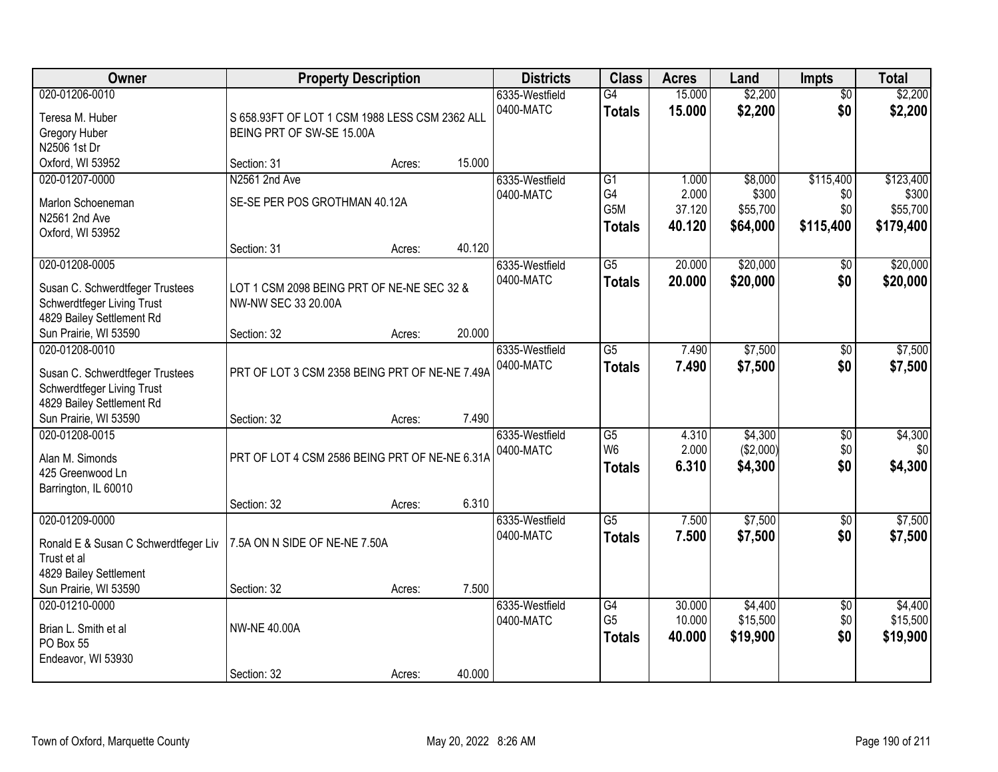| <b>Owner</b>                                                                                                 | <b>Property Description</b>                                                 |        |        | <b>Districts</b>            | <b>Class</b>                                               | <b>Acres</b>                       | Land                                     | <b>Impts</b>                         | <b>Total</b>                                |
|--------------------------------------------------------------------------------------------------------------|-----------------------------------------------------------------------------|--------|--------|-----------------------------|------------------------------------------------------------|------------------------------------|------------------------------------------|--------------------------------------|---------------------------------------------|
| 020-01206-0010<br>Teresa M. Huber<br>Gregory Huber<br>N2506 1st Dr                                           | S 658.93FT OF LOT 1 CSM 1988 LESS CSM 2362 ALL<br>BEING PRT OF SW-SE 15.00A |        |        | 6335-Westfield<br>0400-MATC | G4<br><b>Totals</b>                                        | 15.000<br>15.000                   | \$2,200<br>\$2,200                       | $\overline{50}$<br>\$0               | \$2,200<br>\$2,200                          |
| Oxford, WI 53952                                                                                             | Section: 31                                                                 | Acres: | 15.000 |                             |                                                            |                                    |                                          |                                      |                                             |
| 020-01207-0000<br>Marlon Schoeneman<br>N2561 2nd Ave<br>Oxford, WI 53952                                     | N2561 2nd Ave<br>SE-SE PER POS GROTHMAN 40.12A                              |        |        | 6335-Westfield<br>0400-MATC | $\overline{G1}$<br>G4<br>G <sub>5</sub> M<br><b>Totals</b> | 1.000<br>2.000<br>37.120<br>40.120 | \$8,000<br>\$300<br>\$55,700<br>\$64,000 | \$115,400<br>\$0<br>\$0<br>\$115,400 | \$123,400<br>\$300<br>\$55,700<br>\$179,400 |
| 020-01208-0005                                                                                               | Section: 31                                                                 | Acres: | 40.120 | 6335-Westfield              | G5                                                         | 20.000                             | \$20,000                                 | \$0                                  | \$20,000                                    |
| Susan C. Schwerdtfeger Trustees<br>Schwerdtfeger Living Trust<br>4829 Bailey Settlement Rd                   | LOT 1 CSM 2098 BEING PRT OF NE-NE SEC 32 &<br>NW-NW SEC 33 20.00A           |        |        | 0400-MATC                   | <b>Totals</b>                                              | 20.000                             | \$20,000                                 | \$0                                  | \$20,000                                    |
| Sun Prairie, WI 53590                                                                                        | Section: 32                                                                 | Acres: | 20.000 |                             |                                                            |                                    |                                          |                                      |                                             |
| 020-01208-0010<br>Susan C. Schwerdtfeger Trustees<br>Schwerdtfeger Living Trust<br>4829 Bailey Settlement Rd | PRT OF LOT 3 CSM 2358 BEING PRT OF NE-NE 7.49A                              |        |        | 6335-Westfield<br>0400-MATC | $\overline{G5}$<br><b>Totals</b>                           | 7.490<br>7.490                     | \$7,500<br>\$7,500                       | \$0<br>\$0                           | \$7,500<br>\$7,500                          |
| Sun Prairie, WI 53590                                                                                        | Section: 32                                                                 | Acres: | 7.490  |                             |                                                            |                                    |                                          |                                      |                                             |
| 020-01208-0015<br>Alan M. Simonds<br>425 Greenwood Ln<br>Barrington, IL 60010                                | PRT OF LOT 4 CSM 2586 BEING PRT OF NE-NE 6.31A<br>Section: 32               | Acres: | 6.310  | 6335-Westfield<br>0400-MATC | $\overline{G5}$<br>W <sub>6</sub><br><b>Totals</b>         | 4.310<br>2.000<br>6.310            | \$4,300<br>(\$2,000)<br>\$4,300          | $\overline{30}$<br>\$0<br>\$0        | \$4,300<br>\$0<br>\$4,300                   |
| 020-01209-0000                                                                                               |                                                                             |        |        | 6335-Westfield              | $\overline{G5}$                                            | 7.500                              | \$7,500                                  | $\overline{50}$                      | \$7,500                                     |
| Ronald E & Susan C Schwerdtfeger Liv<br>Trust et al<br>4829 Bailey Settlement                                | 7.5A ON N SIDE OF NE-NE 7.50A                                               |        |        | 0400-MATC                   | <b>Totals</b>                                              | 7.500                              | \$7,500                                  | \$0                                  | \$7,500                                     |
| Sun Prairie, WI 53590                                                                                        | Section: 32                                                                 | Acres: | 7.500  |                             |                                                            |                                    |                                          |                                      |                                             |
| 020-01210-0000<br>Brian L. Smith et al<br>PO Box 55<br>Endeavor, WI 53930                                    | <b>NW-NE 40.00A</b>                                                         |        |        | 6335-Westfield<br>0400-MATC | $\overline{G4}$<br>G <sub>5</sub><br><b>Totals</b>         | 30.000<br>10.000<br>40.000         | \$4,400<br>\$15,500<br>\$19,900          | $\overline{50}$<br>\$0<br>\$0        | \$4,400<br>\$15,500<br>\$19,900             |
|                                                                                                              | Section: 32                                                                 | Acres: | 40.000 |                             |                                                            |                                    |                                          |                                      |                                             |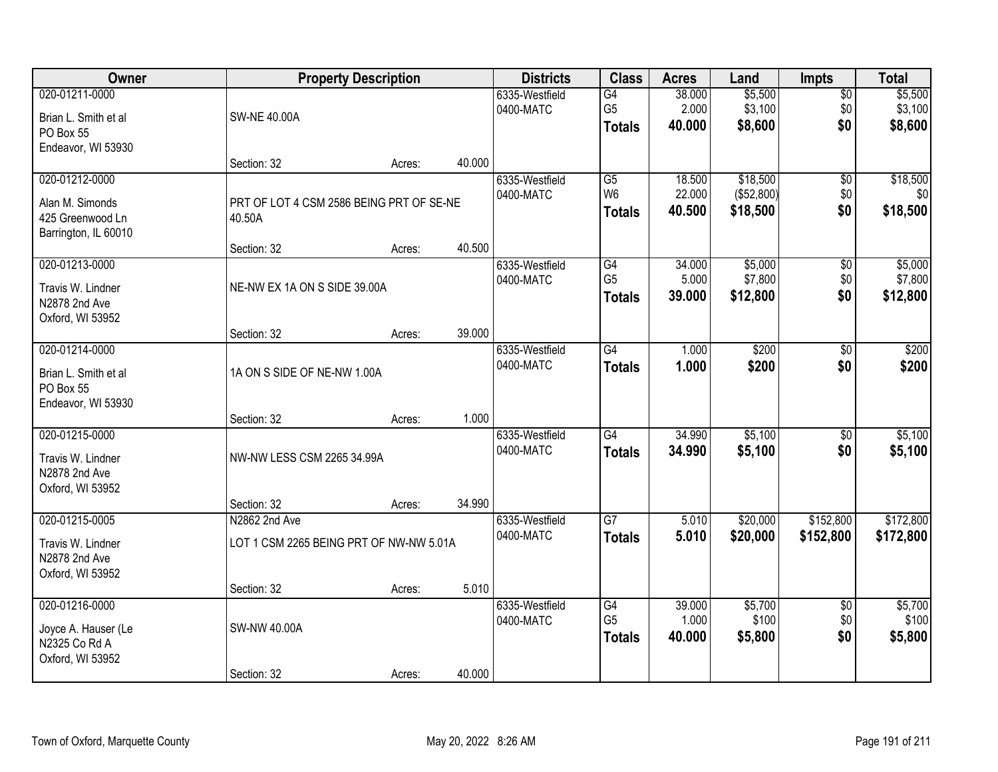| Owner                                                                         | <b>Property Description</b>                        |        |        | <b>Districts</b>            | <b>Class</b>                                       | <b>Acres</b>               | Land                               | <b>Impts</b>                  | <b>Total</b>                  |
|-------------------------------------------------------------------------------|----------------------------------------------------|--------|--------|-----------------------------|----------------------------------------------------|----------------------------|------------------------------------|-------------------------------|-------------------------------|
| 020-01211-0000<br>Brian L. Smith et al<br>PO Box 55<br>Endeavor, WI 53930     | <b>SW-NE 40.00A</b>                                |        |        | 6335-Westfield<br>0400-MATC | G4<br>G <sub>5</sub><br><b>Totals</b>              | 38.000<br>2.000<br>40.000  | \$5,500<br>\$3,100<br>\$8,600      | $\overline{50}$<br>\$0<br>\$0 | \$5,500<br>\$3,100<br>\$8,600 |
|                                                                               | Section: 32                                        | Acres: | 40.000 |                             |                                                    |                            |                                    |                               |                               |
| 020-01212-0000<br>Alan M. Simonds<br>425 Greenwood Ln<br>Barrington, IL 60010 | PRT OF LOT 4 CSM 2586 BEING PRT OF SE-NE<br>40.50A |        |        | 6335-Westfield<br>0400-MATC | $\overline{G5}$<br>W <sub>6</sub><br><b>Totals</b> | 18.500<br>22.000<br>40.500 | \$18,500<br>(\$52,800)<br>\$18,500 | $\overline{50}$<br>\$0<br>\$0 | \$18,500<br>\$0<br>\$18,500   |
| 020-01213-0000                                                                | Section: 32                                        | Acres: | 40.500 | 6335-Westfield              | G4                                                 | 34.000                     | \$5,000                            | \$0                           | \$5,000                       |
| Travis W. Lindner<br>N2878 2nd Ave<br>Oxford, WI 53952                        | NE-NW EX 1A ON S SIDE 39.00A                       |        |        | 0400-MATC                   | G <sub>5</sub><br><b>Totals</b>                    | 5.000<br>39.000            | \$7,800<br>\$12,800                | \$0<br>\$0                    | \$7,800<br>\$12,800           |
|                                                                               | Section: 32                                        | Acres: | 39.000 |                             |                                                    |                            |                                    |                               |                               |
| 020-01214-0000<br>Brian L. Smith et al<br>PO Box 55<br>Endeavor, WI 53930     | 1A ON S SIDE OF NE-NW 1.00A                        |        |        | 6335-Westfield<br>0400-MATC | $\overline{G4}$<br><b>Totals</b>                   | 1.000<br>1.000             | \$200<br>\$200                     | \$0<br>\$0                    | \$200<br>\$200                |
|                                                                               | Section: 32                                        | Acres: | 1.000  |                             |                                                    |                            |                                    |                               |                               |
| 020-01215-0000<br>Travis W. Lindner<br>N2878 2nd Ave<br>Oxford, WI 53952      | NW-NW LESS CSM 2265 34.99A                         |        |        | 6335-Westfield<br>0400-MATC | $\overline{G4}$<br><b>Totals</b>                   | 34.990<br>34.990           | \$5,100<br>\$5,100                 | $\overline{30}$<br>\$0        | \$5,100<br>\$5,100            |
| 020-01215-0005                                                                | Section: 32<br>N2862 2nd Ave                       | Acres: | 34.990 | 6335-Westfield              | $\overline{G7}$                                    | 5.010                      | \$20,000                           | \$152,800                     | \$172,800                     |
| Travis W. Lindner<br>N2878 2nd Ave<br>Oxford, WI 53952                        | LOT 1 CSM 2265 BEING PRT OF NW-NW 5.01A            |        |        | 0400-MATC                   | <b>Totals</b>                                      | 5.010                      | \$20,000                           | \$152,800                     | \$172,800                     |
|                                                                               | Section: 32                                        | Acres: | 5.010  |                             |                                                    |                            |                                    |                               |                               |
| 020-01216-0000<br>Joyce A. Hauser (Le<br>N2325 Co Rd A<br>Oxford, WI 53952    | <b>SW-NW 40.00A</b>                                |        |        | 6335-Westfield<br>0400-MATC | G4<br>G <sub>5</sub><br><b>Totals</b>              | 39.000<br>1.000<br>40.000  | \$5,700<br>\$100<br>\$5,800        | $\overline{50}$<br>\$0<br>\$0 | \$5,700<br>\$100<br>\$5,800   |
|                                                                               | Section: 32                                        | Acres: | 40.000 |                             |                                                    |                            |                                    |                               |                               |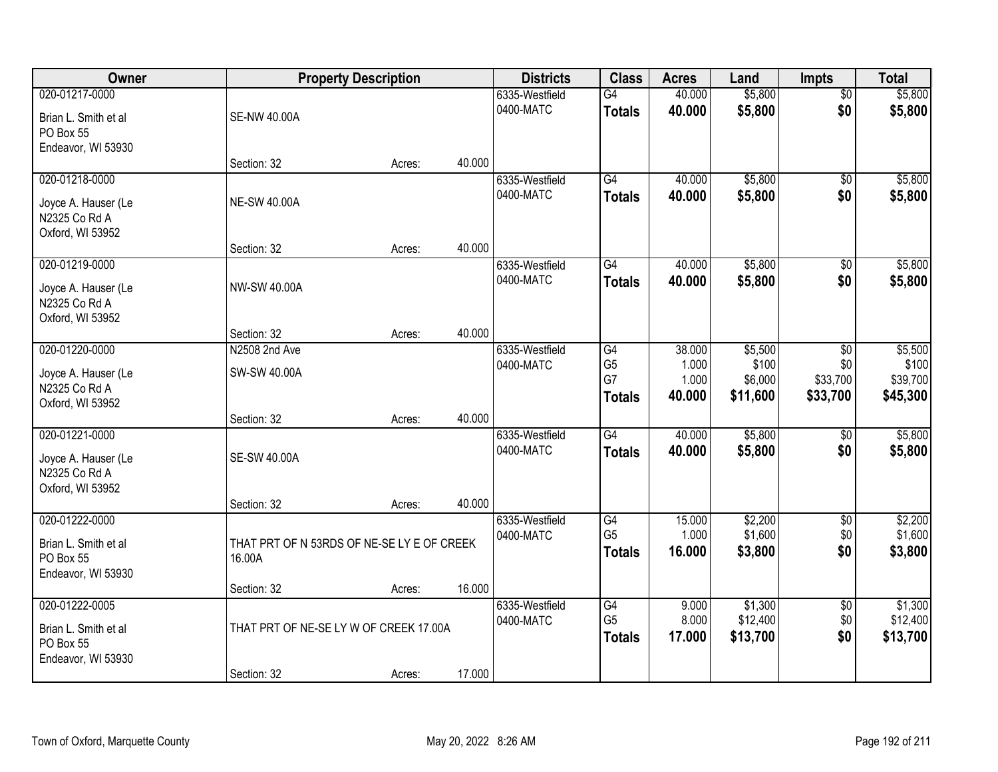| Owner                                                                      |                                                      | <b>Property Description</b> |        | <b>Districts</b>            | <b>Class</b>                                       | <b>Acres</b>                       | Land                                    | <b>Impts</b>                                 | <b>Total</b>                             |
|----------------------------------------------------------------------------|------------------------------------------------------|-----------------------------|--------|-----------------------------|----------------------------------------------------|------------------------------------|-----------------------------------------|----------------------------------------------|------------------------------------------|
| 020-01217-0000<br>Brian L. Smith et al<br>PO Box 55                        | <b>SE-NW 40.00A</b>                                  |                             |        | 6335-Westfield<br>0400-MATC | G4<br><b>Totals</b>                                | 40.000<br>40.000                   | \$5,800<br>\$5,800                      | $\overline{50}$<br>\$0                       | \$5,800<br>\$5,800                       |
| Endeavor, WI 53930                                                         | Section: 32                                          | Acres:                      | 40.000 |                             |                                                    |                                    |                                         |                                              |                                          |
| 020-01218-0000<br>Joyce A. Hauser (Le<br>N2325 Co Rd A<br>Oxford, WI 53952 | <b>NE-SW 40.00A</b>                                  |                             |        | 6335-Westfield<br>0400-MATC | G4<br><b>Totals</b>                                | 40.000<br>40.000                   | \$5,800<br>\$5,800                      | \$0<br>\$0                                   | \$5,800<br>\$5,800                       |
|                                                                            | Section: 32                                          | Acres:                      | 40.000 |                             |                                                    |                                    |                                         |                                              |                                          |
| 020-01219-0000<br>Joyce A. Hauser (Le<br>N2325 Co Rd A<br>Oxford, WI 53952 | NW-SW 40.00A                                         |                             |        | 6335-Westfield<br>0400-MATC | G4<br><b>Totals</b>                                | 40.000<br>40.000                   | \$5,800<br>\$5,800                      | $\sqrt[6]{3}$<br>\$0                         | \$5,800<br>\$5,800                       |
|                                                                            | Section: 32                                          | Acres:                      | 40.000 |                             |                                                    |                                    |                                         |                                              |                                          |
| 020-01220-0000<br>Joyce A. Hauser (Le<br>N2325 Co Rd A<br>Oxford, WI 53952 | N2508 2nd Ave<br>SW-SW 40.00A                        |                             |        | 6335-Westfield<br>0400-MATC | G4<br>G <sub>5</sub><br>G7<br><b>Totals</b>        | 38.000<br>1.000<br>1.000<br>40.000 | \$5,500<br>\$100<br>\$6,000<br>\$11,600 | $\sqrt[6]{3}$<br>\$0<br>\$33,700<br>\$33,700 | \$5,500<br>\$100<br>\$39,700<br>\$45,300 |
|                                                                            | Section: 32                                          | Acres:                      | 40.000 |                             |                                                    |                                    |                                         |                                              |                                          |
| 020-01221-0000<br>Joyce A. Hauser (Le<br>N2325 Co Rd A<br>Oxford, WI 53952 | <b>SE-SW 40.00A</b>                                  |                             |        | 6335-Westfield<br>0400-MATC | $\overline{G4}$<br><b>Totals</b>                   | 40.000<br>40.000                   | \$5,800<br>\$5,800                      | \$0<br>\$0                                   | \$5,800<br>\$5,800                       |
| 020-01222-0000                                                             | Section: 32                                          | Acres:                      | 40.000 | 6335-Westfield              | G4                                                 | 15.000                             | \$2,200                                 | $\overline{60}$                              | \$2,200                                  |
| Brian L. Smith et al<br>PO Box 55<br>Endeavor, WI 53930                    | THAT PRT OF N 53RDS OF NE-SE LY E OF CREEK<br>16.00A |                             |        | 0400-MATC                   | G <sub>5</sub><br><b>Totals</b>                    | 1.000<br>16.000                    | \$1,600<br>\$3,800                      | \$0<br>\$0                                   | \$1,600<br>\$3,800                       |
|                                                                            | Section: 32                                          | Acres:                      | 16.000 |                             |                                                    |                                    |                                         |                                              |                                          |
| 020-01222-0005<br>Brian L. Smith et al<br>PO Box 55<br>Endeavor, WI 53930  | THAT PRT OF NE-SE LY W OF CREEK 17.00A               |                             |        | 6335-Westfield<br>0400-MATC | $\overline{G4}$<br>G <sub>5</sub><br><b>Totals</b> | 9.000<br>8.000<br>17.000           | \$1,300<br>\$12,400<br>\$13,700         | $\overline{60}$<br>\$0<br>\$0                | \$1,300<br>\$12,400<br>\$13,700          |
|                                                                            | Section: 32                                          | Acres:                      | 17.000 |                             |                                                    |                                    |                                         |                                              |                                          |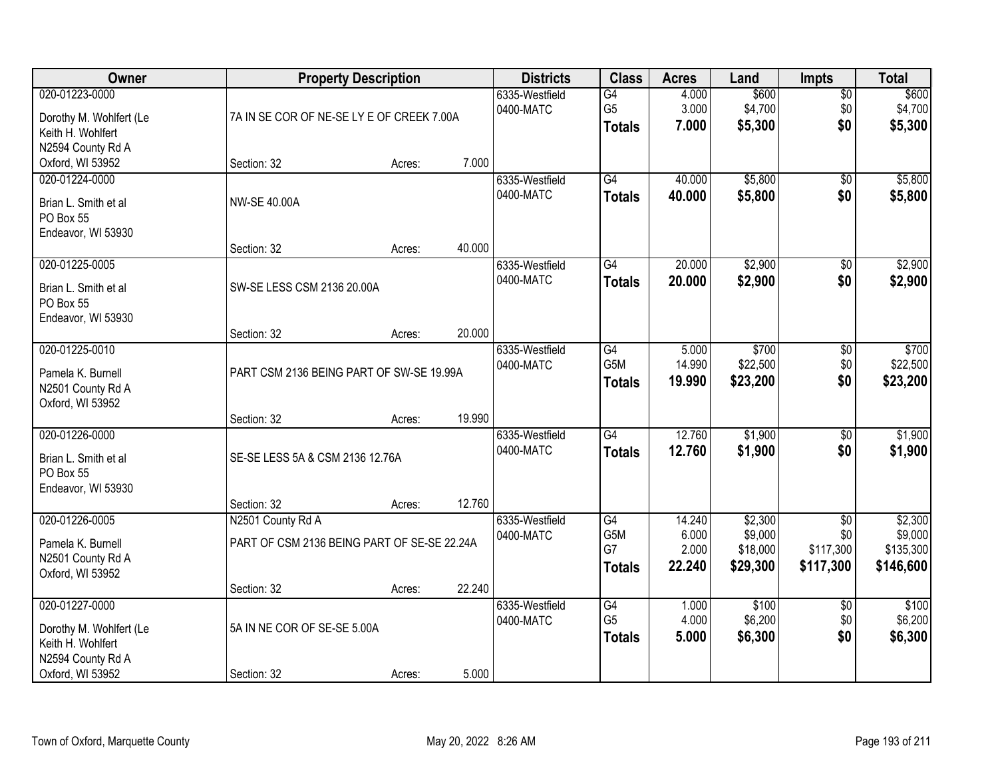| Owner                                                                               | <b>Property Description</b>                                      |        |        | <b>Districts</b>            | <b>Class</b>                                       | <b>Acres</b>                       | Land                                       | <b>Impts</b>                                     | <b>Total</b>                                 |
|-------------------------------------------------------------------------------------|------------------------------------------------------------------|--------|--------|-----------------------------|----------------------------------------------------|------------------------------------|--------------------------------------------|--------------------------------------------------|----------------------------------------------|
| 020-01223-0000<br>Dorothy M. Wohlfert (Le<br>Keith H. Wohlfert<br>N2594 County Rd A | 7A IN SE COR OF NE-SE LY E OF CREEK 7.00A                        |        |        | 6335-Westfield<br>0400-MATC | $\overline{G4}$<br>G <sub>5</sub><br><b>Totals</b> | 4.000<br>3.000<br>7.000            | \$600<br>\$4,700<br>\$5,300                | $\overline{50}$<br>\$0<br>\$0                    | \$600<br>\$4,700<br>\$5,300                  |
| Oxford, WI 53952                                                                    | Section: 32                                                      | Acres: | 7.000  |                             |                                                    |                                    |                                            |                                                  |                                              |
| 020-01224-0000<br>Brian L. Smith et al<br>PO Box 55<br>Endeavor, WI 53930           | <b>NW-SE 40.00A</b>                                              |        |        | 6335-Westfield<br>0400-MATC | G4<br><b>Totals</b>                                | 40.000<br>40.000                   | \$5,800<br>\$5,800                         | $\overline{50}$<br>\$0                           | \$5,800<br>\$5,800                           |
| 020-01225-0005                                                                      | Section: 32                                                      | Acres: | 40.000 | 6335-Westfield              | G4                                                 | 20.000                             | \$2,900                                    | \$0                                              | \$2,900                                      |
| Brian L. Smith et al<br>PO Box 55<br>Endeavor, WI 53930                             | SW-SE LESS CSM 2136 20.00A                                       |        |        | 0400-MATC                   | <b>Totals</b>                                      | 20.000                             | \$2,900                                    | \$0                                              | \$2,900                                      |
|                                                                                     | Section: 32                                                      | Acres: | 20.000 |                             |                                                    |                                    |                                            |                                                  |                                              |
| 020-01225-0010<br>Pamela K. Burnell<br>N2501 County Rd A<br>Oxford, WI 53952        | PART CSM 2136 BEING PART OF SW-SE 19.99A                         |        |        | 6335-Westfield<br>0400-MATC | G4<br>G5M<br><b>Totals</b>                         | 5.000<br>14.990<br>19.990          | \$700<br>\$22,500<br>\$23,200              | \$0<br>\$0<br>\$0                                | \$700<br>\$22,500<br>\$23,200                |
|                                                                                     | Section: 32                                                      | Acres: | 19.990 |                             |                                                    |                                    |                                            |                                                  |                                              |
| 020-01226-0000<br>Brian L. Smith et al<br>PO Box 55<br>Endeavor, WI 53930           | SE-SE LESS 5A & CSM 2136 12.76A                                  |        |        | 6335-Westfield<br>0400-MATC | $\overline{G4}$<br><b>Totals</b>                   | 12.760<br>12.760                   | \$1,900<br>\$1,900                         | $\overline{30}$<br>\$0                           | \$1,900<br>\$1,900                           |
|                                                                                     | Section: 32                                                      | Acres: | 12.760 |                             |                                                    |                                    |                                            |                                                  |                                              |
| 020-01226-0005<br>Pamela K. Burnell<br>N2501 County Rd A<br>Oxford, WI 53952        | N2501 County Rd A<br>PART OF CSM 2136 BEING PART OF SE-SE 22.24A |        |        | 6335-Westfield<br>0400-MATC | $\overline{G4}$<br>G5M<br>G7<br><b>Totals</b>      | 14.240<br>6.000<br>2.000<br>22.240 | \$2,300<br>\$9,000<br>\$18,000<br>\$29,300 | $\overline{50}$<br>\$0<br>\$117,300<br>\$117,300 | \$2,300<br>\$9,000<br>\$135,300<br>\$146,600 |
|                                                                                     | Section: 32                                                      | Acres: | 22.240 |                             |                                                    |                                    |                                            |                                                  |                                              |
| 020-01227-0000<br>Dorothy M. Wohlfert (Le<br>Keith H. Wohlfert<br>N2594 County Rd A | 5A IN NE COR OF SE-SE 5.00A                                      |        |        | 6335-Westfield<br>0400-MATC | G4<br>G <sub>5</sub><br><b>Totals</b>              | 1.000<br>4.000<br>5.000            | \$100<br>\$6,200<br>\$6,300                | $\overline{50}$<br>\$0<br>\$0                    | \$100<br>\$6,200<br>\$6,300                  |
| Oxford, WI 53952                                                                    | Section: 32                                                      | Acres: | 5.000  |                             |                                                    |                                    |                                            |                                                  |                                              |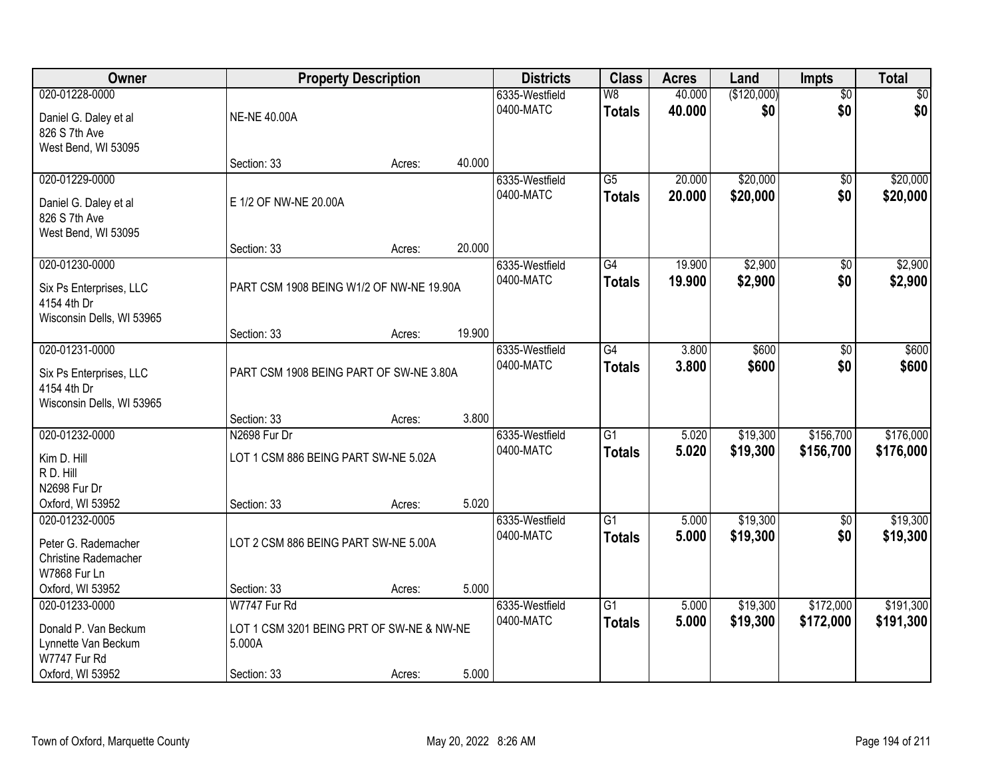| Owner                                | <b>Property Description</b>               |        |        | <b>Districts</b>            | <b>Class</b>             | <b>Acres</b>   | Land                 | Impts                  | <b>Total</b>           |
|--------------------------------------|-------------------------------------------|--------|--------|-----------------------------|--------------------------|----------------|----------------------|------------------------|------------------------|
| 020-01228-0000                       |                                           |        |        | 6335-Westfield              | $\overline{\mathsf{W}8}$ | 40.000         | (\$120,000)          | $\overline{50}$        | \$0                    |
| Daniel G. Daley et al                | <b>NE-NE 40.00A</b>                       |        |        | 0400-MATC                   | <b>Totals</b>            | 40.000         | \$0                  | \$0                    | \$0                    |
| 826 S 7th Ave                        |                                           |        |        |                             |                          |                |                      |                        |                        |
| West Bend, WI 53095                  |                                           |        |        |                             |                          |                |                      |                        |                        |
| 020-01229-0000                       | Section: 33                               | Acres: | 40.000 | 6335-Westfield              | $\overline{G5}$          | 20.000         | \$20,000             | \$0                    | \$20,000               |
|                                      |                                           |        |        | 0400-MATC                   | <b>Totals</b>            | 20.000         | \$20,000             | \$0                    | \$20,000               |
| Daniel G. Daley et al                | E 1/2 OF NW-NE 20.00A                     |        |        |                             |                          |                |                      |                        |                        |
| 826 S 7th Ave<br>West Bend, WI 53095 |                                           |        |        |                             |                          |                |                      |                        |                        |
|                                      | Section: 33                               | Acres: | 20.000 |                             |                          |                |                      |                        |                        |
| 020-01230-0000                       |                                           |        |        | 6335-Westfield              | G4                       | 19.900         | \$2,900              | $\overline{50}$        | \$2,900                |
| Six Ps Enterprises, LLC              | PART CSM 1908 BEING W1/2 OF NW-NE 19.90A  |        |        | 0400-MATC                   | <b>Totals</b>            | 19.900         | \$2,900              | \$0                    | \$2,900                |
| 4154 4th Dr                          |                                           |        |        |                             |                          |                |                      |                        |                        |
| Wisconsin Dells, WI 53965            |                                           |        |        |                             |                          |                |                      |                        |                        |
|                                      | Section: 33                               | Acres: | 19.900 |                             |                          |                |                      |                        |                        |
| 020-01231-0000                       |                                           |        |        | 6335-Westfield              | G4                       | 3.800          | \$600                | \$0                    | \$600                  |
| Six Ps Enterprises, LLC              | PART CSM 1908 BEING PART OF SW-NE 3.80A   |        |        | 0400-MATC                   | <b>Totals</b>            | 3.800          | \$600                | \$0                    | \$600                  |
| 4154 4th Dr                          |                                           |        |        |                             |                          |                |                      |                        |                        |
| Wisconsin Dells, WI 53965            | Section: 33                               | Acres: | 3.800  |                             |                          |                |                      |                        |                        |
| 020-01232-0000                       | N2698 Fur Dr                              |        |        | 6335-Westfield              | $\overline{G1}$          | 5.020          | \$19,300             | \$156,700              | \$176,000              |
|                                      |                                           |        |        | 0400-MATC                   | <b>Totals</b>            | 5.020          | \$19,300             | \$156,700              | \$176,000              |
| Kim D. Hill<br>R D. Hill             | LOT 1 CSM 886 BEING PART SW-NE 5.02A      |        |        |                             |                          |                |                      |                        |                        |
| N2698 Fur Dr                         |                                           |        |        |                             |                          |                |                      |                        |                        |
| Oxford, WI 53952                     | Section: 33                               | Acres: | 5.020  |                             |                          |                |                      |                        |                        |
| 020-01232-0005                       |                                           |        |        | 6335-Westfield              | $\overline{G1}$          | 5.000          | \$19,300             | $\sqrt{6}$             | \$19,300               |
| Peter G. Rademacher                  | LOT 2 CSM 886 BEING PART SW-NE 5.00A      |        |        | 0400-MATC                   | <b>Totals</b>            | 5.000          | \$19,300             | \$0                    | \$19,300               |
| Christine Rademacher                 |                                           |        |        |                             |                          |                |                      |                        |                        |
| W7868 Fur Ln                         |                                           |        |        |                             |                          |                |                      |                        |                        |
| Oxford, WI 53952                     | Section: 33                               | Acres: | 5.000  |                             |                          |                |                      |                        |                        |
| 020-01233-0000                       | W7747 Fur Rd                              |        |        | 6335-Westfield<br>0400-MATC | G1                       | 5.000<br>5.000 | \$19,300<br>\$19,300 | \$172,000<br>\$172,000 | \$191,300<br>\$191,300 |
| Donald P. Van Beckum                 | LOT 1 CSM 3201 BEING PRT OF SW-NE & NW-NE |        |        |                             | <b>Totals</b>            |                |                      |                        |                        |
| Lynnette Van Beckum<br>W7747 Fur Rd  | 5.000A                                    |        |        |                             |                          |                |                      |                        |                        |
| Oxford, WI 53952                     | Section: 33                               | Acres: | 5.000  |                             |                          |                |                      |                        |                        |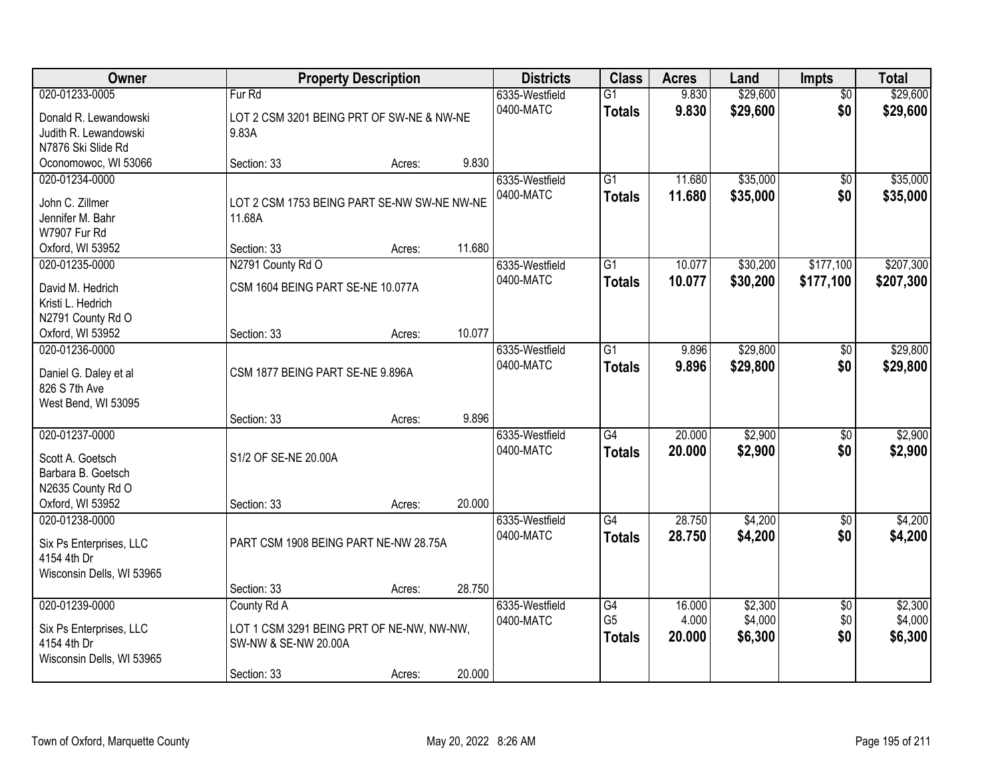| Owner                                  | <b>Property Description</b>                                       |        |        | <b>Districts</b> | <b>Class</b>    | <b>Acres</b> | Land     | <b>Impts</b>    | <b>Total</b> |
|----------------------------------------|-------------------------------------------------------------------|--------|--------|------------------|-----------------|--------------|----------|-----------------|--------------|
| 020-01233-0005                         | Fur Rd                                                            |        |        | 6335-Westfield   | $\overline{G1}$ | 9.830        | \$29,600 | $\overline{50}$ | \$29,600     |
| Donald R. Lewandowski                  | LOT 2 CSM 3201 BEING PRT OF SW-NE & NW-NE                         |        |        | 0400-MATC        | <b>Totals</b>   | 9.830        | \$29,600 | \$0             | \$29,600     |
| Judith R. Lewandowski                  | 9.83A                                                             |        |        |                  |                 |              |          |                 |              |
| N7876 Ski Slide Rd                     |                                                                   |        |        |                  |                 |              |          |                 |              |
| Oconomowoc, WI 53066                   | Section: 33                                                       | Acres: | 9.830  |                  |                 |              |          |                 |              |
| 020-01234-0000                         |                                                                   |        |        | 6335-Westfield   | $\overline{G1}$ | 11.680       | \$35,000 | \$0             | \$35,000     |
| John C. Zillmer                        | LOT 2 CSM 1753 BEING PART SE-NW SW-NE NW-NE                       |        |        | 0400-MATC        | <b>Totals</b>   | 11.680       | \$35,000 | \$0             | \$35,000     |
| Jennifer M. Bahr                       | 11.68A                                                            |        |        |                  |                 |              |          |                 |              |
| W7907 Fur Rd                           |                                                                   |        |        |                  |                 |              |          |                 |              |
| Oxford, WI 53952                       | Section: 33                                                       | Acres: | 11.680 |                  |                 |              |          |                 |              |
| 020-01235-0000                         | N2791 County Rd O                                                 |        |        | 6335-Westfield   | $\overline{G1}$ | 10.077       | \$30,200 | \$177,100       | \$207,300    |
| David M. Hedrich                       | CSM 1604 BEING PART SE-NE 10.077A                                 |        |        | 0400-MATC        | <b>Totals</b>   | 10.077       | \$30,200 | \$177,100       | \$207,300    |
| Kristi L. Hedrich                      |                                                                   |        |        |                  |                 |              |          |                 |              |
| N2791 County Rd O                      |                                                                   |        |        |                  |                 |              |          |                 |              |
| Oxford, WI 53952                       | Section: 33                                                       | Acres: | 10.077 |                  |                 |              |          |                 |              |
| 020-01236-0000                         |                                                                   |        |        | 6335-Westfield   | $\overline{G1}$ | 9.896        | \$29,800 | $\frac{1}{20}$  | \$29,800     |
| Daniel G. Daley et al                  | CSM 1877 BEING PART SE-NE 9.896A                                  |        |        | 0400-MATC        | <b>Totals</b>   | 9.896        | \$29,800 | \$0             | \$29,800     |
| 826 S 7th Ave                          |                                                                   |        |        |                  |                 |              |          |                 |              |
| West Bend, WI 53095                    |                                                                   |        |        |                  |                 |              |          |                 |              |
|                                        | Section: 33                                                       | Acres: | 9.896  |                  |                 |              |          |                 |              |
| 020-01237-0000                         |                                                                   |        |        | 6335-Westfield   | G4              | 20.000       | \$2,900  | $\overline{50}$ | \$2,900      |
| Scott A. Goetsch                       | S1/2 OF SE-NE 20.00A                                              |        |        | 0400-MATC        | <b>Totals</b>   | 20,000       | \$2,900  | \$0             | \$2,900      |
| Barbara B. Goetsch                     |                                                                   |        |        |                  |                 |              |          |                 |              |
| N2635 County Rd O                      |                                                                   |        |        |                  |                 |              |          |                 |              |
| Oxford, WI 53952                       | Section: 33                                                       | Acres: | 20.000 |                  |                 |              |          |                 |              |
| 020-01238-0000                         |                                                                   |        |        | 6335-Westfield   | G4              | 28.750       | \$4,200  | \$0             | \$4,200      |
|                                        | PART CSM 1908 BEING PART NE-NW 28.75A                             |        |        | 0400-MATC        | <b>Totals</b>   | 28.750       | \$4,200  | \$0             | \$4,200      |
| Six Ps Enterprises, LLC<br>4154 4th Dr |                                                                   |        |        |                  |                 |              |          |                 |              |
| Wisconsin Dells, WI 53965              |                                                                   |        |        |                  |                 |              |          |                 |              |
|                                        | Section: 33                                                       | Acres: | 28.750 |                  |                 |              |          |                 |              |
| 020-01239-0000                         | County Rd A                                                       |        |        | 6335-Westfield   | G4              | 16.000       | \$2,300  | $\overline{60}$ | \$2,300      |
|                                        |                                                                   |        |        | 0400-MATC        | G <sub>5</sub>  | 4.000        | \$4,000  | \$0             | \$4,000      |
| Six Ps Enterprises, LLC<br>4154 4th Dr | LOT 1 CSM 3291 BEING PRT OF NE-NW, NW-NW,<br>SW-NW & SE-NW 20.00A |        |        |                  | <b>Totals</b>   | 20,000       | \$6,300  | \$0             | \$6,300      |
| Wisconsin Dells, WI 53965              |                                                                   |        |        |                  |                 |              |          |                 |              |
|                                        | Section: 33                                                       | Acres: | 20.000 |                  |                 |              |          |                 |              |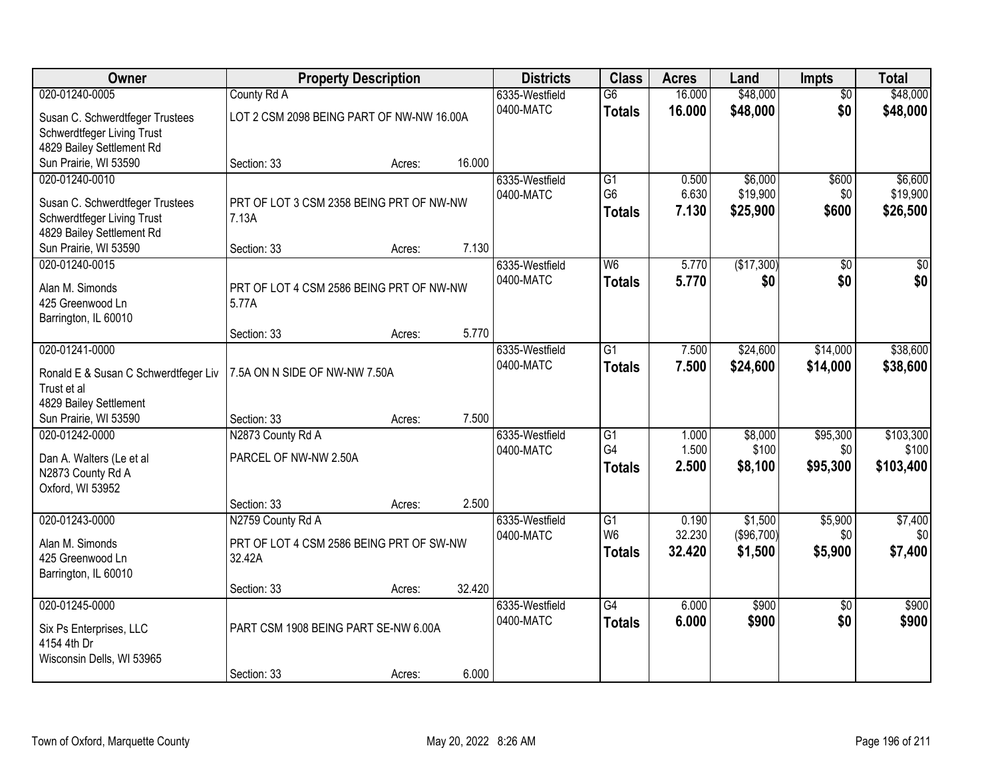| Owner                                               | <b>Property Description</b>               |        |        | <b>Districts</b> | <b>Class</b>    | <b>Acres</b> | Land       | Impts           | <b>Total</b> |
|-----------------------------------------------------|-------------------------------------------|--------|--------|------------------|-----------------|--------------|------------|-----------------|--------------|
| 020-01240-0005                                      | County Rd A                               |        |        | 6335-Westfield   | $\overline{G6}$ | 16.000       | \$48,000   | $\overline{50}$ | \$48,000     |
| Susan C. Schwerdtfeger Trustees                     | LOT 2 CSM 2098 BEING PART OF NW-NW 16.00A |        |        | 0400-MATC        | <b>Totals</b>   | 16.000       | \$48,000   | \$0             | \$48,000     |
| Schwerdtfeger Living Trust                          |                                           |        |        |                  |                 |              |            |                 |              |
| 4829 Bailey Settlement Rd                           |                                           |        |        |                  |                 |              |            |                 |              |
| Sun Prairie, WI 53590                               | Section: 33                               | Acres: | 16.000 |                  |                 |              |            |                 |              |
| 020-01240-0010                                      |                                           |        |        | 6335-Westfield   | $\overline{G1}$ | 0.500        | \$6,000    | \$600           | \$6,600      |
| Susan C. Schwerdtfeger Trustees                     | PRT OF LOT 3 CSM 2358 BEING PRT OF NW-NW  |        |        | 0400-MATC        | G <sub>6</sub>  | 6.630        | \$19,900   | \$0             | \$19,900     |
| Schwerdtfeger Living Trust                          | 7.13A                                     |        |        |                  | <b>Totals</b>   | 7.130        | \$25,900   | \$600           | \$26,500     |
| 4829 Bailey Settlement Rd                           |                                           |        |        |                  |                 |              |            |                 |              |
| Sun Prairie, WI 53590                               | Section: 33                               | Acres: | 7.130  |                  |                 |              |            |                 |              |
| 020-01240-0015                                      |                                           |        |        | 6335-Westfield   | W <sub>6</sub>  | 5.770        | (\$17,300) | \$0             | \$0          |
| Alan M. Simonds                                     | PRT OF LOT 4 CSM 2586 BEING PRT OF NW-NW  |        |        | 0400-MATC        | <b>Totals</b>   | 5.770        | \$0        | \$0             | \$0          |
| 425 Greenwood Ln                                    | 5.77A                                     |        |        |                  |                 |              |            |                 |              |
| Barrington, IL 60010                                |                                           |        |        |                  |                 |              |            |                 |              |
|                                                     | Section: 33                               | Acres: | 5.770  |                  |                 |              |            |                 |              |
| 020-01241-0000                                      |                                           |        |        | 6335-Westfield   | G1              | 7.500        | \$24,600   | \$14,000        | \$38,600     |
|                                                     | 7.5A ON N SIDE OF NW-NW 7.50A             |        |        | 0400-MATC        | <b>Totals</b>   | 7.500        | \$24,600   | \$14,000        | \$38,600     |
| Ronald E & Susan C Schwerdtfeger Liv<br>Trust et al |                                           |        |        |                  |                 |              |            |                 |              |
| 4829 Bailey Settlement                              |                                           |        |        |                  |                 |              |            |                 |              |
| Sun Prairie, WI 53590                               | Section: 33                               | Acres: | 7.500  |                  |                 |              |            |                 |              |
| 020-01242-0000                                      | N2873 County Rd A                         |        |        | 6335-Westfield   | $\overline{G1}$ | 1.000        | \$8,000    | \$95,300        | \$103,300    |
|                                                     |                                           |        |        | 0400-MATC        | G4              | 1.500        | \$100      | \$0             | \$100        |
| Dan A. Walters (Le et al                            | PARCEL OF NW-NW 2.50A                     |        |        |                  | <b>Totals</b>   | 2.500        | \$8,100    | \$95,300        | \$103,400    |
| N2873 County Rd A<br>Oxford, WI 53952               |                                           |        |        |                  |                 |              |            |                 |              |
|                                                     | Section: 33                               | Acres: | 2.500  |                  |                 |              |            |                 |              |
| 020-01243-0000                                      | N2759 County Rd A                         |        |        | 6335-Westfield   | $\overline{G1}$ | 0.190        | \$1,500    | \$5,900         | \$7,400      |
|                                                     |                                           |        |        | 0400-MATC        | W <sub>6</sub>  | 32.230       | (\$96,700) | \$0             | \$0          |
| Alan M. Simonds                                     | PRT OF LOT 4 CSM 2586 BEING PRT OF SW-NW  |        |        |                  | <b>Totals</b>   | 32.420       | \$1,500    | \$5,900         | \$7,400      |
| 425 Greenwood Ln                                    | 32.42A                                    |        |        |                  |                 |              |            |                 |              |
| Barrington, IL 60010                                | Section: 33                               | Acres: | 32.420 |                  |                 |              |            |                 |              |
| 020-01245-0000                                      |                                           |        |        | 6335-Westfield   | $\overline{G4}$ | 6.000        | \$900      | $\overline{50}$ | \$900        |
|                                                     |                                           |        |        | 0400-MATC        | <b>Totals</b>   | 6.000        | \$900      | \$0             | \$900        |
| Six Ps Enterprises, LLC                             | PART CSM 1908 BEING PART SE-NW 6.00A      |        |        |                  |                 |              |            |                 |              |
| 4154 4th Dr                                         |                                           |        |        |                  |                 |              |            |                 |              |
| Wisconsin Dells, WI 53965                           | Section: 33                               |        | 6.000  |                  |                 |              |            |                 |              |
|                                                     |                                           | Acres: |        |                  |                 |              |            |                 |              |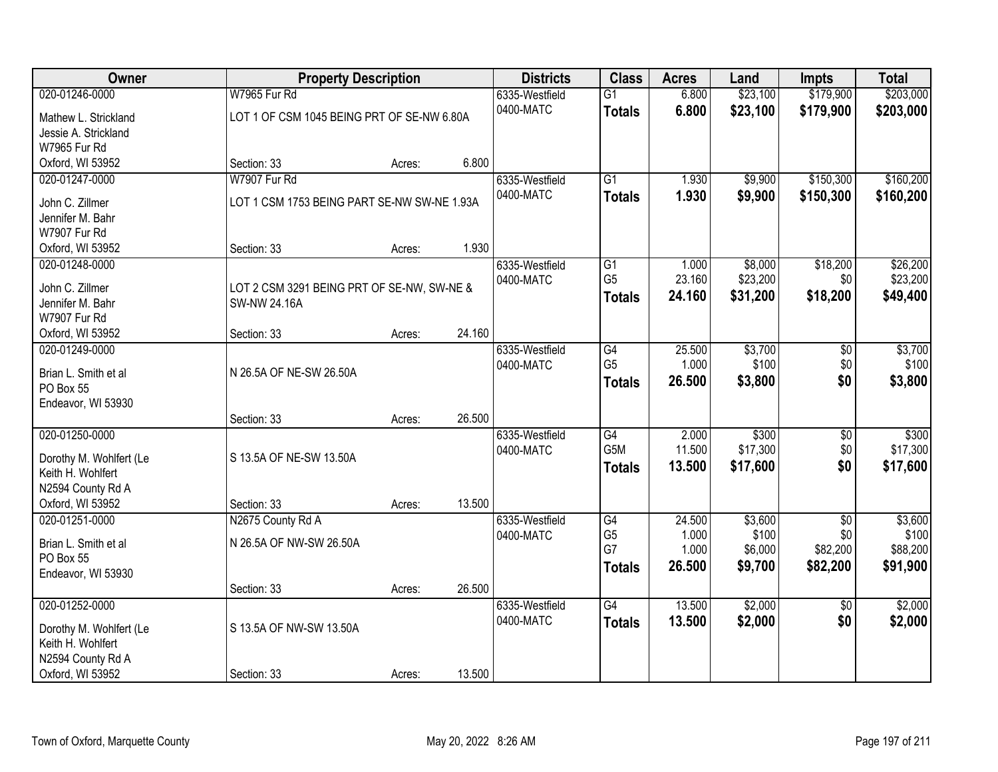| Owner                            |                                             | <b>Property Description</b> |        | <b>Districts</b> | <b>Class</b>                        | <b>Acres</b> | Land     | <b>Impts</b>    | <b>Total</b> |
|----------------------------------|---------------------------------------------|-----------------------------|--------|------------------|-------------------------------------|--------------|----------|-----------------|--------------|
| 020-01246-0000                   | W7965 Fur Rd                                |                             |        | 6335-Westfield   | $\overline{G1}$                     | 6.800        | \$23,100 | \$179,900       | \$203,000    |
| Mathew L. Strickland             | LOT 1 OF CSM 1045 BEING PRT OF SE-NW 6.80A  |                             |        | 0400-MATC        | <b>Totals</b>                       | 6.800        | \$23,100 | \$179,900       | \$203,000    |
| Jessie A. Strickland             |                                             |                             |        |                  |                                     |              |          |                 |              |
| W7965 Fur Rd                     |                                             |                             |        |                  |                                     |              |          |                 |              |
| Oxford, WI 53952                 | Section: 33                                 | Acres:                      | 6.800  |                  |                                     |              |          |                 |              |
| 020-01247-0000                   | W7907 Fur Rd                                |                             |        | 6335-Westfield   | $\overline{G1}$                     | 1.930        | \$9,900  | \$150,300       | \$160,200    |
| John C. Zillmer                  | LOT 1 CSM 1753 BEING PART SE-NW SW-NE 1.93A |                             |        | 0400-MATC        | <b>Totals</b>                       | 1.930        | \$9,900  | \$150,300       | \$160,200    |
| Jennifer M. Bahr                 |                                             |                             |        |                  |                                     |              |          |                 |              |
| W7907 Fur Rd                     |                                             |                             |        |                  |                                     |              |          |                 |              |
| Oxford, WI 53952                 | Section: 33                                 | Acres:                      | 1.930  |                  |                                     |              |          |                 |              |
| 020-01248-0000                   |                                             |                             |        | 6335-Westfield   | G1                                  | 1.000        | \$8,000  | \$18,200        | \$26,200     |
|                                  |                                             |                             |        | 0400-MATC        | G <sub>5</sub>                      | 23.160       | \$23,200 | \$0             | \$23,200     |
| John C. Zillmer                  | LOT 2 CSM 3291 BEING PRT OF SE-NW, SW-NE &  |                             |        |                  | <b>Totals</b>                       | 24.160       | \$31,200 | \$18,200        | \$49,400     |
| Jennifer M. Bahr<br>W7907 Fur Rd | <b>SW-NW 24.16A</b>                         |                             |        |                  |                                     |              |          |                 |              |
| Oxford, WI 53952                 | Section: 33                                 | Acres:                      | 24.160 |                  |                                     |              |          |                 |              |
| 020-01249-0000                   |                                             |                             |        | 6335-Westfield   | G4                                  | 25.500       | \$3,700  | \$0             | \$3,700      |
|                                  |                                             |                             |        | 0400-MATC        | G <sub>5</sub>                      | 1.000        | \$100    | \$0             | \$100        |
| Brian L. Smith et al             | N 26.5A OF NE-SW 26.50A                     |                             |        |                  | <b>Totals</b>                       | 26.500       | \$3,800  | \$0             | \$3,800      |
| PO Box 55                        |                                             |                             |        |                  |                                     |              |          |                 |              |
| Endeavor, WI 53930               |                                             |                             |        |                  |                                     |              |          |                 |              |
|                                  | Section: 33                                 | Acres:                      | 26.500 |                  |                                     |              |          |                 |              |
| 020-01250-0000                   |                                             |                             |        | 6335-Westfield   | $\overline{G4}$<br>G <sub>5</sub> M | 2.000        | \$300    | $\overline{50}$ | \$300        |
| Dorothy M. Wohlfert (Le          | S 13.5A OF NE-SW 13.50A                     |                             |        | 0400-MATC        |                                     | 11.500       | \$17,300 | \$0             | \$17,300     |
| Keith H. Wohlfert                |                                             |                             |        |                  | <b>Totals</b>                       | 13.500       | \$17,600 | \$0             | \$17,600     |
| N2594 County Rd A                |                                             |                             |        |                  |                                     |              |          |                 |              |
| Oxford, WI 53952                 | Section: 33                                 | Acres:                      | 13.500 |                  |                                     |              |          |                 |              |
| 020-01251-0000                   | N2675 County Rd A                           |                             |        | 6335-Westfield   | G4                                  | 24.500       | \$3,600  | $\overline{50}$ | \$3,600      |
| Brian L. Smith et al             | N 26.5A OF NW-SW 26.50A                     |                             |        | 0400-MATC        | G <sub>5</sub>                      | 1.000        | \$100    | \$0             | \$100        |
| PO Box 55                        |                                             |                             |        |                  | G7                                  | 1.000        | \$6,000  | \$82,200        | \$88,200     |
| Endeavor, WI 53930               |                                             |                             |        |                  | <b>Totals</b>                       | 26.500       | \$9,700  | \$82,200        | \$91,900     |
|                                  | Section: 33                                 | Acres:                      | 26.500 |                  |                                     |              |          |                 |              |
| 020-01252-0000                   |                                             |                             |        | 6335-Westfield   | $\overline{G4}$                     | 13.500       | \$2,000  | $\overline{50}$ | \$2,000      |
| Dorothy M. Wohlfert (Le          | S 13.5A OF NW-SW 13.50A                     |                             |        | 0400-MATC        | <b>Totals</b>                       | 13.500       | \$2,000  | \$0             | \$2,000      |
| Keith H. Wohlfert                |                                             |                             |        |                  |                                     |              |          |                 |              |
| N2594 County Rd A                |                                             |                             |        |                  |                                     |              |          |                 |              |
| Oxford, WI 53952                 | Section: 33                                 | Acres:                      | 13.500 |                  |                                     |              |          |                 |              |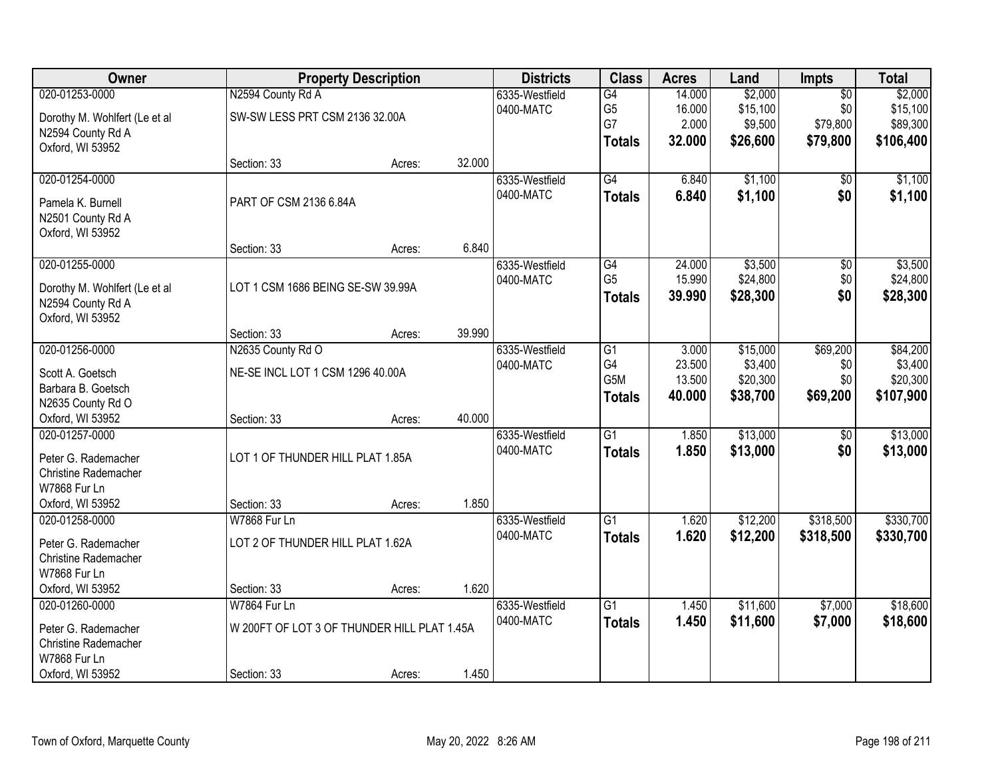| Owner                                  |                                             | <b>Property Description</b> |        | <b>Districts</b> | <b>Class</b>    | <b>Acres</b> | Land     | <b>Impts</b>    | <b>Total</b> |
|----------------------------------------|---------------------------------------------|-----------------------------|--------|------------------|-----------------|--------------|----------|-----------------|--------------|
| 020-01253-0000                         | N2594 County Rd A                           |                             |        | 6335-Westfield   | G4              | 14.000       | \$2,000  | $\overline{50}$ | \$2,000      |
| Dorothy M. Wohlfert (Le et al          | SW-SW LESS PRT CSM 2136 32.00A              |                             |        | 0400-MATC        | G <sub>5</sub>  | 16.000       | \$15,100 | \$0             | \$15,100     |
| N2594 County Rd A                      |                                             |                             |        |                  | G7              | 2.000        | \$9,500  | \$79,800        | \$89,300     |
| Oxford, WI 53952                       |                                             |                             |        |                  | <b>Totals</b>   | 32.000       | \$26,600 | \$79,800        | \$106,400    |
|                                        | Section: 33                                 | Acres:                      | 32.000 |                  |                 |              |          |                 |              |
| 020-01254-0000                         |                                             |                             |        | 6335-Westfield   | $\overline{G4}$ | 6.840        | \$1,100  | \$0             | \$1,100      |
| Pamela K. Burnell                      | PART OF CSM 2136 6.84A                      |                             |        | 0400-MATC        | <b>Totals</b>   | 6.840        | \$1,100  | \$0             | \$1,100      |
| N2501 County Rd A                      |                                             |                             |        |                  |                 |              |          |                 |              |
| Oxford, WI 53952                       |                                             |                             |        |                  |                 |              |          |                 |              |
|                                        | Section: 33                                 | Acres:                      | 6.840  |                  |                 |              |          |                 |              |
| 020-01255-0000                         |                                             |                             |        | 6335-Westfield   | G4              | 24.000       | \$3,500  | $\overline{50}$ | \$3,500      |
| Dorothy M. Wohlfert (Le et al          | LOT 1 CSM 1686 BEING SE-SW 39.99A           |                             |        | 0400-MATC        | G <sub>5</sub>  | 15.990       | \$24,800 | \$0             | \$24,800     |
| N2594 County Rd A                      |                                             |                             |        |                  | <b>Totals</b>   | 39.990       | \$28,300 | \$0             | \$28,300     |
| Oxford, WI 53952                       |                                             |                             |        |                  |                 |              |          |                 |              |
|                                        | Section: 33                                 | Acres:                      | 39.990 |                  |                 |              |          |                 |              |
| 020-01256-0000                         | N2635 County Rd O                           |                             |        | 6335-Westfield   | $\overline{G1}$ | 3.000        | \$15,000 | \$69,200        | \$84,200     |
|                                        | NE-SE INCL LOT 1 CSM 1296 40.00A            |                             |        | 0400-MATC        | G4              | 23.500       | \$3,400  | \$0             | \$3,400      |
| Scott A. Goetsch<br>Barbara B. Goetsch |                                             |                             |        |                  | G5M             | 13.500       | \$20,300 | \$0             | \$20,300     |
| N2635 County Rd O                      |                                             |                             |        |                  | <b>Totals</b>   | 40.000       | \$38,700 | \$69,200        | \$107,900    |
| Oxford, WI 53952                       | Section: 33                                 | Acres:                      | 40.000 |                  |                 |              |          |                 |              |
| 020-01257-0000                         |                                             |                             |        | 6335-Westfield   | $\overline{G1}$ | 1.850        | \$13,000 | \$0             | \$13,000     |
|                                        |                                             |                             |        | 0400-MATC        | <b>Totals</b>   | 1.850        | \$13,000 | \$0             | \$13,000     |
| Peter G. Rademacher                    | LOT 1 OF THUNDER HILL PLAT 1.85A            |                             |        |                  |                 |              |          |                 |              |
| Christine Rademacher                   |                                             |                             |        |                  |                 |              |          |                 |              |
| W7868 Fur Ln                           |                                             |                             |        |                  |                 |              |          |                 |              |
| Oxford, WI 53952                       | Section: 33                                 | Acres:                      | 1.850  |                  |                 |              |          |                 |              |
| 020-01258-0000                         | W7868 Fur Ln                                |                             |        | 6335-Westfield   | $\overline{G1}$ | 1.620        | \$12,200 | \$318,500       | \$330,700    |
| Peter G. Rademacher                    | LOT 2 OF THUNDER HILL PLAT 1.62A            |                             |        | 0400-MATC        | <b>Totals</b>   | 1.620        | \$12,200 | \$318,500       | \$330,700    |
| <b>Christine Rademacher</b>            |                                             |                             |        |                  |                 |              |          |                 |              |
| W7868 Fur Ln                           |                                             |                             |        |                  |                 |              |          |                 |              |
| Oxford, WI 53952                       | Section: 33                                 | Acres:                      | 1.620  |                  |                 |              |          |                 |              |
| 020-01260-0000                         | W7864 Fur Ln                                |                             |        | 6335-Westfield   | $\overline{G1}$ | 1.450        | \$11,600 | \$7,000         | \$18,600     |
| Peter G. Rademacher                    | W 200FT OF LOT 3 OF THUNDER HILL PLAT 1.45A |                             |        | 0400-MATC        | <b>Totals</b>   | 1.450        | \$11,600 | \$7,000         | \$18,600     |
| Christine Rademacher                   |                                             |                             |        |                  |                 |              |          |                 |              |
| W7868 Fur Ln                           |                                             |                             |        |                  |                 |              |          |                 |              |
| Oxford, WI 53952                       | Section: 33                                 | Acres:                      | 1.450  |                  |                 |              |          |                 |              |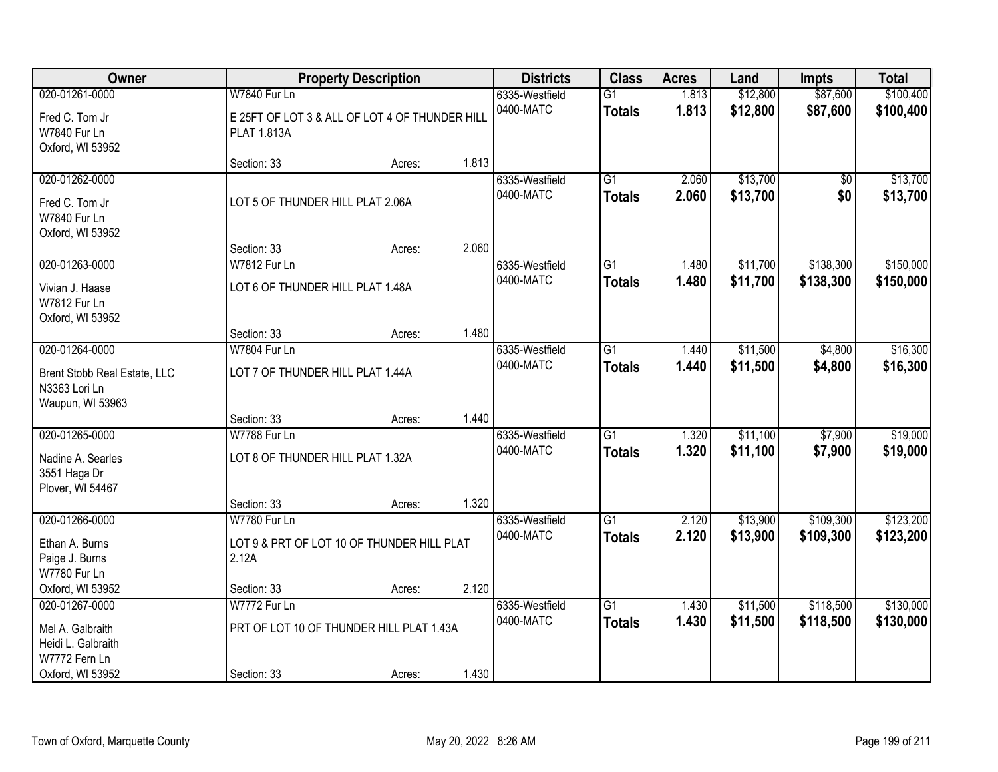| Owner                                                                     |                                                                      | <b>Property Description</b> |       | <b>Districts</b>            | <b>Class</b>                     | <b>Acres</b>   | Land                 | <b>Impts</b>           | <b>Total</b>           |
|---------------------------------------------------------------------------|----------------------------------------------------------------------|-----------------------------|-------|-----------------------------|----------------------------------|----------------|----------------------|------------------------|------------------------|
| 020-01261-0000                                                            | <b>W7840 Fur Ln</b>                                                  |                             |       | 6335-Westfield              | $\overline{G1}$                  | 1.813          | \$12,800             | \$87,600               | \$100,400              |
| Fred C. Tom Jr<br>W7840 Fur Ln<br>Oxford, WI 53952                        | E 25FT OF LOT 3 & ALL OF LOT 4 OF THUNDER HILL<br><b>PLAT 1.813A</b> |                             |       | 0400-MATC                   | <b>Totals</b>                    | 1.813          | \$12,800             | \$87,600               | \$100,400              |
|                                                                           | Section: 33                                                          | Acres:                      | 1.813 |                             |                                  |                |                      |                        |                        |
| 020-01262-0000<br>Fred C. Tom Jr<br>W7840 Fur Ln<br>Oxford, WI 53952      | LOT 5 OF THUNDER HILL PLAT 2.06A                                     |                             |       | 6335-Westfield<br>0400-MATC | $\overline{G1}$<br><b>Totals</b> | 2.060<br>2.060 | \$13,700<br>\$13,700 | \$0<br>\$0             | \$13,700<br>\$13,700   |
|                                                                           | Section: 33                                                          | Acres:                      | 2.060 |                             |                                  |                |                      |                        |                        |
| 020-01263-0000                                                            | W7812 Fur Ln                                                         |                             |       | 6335-Westfield              | $\overline{G1}$                  | 1.480          | \$11,700             | \$138,300              | \$150,000              |
| Vivian J. Haase<br><b>W7812 Fur Ln</b><br>Oxford, WI 53952                | LOT 6 OF THUNDER HILL PLAT 1.48A                                     |                             |       | 0400-MATC                   | <b>Totals</b>                    | 1.480          | \$11,700             | \$138,300              | \$150,000              |
|                                                                           | Section: 33                                                          | Acres:                      | 1.480 |                             |                                  |                |                      |                        |                        |
| 020-01264-0000                                                            | W7804 Fur Ln                                                         |                             |       | 6335-Westfield              | $\overline{G1}$                  | 1.440          | \$11,500             | \$4,800                | \$16,300               |
| Brent Stobb Real Estate, LLC<br>N3363 Lori Ln<br>Waupun, WI 53963         | LOT 7 OF THUNDER HILL PLAT 1.44A                                     |                             |       | 0400-MATC                   | <b>Totals</b>                    | 1.440          | \$11,500             | \$4,800                | \$16,300               |
|                                                                           | Section: 33                                                          | Acres:                      | 1.440 |                             |                                  |                |                      |                        |                        |
| 020-01265-0000                                                            | W7788 Fur Ln<br>LOT 8 OF THUNDER HILL PLAT 1.32A                     |                             |       | 6335-Westfield<br>0400-MATC | $\overline{G1}$<br><b>Totals</b> | 1.320<br>1.320 | \$11,100<br>\$11,100 | \$7,900<br>\$7,900     | \$19,000<br>\$19,000   |
| Nadine A. Searles<br>3551 Haga Dr<br>Plover, WI 54467                     |                                                                      |                             |       |                             |                                  |                |                      |                        |                        |
|                                                                           | Section: 33                                                          | Acres:                      | 1.320 |                             |                                  |                |                      |                        |                        |
| 020-01266-0000                                                            | W7780 Fur Ln                                                         |                             |       | 6335-Westfield              | $\overline{G1}$                  | 2.120          | \$13,900             | \$109,300              | \$123,200              |
| Ethan A. Burns<br>Paige J. Burns<br>W7780 Fur Ln                          | LOT 9 & PRT OF LOT 10 OF THUNDER HILL PLAT<br>2.12A                  |                             |       | 0400-MATC                   | <b>Totals</b>                    | 2.120          | \$13,900             | \$109,300              | \$123,200              |
| Oxford, WI 53952                                                          | Section: 33                                                          | Acres:                      | 2.120 |                             |                                  |                |                      |                        |                        |
| 020-01267-0000<br>Mel A. Galbraith<br>Heidi L. Galbraith<br>W7772 Fern Ln | W7772 Fur Ln<br>PRT OF LOT 10 OF THUNDER HILL PLAT 1.43A             |                             |       | 6335-Westfield<br>0400-MATC | $\overline{G1}$<br><b>Totals</b> | 1.430<br>1.430 | \$11,500<br>\$11,500 | \$118,500<br>\$118,500 | \$130,000<br>\$130,000 |
| Oxford, WI 53952                                                          | Section: 33                                                          | Acres:                      | 1.430 |                             |                                  |                |                      |                        |                        |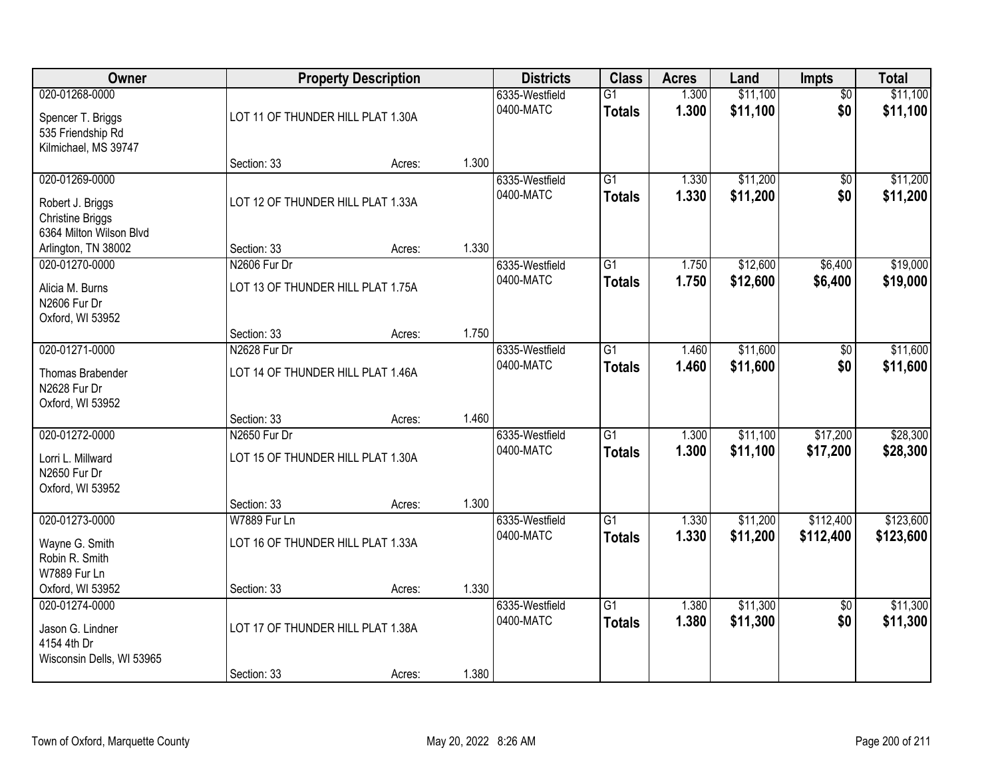| Owner                                                                                    |                                                   | <b>Property Description</b> |       | <b>Districts</b>            | <b>Class</b>                     | <b>Acres</b>   | Land                 | Impts                  | <b>Total</b>         |
|------------------------------------------------------------------------------------------|---------------------------------------------------|-----------------------------|-------|-----------------------------|----------------------------------|----------------|----------------------|------------------------|----------------------|
| 020-01268-0000<br>Spencer T. Briggs<br>535 Friendship Rd                                 | LOT 11 OF THUNDER HILL PLAT 1.30A                 |                             |       | 6335-Westfield<br>0400-MATC | $\overline{G1}$<br><b>Totals</b> | 1.300<br>1.300 | \$11,100<br>\$11,100 | $\overline{50}$<br>\$0 | \$11,100<br>\$11,100 |
| Kilmichael, MS 39747                                                                     | Section: 33                                       | Acres:                      | 1.300 |                             |                                  |                |                      |                        |                      |
| 020-01269-0000<br>Robert J. Briggs<br><b>Christine Briggs</b><br>6364 Milton Wilson Blvd | LOT 12 OF THUNDER HILL PLAT 1.33A                 |                             |       | 6335-Westfield<br>0400-MATC | $\overline{G1}$<br><b>Totals</b> | 1.330<br>1.330 | \$11,200<br>\$11,200 | $\overline{50}$<br>\$0 | \$11,200<br>\$11,200 |
| Arlington, TN 38002                                                                      | Section: 33                                       | Acres:                      | 1.330 |                             |                                  |                |                      |                        |                      |
| 020-01270-0000<br>Alicia M. Burns<br>N2606 Fur Dr<br>Oxford, WI 53952                    | N2606 Fur Dr<br>LOT 13 OF THUNDER HILL PLAT 1.75A |                             |       | 6335-Westfield<br>0400-MATC | G1<br><b>Totals</b>              | 1.750<br>1.750 | \$12,600<br>\$12,600 | \$6,400<br>\$6,400     | \$19,000<br>\$19,000 |
|                                                                                          | Section: 33                                       | Acres:                      | 1.750 |                             |                                  |                |                      |                        |                      |
| 020-01271-0000<br>Thomas Brabender<br>N2628 Fur Dr<br>Oxford, WI 53952                   | N2628 Fur Dr<br>LOT 14 OF THUNDER HILL PLAT 1.46A |                             |       | 6335-Westfield<br>0400-MATC | G1<br><b>Totals</b>              | 1.460<br>1.460 | \$11,600<br>\$11,600 | \$0<br>\$0             | \$11,600<br>\$11,600 |
|                                                                                          | Section: 33                                       | Acres:                      | 1.460 |                             |                                  |                |                      |                        |                      |
| 020-01272-0000<br>Lorri L. Millward<br>N2650 Fur Dr<br>Oxford, WI 53952                  | N2650 Fur Dr<br>LOT 15 OF THUNDER HILL PLAT 1.30A |                             | 1.300 | 6335-Westfield<br>0400-MATC | $\overline{G1}$<br><b>Totals</b> | 1.300<br>1.300 | \$11,100<br>\$11,100 | \$17,200<br>\$17,200   | \$28,300<br>\$28,300 |
| 020-01273-0000                                                                           | Section: 33<br>W7889 Fur Ln                       | Acres:                      |       | 6335-Westfield              | $\overline{G1}$                  | 1.330          | \$11,200             | \$112,400              | \$123,600            |
| Wayne G. Smith<br>Robin R. Smith<br>W7889 Fur Ln                                         | LOT 16 OF THUNDER HILL PLAT 1.33A                 |                             |       | 0400-MATC                   | <b>Totals</b>                    | 1.330          | \$11,200             | \$112,400              | \$123,600            |
| Oxford, WI 53952                                                                         | Section: 33                                       | Acres:                      | 1.330 |                             |                                  |                |                      |                        |                      |
| 020-01274-0000<br>Jason G. Lindner<br>4154 4th Dr<br>Wisconsin Dells, WI 53965           | LOT 17 OF THUNDER HILL PLAT 1.38A                 |                             |       | 6335-Westfield<br>0400-MATC | $\overline{G1}$<br><b>Totals</b> | 1.380<br>1.380 | \$11,300<br>\$11,300 | $\overline{50}$<br>\$0 | \$11,300<br>\$11,300 |
|                                                                                          | Section: 33                                       | Acres:                      | 1.380 |                             |                                  |                |                      |                        |                      |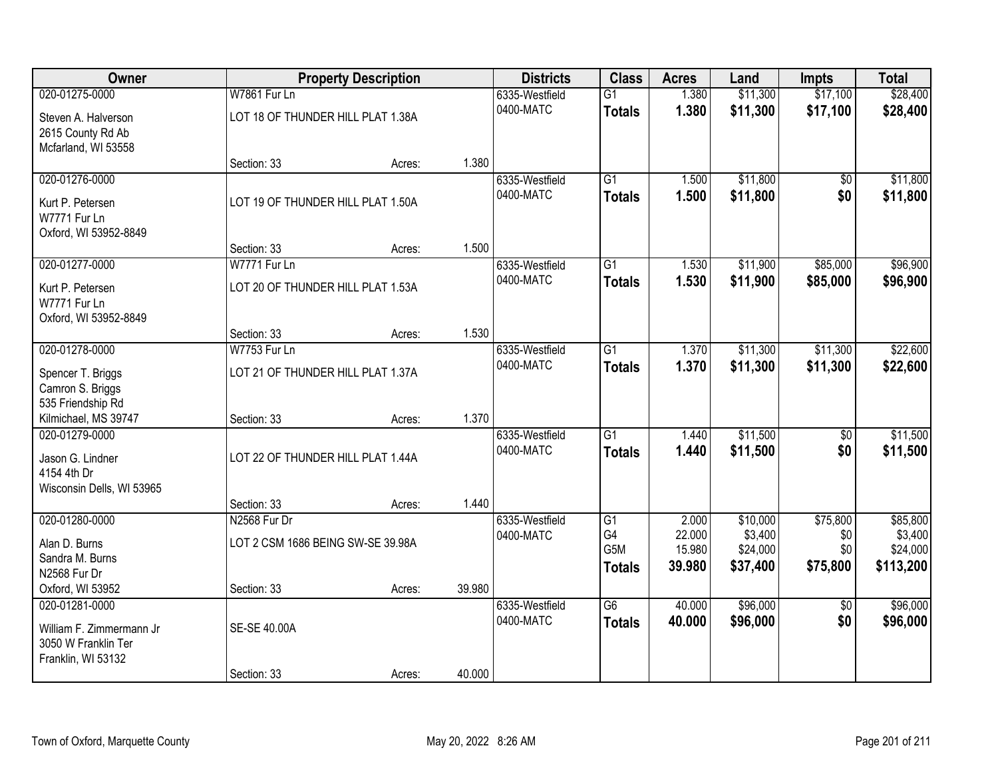| <b>Owner</b>              |                                   | <b>Property Description</b> |        | <b>Districts</b> | <b>Class</b>           | <b>Acres</b>     | Land                 | <b>Impts</b>    | <b>Total</b>          |
|---------------------------|-----------------------------------|-----------------------------|--------|------------------|------------------------|------------------|----------------------|-----------------|-----------------------|
| 020-01275-0000            | W7861 Fur Ln                      |                             |        | 6335-Westfield   | $\overline{G1}$        | 1.380            | \$11,300             | \$17,100        | \$28,400              |
| Steven A. Halverson       | LOT 18 OF THUNDER HILL PLAT 1.38A |                             |        | 0400-MATC        | <b>Totals</b>          | 1.380            | \$11,300             | \$17,100        | \$28,400              |
| 2615 County Rd Ab         |                                   |                             |        |                  |                        |                  |                      |                 |                       |
| Mcfarland, WI 53558       |                                   |                             |        |                  |                        |                  |                      |                 |                       |
|                           | Section: 33                       | Acres:                      | 1.380  |                  |                        |                  |                      |                 |                       |
| 020-01276-0000            |                                   |                             |        | 6335-Westfield   | $\overline{G1}$        | 1.500            | \$11,800             | $\overline{50}$ | \$11,800              |
| Kurt P. Petersen          | LOT 19 OF THUNDER HILL PLAT 1.50A |                             |        | 0400-MATC        | <b>Totals</b>          | 1.500            | \$11,800             | \$0             | \$11,800              |
| W7771 Fur Ln              |                                   |                             |        |                  |                        |                  |                      |                 |                       |
| Oxford, WI 53952-8849     |                                   |                             |        |                  |                        |                  |                      |                 |                       |
|                           | Section: 33                       | Acres:                      | 1.500  |                  |                        |                  |                      |                 |                       |
| 020-01277-0000            | W7771 Fur Ln                      |                             |        | 6335-Westfield   | G1                     | 1.530            | \$11,900             | \$85,000        | \$96,900              |
| Kurt P. Petersen          | LOT 20 OF THUNDER HILL PLAT 1.53A |                             |        | 0400-MATC        | <b>Totals</b>          | 1.530            | \$11,900             | \$85,000        | \$96,900              |
| W7771 Fur Ln              |                                   |                             |        |                  |                        |                  |                      |                 |                       |
| Oxford, WI 53952-8849     |                                   |                             |        |                  |                        |                  |                      |                 |                       |
|                           | Section: 33                       | Acres:                      | 1.530  |                  |                        |                  |                      |                 |                       |
| 020-01278-0000            | <b>W7753 Fur Ln</b>               |                             |        | 6335-Westfield   | $\overline{G1}$        | 1.370            | \$11,300             | \$11,300        | \$22,600              |
| Spencer T. Briggs         | LOT 21 OF THUNDER HILL PLAT 1.37A |                             |        | 0400-MATC        | <b>Totals</b>          | 1.370            | \$11,300             | \$11,300        | \$22,600              |
| Camron S. Briggs          |                                   |                             |        |                  |                        |                  |                      |                 |                       |
| 535 Friendship Rd         |                                   |                             |        |                  |                        |                  |                      |                 |                       |
| Kilmichael, MS 39747      | Section: 33                       | Acres:                      | 1.370  |                  |                        |                  |                      |                 |                       |
| 020-01279-0000            |                                   |                             |        | 6335-Westfield   | $\overline{G1}$        | 1.440            | \$11,500             | $\overline{50}$ | \$11,500              |
| Jason G. Lindner          | LOT 22 OF THUNDER HILL PLAT 1.44A |                             |        | 0400-MATC        | <b>Totals</b>          | 1.440            | \$11,500             | \$0             | \$11,500              |
| 4154 4th Dr               |                                   |                             |        |                  |                        |                  |                      |                 |                       |
| Wisconsin Dells, WI 53965 |                                   |                             |        |                  |                        |                  |                      |                 |                       |
|                           | Section: 33                       | Acres:                      | 1.440  |                  |                        |                  |                      |                 |                       |
| 020-01280-0000            | N2568 Fur Dr                      |                             |        | 6335-Westfield   | G1                     | 2.000            | \$10,000             | \$75,800        | \$85,800              |
| Alan D. Burns             | LOT 2 CSM 1686 BEING SW-SE 39.98A |                             |        | 0400-MATC        | G4<br>G <sub>5</sub> M | 22.000<br>15.980 | \$3,400              | \$0<br>\$0      | \$3,400               |
| Sandra M. Burns           |                                   |                             |        |                  |                        | 39.980           | \$24,000<br>\$37,400 | \$75,800        | \$24,000<br>\$113,200 |
| N2568 Fur Dr              |                                   |                             |        |                  | <b>Totals</b>          |                  |                      |                 |                       |
| Oxford, WI 53952          | Section: 33                       | Acres:                      | 39.980 |                  |                        |                  |                      |                 |                       |
| 020-01281-0000            |                                   |                             |        | 6335-Westfield   | $\overline{G6}$        | 40.000           | \$96,000             | $\overline{50}$ | \$96,000              |
| William F. Zimmermann Jr  | <b>SE-SE 40,00A</b>               |                             |        | 0400-MATC        | <b>Totals</b>          | 40.000           | \$96,000             | \$0             | \$96,000              |
| 3050 W Franklin Ter       |                                   |                             |        |                  |                        |                  |                      |                 |                       |
| Franklin, WI 53132        |                                   |                             |        |                  |                        |                  |                      |                 |                       |
|                           | Section: 33                       | Acres:                      | 40.000 |                  |                        |                  |                      |                 |                       |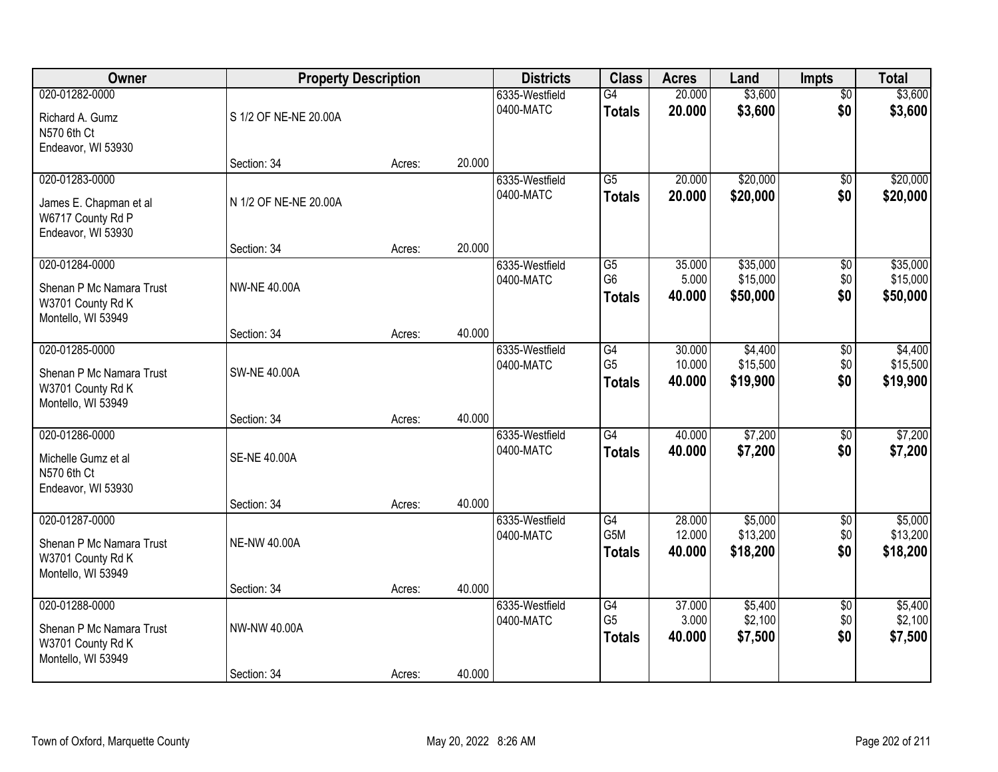| Owner                                                                                 | <b>Property Description</b> |        |        | <b>Districts</b>            | <b>Class</b>                                       | <b>Acres</b>               | Land                             | <b>Impts</b>                  | <b>Total</b>                     |
|---------------------------------------------------------------------------------------|-----------------------------|--------|--------|-----------------------------|----------------------------------------------------|----------------------------|----------------------------------|-------------------------------|----------------------------------|
| 020-01282-0000<br>Richard A. Gumz<br>N570 6th Ct                                      | S 1/2 OF NE-NE 20.00A       |        |        | 6335-Westfield<br>0400-MATC | G4<br><b>Totals</b>                                | 20.000<br>20.000           | \$3,600<br>\$3,600               | $\overline{50}$<br>\$0        | \$3,600<br>\$3,600               |
| Endeavor, WI 53930                                                                    | Section: 34                 | Acres: | 20.000 |                             |                                                    |                            |                                  |                               |                                  |
| 020-01283-0000<br>James E. Chapman et al<br>W6717 County Rd P<br>Endeavor, WI 53930   | N 1/2 OF NE-NE 20.00A       |        |        | 6335-Westfield<br>0400-MATC | $\overline{G5}$<br><b>Totals</b>                   | 20.000<br>20.000           | \$20,000<br>\$20,000             | $\overline{50}$<br>\$0        | \$20,000<br>\$20,000             |
|                                                                                       | Section: 34                 | Acres: | 20.000 |                             |                                                    |                            |                                  |                               |                                  |
| 020-01284-0000<br>Shenan P Mc Namara Trust<br>W3701 County Rd K<br>Montello, WI 53949 | <b>NW-NE 40.00A</b>         |        |        | 6335-Westfield<br>0400-MATC | G5<br>G <sub>6</sub><br><b>Totals</b>              | 35.000<br>5.000<br>40.000  | \$35,000<br>\$15,000<br>\$50,000 | $\overline{50}$<br>\$0<br>\$0 | \$35,000<br>\$15,000<br>\$50,000 |
|                                                                                       | Section: 34                 | Acres: | 40.000 |                             |                                                    |                            |                                  |                               |                                  |
| 020-01285-0000<br>Shenan P Mc Namara Trust<br>W3701 County Rd K<br>Montello, WI 53949 | <b>SW-NE 40.00A</b>         |        |        | 6335-Westfield<br>0400-MATC | $\overline{G4}$<br>G <sub>5</sub><br><b>Totals</b> | 30.000<br>10.000<br>40.000 | \$4,400<br>\$15,500<br>\$19,900  | \$0<br>\$0<br>\$0             | \$4,400<br>\$15,500<br>\$19,900  |
|                                                                                       | Section: 34                 | Acres: | 40.000 |                             |                                                    |                            |                                  |                               |                                  |
| 020-01286-0000<br>Michelle Gumz et al<br>N570 6th Ct<br>Endeavor, WI 53930            | <b>SE-NE 40.00A</b>         |        |        | 6335-Westfield<br>0400-MATC | $\overline{G4}$<br><b>Totals</b>                   | 40.000<br>40.000           | \$7,200<br>\$7,200               | \$0<br>\$0                    | \$7,200<br>\$7,200               |
|                                                                                       | Section: 34                 | Acres: | 40.000 |                             |                                                    |                            |                                  |                               |                                  |
| 020-01287-0000<br>Shenan P Mc Namara Trust<br>W3701 County Rd K<br>Montello, WI 53949 | <b>NE-NW 40.00A</b>         |        |        | 6335-Westfield<br>0400-MATC | G4<br>G5M<br><b>Totals</b>                         | 28.000<br>12.000<br>40.000 | \$5,000<br>\$13,200<br>\$18,200  | $\overline{60}$<br>\$0<br>\$0 | \$5,000<br>\$13,200<br>\$18,200  |
|                                                                                       | Section: 34                 | Acres: | 40.000 |                             |                                                    |                            |                                  |                               |                                  |
| 020-01288-0000<br>Shenan P Mc Namara Trust<br>W3701 County Rd K<br>Montello, WI 53949 | NW-NW 40.00A                |        |        | 6335-Westfield<br>0400-MATC | G4<br>G <sub>5</sub><br><b>Totals</b>              | 37.000<br>3.000<br>40.000  | \$5,400<br>\$2,100<br>\$7,500    | $\overline{50}$<br>\$0<br>\$0 | \$5,400<br>\$2,100<br>\$7,500    |
|                                                                                       | Section: 34                 | Acres: | 40.000 |                             |                                                    |                            |                                  |                               |                                  |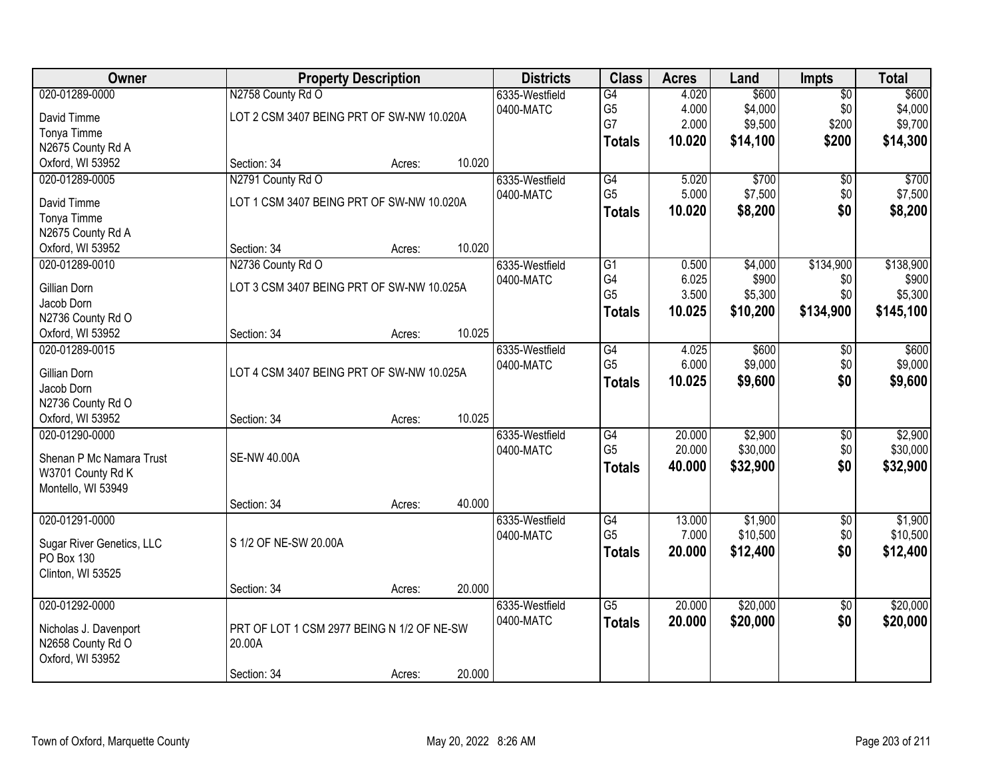| Owner                                 |                                                                | <b>Property Description</b> |        | <b>Districts</b>            | <b>Class</b>               | <b>Acres</b>            | Land                        | Impts                           | <b>Total</b>                |
|---------------------------------------|----------------------------------------------------------------|-----------------------------|--------|-----------------------------|----------------------------|-------------------------|-----------------------------|---------------------------------|-----------------------------|
| 020-01289-0000<br>David Timme         | N2758 County Rd O<br>LOT 2 CSM 3407 BEING PRT OF SW-NW 10.020A |                             |        | 6335-Westfield<br>0400-MATC | G4<br>G <sub>5</sub><br>G7 | 4.020<br>4.000<br>2.000 | \$600<br>\$4,000<br>\$9,500 | $\overline{50}$<br>\$0<br>\$200 | \$600<br>\$4,000<br>\$9,700 |
| Tonya Timme<br>N2675 County Rd A      |                                                                |                             |        |                             | <b>Totals</b>              | 10.020                  | \$14,100                    | \$200                           | \$14,300                    |
| Oxford, WI 53952<br>020-01289-0005    | Section: 34                                                    | Acres:                      | 10.020 |                             |                            |                         | \$700                       |                                 | \$700                       |
|                                       | N2791 County Rd O                                              |                             |        | 6335-Westfield<br>0400-MATC | G4<br>G <sub>5</sub>       | 5.020<br>5.000          | \$7,500                     | $\overline{50}$<br>\$0          | \$7,500                     |
| David Timme                           | LOT 1 CSM 3407 BEING PRT OF SW-NW 10.020A                      |                             |        |                             | <b>Totals</b>              | 10.020                  | \$8,200                     | \$0                             | \$8,200                     |
| Tonya Timme                           |                                                                |                             |        |                             |                            |                         |                             |                                 |                             |
| N2675 County Rd A<br>Oxford, WI 53952 | Section: 34                                                    | Acres:                      | 10.020 |                             |                            |                         |                             |                                 |                             |
| 020-01289-0010                        | N2736 County Rd O                                              |                             |        | 6335-Westfield              | $\overline{G1}$            | 0.500                   | \$4,000                     | \$134,900                       | \$138,900                   |
|                                       |                                                                |                             |        | 0400-MATC                   | G4                         | 6.025                   | \$900                       | \$0                             | \$900                       |
| <b>Gillian Dorn</b>                   | LOT 3 CSM 3407 BEING PRT OF SW-NW 10.025A                      |                             |        |                             | G <sub>5</sub>             | 3.500                   | \$5,300                     | \$0                             | \$5,300                     |
| Jacob Dorn                            |                                                                |                             |        |                             | <b>Totals</b>              | 10.025                  | \$10,200                    | \$134,900                       | \$145,100                   |
| N2736 County Rd O<br>Oxford, WI 53952 | Section: 34                                                    | Acres:                      | 10.025 |                             |                            |                         |                             |                                 |                             |
| 020-01289-0015                        |                                                                |                             |        | 6335-Westfield              | G4                         | 4.025                   | \$600                       | \$0                             | \$600                       |
|                                       |                                                                |                             |        | 0400-MATC                   | G <sub>5</sub>             | 6.000                   | \$9,000                     | \$0                             | \$9,000                     |
| Gillian Dorn<br>Jacob Dorn            | LOT 4 CSM 3407 BEING PRT OF SW-NW 10.025A                      |                             |        |                             | <b>Totals</b>              | 10.025                  | \$9,600                     | \$0                             | \$9,600                     |
| N2736 County Rd O                     |                                                                |                             |        |                             |                            |                         |                             |                                 |                             |
| Oxford, WI 53952                      | Section: 34                                                    | Acres:                      | 10.025 |                             |                            |                         |                             |                                 |                             |
| 020-01290-0000                        |                                                                |                             |        | 6335-Westfield              | $\overline{G4}$            | 20.000                  | \$2,900                     | $\overline{50}$                 | \$2,900                     |
| Shenan P Mc Namara Trust              | <b>SE-NW 40.00A</b>                                            |                             |        | 0400-MATC                   | G <sub>5</sub>             | 20.000                  | \$30,000                    | \$0                             | \$30,000                    |
| W3701 County Rd K                     |                                                                |                             |        |                             | <b>Totals</b>              | 40.000                  | \$32,900                    | \$0                             | \$32,900                    |
| Montello, WI 53949                    |                                                                |                             |        |                             |                            |                         |                             |                                 |                             |
|                                       | Section: 34                                                    | Acres:                      | 40.000 |                             |                            |                         |                             |                                 |                             |
| 020-01291-0000                        |                                                                |                             |        | 6335-Westfield              | $\overline{G4}$            | 13.000                  | \$1,900                     | $\overline{50}$                 | \$1,900                     |
| Sugar River Genetics, LLC             | S 1/2 OF NE-SW 20.00A                                          |                             |        | 0400-MATC                   | G <sub>5</sub>             | 7.000                   | \$10,500                    | \$0                             | \$10,500                    |
| PO Box 130                            |                                                                |                             |        |                             | <b>Totals</b>              | 20.000                  | \$12,400                    | \$0                             | \$12,400                    |
| Clinton, WI 53525                     |                                                                |                             |        |                             |                            |                         |                             |                                 |                             |
|                                       | Section: 34                                                    | Acres:                      | 20.000 |                             |                            |                         |                             |                                 |                             |
| 020-01292-0000                        |                                                                |                             |        | 6335-Westfield              | $\overline{G5}$            | 20.000                  | \$20,000                    | $\overline{50}$                 | \$20,000                    |
| Nicholas J. Davenport                 | PRT OF LOT 1 CSM 2977 BEING N 1/2 OF NE-SW                     |                             |        | 0400-MATC                   | <b>Totals</b>              | 20.000                  | \$20,000                    | \$0                             | \$20,000                    |
| N2658 County Rd O                     | 20.00A                                                         |                             |        |                             |                            |                         |                             |                                 |                             |
| Oxford, WI 53952                      |                                                                |                             |        |                             |                            |                         |                             |                                 |                             |
|                                       | Section: 34                                                    | Acres:                      | 20.000 |                             |                            |                         |                             |                                 |                             |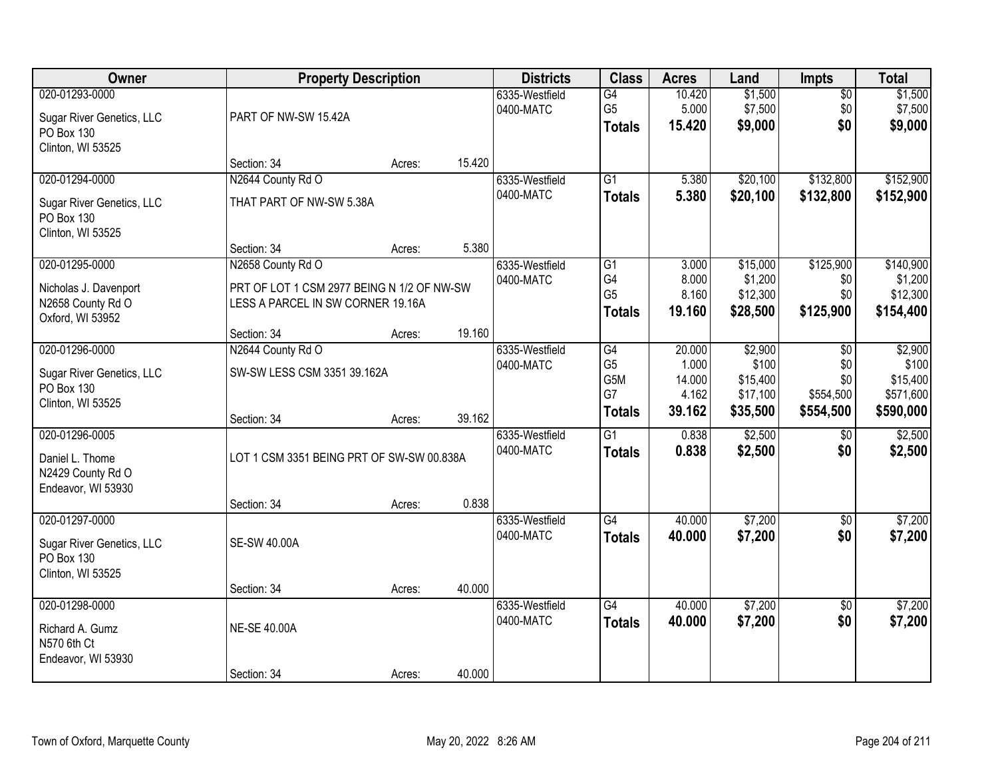| Owner                                                                          | <b>Property Description</b>                                                     |        |        | <b>Districts</b>            | <b>Class</b>                          | <b>Acres</b>                       | Land                                     | <b>Impts</b>                          | <b>Total</b>                              |
|--------------------------------------------------------------------------------|---------------------------------------------------------------------------------|--------|--------|-----------------------------|---------------------------------------|------------------------------------|------------------------------------------|---------------------------------------|-------------------------------------------|
| 020-01293-0000<br>Sugar River Genetics, LLC<br>PO Box 130<br>Clinton, WI 53525 | PART OF NW-SW 15.42A                                                            |        |        | 6335-Westfield<br>0400-MATC | G4<br>G <sub>5</sub><br><b>Totals</b> | 10.420<br>5.000<br>15.420          | \$1,500<br>\$7,500<br>\$9,000            | $\overline{50}$<br>\$0<br>\$0         | \$1,500<br>\$7,500<br>\$9,000             |
|                                                                                | Section: 34                                                                     | Acres: | 15.420 |                             |                                       |                                    |                                          |                                       |                                           |
| 020-01294-0000<br>Sugar River Genetics, LLC<br>PO Box 130<br>Clinton, WI 53525 | N2644 County Rd O<br>THAT PART OF NW-SW 5.38A                                   |        |        | 6335-Westfield<br>0400-MATC | $\overline{G1}$<br><b>Totals</b>      | 5.380<br>5.380                     | \$20,100<br>\$20,100                     | \$132,800<br>\$132,800                | \$152,900<br>\$152,900                    |
| 020-01295-0000                                                                 | Section: 34<br>N2658 County Rd O                                                | Acres: | 5.380  | 6335-Westfield              | G1                                    | 3.000                              | \$15,000                                 | \$125,900                             | \$140,900                                 |
| Nicholas J. Davenport<br>N2658 County Rd O<br>Oxford, WI 53952                 | PRT OF LOT 1 CSM 2977 BEING N 1/2 OF NW-SW<br>LESS A PARCEL IN SW CORNER 19.16A |        |        | 0400-MATC                   | G4<br>G <sub>5</sub><br><b>Totals</b> | 8.000<br>8.160<br>19.160           | \$1,200<br>\$12,300<br>\$28,500          | \$0<br>\$0<br>\$125,900               | \$1,200<br>\$12,300<br>\$154,400          |
|                                                                                | Section: 34                                                                     | Acres: | 19.160 |                             |                                       |                                    |                                          |                                       |                                           |
| 020-01296-0000<br>Sugar River Genetics, LLC<br>PO Box 130<br>Clinton, WI 53525 | N2644 County Rd O<br>SW-SW LESS CSM 3351 39.162A                                |        |        | 6335-Westfield<br>0400-MATC | G4<br>G <sub>5</sub><br>G5M<br>G7     | 20.000<br>1.000<br>14.000<br>4.162 | \$2,900<br>\$100<br>\$15,400<br>\$17,100 | $\sqrt{6}$<br>\$0<br>\$0<br>\$554,500 | \$2,900<br>\$100<br>\$15,400<br>\$571,600 |
|                                                                                | Section: 34                                                                     | Acres: | 39.162 |                             | <b>Totals</b>                         | 39.162                             | \$35,500                                 | \$554,500                             | \$590,000                                 |
| 020-01296-0005<br>Daniel L. Thome<br>N2429 County Rd O<br>Endeavor, WI 53930   | LOT 1 CSM 3351 BEING PRT OF SW-SW 00.838A<br>Section: 34                        | Acres: | 0.838  | 6335-Westfield<br>0400-MATC | $\overline{G1}$<br><b>Totals</b>      | 0.838<br>0.838                     | \$2,500<br>\$2,500                       | $\overline{50}$<br>\$0                | \$2,500<br>\$2,500                        |
| 020-01297-0000                                                                 |                                                                                 |        |        | 6335-Westfield              | $\overline{G4}$                       | 40.000                             | \$7,200                                  | $\sqrt{6}$                            | \$7,200                                   |
| Sugar River Genetics, LLC<br>PO Box 130<br>Clinton, WI 53525                   | <b>SE-SW 40.00A</b>                                                             |        |        | 0400-MATC                   | <b>Totals</b>                         | 40.000                             | \$7,200                                  | \$0                                   | \$7,200                                   |
|                                                                                | Section: 34                                                                     | Acres: | 40.000 |                             |                                       |                                    |                                          |                                       |                                           |
| 020-01298-0000<br>Richard A. Gumz<br>N570 6th Ct<br>Endeavor, WI 53930         | <b>NE-SE 40.00A</b>                                                             |        |        | 6335-Westfield<br>0400-MATC | $\overline{G4}$<br><b>Totals</b>      | 40.000<br>40.000                   | \$7,200<br>\$7,200                       | $\overline{50}$<br>\$0                | \$7,200<br>\$7,200                        |
|                                                                                | Section: 34                                                                     | Acres: | 40.000 |                             |                                       |                                    |                                          |                                       |                                           |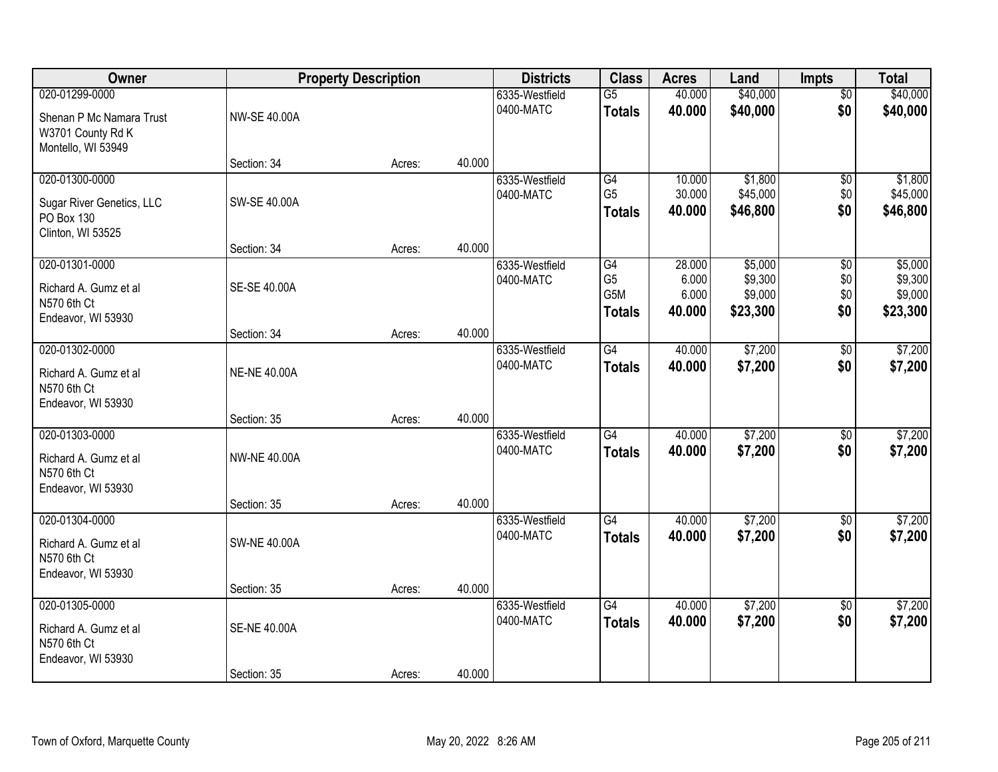| Owner                                                                                 | <b>Property Description</b> |        |        | <b>Districts</b>            | <b>Class</b>                                              | <b>Acres</b>                       | Land                                      | <b>Impts</b>                  | <b>Total</b>                              |
|---------------------------------------------------------------------------------------|-----------------------------|--------|--------|-----------------------------|-----------------------------------------------------------|------------------------------------|-------------------------------------------|-------------------------------|-------------------------------------------|
| 020-01299-0000<br>Shenan P Mc Namara Trust<br>W3701 County Rd K<br>Montello, WI 53949 | NW-SE 40.00A                |        |        | 6335-Westfield<br>0400-MATC | $\overline{G5}$<br><b>Totals</b>                          | 40.000<br>40.000                   | \$40,000<br>\$40,000                      | $\overline{50}$<br>\$0        | \$40,000<br>\$40,000                      |
|                                                                                       | Section: 34                 | Acres: | 40.000 |                             |                                                           |                                    |                                           |                               |                                           |
| 020-01300-0000<br>Sugar River Genetics, LLC<br>PO Box 130<br>Clinton, WI 53525        | SW-SE 40.00A                |        |        | 6335-Westfield<br>0400-MATC | G4<br>G <sub>5</sub><br><b>Totals</b>                     | 10.000<br>30.000<br>40.000         | \$1,800<br>\$45,000<br>\$46,800           | $\overline{50}$<br>\$0<br>\$0 | \$1,800<br>\$45,000<br>\$46,800           |
|                                                                                       | Section: 34                 | Acres: | 40.000 |                             |                                                           |                                    |                                           |                               |                                           |
| 020-01301-0000<br>Richard A. Gumz et al<br>N570 6th Ct<br>Endeavor, WI 53930          | SE-SE 40.00A                |        |        | 6335-Westfield<br>0400-MATC | G4<br>G <sub>5</sub><br>G <sub>5</sub> M<br><b>Totals</b> | 28.000<br>6.000<br>6.000<br>40.000 | \$5,000<br>\$9,300<br>\$9,000<br>\$23,300 | \$0<br>\$0<br>\$0<br>\$0      | \$5,000<br>\$9,300<br>\$9,000<br>\$23,300 |
|                                                                                       | Section: 34                 | Acres: | 40.000 |                             |                                                           |                                    |                                           |                               |                                           |
| 020-01302-0000<br>Richard A. Gumz et al<br>N570 6th Ct<br>Endeavor, WI 53930          | <b>NE-NE 40.00A</b>         |        |        | 6335-Westfield<br>0400-MATC | $\overline{G4}$<br><b>Totals</b>                          | 40.000<br>40.000                   | \$7,200<br>\$7,200                        | \$0<br>\$0                    | \$7,200<br>\$7,200                        |
|                                                                                       | Section: 35                 | Acres: | 40.000 |                             |                                                           |                                    |                                           |                               |                                           |
| 020-01303-0000<br>Richard A. Gumz et al<br>N570 6th Ct<br>Endeavor, WI 53930          | <b>NW-NE 40.00A</b>         |        |        | 6335-Westfield<br>0400-MATC | $\overline{G4}$<br><b>Totals</b>                          | 40.000<br>40.000                   | \$7,200<br>\$7,200                        | $\overline{50}$<br>\$0        | \$7,200<br>\$7,200                        |
| 020-01304-0000                                                                        | Section: 35                 | Acres: | 40.000 | 6335-Westfield              | G4                                                        | 40.000                             | \$7,200                                   | $\sqrt{$0}$                   | \$7,200                                   |
| Richard A. Gumz et al<br>N570 6th Ct<br>Endeavor, WI 53930                            | <b>SW-NE 40.00A</b>         |        |        | 0400-MATC                   | <b>Totals</b>                                             | 40.000                             | \$7,200                                   | \$0                           | \$7,200                                   |
|                                                                                       | Section: 35                 | Acres: | 40.000 |                             |                                                           |                                    |                                           |                               |                                           |
| 020-01305-0000<br>Richard A. Gumz et al<br>N570 6th Ct<br>Endeavor, WI 53930          | <b>SE-NE 40.00A</b>         |        |        | 6335-Westfield<br>0400-MATC | $\overline{G4}$<br><b>Totals</b>                          | 40.000<br>40.000                   | \$7,200<br>\$7,200                        | $\overline{50}$<br>\$0        | \$7,200<br>\$7,200                        |
|                                                                                       | Section: 35                 | Acres: | 40.000 |                             |                                                           |                                    |                                           |                               |                                           |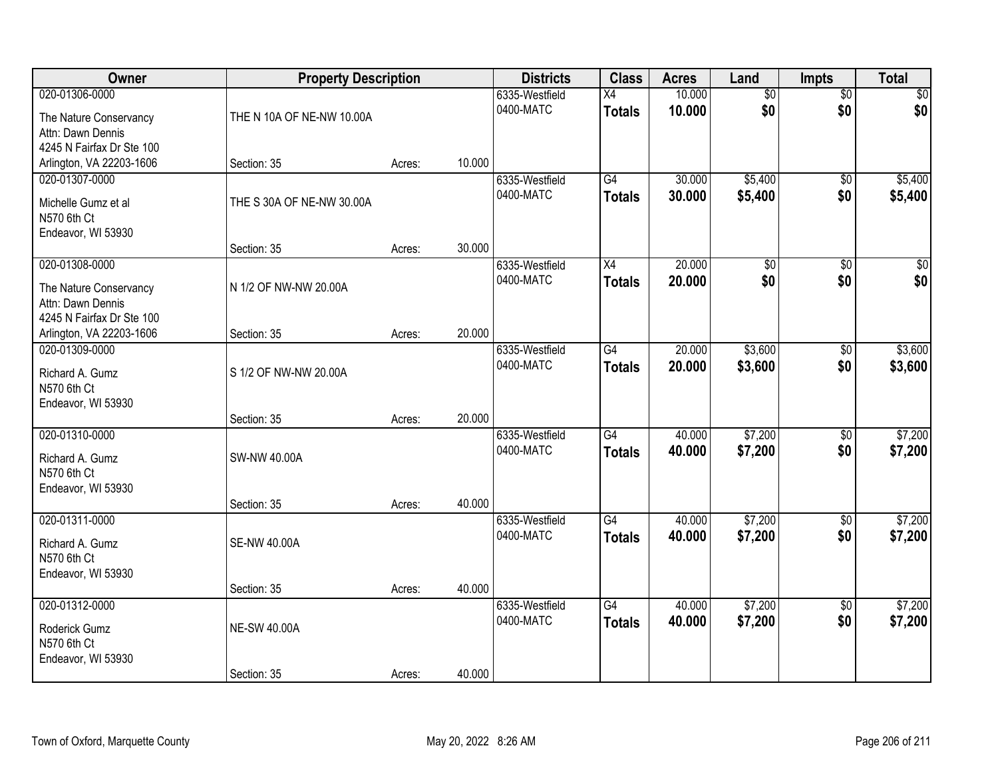| Owner                                                                                      |                           | <b>Property Description</b> |        |                             | <b>Class</b>                     | <b>Acres</b>     | Land                   | Impts                  | <b>Total</b>       |
|--------------------------------------------------------------------------------------------|---------------------------|-----------------------------|--------|-----------------------------|----------------------------------|------------------|------------------------|------------------------|--------------------|
| 020-01306-0000<br>The Nature Conservancy<br>Attn: Dawn Dennis<br>4245 N Fairfax Dr Ste 100 | THE N 10A OF NE-NW 10.00A |                             |        | 6335-Westfield<br>0400-MATC | X4<br><b>Totals</b>              | 10.000<br>10.000 | $\overline{50}$<br>\$0 | $\overline{50}$<br>\$0 | \$0<br>\$0         |
| Arlington, VA 22203-1606                                                                   | Section: 35               | Acres:                      | 10.000 |                             |                                  |                  |                        |                        |                    |
| 020-01307-0000<br>Michelle Gumz et al<br>N570 6th Ct<br>Endeavor, WI 53930                 | THE S 30A OF NE-NW 30.00A |                             |        | 6335-Westfield<br>0400-MATC | G4<br><b>Totals</b>              | 30.000<br>30.000 | \$5,400<br>\$5,400     | $\overline{50}$<br>\$0 | \$5,400<br>\$5,400 |
| 020-01308-0000                                                                             | Section: 35               | Acres:                      | 30.000 | 6335-Westfield              | X4                               | 20.000           | \$0                    | $\overline{50}$        | $\sqrt{50}$        |
| The Nature Conservancy<br>Attn: Dawn Dennis<br>4245 N Fairfax Dr Ste 100                   | N 1/2 OF NW-NW 20.00A     |                             |        | 0400-MATC                   | <b>Totals</b>                    | 20.000           | \$0                    | \$0                    | \$0                |
| Arlington, VA 22203-1606                                                                   | Section: 35               | Acres:                      | 20.000 |                             |                                  |                  |                        |                        |                    |
| 020-01309-0000<br>Richard A. Gumz<br>N570 6th Ct<br>Endeavor, WI 53930                     | S 1/2 OF NW-NW 20.00A     |                             |        | 6335-Westfield<br>0400-MATC | G4<br><b>Totals</b>              | 20.000<br>20,000 | \$3,600<br>\$3,600     | \$0<br>\$0             | \$3,600<br>\$3,600 |
|                                                                                            | Section: 35               | Acres:                      | 20.000 |                             |                                  |                  |                        |                        |                    |
| 020-01310-0000<br>Richard A. Gumz<br>N570 6th Ct<br>Endeavor, WI 53930                     | SW-NW 40.00A              |                             |        | 6335-Westfield<br>0400-MATC | $\overline{G4}$<br><b>Totals</b> | 40.000<br>40.000 | \$7,200<br>\$7,200     | $\overline{50}$<br>\$0 | \$7,200<br>\$7,200 |
| 020-01311-0000                                                                             | Section: 35               | Acres:                      | 40.000 | 6335-Westfield              | G4                               | 40.000           | \$7,200                | $\overline{60}$        | \$7,200            |
| Richard A. Gumz<br>N570 6th Ct<br>Endeavor, WI 53930                                       | <b>SE-NW 40.00A</b>       |                             |        | 0400-MATC                   | <b>Totals</b>                    | 40.000           | \$7,200                | \$0                    | \$7,200            |
|                                                                                            | Section: 35               | Acres:                      | 40.000 |                             |                                  |                  |                        |                        |                    |
| 020-01312-0000<br>Roderick Gumz<br>N570 6th Ct<br>Endeavor, WI 53930                       | <b>NE-SW 40.00A</b>       |                             |        | 6335-Westfield<br>0400-MATC | G4<br><b>Totals</b>              | 40.000<br>40.000 | \$7,200<br>\$7,200     | $\overline{50}$<br>\$0 | \$7,200<br>\$7,200 |
|                                                                                            | Section: 35               | Acres:                      | 40.000 |                             |                                  |                  |                        |                        |                    |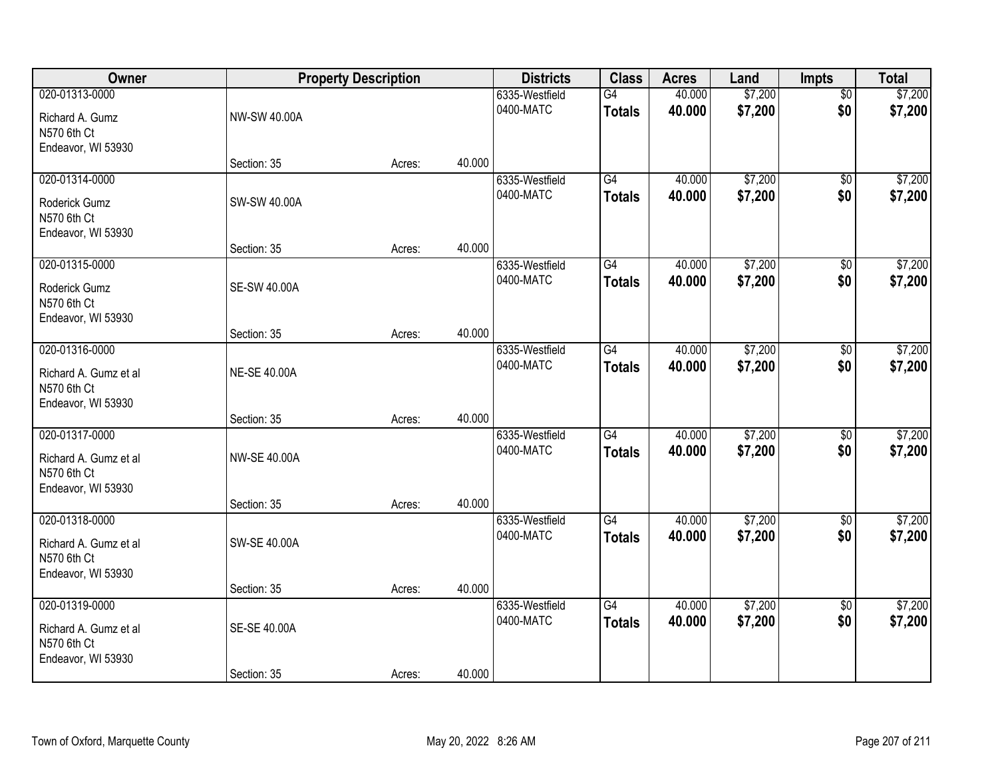| Owner<br>020-01313-0000<br>Richard A. Gumz<br>N570 6th Ct<br>Endeavor, WI 53930 |                     | <b>Property Description</b> |        |                             | <b>Class</b>                     | <b>Acres</b>     | Land               | Impts                  | <b>Total</b>       |
|---------------------------------------------------------------------------------|---------------------|-----------------------------|--------|-----------------------------|----------------------------------|------------------|--------------------|------------------------|--------------------|
|                                                                                 | <b>NW-SW 40.00A</b> |                             |        | 6335-Westfield<br>0400-MATC | G4<br><b>Totals</b>              | 40.000<br>40.000 | \$7,200<br>\$7,200 | $\overline{50}$<br>\$0 | \$7,200<br>\$7,200 |
|                                                                                 | Section: 35         | Acres:                      | 40.000 |                             |                                  |                  |                    |                        |                    |
| 020-01314-0000<br>Roderick Gumz<br>N570 6th Ct<br>Endeavor, WI 53930            | SW-SW 40.00A        |                             |        | 6335-Westfield<br>0400-MATC | G4<br><b>Totals</b>              | 40.000<br>40.000 | \$7,200<br>\$7,200 | $\overline{50}$<br>\$0 | \$7,200<br>\$7,200 |
|                                                                                 | Section: 35         | Acres:                      | 40.000 |                             |                                  |                  |                    |                        |                    |
| 020-01315-0000<br>Roderick Gumz<br>N570 6th Ct<br>Endeavor, WI 53930            | <b>SE-SW 40.00A</b> |                             |        | 6335-Westfield<br>0400-MATC | G4<br><b>Totals</b>              | 40.000<br>40.000 | \$7,200<br>\$7,200 | \$0<br>\$0             | \$7,200<br>\$7,200 |
|                                                                                 | Section: 35         | Acres:                      | 40.000 |                             |                                  |                  |                    |                        |                    |
| 020-01316-0000<br>Richard A. Gumz et al<br>N570 6th Ct<br>Endeavor, WI 53930    | <b>NE-SE 40.00A</b> |                             |        | 6335-Westfield<br>0400-MATC | G4<br><b>Totals</b>              | 40.000<br>40.000 | \$7,200<br>\$7,200 | \$0<br>\$0             | \$7,200<br>\$7,200 |
|                                                                                 | Section: 35         | Acres:                      | 40.000 |                             |                                  |                  |                    |                        |                    |
| 020-01317-0000<br>Richard A. Gumz et al<br>N570 6th Ct<br>Endeavor, WI 53930    | <b>NW-SE 40.00A</b> |                             |        | 6335-Westfield<br>0400-MATC | $\overline{G4}$<br><b>Totals</b> | 40.000<br>40.000 | \$7,200<br>\$7,200 | $\overline{50}$<br>\$0 | \$7,200<br>\$7,200 |
| 020-01318-0000                                                                  | Section: 35         | Acres:                      | 40.000 | 6335-Westfield              | G4                               | 40.000           | \$7,200            | $\overline{60}$        | \$7,200            |
| Richard A. Gumz et al<br>N570 6th Ct<br>Endeavor, WI 53930                      | SW-SE 40.00A        |                             |        | 0400-MATC                   | <b>Totals</b>                    | 40.000           | \$7,200            | \$0                    | \$7,200            |
|                                                                                 | Section: 35         | Acres:                      | 40.000 |                             |                                  |                  |                    |                        |                    |
| 020-01319-0000<br>Richard A. Gumz et al<br>N570 6th Ct<br>Endeavor, WI 53930    | SE-SE 40.00A        |                             |        | 6335-Westfield<br>0400-MATC | G4<br><b>Totals</b>              | 40.000<br>40.000 | \$7,200<br>\$7,200 | $\overline{50}$<br>\$0 | \$7,200<br>\$7,200 |
|                                                                                 | Section: 35         | Acres:                      | 40.000 |                             |                                  |                  |                    |                        |                    |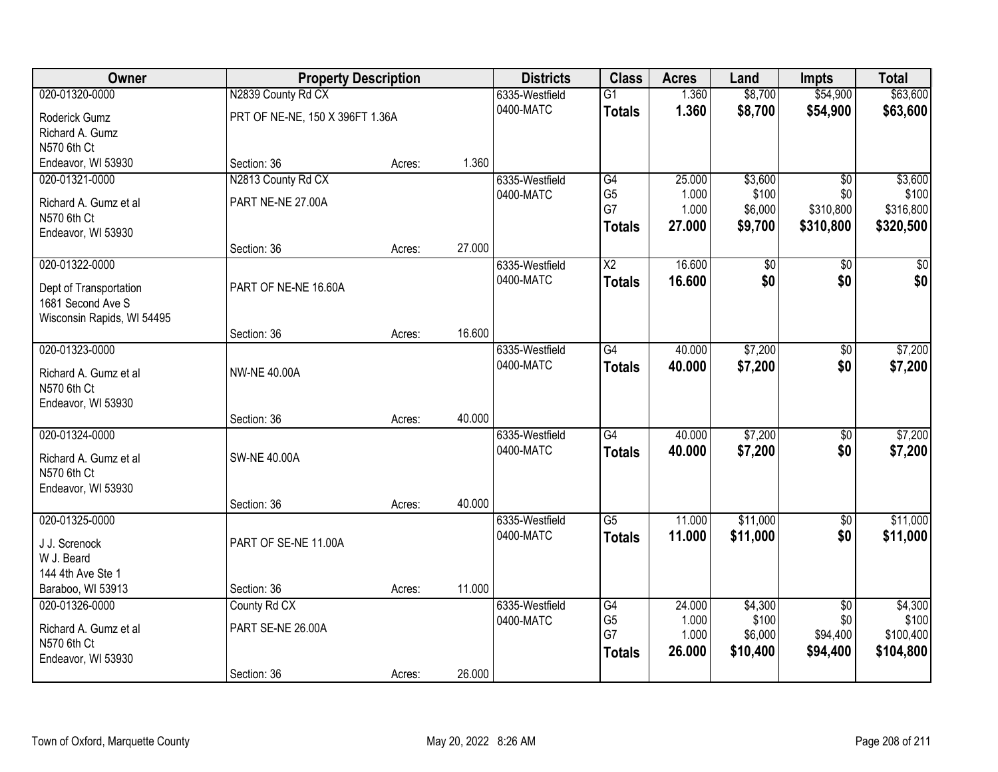| Owner                      | <b>Property Description</b>     |        | <b>Districts</b> | <b>Class</b>   | <b>Acres</b>    | Land   | <b>Impts</b>    | <b>Total</b>    |                 |
|----------------------------|---------------------------------|--------|------------------|----------------|-----------------|--------|-----------------|-----------------|-----------------|
| 020-01320-0000             | N2839 County Rd CX              |        |                  | 6335-Westfield | $\overline{G1}$ | 1.360  | \$8,700         | \$54,900        | \$63,600        |
| Roderick Gumz              | PRT OF NE-NE, 150 X 396FT 1.36A |        |                  | 0400-MATC      | <b>Totals</b>   | 1.360  | \$8,700         | \$54,900        | \$63,600        |
| Richard A. Gumz            |                                 |        |                  |                |                 |        |                 |                 |                 |
| N570 6th Ct                |                                 |        |                  |                |                 |        |                 |                 |                 |
| Endeavor, WI 53930         | Section: 36                     | Acres: | 1.360            |                |                 |        |                 |                 |                 |
| 020-01321-0000             | N2813 County Rd CX              |        |                  | 6335-Westfield | G4              | 25.000 | \$3,600         | $\overline{50}$ | \$3,600         |
| Richard A. Gumz et al      | PART NE-NE 27.00A               |        |                  | 0400-MATC      | G <sub>5</sub>  | 1.000  | \$100           | \$0             | \$100           |
| N570 6th Ct                |                                 |        |                  |                | G7              | 1.000  | \$6,000         | \$310,800       | \$316,800       |
| Endeavor, WI 53930         |                                 |        |                  |                | <b>Totals</b>   | 27.000 | \$9,700         | \$310,800       | \$320,500       |
|                            | Section: 36                     | Acres: | 27.000           |                |                 |        |                 |                 |                 |
| 020-01322-0000             |                                 |        |                  | 6335-Westfield | $\overline{X2}$ | 16.600 | $\overline{60}$ | $\overline{50}$ | $\overline{50}$ |
| Dept of Transportation     | PART OF NE-NE 16.60A            |        |                  | 0400-MATC      | <b>Totals</b>   | 16.600 | \$0             | \$0             | \$0             |
| 1681 Second Ave S          |                                 |        |                  |                |                 |        |                 |                 |                 |
| Wisconsin Rapids, WI 54495 |                                 |        |                  |                |                 |        |                 |                 |                 |
|                            | Section: 36                     | Acres: | 16.600           |                |                 |        |                 |                 |                 |
| 020-01323-0000             |                                 |        |                  | 6335-Westfield | G4              | 40.000 | \$7,200         | \$0             | \$7,200         |
| Richard A. Gumz et al      | <b>NW-NE 40.00A</b>             |        |                  | 0400-MATC      | <b>Totals</b>   | 40.000 | \$7,200         | \$0             | \$7,200         |
| N570 6th Ct                |                                 |        |                  |                |                 |        |                 |                 |                 |
| Endeavor, WI 53930         |                                 |        |                  |                |                 |        |                 |                 |                 |
|                            | Section: 36                     | Acres: | 40.000           |                |                 |        |                 |                 |                 |
| 020-01324-0000             |                                 |        |                  | 6335-Westfield | G4              | 40.000 | \$7,200         | $\overline{50}$ | \$7,200         |
| Richard A. Gumz et al      | <b>SW-NE 40.00A</b>             |        |                  | 0400-MATC      | <b>Totals</b>   | 40.000 | \$7,200         | \$0             | \$7,200         |
| N570 6th Ct                |                                 |        |                  |                |                 |        |                 |                 |                 |
| Endeavor, WI 53930         |                                 |        |                  |                |                 |        |                 |                 |                 |
|                            | Section: 36                     | Acres: | 40.000           |                |                 |        |                 |                 |                 |
| 020-01325-0000             |                                 |        |                  | 6335-Westfield | G5              | 11.000 | \$11,000        | $\sqrt{6}$      | \$11,000        |
| J J. Screnock              | PART OF SE-NE 11.00A            |        |                  | 0400-MATC      | <b>Totals</b>   | 11.000 | \$11,000        | \$0             | \$11,000        |
| W J. Beard                 |                                 |        |                  |                |                 |        |                 |                 |                 |
| 144 4th Ave Ste 1          |                                 |        |                  |                |                 |        |                 |                 |                 |
| Baraboo, WI 53913          | Section: 36                     | Acres: | 11.000           |                |                 |        |                 |                 |                 |
| 020-01326-0000             | County Rd CX                    |        |                  | 6335-Westfield | G4              | 24.000 | \$4,300         | $\overline{50}$ | \$4,300         |
| Richard A. Gumz et al      | PART SE-NE 26.00A               |        |                  | 0400-MATC      | G <sub>5</sub>  | 1.000  | \$100           | \$0             | \$100           |
| N570 6th Ct                |                                 |        |                  |                | G7              | 1.000  | \$6,000         | \$94,400        | \$100,400       |
| Endeavor, WI 53930         |                                 |        |                  |                | <b>Totals</b>   | 26.000 | \$10,400        | \$94,400        | \$104,800       |
|                            | Section: 36                     | Acres: | 26.000           |                |                 |        |                 |                 |                 |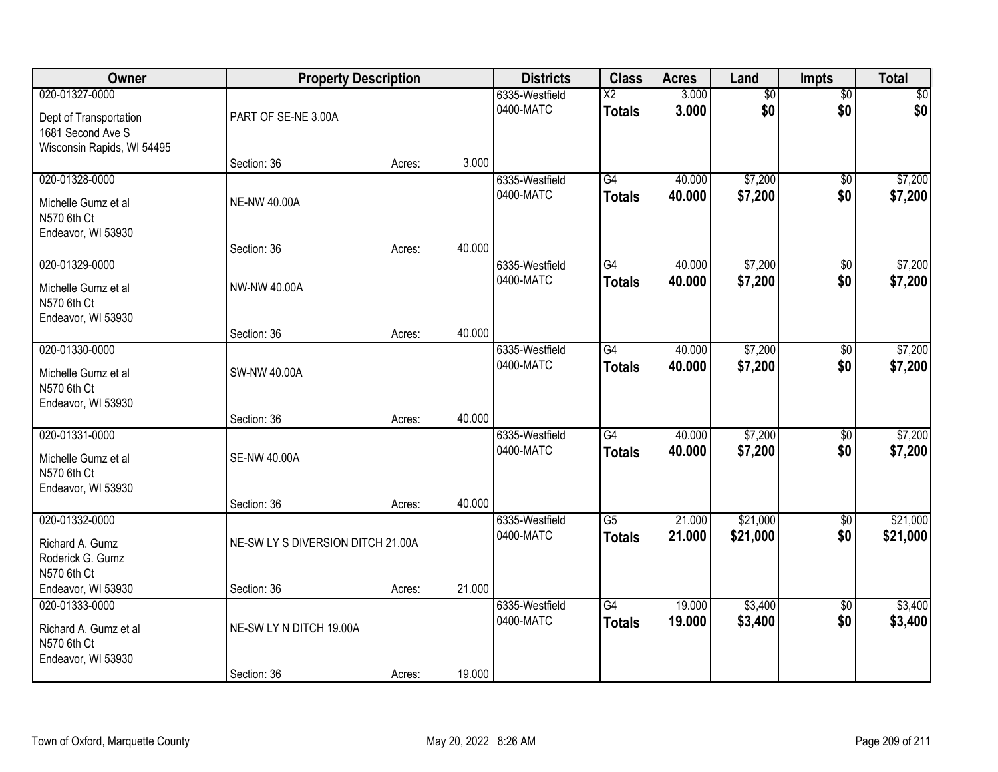| Owner                                                                                       |                         | <b>Property Description</b>       |        |                             | <b>Class</b>                            | <b>Acres</b>     | Land                   | Impts                  | <b>Total</b>         |
|---------------------------------------------------------------------------------------------|-------------------------|-----------------------------------|--------|-----------------------------|-----------------------------------------|------------------|------------------------|------------------------|----------------------|
| 020-01327-0000<br>Dept of Transportation<br>1681 Second Ave S<br>Wisconsin Rapids, WI 54495 | PART OF SE-NE 3.00A     |                                   |        | 6335-Westfield<br>0400-MATC | $\overline{\text{X2}}$<br><b>Totals</b> | 3.000<br>3.000   | $\overline{50}$<br>\$0 | $\overline{50}$<br>\$0 | \$0<br>\$0           |
|                                                                                             | Section: 36             | Acres:                            | 3.000  |                             |                                         |                  |                        |                        |                      |
| 020-01328-0000<br>Michelle Gumz et al<br>N570 6th Ct<br>Endeavor, WI 53930                  | <b>NE-NW 40.00A</b>     |                                   |        | 6335-Westfield<br>0400-MATC | G4<br><b>Totals</b>                     | 40.000<br>40.000 | \$7,200<br>\$7,200     | $\overline{50}$<br>\$0 | \$7,200<br>\$7,200   |
| 020-01329-0000                                                                              | Section: 36             | Acres:                            | 40.000 | 6335-Westfield              | G4                                      | 40.000           | \$7,200                | \$0                    | \$7,200              |
| Michelle Gumz et al<br>N570 6th Ct<br>Endeavor, WI 53930                                    | NW-NW 40.00A            |                                   |        | 0400-MATC                   | <b>Totals</b>                           | 40.000           | \$7,200                | \$0                    | \$7,200              |
|                                                                                             | Section: 36             | Acres:                            | 40.000 |                             |                                         |                  |                        |                        |                      |
| 020-01330-0000<br>Michelle Gumz et al<br>N570 6th Ct                                        | SW-NW 40.00A            |                                   |        | 6335-Westfield<br>0400-MATC | G4<br><b>Totals</b>                     | 40.000<br>40.000 | \$7,200<br>\$7,200     | \$0<br>\$0             | \$7,200<br>\$7,200   |
| Endeavor, WI 53930                                                                          | Section: 36             | Acres:                            | 40.000 |                             |                                         |                  |                        |                        |                      |
| 020-01331-0000<br>Michelle Gumz et al<br>N570 6th Ct<br>Endeavor, WI 53930                  | <b>SE-NW 40.00A</b>     |                                   |        | 6335-Westfield<br>0400-MATC | $\overline{G4}$<br><b>Totals</b>        | 40.000<br>40.000 | \$7,200<br>\$7,200     | $\overline{50}$<br>\$0 | \$7,200<br>\$7,200   |
|                                                                                             | Section: 36             | Acres:                            | 40.000 | 6335-Westfield              |                                         |                  |                        |                        |                      |
| 020-01332-0000<br>Richard A. Gumz<br>Roderick G. Gumz<br>N570 6th Ct                        |                         | NE-SW LY S DIVERSION DITCH 21.00A |        |                             | G5<br><b>Totals</b>                     | 21.000<br>21.000 | \$21,000<br>\$21,000   | $\overline{60}$<br>\$0 | \$21,000<br>\$21,000 |
| Endeavor, WI 53930                                                                          | Section: 36             | Acres:                            | 21.000 |                             |                                         |                  |                        |                        |                      |
| 020-01333-0000<br>Richard A. Gumz et al<br>N570 6th Ct<br>Endeavor, WI 53930                | NE-SW LY N DITCH 19.00A |                                   |        | 6335-Westfield<br>0400-MATC | $\overline{G4}$<br><b>Totals</b>        | 19.000<br>19.000 | \$3,400<br>\$3,400     | $\overline{50}$<br>\$0 | \$3,400<br>\$3,400   |
|                                                                                             | Section: 36             | Acres:                            | 19.000 |                             |                                         |                  |                        |                        |                      |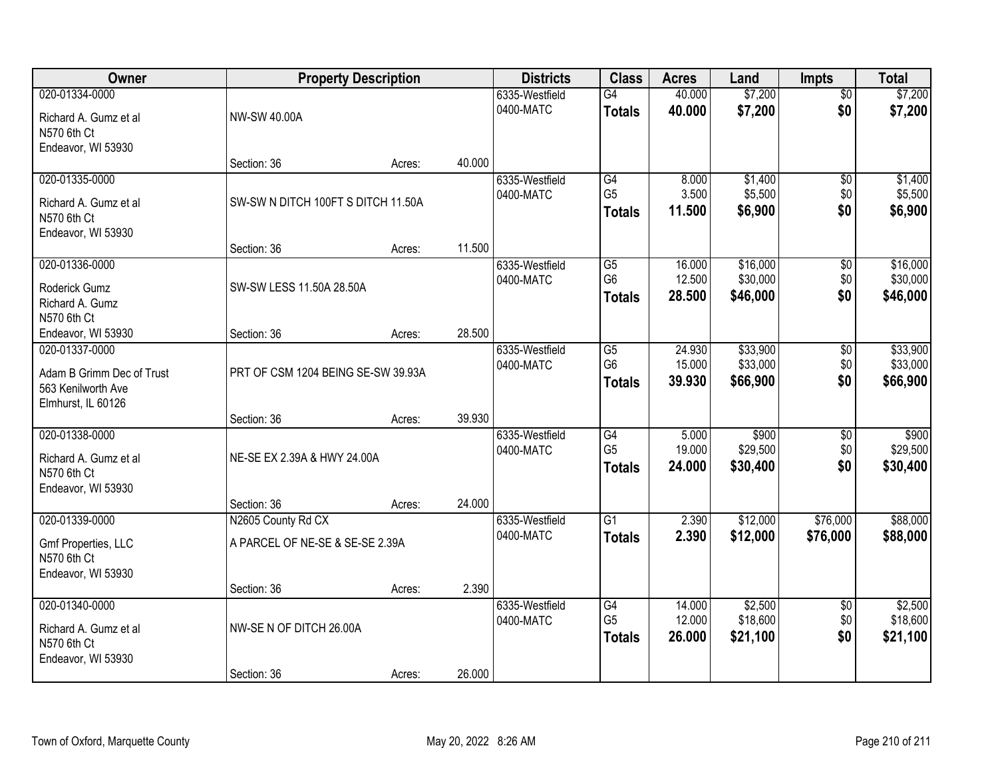| Owner                                                                                   | <b>Property Description</b>                |        |                             | <b>Districts</b>                                   | <b>Class</b>                                       | <b>Acres</b>                     | Land                            | <b>Impts</b>                     | <b>Total</b>                    |
|-----------------------------------------------------------------------------------------|--------------------------------------------|--------|-----------------------------|----------------------------------------------------|----------------------------------------------------|----------------------------------|---------------------------------|----------------------------------|---------------------------------|
| 020-01334-0000<br>Richard A. Gumz et al<br>N570 6th Ct                                  | NW-SW 40.00A                               |        |                             | 6335-Westfield<br>G4<br>0400-MATC<br><b>Totals</b> |                                                    | 40.000<br>40.000                 | \$7,200<br>\$7,200              | $\overline{50}$<br>\$0           | \$7,200<br>\$7,200              |
| Endeavor, WI 53930                                                                      | Section: 36                                | Acres: | 40.000                      |                                                    |                                                    |                                  |                                 |                                  |                                 |
| 020-01335-0000<br>Richard A. Gumz et al<br>N570 6th Ct<br>Endeavor, WI 53930            | SW-SW N DITCH 100FT S DITCH 11.50A         |        |                             | 6335-Westfield<br>0400-MATC                        | G4<br>G <sub>5</sub><br><b>Totals</b>              | 8.000<br>3.500<br>11.500         | \$1,400<br>\$5,500<br>\$6,900   | $\overline{50}$<br>\$0<br>\$0    | \$1,400<br>\$5,500<br>\$6,900   |
| 020-01336-0000                                                                          | Section: 36                                | Acres: | 11.500                      | 6335-Westfield                                     | G5                                                 | 16.000                           | \$16,000                        | \$0                              | \$16,000                        |
| <b>Roderick Gumz</b><br>Richard A. Gumz<br>N570 6th Ct                                  | SW-SW LESS 11.50A 28.50A                   |        |                             | 0400-MATC                                          | G <sub>6</sub><br><b>Totals</b>                    | 12.500<br>28.500                 | \$30,000<br>\$46,000            | \$0<br>\$0                       | \$30,000<br>\$46,000            |
| Endeavor, WI 53930                                                                      | Section: 36                                | Acres: | 28.500                      |                                                    |                                                    |                                  |                                 |                                  |                                 |
| 020-01337-0000<br>Adam B Grimm Dec of Trust<br>563 Kenilworth Ave<br>Elmhurst, IL 60126 | PRT OF CSM 1204 BEING SE-SW 39.93A         |        | 6335-Westfield<br>0400-MATC | G5<br>G <sub>6</sub><br><b>Totals</b>              | 24.930<br>15.000<br>39.930                         | \$33,900<br>\$33,000<br>\$66,900 | \$0<br>\$0<br>\$0               | \$33,900<br>\$33,000<br>\$66,900 |                                 |
|                                                                                         | Section: 36                                | Acres: | 39.930                      |                                                    |                                                    |                                  |                                 |                                  |                                 |
| 020-01338-0000<br>Richard A. Gumz et al<br>N570 6th Ct<br>Endeavor, WI 53930            | NE-SE EX 2.39A & HWY 24.00A<br>Section: 36 | Acres: | 24.000                      | 6335-Westfield<br>0400-MATC                        | $\overline{G4}$<br>G <sub>5</sub><br><b>Totals</b> | 5.000<br>19.000<br>24.000        | \$900<br>\$29,500<br>\$30,400   | $\overline{30}$<br>\$0<br>\$0    | \$900<br>\$29,500<br>\$30,400   |
| 020-01339-0000                                                                          | N2605 County Rd CX                         |        |                             | 6335-Westfield                                     | $\overline{G1}$                                    | 2.390                            | \$12,000                        | \$76,000                         | \$88,000                        |
| Gmf Properties, LLC<br>N570 6th Ct<br>Endeavor, WI 53930                                | A PARCEL OF NE-SE & SE-SE 2.39A            |        |                             | 0400-MATC                                          | <b>Totals</b>                                      | 2.390                            | \$12,000                        | \$76,000                         | \$88,000                        |
|                                                                                         | Section: 36                                | Acres: | 2.390                       |                                                    |                                                    |                                  |                                 |                                  |                                 |
| 020-01340-0000<br>Richard A. Gumz et al<br>N570 6th Ct<br>Endeavor, WI 53930            | NW-SE N OF DITCH 26.00A                    |        |                             | 6335-Westfield<br>0400-MATC                        | G4<br>G <sub>5</sub><br><b>Totals</b>              | 14.000<br>12.000<br>26.000       | \$2,500<br>\$18,600<br>\$21,100 | $\overline{50}$<br>\$0<br>\$0    | \$2,500<br>\$18,600<br>\$21,100 |
|                                                                                         | Section: 36                                | Acres: | 26.000                      |                                                    |                                                    |                                  |                                 |                                  |                                 |